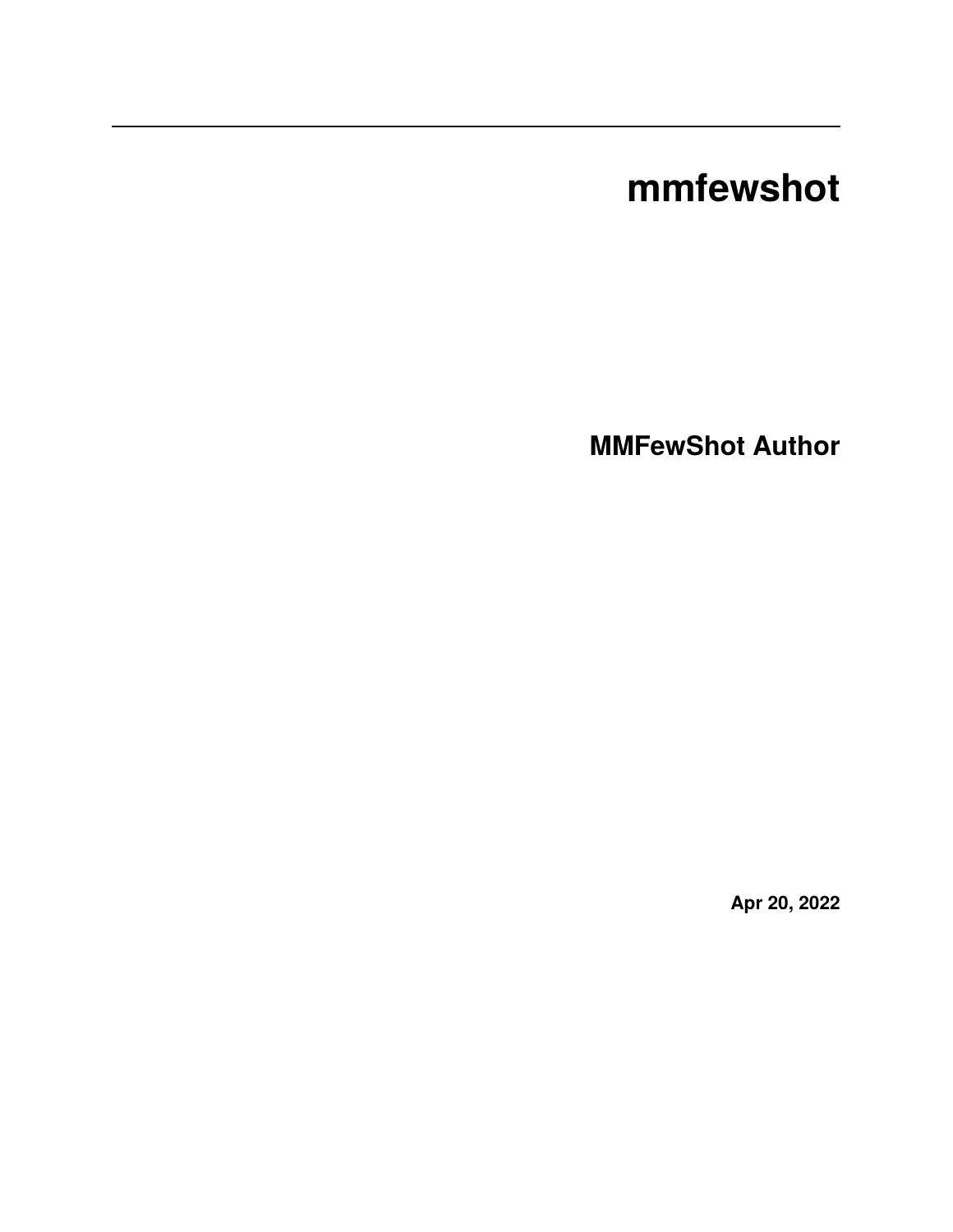# **mmfewshot**

**MMFewShot Author**

**Apr 20, 2022**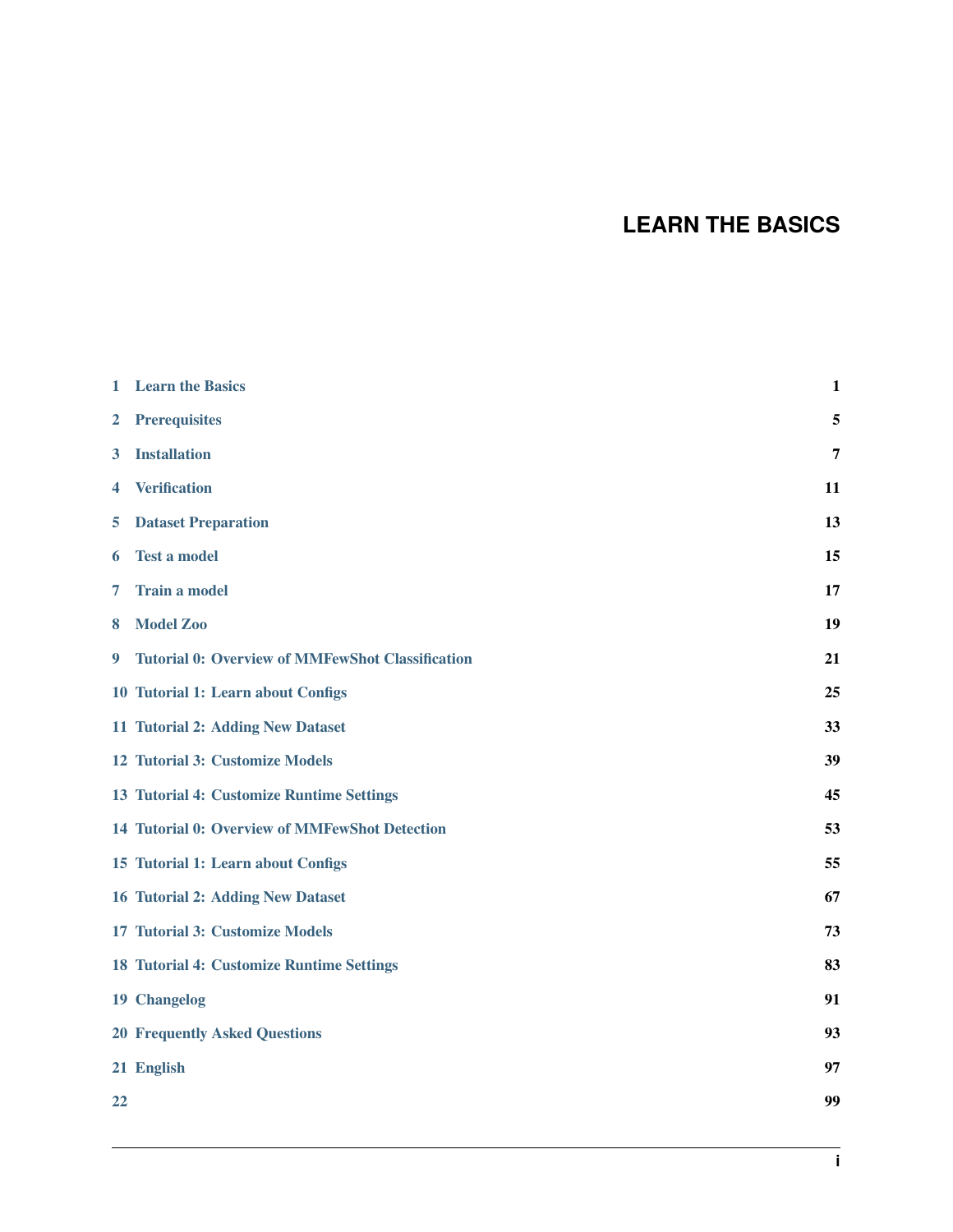# **LEARN THE BASICS**

| 1            | <b>Learn the Basics</b>                                 | 1  |
|--------------|---------------------------------------------------------|----|
| $\mathbf{2}$ | <b>Prerequisites</b>                                    | 5  |
| 3            | <b>Installation</b>                                     | 7  |
| 4            | <b>Verification</b>                                     | 11 |
| 5            | <b>Dataset Preparation</b>                              | 13 |
| 6            | <b>Test a model</b>                                     | 15 |
| 7            | <b>Train a model</b>                                    | 17 |
| 8            | <b>Model Zoo</b>                                        | 19 |
| 9            | <b>Tutorial 0: Overview of MMFewShot Classification</b> | 21 |
|              | 10 Tutorial 1: Learn about Configs                      | 25 |
|              | 11 Tutorial 2: Adding New Dataset                       | 33 |
|              | 12 Tutorial 3: Customize Models                         | 39 |
|              | 13 Tutorial 4: Customize Runtime Settings               | 45 |
|              | 14 Tutorial 0: Overview of MMFewShot Detection          | 53 |
|              | 15 Tutorial 1: Learn about Configs                      | 55 |
|              | <b>16 Tutorial 2: Adding New Dataset</b>                | 67 |
|              | 17 Tutorial 3: Customize Models                         | 73 |
|              | 18 Tutorial 4: Customize Runtime Settings               | 83 |
|              | 19 Changelog                                            | 91 |
|              | <b>20 Frequently Asked Questions</b>                    | 93 |
|              | 21 English                                              | 97 |
| 22           |                                                         | 99 |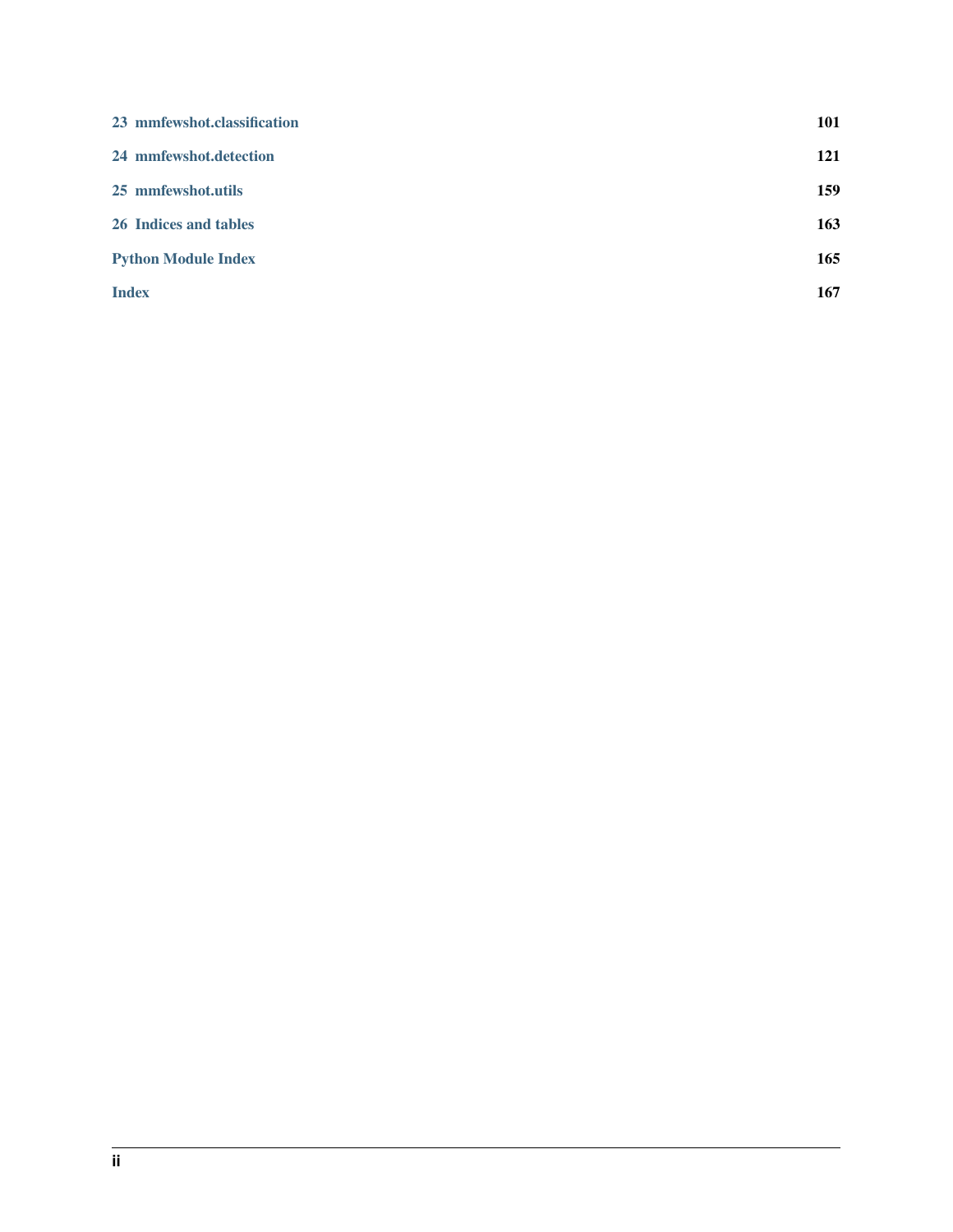| 23 mmfewshot.classification | 101 |
|-----------------------------|-----|
| 24 mmfewshot.detection      | 121 |
| 25 mmfewshot.utils          | 159 |
| 26 Indices and tables       | 163 |
| <b>Python Module Index</b>  | 165 |
| <b>Index</b>                | 167 |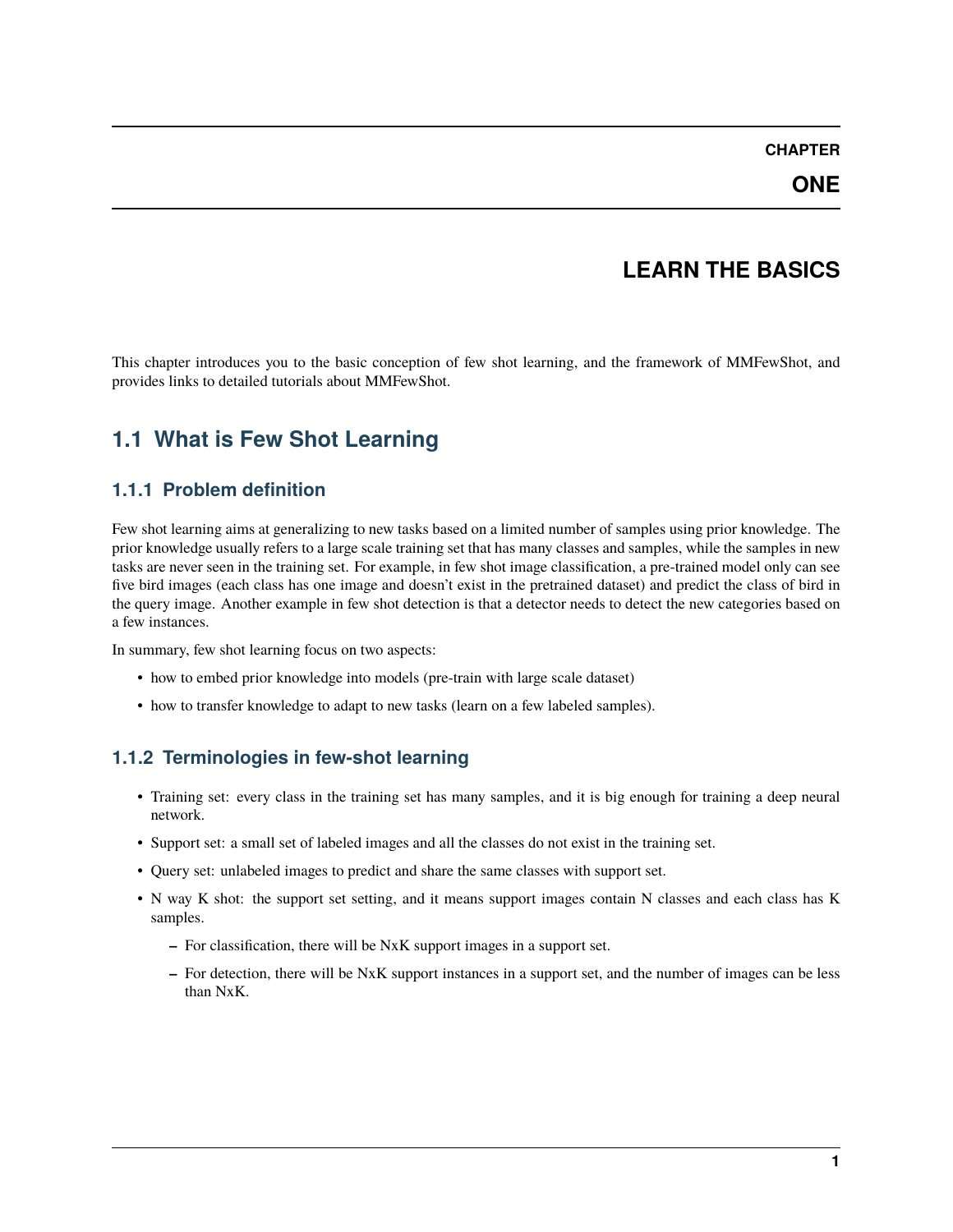## **LEARN THE BASICS**

<span id="page-4-0"></span>This chapter introduces you to the basic conception of few shot learning, and the framework of MMFewShot, and provides links to detailed tutorials about MMFewShot.

# **1.1 What is Few Shot Learning**

#### **1.1.1 Problem definition**

Few shot learning aims at generalizing to new tasks based on a limited number of samples using prior knowledge. The prior knowledge usually refers to a large scale training set that has many classes and samples, while the samples in new tasks are never seen in the training set. For example, in few shot image classification, a pre-trained model only can see five bird images (each class has one image and doesn't exist in the pretrained dataset) and predict the class of bird in the query image. Another example in few shot detection is that a detector needs to detect the new categories based on a few instances.

In summary, few shot learning focus on two aspects:

- how to embed prior knowledge into models (pre-train with large scale dataset)
- how to transfer knowledge to adapt to new tasks (learn on a few labeled samples).

### **1.1.2 Terminologies in few-shot learning**

- Training set: every class in the training set has many samples, and it is big enough for training a deep neural network.
- Support set: a small set of labeled images and all the classes do not exist in the training set.
- Query set: unlabeled images to predict and share the same classes with support set.
- N way K shot: the support set setting, and it means support images contain N classes and each class has K samples.
	- **–** For classification, there will be NxK support images in a support set.
	- **–** For detection, there will be NxK support instances in a support set, and the number of images can be less than NxK.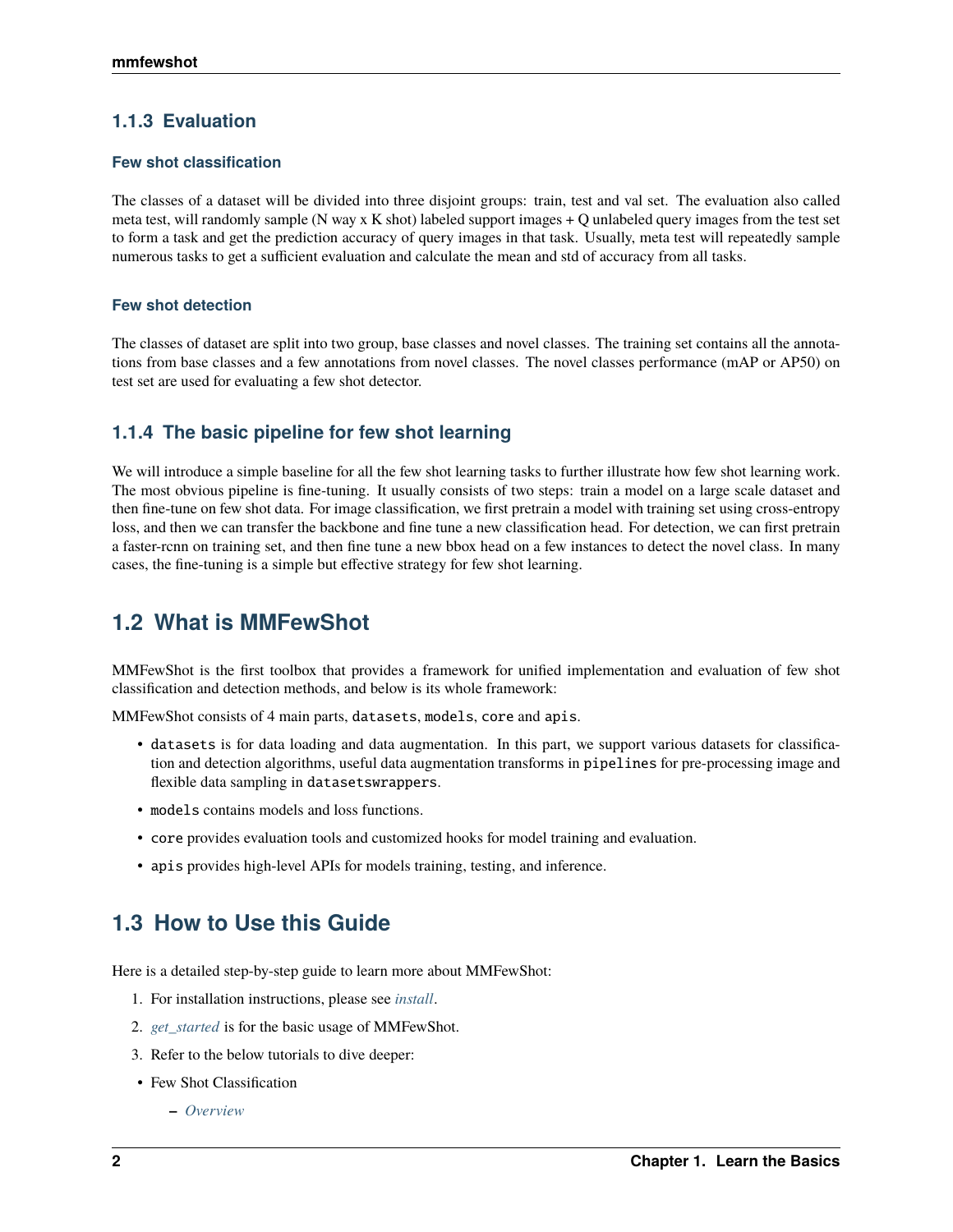#### **1.1.3 Evaluation**

#### **Few shot classification**

The classes of a dataset will be divided into three disjoint groups: train, test and val set. The evaluation also called meta test, will randomly sample (N way x K shot) labeled support images  $+$  Q unlabeled query images from the test set to form a task and get the prediction accuracy of query images in that task. Usually, meta test will repeatedly sample numerous tasks to get a sufficient evaluation and calculate the mean and std of accuracy from all tasks.

#### **Few shot detection**

The classes of dataset are split into two group, base classes and novel classes. The training set contains all the annotations from base classes and a few annotations from novel classes. The novel classes performance (mAP or AP50) on test set are used for evaluating a few shot detector.

#### **1.1.4 The basic pipeline for few shot learning**

We will introduce a simple baseline for all the few shot learning tasks to further illustrate how few shot learning work. The most obvious pipeline is fine-tuning. It usually consists of two steps: train a model on a large scale dataset and then fine-tune on few shot data. For image classification, we first pretrain a model with training set using cross-entropy loss, and then we can transfer the backbone and fine tune a new classification head. For detection, we can first pretrain a faster-rcnn on training set, and then fine tune a new bbox head on a few instances to detect the novel class. In many cases, the fine-tuning is a simple but effective strategy for few shot learning.

# **1.2 What is MMFewShot**

MMFewShot is the first toolbox that provides a framework for unified implementation and evaluation of few shot classification and detection methods, and below is its whole framework:

MMFewShot consists of 4 main parts, datasets, models, core and apis.

- datasets is for data loading and data augmentation. In this part, we support various datasets for classification and detection algorithms, useful data augmentation transforms in pipelines for pre-processing image and flexible data sampling in datasetswrappers.
- models contains models and loss functions.
- core provides evaluation tools and customized hooks for model training and evaluation.
- apis provides high-level APIs for models training, testing, and inference.

# **1.3 How to Use this Guide**

Here is a detailed step-by-step guide to learn more about MMFewShot:

- 1. For installation instructions, please see *[install](#page-8-0)*.
- 2. *[get\\_started](#page-18-0)* is for the basic usage of MMFewShot.
- 3. Refer to the below tutorials to dive deeper:
- Few Shot Classification
	- **–** *[Overview](#page-24-0)*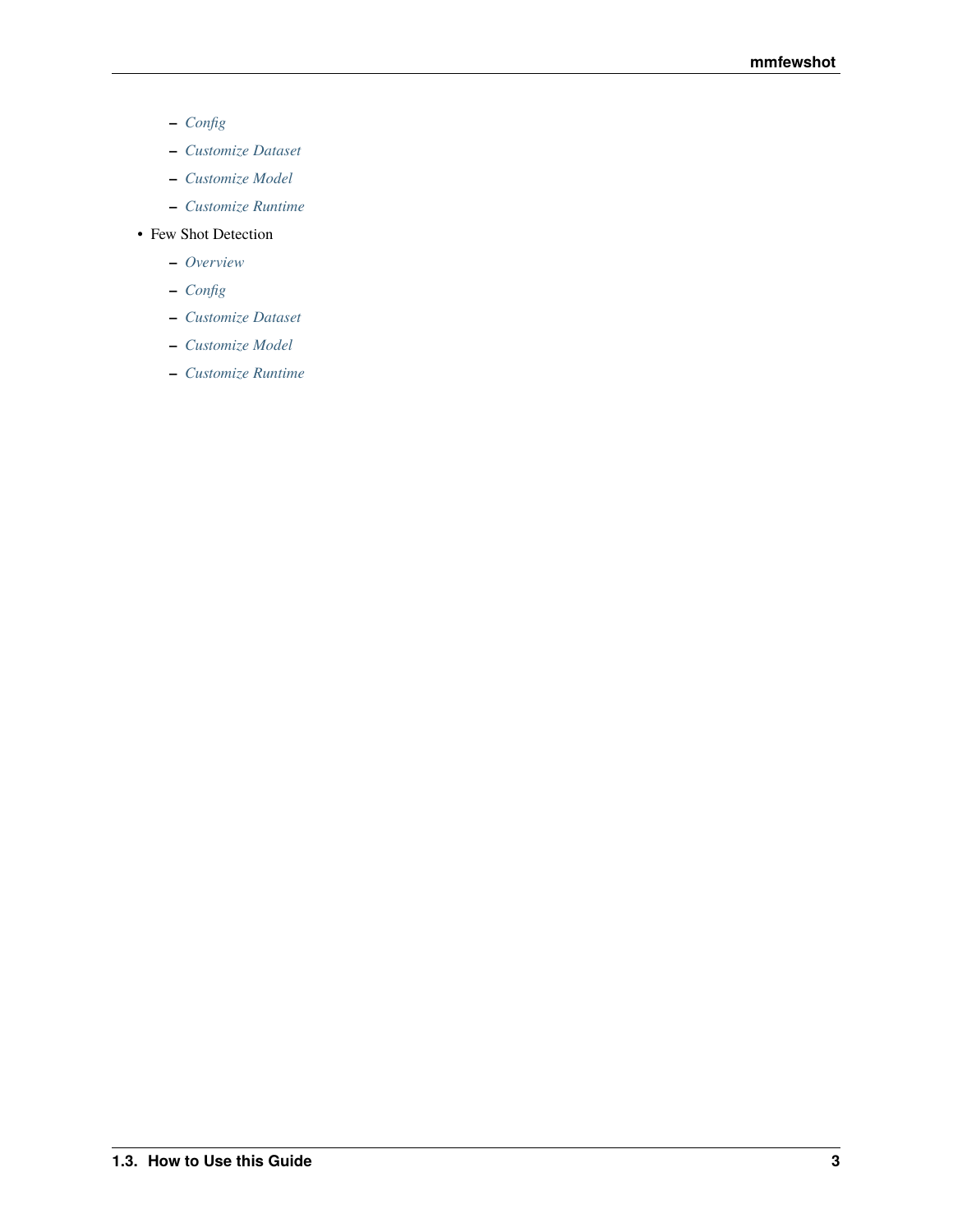- **–** *[Config](#page-28-0)*
- **–** *[Customize Dataset](#page-36-0)*
- **–** *[Customize Model](#page-42-0)*
- **–** *[Customize Runtime](#page-48-0)*
- Few Shot Detection
	- **–** *[Overview](#page-56-0)*
	- **–** *[Config](#page-58-0)*
	- **–** *[Customize Dataset](#page-70-0)*
	- **–** *[Customize Model](#page-76-0)*
	- **–** *[Customize Runtime](#page-86-0)*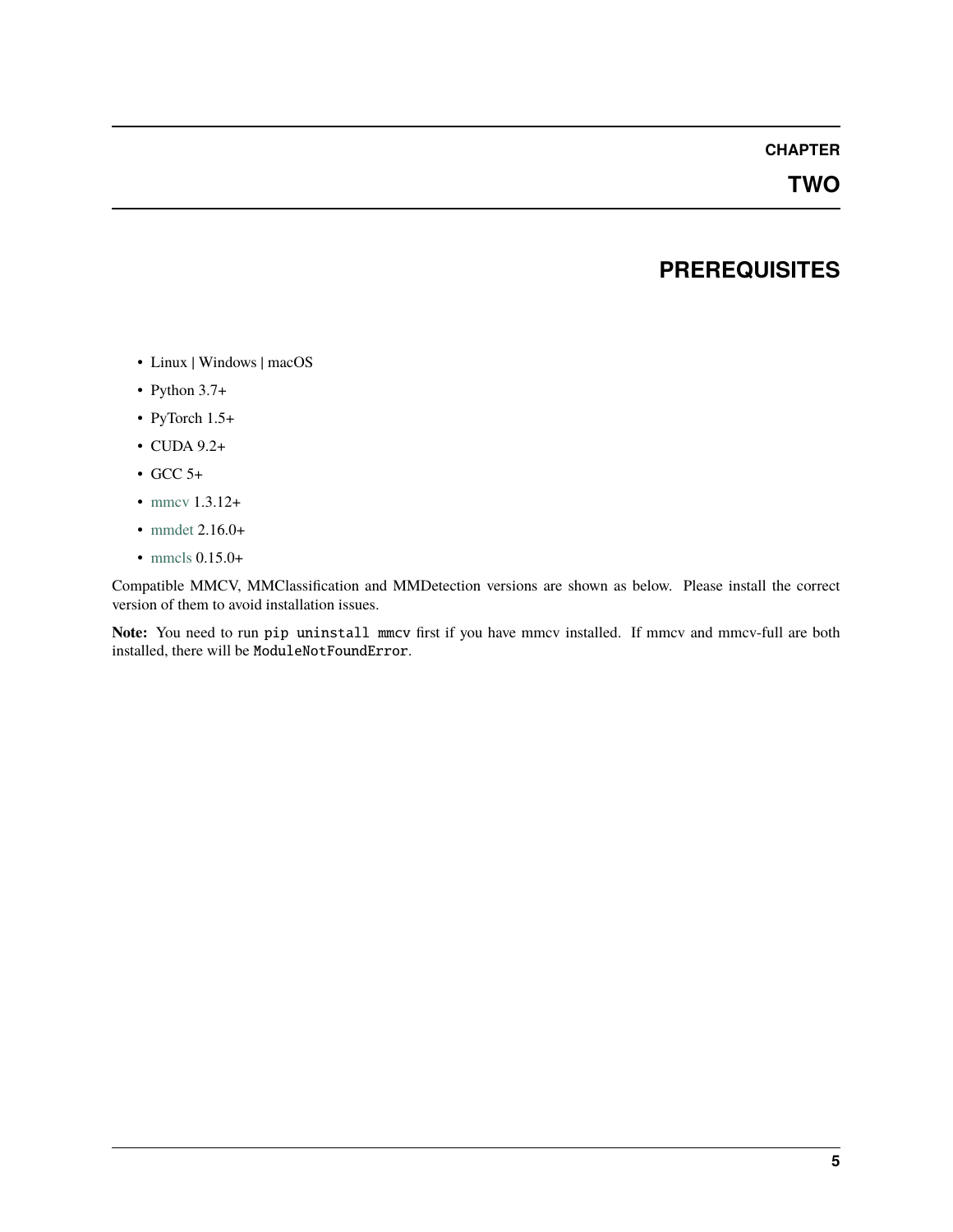### **TWO**

# **PREREQUISITES**

- <span id="page-8-0"></span>• Linux | Windows | macOS
- Python 3.7+
- PyTorch 1.5+
- CUDA 9.2+
- GCC 5+
- [mmcv](https://mmcv.readthedocs.io/en/latest/get_started/installation.html) 1.3.12+
- [mmdet](https://mmdetection.readthedocs.io/en/latest/get_started.html#installation) 2.16.0+
- [mmcls](https://mmclassification.readthedocs.io/en/latest/install.html) 0.15.0+

Compatible MMCV, MMClassification and MMDetection versions are shown as below. Please install the correct version of them to avoid installation issues.

**Note:** You need to run pip uninstall mmcv first if you have mmcv installed. If mmcv and mmcv-full are both installed, there will be ModuleNotFoundError.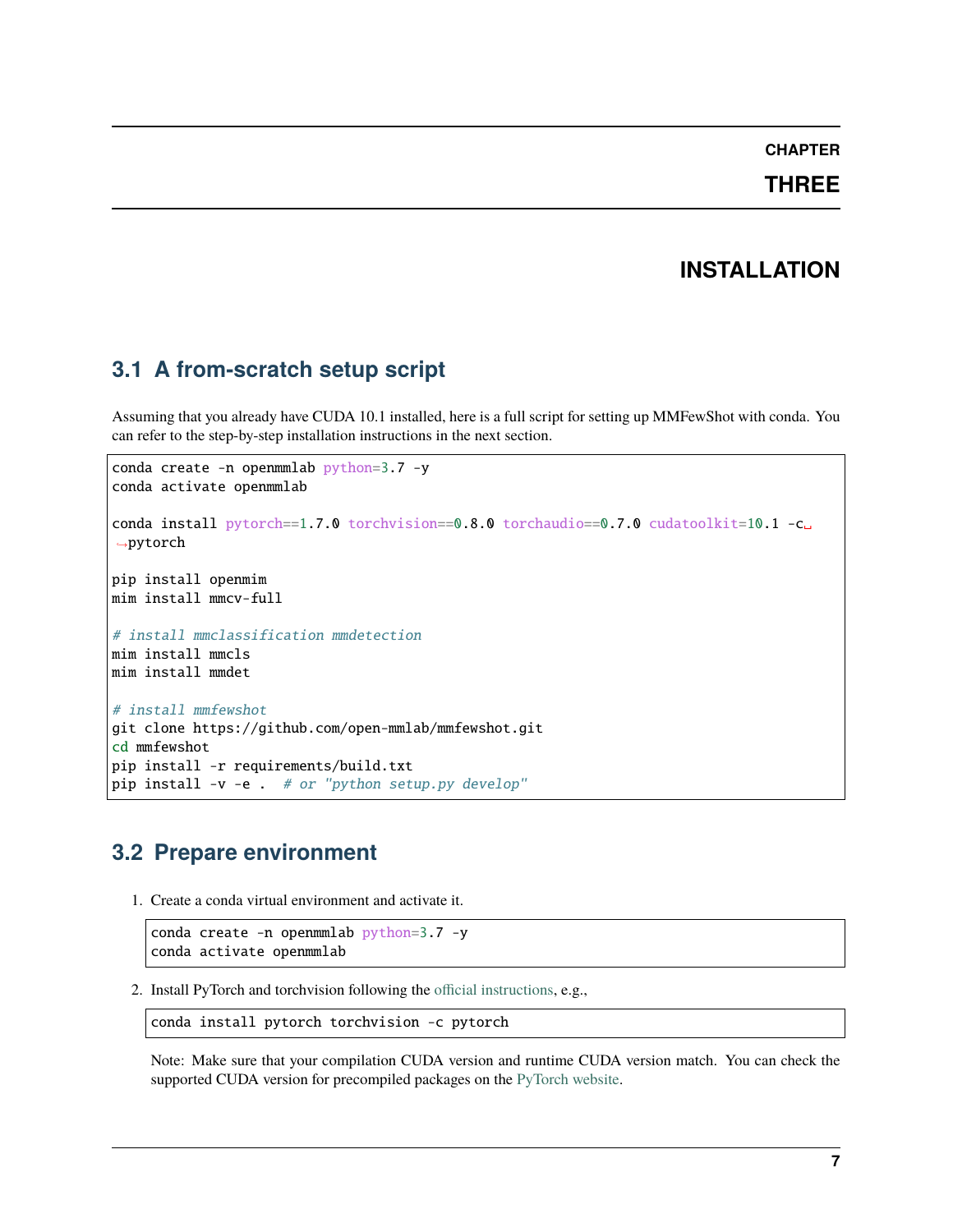### **THREE**

# **INSTALLATION**

# <span id="page-10-0"></span>**3.1 A from-scratch setup script**

Assuming that you already have CUDA 10.1 installed, here is a full script for setting up MMFewShot with conda. You can refer to the step-by-step installation instructions in the next section.

```
conda create -n openmmlab python=3.7 -y
conda activate openmmlab
conda install pytorch==1.7.0 torchvision==0.8.0 torchaudio==0.7.0 cudatoolkit=10.1 -c<sub>u</sub>
\rightarrowpytorch
pip install openmim
mim install mmcv-full
# install mmclassification mmdetection
mim install mmcls
mim install mmdet
# install mmfewshot
git clone https://github.com/open-mmlab/mmfewshot.git
cd mmfewshot
pip install -r requirements/build.txt
pip install -v -e . # or "python setup.py develop"
```
# **3.2 Prepare environment**

1. Create a conda virtual environment and activate it.

```
conda create -n openmmlab python=3.7 -y
conda activate openmmlab
```
2. Install PyTorch and torchvision following the [official instructions,](https://pytorch.org/) e.g.,

```
conda install pytorch torchvision -c pytorch
```
Note: Make sure that your compilation CUDA version and runtime CUDA version match. You can check the supported CUDA version for precompiled packages on the [PyTorch website.](https://pytorch.org/)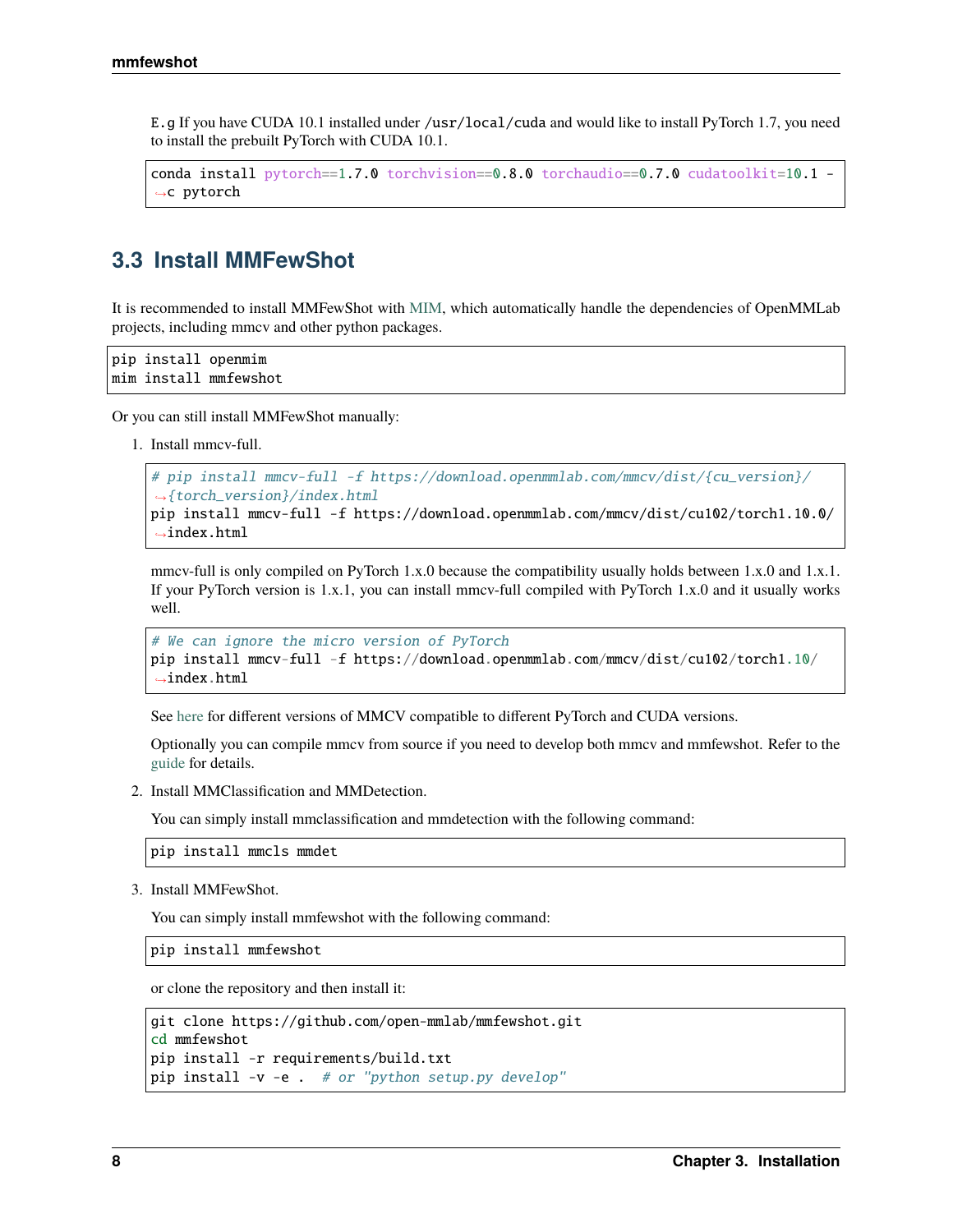E.g If you have CUDA 10.1 installed under /usr/local/cuda and would like to install PyTorch 1.7, you need to install the prebuilt PyTorch with CUDA 10.1.

```
conda install pytorch==1.7.0 torchvision==0.8.0 torchaudio==0.7.0 cudatoolkit=10.1 -
˓→c pytorch
```
### **3.3 Install MMFewShot**

It is recommended to install MMFewShot with [MIM,](https://github.com/open-mmlab/mim) which automatically handle the dependencies of OpenMMLab projects, including mmcv and other python packages.

pip install openmim mim install mmfewshot

Or you can still install MMFewShot manually:

1. Install mmcv-full.

```
# pip install mmcv-full -f https://download.openmmlab.com/mmcv/dist/{cu_version}/
˓→{torch_version}/index.html
pip install mmcv-full -f https://download.openmmlab.com/mmcv/dist/cu102/torch1.10.0/
˓→index.html
```
mmcv-full is only compiled on PyTorch 1.x.0 because the compatibility usually holds between 1.x.0 and 1.x.1. If your PyTorch version is 1.x.1, you can install mmcv-full compiled with PyTorch 1.x.0 and it usually works well.

```
# We can ignore the micro version of PyTorch
pip install mmcv-full -f https://download.openmmlab.com/mmcv/dist/cu102/torch1.10/
\rightarrowindex.html
```
See [here](https://github.com/open-mmlab/mmcv#installation) for different versions of MMCV compatible to different PyTorch and CUDA versions.

Optionally you can compile mmcv from source if you need to develop both mmcv and mmfewshot. Refer to the [guide](https://github.com/open-mmlab/mmcv#installation) for details.

2. Install MMClassification and MMDetection.

You can simply install mmclassification and mmdetection with the following command:

pip install mmcls mmdet

3. Install MMFewShot.

You can simply install mmfewshot with the following command:

pip install mmfewshot

or clone the repository and then install it:

```
git clone https://github.com/open-mmlab/mmfewshot.git
cd mmfewshot
pip install -r requirements/build.txt
pip install -v -e . # or "python setup.py develop"
```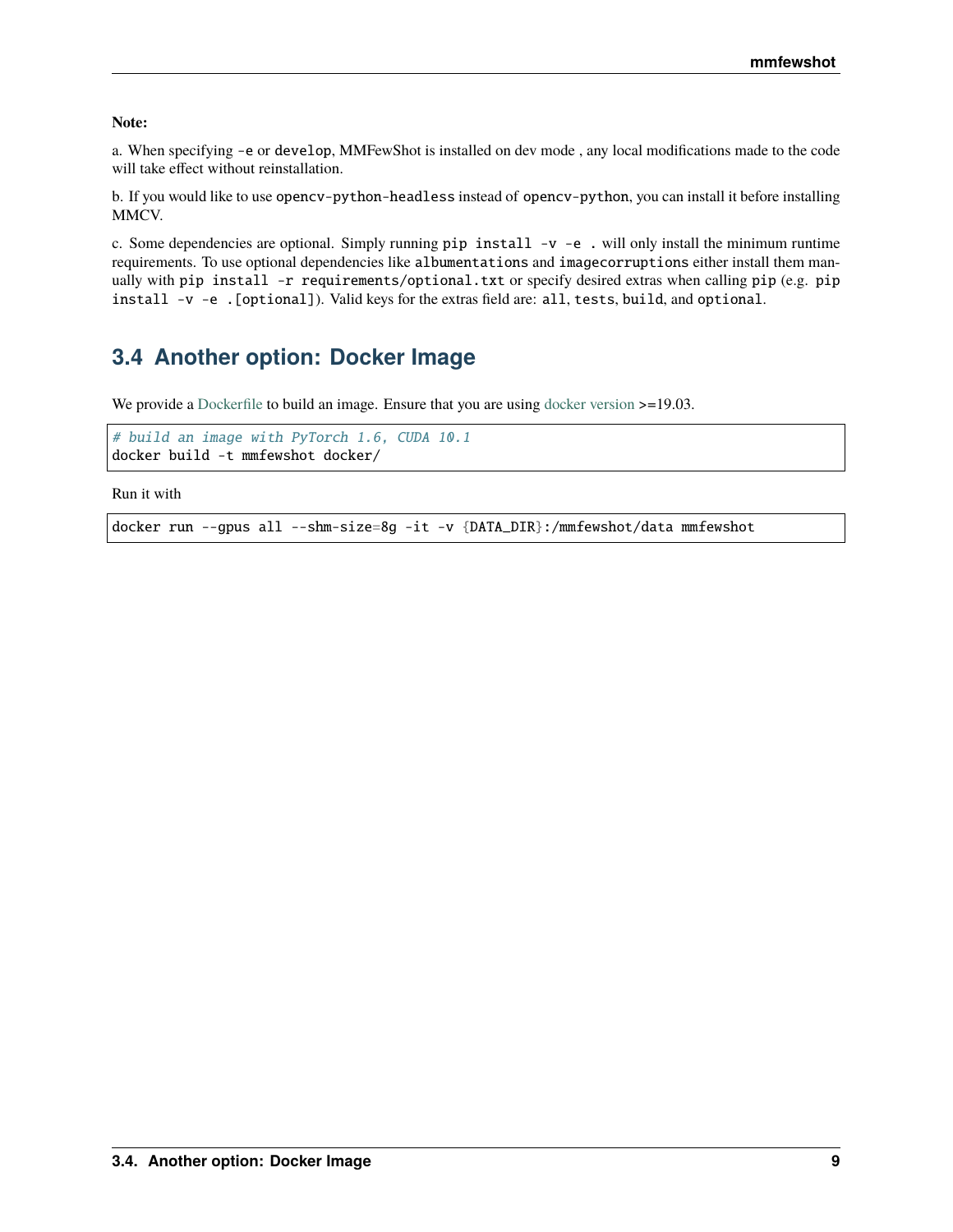**Note:**

a. When specifying -e or develop, MMFewShot is installed on dev mode , any local modifications made to the code will take effect without reinstallation.

b. If you would like to use opencv-python-headless instead of opencv-python, you can install it before installing MMCV.

c. Some dependencies are optional. Simply running pip install -v -e . will only install the minimum runtime requirements. To use optional dependencies like albumentations and imagecorruptions either install them manually with pip install -r requirements/optional.txt or specify desired extras when calling pip (e.g. pip install -v -e .[optional]). Valid keys for the extras field are: all, tests, build, and optional.

# **3.4 Another option: Docker Image**

We provide a [Dockerfile](https://github.com/open-mmlab/mmfewshot/blob/master/docker/Dockerfile) to build an image. Ensure that you are using [docker version](https://docs.docker.com/engine/install/) >=19.03.

```
# build an image with PyTorch 1.6, CUDA 10.1
docker build -t mmfewshot docker/
```
Run it with

docker run --gpus all --shm-size=8g -it -v {DATA\_DIR}:/mmfewshot/data mmfewshot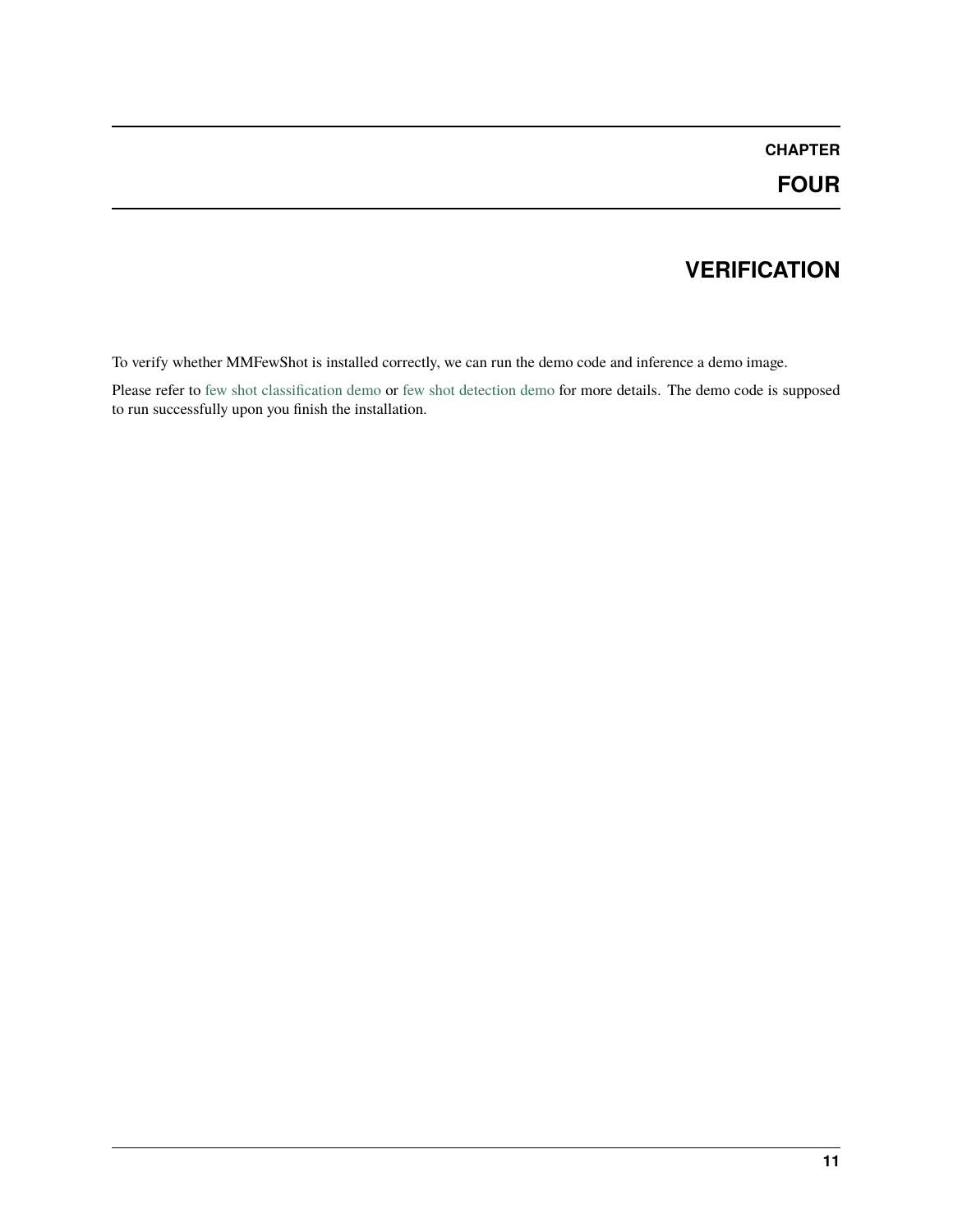# **VERIFICATION**

<span id="page-14-0"></span>To verify whether MMFewShot is installed correctly, we can run the demo code and inference a demo image.

Please refer to [few shot classification demo](https://github.com/open-mmlab/mmfewshot/tree/main/demo#few-shot-classification-demo) or [few shot detection demo](https://github.com/open-mmlab/mmfewshot/tree/main/demo#few-shot-detection-demo) for more details. The demo code is supposed to run successfully upon you finish the installation.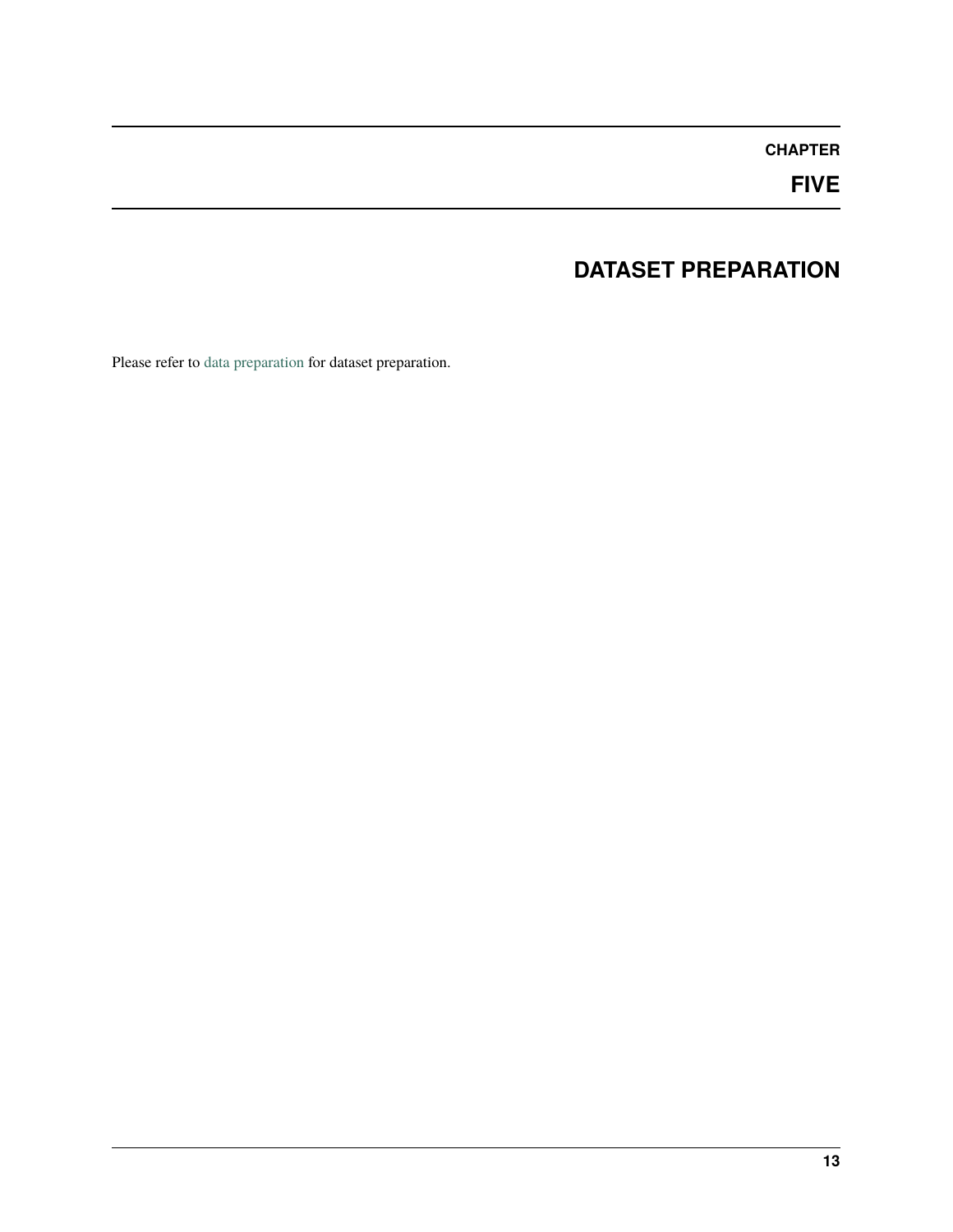# **FIVE**

# **DATASET PREPARATION**

<span id="page-16-0"></span>Please refer to [data preparation](https://github.com/open-mmlab/mmfewshot/tree/main/tools/data) for dataset preparation.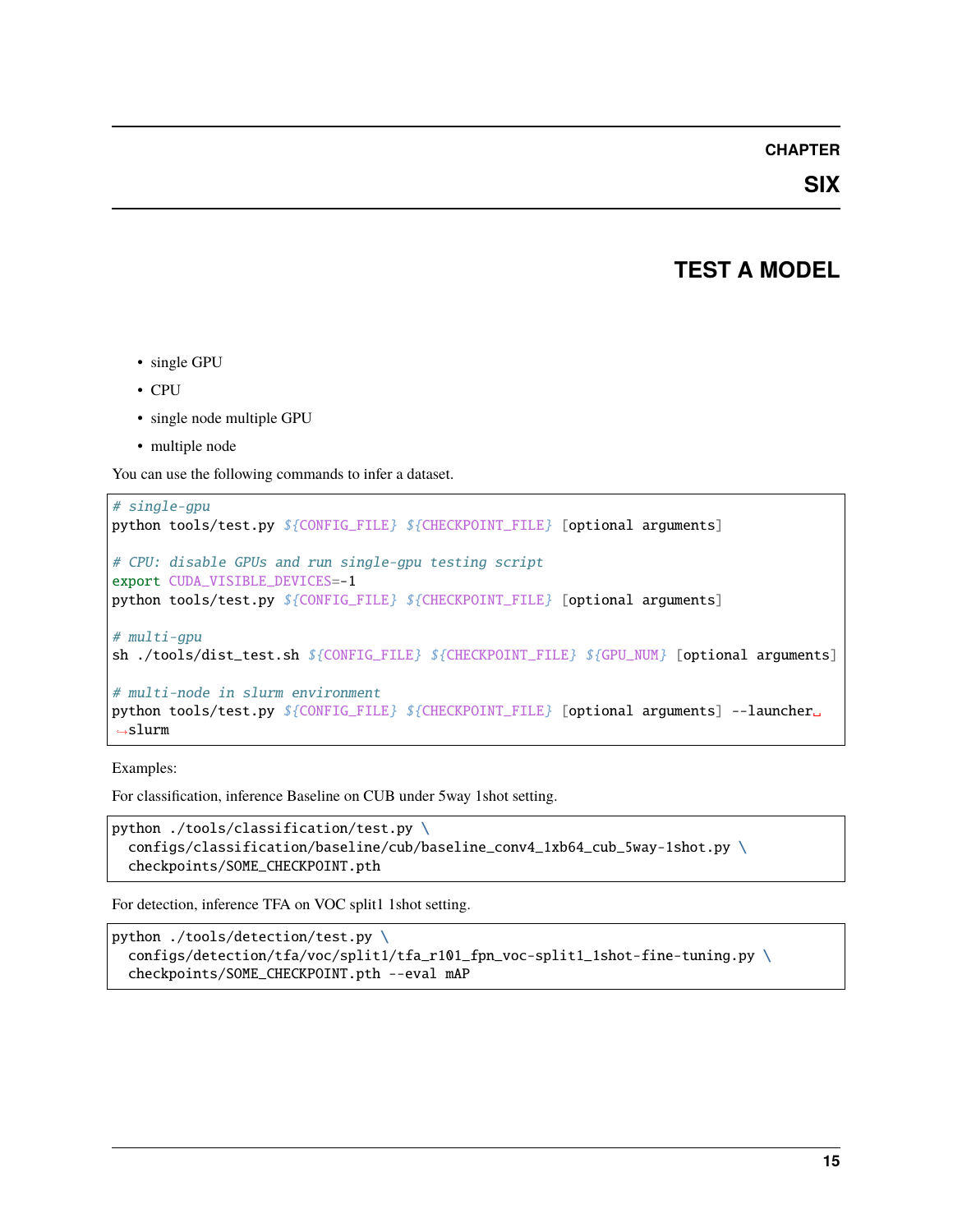### **SIX**

### **TEST A MODEL**

- <span id="page-18-0"></span>• single GPU
- CPU
- single node multiple GPU
- multiple node

You can use the following commands to infer a dataset.

```
# single-gpu
python tools/test.py ${CONFIG_FILE} ${CHECKPOINT_FILE} [optional arguments]
# CPU: disable GPUs and run single-gpu testing script
export CUDA_VISIBLE_DEVICES=-1
python tools/test.py ${CONFIG_FILE} ${CHECKPOINT_FILE} [optional arguments]
# multi-gpu
sh ./tools/dist_test.sh ${CONFIG_FILE} ${CHECKPOINT_FILE} ${GPU_NUM} [optional arguments]
# multi-node in slurm environment
python tools/test.py ${CONFIG_FILE} ${CHECKPOINT_FILE} [optional arguments] --launcher␣
\rightarrowslurm
```
Examples:

For classification, inference Baseline on CUB under 5way 1shot setting.

```
python ./tools/classification/test.py \
  configs/classification/baseline/cub/baseline_conv4_1xb64_cub_5way-1shot.py \
  checkpoints/SOME_CHECKPOINT.pth
```
For detection, inference TFA on VOC split1 1shot setting.

```
python ./tools/detection/test.py \
  configs/detection/tfa/voc/split1/tfa_r101_fpn_voc-split1_1shot-fine-tuning.py \
  checkpoints/SOME_CHECKPOINT.pth --eval mAP
```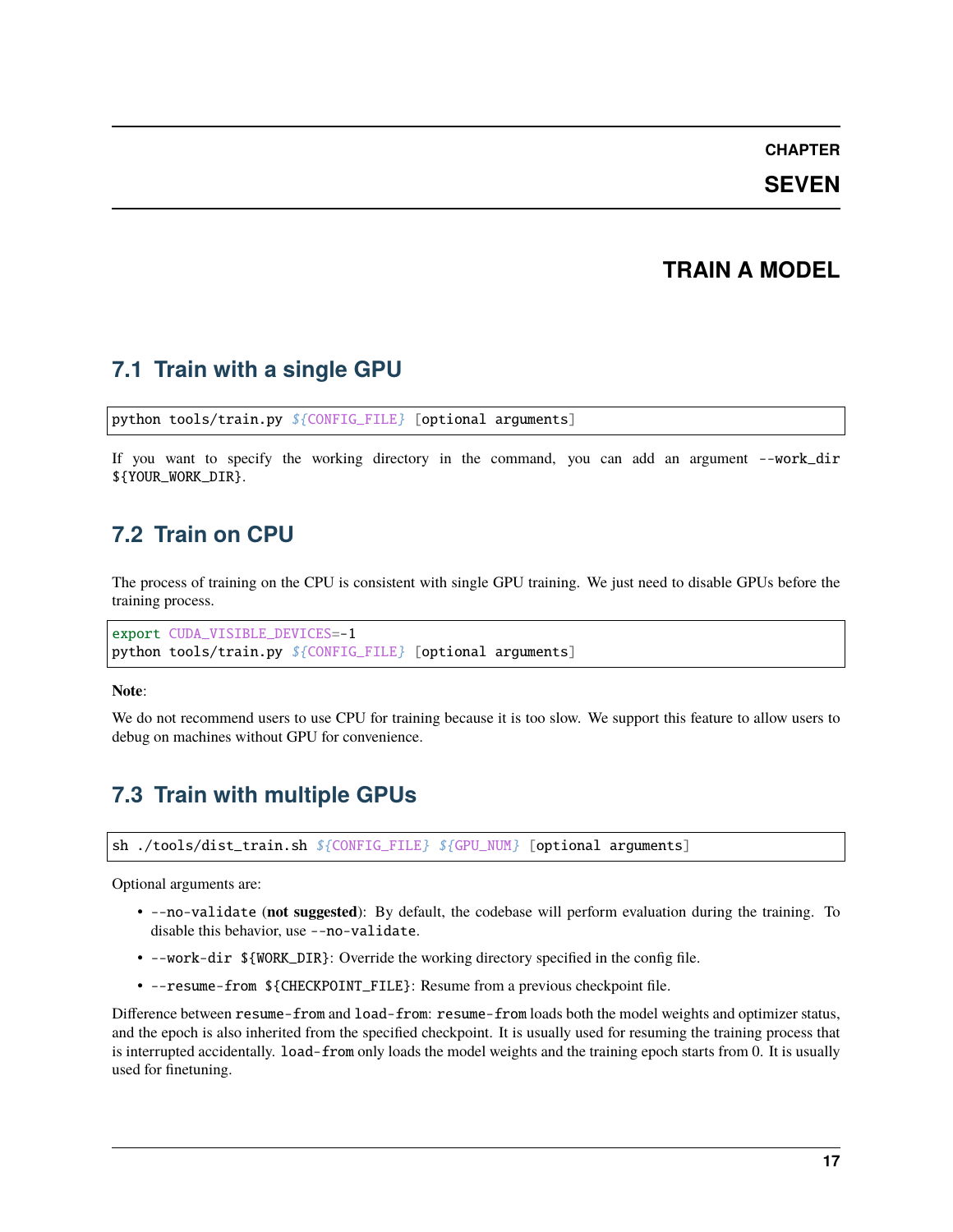#### **SEVEN**

### **TRAIN A MODEL**

### <span id="page-20-0"></span>**7.1 Train with a single GPU**

python tools/train.py \${CONFIG\_FILE} [optional arguments]

If you want to specify the working directory in the command, you can add an argument --work\_dir \${YOUR\_WORK\_DIR}.

### **7.2 Train on CPU**

The process of training on the CPU is consistent with single GPU training. We just need to disable GPUs before the training process.

export CUDA\_VISIBLE\_DEVICES=-1 python tools/train.py \${CONFIG\_FILE} [optional arguments]

**Note**:

We do not recommend users to use CPU for training because it is too slow. We support this feature to allow users to debug on machines without GPU for convenience.

# **7.3 Train with multiple GPUs**

sh ./tools/dist\_train.sh \${CONFIG\_FILE} \${GPU\_NUM} [optional arguments]

Optional arguments are:

- --no-validate (**not suggested**): By default, the codebase will perform evaluation during the training. To disable this behavior, use --no-validate.
- --work-dir \${WORK\_DIR}: Override the working directory specified in the config file.
- --resume-from \${CHECKPOINT\_FILE}: Resume from a previous checkpoint file.

Difference between resume-from and load-from: resume-from loads both the model weights and optimizer status, and the epoch is also inherited from the specified checkpoint. It is usually used for resuming the training process that is interrupted accidentally. load-from only loads the model weights and the training epoch starts from 0. It is usually used for finetuning.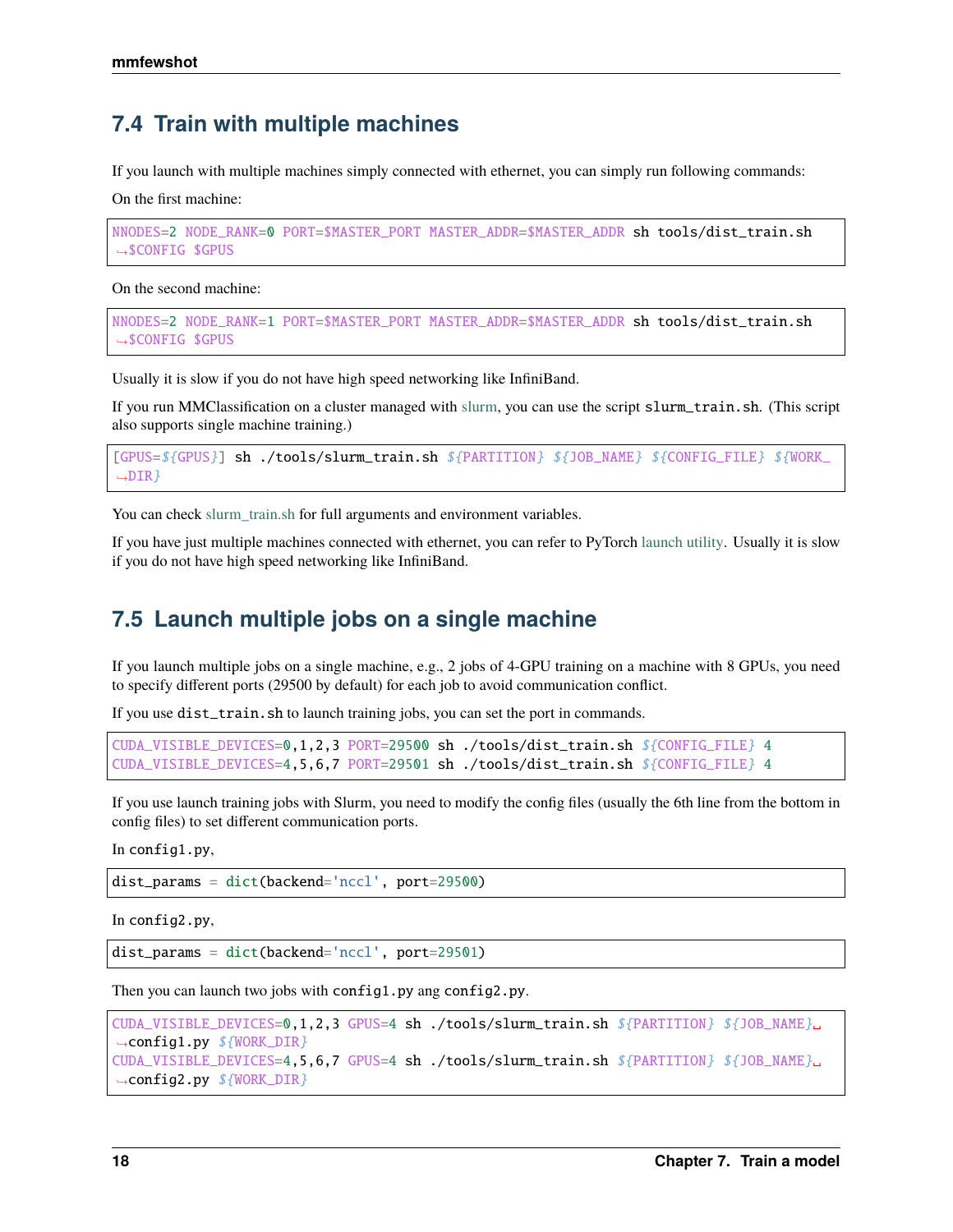### **7.4 Train with multiple machines**

If you launch with multiple machines simply connected with ethernet, you can simply run following commands:

On the first machine:

```
NNODES=2 NODE_RANK=0 PORT=$MASTER_PORT MASTER_ADDR=$MASTER_ADDR sh tools/dist_train.sh
˓→$CONFIG $GPUS
```
On the second machine:

```
NNODES=2 NODE_RANK=1 PORT=$MASTER_PORT MASTER_ADDR=$MASTER_ADDR sh tools/dist_train.sh
˓→$CONFIG $GPUS
```
Usually it is slow if you do not have high speed networking like InfiniBand.

If you run MMClassification on a cluster managed with [slurm,](https://slurm.schedmd.com/) you can use the script slurm\_train.sh. (This script also supports single machine training.)

```
[GPUS=${GPUS}] sh ./tools/slurm_train.sh ${PARTITION} ${JOB_NAME} ${CONFIG_FILE} ${WORK_
\rightarrowDIR\}
```
You can check [slurm\\_train.sh](https://github.com/open-mmlab/mmclassification/blob/master/tools/slurm_train.sh) for full arguments and environment variables.

If you have just multiple machines connected with ethernet, you can refer to PyTorch [launch utility.](https://pytorch.org/docs/stable/distributed_deprecated.html#launch-utility) Usually it is slow if you do not have high speed networking like InfiniBand.

### **7.5 Launch multiple jobs on a single machine**

If you launch multiple jobs on a single machine, e.g., 2 jobs of 4-GPU training on a machine with 8 GPUs, you need to specify different ports (29500 by default) for each job to avoid communication conflict.

If you use dist\_train.sh to launch training jobs, you can set the port in commands.

```
CUDA_VISIBLE_DEVICES=0,1,2,3 PORT=29500 sh ./tools/dist_train.sh ${CONFIG_FILE} 4
CUDA_VISIBLE_DEVICES=4,5,6,7 PORT=29501 sh ./tools/dist_train.sh ${CONFIG_FILE} 4
```
If you use launch training jobs with Slurm, you need to modify the config files (usually the 6th line from the bottom in config files) to set different communication ports.

In config1.py,

dist\_params = dict(backend='nccl', port=29500)

In config2.py,

dist\_params = dict(backend='nccl', port=29501)

Then you can launch two jobs with config1.py ang config2.py.

```
CUDA_VISIBLE_DEVICES=0,1,2,3 GPUS=4 sh ./tools/slurm_train.sh ${PARTITION} ${JOB_NAME}␣
˓→config1.py ${WORK_DIR}
CUDA_VISIBLE_DEVICES=4,5,6,7 GPUS=4 sh ./tools/slurm_train.sh ${PARTITION} ${JOB_NAME}␣
˓→config2.py ${WORK_DIR}
```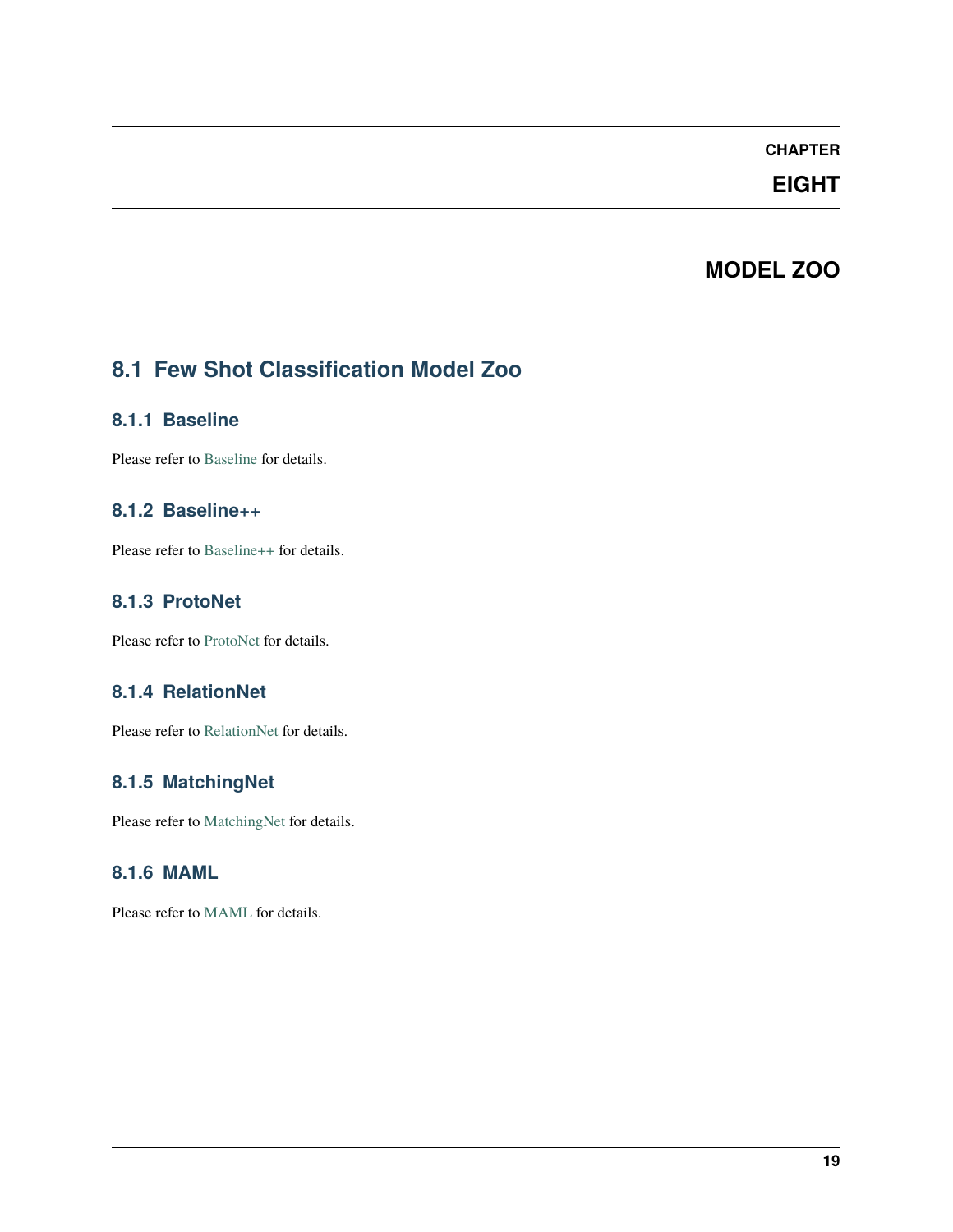# **EIGHT**

# **MODEL ZOO**

# <span id="page-22-0"></span>**8.1 Few Shot Classification Model Zoo**

#### **8.1.1 Baseline**

Please refer to [Baseline](https://github.com/open-mmlab/mmfewshot/tree/main/configs/classification/baseline) for details.

### **8.1.2 Baseline++**

Please refer to [Baseline++](https://github.com/open-mmlab/mmfewshot/tree/main/configs/classification/baseline_plus) for details.

### **8.1.3 ProtoNet**

Please refer to [ProtoNet](https://github.com/open-mmlab/mmfewshot/tree/main/configs/classification/proto_net) for details.

### **8.1.4 RelationNet**

Please refer to [RelationNet](https://github.com/open-mmlab/mmfewshot/tree/main/configs/classification/relation_net) for details.

### **8.1.5 MatchingNet**

Please refer to [MatchingNet](https://github.com/open-mmlab/mmfewshot/tree/main/configs/classification/matching_net) for details.

### **8.1.6 MAML**

Please refer to [MAML](https://github.com/open-mmlab/mmfewshot/tree/main/configs/classification/maml) for details.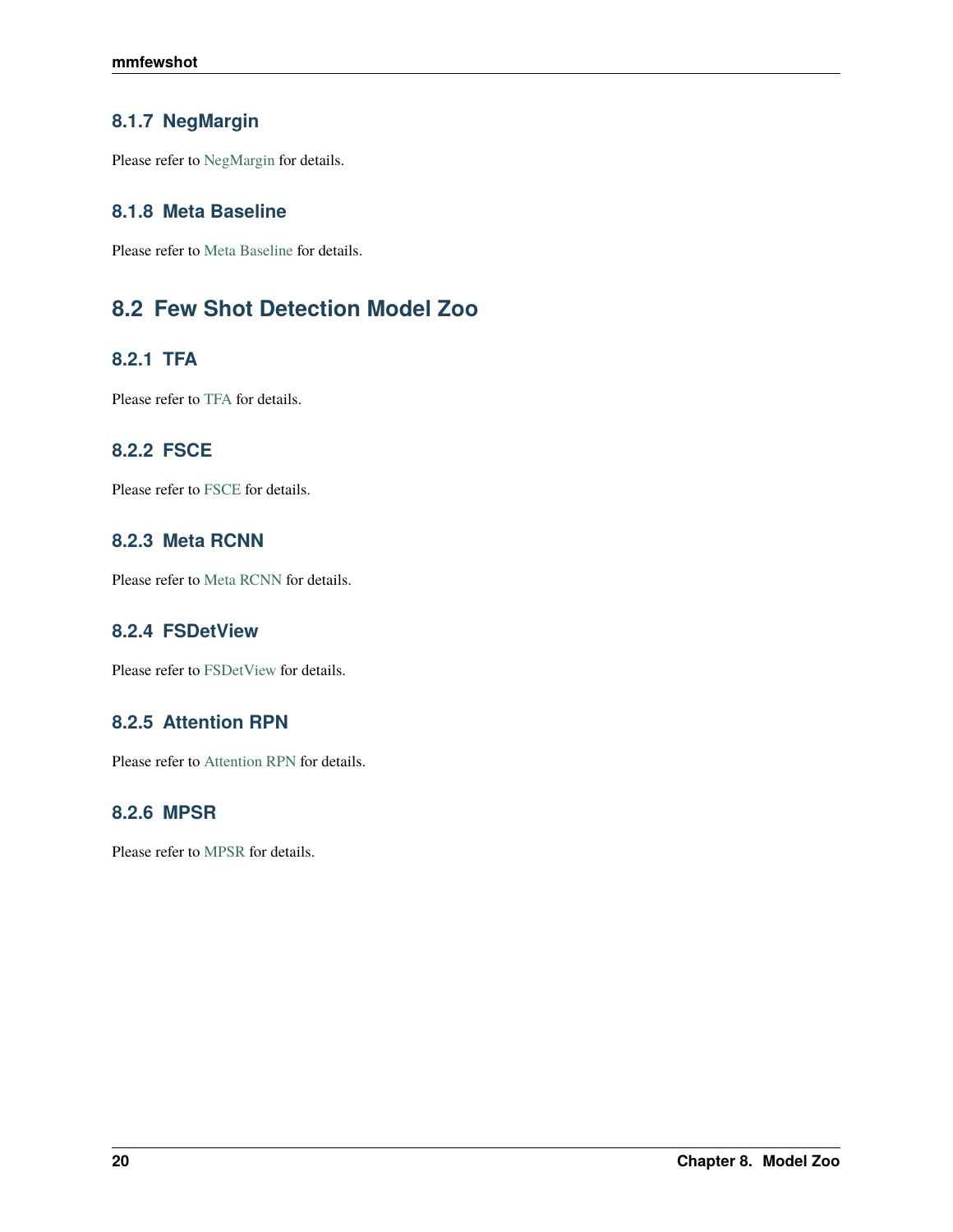### **8.1.7 NegMargin**

Please refer to [NegMargin](https://github.com/open-mmlab/mmfewshot/tree/main/configs/classification/neg_margin) for details.

### **8.1.8 Meta Baseline**

Please refer to [Meta Baseline](https://github.com/open-mmlab/mmfewshot/tree/main/configs/classification/meta_baseline) for details.

# **8.2 Few Shot Detection Model Zoo**

### **8.2.1 TFA**

Please refer to [TFA](https://github.com/open-mmlab/mmfewshot/tree/main/configs/detection/tfa) for details.

### **8.2.2 FSCE**

Please refer to [FSCE](https://github.com/open-mmlab/mmfewshot/tree/main/configs/detection/fsce) for details.

### **8.2.3 Meta RCNN**

Please refer to [Meta RCNN](https://github.com/open-mmlab/mmfewshot/tree/main/configs/detection/meta_rcnn) for details.

### **8.2.4 FSDetView**

Please refer to [FSDetView](https://github.com/open-mmlab/mmfewshot/tree/main/configs/detection/fsdetview) for details.

### **8.2.5 Attention RPN**

Please refer to [Attention RPN](https://github.com/open-mmlab/mmfewshot/tree/main/configs/detection/attention_rpn) for details.

### **8.2.6 MPSR**

Please refer to [MPSR](https://github.com/open-mmlab/mmfewshot/tree/main/configs/detection/mpsr) for details.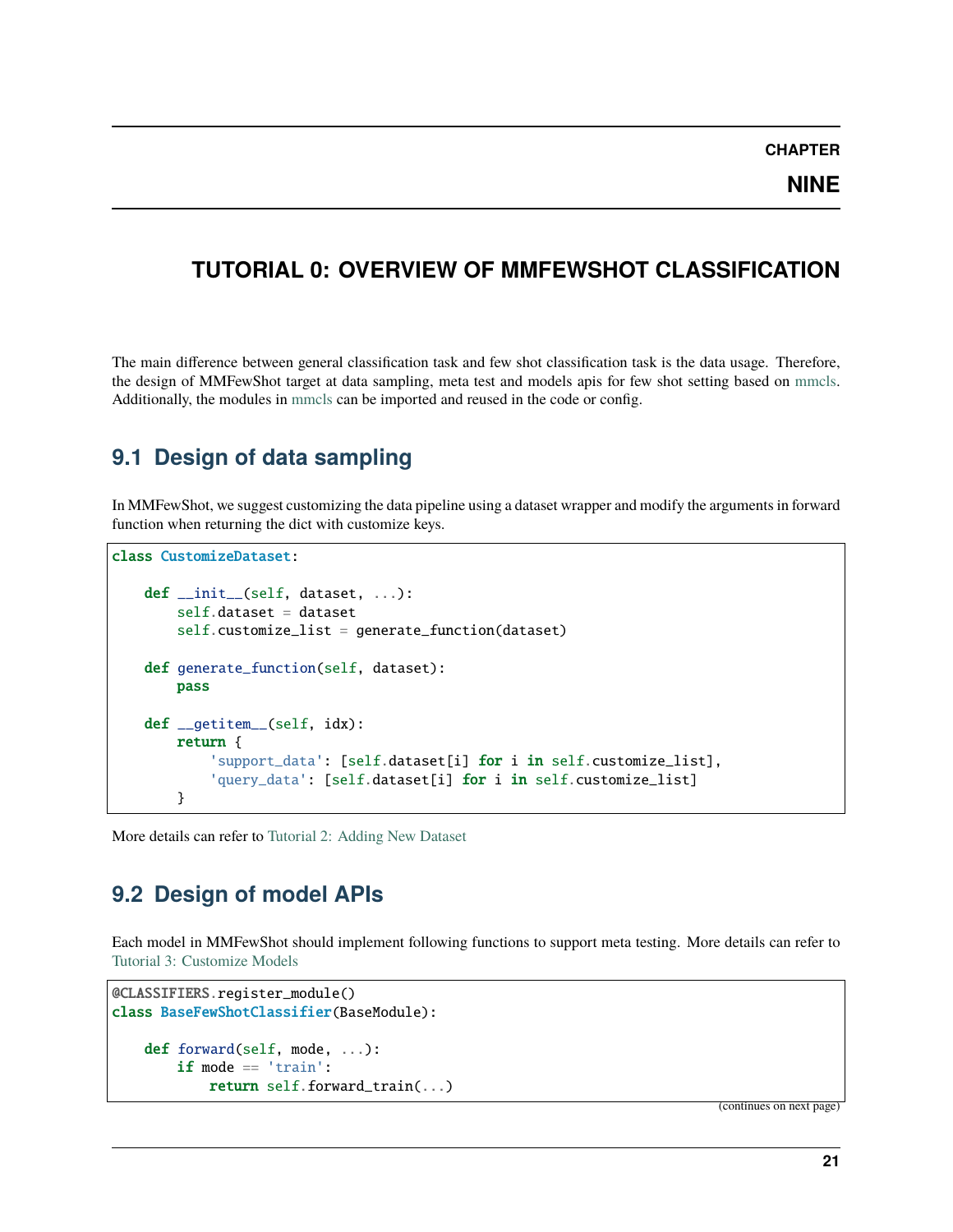**NINE**

# <span id="page-24-0"></span>**TUTORIAL 0: OVERVIEW OF MMFEWSHOT CLASSIFICATION**

The main difference between general classification task and few shot classification task is the data usage. Therefore, the design of MMFewShot target at data sampling, meta test and models apis for few shot setting based on [mmcls.](https://github.com/open-mmlab/mmclassification) Additionally, the modules in [mmcls](https://github.com/open-mmlab/mmclassification) can be imported and reused in the code or config.

# **9.1 Design of data sampling**

In MMFewShot, we suggest customizing the data pipeline using a dataset wrapper and modify the arguments in forward function when returning the dict with customize keys.

```
class CustomizeDataset:
   def __init__(self, dataset, ...):
       self.dataset = dataset
        self.customize_list = generate_function(dataset)
   def generate_function(self, dataset):
       pass
   def __getitem__(self, idx):
       return {
            'support_data': [self.dataset[i] for i in self.customize_list],
            'query_data': [self.dataset[i] for i in self.customize_list]
        }
```
More details can refer to [Tutorial 2: Adding New Dataset](https://mmfewshot.readthedocs.io/en/latest/classification/customize_dataset.html)

## **9.2 Design of model APIs**

Each model in MMFewShot should implement following functions to support meta testing. More details can refer to [Tutorial 3: Customize Models](https://mmfewshot.readthedocs.io/en/latest/classification/customize_models.html)

```
@CLASSIFIERS.register_module()
class BaseFewShotClassifier(BaseModule):
   def forward(self, mode, ...):
        if mode == 'train':
            return self.forward_train(...)
```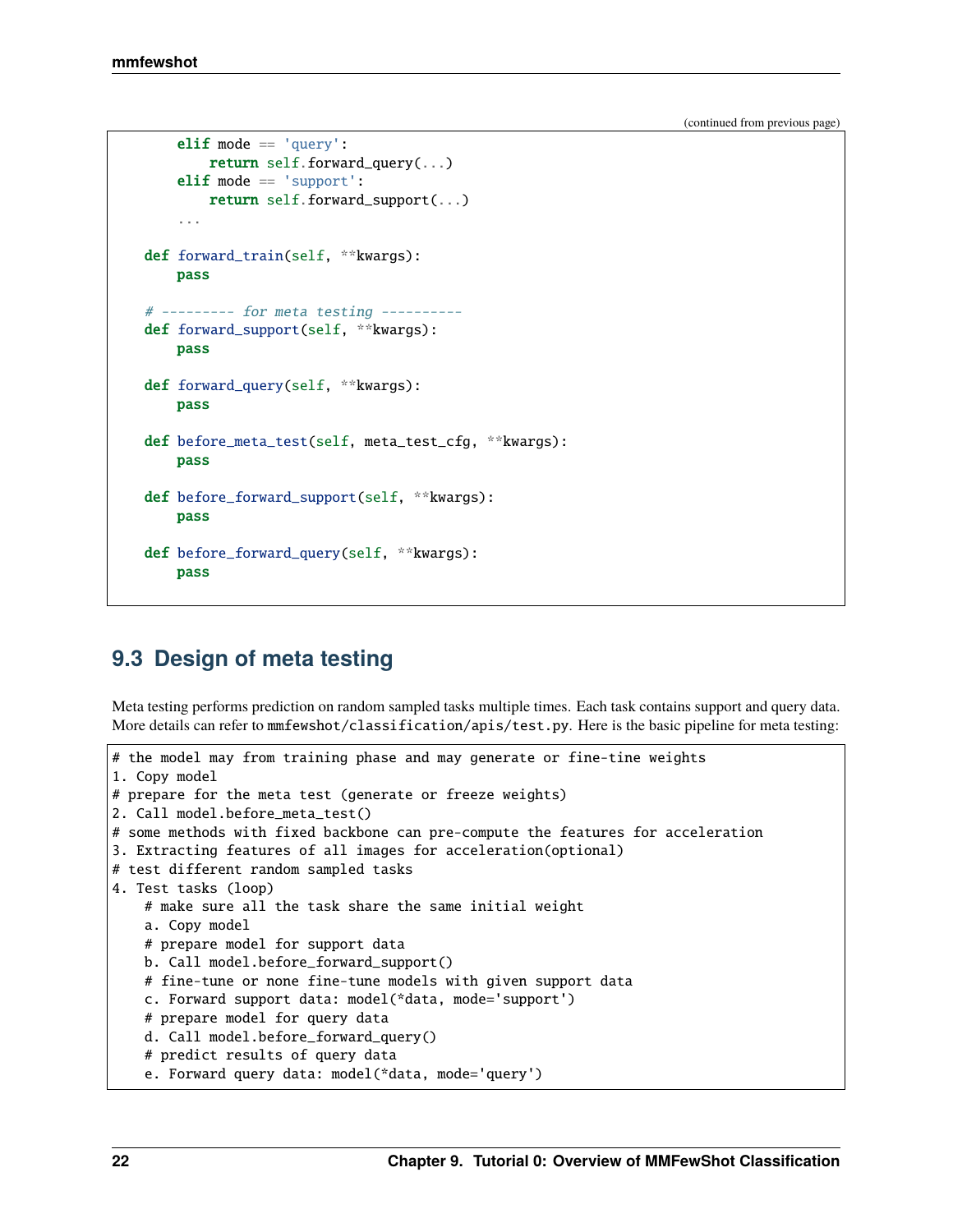(continued from previous page)

```
elif mode == 'query':return self.forward_query(...)
    elif mode == 'support':
        return self.forward_support(...)
    ...
def forward_train(self, **kwargs):
    pass
# --------- for meta testing ----------
def forward_support(self, **kwargs):
   pass
def forward_query(self, **kwargs):
    pass
def before_meta_test(self, meta_test_cfg, **kwargs):
    pass
def before_forward_support(self, **kwargs):
    pass
def before_forward_query(self, **kwargs):
   pass
```
## **9.3 Design of meta testing**

Meta testing performs prediction on random sampled tasks multiple times. Each task contains support and query data. More details can refer to mmfewshot/classification/apis/test.py. Here is the basic pipeline for meta testing:

```
# the model may from training phase and may generate or fine-tine weights
1. Copy model
# prepare for the meta test (generate or freeze weights)
2. Call model.before_meta_test()
# some methods with fixed backbone can pre-compute the features for acceleration
3. Extracting features of all images for acceleration(optional)
# test different random sampled tasks
4. Test tasks (loop)
   # make sure all the task share the same initial weight
   a. Copy model
   # prepare model for support data
   b. Call model.before_forward_support()
   # fine-tune or none fine-tune models with given support data
   c. Forward support data: model(*data, mode='support')
   # prepare model for query data
   d. Call model.before_forward_query()
   # predict results of query data
    e. Forward query data: model(*data, mode='query')
```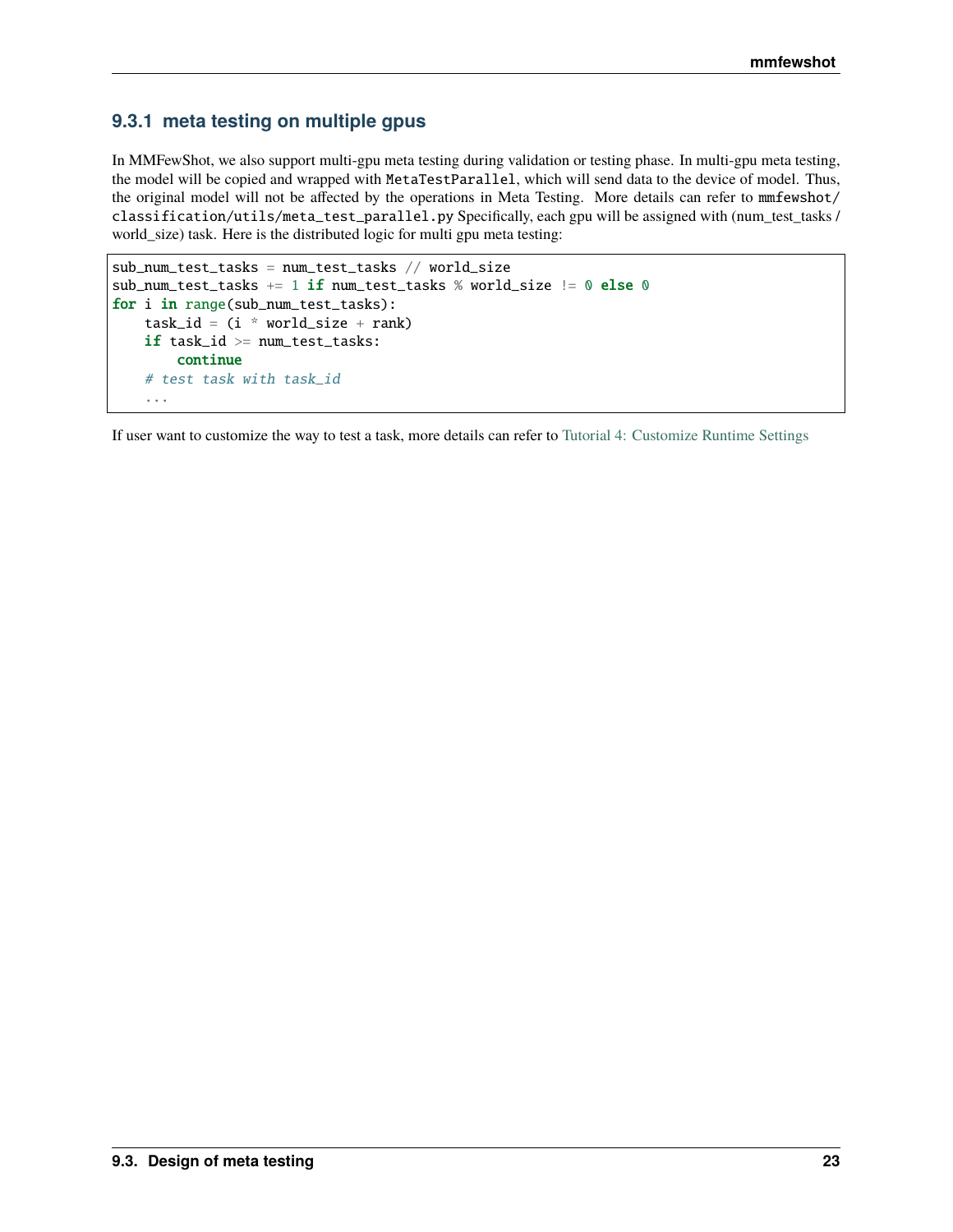#### **9.3.1 meta testing on multiple gpus**

In MMFewShot, we also support multi-gpu meta testing during validation or testing phase. In multi-gpu meta testing, the model will be copied and wrapped with MetaTestParallel, which will send data to the device of model. Thus, the original model will not be affected by the operations in Meta Testing. More details can refer to mmfewshot/ classification/utils/meta\_test\_parallel.py Specifically, each gpu will be assigned with (num\_test\_tasks / world\_size) task. Here is the distributed logic for multi gpu meta testing:

```
sub_num_test_tasks = num_test_tasks // world_size
sub_num_test_tasks += 1 if num_test_tasks % world_size != 0 else 0
for i in range(sub_num_test_tasks):
   task_id = (i * world_size + rank)if task_id >= num_test_tasks:
        continue
    # test task with task_id
    ...
```
If user want to customize the way to test a task, more details can refer to [Tutorial 4: Customize Runtime Settings](https://mmfewshot.readthedocs.io/en/latest/classification/customize_runtime.html)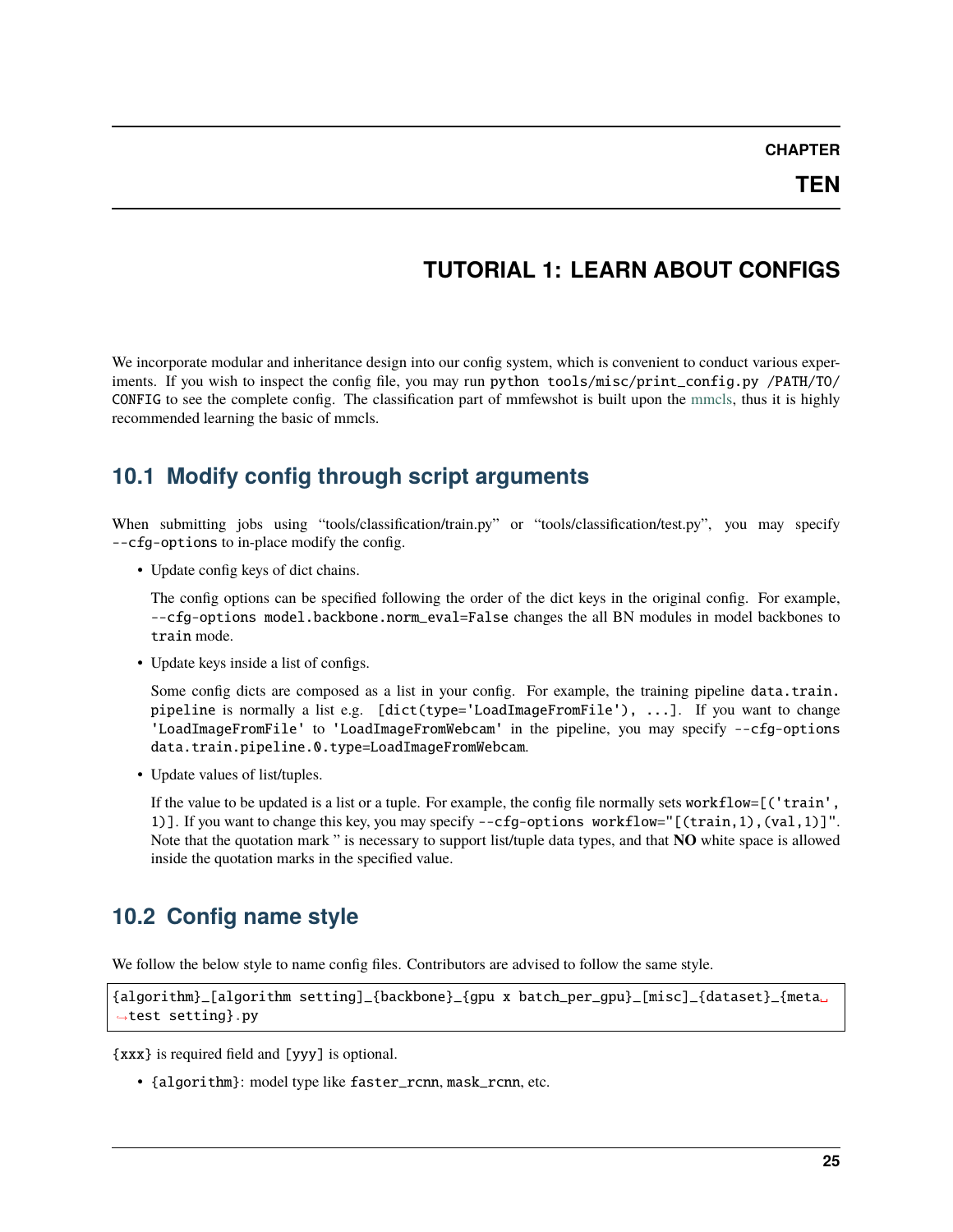# **TUTORIAL 1: LEARN ABOUT CONFIGS**

<span id="page-28-0"></span>We incorporate modular and inheritance design into our config system, which is convenient to conduct various experiments. If you wish to inspect the config file, you may run python tools/misc/print\_config.py /PATH/TO/ CONFIG to see the complete config. The classification part of mmfewshot is built upon the [mmcls,](https://github.com/open-mmlab/mmclassification) thus it is highly recommended learning the basic of mmcls.

# **10.1 Modify config through script arguments**

When submitting jobs using "tools/classification/train.py" or "tools/classification/test.py", you may specify --cfg-options to in-place modify the config.

• Update config keys of dict chains.

The config options can be specified following the order of the dict keys in the original config. For example, --cfg-options model.backbone.norm\_eval=False changes the all BN modules in model backbones to train mode.

• Update keys inside a list of configs.

Some config dicts are composed as a list in your config. For example, the training pipeline data.train. pipeline is normally a list e.g. [dict(type='LoadImageFromFile'), ...]. If you want to change 'LoadImageFromFile' to 'LoadImageFromWebcam' in the pipeline, you may specify --cfg-options data.train.pipeline.0.type=LoadImageFromWebcam.

• Update values of list/tuples.

If the value to be updated is a list or a tuple. For example, the config file normally sets workflow=[('train', 1)]. If you want to change this key, you may specify --cfg-options workflow="[(train,1),(val,1)]". Note that the quotation mark " is necessary to support list/tuple data types, and that **NO** white space is allowed inside the quotation marks in the specified value.

# **10.2 Config name style**

We follow the below style to name config files. Contributors are advised to follow the same style.

```
{algorithm}_[algorithm setting]_{backbone}_{gpu x batch_per_gpu}_[misc]_{dataset}_{meta␣
˓→test setting}.py
```
{xxx} is required field and [yyy] is optional.

• {algorithm}: model type like faster\_rcnn, mask\_rcnn, etc.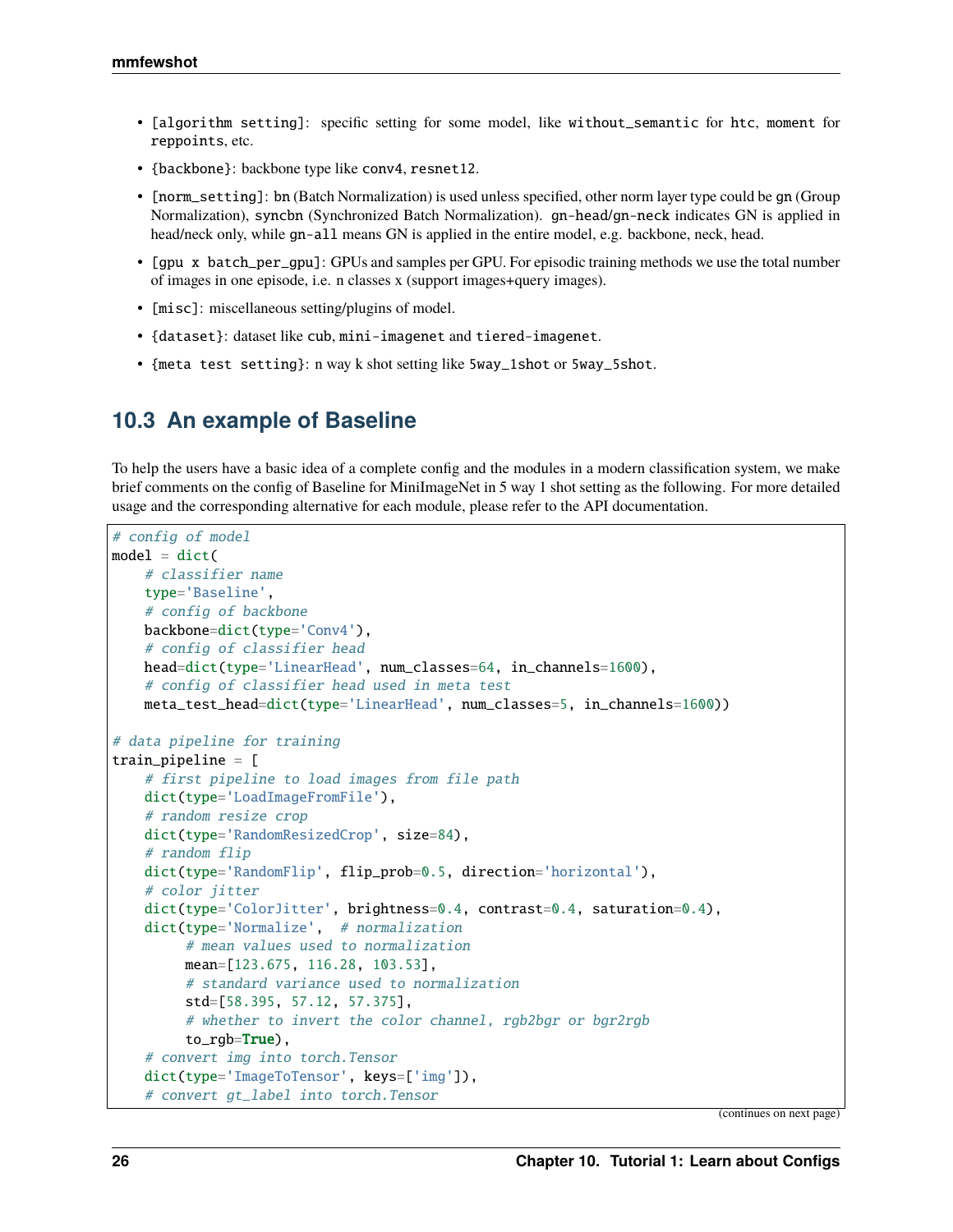- [algorithm setting]: specific setting for some model, like without\_semantic for htc, moment for reppoints, etc.
- {backbone}: backbone type like conv4, resnet12.
- [norm\_setting]: bn (Batch Normalization) is used unless specified, other norm layer type could be gn (Group Normalization), syncbn (Synchronized Batch Normalization). gn-head/gn-neck indicates GN is applied in head/neck only, while gn-all means GN is applied in the entire model, e.g. backbone, neck, head.
- [gpu x batch\_per\_gpu]: GPUs and samples per GPU. For episodic training methods we use the total number of images in one episode, i.e. n classes x (support images+query images).
- [misc]: miscellaneous setting/plugins of model.
- {dataset}: dataset like cub, mini-imagenet and tiered-imagenet.
- {meta test setting}: n way k shot setting like 5way\_1shot or 5way\_5shot.

### **10.3 An example of Baseline**

To help the users have a basic idea of a complete config and the modules in a modern classification system, we make brief comments on the config of Baseline for MiniImageNet in 5 way 1 shot setting as the following. For more detailed usage and the corresponding alternative for each module, please refer to the API documentation.

```
# config of model
model = dict(# classifier name
   type='Baseline',
    # config of backbone
   backbone=dict(type='Conv4'),
    # config of classifier head
   head=dict(type='LinearHead', num_classes=64, in_channels=1600),
    # config of classifier head used in meta test
   meta_test_head=dict(type='LinearHead', num_classes=5, in_channels=1600))
# data pipeline for training
train_pipeline = [
    # first pipeline to load images from file path
   dict(type='LoadImageFromFile'),
    # random resize crop
   dict(type='RandomResizedCrop', size=84),
    # random flip
   dict(type='RandomFlip', flip_prob=0.5, direction='horizontal'),
    # color jitter
   dict(type='ColorJitter', brightness=0.4, contrast=0.4, saturation=0.4),
    dict(type='Normalize', # normalization
         # mean values used to normalization
         mean=[123.675, 116.28, 103.53],
         # standard variance used to normalization
         std=[58.395, 57.12, 57.375],
         # whether to invert the color channel, rgb2bgr or bgr2rgb
         to\_rgb=True),
    # convert img into torch.Tensor
   dict(type='ImageToTensor', keys=['img']),
    # convert gt_label into torch.Tensor
```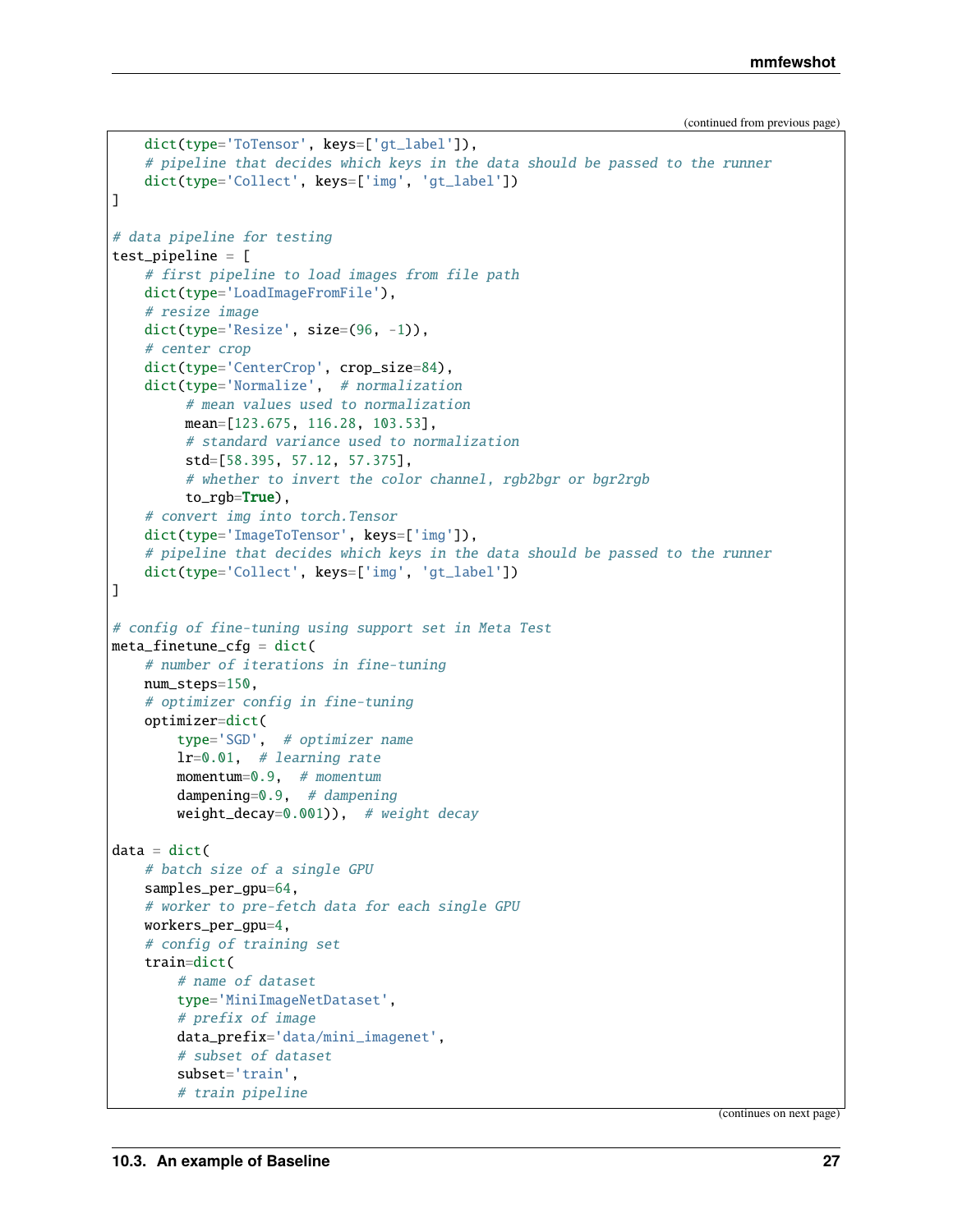```
(continued from previous page)
```

```
dict(type='ToTensor', keys=['gt_label']),
    # pipeline that decides which keys in the data should be passed to the runner
    dict(type='Collect', keys=['img', 'gt_label'])
\mathbf{I}# data pipeline for testing
test_pipeline = [
    # first pipeline to load images from file path
    dict(type='LoadImageFromFile'),
    # resize image
    dict(type='Resize', size=(96, -1)),
    # center crop
    dict(type='CenterCrop', crop_size=84),
    dict(type='Normalize', # normalization
         # mean values used to normalization
         mean=[123.675, 116.28, 103.53],
         # standard variance used to normalization
         std=[58.395, 57.12, 57.375],
         # whether to invert the color channel, rgb2bgr or bgr2rgb
         to_rgb=True),
    # convert img into torch.Tensor
    dict(type='ImageToTensor', keys=['img']),
    # pipeline that decides which keys in the data should be passed to the runner
    dict(type='Collect', keys=['img', 'gt_label'])
]
# config of fine-tuning using support set in Meta Test
meta_finetune_cfg = dict(# number of iterations in fine-tuning
    num_steps=150,
    # optimizer config in fine-tuning
    optimizer=dict(
        type='SGD', # optimizer name
        lr = 0.01, # learning rate
        momentum=0.9, # momentum
        dampening=0.9, # dampening
        weight_decay=0.001)), # weight decay
data = dict(# batch size of a single GPU
    samples_per_gpu=64,
    # worker to pre-fetch data for each single GPU
    workers_per_gpu=4,
    # config of training set
    train=dict(
        # name of dataset
        type='MiniImageNetDataset',
        # prefix of image
        data_prefix='data/mini_imagenet',
        # subset of dataset
        subset='train',
        # train pipeline
```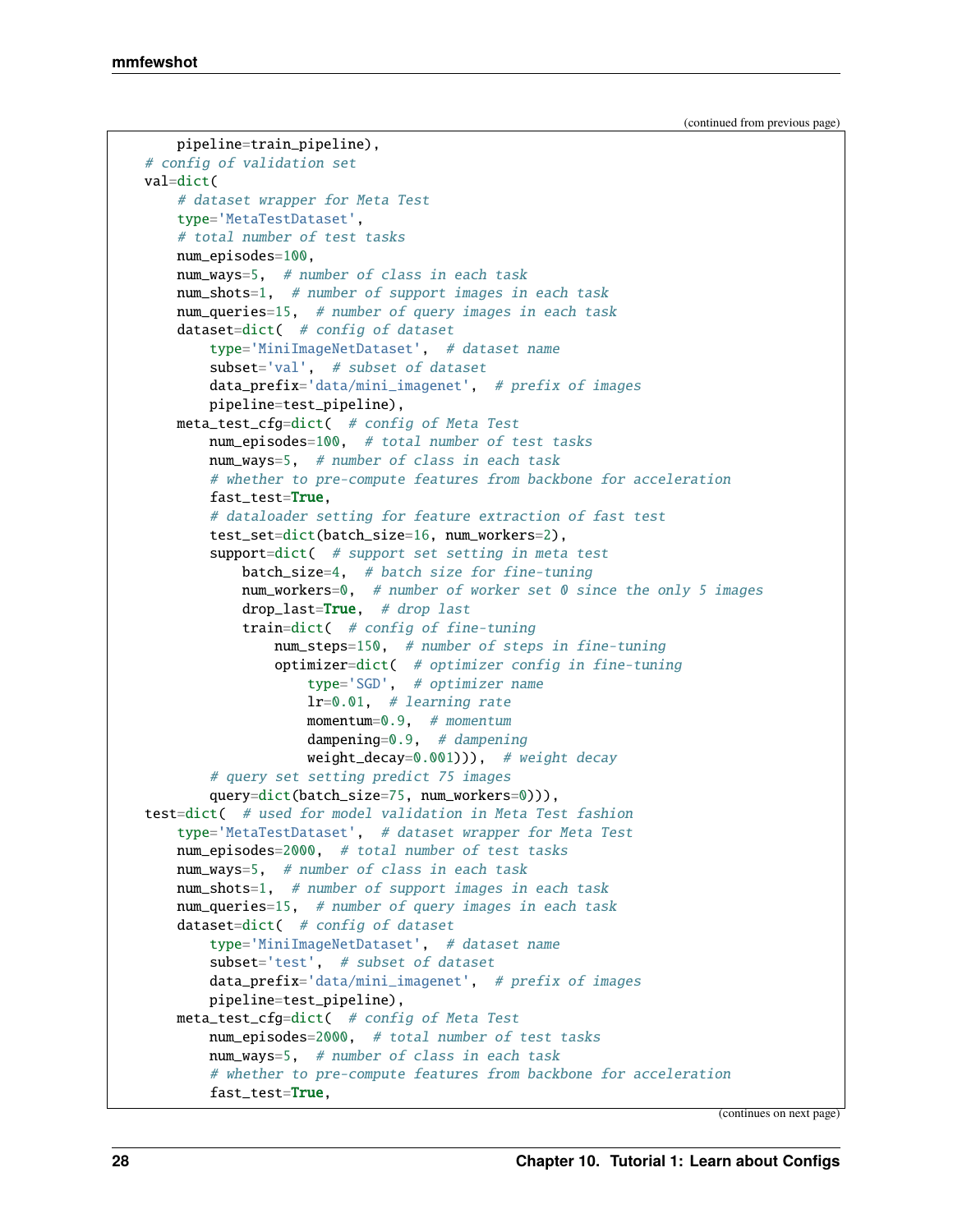```
pipeline=train_pipeline),
# config of validation set
val=dict(
    # dataset wrapper for Meta Test
    type='MetaTestDataset',
    # total number of test tasks
    num_episodes=100,
    num_ways=5, # number of class in each task
   num_shots=1, # number of support images in each task
    num_queries=15, # number of query images in each task
    dataset=dict( # config of dataset
        type='MiniImageNetDataset', # dataset name
        subset='val', # subset of dataset
        data_prefix='data/mini_imagenet', # prefix of images
        pipeline=test_pipeline),
    meta_test_cfg=dict( # config of Meta Test
        num_episodes=100, # total number of test tasks
        num_ways=5, # number of class in each task
        # whether to pre-compute features from backbone for acceleration
        fast_test=True,
        # dataloader setting for feature extraction of fast test
        test_set=dict(batch_size=16, num_workers=2),
        support=dict( # support set setting in meta test
            batch_size=4, # batch size for fine-tuning
            num_workers=0, # number of worker set 0 since the only 5 images
            drop\_last=True, # drop last
            train=dict( # config of fine-tuning
                num_steps=150, # number of steps in fine-tuning
                optimizer=dict( # optimizer config in fine-tuning
                    type='SGD', # optimizer name
                    lr = 0.01, # learning rate
                   momentum=0.9, # momentum
                    dampening=0.9, # dampening
                   weight\_decay=0.001)), # weight decay
        # query set setting predict 75 images
        query=dict(batch_size=75, num_workers=0))),
test=dict( # used for model validation in Meta Test fashion
    type='MetaTestDataset', # dataset wrapper for Meta Test
    num_episodes=2000, # total number of test tasks
    num_ways=5, # number of class in each task
    num_shots=1, # number of support images in each task
    num_queries=15, # number of query images in each task
    dataset=dict( # config of dataset
        type='MiniImageNetDataset', # dataset name
        subset='test', # subset of dataset
        data\_prefix='data/min\_imagenet', # prefix of imagespipeline=test_pipeline),
    meta_test_cfg=dict( # config of Meta Test
       num_episodes=2000, # total number of test tasks
        num_ways=5, # number of class in each task
        # whether to pre-compute features from backbone for acceleration
        fast_test=True,
```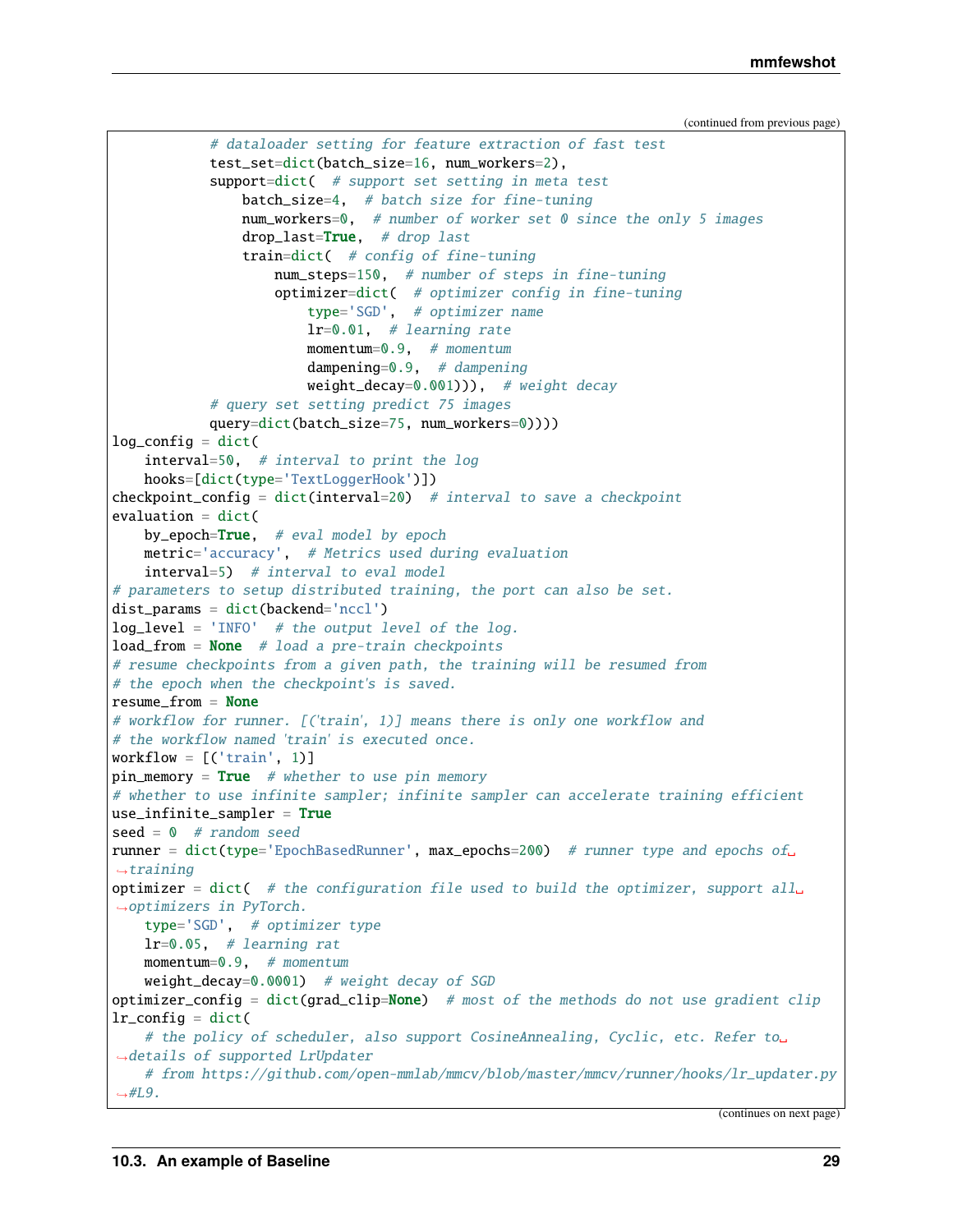(continued from previous page)

```
# dataloader setting for feature extraction of fast test
            test_set=dict(batch_size=16, num_workers=2),
            support=dict( # support set setting in meta test
                batch_size=4, # batch size for fine-tuning
                num_workers=0, # number of worker set 0 since the only 5 images
                drop\_last=True, # drop lasttrain=dict( # config of fine-tuning
                    num_steps=150, # number of steps in fine-tuning
                    optimizer=dict( # optimizer config in fine-tuning
                        type='SGD', # optimizer name
                        lr = 0.01, # learning rate
                        momentum=0.9, # momentum
                        dampening=0.9, # dampening
                        weight\_decay=0.001)), # weight decay
            # query set setting predict 75 images
            query=dict(batch_size=75, num_workers=0))))
log_{\text{config}} = \text{dict}(interval=50, # interval to print the log
    hooks=[dict(type='TextLoggerHook')])
checkpoint_config = dict(interval=20) # interval to save a checkpoint
evaluation = dict(
    by_epoch=True, # eval model by epoch
    metric='accuracy', # Metrics used during evaluation
    interval=5) # interval to eval model
# parameters to setup distributed training, the port can also be set.
dist_params = dict(backend='nccl')
log\_level = 'INFO' # the output level of the log.
load\_from = None # load a pre-train checkpoints
# resume checkpoints from a given path, the training will be resumed from
# the epoch when the checkpoint's is saved.
resume_from = None
# workflow for runner. [('train', 1)] means there is only one workflow and
# the workflow named 'train' is executed once.
workflow = [('train', 1)]pin\_memory = True # whether to use pin memory
# whether to use infinite sampler; infinite sampler can accelerate training efficient
use_infinite\_sampler = Trueseed = 0 # random seed
runner = dict(type='EpochBasedRunner', max_epochs=200) # runner type and epochs of
ightharpoonuptraining
optimizer = dict( # the configuration file used to build the optimizer, support all<sub>u</sub>
˓→optimizers in PyTorch.
    type='SGD', # optimizer type
    lr = 0.05, # learning rat
    momentum=0.9, # momentum
    weight_decay=0.0001) # weight decay of SGD
optimizer_config = dict(grad\_clip=None) # most of the methods do not use gradient clip
lr\_config = dict(# the policy of scheduler, also support CosineAnnealing, Cyclic, etc. Refer to␣
˓→details of supported LrUpdater
    # from https://github.com/open-mmlab/mmcv/blob/master/mmcv/runner/hooks/lr_updater.py
\rightarrow \#L9.
```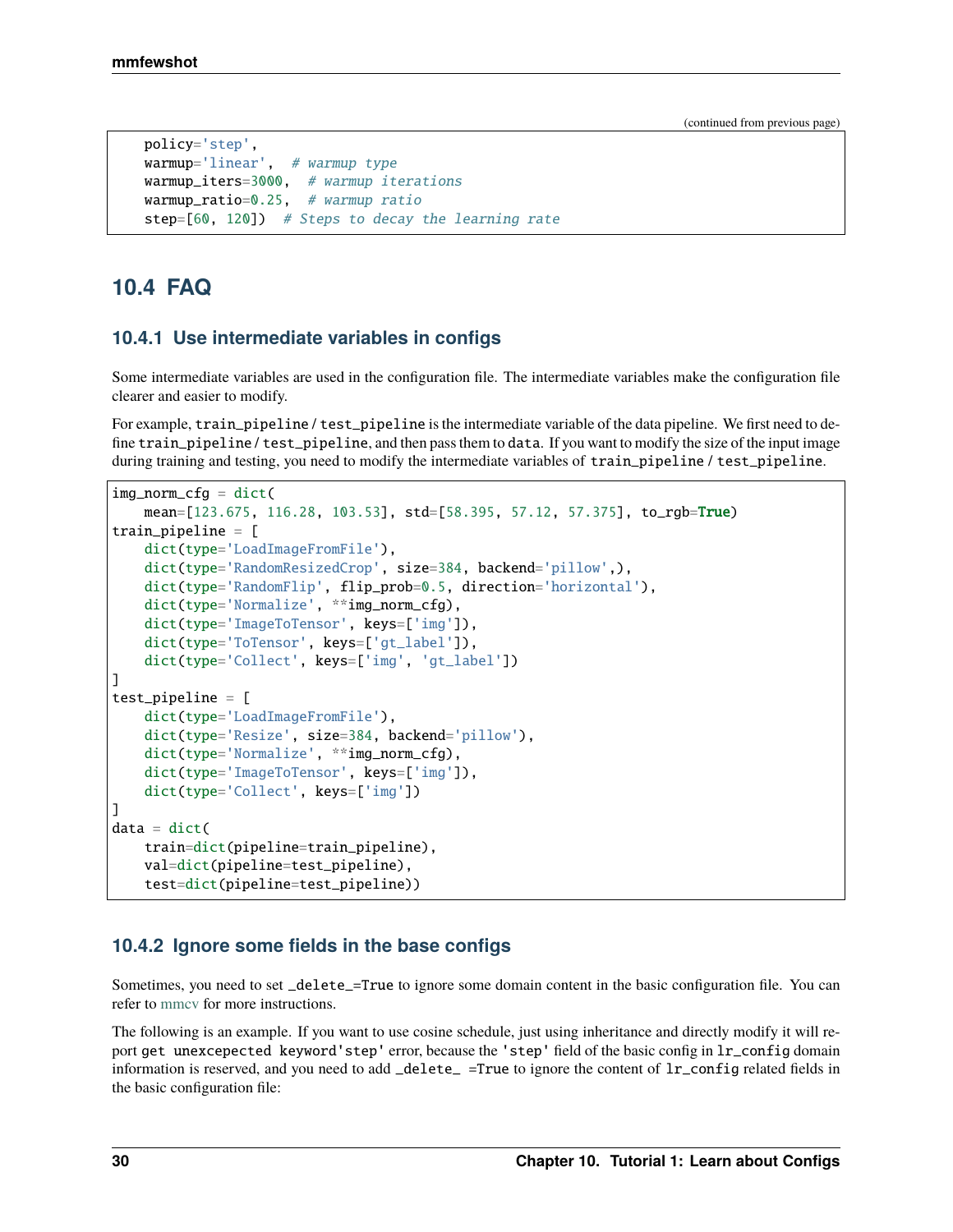(continued from previous page)

```
policy='step',
warmup='linear', # warmup type
warmup_iters=3000, # warmup iterations
warmup\_ratio=0.25, # warmup ratio
step=[60, 120]) # Steps to decay the learning rate
```
# **10.4 FAQ**

### **10.4.1 Use intermediate variables in configs**

Some intermediate variables are used in the configuration file. The intermediate variables make the configuration file clearer and easier to modify.

For example, train\_pipeline / test\_pipeline is the intermediate variable of the data pipeline. We first need to define train\_pipeline / test\_pipeline, and then pass them to data. If you want to modify the size of the input image during training and testing, you need to modify the intermediate variables of train\_pipeline / test\_pipeline.

```
img\_norm\_cfg = dict(mean=[123.675, 116.28, 103.53], std=[58.395, 57.12, 57.375], to_rgb=True)
train_pipeline = [
    dict(type='LoadImageFromFile'),
   dict(type='RandomResizedCrop', size=384, backend='pillow',),
    dict(type='RandomFlip', flip_prob=0.5, direction='horizontal'),
   dict(type='Normalize', **img_norm_cfg),
    dict(type='ImageToTensor', keys=['img']),
   dict(type='ToTensor', keys=['gt_label']),
   dict(type='Collect', keys=['img', 'gt_label'])
]
test_pipeline = [
   dict(type='LoadImageFromFile'),
    dict(type='Resize', size=384, backend='pillow'),
    dict(type='Normalize', **img_norm_cfg).
    dict(type='ImageToTensor', keys=['img']),
   dict(type='Collect', keys=['img'])
]
data = dict(train=dict(pipeline=train_pipeline),
   val=dict(pipeline=test_pipeline),
    test=dict(pipeline=test_pipeline))
```
#### **10.4.2 Ignore some fields in the base configs**

Sometimes, you need to set \_delete\_=True to ignore some domain content in the basic configuration file. You can refer to [mmcv](https://mmcv.readthedocs.io/en/latest/understand_mmcv/config.html#inherit-from-base-config-with-ignored-fields) for more instructions.

The following is an example. If you want to use cosine schedule, just using inheritance and directly modify it will report get unexcepected keyword'step' error, because the 'step' field of the basic config in lr\_config domain information is reserved, and you need to add \_delete\_ =True to ignore the content of lr\_config related fields in the basic configuration file: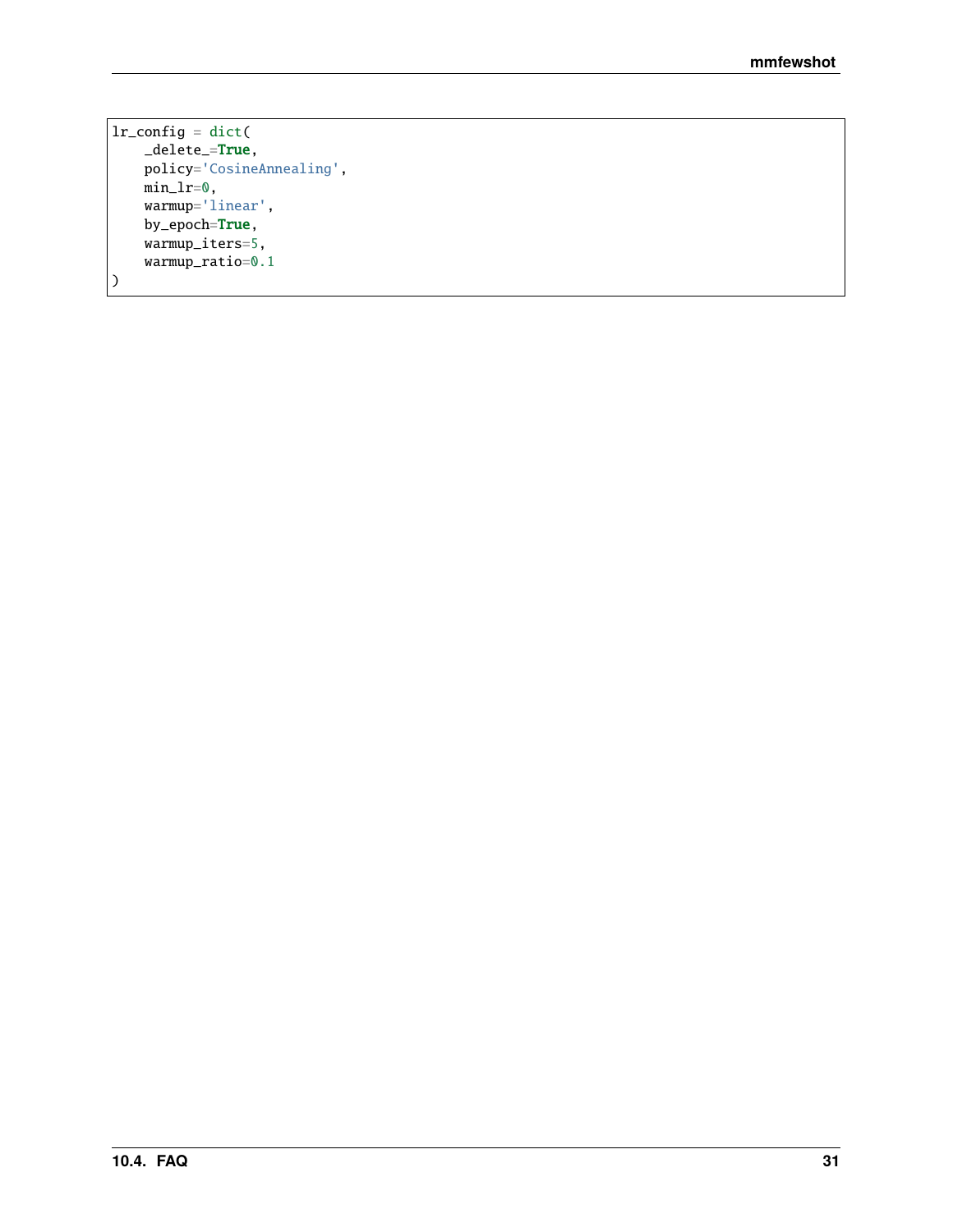```
lr_config = dict(
   _delete_=True,
   policy='CosineAnnealing',
   min_lr=0,
   warmup='linear',
   by_epoch=True,
   warmup_iters=5,
   warmup_ratio=0.1
)
```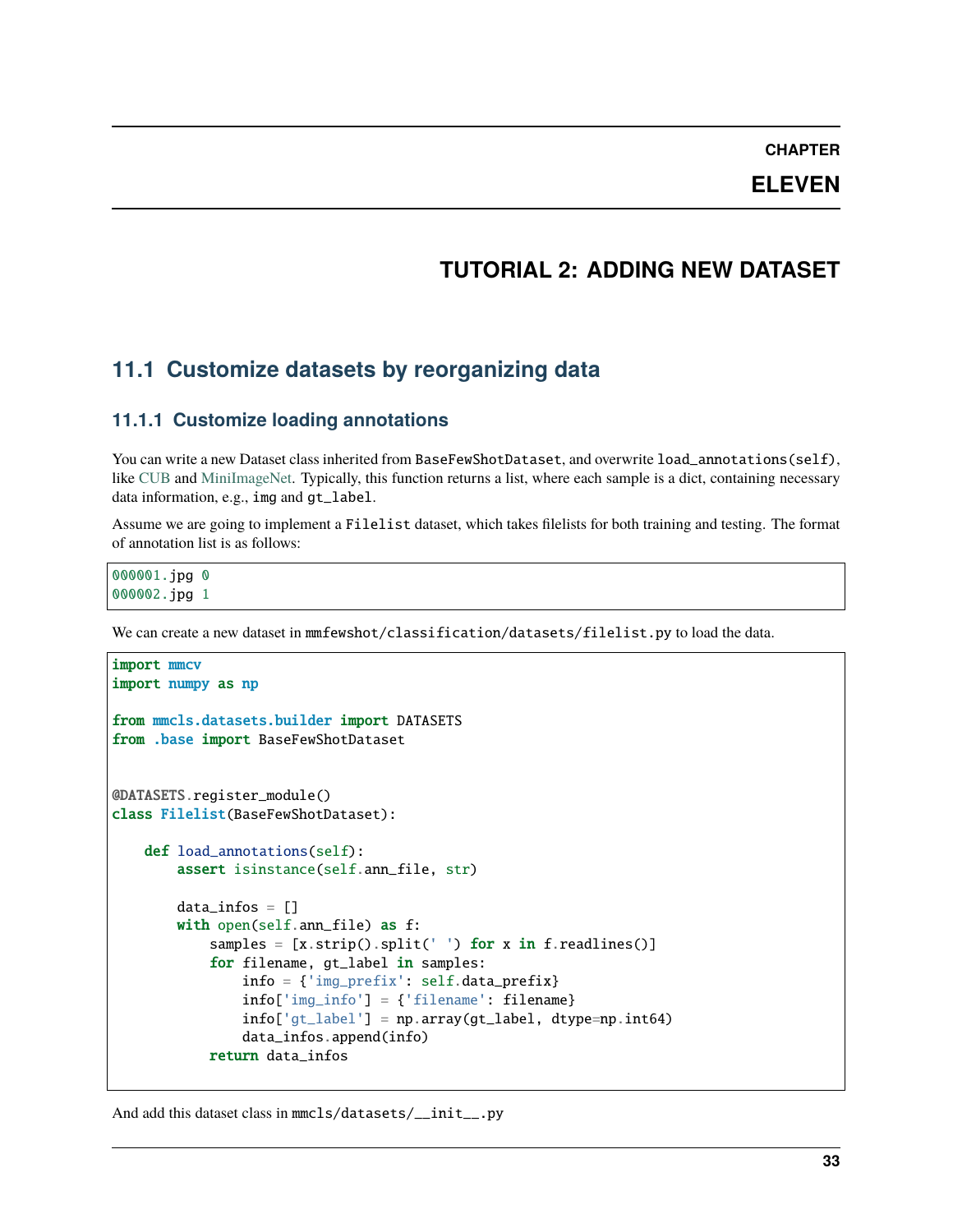**CHAPTER**

# **ELEVEN**

# **TUTORIAL 2: ADDING NEW DATASET**

# **11.1 Customize datasets by reorganizing data**

## **11.1.1 Customize loading annotations**

You can write a new Dataset class inherited from BaseFewShotDataset, and overwrite load\_annotations(self), like [CUB](https://github.com/open-mmlab/mmfewshot/blob/main/mmfewshot/classification/datasets/cub.py) and [MiniImageNet.](https://github.com/open-mmlab/mmfewshot/blob/main/mmfewshot/classification/datasets/mini_imagenet.py) Typically, this function returns a list, where each sample is a dict, containing necessary data information, e.g., img and gt\_label.

Assume we are going to implement a Filelist dataset, which takes filelists for both training and testing. The format of annotation list is as follows:

000001.jpg 0 000002.jpg 1

We can create a new dataset in mmfewshot/classification/datasets/filelist.py to load the data.

```
import mmcv
import numpy as np
from mmcls.datasets.builder import DATASETS
from .base import BaseFewShotDataset
@DATASETS.register_module()
class Filelist(BaseFewShotDataset):
   def load_annotations(self):
        assert isinstance(self.ann_file, str)
        data_infos = []with open(self.ann_file) as f:
            samples = [x . strip().split(' ' ) for x in f.readlines() ]for filename, gt_label in samples:
                info = {'img_prefix': self.data_prefix}
                info['img_info'] = {'filename': filename}
                info['gt\_label'] = np.array(gt\_label, dtype=np.int64)data_infos.append(info)
            return data infos
```
And add this dataset class in mmcls/datasets/\_\_init\_\_.py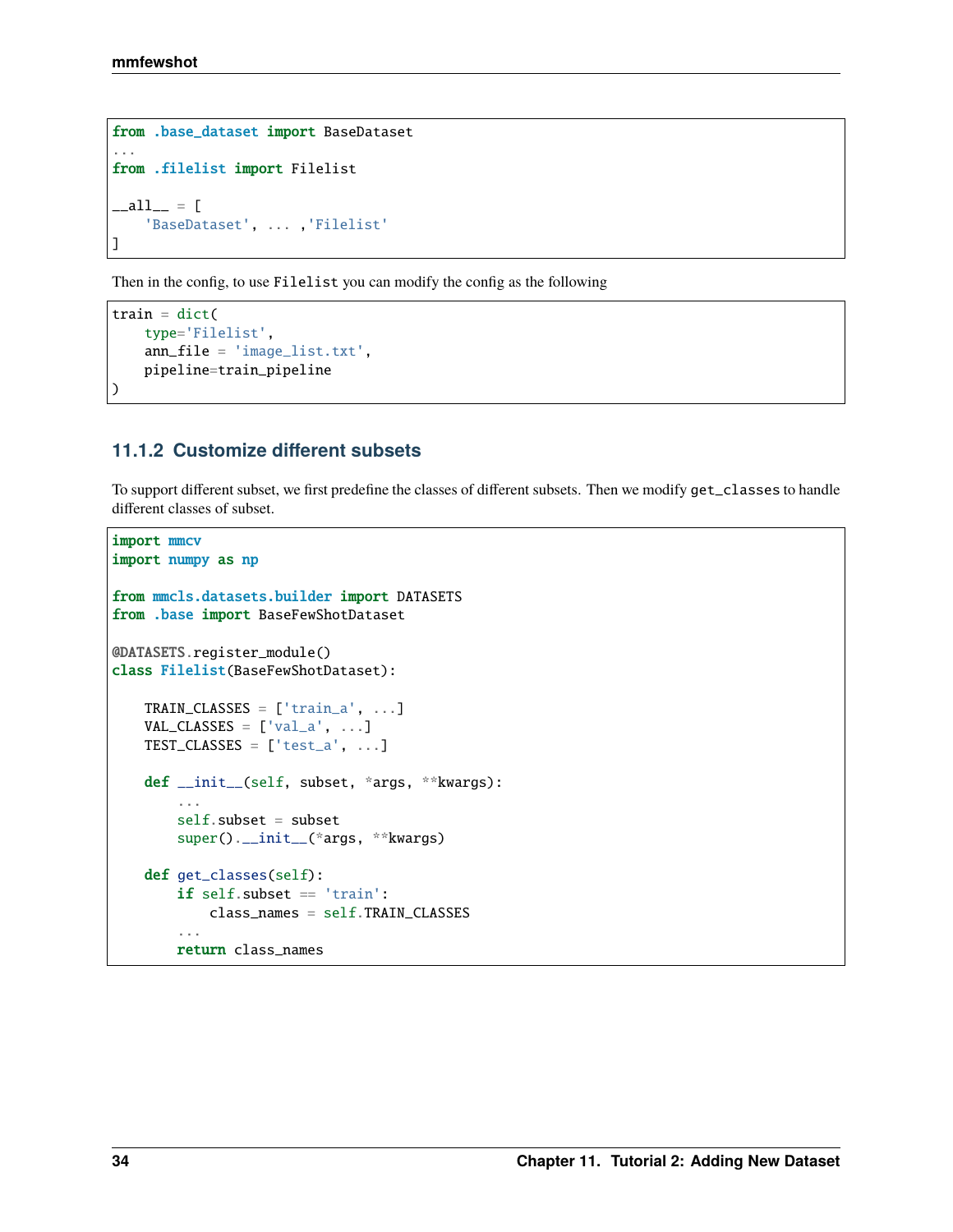```
from .base_dataset import BaseDataset
...
from .filelist import Filelist
\_all\_ = ['BaseDataset', ... ,'Filelist'
]
```
Then in the config, to use Filelist you can modify the config as the following

```
train = dict(
   type='Filelist',
   ann_file = 'image_list.txt',
   pipeline=train_pipeline
)
```
# **11.1.2 Customize different subsets**

To support different subset, we first predefine the classes of different subsets. Then we modify get\_classes to handle different classes of subset.

```
import mmcv
import numpy as np
from mmcls.datasets.builder import DATASETS
from .base import BaseFewShotDataset
@DATASETS.register_module()
class Filelist(BaseFewShotDataset):
   TRAN\_CLASS = ['train_a', ...]VAL\_CLASS = ['val_a', ...]TEST\_CLASS = ['test_a', ...]def __init__(self, subset, *args, **kwargs):
        ...
        self.subset = subset
       super().__init__(*args, **kwargs)
   def get_classes(self):
       if self.subset == 'train':
           class_names = self.TRAIN_CLASSES
        ...
       return class_names
```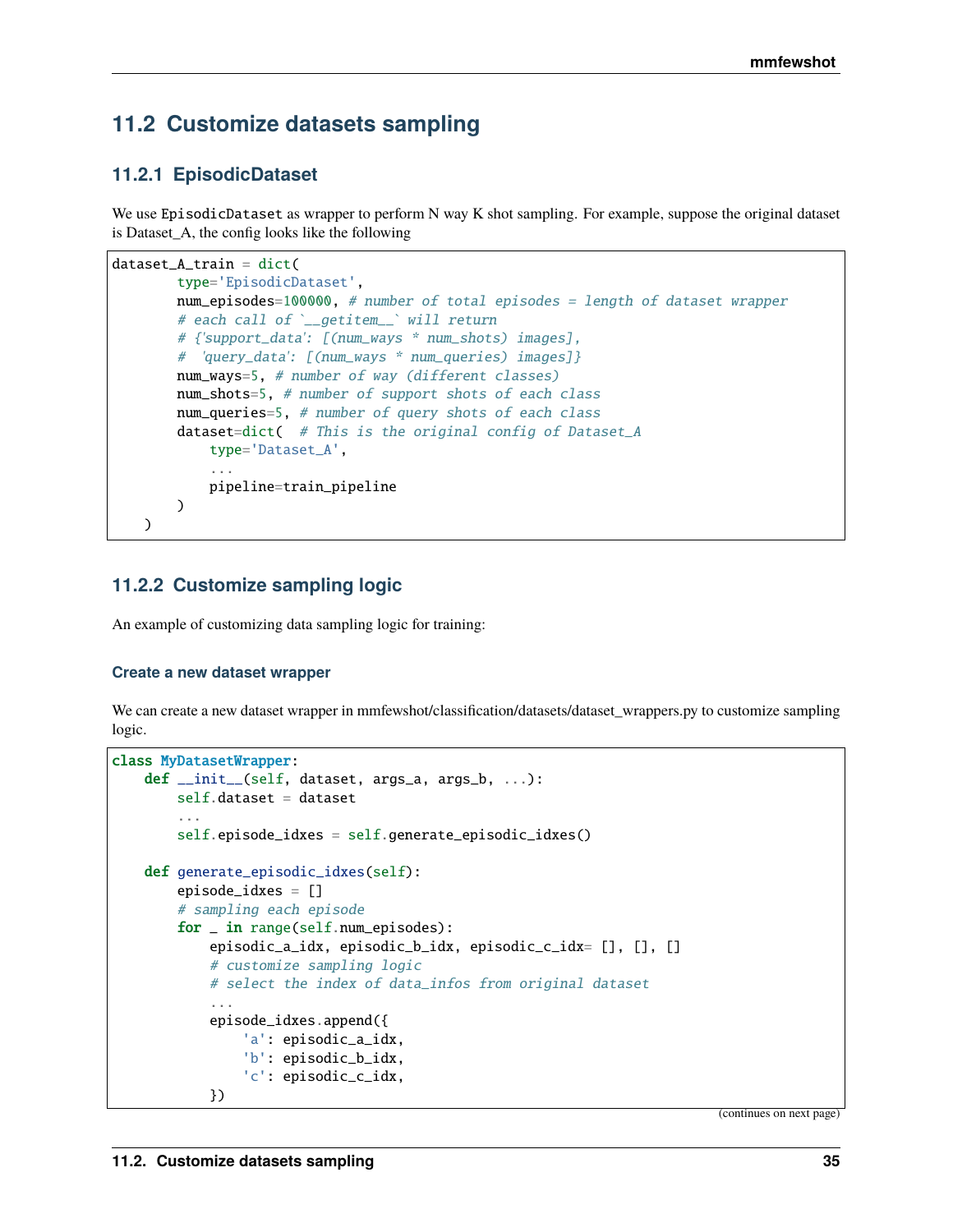# **11.2 Customize datasets sampling**

# **11.2.1 EpisodicDataset**

We use EpisodicDataset as wrapper to perform N way K shot sampling. For example, suppose the original dataset is Dataset\_A, the config looks like the following

```
dataset_A_train = dict(type='EpisodicDataset',
       num_episodes=100000, # number of total episodes = length of dataset wrapper
       # each call of `_getitem_` will return
       # {'support_data': [(num_ways * num_shots) images],
       # 'query_data': [(num_ways * num_queries) images]}
       num_ways=5, # number of way (different classes)
       num_shots=5, # number of support shots of each class
       num_queries=5, # number of query shots of each class
       dataset=dict( # This is the original config of Dataset_A
            type='Dataset_A',
            ...
           pipeline=train_pipeline
       )
   )
```
## **11.2.2 Customize sampling logic**

An example of customizing data sampling logic for training:

#### **Create a new dataset wrapper**

We can create a new dataset wrapper in mmfewshot/classification/datasets/dataset\_wrappers.py to customize sampling logic.

```
class MyDatasetWrapper:
   def __init__(self, dataset, args_a, args_b, ...):
        self.dataset = dataset
        ...
        self.episode_idxes = self.generate_episodic_idxes()
   def generate_episodic_idxes(self):
        episode_idxes = []
        # sampling each episode
        for _ in range(self.num_episodes):
            episodic_a_idx, episodic_b_idx, episodic_c_idx= [], [], []
            # customize sampling logic
            # select the index of data_infos from original dataset
            ...
            episode_idxes.append({
                'a': episodic_a_idx,
                'b': episodic_b_idx,
                'c': episodic_c_idx,
            })
```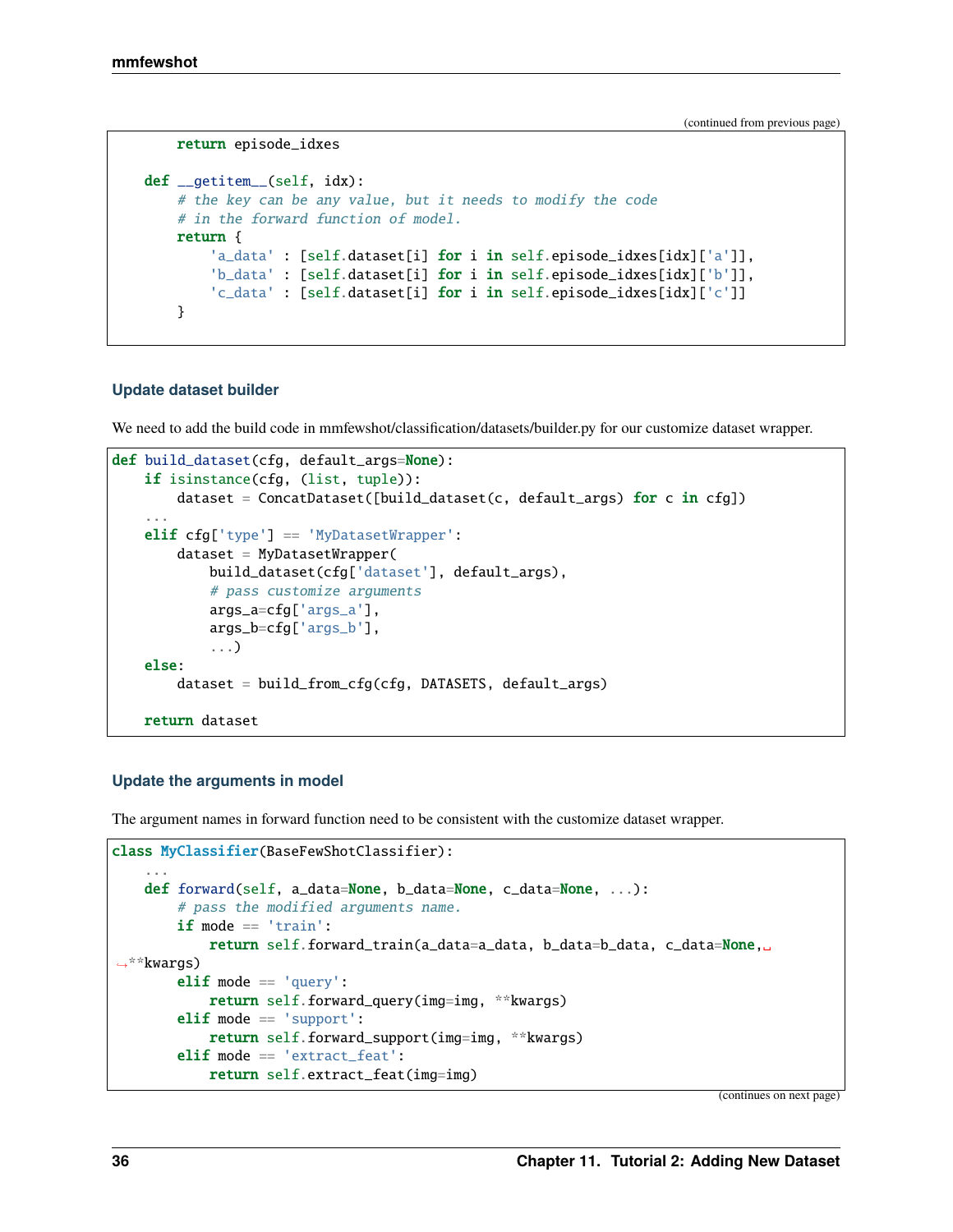```
return episode_idxes
def __getitem__(self, idx):
    # the key can be any value, but it needs to modify the code
    # in the forward function of model.
    return {
        'a_data' : [self.dataset[i] for i in self.episode_idxes[idx]['a']],
        'b_data' : [self.dataset[i] for i in self.episode_idxes[idx]['b']],
        'c_data' : [self.dataset[i] for i in self.episode_idxes[idx]['c']]
    }
```
#### **Update dataset builder**

We need to add the build code in mmfewshot/classification/datasets/builder.py for our customize dataset wrapper.

```
def build_dataset(cfg, default_args=None):
   if isinstance(cfg, (list, tuple)):
       dataset = ConcatDatabase([build_dataset(c, default_args) for c in cfg])...
   elif cfg['type'] == 'MyDatasetWrapper':
        dataset = MyDatasetWrapper(build_dataset(cfg['dataset'], default_args),
            # pass customize arguments
            args_a=cfg['args_a'],
            args_b=cfg['args_b'],
            ...)
   else:
        dataset = build_from_cfg(cfg, DATASETS, default_args)
   return dataset
```
#### **Update the arguments in model**

The argument names in forward function need to be consistent with the customize dataset wrapper.

```
class MyClassifier(BaseFewShotClassifier):
    ...
   def forward(self, a_data=None, b_data=None, c_data=None, ...):
        # pass the modified arguments name.
        if mode == 'train':return self.forward_train(a_data=a_data, b_data=b_data, c_data=None,␣
˓→**kwargs)
        elif mode == 'query':
            return self.forward_query(img=img, **kwargs)
       elif mode == 'support':
           return self.forward_support(img=img, **kwargs)
        elif mode == 'extract_feat':
            return self.extract_feat(img=img)
```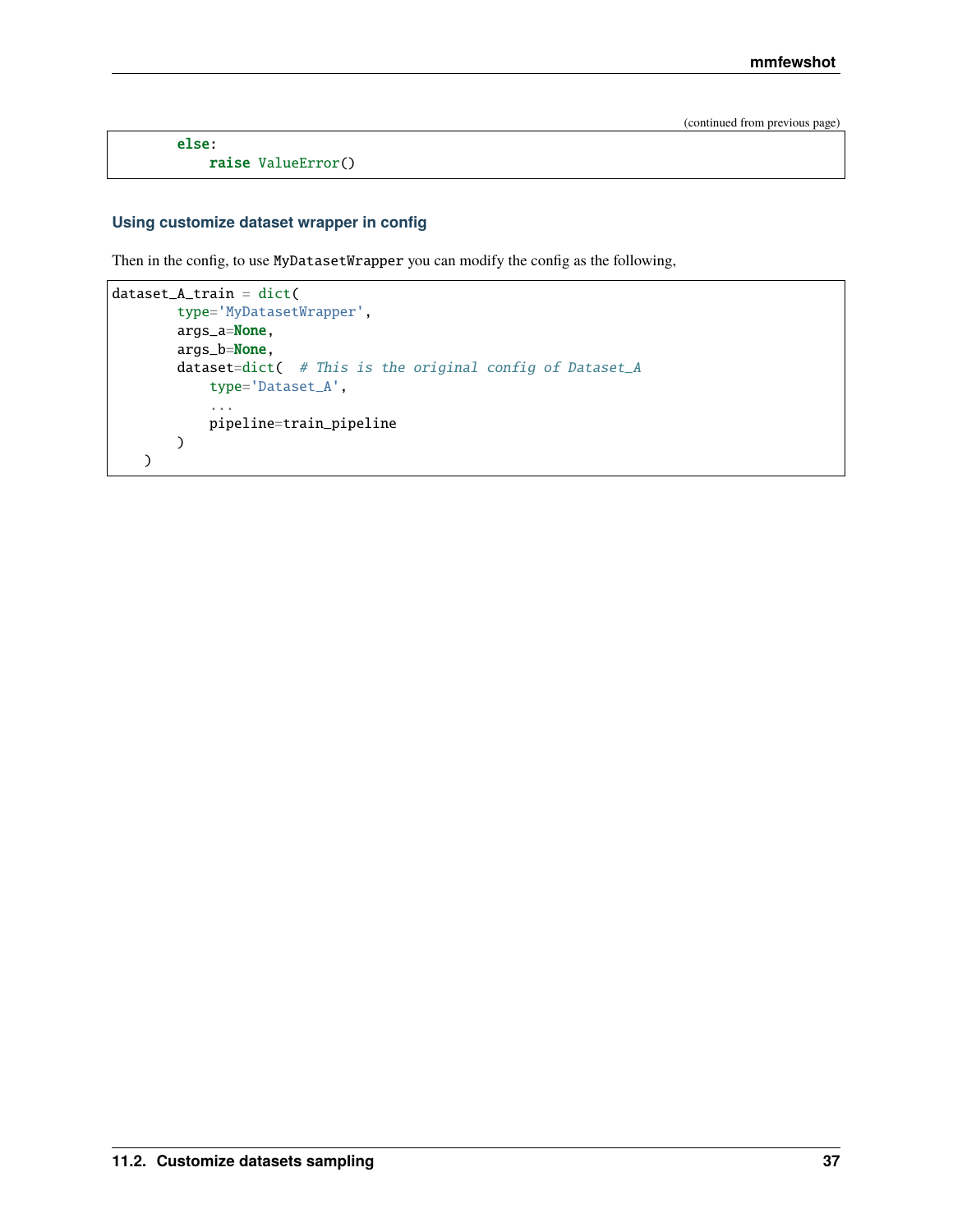else: raise ValueError()

### **Using customize dataset wrapper in config**

Then in the config, to use MyDatasetWrapper you can modify the config as the following,

```
dataset_A_train = dict(
        type='MyDatasetWrapper',
        args_a=None,
        args_b=None,
        dataset=dict( # This is the original config of Dataset_A
             type='Dataset_A',
             ...
             pipeline=train_pipeline
        \mathcal{L}\mathcal{L}
```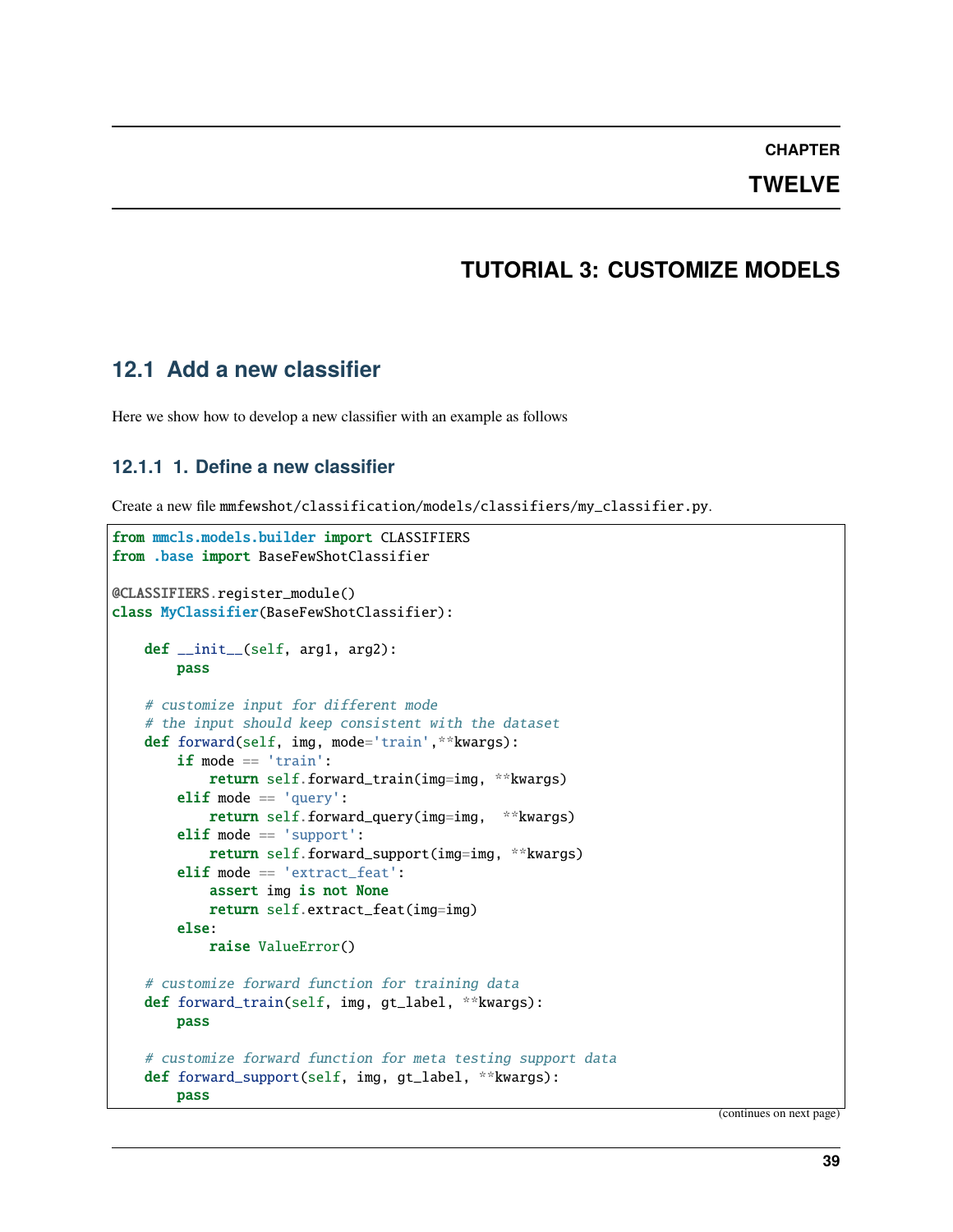### **CHAPTER**

## **TWELVE**

# **TUTORIAL 3: CUSTOMIZE MODELS**

# **12.1 Add a new classifier**

Here we show how to develop a new classifier with an example as follows

## **12.1.1 1. Define a new classifier**

```
Create a new file mmfewshot/classification/models/classifiers/my_classifier.py.
```

```
from mmcls.models.builder import CLASSIFIERS
from .base import BaseFewShotClassifier
@CLASSIFIERS.register_module()
class MyClassifier(BaseFewShotClassifier):
   def __init__(self, arg1, arg2):
       pass
    # customize input for different mode
    # the input should keep consistent with the dataset
   def forward(self, img, mode='train',**kwargs):
       if mode == 'train':
            return self.forward_train(img=img, **kwargs)
       elif mode == 'query':return self.forward_query(img=img, **kwargs)
        elif mode == 'support':
            return self.forward_support(img=img, **kwargs)
        elif mode == 'extract_feat':
            assert img is not None
            return self.extract_feat(img=img)
       else:
            raise ValueError()
    # customize forward function for training data
   def forward_train(self, img, gt_label, **kwargs):
       pass
    # customize forward function for meta testing support data
    def forward_support(self, img, gt_label, **kwargs):
       pass
```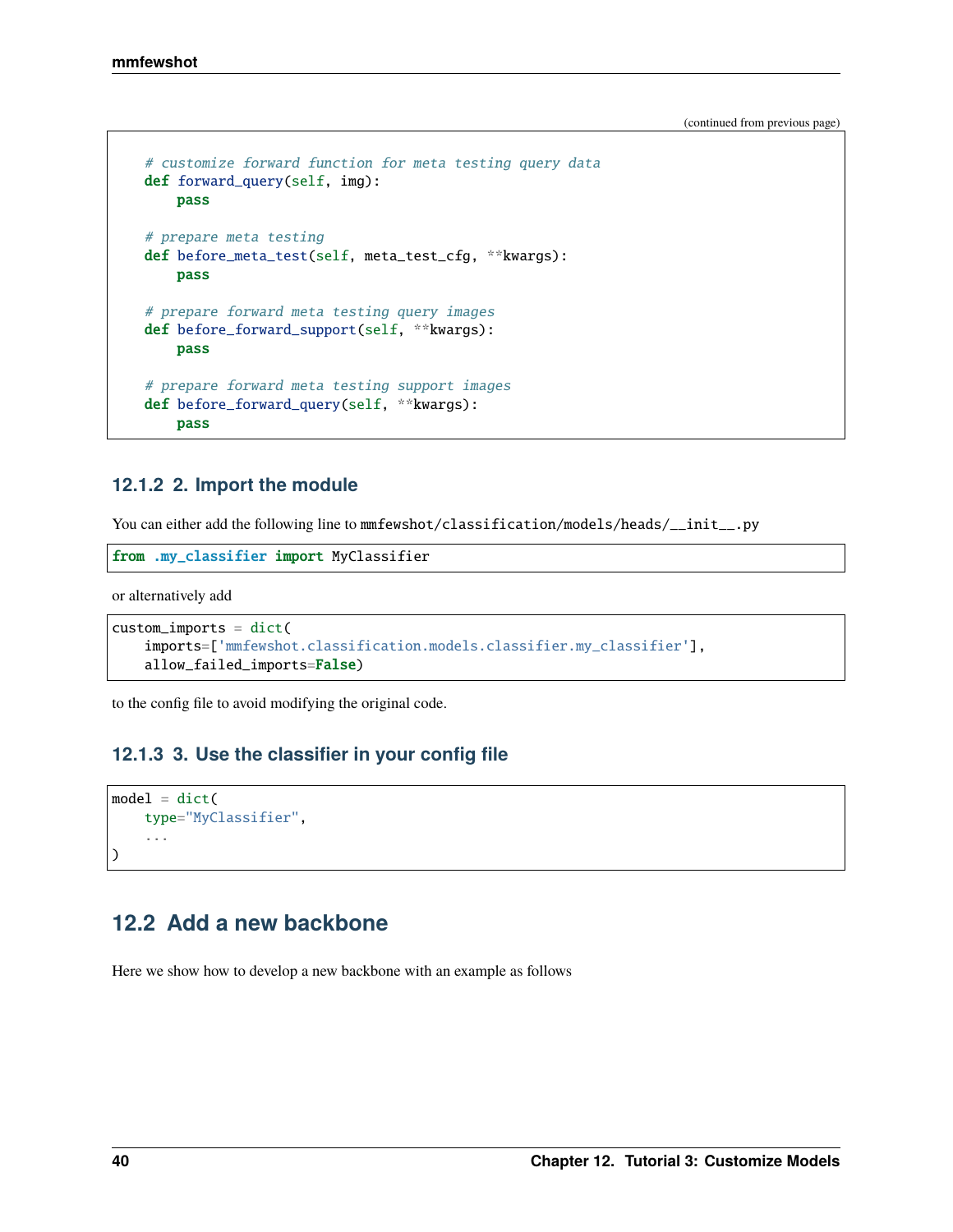```
# customize forward function for meta testing query data
def forward_query(self, img):
   pass
# prepare meta testing
def before_meta_test(self, meta_test_cfg, **kwargs):
   pass
# prepare forward meta testing query images
def before_forward_support(self, **kwargs):
   pass
# prepare forward meta testing support images
def before_forward_query(self, **kwargs):
   pass
```
## **12.1.2 2. Import the module**

You can either add the following line to mmfewshot/classification/models/heads/\_\_init\_\_.py

from .my\_classifier import MyClassifier

or alternatively add

```
custom\_imports = dict(imports=['mmfewshot.classification.models.classifier.my_classifier'],
    allow_failed_imports=False)
```
to the config file to avoid modifying the original code.

## **12.1.3 3. Use the classifier in your config file**

```
model = dict(type="MyClassifier",
    ...
)
```
# **12.2 Add a new backbone**

Here we show how to develop a new backbone with an example as follows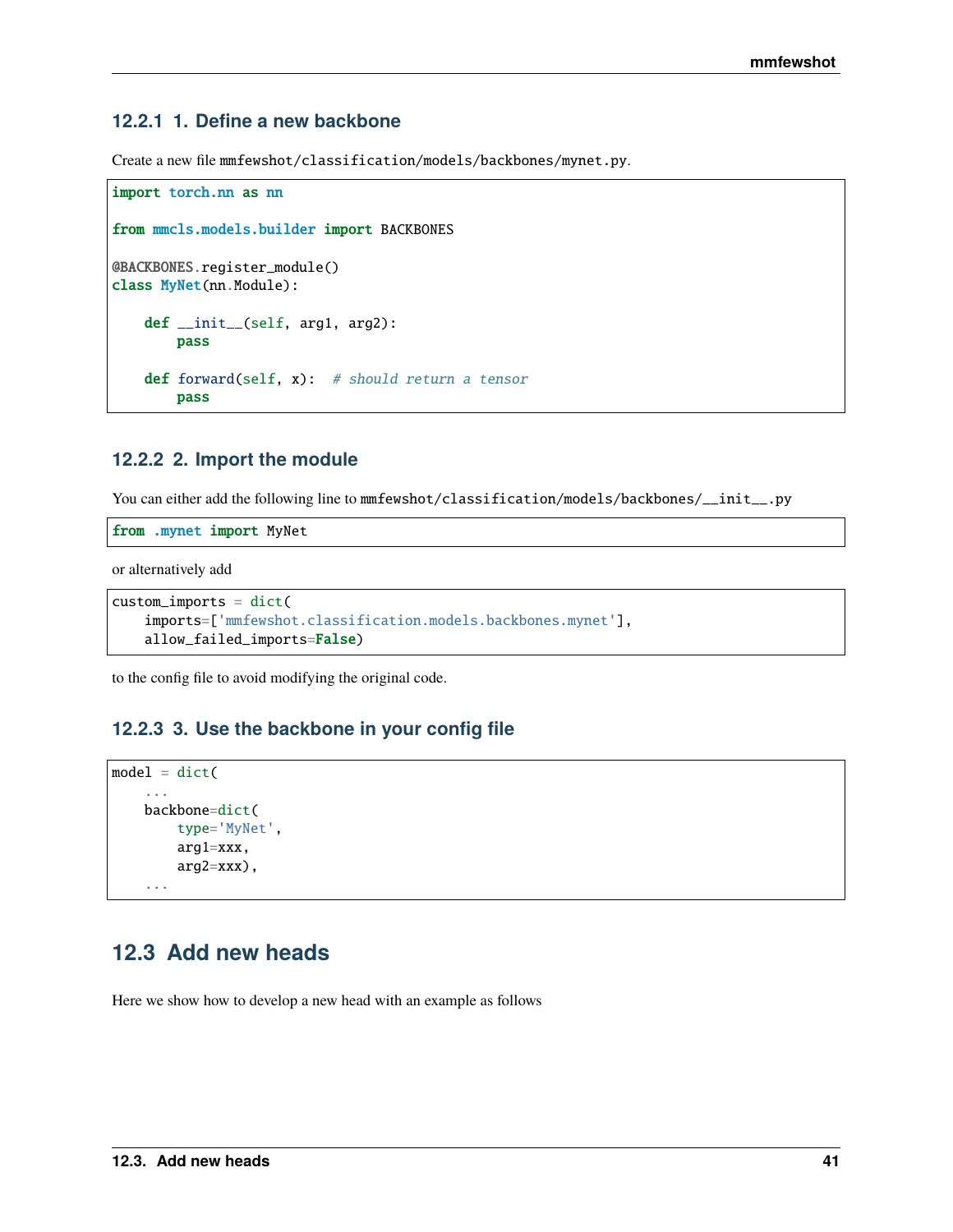## **12.2.1 1. Define a new backbone**

Create a new file mmfewshot/classification/models/backbones/mynet.py.

```
import torch.nn as nn
from mmcls.models.builder import BACKBONES
@BACKBONES.register_module()
class MyNet(nn.Module):
   def __init__(self, arg1, arg2):
       pass
   def forward(self, x): # should return a tensor
       pass
```
## **12.2.2 2. Import the module**

You can either add the following line to mmfewshot/classification/models/backbones/\_\_init\_\_.py

from .mynet import MyNet

or alternatively add

```
custom_imports = dict(
   imports=['mmfewshot.classification.models.backbones.mynet'],
   allow_failed_imports=False)
```
to the config file to avoid modifying the original code.

## **12.2.3 3. Use the backbone in your config file**

```
model = dict(...
    backbone=dict(
        type='MyNet',
        arg1=xxx,
        arg2=xxx),
    ...
```
# **12.3 Add new heads**

Here we show how to develop a new head with an example as follows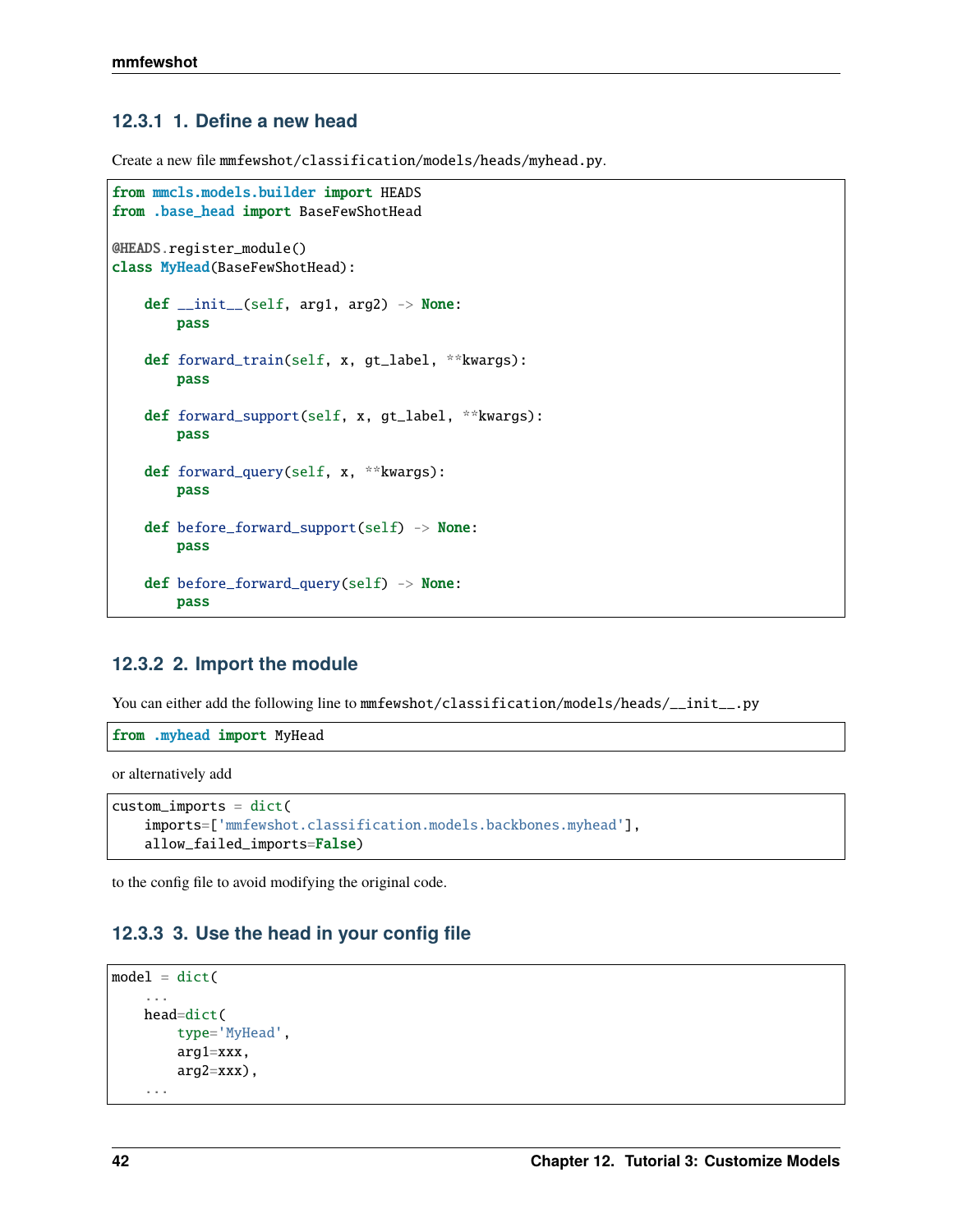# **12.3.1 1. Define a new head**

Create a new file mmfewshot/classification/models/heads/myhead.py.

```
from mmcls.models.builder import HEADS
from .base_head import BaseFewShotHead
@HEADS.register_module()
class MyHead(BaseFewShotHead):
   def __init__(self, arg1, arg2) -> None:
       pass
   def forward_train(self, x, gt_label, **kwargs):
       pass
   def forward_support(self, x, gt_label, **kwargs):
        pass
   def forward_query(self, x, **kwargs):
       pass
   def before_forward_support(self) -> None:
       pass
   def before_forward_query(self) -> None:
        pass
```
## **12.3.2 2. Import the module**

You can either add the following line to mmfewshot/classification/models/heads/\_\_init\_\_.py

from .myhead import MyHead

or alternatively add

```
custom\_imports = dict(imports=['mmfewshot.classification.models.backbones.myhead'],
    allow_failed_imports=False)
```
to the config file to avoid modifying the original code.

## **12.3.3 3. Use the head in your config file**

```
model = dict(...
    head=dict(
        type='MyHead',
        arg1=xxx,
        arg2=xxx,
    ...
```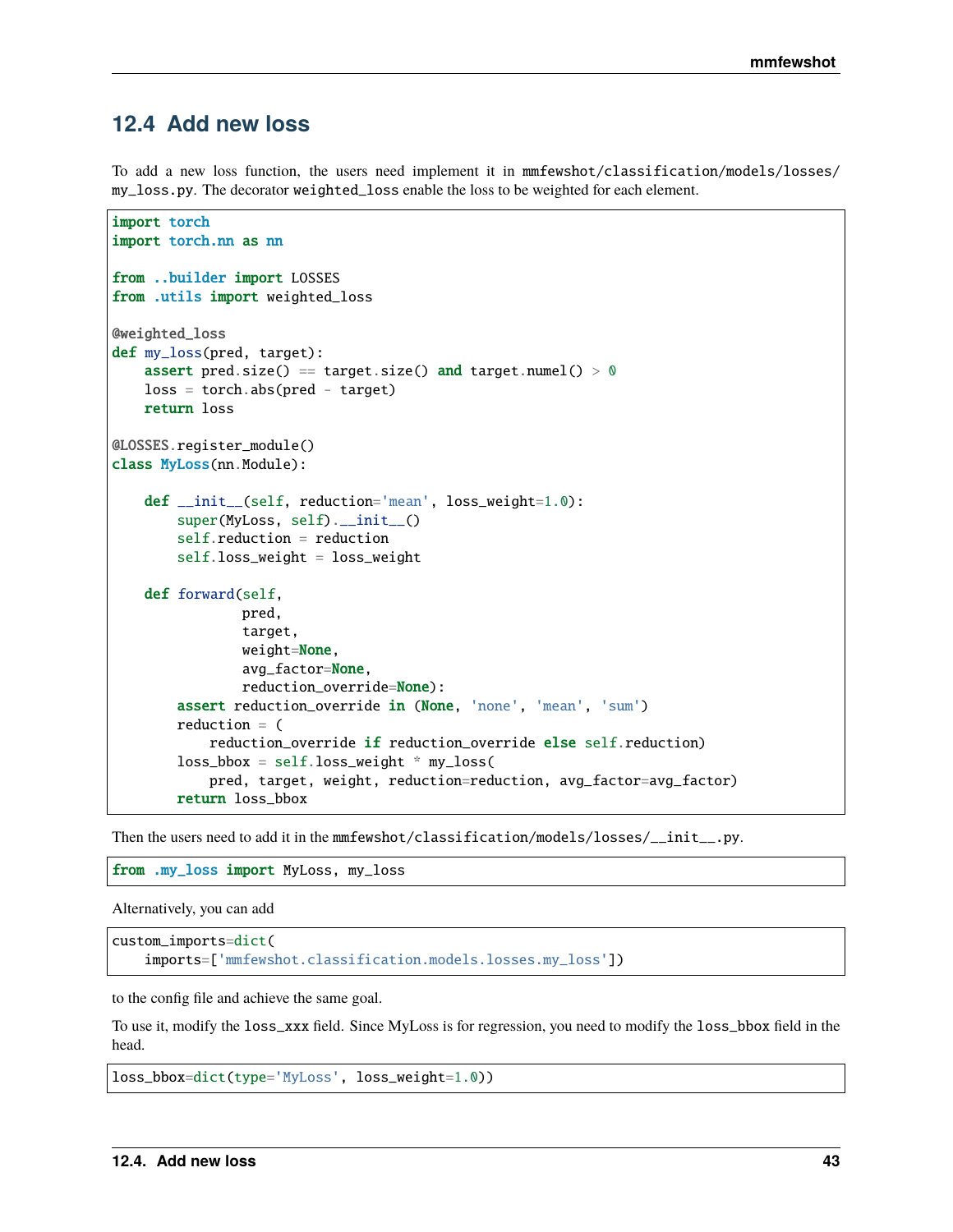# **12.4 Add new loss**

To add a new loss function, the users need implement it in mmfewshot/classification/models/losses/ my\_loss.py. The decorator weighted\_loss enable the loss to be weighted for each element.

```
import torch
import torch.nn as nn
from ..builder import LOSSES
from .utils import weighted_loss
@weighted_loss
def my_loss(pred, target):
    assert pred.size() == target.size() and target.numel() > 0loss = <b>torch</b>.abs(pred - <b>target</b>)return loss
@LOSSES.register_module()
class MyLoss(nn.Module):
    def __init__(self, reduction='mean', loss_weight=1.0):
        super(MyLoss, self).__init__()
        self.reduction = reduction
        self.loss_weight = loss_weight
    def forward(self,
                pred,
                target,
                weight=None,
                avg_factor=None,
                reduction_override=None):
        assert reduction_override in (None, 'none', 'mean', 'sum')
        reduction = (
            reduction_override if reduction_override else self.reduction)
        loss_bbox = self.loss_weight * my_loss(pred, target, weight, reduction=reduction, avg_factor=avg_factor)
        return loss_bbox
```
Then the users need to add it in the mmfewshot/classification/models/losses/\_\_init\_\_.py.

from .my\_loss import MyLoss, my\_loss

Alternatively, you can add

custom\_imports=dict( imports=['mmfewshot.classification.models.losses.my\_loss'])

to the config file and achieve the same goal.

To use it, modify the loss\_xxx field. Since MyLoss is for regression, you need to modify the loss\_bbox field in the head.

```
loss_bbox=dict(type='MyLoss', loss_weight=1.0))
```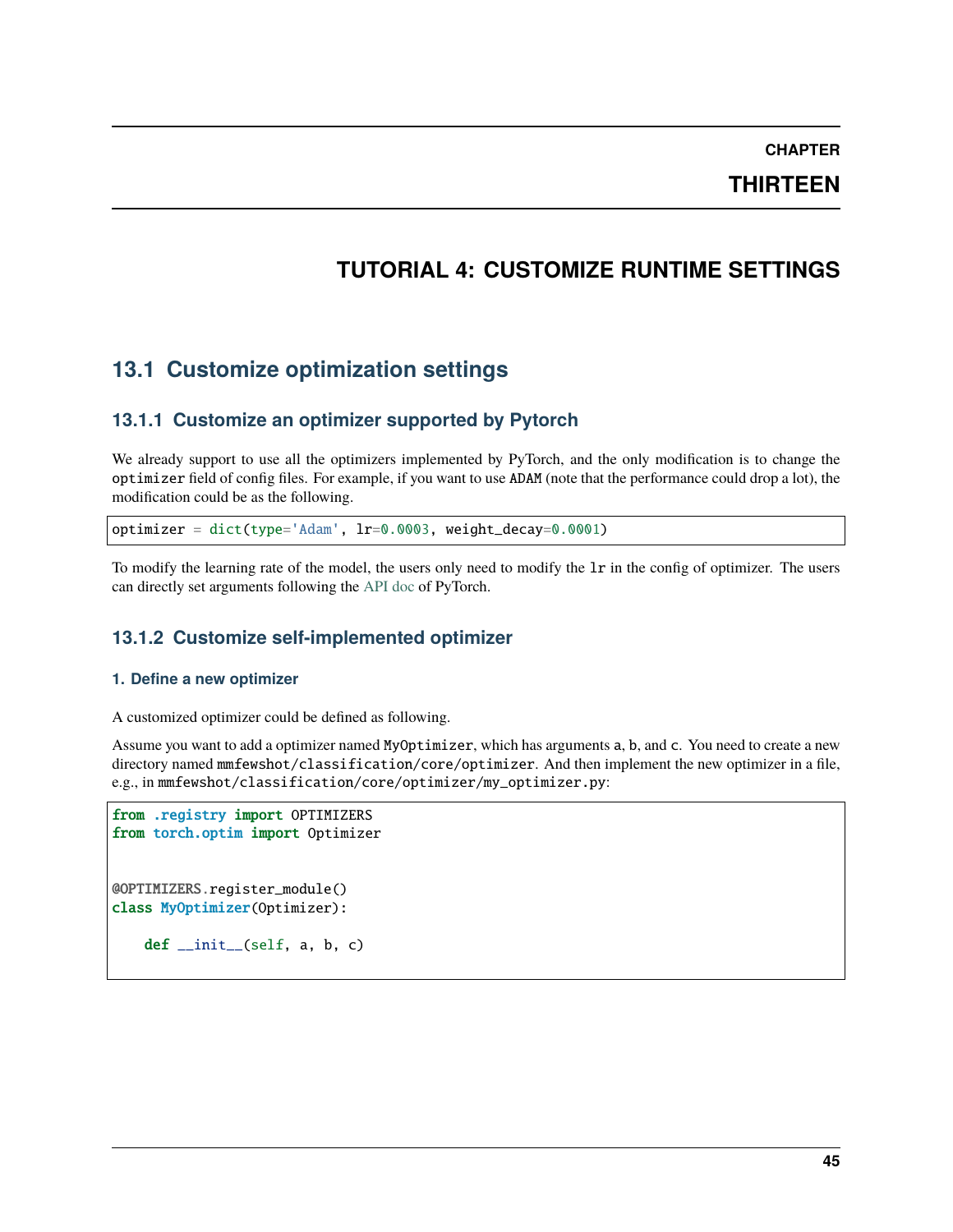**CHAPTER**

**THIRTEEN**

# **TUTORIAL 4: CUSTOMIZE RUNTIME SETTINGS**

# **13.1 Customize optimization settings**

# **13.1.1 Customize an optimizer supported by Pytorch**

We already support to use all the optimizers implemented by PyTorch, and the only modification is to change the optimizer field of config files. For example, if you want to use ADAM (note that the performance could drop a lot), the modification could be as the following.

optimizer = dict(type='Adam', lr=0.0003, weight\_decay=0.0001)

To modify the learning rate of the model, the users only need to modify the lr in the config of optimizer. The users can directly set arguments following the [API doc](https://pytorch.org/docs/stable/optim.html?highlight=optim#module-torch.optim) of PyTorch.

# **13.1.2 Customize self-implemented optimizer**

#### **1. Define a new optimizer**

A customized optimizer could be defined as following.

Assume you want to add a optimizer named MyOptimizer, which has arguments a, b, and c. You need to create a new directory named mmfewshot/classification/core/optimizer. And then implement the new optimizer in a file, e.g., in mmfewshot/classification/core/optimizer/my\_optimizer.py:

```
from .registry import OPTIMIZERS
from torch.optim import Optimizer
@OPTIMIZERS.register_module()
class MyOptimizer(Optimizer):
   def\_init_(self, a, b, c)
```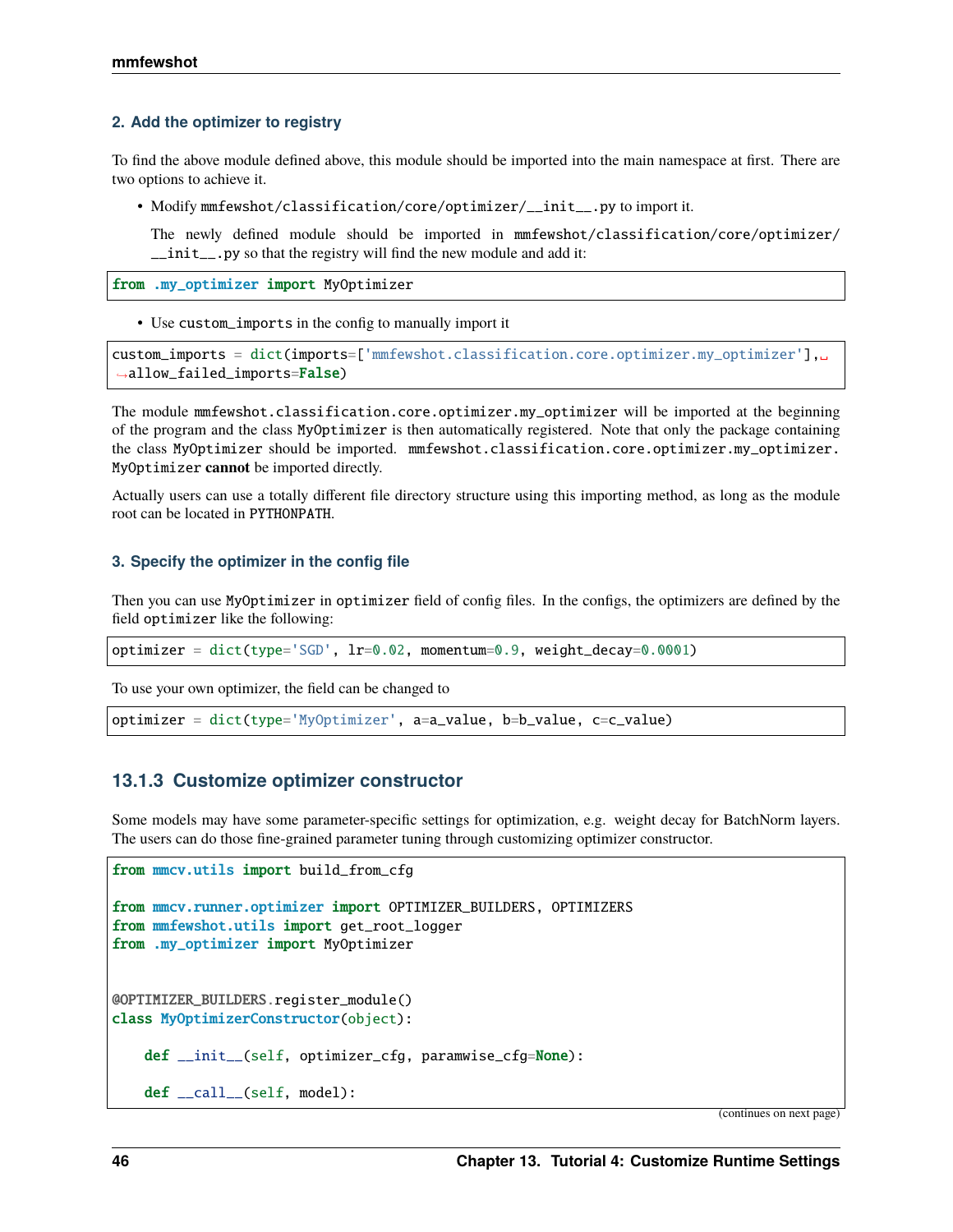#### **2. Add the optimizer to registry**

To find the above module defined above, this module should be imported into the main namespace at first. There are two options to achieve it.

• Modify mmfewshot/classification/core/optimizer/\_\_init\_\_.py to import it.

The newly defined module should be imported in mmfewshot/classification/core/optimizer/ \_\_init\_\_.py so that the registry will find the new module and add it:

from .my\_optimizer import MyOptimizer

• Use custom\_imports in the config to manually import it

```
custom_imports = dict(imports=['mmfewshot.classification.core.optimizer.my_optimizer'],␣
˓→allow_failed_imports=False)
```
The module mmfewshot.classification.core.optimizer.my\_optimizer will be imported at the beginning of the program and the class MyOptimizer is then automatically registered. Note that only the package containing the class MyOptimizer should be imported. mmfewshot.classification.core.optimizer.my\_optimizer. MyOptimizer **cannot** be imported directly.

Actually users can use a totally different file directory structure using this importing method, as long as the module root can be located in PYTHONPATH.

#### **3. Specify the optimizer in the config file**

Then you can use MyOptimizer in optimizer field of config files. In the configs, the optimizers are defined by the field optimizer like the following:

```
optimizer = dict(type='SGD', lr=0.02, momentum=0.9, weight_decay=0.0001)
```
To use your own optimizer, the field can be changed to

optimizer = dict(type='MyOptimizer', a=a\_value, b=b\_value, c=c\_value)

### **13.1.3 Customize optimizer constructor**

Some models may have some parameter-specific settings for optimization, e.g. weight decay for BatchNorm layers. The users can do those fine-grained parameter tuning through customizing optimizer constructor.

```
from mmcv.utils import build_from_cfg
from mmcv.runner.optimizer import OPTIMIZER_BUILDERS, OPTIMIZERS
from mmfewshot.utils import get_root_logger
from .my_optimizer import MyOptimizer
@OPTIMIZER_BUILDERS.register_module()
class MyOptimizerConstructor(object):
   def __init__(self, optimizer_cfg, paramwise_cfg=None):
    def __call__(self, model):
```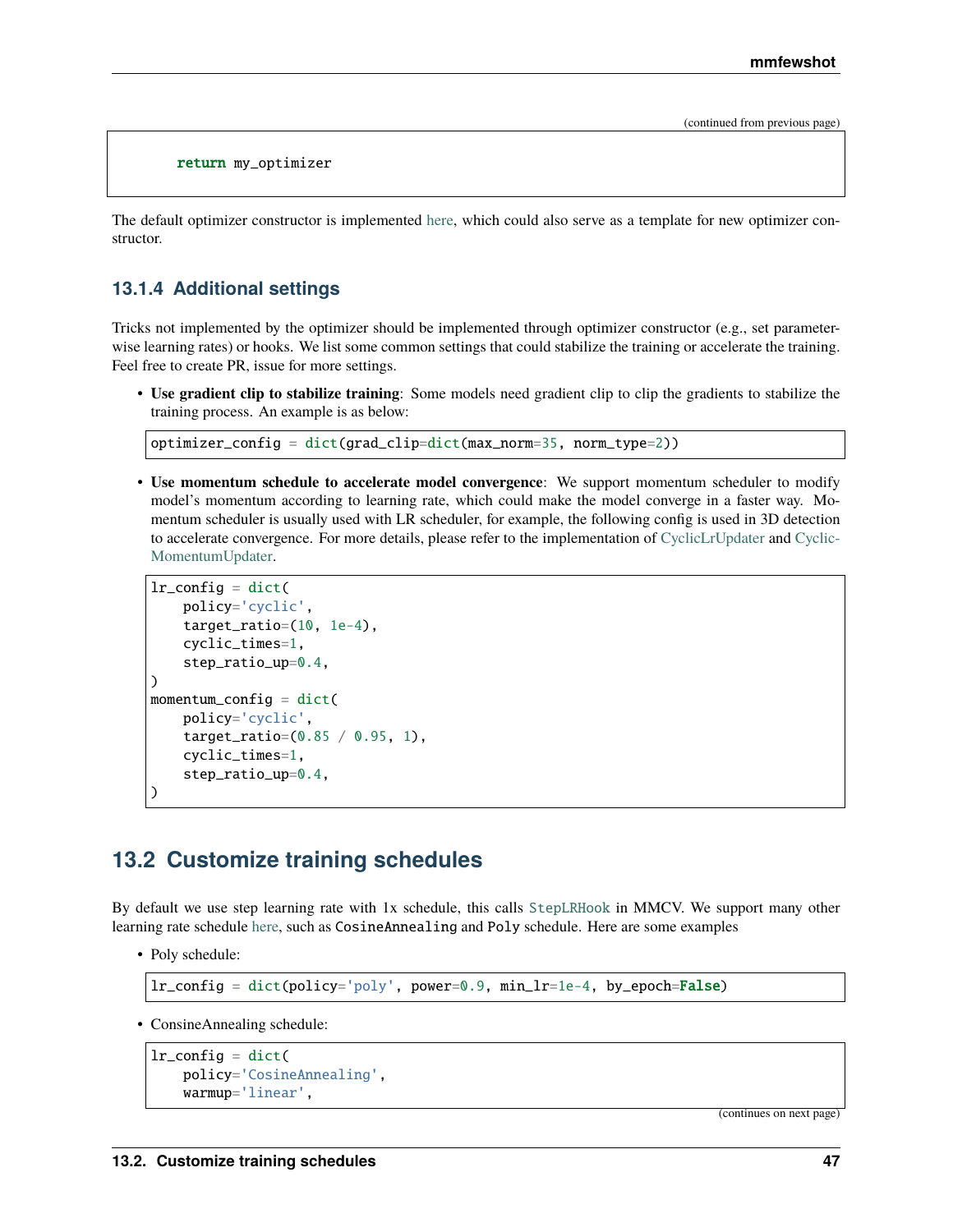return my\_optimizer

The default optimizer constructor is implemented [here,](https://github.com/open-mmlab/mmcv/blob/9ecd6b0d5ff9d2172c49a182eaa669e9f27bb8e7/mmcv/runner/optimizer/default_constructor.py#L11) which could also serve as a template for new optimizer constructor.

### **13.1.4 Additional settings**

Tricks not implemented by the optimizer should be implemented through optimizer constructor (e.g., set parameterwise learning rates) or hooks. We list some common settings that could stabilize the training or accelerate the training. Feel free to create PR, issue for more settings.

• **Use gradient clip to stabilize training**: Some models need gradient clip to clip the gradients to stabilize the training process. An example is as below:

```
optimizer_config = dict(grad_clip=dict(max_norm=35, norm_type=2))
```
• **Use momentum schedule to accelerate model convergence**: We support momentum scheduler to modify model's momentum according to learning rate, which could make the model converge in a faster way. Momentum scheduler is usually used with LR scheduler, for example, the following config is used in 3D detection to accelerate convergence. For more details, please refer to the implementation of [CyclicLrUpdater](https://github.com/open-mmlab/mmcv/blob/f48241a65aebfe07db122e9db320c31b685dc674/mmcv/runner/hooks/lr_updater.py#L327) and [Cyclic-](https://github.com/open-mmlab/mmcv/blob/f48241a65aebfe07db122e9db320c31b685dc674/mmcv/runner/hooks/momentum_updater.py#L130)[MomentumUpdater.](https://github.com/open-mmlab/mmcv/blob/f48241a65aebfe07db122e9db320c31b685dc674/mmcv/runner/hooks/momentum_updater.py#L130)

```
lr\_config = dict(policy='cyclic',
    target_ratio=(10, 1e-4),
    cyclic_times=1,
    step_ratio_up=0.4,
)
momentum_config = dict(
    policy='cyclic',
    target_ratio=(0.85 / 0.95, 1),
    cyclic_times=1,
    step_ratio_up=0.4,
)
```
# **13.2 Customize training schedules**

By default we use step learning rate with 1x schedule, this calls [StepLRHook](https://github.com/open-mmlab/mmcv/blob/f48241a65aebfe07db122e9db320c31b685dc674/mmcv/runner/hooks/lr_updater.py#L153) in MMCV. We support many other learning rate schedule [here,](https://github.com/open-mmlab/mmcv/blob/master/mmcv/runner/hooks/lr_updater.py) such as CosineAnnealing and Poly schedule. Here are some examples

• Poly schedule:

 $lr\_config = dict(policy='poly', power=0.9, min_lr=1e-4, by\_epoch=False)$ 

• ConsineAnnealing schedule:

```
lr\_config = dict(policy='CosineAnnealing',
    warmup='linear',
```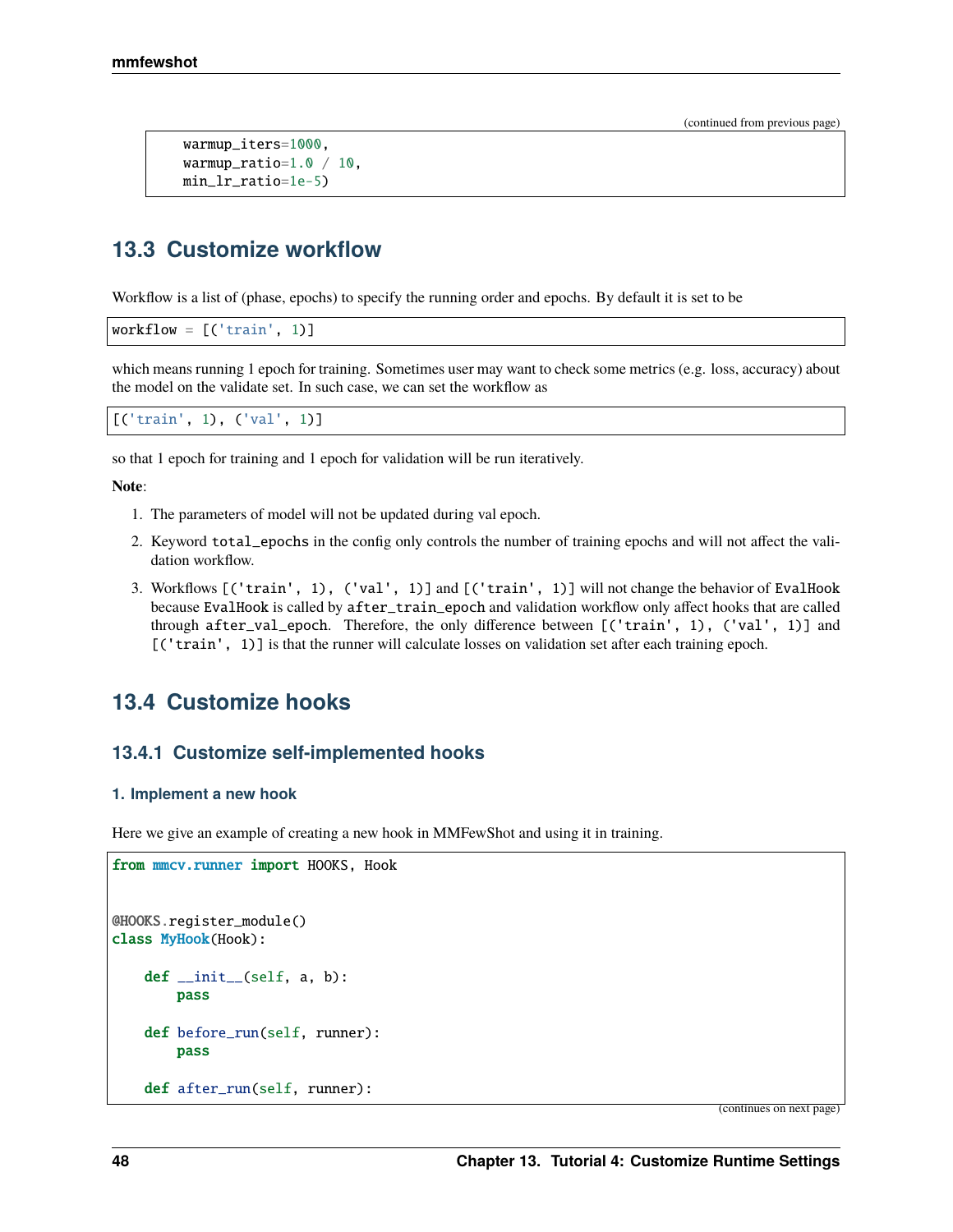```
warmup_iters=1000,
warmup_ratio=1.0 / 10,
min_lr_ratio=1e-5)
```
# **13.3 Customize workflow**

Workflow is a list of (phase, epochs) to specify the running order and epochs. By default it is set to be

```
workflow = [('train', 1)]
```
which means running 1 epoch for training. Sometimes user may want to check some metrics (e.g. loss, accuracy) about the model on the validate set. In such case, we can set the workflow as

```
[('train', 1), ('val', 1)]
```
so that 1 epoch for training and 1 epoch for validation will be run iteratively.

**Note**:

- 1. The parameters of model will not be updated during val epoch.
- 2. Keyword total\_epochs in the config only controls the number of training epochs and will not affect the validation workflow.
- 3. Workflows [('train', 1), ('val', 1)] and [('train', 1)] will not change the behavior of EvalHook because EvalHook is called by after\_train\_epoch and validation workflow only affect hooks that are called through after\_val\_epoch. Therefore, the only difference between [('train', 1), ('val', 1)] and [('train', 1)] is that the runner will calculate losses on validation set after each training epoch.

# **13.4 Customize hooks**

### **13.4.1 Customize self-implemented hooks**

#### **1. Implement a new hook**

Here we give an example of creating a new hook in MMFewShot and using it in training.

```
from mmcv.runner import HOOKS, Hook
@HOOKS.register_module()
class MyHook(Hook):
    def __init__(self, a, b):pass
   def before_run(self, runner):
        pass
    def after_run(self, runner):
```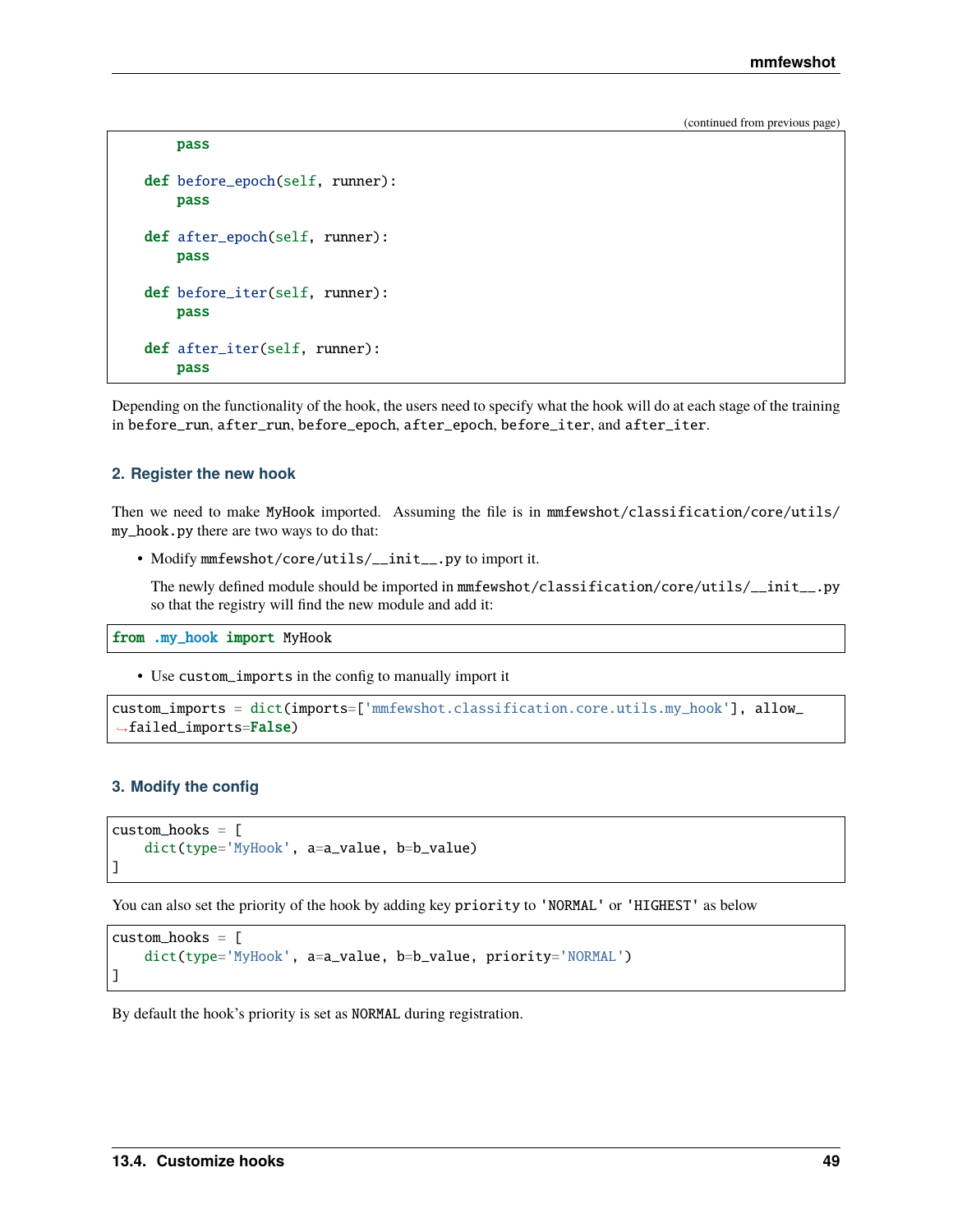```
pass
def before_epoch(self, runner):
    pass
def after_epoch(self, runner):
    pass
def before_iter(self, runner):
    pass
def after_iter(self, runner):
    pass
```
Depending on the functionality of the hook, the users need to specify what the hook will do at each stage of the training in before\_run, after\_run, before\_epoch, after\_epoch, before\_iter, and after\_iter.

#### **2. Register the new hook**

Then we need to make MyHook imported. Assuming the file is in mmfewshot/classification/core/utils/ my\_hook.py there are two ways to do that:

• Modify mmfewshot/core/utils/\_\_init\_\_.py to import it.

The newly defined module should be imported in mmfewshot/classification/core/utils/\_\_init\_\_.py so that the registry will find the new module and add it:

from .my\_hook import MyHook

• Use custom\_imports in the config to manually import it

```
custom_imports = dict(imports=['mmfewshot.classification.core.utils.my_hook'], allow_
˓→failed_imports=False)
```
#### **3. Modify the config**

```
custom\_hook = \lceildict(type='MyHook', a=a_value, b=b_value)
]
```
You can also set the priority of the hook by adding key priority to 'NORMAL' or 'HIGHEST' as below

```
custom_hooks = [
    dict(type='MyHook', a=a_value, b=b_value, priority='NORMAL')
]
```
By default the hook's priority is set as NORMAL during registration.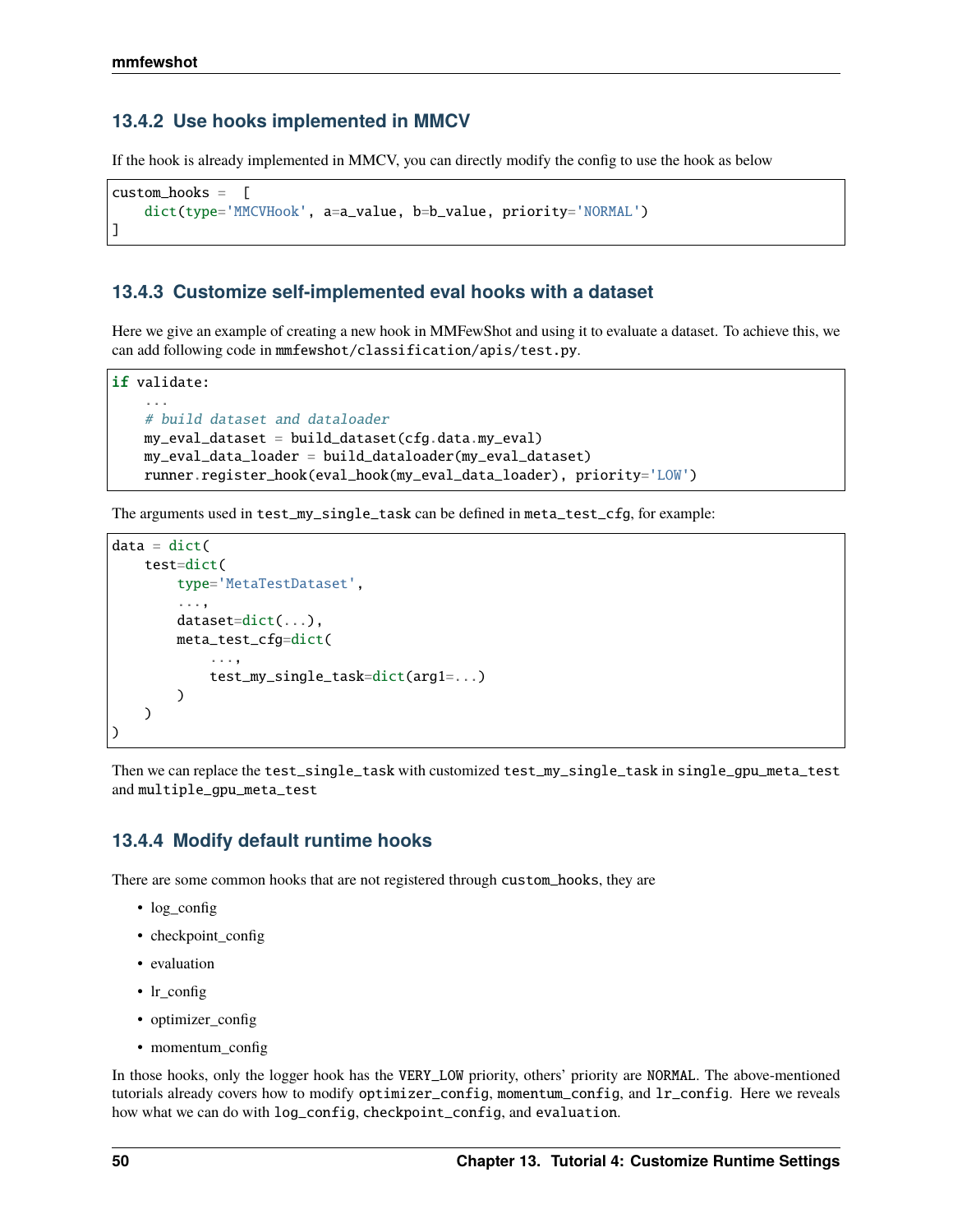### **13.4.2 Use hooks implemented in MMCV**

If the hook is already implemented in MMCV, you can directly modify the config to use the hook as below

```
custom_hooks = [
    dict(type='MMCVHook', a=a_value, b=b_value, priority='NORMAL')
]
```
### **13.4.3 Customize self-implemented eval hooks with a dataset**

Here we give an example of creating a new hook in MMFewShot and using it to evaluate a dataset. To achieve this, we can add following code in mmfewshot/classification/apis/test.py.

```
if validate:
    ...
    # build dataset and dataloader
   my_eval_dataset = build_dataset(cfg.data.my_eval)
   my_eval_data_loader = build_dataloader(my_eval_dataset)
   runner.register_hook(eval_hook(my_eval_data_loader), priority='LOW')
```
The arguments used in test\_my\_single\_task can be defined in meta\_test\_cfg, for example:

```
data = dict(test=dict(
        type='MetaTestDataset',
        ...,
        dataset=dict(...),
        meta_test_cfg=dict(
            ...,
            test_my_single_task=dict(arg1=...)
        )
    )
)
```
Then we can replace the test\_single\_task with customized test\_my\_single\_task in single\_gpu\_meta\_test and multiple\_gpu\_meta\_test

## **13.4.4 Modify default runtime hooks**

There are some common hooks that are not registered through custom\_hooks, they are

- log\_config
- checkpoint config
- evaluation
- lr\_config
- optimizer\_config
- momentum config

In those hooks, only the logger hook has the VERY\_LOW priority, others' priority are NORMAL. The above-mentioned tutorials already covers how to modify optimizer\_config, momentum\_config, and lr\_config. Here we reveals how what we can do with log\_config, checkpoint\_config, and evaluation.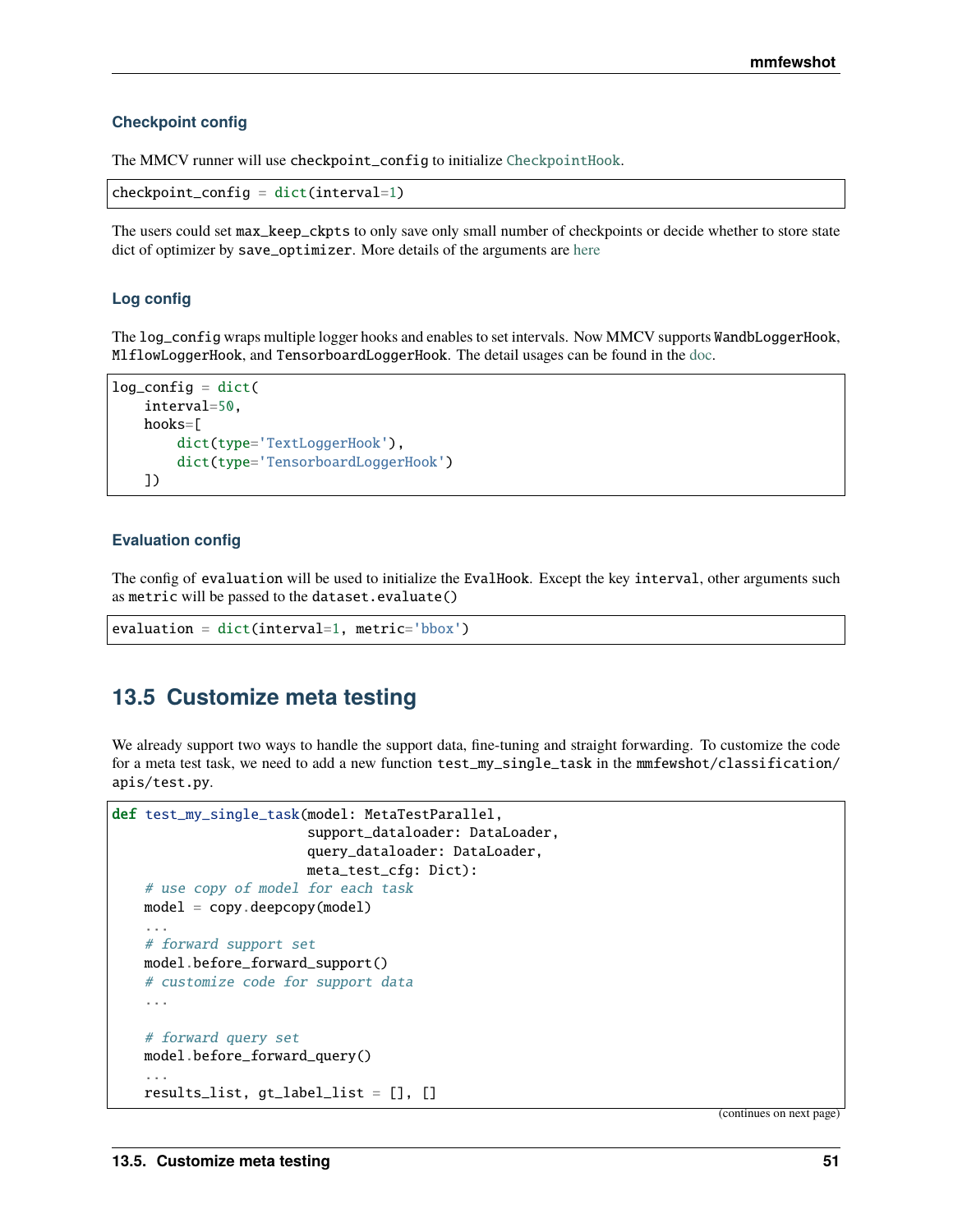#### **Checkpoint config**

The MMCV runner will use checkpoint\_config to initialize [CheckpointHook](https://github.com/open-mmlab/mmcv/blob/9ecd6b0d5ff9d2172c49a182eaa669e9f27bb8e7/mmcv/runner/hooks/checkpoint.py#L9).

```
checkpoint\_config = dict(interval=1)
```
The users could set max\_keep\_ckpts to only save only small number of checkpoints or decide whether to store state dict of optimizer by save\_optimizer. More details of the arguments are [here](https://mmcv.readthedocs.io/en/latest/api.html#mmcv.runner.CheckpointHook)

### **Log config**

The log\_config wraps multiple logger hooks and enables to set intervals. Now MMCV supports WandbLoggerHook, MlflowLoggerHook, and TensorboardLoggerHook. The detail usages can be found in the [doc.](https://mmcv.readthedocs.io/en/latest/api.html#mmcv.runner.LoggerHook)

```
log_{\text{config}} = \text{dict}(interval=50,
    hooks=[
         dict(type='TextLoggerHook'),
         dict(type='TensorboardLoggerHook')
    ])
```
### **Evaluation config**

The config of evaluation will be used to initialize the EvalHook. Except the key interval, other arguments such as metric will be passed to the dataset.evaluate()

```
evaluation = dict(interval=1, metric='bbox')
```
# **13.5 Customize meta testing**

We already support two ways to handle the support data, fine-tuning and straight forwarding. To customize the code for a meta test task, we need to add a new function test\_my\_single\_task in the mmfewshot/classification/ apis/test.py.

```
def test_my_single_task(model: MetaTestParallel,
                        support_dataloader: DataLoader,
                        query_dataloader: DataLoader,
                        meta_test_cfg: Dict):
   # use copy of model for each task
   model = copy.deepcopy(model)
    ...
   # forward support set
   model.before_forward_support()
   # customize code for support data
    ...
   # forward query set
   model.before_forward_query()
    ...
   results_list, gt_label_list = [], []
```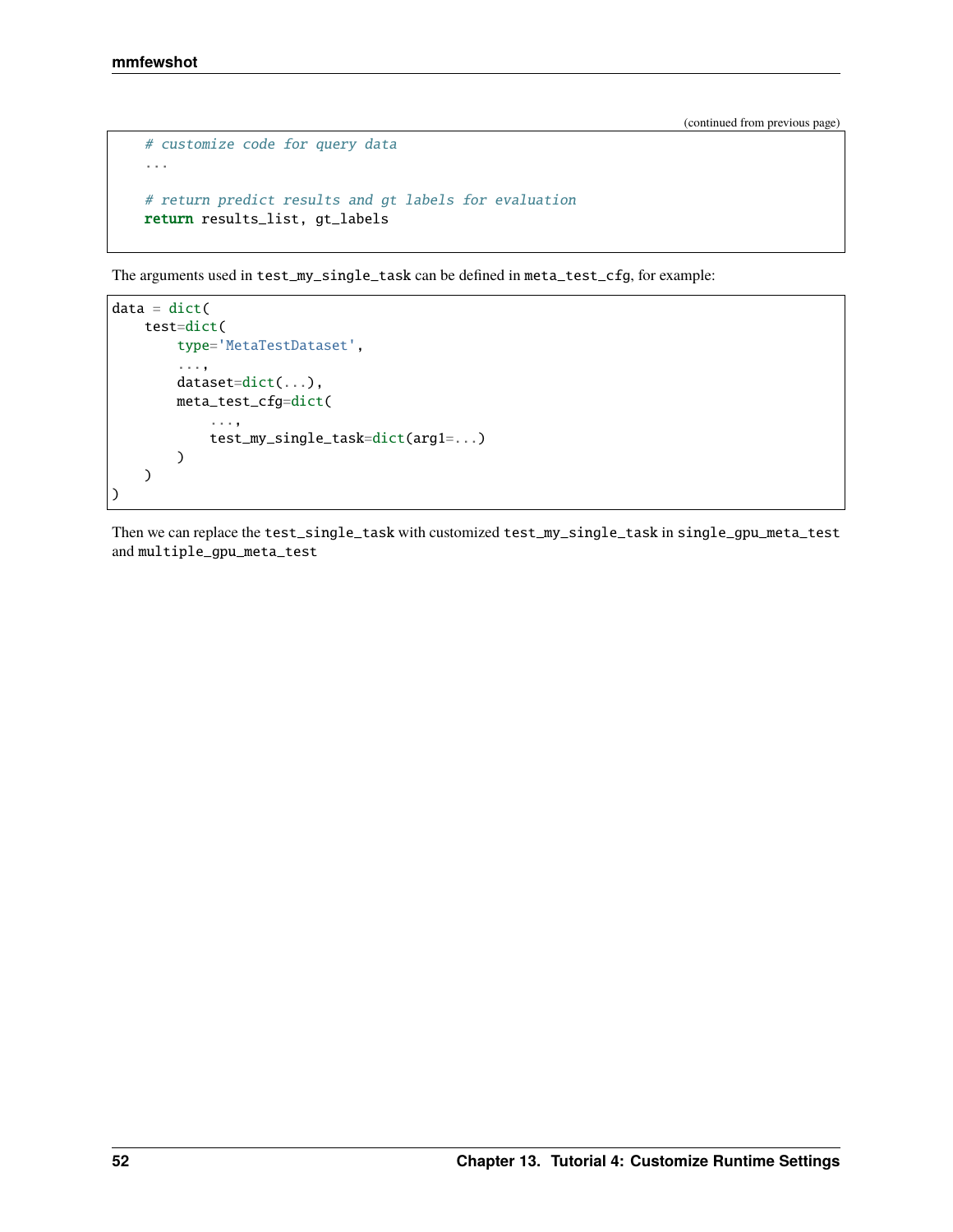```
# customize code for query data
...
# return predict results and gt labels for evaluation
return results_list, gt_labels
```
The arguments used in test\_my\_single\_task can be defined in meta\_test\_cfg, for example:

```
data = dict(test=dict(
       type='MetaTestDataset',
        ...,
       dataset=dict(...),
       meta_test_cfg=dict(
            ...,
            test_my_single_task=dict(arg1=...)
       )
   )
)
```
Then we can replace the test\_single\_task with customized test\_my\_single\_task in single\_gpu\_meta\_test and multiple\_gpu\_meta\_test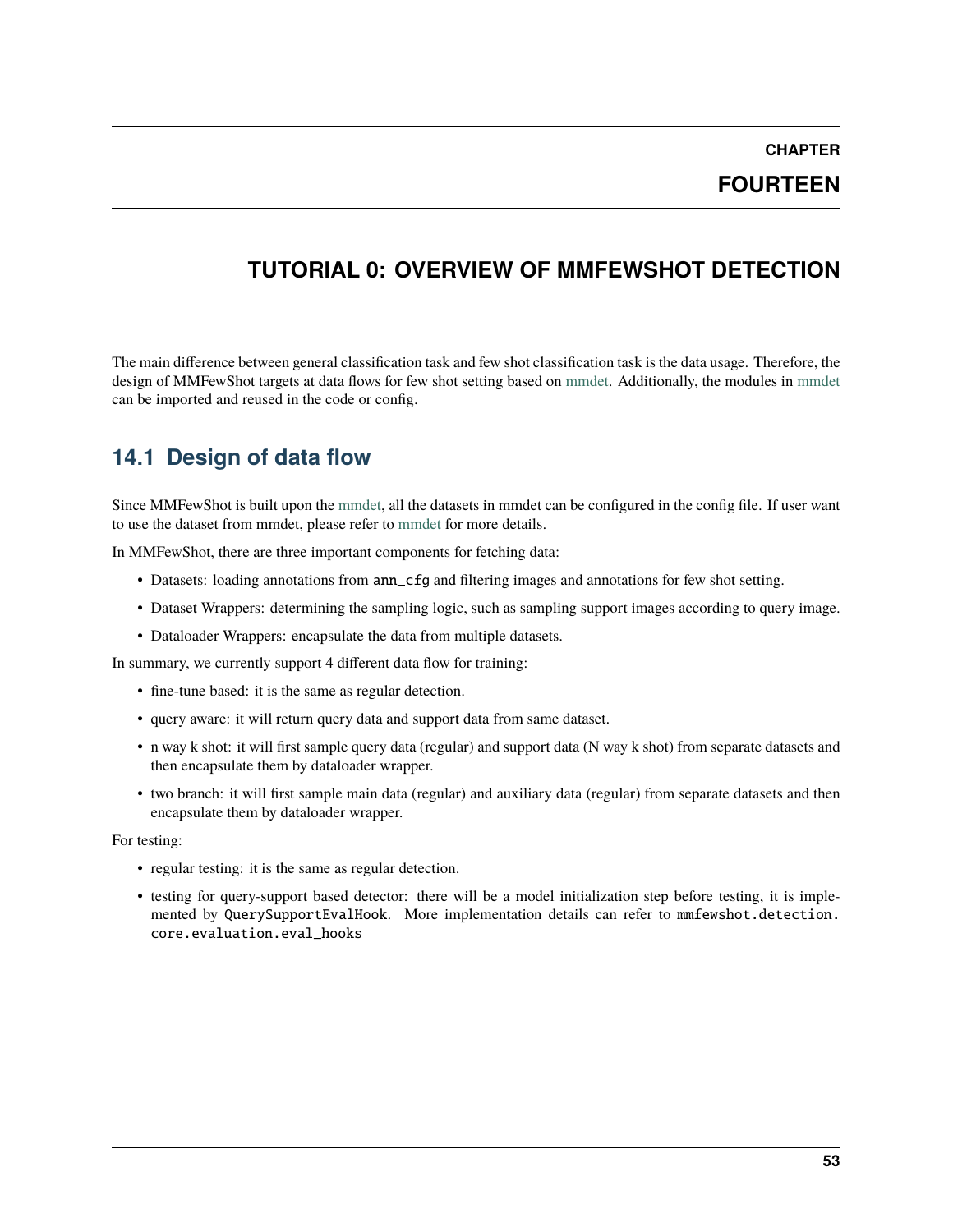**CHAPTER**

**FOURTEEN**

# **TUTORIAL 0: OVERVIEW OF MMFEWSHOT DETECTION**

The main difference between general classification task and few shot classification task is the data usage. Therefore, the design of MMFewShot targets at data flows for few shot setting based on [mmdet.](https://github.com/open-mmlab/mmdetection) Additionally, the modules in [mmdet](https://github.com/open-mmlab/mmdetection) can be imported and reused in the code or config.

# **14.1 Design of data flow**

Since MMFewShot is built upon the [mmdet,](https://mmdetection.readthedocs.io/en/latest) all the datasets in mmdet can be configured in the config file. If user want to use the dataset from mmdet, please refer to [mmdet](https://mmdetection.readthedocs.io/en/latest/tutorials/customize_dataset.html) for more details.

In MMFewShot, there are three important components for fetching data:

- Datasets: loading annotations from ann\_cfg and filtering images and annotations for few shot setting.
- Dataset Wrappers: determining the sampling logic, such as sampling support images according to query image.
- Dataloader Wrappers: encapsulate the data from multiple datasets.

In summary, we currently support 4 different data flow for training:

- fine-tune based: it is the same as regular detection.
- query aware: it will return query data and support data from same dataset.
- n way k shot: it will first sample query data (regular) and support data (N way k shot) from separate datasets and then encapsulate them by dataloader wrapper.
- two branch: it will first sample main data (regular) and auxiliary data (regular) from separate datasets and then encapsulate them by dataloader wrapper.

For testing:

- regular testing: it is the same as regular detection.
- testing for query-support based detector: there will be a model initialization step before testing, it is implemented by QuerySupportEvalHook. More implementation details can refer to mmfewshot.detection. core.evaluation.eval\_hooks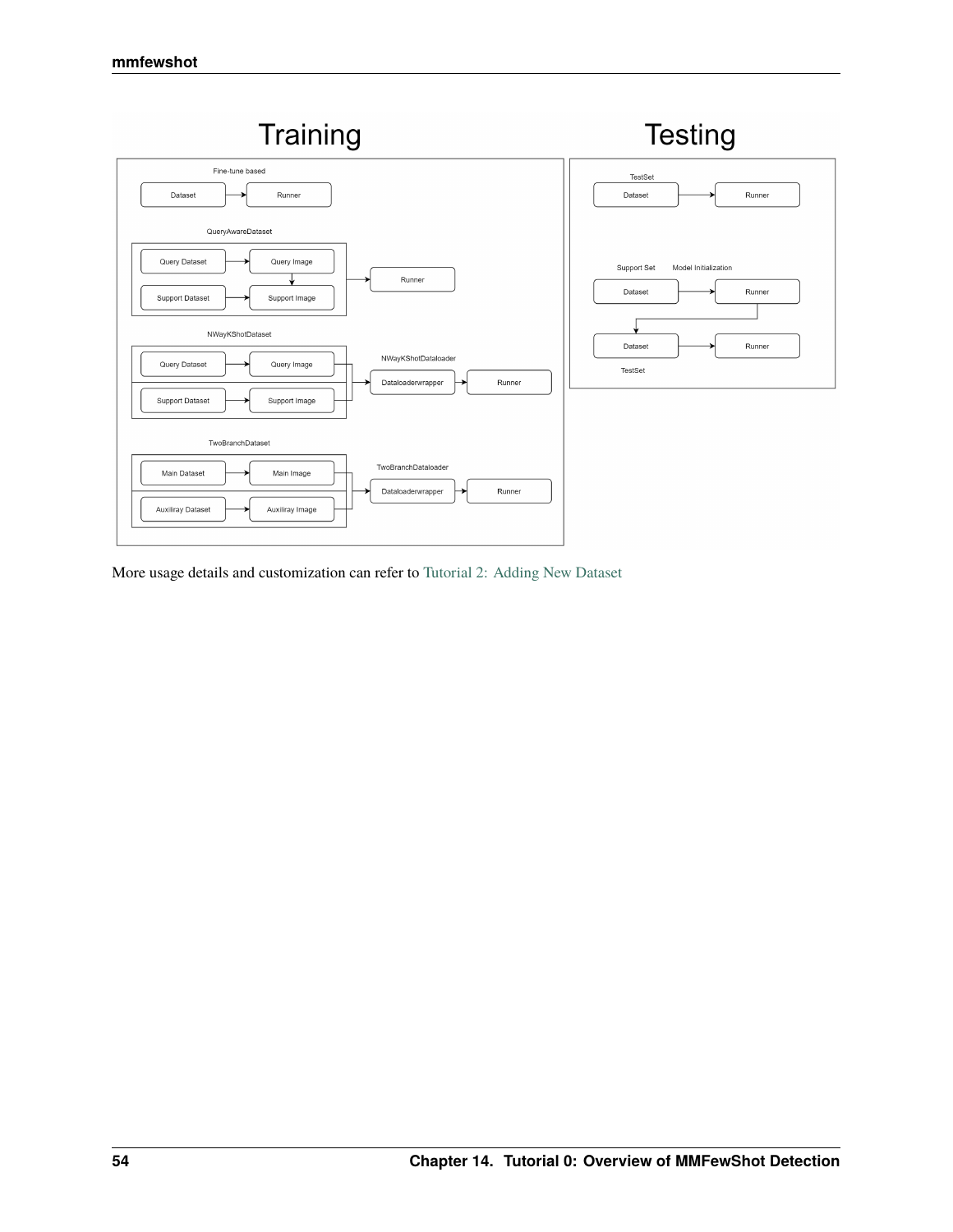

More usage details and customization can refer to [Tutorial 2: Adding New Dataset](https://mmfewshot.readthedocs.io/en/latest/detection/customize_dataset.html)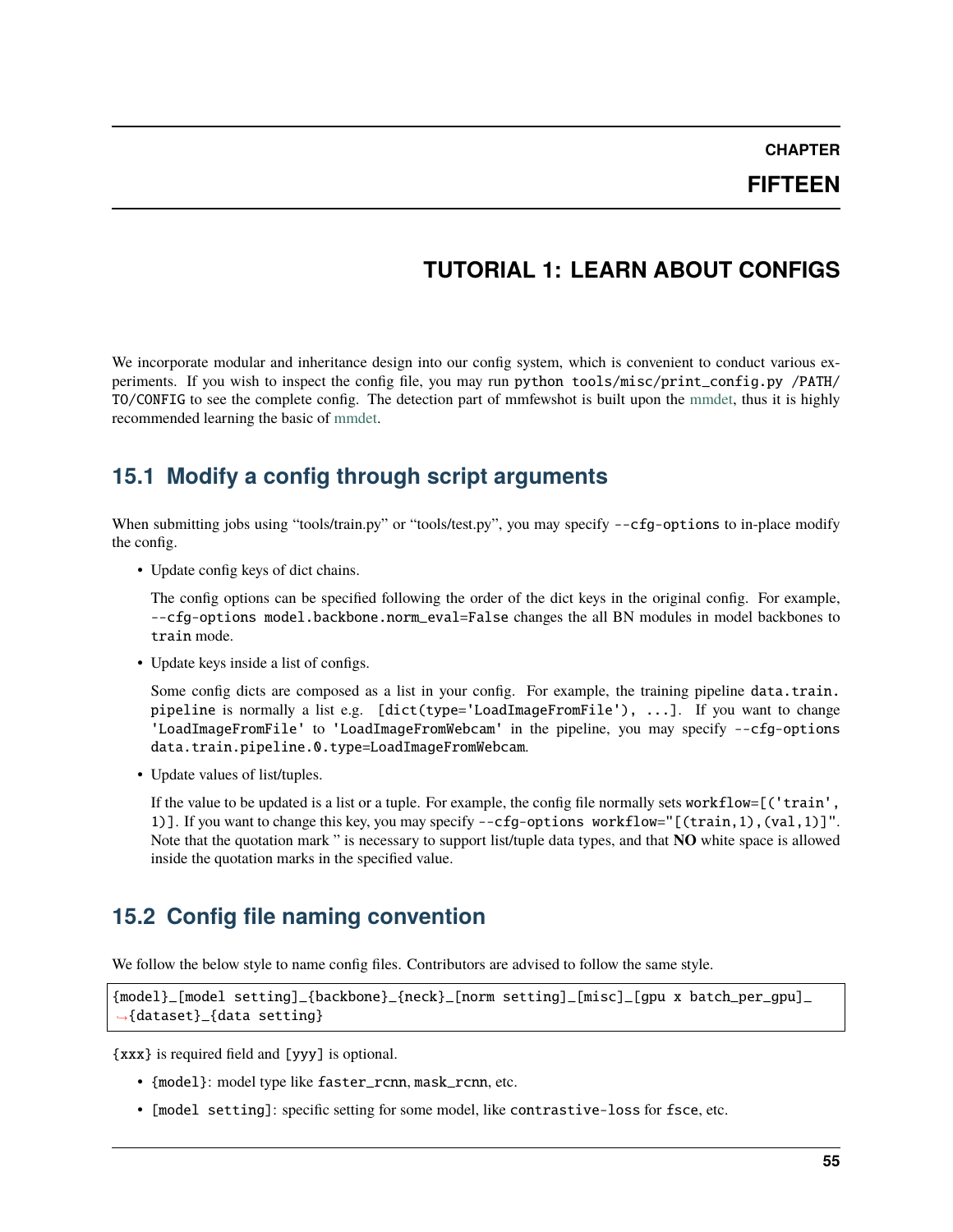**CHAPTER**

**FIFTEEN**

# **TUTORIAL 1: LEARN ABOUT CONFIGS**

We incorporate modular and inheritance design into our config system, which is convenient to conduct various experiments. If you wish to inspect the config file, you may run python tools/misc/print\_config.py /PATH/ TO/CONFIG to see the complete config. The detection part of mmfewshot is built upon the [mmdet,](https://github.com/open-mmlab/mmdetection) thus it is highly recommended learning the basic of [mmdet.](https://mmdetection.readthedocs.io/en/latest/)

# **15.1 Modify a config through script arguments**

When submitting jobs using "tools/train.py" or "tools/test.py", you may specify --cfq-options to in-place modify the config.

• Update config keys of dict chains.

The config options can be specified following the order of the dict keys in the original config. For example, --cfg-options model.backbone.norm\_eval=False changes the all BN modules in model backbones to train mode.

• Update keys inside a list of configs.

Some config dicts are composed as a list in your config. For example, the training pipeline data.train. pipeline is normally a list e.g. [dict(type='LoadImageFromFile'), ...]. If you want to change 'LoadImageFromFile' to 'LoadImageFromWebcam' in the pipeline, you may specify --cfg-options data.train.pipeline.0.type=LoadImageFromWebcam.

• Update values of list/tuples.

If the value to be updated is a list or a tuple. For example, the config file normally sets workflow=[('train', 1)]. If you want to change this key, you may specify --cfg-options workflow="[(train,1),(val,1)]". Note that the quotation mark " is necessary to support list/tuple data types, and that **NO** white space is allowed inside the quotation marks in the specified value.

# **15.2 Config file naming convention**

We follow the below style to name config files. Contributors are advised to follow the same style.

```
{model}_[model setting]_{backbone}_{neck}_[norm setting]_[misc]_[gpu x batch_per_gpu]_
˓→{dataset}_{data setting}
```
{xxx} is required field and [yyy] is optional.

- {model}: model type like faster\_rcnn, mask\_rcnn, etc.
- [model setting]: specific setting for some model, like contrastive-loss for fsce, etc.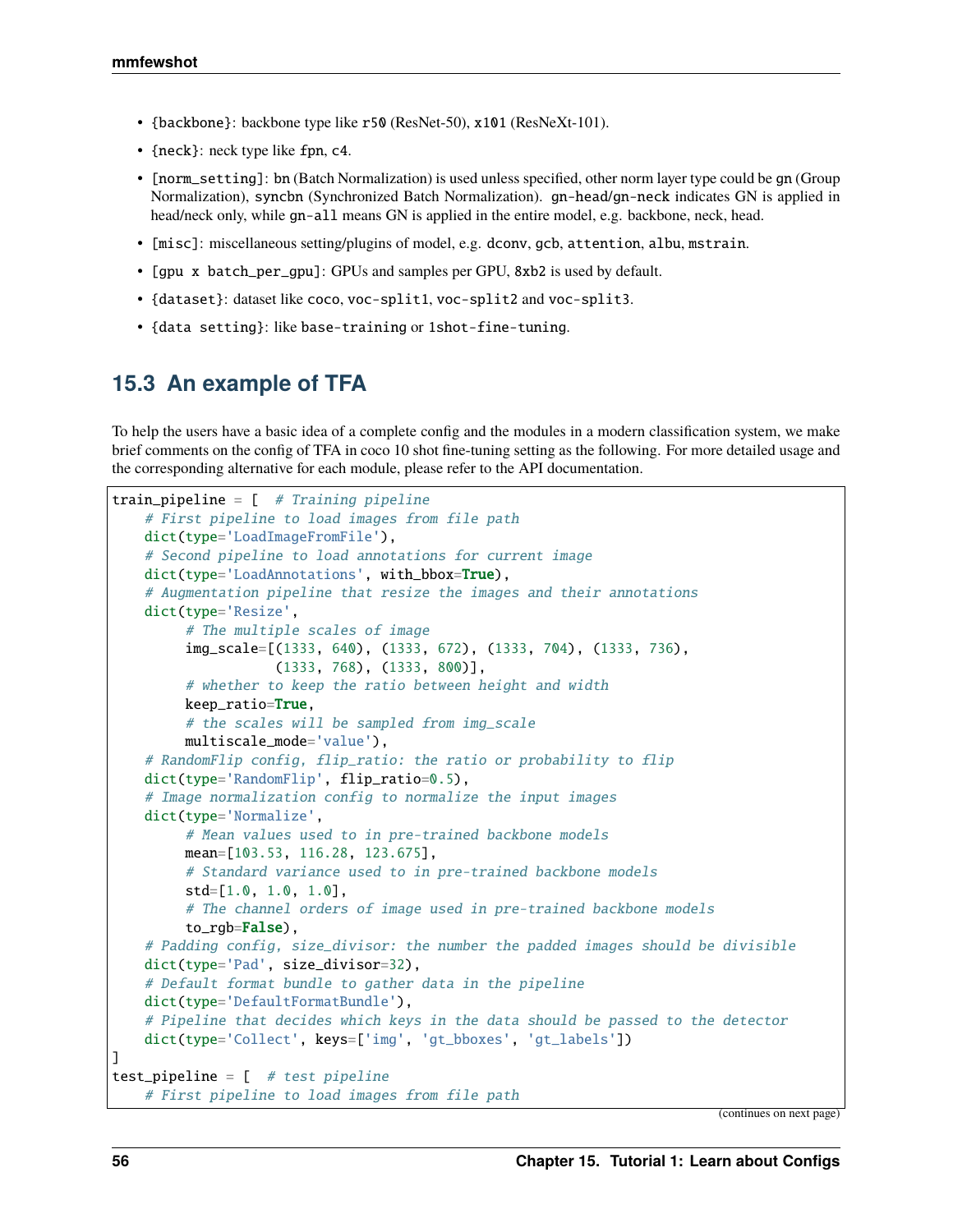- {backbone}: backbone type like r50 (ResNet-50), x101 (ResNeXt-101).
- {neck}: neck type like fpn, c4.
- [norm\_setting]: bn (Batch Normalization) is used unless specified, other norm layer type could be gn (Group Normalization), syncbn (Synchronized Batch Normalization). gn-head/gn-neck indicates GN is applied in head/neck only, while gn-all means GN is applied in the entire model, e.g. backbone, neck, head.
- [misc]: miscellaneous setting/plugins of model, e.g. dconv, gcb, attention, albu, mstrain.
- [gpu x batch\_per\_gpu]: GPUs and samples per GPU, 8xb2 is used by default.
- {dataset}: dataset like coco, voc-split1, voc-split2 and voc-split3.
- {data setting}: like base-training or 1shot-fine-tuning.

# **15.3 An example of TFA**

To help the users have a basic idea of a complete config and the modules in a modern classification system, we make brief comments on the config of TFA in coco 10 shot fine-tuning setting as the following. For more detailed usage and the corresponding alternative for each module, please refer to the API documentation.

```
train_pipeline = [ # Training pipeline
    # First pipeline to load images from file path
   dict(type='LoadImageFromFile'),
    # Second pipeline to load annotations for current image
    dict(type='LoadAnnotations', with_bbox=True),
    # Augmentation pipeline that resize the images and their annotations
    dict(type='Resize',
         # The multiple scales of image
         img_scale=[(1333, 640), (1333, 672), (1333, 704), (1333, 736),
                    (1333, 768), (1333, 800)],
         # whether to keep the ratio between height and width
         keep_ratio=True,
         # the scales will be sampled from img_scale
         multiscale_mode='value'),
    # RandomFlip config, flip_ratio: the ratio or probability to flip
    dict(type='RandomFlip', flip_ratio=0.5),
    # Image normalization config to normalize the input images
    dict(type='Normalize',
         # Mean values used to in pre-trained backbone models
         mean=[103.53, 116.28, 123.675],
         # Standard variance used to in pre-trained backbone models
         std=[1.0, 1.0, 1.0],
         # The channel orders of image used in pre-trained backbone models
         to_rgb=False),
    # Padding config, size_divisor: the number the padded images should be divisible
   dict(type='Pad', size_divisor=32),
    # Default format bundle to gather data in the pipeline
   dict(type='DefaultFormatBundle'),
    # Pipeline that decides which keys in the data should be passed to the detector
   dict(type='Collect', keys=['img', 'gt_bboxes', 'gt_labels'])
]
test_pipeline = [ # test pipeline
    # First pipeline to load images from file path
```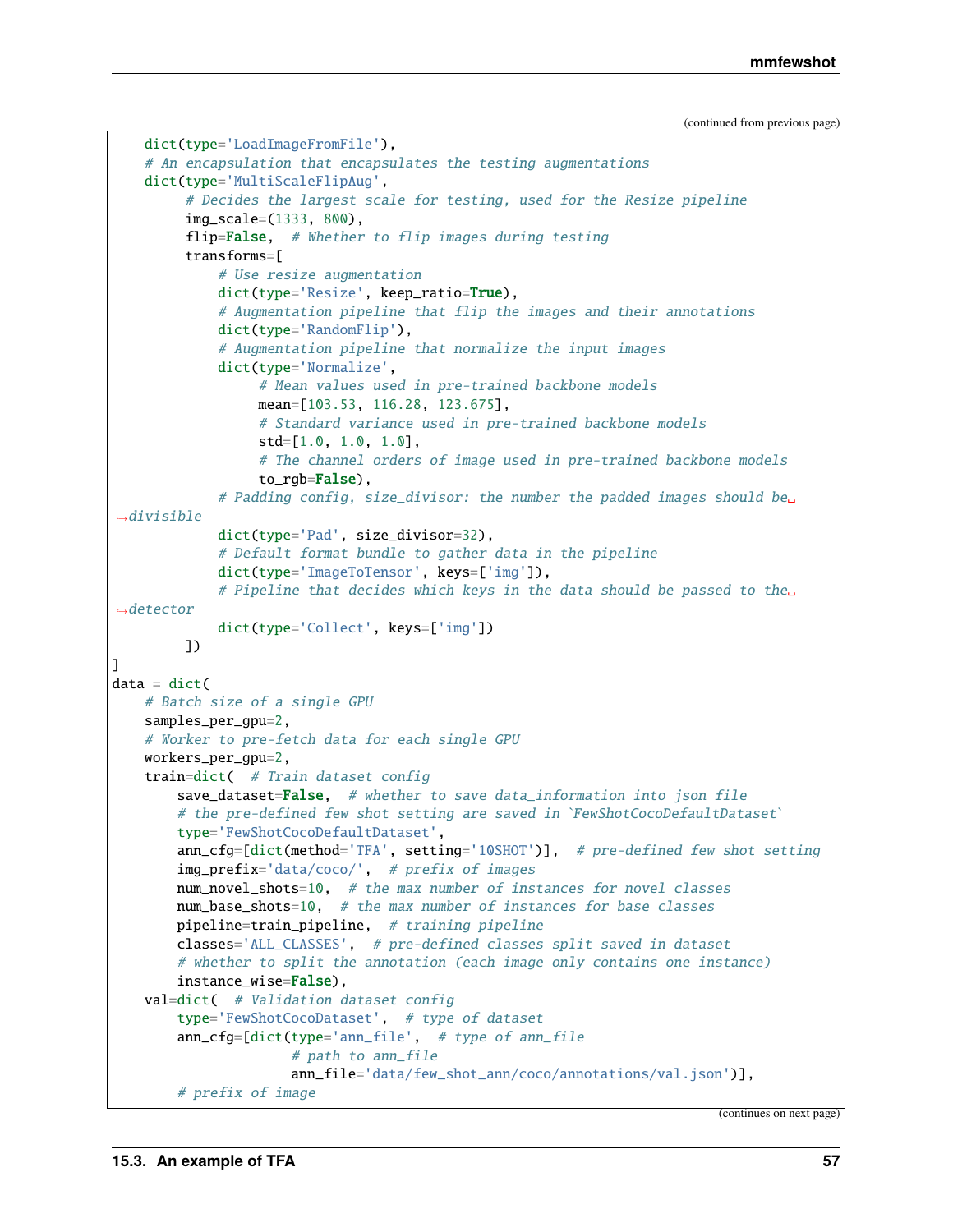```
(continued from previous page)
```

```
dict(type='LoadImageFromFile'),
    # An encapsulation that encapsulates the testing augmentations
   dict(type='MultiScaleFlipAug',
         # Decides the largest scale for testing, used for the Resize pipeline
         img_scale=(1333, 800),
         flip=False, # Whether to flip images during testing
         transforms=[
             # Use resize augmentation
             dict(type='Resize', keep_ratio=True),
             # Augmentation pipeline that flip the images and their annotations
             dict(type='RandomFlip'),
             # Augmentation pipeline that normalize the input images
             dict(type='Normalize',
                  # Mean values used in pre-trained backbone models
                  mean=[103.53, 116.28, 123.675],
                  # Standard variance used in pre-trained backbone models
                  std=[1.0, 1.0, 1.0],
                  # The channel orders of image used in pre-trained backbone models
                  to_rgb=False),
             # Padding config, size_divisor: the number the padded images should be␣
ightharpoonupdivisible
             dict(type='Pad', size_divisor=32),
             # Default format bundle to gather data in the pipeline
             dict(type='ImageToTensor', keys=['img']),
             # Pipeline that decides which keys in the data should be passed to the␣
ightharpoonupdetector
             dict(type='Collect', keys=['img'])
         ])
]
data = dict(# Batch size of a single GPU
   samples_per_gpu=2,
    # Worker to pre-fetch data for each single GPU
   workers_per_gpu=2,
   train=dict( # Train dataset config
        save_dataset=False, # whether to save data_information into json file
        # the pre-defined few shot setting are saved in `FewShotCocoDefaultDataset`
        type='FewShotCocoDefaultDataset',
        ann_cfg=[dict(method='TFA', setting='10SHOT')], # pre-defined few shot setting
        img_prefix='data/coco/', # prefix of images
        num_novel_shots=10, # the max number of instances for novel classes
        num_base_shots=10, # the max number of instances for base classes
       pipeline=train_pipeline, # training pipeline
        classes='ALL_CLASSES', # pre-defined classes split saved in dataset
        # whether to split the annotation (each image only contains one instance)
        instance_wise=False),
   val=dict( # Validation dataset config
        type='FewShotCocoDataset', # type of dataset
        ann_cfg=[dict(type='ann_file', # type of ann_file
                      # path to ann_file
                      ann_file='data/few_shot_ann/coco/annotations/val.json')],
        # prefix of image
```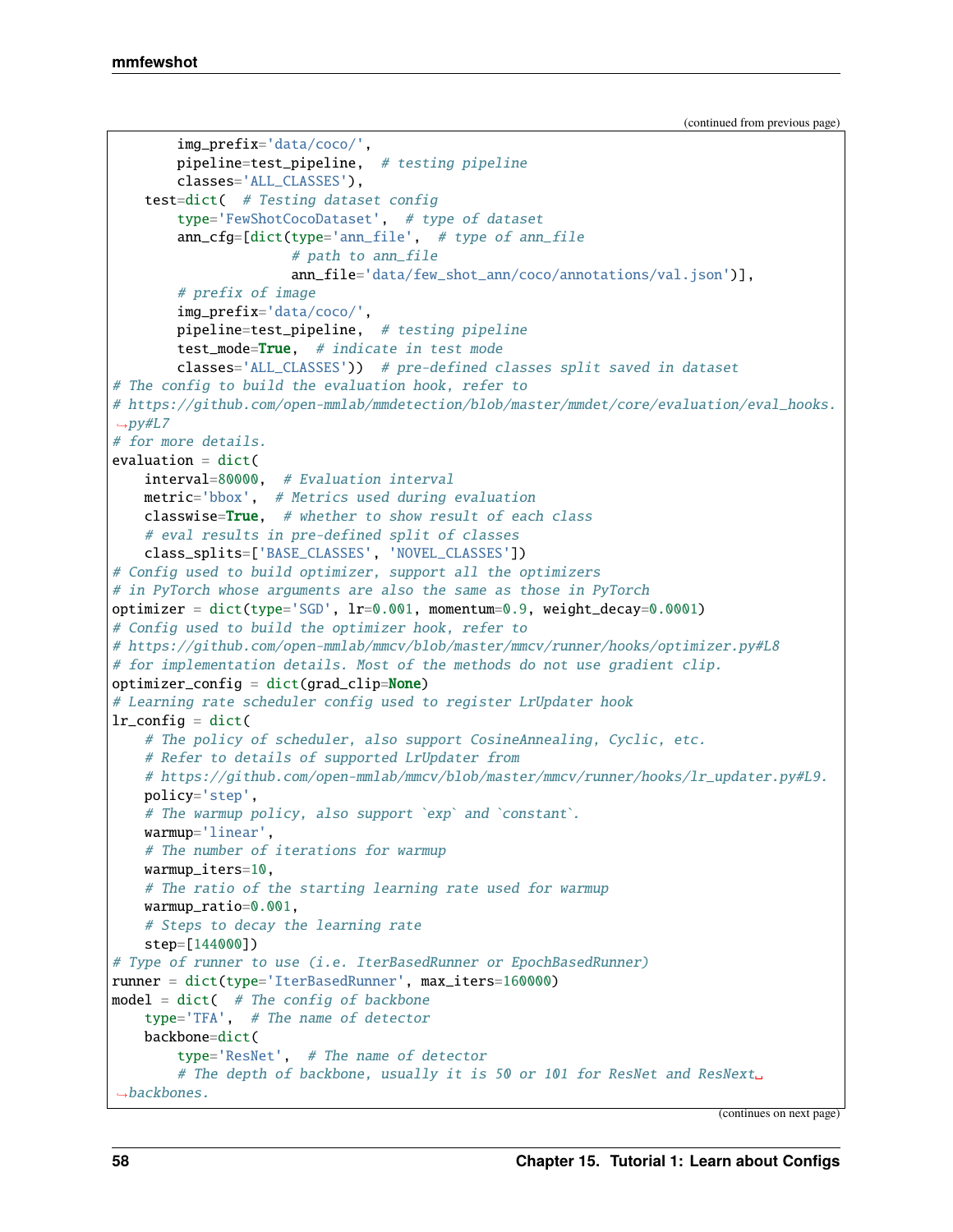```
img_prefix='data/coco/',
       pipeline=test_pipeline, # testing pipeline
        classes='ALL_CLASSES'),
    test=dict( # Testing dataset config
        type='FewShotCocoDataset', # type of dataset
        ann_cfg=[dict(type='ann_file', # type of ann_file
                      # path to ann_file
                      ann_file='data/few_shot_ann/coco/annotations/val.json')],
        # prefix of image
        img_prefix='data/coco/',
       pipeline=test_pipeline, # testing pipeline
       test_mode=True, # indicate in test mode
       classes='ALL_CLASSES')) # pre-defined classes split saved in dataset
# The config to build the evaluation hook, refer to
# https://github.com/open-mmlab/mmdetection/blob/master/mmdet/core/evaluation/eval_hooks.
\rightarrowpy#L7
# for more details.
evaluation = dict(
   interval=80000, # Evaluation interval
   metric='bbox', # Metrics used during evaluation
   classwise=True, # whether to show result of each class
    # eval results in pre-defined split of classes
   class_splits=['BASE_CLASSES', 'NOVEL_CLASSES'])
# Config used to build optimizer, support all the optimizers
# in PyTorch whose arguments are also the same as those in PyTorch
optimizer = dict(type='SGD', lr=0.001, momentum=0.9, weight_decay=0.0001)
# Config used to build the optimizer hook, refer to
# https://github.com/open-mmlab/mmcv/blob/master/mmcv/runner/hooks/optimizer.py#L8
# for implementation details. Most of the methods do not use gradient clip.
optimizer_config = dict(grad_clip=None)
# Learning rate scheduler config used to register LrUpdater hook
lr\_config = dict(# The policy of scheduler, also support CosineAnnealing, Cyclic, etc.
    # Refer to details of supported LrUpdater from
    # https://github.com/open-mmlab/mmcv/blob/master/mmcv/runner/hooks/lr_updater.py#L9.
   policy='step',
   # The warmup policy, also support `exp` and `constant`.
   warmup='linear',
   # The number of iterations for warmup
   warmup_iters=10,
   # The ratio of the starting learning rate used for warmup
   warmup_ratio=0.001,
    # Steps to decay the learning rate
    step=[144000])
# Type of runner to use (i.e. IterBasedRunner or EpochBasedRunner)
runner = dict(type='IterBasedRunner', max_iters=160000)
model = dict( # The config of backbone)type='TFA', # The name of detector
   backbone=dict(
        type='ResNet', # The name of detector
        # The depth of backbone, usually it is 50 or 101 for ResNet and ResNext.
˓→backbones.
```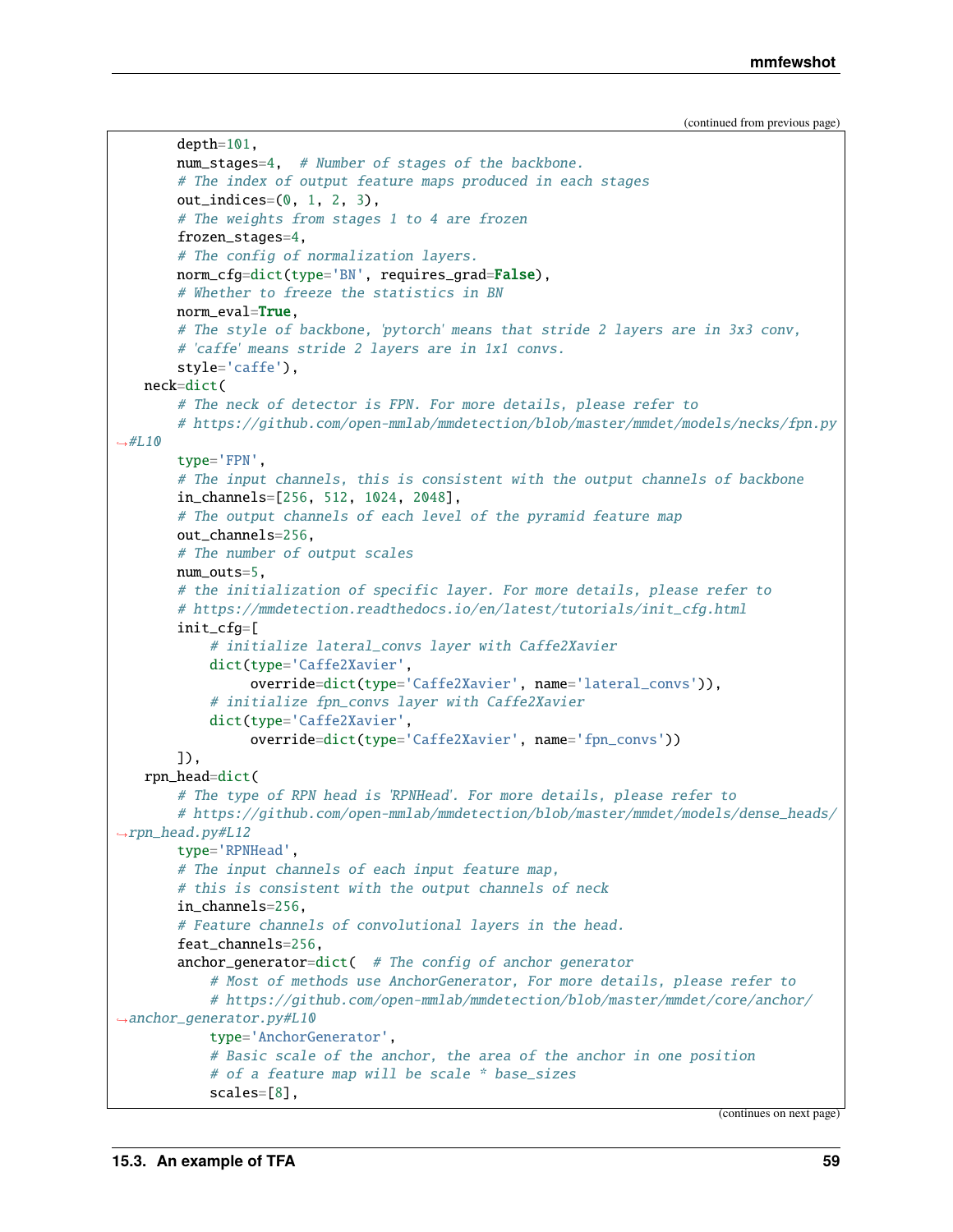```
depth=101,
       num_stages=4, # Number of stages of the backbone.
       # The index of output feature maps produced in each stages
       out\_indices=(0, 1, 2, 3),
       # The weights from stages 1 to 4 are frozen
       frozen_stages=4,
       # The config of normalization layers.
       norm_cfg=dict(type='BN', requires_grad=False),
       # Whether to freeze the statistics in BN
       norm_eval=True.
       # The style of backbone, 'pytorch' means that stride 2 layers are in 3x3 conv,
       # 'caffe' means stride 2 layers are in 1x1 convs.
       style='caffe'),
   neck=dict(
       # The neck of detector is FPN. For more details, please refer to
       # https://github.com/open-mmlab/mmdetection/blob/master/mmdet/models/necks/fpn.py
\rightarrow \#L10type='FPN',
       # The input channels, this is consistent with the output channels of backbone
       in_channels=[256, 512, 1024, 2048],
       # The output channels of each level of the pyramid feature map
       out_channels=256,
       # The number of output scales
       num_outs=5,
       # the initialization of specific layer. For more details, please refer to
       # https://mmdetection.readthedocs.io/en/latest/tutorials/init_cfg.html
       init_cfg=[
            # initialize lateral_convs layer with Caffe2Xavier
           dict(type='Caffe2Xavier',
                 override=dict(type='Caffe2Xavier', name='lateral_convs')),
           # initialize fpn_convs layer with Caffe2Xavier
           dict(type='Caffe2Xavier',
                override=dict(type='Caffe2Xavier', name='fpn_convs'))
       ]),
   rpn_head=dict(
       # The type of RPN head is 'RPNHead'. For more details, please refer to
       # https://github.com/open-mmlab/mmdetection/blob/master/mmdet/models/dense_heads/
\rightarrowrpn_head.py#L12
       type='RPNHead',
       # The input channels of each input feature map,
       # this is consistent with the output channels of neck
       in_channels=256,
       # Feature channels of convolutional layers in the head.
       feat_channels=256,
       anchor_generator=dict( # The config of anchor generator
           # Most of methods use AnchorGenerator, For more details, please refer to
           # https://github.com/open-mmlab/mmdetection/blob/master/mmdet/core/anchor/
˓→anchor_generator.py#L10
           type='AnchorGenerator',
           # Basic scale of the anchor, the area of the anchor in one position
           # of a feature map will be scale * base_sizes
           scales=[8],
```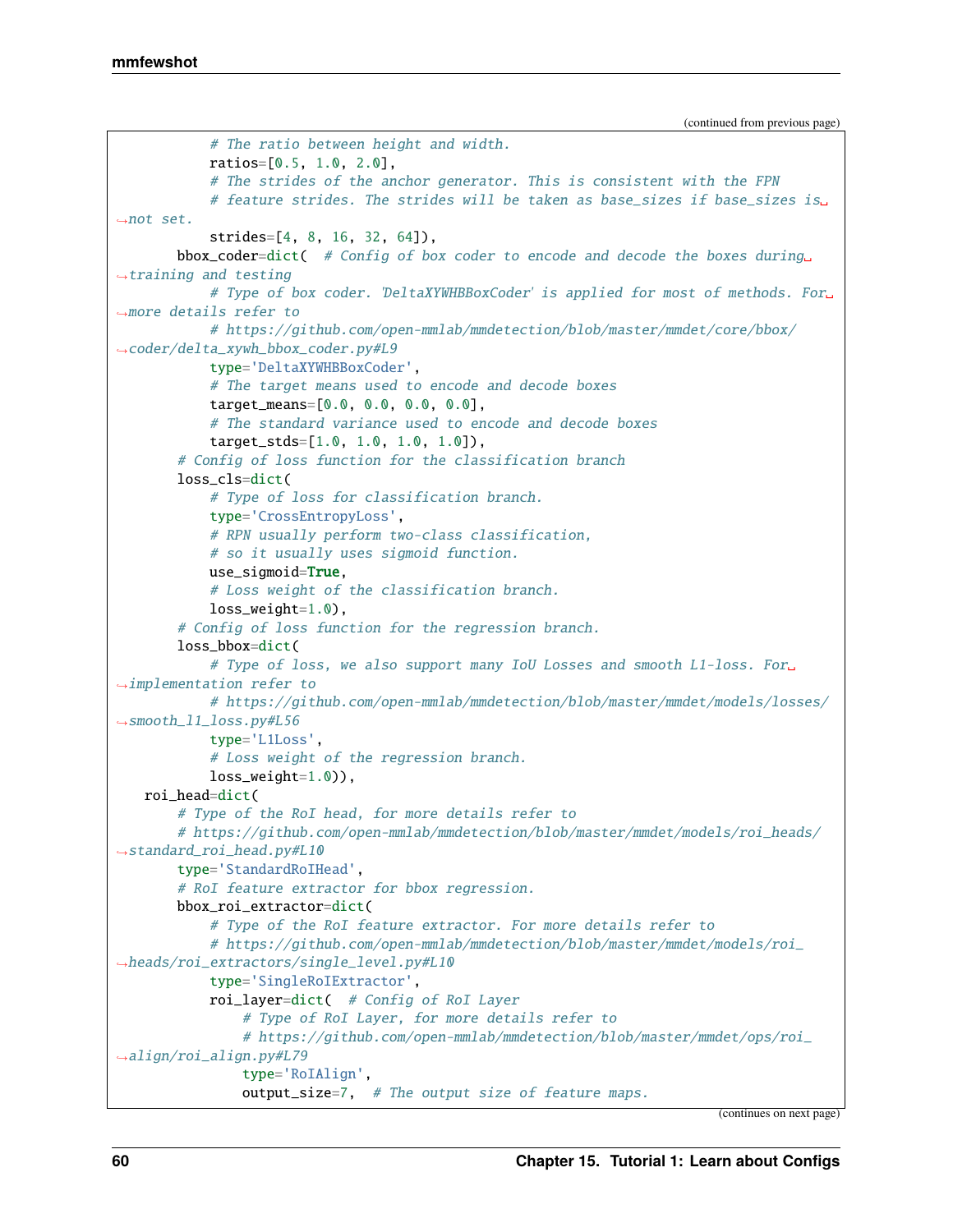```
# The ratio between height and width.
            ratios=[0.5, 1.0, 2.0],
            # The strides of the anchor generator. This is consistent with the FPN
            # feature strides. The strides will be taken as base_sizes if base_sizes is␣
˓→not set.
            strides=[4, 8, 16, 32, 64]),
       bbox_coder=dict( # Config of box coder to encode and decode the boxes during
ightharpoonuptraining and testing
            # Type of box coder. 'DeltaXYWHBBoxCoder' is applied for most of methods. For␣
˓→more details refer to
            # https://github.com/open-mmlab/mmdetection/blob/master/mmdet/core/bbox/
˓→coder/delta_xywh_bbox_coder.py#L9
            type='DeltaXYWHBBoxCoder',
            # The target means used to encode and decode boxes
            target_means=[0.0, 0.0, 0.0, 0.0],
            # The standard variance used to encode and decode boxes
            target_stds=[1.0, 1.0, 1.0, 1.0]),
        # Config of loss function for the classification branch
       loss_cls=dict(
            # Type of loss for classification branch.
            type='CrossEntropyLoss',
            # RPN usually perform two-class classification,
            # so it usually uses sigmoid function.
           use_sigmoid=True,
            # Loss weight of the classification branch.
            loss_weight=1.0),
        # Config of loss function for the regression branch.
       loss_bbox=dict(
            # Type of loss, we also support many IoU Losses and smooth L1-loss. For␣
˓→implementation refer to
            # https://github.com/open-mmlab/mmdetection/blob/master/mmdet/models/losses/
˓→smooth_l1_loss.py#L56
            type='L1Loss',
            # Loss weight of the regression branch.
            loss_weight=1.0)),
   roi_head=dict(
        # Type of the RoI head, for more details refer to
        # https://github.com/open-mmlab/mmdetection/blob/master/mmdet/models/roi_heads/
˓→standard_roi_head.py#L10
       type='StandardRoIHead',
        # RoI feature extractor for bbox regression.
       bbox_roi_extractor=dict(
            # Type of the RoI feature extractor. For more details refer to
            # https://github.com/open-mmlab/mmdetection/blob/master/mmdet/models/roi_
˓→heads/roi_extractors/single_level.py#L10
            type='SingleRoIExtractor',
            roi_layer=dict( # Config of RoI Layer
                # Type of RoI Layer, for more details refer to
                # https://github.com/open-mmlab/mmdetection/blob/master/mmdet/ops/roi_
\rightarrowalign/roi_align.py#L79
                type='RoIAlign',
                output_size=7, # The output size of feature maps.
```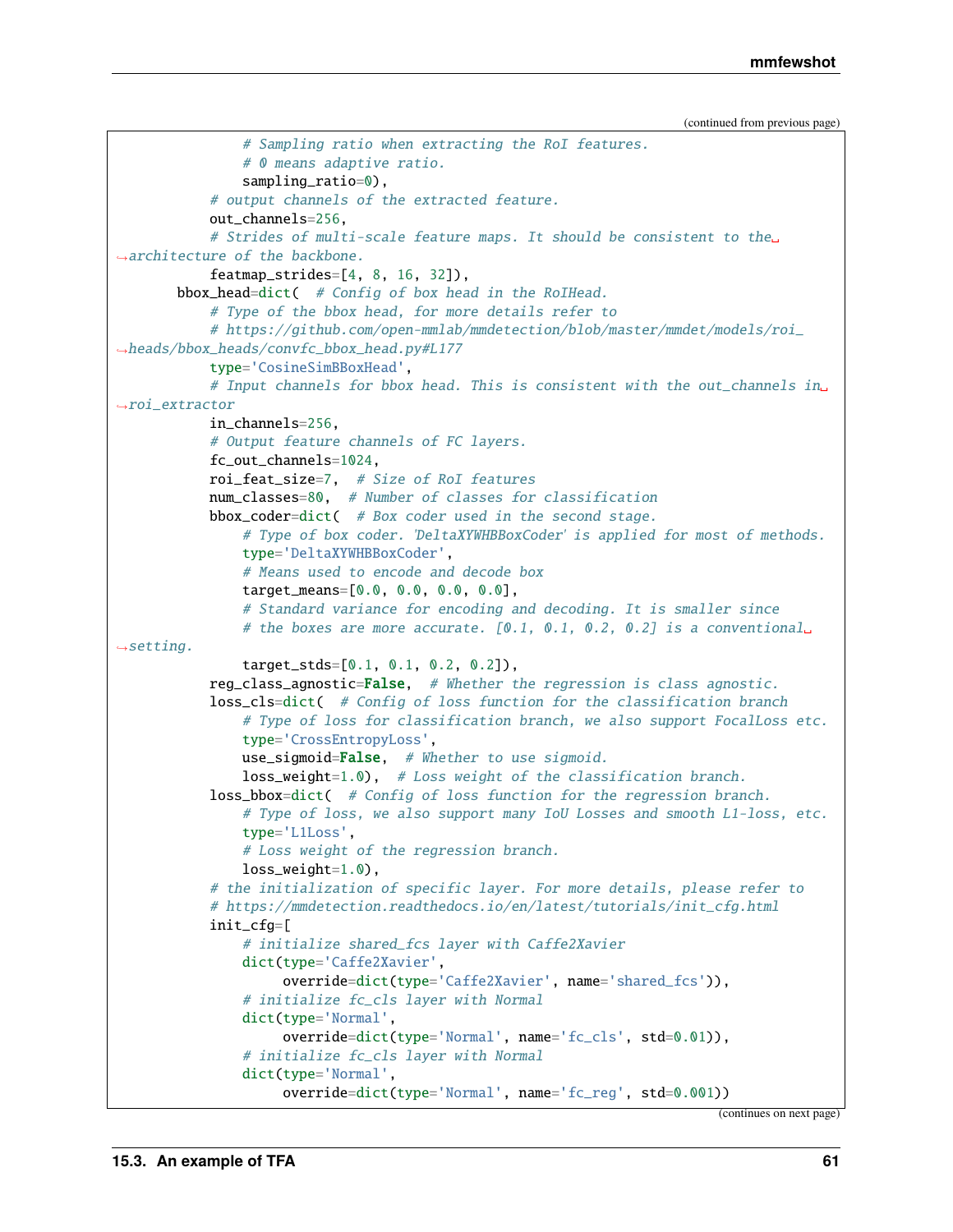```
# Sampling ratio when extracting the RoI features.
                # 0 means adaptive ratio.
                sampling_ratio=0),
           # output channels of the extracted feature.
           out_channels=256,
            # Strides of multi-scale feature maps. It should be consistent to the␣
˓→architecture of the backbone.
           featmap_strides=[4, 8, 16, 32]),
       bbox_head=dict( # Config of box head in the RoIHead.
            # Type of the bbox head, for more details refer to
           # https://github.com/open-mmlab/mmdetection/blob/master/mmdet/models/roi_
˓→heads/bbox_heads/convfc_bbox_head.py#L177
           type='CosineSimBBoxHead',
           # Input channels for bbox head. This is consistent with the out_channels in␣
˓→roi_extractor
           in_channels=256,
           # Output feature channels of FC layers.
           fc_out_channels=1024,
           roi_feat_size=7, # Size of RoI features
           num_classes=80, # Number of classes for classification
           bbox_coder=dict( # Box coder used in the second stage.
                # Type of box coder. 'DeltaXYWHBBoxCoder' is applied for most of methods.
                type='DeltaXYWHBBoxCoder',
                # Means used to encode and decode box
                target_means=[0.0, 0.0, 0.0, 0.0],
                # Standard variance for encoding and decoding. It is smaller since
                # the boxes are more accurate. [0.1, 0.1, 0.2, 0.2] is a conventional
\rightarrowsetting.
                target_stds=[0.1, 0.1, 0.2, 0.2]),
           reg_class_agnostic=False, # Whether the regression is class agnostic.
           loss_cls=dict( # Config of loss function for the classification branch
                # Type of loss for classification branch, we also support FocalLoss etc.
                type='CrossEntropyLoss',
                use\_sigmoid=False, # Whether to use sigmoid.
                loss_weight=1.0), # Loss weight of the classification branch.
           loss_bbox=dict( # Config of loss function for the regression branch.
                # Type of loss, we also support many IoU Losses and smooth L1-loss, etc.
                type='L1Loss',
                # Loss weight of the regression branch.
                loss_weight=1.0),
            # the initialization of specific layer. For more details, please refer to
           # https://mmdetection.readthedocs.io/en/latest/tutorials/init_cfg.html
           init_cfg=[
                # initialize shared_fcs layer with Caffe2Xavier
                dict(type='Caffe2Xavier',
                     override=dict(type='Caffe2Xavier', name='shared_fcs')),
                # initialize fc_cls layer with Normal
               dict(type='Normal',
                     override=dict(type='Normal', name='fc_cls', std=0.01)),
                # initialize fc_cls layer with Normal
                dict(type='Normal',
                     override=dict(type='Normal', name='fc_reg', std=0.001))
```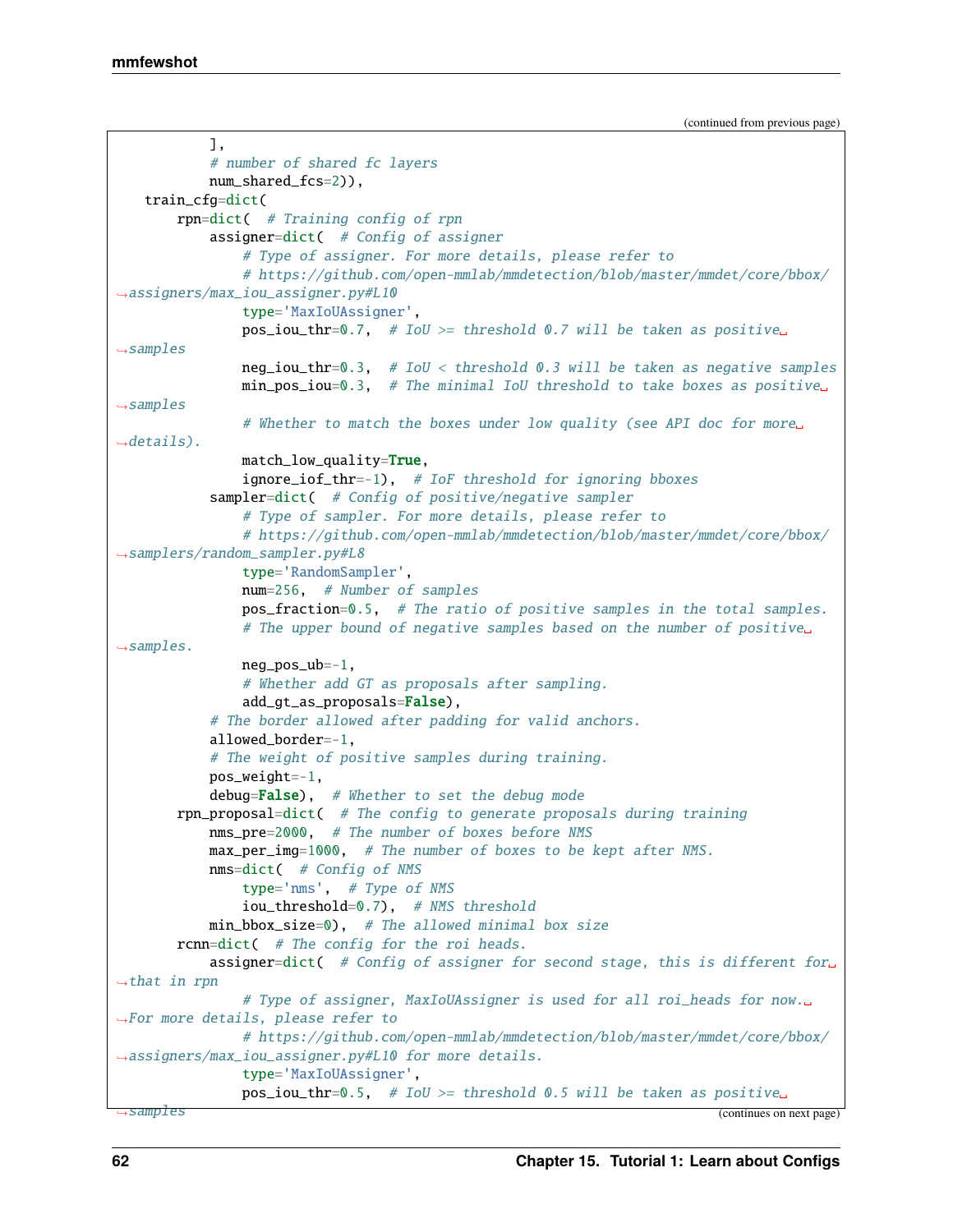```
],
           # number of shared fc layers
           num_shared_fcs=2)),
   train_cfg=dict(
       rpn=dict( # Training config of rpn
           assigner=dict( # Config of assigner
               # Type of assigner. For more details, please refer to
               # https://github.com/open-mmlab/mmdetection/blob/master/mmdet/core/bbox/
˓→assigners/max_iou_assigner.py#L10
               type='MaxIoUAssigner',
               pos\_iou\_thr=0.7, # IoU >= threshold 0.7 will be taken as positive
\rightarrowsamples
               neg\_iou\_thr = 0.3, # IoU < threshold 0.3 will be taken as negative samplesmin_pos_iou=0.3, # The minimal IoU threshold to take boxes as positive␣
\rightarrowsamples
               # Whether to match the boxes under low quality (see API doc for more␣
\rightarrowdetails).
               match_low_quality=True,
               ignore_iof_thr=-1), # IoF threshold for ignoring bboxes
           sampler=dict( # Config of positive/negative sampler
               # Type of sampler. For more details, please refer to
               # https://github.com/open-mmlab/mmdetection/blob/master/mmdet/core/bbox/
˓→samplers/random_sampler.py#L8
               type='RandomSampler',
               num=256, # Number of samples
               pos_fraction=0.5, # The ratio of positive samples in the total samples.
               # The upper bound of negative samples based on the number of positive␣
\rightarrowsamples.
               neg_pos_ub=-1,
               # Whether add GT as proposals after sampling.
               add_gt_as_proposals=False),
           # The border allowed after padding for valid anchors.
           allowed_border=-1,
           # The weight of positive samples during training.
           pos_weight=-1,
           debug=False), # Whether to set the debug mode
       rpn_proposal=dict( # The config to generate proposals during training
           nms_pre=2000, # The number of boxes before NMS
           max_per_img=1000, # The number of boxes to be kept after NMS.
           nms=dict( # Config of NMS
               type='nms', # Type of NMS
               iou_threshold=0.7), # NMS threshold
           min_bbox_size=0), # The allowed minimal box size
       rcnn=dict( # The config for the roi heads.
           assigner=dict( # Config of assigner for second stage, this is different for.
ightharpoonupthat in rpn
               # Type of assigner, MaxIoUAssigner is used for all roi_heads for now.␣
˓→For more details, please refer to
               # https://github.com/open-mmlab/mmdetection/blob/master/mmdet/core/bbox/
˓→assigners/max_iou_assigner.py#L10 for more details.
               type='MaxIoUAssigner',
               pos\_iou\_thr=0.5, # IoU >= threshold 0.5 will be taken as positive
˓→samples (continues on next page)
```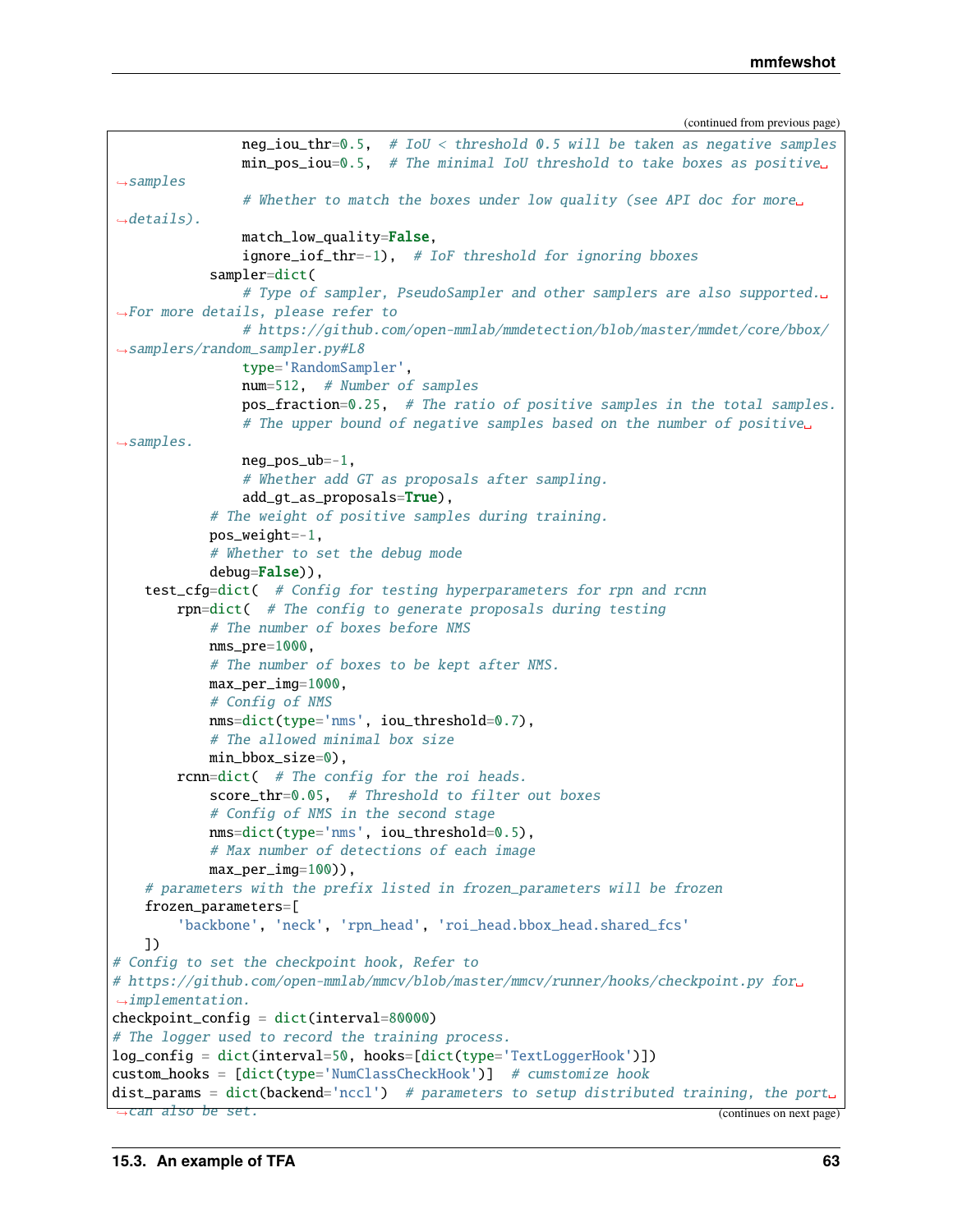```
neg_iou_thr=0.5, # IoU < threshold 0.5 will be taken as negative samples
                min_pos_iou=0.5, # The minimal IoU threshold to take boxes as positive␣
\rightarrowsamples
                # Whether to match the boxes under low quality (see API doc for more␣
\rightarrowdetails).
               match_low_quality=False,
                ignore_iof_thr=-1), # IoF threshold for ignoring bboxes
            sampler=dict(
                # Type of sampler, PseudoSampler and other samplers are also supported.␣
˓→For more details, please refer to
                # https://github.com/open-mmlab/mmdetection/blob/master/mmdet/core/bbox/
˓→samplers/random_sampler.py#L8
               type='RandomSampler',
               num=512, # Number of samples
               pos_fraction=0.25, # The ratio of positive samples in the total samples.
                # The upper bound of negative samples based on the number of positive␣
\rightarrowsamples.
               neg_pos_ub=-1,
                # Whether add GT as proposals after sampling.
                add_gt_as_proposals=True),
            # The weight of positive samples during training.
            pos\_weight=-1,
            # Whether to set the debug mode
            debug=False)),
   test_cfg=dict( # Config for testing hyperparameters for rpn and rcnn
       rpn=dict( # The config to generate proposals during testing
            # The number of boxes before NMS
           nms_pre=1000,
            # The number of boxes to be kept after NMS.
           max_per_img=1000,
            # Config of NMS
           nms=dict(type='nms', iou_threshold=0.7),
            # The allowed minimal box size
           min_bbox_size=0),
       rcnn=dict( # The config for the roi heads.
            score_thr=0.05, # Threshold to filter out boxes
            # Config of NMS in the second stage
           nms=dict(type='nms', iou_threshold=0.5),
            # Max number of detections of each image
           max\_per\_img=100)),
    # parameters with the prefix listed in frozen_parameters will be frozen
    frozen_parameters=[
        'backbone', 'neck', 'rpn_head', 'roi_head.bbox_head.shared_fcs'
    ])
# Config to set the checkpoint hook, Refer to
# https://github.com/open-mmlab/mmcv/blob/master/mmcv/runner/hooks/checkpoint.py for␣
˓→implementation.
checkpoint_config = dict(interval=80000)
# The logger used to record the training process.
log_config = dict(interval=50, hooks=[dict(type='TextLoggerHook')])
custom_hooks = [dict(type='NumClassCheckHook')] # cumstomize hook
dist_params = dict(backend='nccl') # parameters to setup distributed training, the port
˓→can also be set. (continues on next page)
```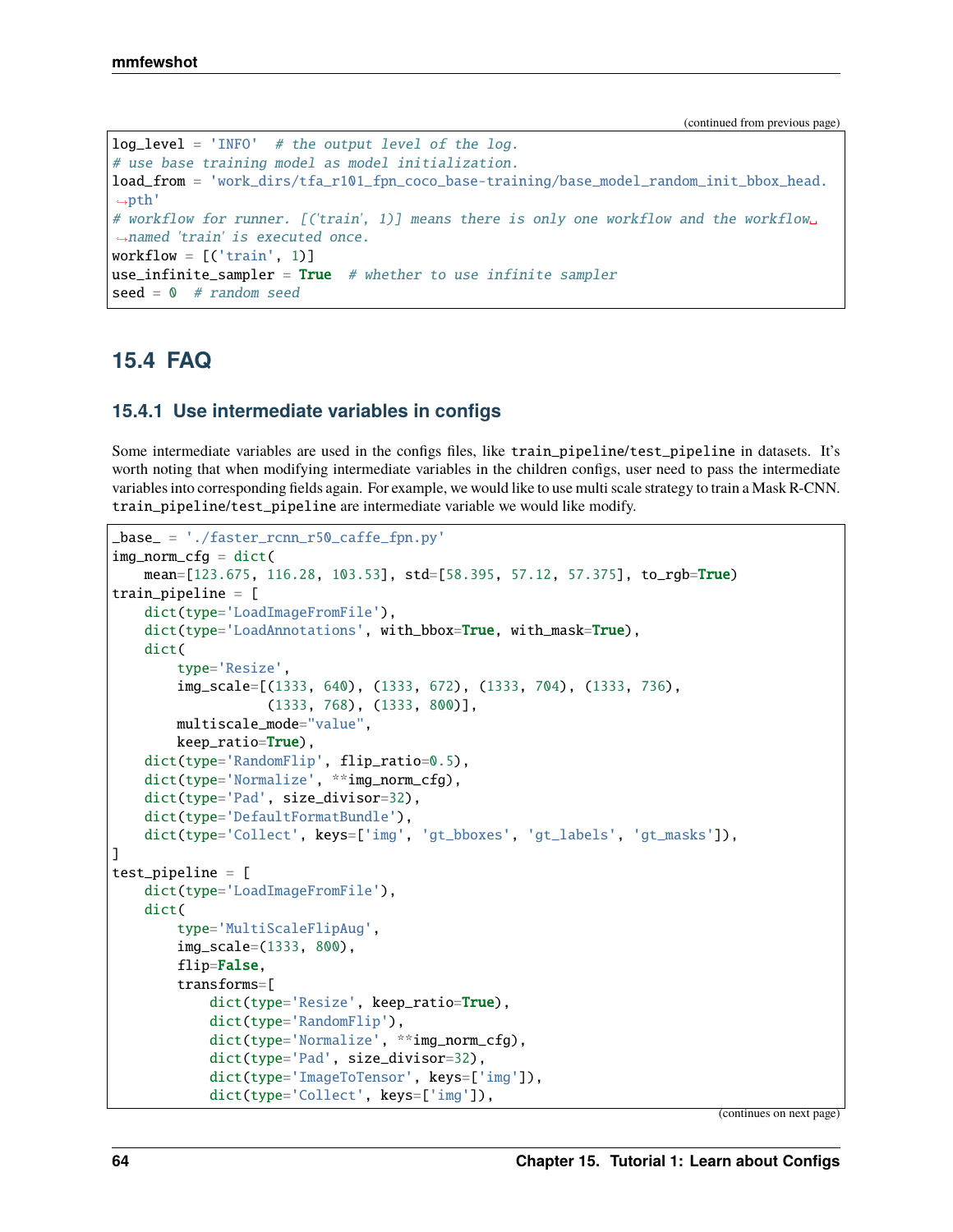```
log\_level = 'INFO' # the output level of the log.
# use base training model as model initialization.
load_from = 'work_dirs/tfa_r101_fpn_coco_base-training/base_model_random_init_bbox_head.
ightharrow# workflow for runner. [('train', 1)] means there is only one workflow and the workflow␣
˓→named 'train' is executed once.
workflow = [('train', 1)]use_infinite\_sampler = True # whether to use infinite sampler
seed = 0 # random seed
```
# **15.4 FAQ**

## **15.4.1 Use intermediate variables in configs**

Some intermediate variables are used in the configs files, like train\_pipeline/test\_pipeline in datasets. It's worth noting that when modifying intermediate variables in the children configs, user need to pass the intermediate variables into corresponding fields again. For example, we would like to use multi scale strategy to train a Mask R-CNN. train\_pipeline/test\_pipeline are intermediate variable we would like modify.

```
_base_ = './faster_rcnn_r50_caffe_fpn.py'
img\_norm\_cfg = dict(mean=[123.675, 116.28, 103.53], std=[58.395, 57.12, 57.375], to_rgb=True)
train_pipeline = [
   dict(type='LoadImageFromFile'),
   dict(type='LoadAnnotations', with_bbox=True, with_mask=True),
   dict(
        type='Resize',
        img_scale=[(1333, 640), (1333, 672), (1333, 704), (1333, 736),
                   (1333, 768), (1333, 800)],
       multiscale_mode="value",
        keep_ratio=True),
   dict(type='RandomFlip', flip_ratio=0.5),
   dict(type='Normalize', **img_norm_cfg),
   dict(type='Pad', size_divisor=32),
    dict(type='DefaultFormatBundle'),
   dict(type='Collect', keys=['img', 'gt_bboxes', 'gt_labels', 'gt_masks']),
]
test_pipeline = [
   dict(type='LoadImageFromFile'),
    dict(
        type='MultiScaleFlipAug',
        img_scale=(1333, 800),
        flip=False,
        transforms=[
            dict(type='Resize', keep_ratio=True),
            dict(type='RandomFlip'),
            dict(type='Normalize', **img_norm_cfg),
            dict(type='Pad', size_divisor=32),
            dict(type='ImageToTensor', keys=['img']),
            dict(type='Collect', keys=['img']),
```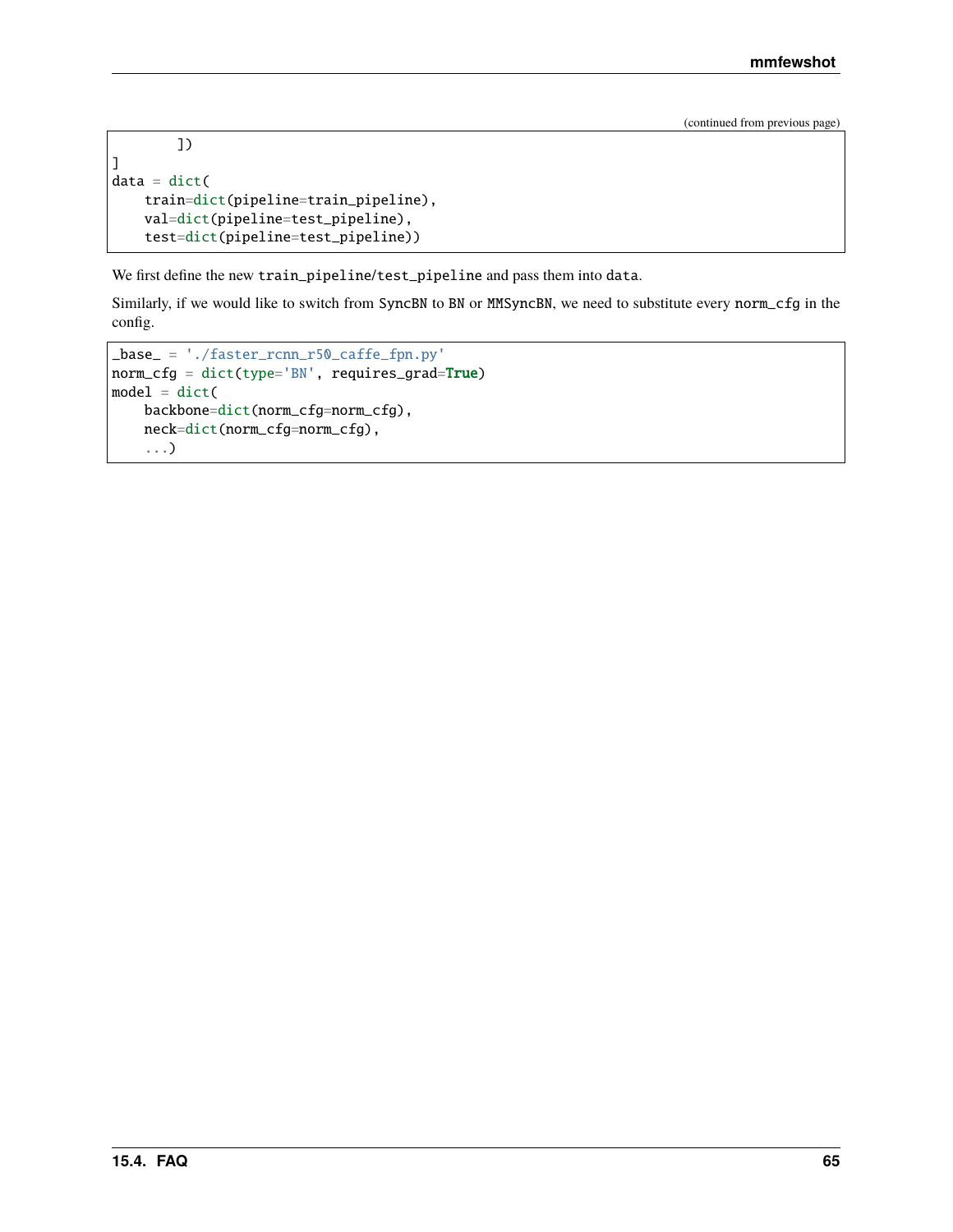```
])
]
data = dict(train=dict(pipeline=train_pipeline),
    val=dict(pipeline=test_pipeline),
    test=dict(pipeline=test_pipeline))
```
We first define the new train\_pipeline/test\_pipeline and pass them into data.

Similarly, if we would like to switch from SyncBN to BN or MMSyncBN, we need to substitute every norm\_cfg in the config.

```
_base_ = './faster_rcnn_r50_caffe_fpn.py'
norm_cfg = dict(type='BN', requires_grad=True)
model = dict(backbone=dict(norm_cfg=norm_cfg),
    neck=dict(norm_cfg=norm_cfg),
    ...)
```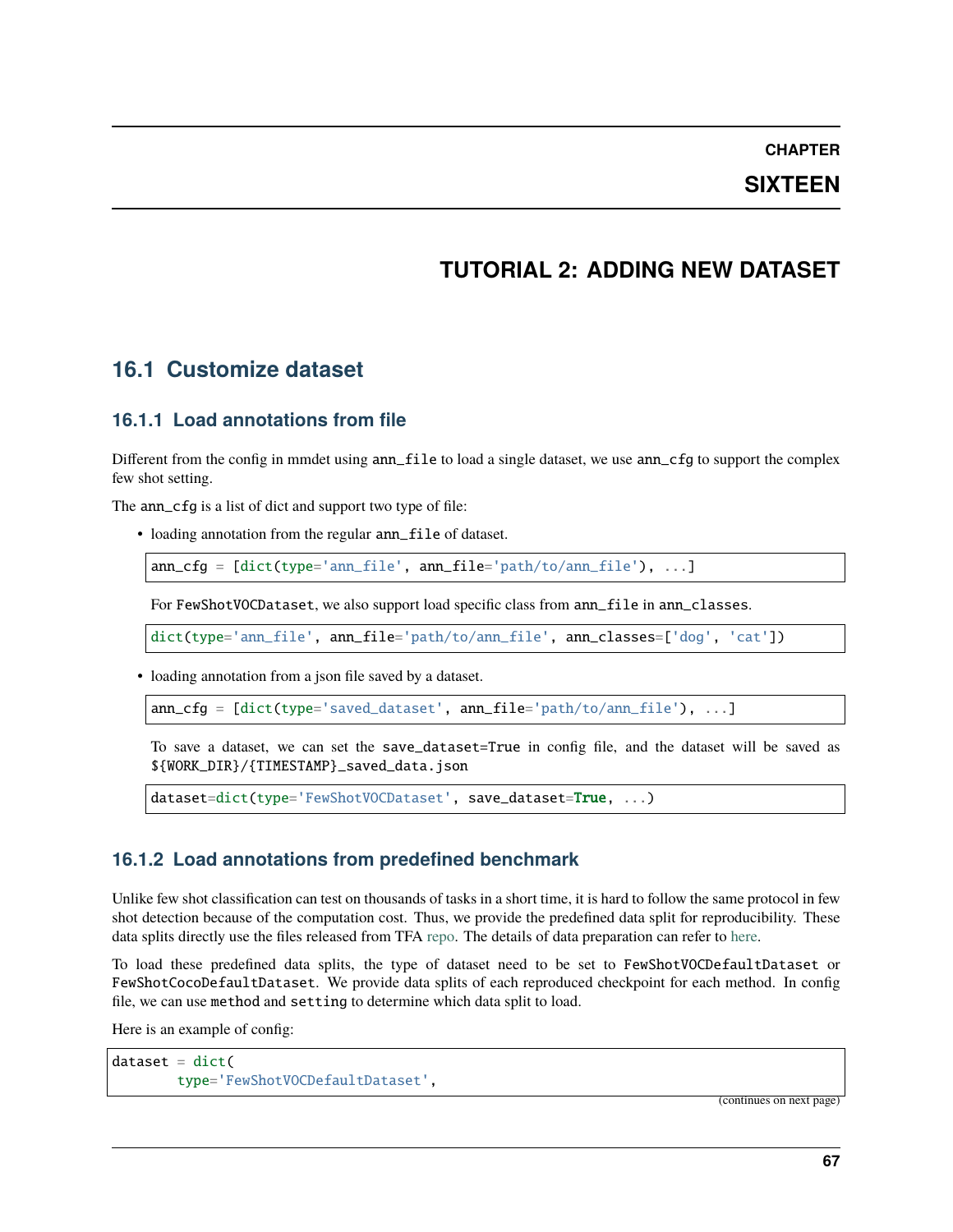### **CHAPTER**

## **SIXTEEN**

# **TUTORIAL 2: ADDING NEW DATASET**

# **16.1 Customize dataset**

## **16.1.1 Load annotations from file**

Different from the config in mmdet using ann\_file to load a single dataset, we use ann\_cfg to support the complex few shot setting.

The ann\_cfg is a list of dict and support two type of file:

• loading annotation from the regular ann\_file of dataset.

ann\_cfg = [dict(type='ann\_file', ann\_file='path/to/ann\_file'), ...]

For FewShotVOCDataset, we also support load specific class from  $ann\_file$  in  $ann\_classes$ .

dict(type='ann\_file', ann\_file='path/to/ann\_file', ann\_classes=['dog', 'cat'])

• loading annotation from a json file saved by a dataset.

 $ann_cfg = [dict(type='saved_dataset', ann_file='path/to/ann_file'), ...]$ 

To save a dataset, we can set the save\_dataset=True in config file, and the dataset will be saved as \${WORK\_DIR}/{TIMESTAMP}\_saved\_data.json

dataset=dict(type='FewShotVOCDataset', save\_dataset=True, ...)

## **16.1.2 Load annotations from predefined benchmark**

Unlike few shot classification can test on thousands of tasks in a short time, it is hard to follow the same protocol in few shot detection because of the computation cost. Thus, we provide the predefined data split for reproducibility. These data splits directly use the files released from TFA [repo.](https://github.com/ucbdrive/few-shot-object-detection) The details of data preparation can refer to [here.](https://github.com/open-mmlab/mmfewshot/tree/main/tools/data/detection)

To load these predefined data splits, the type of dataset need to be set to FewShotVOCDefaultDataset or FewShotCocoDefaultDataset. We provide data splits of each reproduced checkpoint for each method. In config file, we can use method and setting to determine which data split to load.

Here is an example of config:

```
dataset = dict(type='FewShotVOCDefaultDataset',
```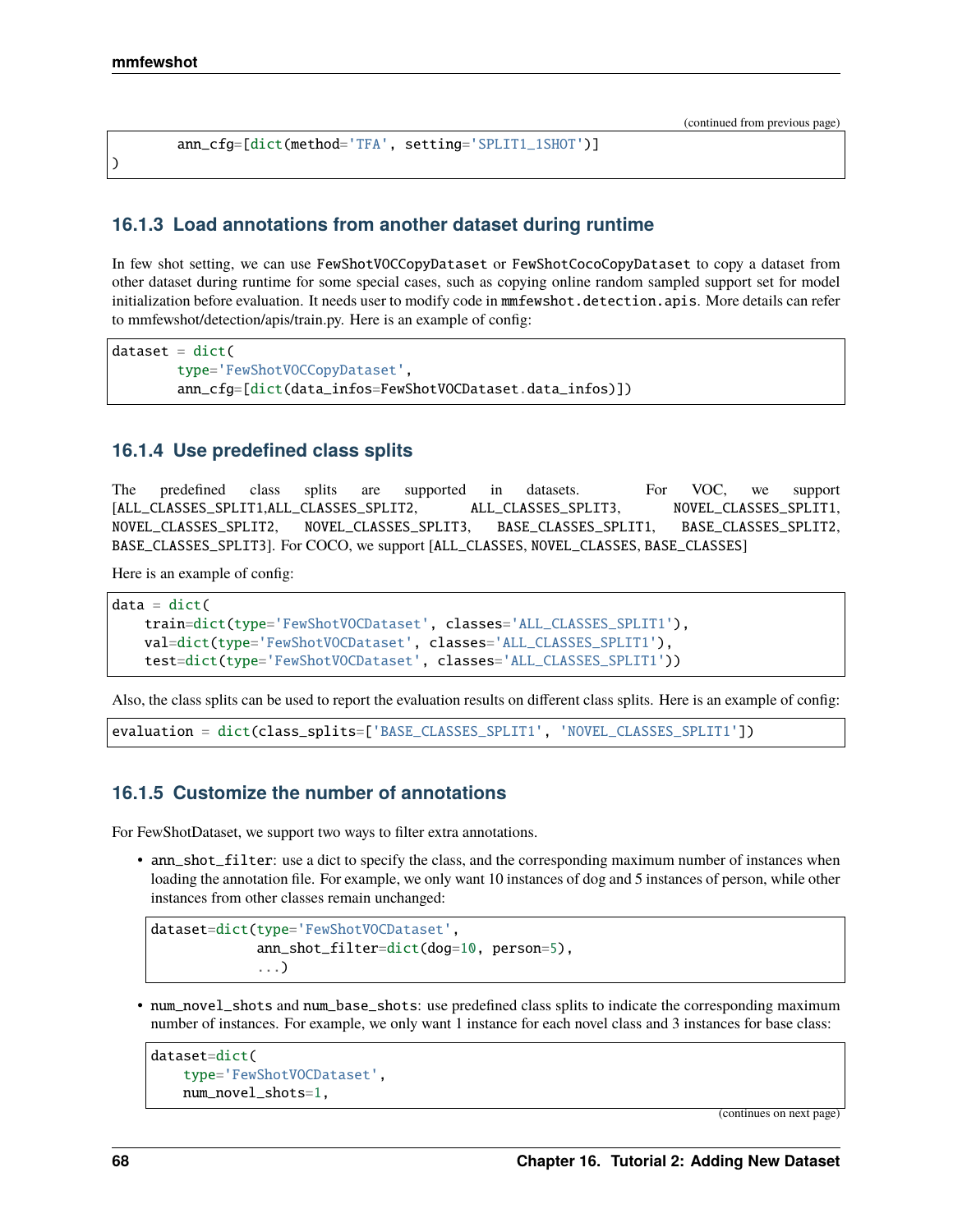)

(continued from previous page)

```
ann_cfg=[dict(method='TFA', setting='SPLIT1_1SHOT')]
```
### **16.1.3 Load annotations from another dataset during runtime**

In few shot setting, we can use FewShotVOCCopyDataset or FewShotCocoCopyDataset to copy a dataset from other dataset during runtime for some special cases, such as copying online random sampled support set for model initialization before evaluation. It needs user to modify code in mmfewshot.detection.apis. More details can refer to mmfewshot/detection/apis/train.py. Here is an example of config:

```
dataset = dict(type='FewShotVOCCopyDataset',
       ann_cfg=[dict(data_infos=FewShotVOCDataset.data_infos)])
```
### **16.1.4 Use predefined class splits**

The predefined class splits are supported in datasets. For VOC, we support [ALL\_CLASSES\_SPLIT1,ALL\_CLASSES\_SPLIT2, ALL\_CLASSES\_SPLIT3, NOVEL\_CLASSES\_SPLIT1, NOVEL\_CLASSES\_SPLIT2, NOVEL\_CLASSES\_SPLIT3, BASE\_CLASSES\_SPLIT1, BASE\_CLASSES\_SPLIT2, BASE\_CLASSES\_SPLIT3]. For COCO, we support [ALL\_CLASSES, NOVEL\_CLASSES, BASE\_CLASSES]

Here is an example of config:

```
data = dict(train=dict(type='FewShotVOCDataset', classes='ALL_CLASSES_SPLIT1'),
   val=dict(type='FewShotVOCDataset', classes='ALL_CLASSES_SPLIT1'),
   test=dict(type='FewShotVOCDataset', classes='ALL_CLASSES_SPLIT1'))
```
Also, the class splits can be used to report the evaluation results on different class splits. Here is an example of config:

evaluation = dict(class\_splits=['BASE\_CLASSES\_SPLIT1', 'NOVEL\_CLASSES\_SPLIT1'])

### **16.1.5 Customize the number of annotations**

For FewShotDataset, we support two ways to filter extra annotations.

• ann\_shot\_filter: use a dict to specify the class, and the corresponding maximum number of instances when loading the annotation file. For example, we only want 10 instances of dog and 5 instances of person, while other instances from other classes remain unchanged:

```
dataset=dict(type='FewShotVOCDataset',
             ann_shot_filter=dict(dog=10, person=5),
             ...)
```
• num\_novel\_shots and num\_base\_shots: use predefined class splits to indicate the corresponding maximum number of instances. For example, we only want 1 instance for each novel class and 3 instances for base class:

```
dataset=dict(
    type='FewShotVOCDataset',
    num_novel_shots=1,
```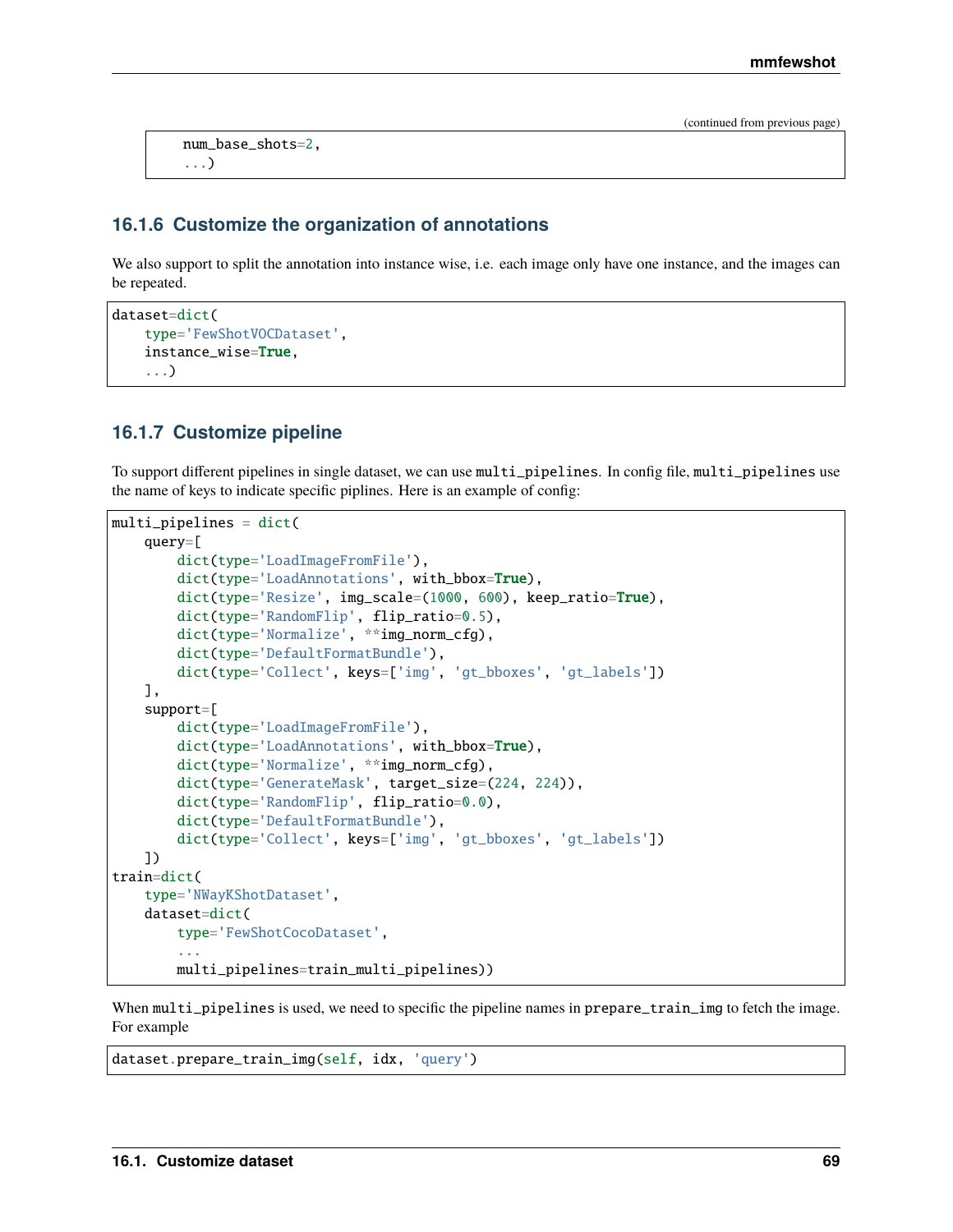num\_base\_shots=2, ...)

## **16.1.6 Customize the organization of annotations**

We also support to split the annotation into instance wise, i.e. each image only have one instance, and the images can be repeated.

```
dataset=dict(
   type='FewShotVOCDataset',
    instance_wise=True,
    ...)
```
## **16.1.7 Customize pipeline**

To support different pipelines in single dataset, we can use multi\_pipelines. In config file, multi\_pipelines use the name of keys to indicate specific piplines. Here is an example of config:

```
multi_pipelines = dict(
   query=[
        dict(type='LoadImageFromFile'),
        dict(type='LoadAnnotations', with_bbox=True),
        dict(type='Resize', img_scale=(1000, 600), keep_ratio=True),
        dict(type='RandomFlip', flip_ratio=0.5),
        dict(type='Normalize', **img_norm_cfg),
        dict(type='DefaultFormatBundle'),
        dict(type='Collect', keys=['img', 'gt_bboxes', 'gt_labels'])
   ],
    support=[
        dict(type='LoadImageFromFile'),
        dict(type='LoadAnnotations', with_bbox=True),
        dict(type='Normalize', **img_norm_cfg),
        dict(type='GenerateMask', target_size=(224, 224)),
        dict(type='RandomFlip', flip_ratio=0.0),
        dict(type='DefaultFormatBundle'),
        dict(type='Collect', keys=['img', 'gt_bboxes', 'gt_labels'])
   ])
train=dict(
   type='NWayKShotDataset',
   dataset=dict(
        type='FewShotCocoDataset',
        ...
        multi_pipelines=train_multi_pipelines))
```
When multi\_pipelines is used, we need to specific the pipeline names in prepare\_train\_img to fetch the image. For example

```
dataset.prepare_train_img(self, idx, 'query')
```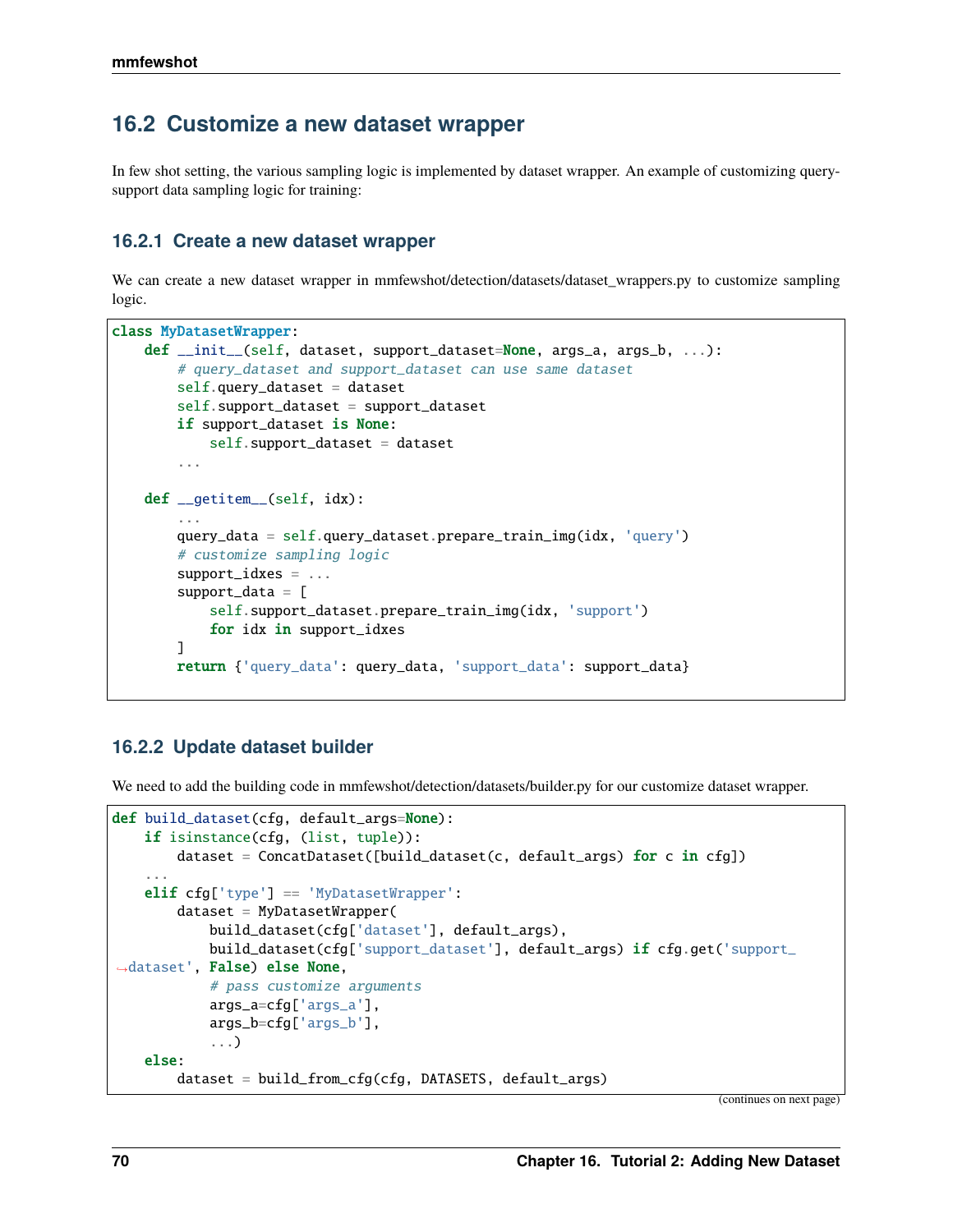## **16.2 Customize a new dataset wrapper**

In few shot setting, the various sampling logic is implemented by dataset wrapper. An example of customizing querysupport data sampling logic for training:

### **16.2.1 Create a new dataset wrapper**

We can create a new dataset wrapper in mmfewshot/detection/datasets/dataset\_wrappers.py to customize sampling logic.

```
class MyDatasetWrapper:
   def __init__(self, dataset, support_dataset=None, args_a, args_b, ...):
        # query_dataset and support_dataset can use same dataset
        self.query_dataset = dataset
        self.support_dataset = support_datasetif support_dataset is None:
            self.support_dataset = dataset...
   def __getitem__(self, idx):
        ...
        query_data = self.query_dataset.prepare_train_img(idx, 'query')
        # customize sampling logic
        support_idxes = ...
        support_data = [
            self.support_dataset.prepare_train_img(idx, 'support')
            for idx in support_idxes
        ]
        return {'query_data': query_data, 'support_data': support_data}
```
## **16.2.2 Update dataset builder**

We need to add the building code in mmfewshot/detection/datasets/builder.py for our customize dataset wrapper.

```
def build_dataset(cfg, default_args=None):
   if isinstance(cfg, (list, tuple)):
       dataset = ConcatDatabase([build_dataset(c, default_args) for c in cfg])...
   elif cfg['type'] == 'MyDatasetWrapper':dataset = MyDatasetsWrapper(build_dataset(cfg['dataset'], default_args),
           build_dataset(cfg['support_dataset'], default_args) if cfg.get('support_
˓→dataset', False) else None,
            # pass customize arguments
            args_a=cfg['args_a'],
            args_b=cfg['args_b'],
            ...)
   else:
        dataset = build_from_cfg(cfg, DATASETS, default_args)
```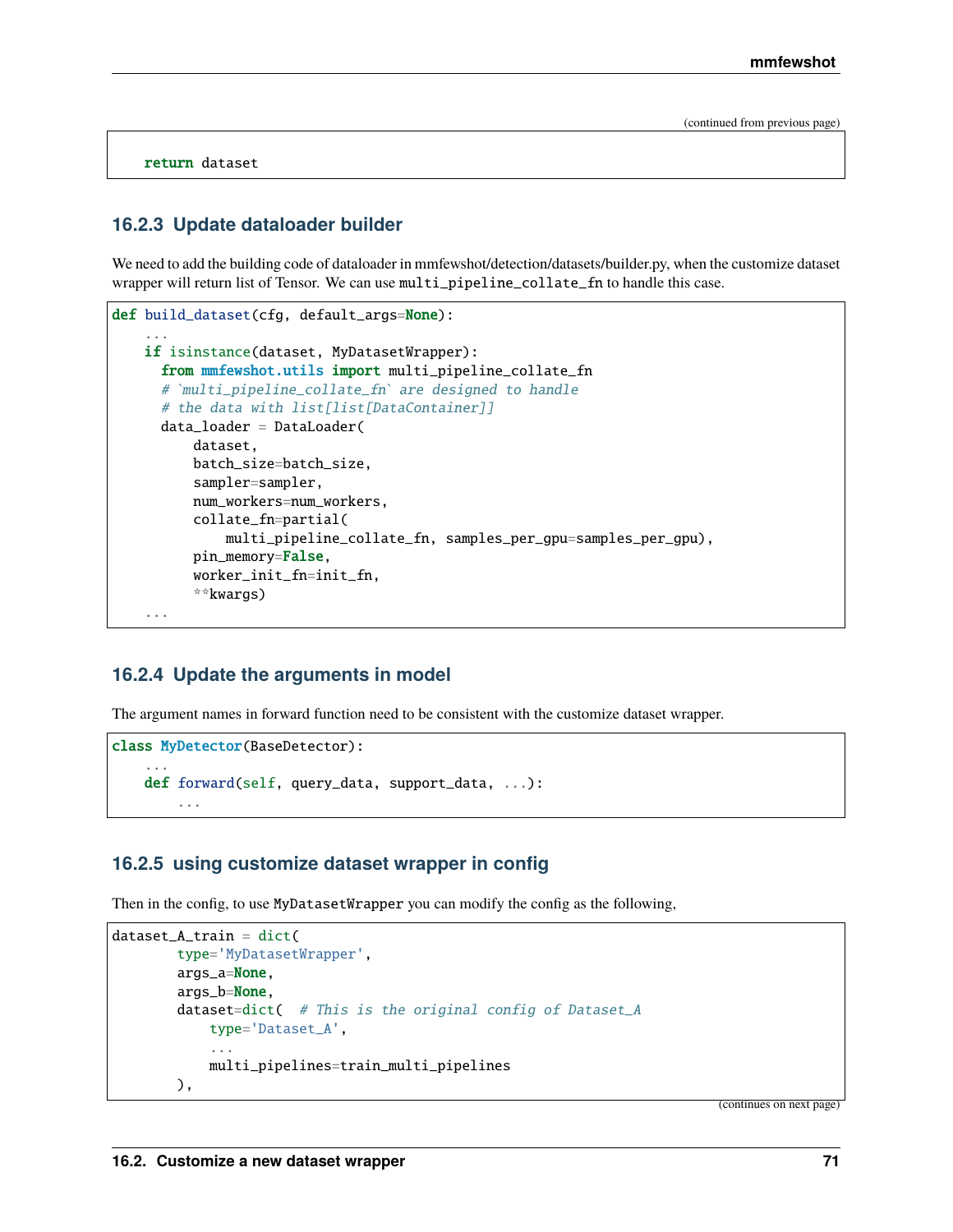return dataset

#### **16.2.3 Update dataloader builder**

We need to add the building code of dataloader in mmfewshot/detection/datasets/builder.py, when the customize dataset wrapper will return list of Tensor. We can use multi\_pipeline\_collate\_fn to handle this case.

```
def build_dataset(cfg, default_args=None):
    ...
   if isinstance(dataset, MyDatasetWrapper):
     from mmfewshot.utils import multi_pipeline_collate_fn
      # `multi_pipeline_collate_fn` are designed to handle
      # the data with list[list[DataContainer]]
      data_loader = DataLoader(
          dataset,
          batch_size=batch_size,
          sampler=sampler,
          num_workers=num_workers,
          collate_fn=partial(
              multi_pipeline_collate_fn, samples_per_gpu=samples_per_gpu),
          pin_memory=False,
          worker_init_fn=init_fn,
          **kwargs)
    ...
```
### **16.2.4 Update the arguments in model**

The argument names in forward function need to be consistent with the customize dataset wrapper.

```
class MyDetector(BaseDetector):
    ...
    def forward(self, query_data, support_data, ...):
        ...
```
#### **16.2.5 using customize dataset wrapper in config**

Then in the config, to use MyDatasetWrapper you can modify the config as the following,

```
dataset_A_train = dict(type='MyDatasetWrapper',
        args_a=None,
        args_b=None,
        dataset=dict( # This is the original config of Dataset_A
            type='Dataset_A',
            ...
           multi_pipelines=train_multi_pipelines
       ),
```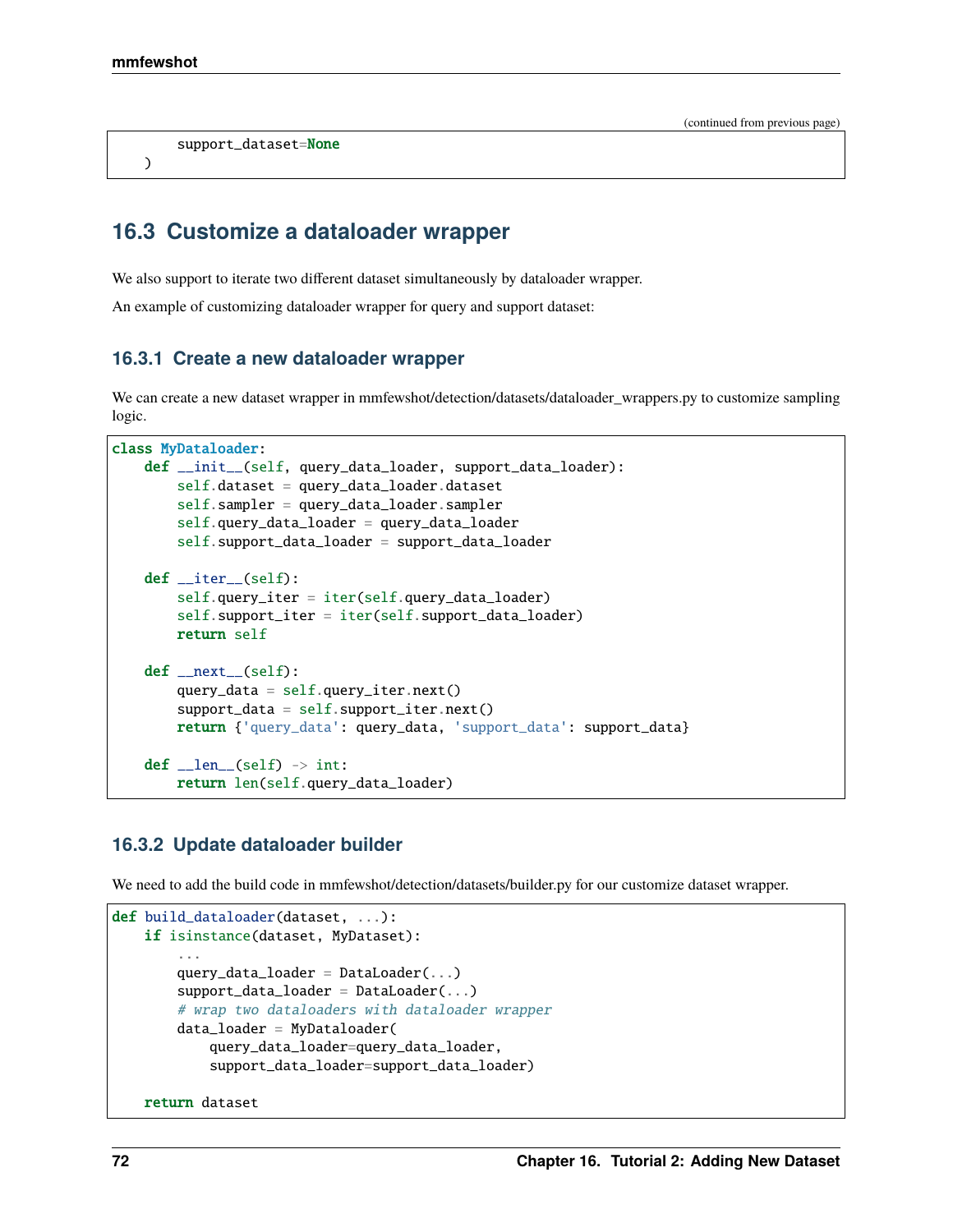)

(continued from previous page)

```
support_dataset=None
```
# **16.3 Customize a dataloader wrapper**

We also support to iterate two different dataset simultaneously by dataloader wrapper.

An example of customizing dataloader wrapper for query and support dataset:

## **16.3.1 Create a new dataloader wrapper**

We can create a new dataset wrapper in mmfewshot/detection/datasets/dataloader\_wrappers.py to customize sampling logic.

```
class MyDataloader:
    def __init__(self, query_data_loader, support_data_loader):
        self.dataset = query_data_loader.dataset
        self.sampler = query_data_loader.sampler
        self.query_data_loader = query_data_loader
        self.support_data_loader = support_data_loader
    def __iter__(self):
        self.query_iter = iter(self.query_data_loader)
        self.support_iter = iter(self.support_data_loader)
        return self
   def __next__(self):
        query_data = self.query\_iter.next()support_data = self.support\_iter.next()return {'query_data': query_data, 'support_data': support_data}
   def _len_{l} (self) \rightarrow int:return len(self.query_data_loader)
```
## **16.3.2 Update dataloader builder**

We need to add the build code in mmfewshot/detection/datasets/builder.py for our customize dataset wrapper.

```
def build_dataloader(dataset, ...):
   if isinstance(dataset, MyDataset):
        ...
        query_data_loader = DataLoader...)
        support_data_loader = DataLoader(...)
        # wrap two dataloaders with dataloader wrapper
        data_loader = MyDataloader(
            query_data_loader=query_data_loader,
            support_data_loader=support_data_loader)
   return dataset
```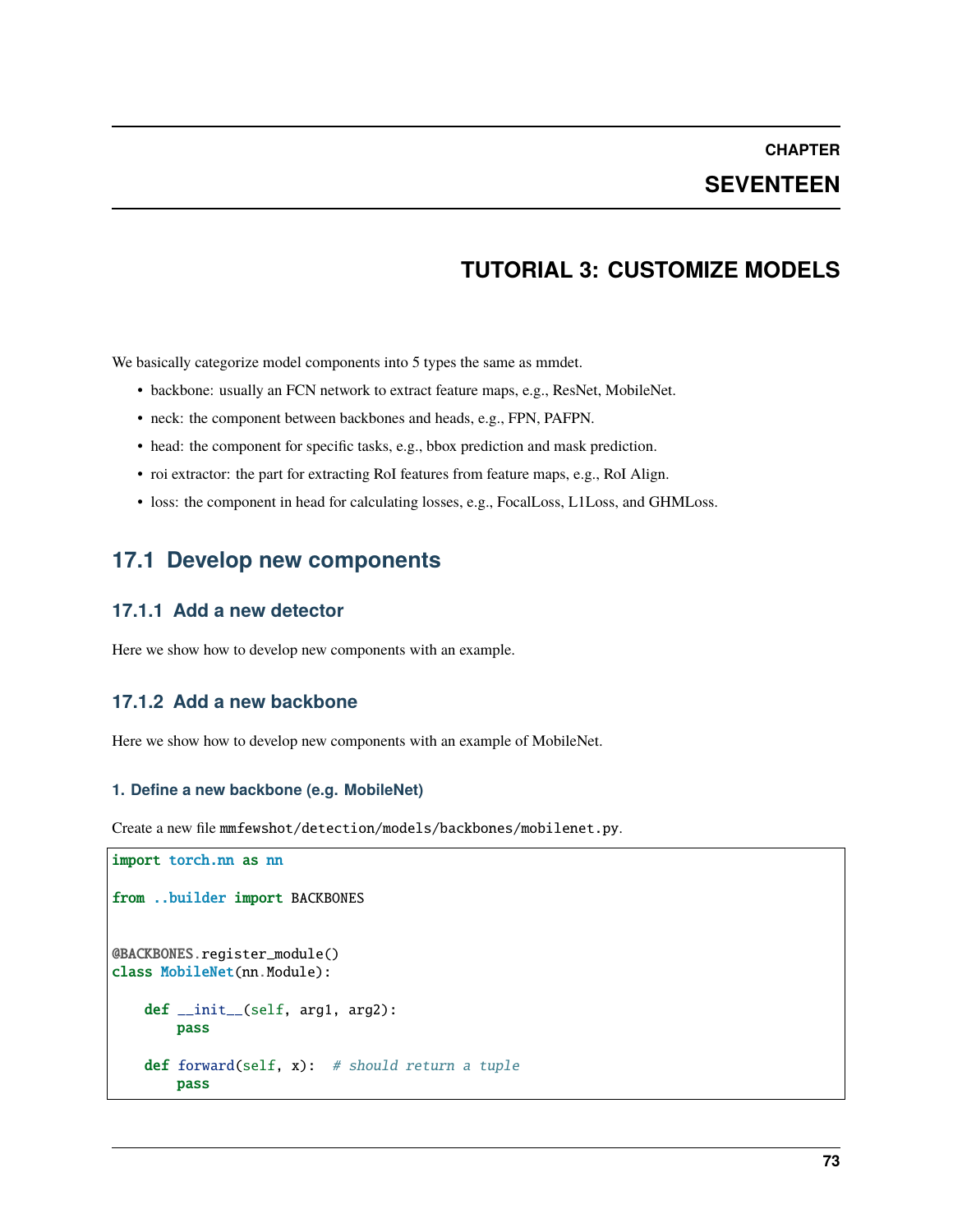## **SEVENTEEN**

# **TUTORIAL 3: CUSTOMIZE MODELS**

We basically categorize model components into 5 types the same as mmdet.

- backbone: usually an FCN network to extract feature maps, e.g., ResNet, MobileNet.
- neck: the component between backbones and heads, e.g., FPN, PAFPN.
- head: the component for specific tasks, e.g., bbox prediction and mask prediction.
- roi extractor: the part for extracting RoI features from feature maps, e.g., RoI Align.
- loss: the component in head for calculating losses, e.g., FocalLoss, L1Loss, and GHMLoss.

## **17.1 Develop new components**

### **17.1.1 Add a new detector**

Here we show how to develop new components with an example.

## **17.1.2 Add a new backbone**

Here we show how to develop new components with an example of MobileNet.

#### **1. Define a new backbone (e.g. MobileNet)**

Create a new file mmfewshot/detection/models/backbones/mobilenet.py.

```
import torch.nn as nn
from ..builder import BACKBONES
@BACKBONES.register_module()
class MobileNet(nn.Module):
   def __init__(self, arg1, arg2):
       pass
   def forward(self, x): # should return a tuple
       pass
```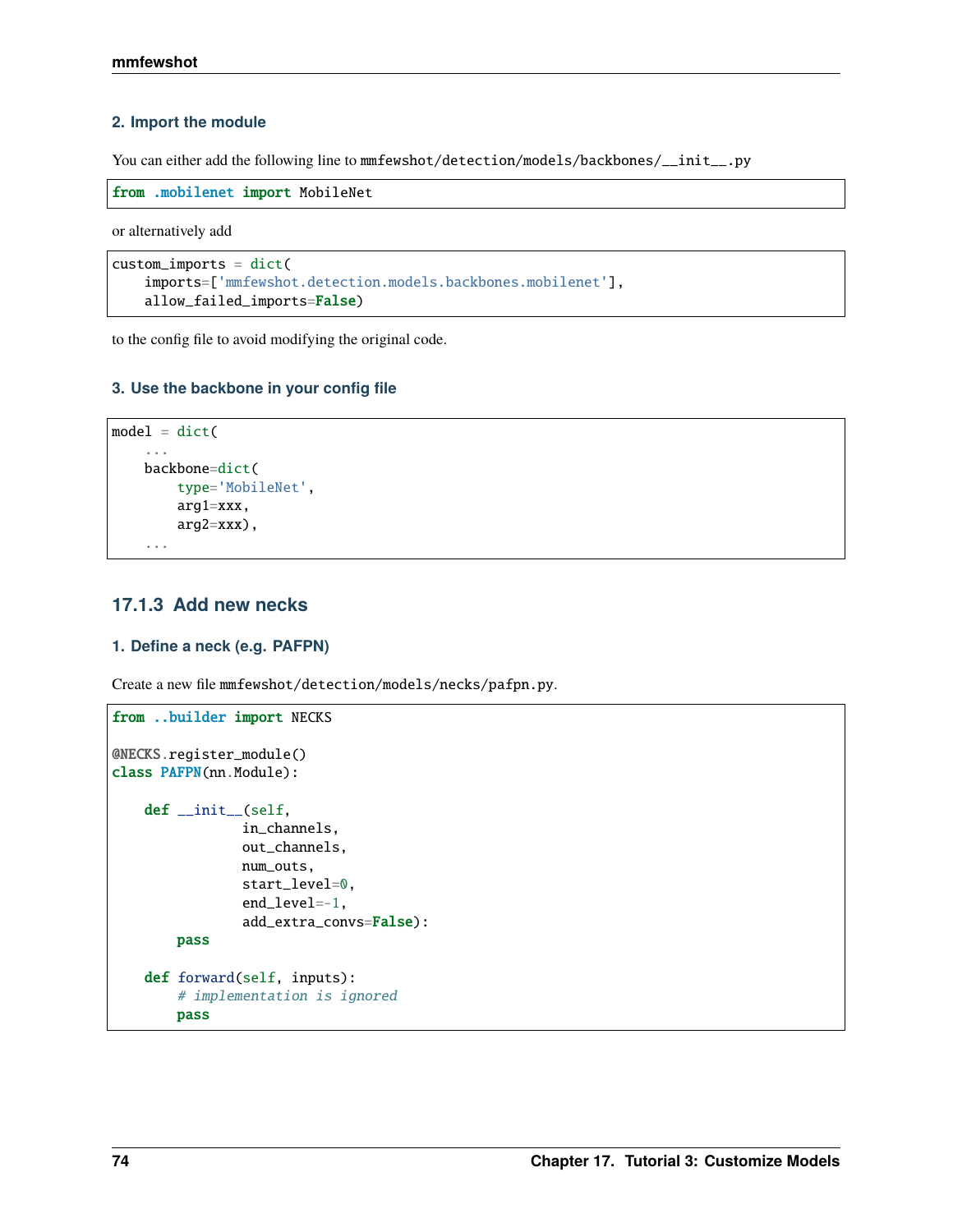#### **2. Import the module**

You can either add the following line to mmfewshot/detection/models/backbones/\_\_init\_\_.py

```
from .mobilenet import MobileNet
```
or alternatively add

```
custom_imports = dict(
   imports=['mmfewshot.detection.models.backbones.mobilenet'],
   allow_failed_imports=False)
```
to the config file to avoid modifying the original code.

### **3. Use the backbone in your config file**

```
model = dict(...
    backbone=dict(
        type='MobileNet',
        arg1=xxx,
        arg2=xxx),
    ...
```
## **17.1.3 Add new necks**

#### **1. Define a neck (e.g. PAFPN)**

Create a new file mmfewshot/detection/models/necks/pafpn.py.

```
from ..builder import NECKS
@NECKS.register_module()
class PAFPN(nn.Module):
   def __init__(self,
                in_channels,
                out_channels,
                num_outs,
                start_level=0,
                end_level=-1,
                add_extra_convs=False):
       pass
   def forward(self, inputs):
        # implementation is ignored
       pass
```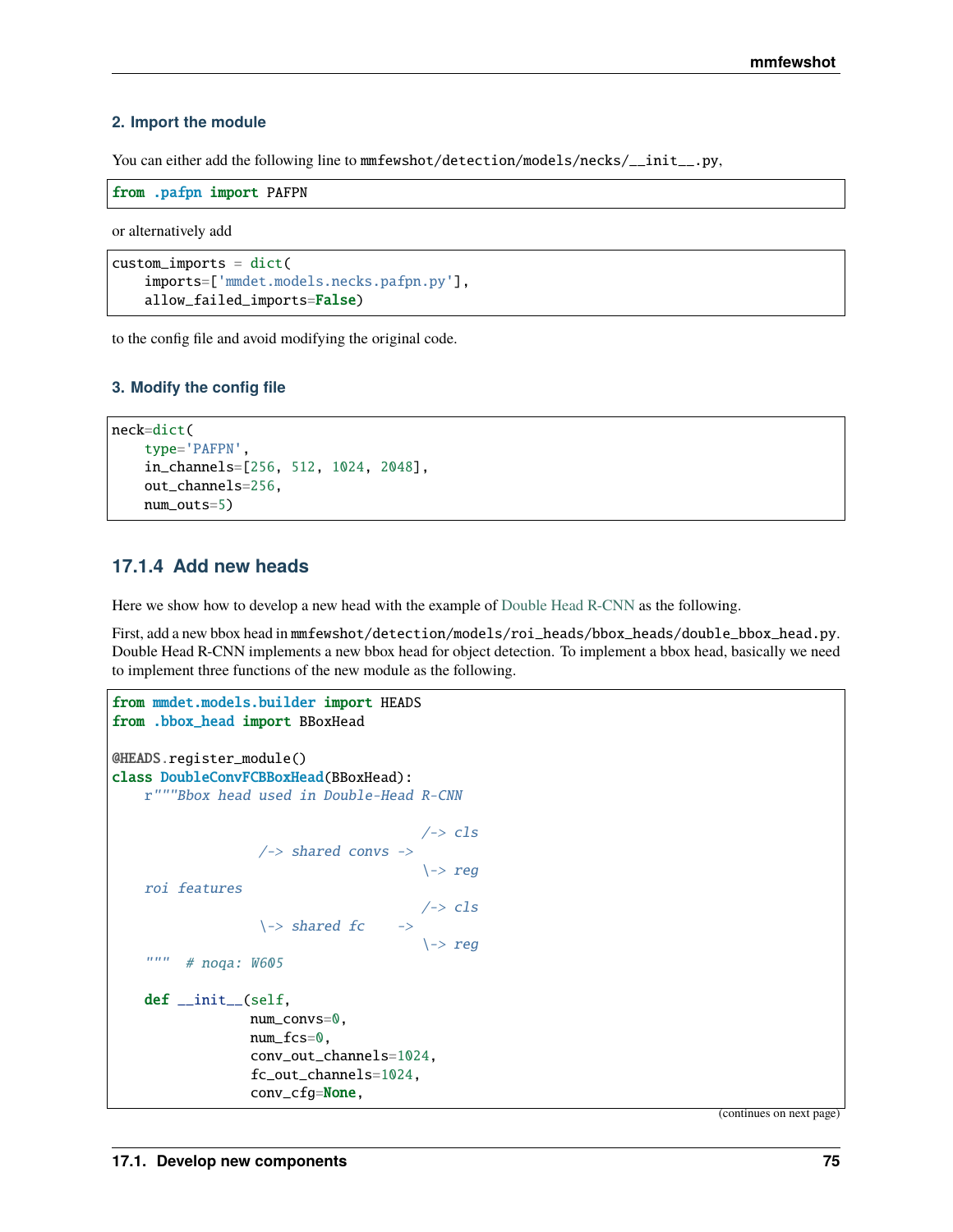#### **2. Import the module**

You can either add the following line to mmfewshot/detection/models/necks/\_\_init\_\_.py,

```
from .pafpn import PAFPN
```
or alternatively add

```
custom_imports = dict(
    imports=['mmdet.models.necks.pafpn.py'],
    allow_failed_imports=False)
```
to the config file and avoid modifying the original code.

#### **3. Modify the config file**

```
neck=dict(
    type='PAFPN',
    in_channels=[256, 512, 1024, 2048],
    out_channels=256,
    num_outs=5)
```
## **17.1.4 Add new heads**

Here we show how to develop a new head with the example of [Double Head R-CNN](https://arxiv.org/abs/1904.06493) as the following.

First, add a new bbox head in mmfewshot/detection/models/roi\_heads/bbox\_heads/double\_bbox\_head.py. Double Head R-CNN implements a new bbox head for object detection. To implement a bbox head, basically we need to implement three functions of the new module as the following.

```
from mmdet.models.builder import HEADS
from .bbox_head import BBoxHead
@HEADS.register_module()
class DoubleConvFCBBoxHead(BBoxHead):
    r"""Bbox head used in Double-Head R-CNN
                                          \rightarrow cls
                    \rightarrow shared convs ->
                                           \rightarrow reg
    roi features
                                          \rightarrow cls
                    \rightarrow shared fc \rightarrow\rightarrow reg
    """ # noqa: W605def __init__(self,
                   num_convs=0,
                   num_fcs=0,
                   conv_out_channels=1024,
                   fc_out_channels=1024,
                   conv_cfg=None,
```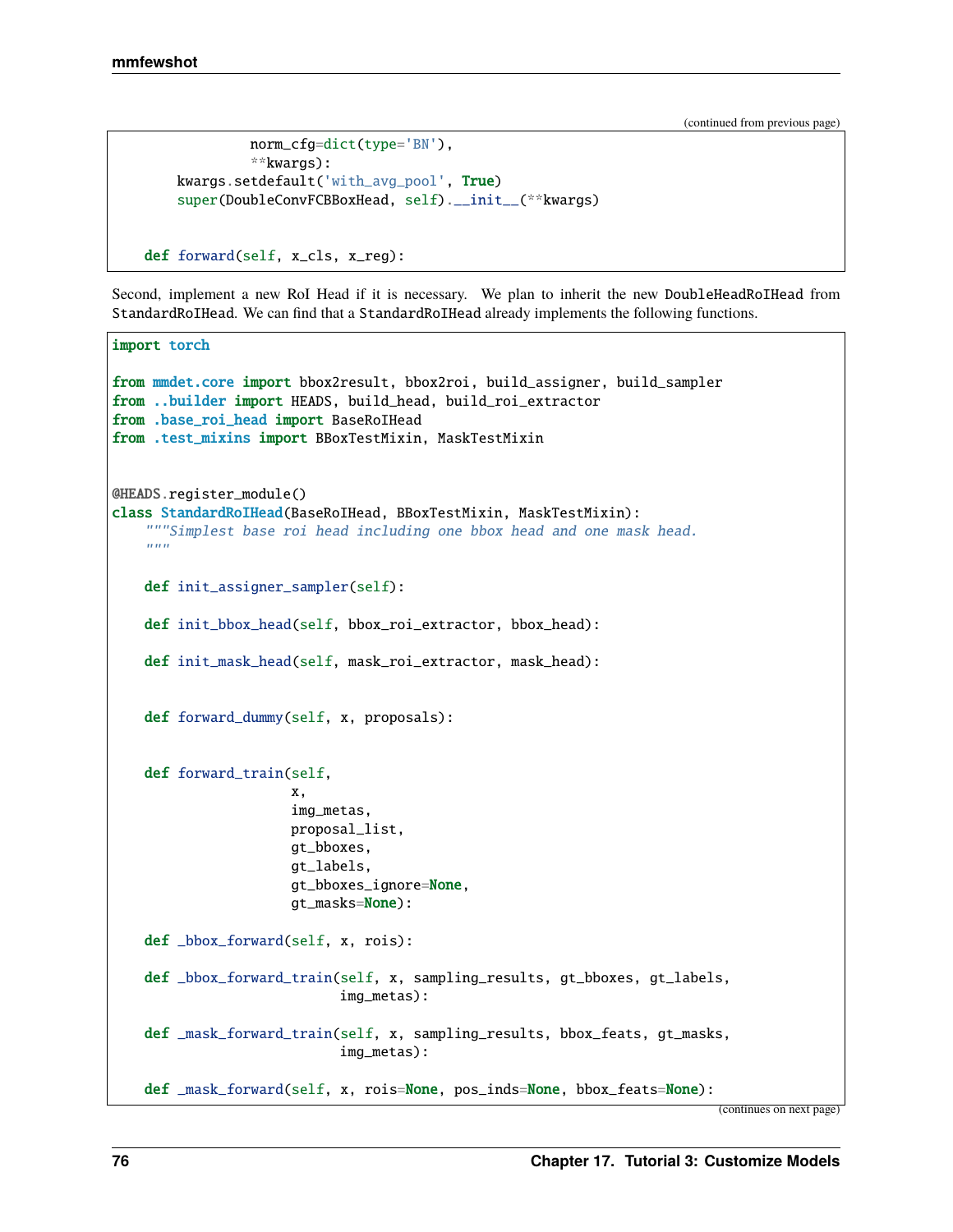```
norm_cfg=dict(type='BN'),
             **kwargs):
   kwargs.setdefault('with_avg_pool', True)
    super(DoubleConvFCBBoxHead, self).__init__(**kwargs)
def forward(self, x_cls, x_reg):
```
Second, implement a new RoI Head if it is necessary. We plan to inherit the new DoubleHeadRoIHead from StandardRoIHead. We can find that a StandardRoIHead already implements the following functions.

```
import torch
from mmdet.core import bbox2result, bbox2roi, build_assigner, build_sampler
from ..builder import HEADS, build_head, build_roi_extractor
from .base_roi_head import BaseRoIHead
from .test_mixins import BBoxTestMixin, MaskTestMixin
@HEADS.register_module()
class StandardRoIHead(BaseRoIHead, BBoxTestMixin, MaskTestMixin):
    """Simplest base roi head including one bbox head and one mask head.
    "''"def init_assigner_sampler(self):
   def init_bbox_head(self, bbox_roi_extractor, bbox_head):
   def init_mask_head(self, mask_roi_extractor, mask_head):
   def forward_dummy(self, x, proposals):
   def forward_train(self,
                      x,
                      img_metas,
                      proposal_list,
                      gt_bboxes,
                      gt_labels,
                      gt_bboxes_ignore=None,
                      gt_masks=None):
   def _bbox_forward(self, x, rois):
   def _bbox_forward_train(self, x, sampling_results, gt_bboxes, gt_labels,
                            img_metas):
   def _mask_forward_train(self, x, sampling_results, bbox_feats, gt_masks,
                            img_metas):
   def _mask_forward(self, x, rois=None, pos_inds=None, bbox_feats=None):
```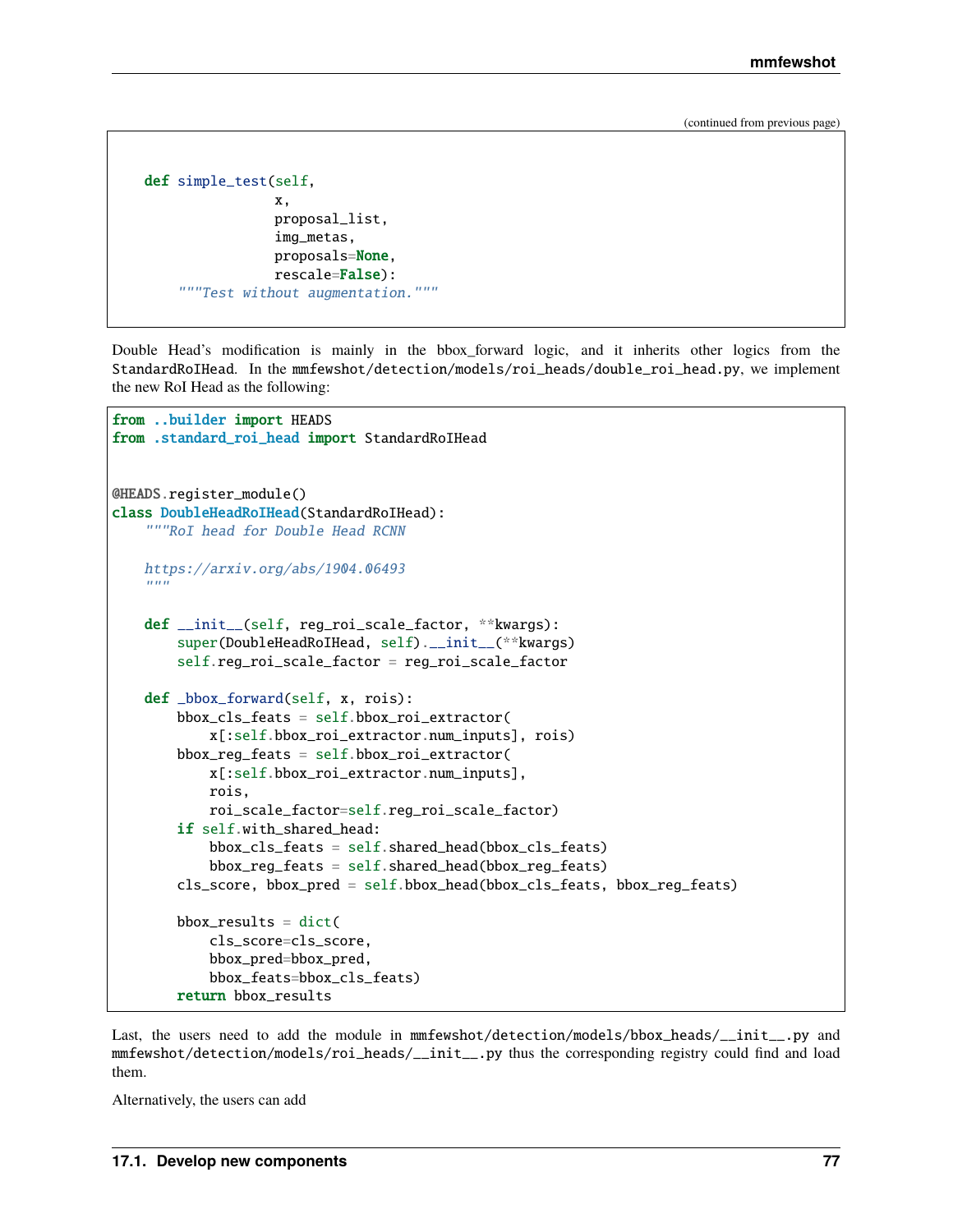```
def simple_test(self,
                x,
                proposal_list,
                img_metas,
                proposals=None,
                rescale=False):
    """Test without augmentation."""
```
Double Head's modification is mainly in the bbox\_forward logic, and it inherits other logics from the StandardRoIHead. In the mmfewshot/detection/models/roi\_heads/double\_roi\_head.py, we implement the new RoI Head as the following:

```
from ..builder import HEADS
from .standard_roi_head import StandardRoIHead
@HEADS.register_module()
class DoubleHeadRoIHead(StandardRoIHead):
    """RoI head for Double Head RCNN
   https://arxiv.org/abs/1904.06493
    " ""def __init__(self, reg_roi_scale_factor, **kwargs):
        super(DoubleHeadRoIHead, self).__init__(**kwargs)
        self.reg_roi_scale_factor = reg_roi_scale_factor
   def _bbox_forward(self, x, rois):
        bbox_cls_feats = self.bbox_roi_extractor(
            x[:self.bbox_roi_extractor.num_inputs], rois)
        bbox\_reg\_feats = self.bbox\_roi\_extraction(x[:self.bbox_roi_extractor.num_inputs],
            rois,
            roi_scale_factor=self.reg_roi_scale_factor)
        if self.with_shared_head:
            bbox_cls_feats = self.shared_head(bbox_cls_feats)
            bbox\_reg\_feats = self.shared\_head(bbox\_reg\_feats)cls_score, bbox_pred = self.bbox_head(bbox_cls_feats, bbox_reg_feats)
       bbox\_results = dict(cls_score=cls_score,
            bbox_pred=bbox_pred,
            bbox_feats=bbox_cls_feats)
        return bbox_results
```
Last, the users need to add the module in  $mmfewshot/detection/molels/bbox\_heads/$ \_init\_\_.py and mmfewshot/detection/models/roi\_heads/\_\_init\_\_.py thus the corresponding registry could find and load them.

Alternatively, the users can add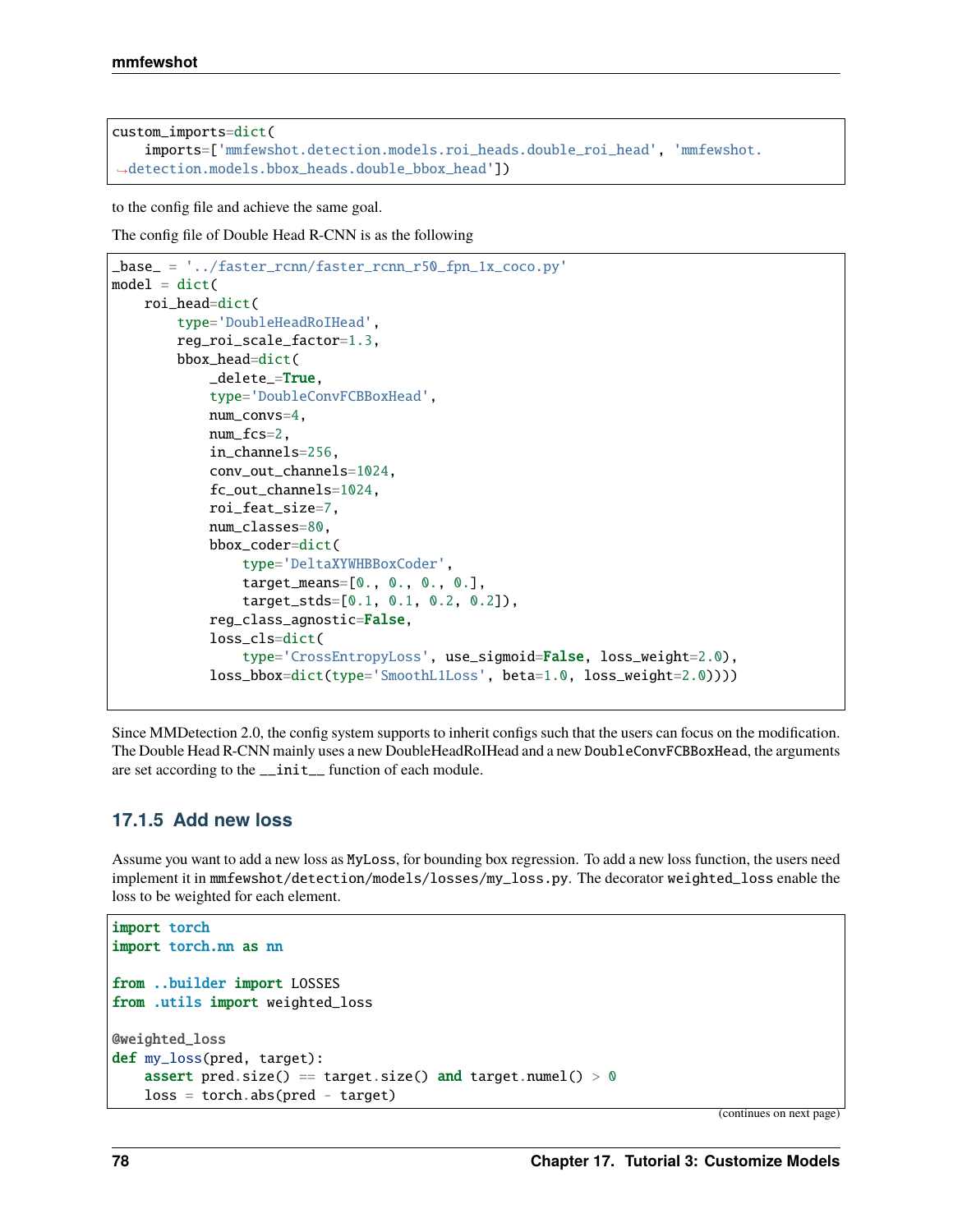```
custom_imports=dict(
   imports=['mmfewshot.detection.models.roi_heads.double_roi_head', 'mmfewshot.
˓→detection.models.bbox_heads.double_bbox_head'])
```
to the config file and achieve the same goal.

The config file of Double Head R-CNN is as the following

```
_base_ = '../faster_rcnn/faster_rcnn_r50_fpn_1x_coco.py'
model = dict(roi_head=dict(
        type='DoubleHeadRoIHead',
        reg_roi_scale_factor=1.3,
        bbox_head=dict(
            _delete_=True,
            type='DoubleConvFCBBoxHead',
            num_convs=4,
            num_fcs=2,
            in_channels=256,
            conv_out_channels=1024,
            fc_out_channels=1024,
            roi_feat_size=7,
            num_classes=80,
            bbox_coder=dict(
                type='DeltaXYWHBBoxCoder',
                target_means=[0., 0., 0., 0.],
                target_stds=[0.1, 0.1, 0.2, 0.2]),
            reg_class_agnostic=False,
            loss_cls=dict(
                type='CrossEntropyLoss', use_sigmoid=False, loss_weight=2.0),
            loss_bbox=dict(type='SmoothL1Loss', beta=1.0, loss_weight=2.0))))
```
Since MMDetection 2.0, the config system supports to inherit configs such that the users can focus on the modification. The Double Head R-CNN mainly uses a new DoubleHeadRoIHead and a new DoubleConvFCBBoxHead, the arguments are set according to the \_\_init\_\_ function of each module.

## **17.1.5 Add new loss**

Assume you want to add a new loss as MyLoss, for bounding box regression. To add a new loss function, the users need implement it in mmfewshot/detection/models/losses/my\_loss.py. The decorator weighted\_loss enable the loss to be weighted for each element.

```
import torch
import torch.nn as nn
from ..builder import LOSSES
from .utils import weighted_loss
@weighted_loss
def my_loss(pred, target):
    assert pred.size() == target.size() and target.numel() > 0loss = <b>torch</b>.abs(pred - <b>target</b>)
```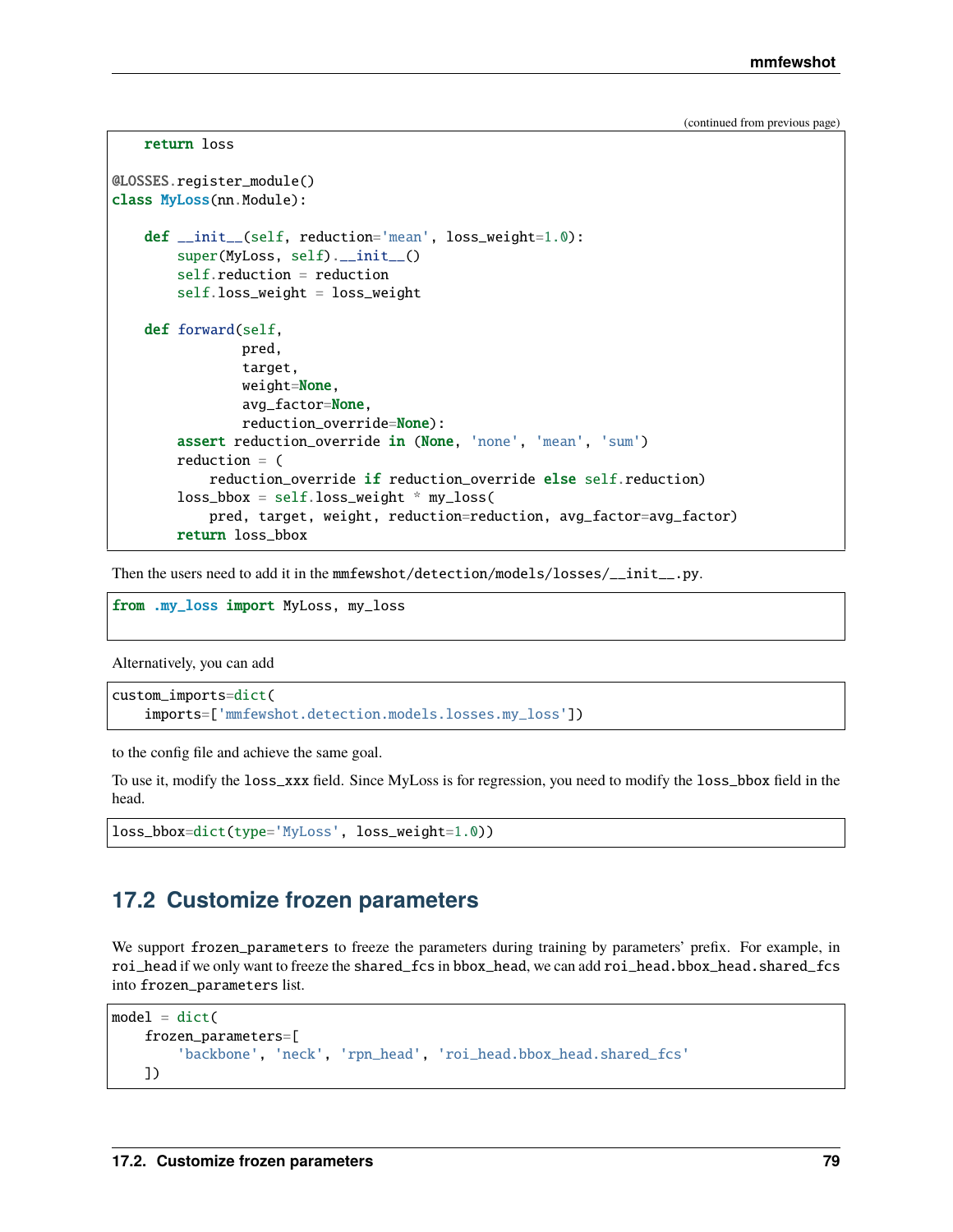```
return loss
@LOSSES.register_module()
class MyLoss(nn.Module):
    def __init__(self, reduction='mean', loss_weight=1.0):
        super(MyLoss, self).__init__()
        self.reduction = reduction
        self.loss_weight = loss_weight
   def forward(self,
                pred,
                target,
                weight=None,
                avg_factor=None,
                reduction_override=None):
        assert reduction_override in (None, 'none', 'mean', 'sum')
        reduction = (
            reduction_override if reduction_override else self.reduction)
        loss_bbox = self.loss_weight * my_loss(pred, target, weight, reduction=reduction, avg_factor=avg_factor)
        return loss_bbox
```
Then the users need to add it in the mmfewshot/detection/models/losses/\_\_init\_\_.py.

from .my\_loss import MyLoss, my\_loss

Alternatively, you can add

```
custom_imports=dict(
    imports=['mmfewshot.detection.models.losses.my_loss'])
```
to the config file and achieve the same goal.

To use it, modify the loss\_xxx field. Since MyLoss is for regression, you need to modify the loss\_bbox field in the head.

```
loss_bbox=dict(type='MyLoss', loss_weight=1.0))
```
## **17.2 Customize frozen parameters**

We support frozen\_parameters to freeze the parameters during training by parameters' prefix. For example, in roi\_head if we only want to freeze the shared\_fcs in bbox\_head, we can add roi\_head.bbox\_head.shared\_fcs into frozen\_parameters list.

```
model = dict(frozen_parameters=[
        'backbone', 'neck', 'rpn_head', 'roi_head.bbox_head.shared_fcs'
   ])
```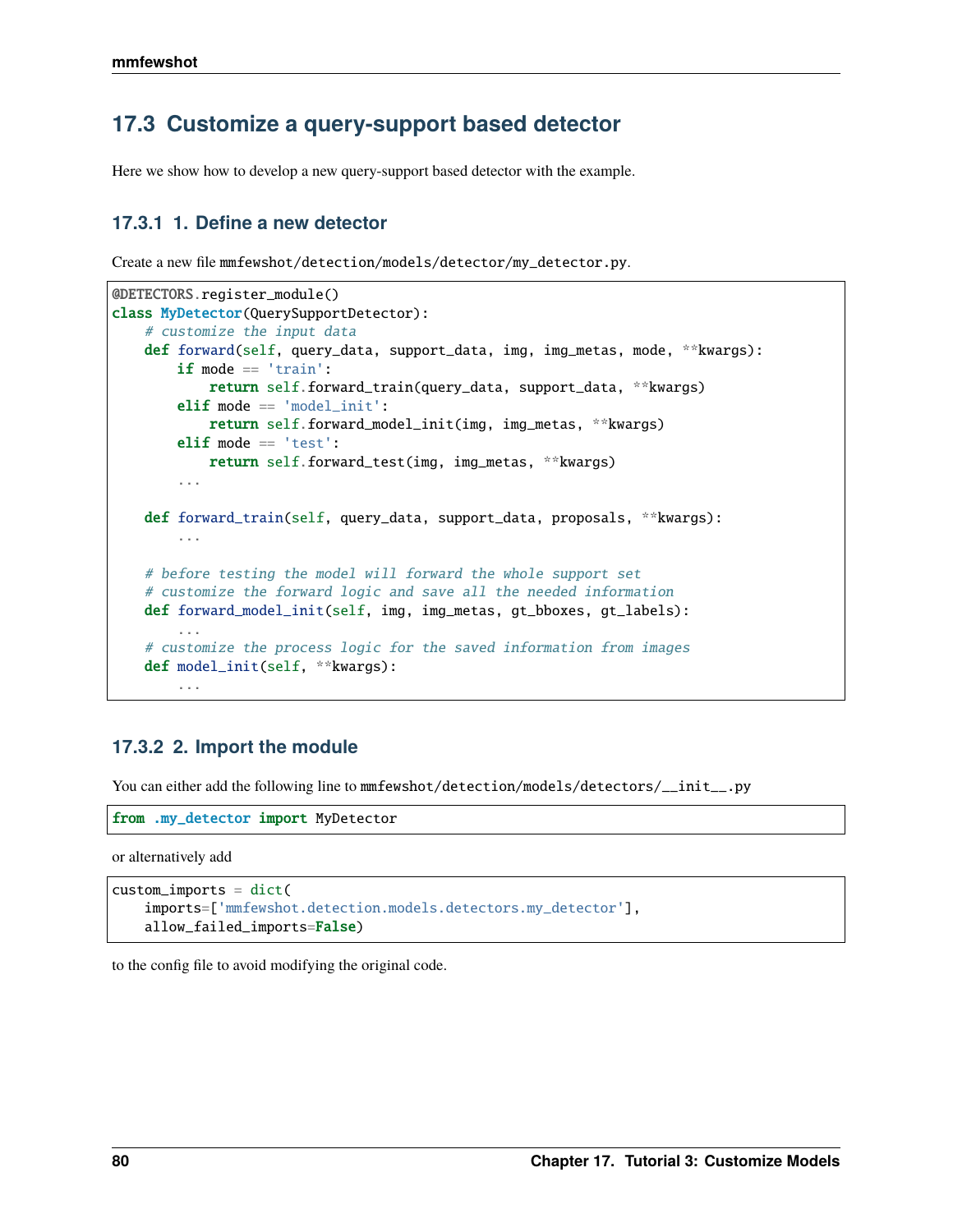# **17.3 Customize a query-support based detector**

Here we show how to develop a new query-support based detector with the example.

## **17.3.1 1. Define a new detector**

Create a new file mmfewshot/detection/models/detector/my\_detector.py.

```
@DETECTORS.register_module()
class MyDetector(QuerySupportDetector):
    # customize the input data
   def forward(self, query_data, support_data, img, img_metas, mode, **kwargs):
        if mode == 'train':
            return self.forward_train(query_data, support_data, **kwargs)
        elif mode == 'model_init':
           return self.forward_model_init(img, img_metas, **kwargs)
        elif mode == 'test':return self.forward_test(img, img_metas, **kwargs)
        ...
   def forward_train(self, query_data, support_data, proposals, **kwargs):
        ...
    # before testing the model will forward the whole support set
    # customize the forward logic and save all the needed information
   def forward_model_init(self, img, img_metas, gt_bboxes, gt_labels):
        ...
    # customize the process logic for the saved information from images
    def model_init(self, **kwargs):
        ...
```
## **17.3.2 2. Import the module**

You can either add the following line to mmfewshot/detection/models/detectors/\_\_init\_\_.py

```
from .my_detector import MyDetector
```
or alternatively add

```
custom\_imports = dict(imports=['mmfewshot.detection.models.detectors.my_detector'],
   allow_failed_imports=False)
```
to the config file to avoid modifying the original code.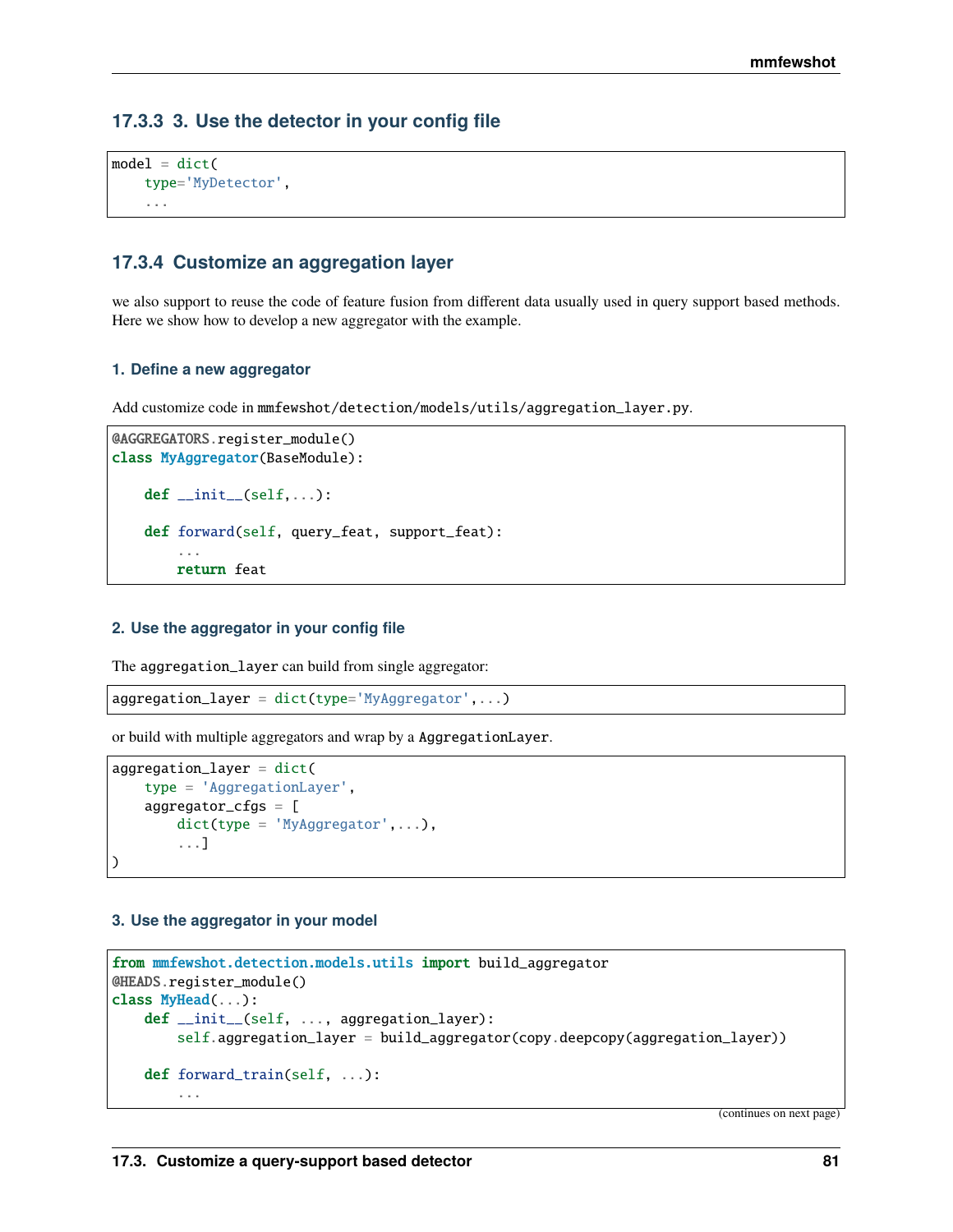## **17.3.3 3. Use the detector in your config file**

```
model = dict(type='MyDetector',
    ...
```
## **17.3.4 Customize an aggregation layer**

we also support to reuse the code of feature fusion from different data usually used in query support based methods. Here we show how to develop a new aggregator with the example.

#### **1. Define a new aggregator**

Add customize code in mmfewshot/detection/models/utils/aggregation\_layer.py.

```
@AGGREGATORS.register_module()
class MyAggregator(BaseModule):
    def __init__(self, ...):
    def forward(self, query_feat, support_feat):
        ...
        return feat
```
#### **2. Use the aggregator in your config file**

The aggregation\_layer can build from single aggregator:

 $aggregation\_layer = dict(type='MyAggregation',...)$ 

or build with multiple aggregators and wrap by a AggregationLayer.

```
aggregation_layer = dict(
    type = 'AggregationLayer',
    aggregator_cfgs = [
        dict(type = 'MyAggregation', \ldots),...]
)
```
#### **3. Use the aggregator in your model**

```
from mmfewshot.detection.models.utils import build_aggregator
@HEADS.register_module()
class MyHead(...):
   def __init__(self, ..., aggregation_layer):
        self.aggregation_layer = build_aggregator(copy.deepcopy(aggregation_layer))
   def forward_train(self, ...):
        ...
```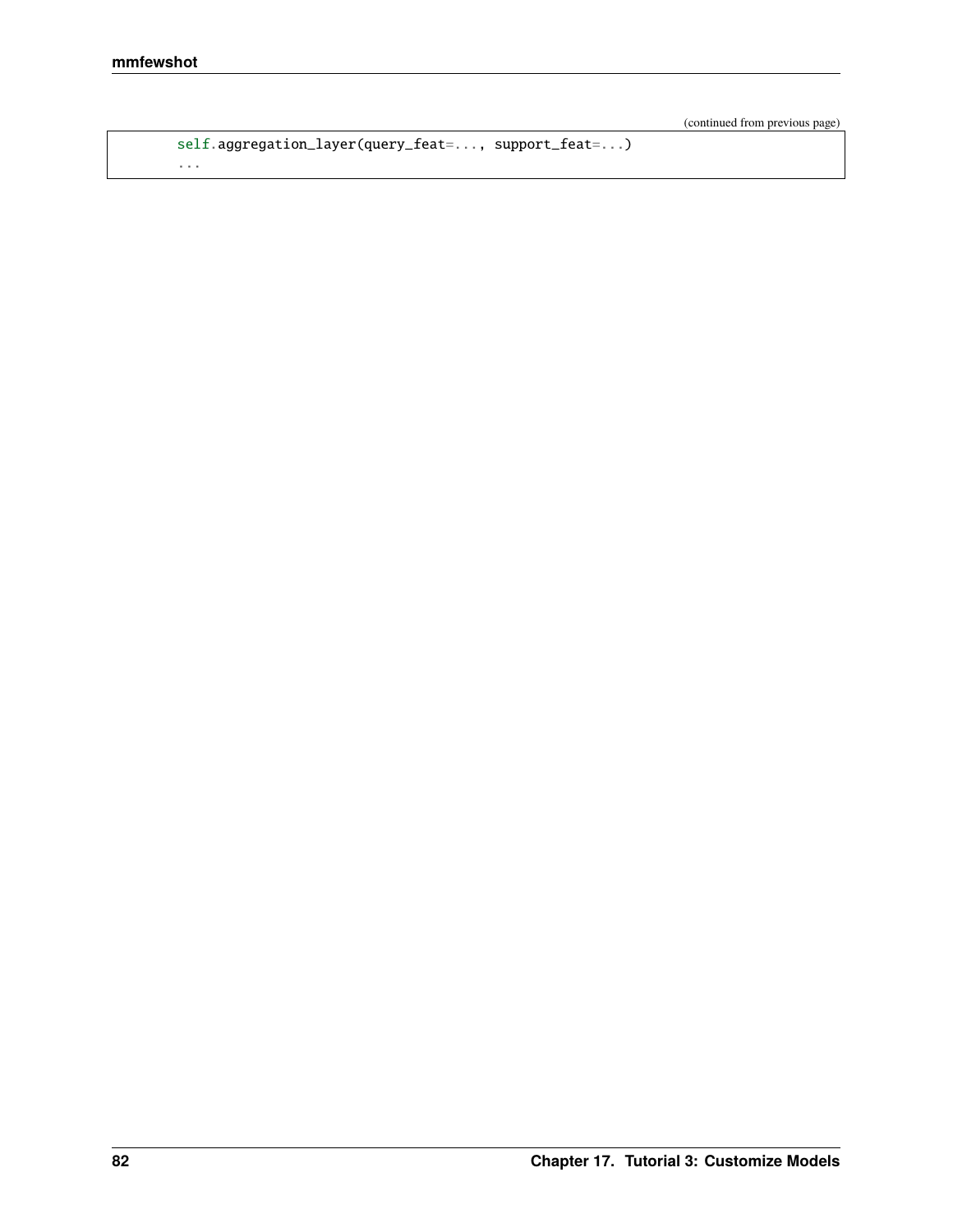```
self.aggregation_layer(query_feat=..., support_feat=...)
...
```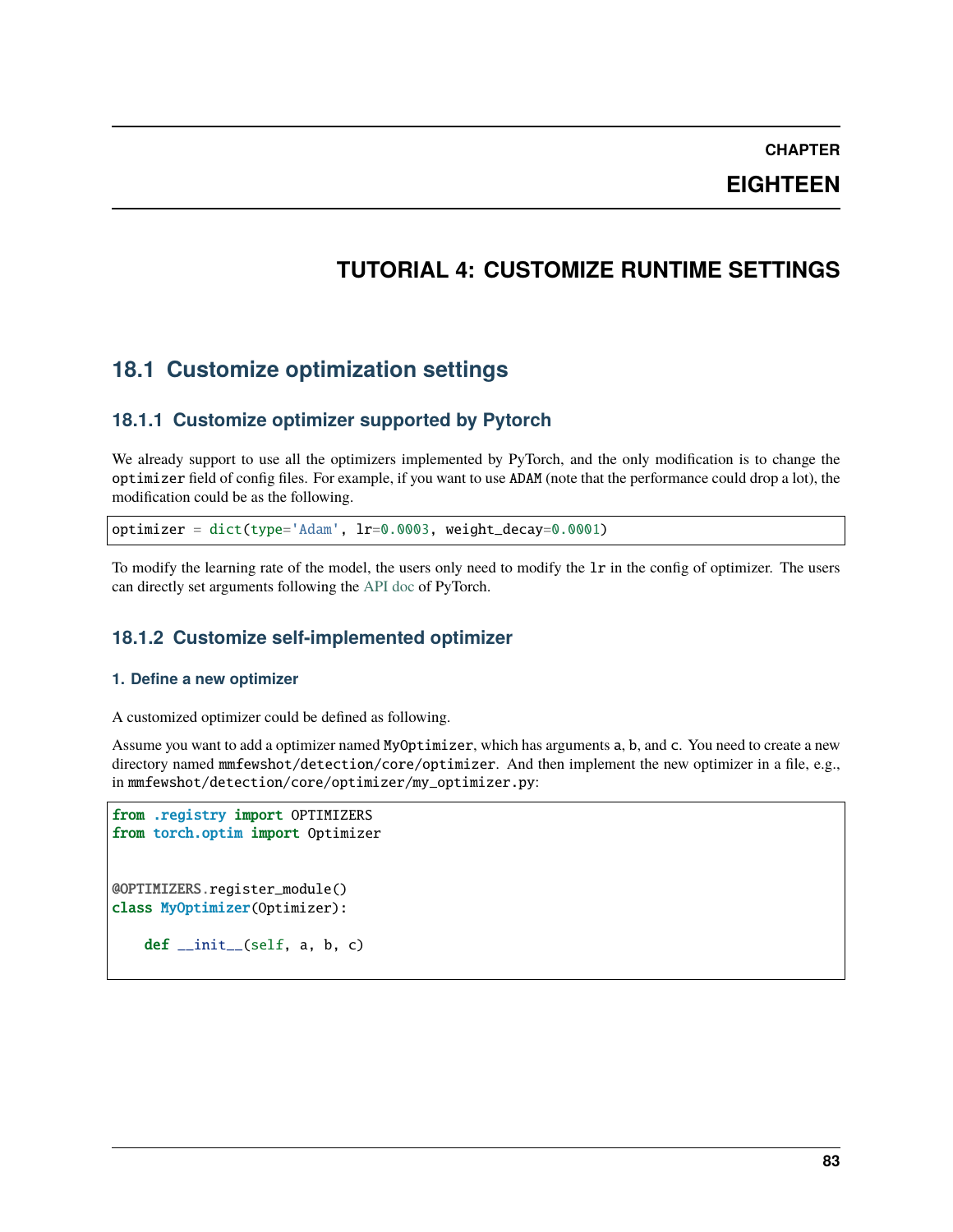**EIGHTEEN**

# **TUTORIAL 4: CUSTOMIZE RUNTIME SETTINGS**

# **18.1 Customize optimization settings**

## **18.1.1 Customize optimizer supported by Pytorch**

We already support to use all the optimizers implemented by PyTorch, and the only modification is to change the optimizer field of config files. For example, if you want to use ADAM (note that the performance could drop a lot), the modification could be as the following.

optimizer = dict(type='Adam', lr=0.0003, weight\_decay=0.0001)

To modify the learning rate of the model, the users only need to modify the lr in the config of optimizer. The users can directly set arguments following the [API doc](https://pytorch.org/docs/stable/optim.html?highlight=optim#module-torch.optim) of PyTorch.

## **18.1.2 Customize self-implemented optimizer**

#### **1. Define a new optimizer**

A customized optimizer could be defined as following.

Assume you want to add a optimizer named MyOptimizer, which has arguments a, b, and c. You need to create a new directory named  $mmfewshot/detection/core/optimizer$ . And then implement the new optimizer in a file, e.g., in mmfewshot/detection/core/optimizer/my\_optimizer.py:

```
from .registry import OPTIMIZERS
from torch.optim import Optimizer
@OPTIMIZERS.register_module()
class MyOptimizer(Optimizer):
   def\_init_(self, a, b, c)
```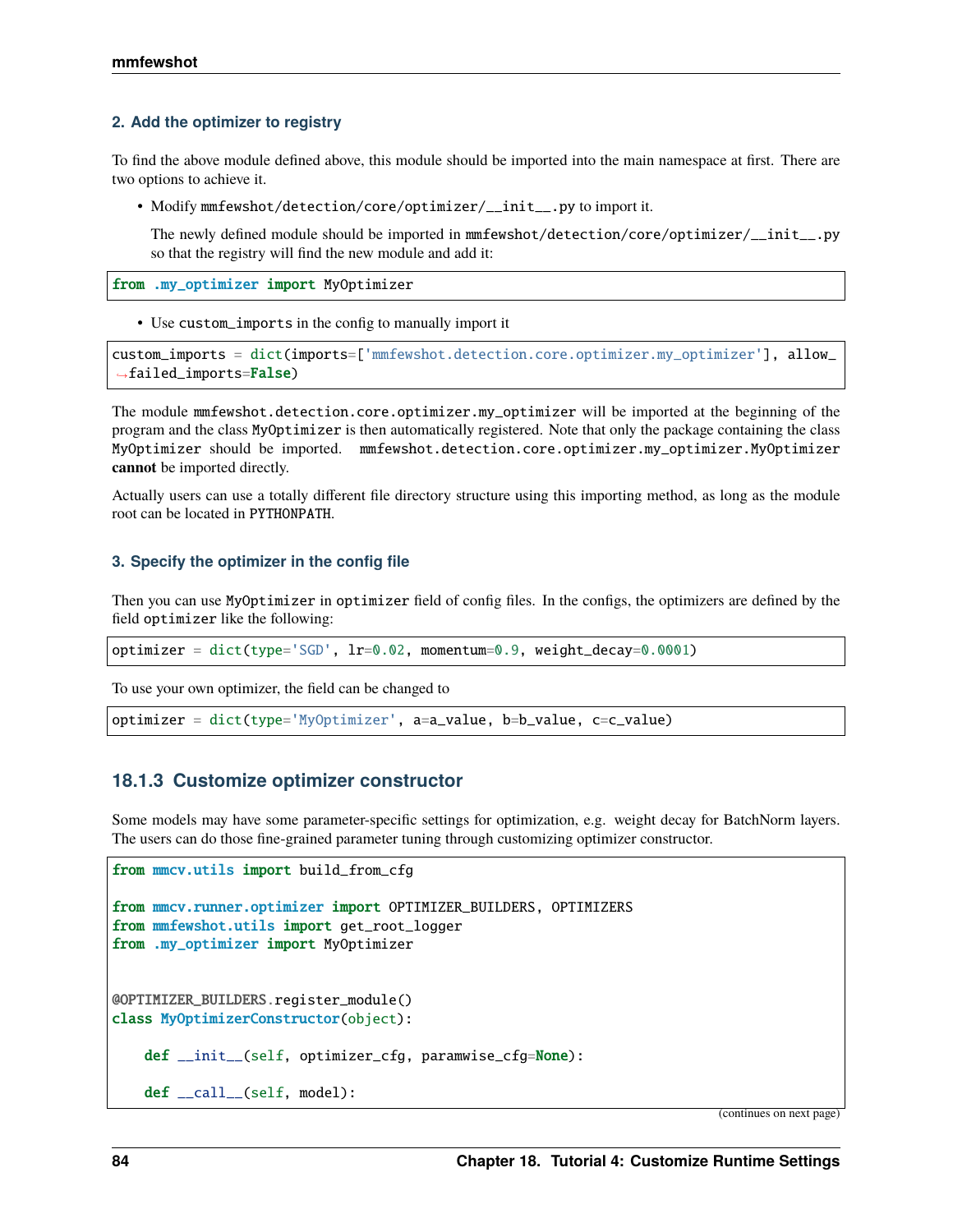#### **2. Add the optimizer to registry**

To find the above module defined above, this module should be imported into the main namespace at first. There are two options to achieve it.

• Modify mmfewshot/detection/core/optimizer/\_\_init\_\_.py to import it.

The newly defined module should be imported in mmfewshot/detection/core/optimizer/\_\_init\_\_.py so that the registry will find the new module and add it:

from .my\_optimizer import MyOptimizer

• Use custom\_imports in the config to manually import it

```
custom_imports = dict(imports=['mmfewshot.detection.core.optimizer.my_optimizer'], allow_
˓→failed_imports=False)
```
The module mmfewshot.detection.core.optimizer.my\_optimizer will be imported at the beginning of the program and the class MyOptimizer is then automatically registered. Note that only the package containing the class MyOptimizer should be imported. mmfewshot.detection.core.optimizer.my\_optimizer.MyOptimizer **cannot** be imported directly.

Actually users can use a totally different file directory structure using this importing method, as long as the module root can be located in PYTHONPATH.

#### **3. Specify the optimizer in the config file**

Then you can use MyOptimizer in optimizer field of config files. In the configs, the optimizers are defined by the field optimizer like the following:

```
optimizer = dict(type='SGD', lr=0.02, momentum=0.9, weight_decay=0.0001)
```
To use your own optimizer, the field can be changed to

optimizer = dict(type='MyOptimizer', a=a\_value, b=b\_value, c=c\_value)

### **18.1.3 Customize optimizer constructor**

Some models may have some parameter-specific settings for optimization, e.g. weight decay for BatchNorm layers. The users can do those fine-grained parameter tuning through customizing optimizer constructor.

```
from mmcv.utils import build_from_cfg
from mmcv.runner.optimizer import OPTIMIZER_BUILDERS, OPTIMIZERS
from mmfewshot.utils import get_root_logger
from .my_optimizer import MyOptimizer
@OPTIMIZER_BUILDERS.register_module()
class MyOptimizerConstructor(object):
   def __init__(self, optimizer_cfg, paramwise_cfg=None):
    def __call__(self, model):
```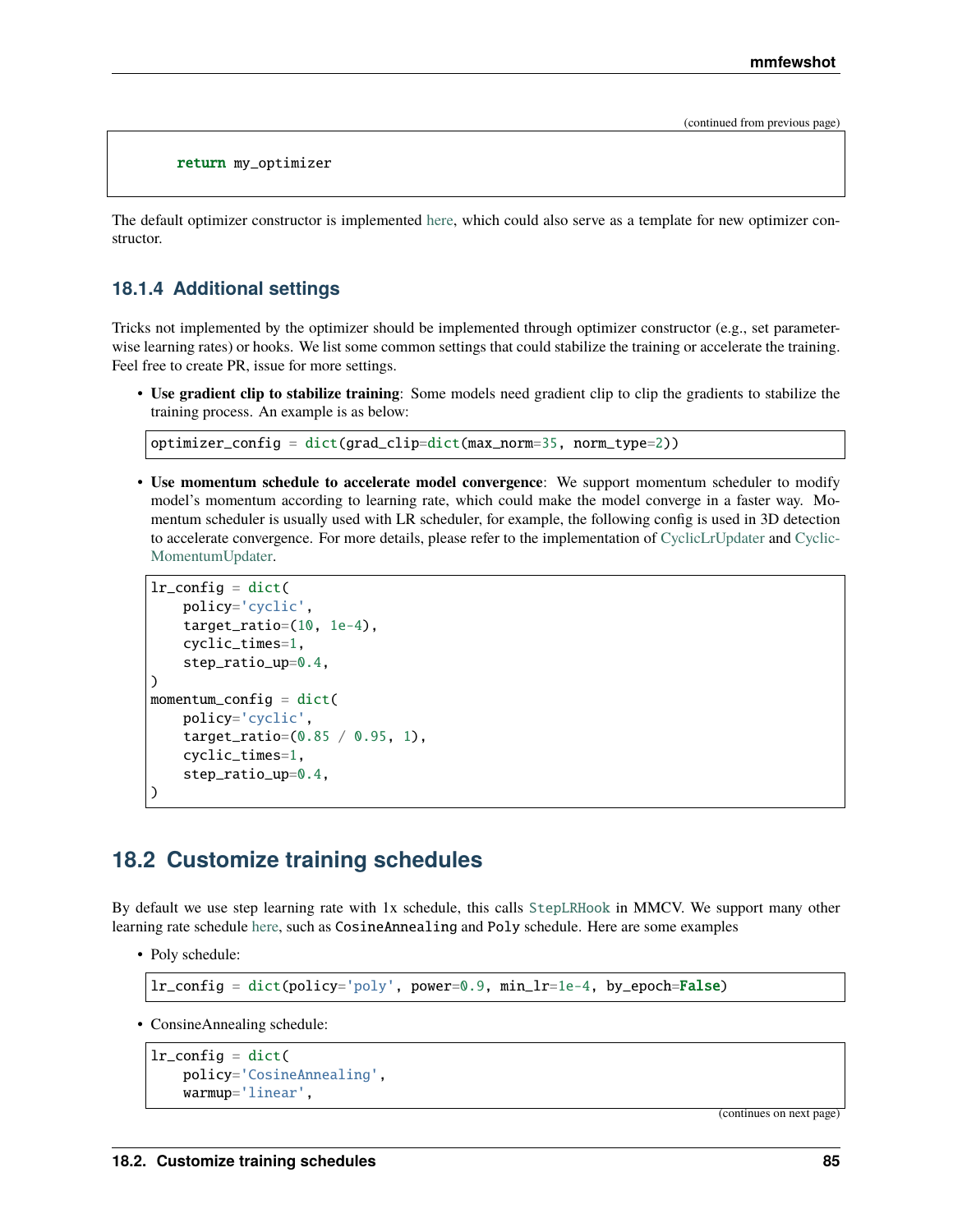return my\_optimizer

The default optimizer constructor is implemented [here,](https://github.com/open-mmlab/mmcv/blob/9ecd6b0d5ff9d2172c49a182eaa669e9f27bb8e7/mmcv/runner/optimizer/default_constructor.py#L11) which could also serve as a template for new optimizer constructor.

### **18.1.4 Additional settings**

Tricks not implemented by the optimizer should be implemented through optimizer constructor (e.g., set parameterwise learning rates) or hooks. We list some common settings that could stabilize the training or accelerate the training. Feel free to create PR, issue for more settings.

• **Use gradient clip to stabilize training**: Some models need gradient clip to clip the gradients to stabilize the training process. An example is as below:

```
optimizer_config = dict(grad_clip=dict(max_norm=35, norm_type=2))
```
• **Use momentum schedule to accelerate model convergence**: We support momentum scheduler to modify model's momentum according to learning rate, which could make the model converge in a faster way. Momentum scheduler is usually used with LR scheduler, for example, the following config is used in 3D detection to accelerate convergence. For more details, please refer to the implementation of [CyclicLrUpdater](https://github.com/open-mmlab/mmcv/blob/f48241a65aebfe07db122e9db320c31b685dc674/mmcv/runner/hooks/lr_updater.py#L327) and [Cyclic-](https://github.com/open-mmlab/mmcv/blob/f48241a65aebfe07db122e9db320c31b685dc674/mmcv/runner/hooks/momentum_updater.py#L130)[MomentumUpdater.](https://github.com/open-mmlab/mmcv/blob/f48241a65aebfe07db122e9db320c31b685dc674/mmcv/runner/hooks/momentum_updater.py#L130)

```
lr\_config = dict(policy='cyclic',
    target_ratio=(10, 1e-4),
    cyclic_times=1,
    step_ratio_up=0.4,
)
momentum_config = dict(
    policy='cyclic',
    target_ratio=(0.85 / 0.95, 1),
    cyclic_times=1,
    step_ratio_up=0.4,
)
```
## **18.2 Customize training schedules**

By default we use step learning rate with 1x schedule, this calls [StepLRHook](https://github.com/open-mmlab/mmcv/blob/f48241a65aebfe07db122e9db320c31b685dc674/mmcv/runner/hooks/lr_updater.py#L153) in MMCV. We support many other learning rate schedule [here,](https://github.com/open-mmlab/mmcv/blob/master/mmcv/runner/hooks/lr_updater.py) such as CosineAnnealing and Poly schedule. Here are some examples

• Poly schedule:

 $lr\_config = dict(policy='poly', power=0.9, min_lr=1e-4, by\_epoch=False)$ 

• ConsineAnnealing schedule:

```
lr\_config = dict(policy='CosineAnnealing',
    warmup='linear',
```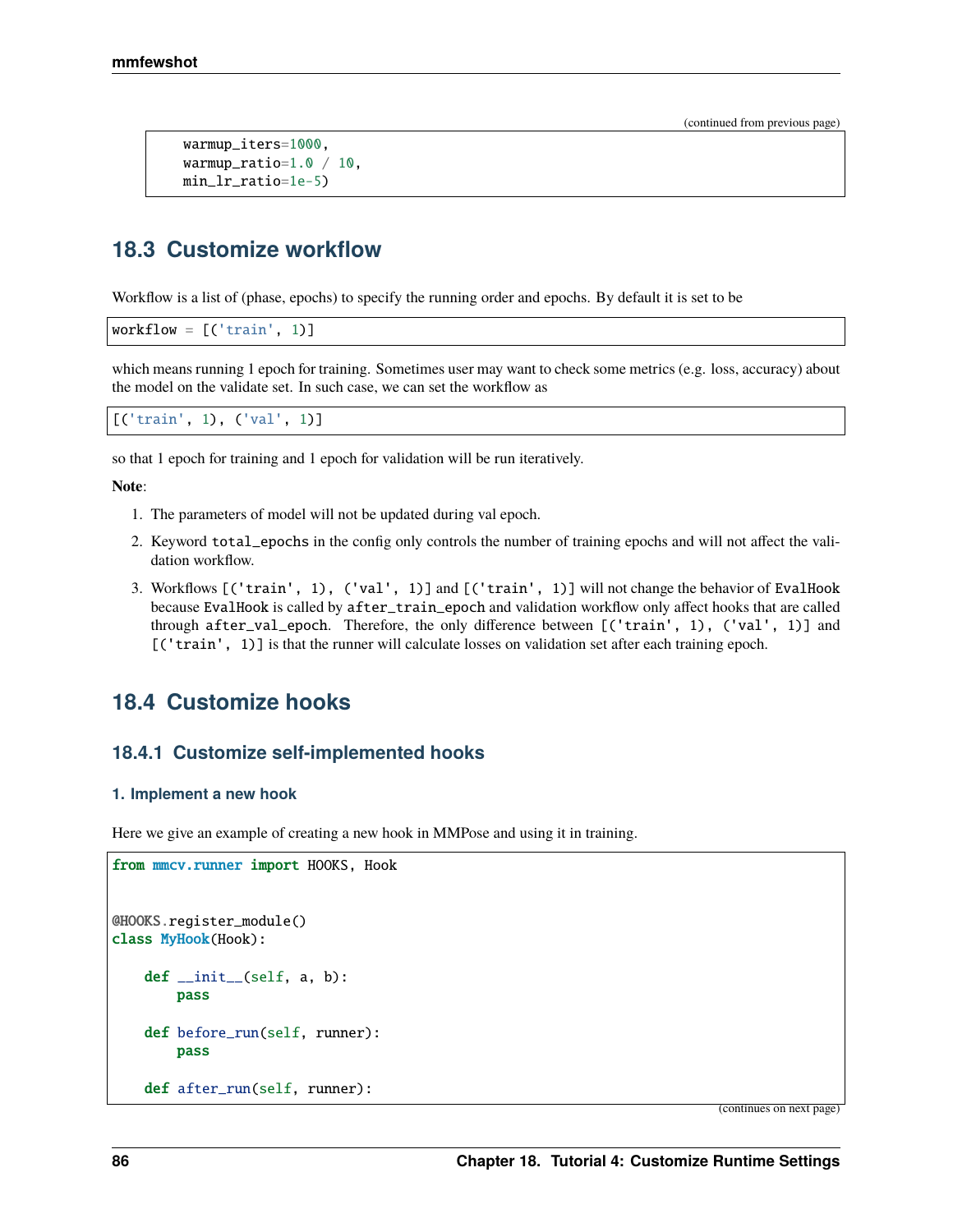```
warmup_iters=1000,
warmup_ratio=1.0 / 10,
min_lr_ratio=1e-5)
```
# **18.3 Customize workflow**

Workflow is a list of (phase, epochs) to specify the running order and epochs. By default it is set to be

```
workflow = [('train', 1)]
```
which means running 1 epoch for training. Sometimes user may want to check some metrics (e.g. loss, accuracy) about the model on the validate set. In such case, we can set the workflow as

```
[('train', 1), ('val', 1)]
```
so that 1 epoch for training and 1 epoch for validation will be run iteratively.

**Note**:

- 1. The parameters of model will not be updated during val epoch.
- 2. Keyword total\_epochs in the config only controls the number of training epochs and will not affect the validation workflow.
- 3. Workflows [('train', 1), ('val', 1)] and [('train', 1)] will not change the behavior of EvalHook because EvalHook is called by after\_train\_epoch and validation workflow only affect hooks that are called through after\_val\_epoch. Therefore, the only difference between [('train', 1), ('val', 1)] and [('train', 1)] is that the runner will calculate losses on validation set after each training epoch.

## **18.4 Customize hooks**

### **18.4.1 Customize self-implemented hooks**

#### **1. Implement a new hook**

Here we give an example of creating a new hook in MMPose and using it in training.

```
from mmcv.runner import HOOKS, Hook
@HOOKS.register_module()
class MyHook(Hook):
    def __init__(self, a, b):pass
   def before_run(self, runner):
        pass
    def after_run(self, runner):
```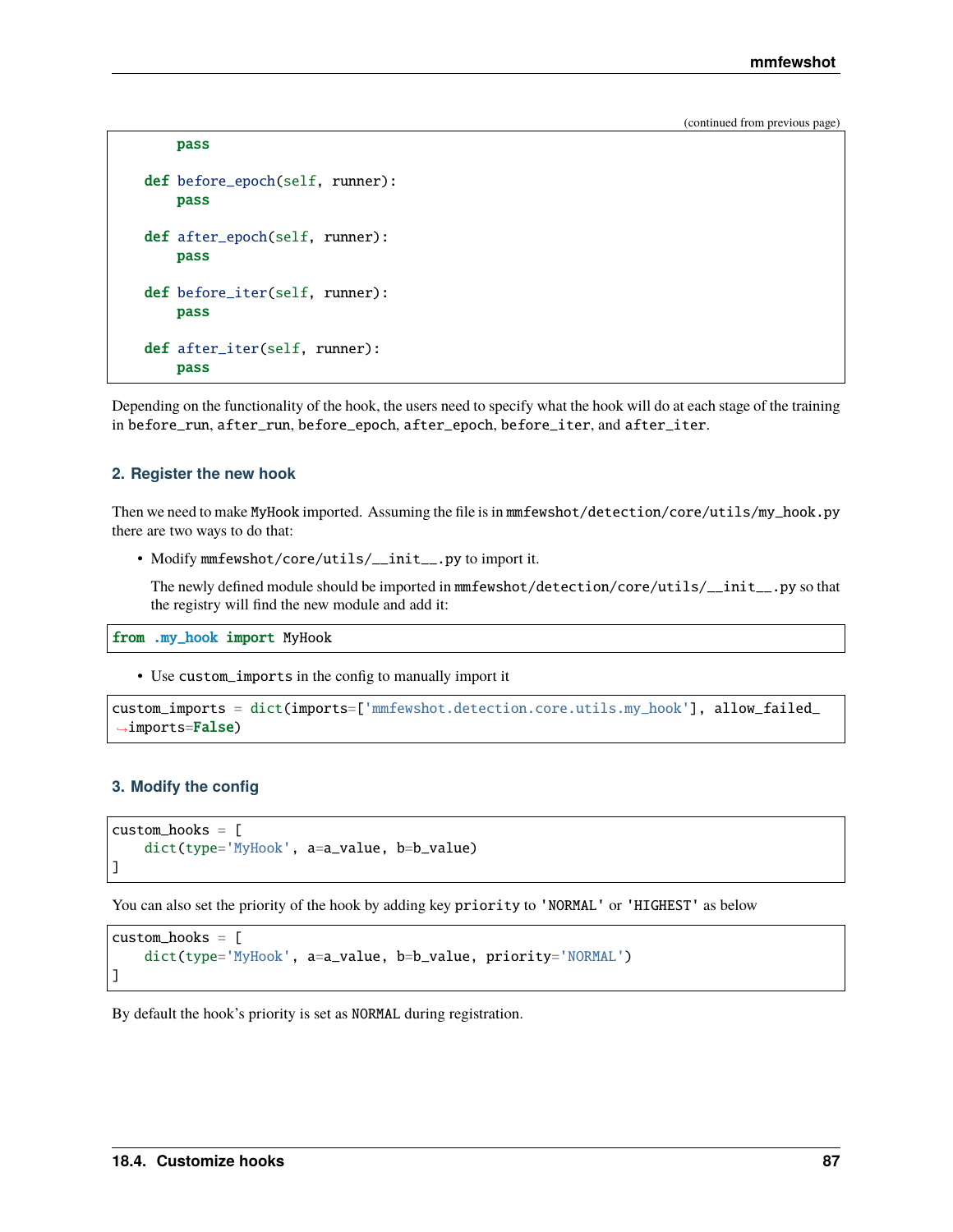```
pass
def before_epoch(self, runner):
    pass
def after_epoch(self, runner):
    pass
def before_iter(self, runner):
    pass
def after_iter(self, runner):
    pass
```
Depending on the functionality of the hook, the users need to specify what the hook will do at each stage of the training in before\_run, after\_run, before\_epoch, after\_epoch, before\_iter, and after\_iter.

#### **2. Register the new hook**

Then we need to make MyHook imported. Assuming the file is in mmfewshot/detection/core/utils/my\_hook.py there are two ways to do that:

• Modify mmfewshot/core/utils/\_\_init\_\_.py to import it.

The newly defined module should be imported in mmfewshot/detection/core/utils/\_\_init\_\_.py so that the registry will find the new module and add it:

from .my\_hook import MyHook

• Use custom\_imports in the config to manually import it

```
custom_imports = dict(imports=['mmfewshot.detection.core.utils.my_hook'], allow_failed_
→imports=False)
```
#### **3. Modify the config**

```
custom\_hook = \lceildict(type='MyHook', a=a_value, b=b_value)
]
```
You can also set the priority of the hook by adding key priority to 'NORMAL' or 'HIGHEST' as below

```
custom_hooks = [
    dict(type='MyHook', a=a_value, b=b_value, priority='NORMAL')
]
```
By default the hook's priority is set as NORMAL during registration.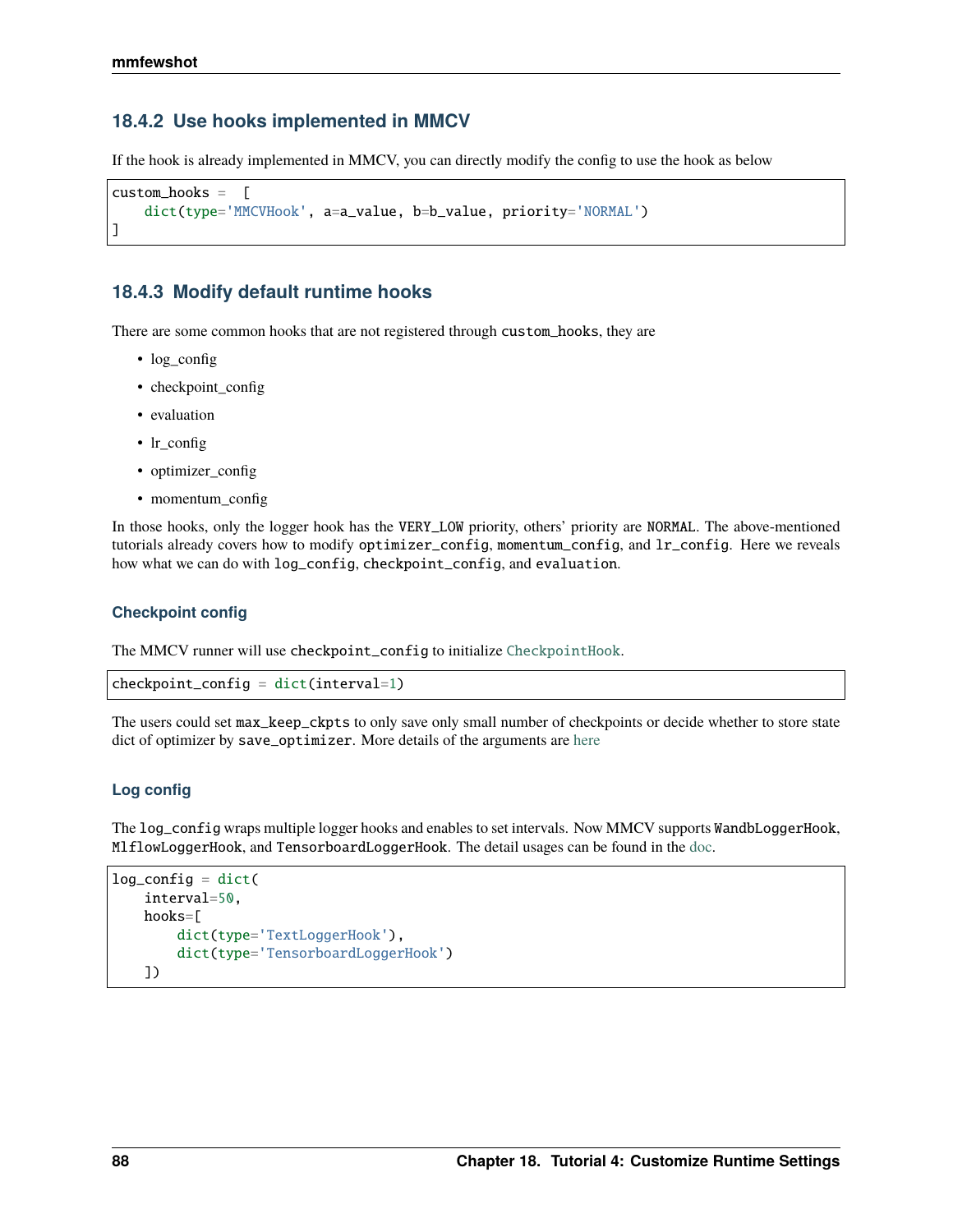### **18.4.2 Use hooks implemented in MMCV**

If the hook is already implemented in MMCV, you can directly modify the config to use the hook as below

```
custom_hooks = [
    dict(type='MMCVHook', a=a_value, b=b_value, priority='NORMAL')
]
```
### **18.4.3 Modify default runtime hooks**

There are some common hooks that are not registered through custom\_hooks, they are

- log\_config
- checkpoint\_config
- evaluation
- lr\_config
- optimizer\_config
- momentum\_config

In those hooks, only the logger hook has the VERY\_LOW priority, others' priority are NORMAL. The above-mentioned tutorials already covers how to modify optimizer\_config, momentum\_config, and lr\_config. Here we reveals how what we can do with log\_config, checkpoint\_config, and evaluation.

#### **Checkpoint config**

The MMCV runner will use checkpoint\_config to initialize [CheckpointHook](https://github.com/open-mmlab/mmcv/blob/9ecd6b0d5ff9d2172c49a182eaa669e9f27bb8e7/mmcv/runner/hooks/checkpoint.py#L9).

```
checkpoint_config = dict(interval=1)
```
The users could set max\_keep\_ckpts to only save only small number of checkpoints or decide whether to store state dict of optimizer by save\_optimizer. More details of the arguments are [here](https://mmcv.readthedocs.io/en/latest/api.html#mmcv.runner.CheckpointHook)

#### **Log config**

The log\_config wraps multiple logger hooks and enables to set intervals. Now MMCV supports WandbLoggerHook, MlflowLoggerHook, and TensorboardLoggerHook. The detail usages can be found in the [doc.](https://mmcv.readthedocs.io/en/latest/api.html#mmcv.runner.LoggerHook)

```
log\_config = dict(interval=50,
    hooks=[
        dict(type='TextLoggerHook'),
        dict(type='TensorboardLoggerHook')
    ])
```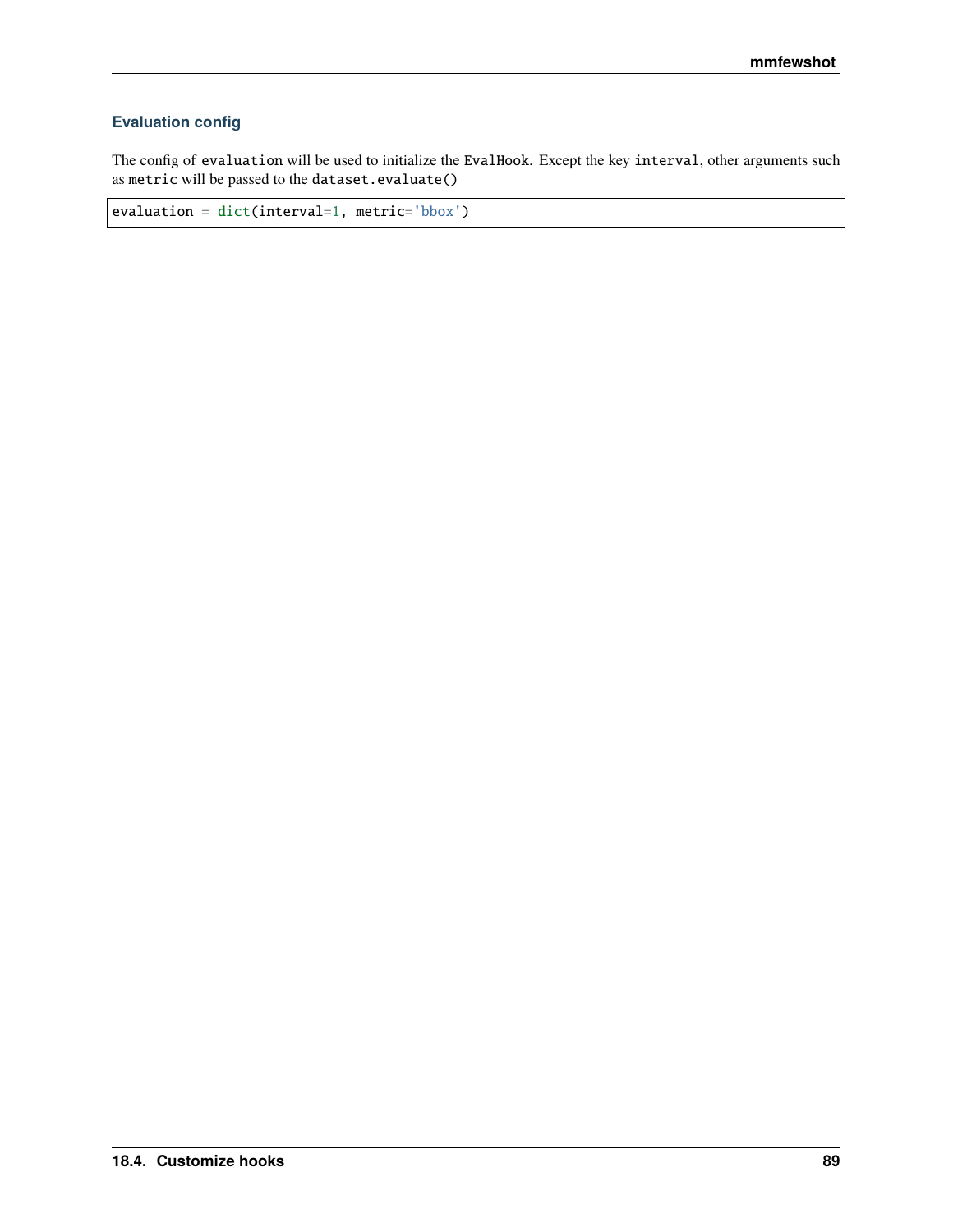## **Evaluation config**

The config of evaluation will be used to initialize the EvalHook. Except the key interval, other arguments such as metric will be passed to the dataset.evaluate()

evaluation = dict(interval=1, metric='bbox')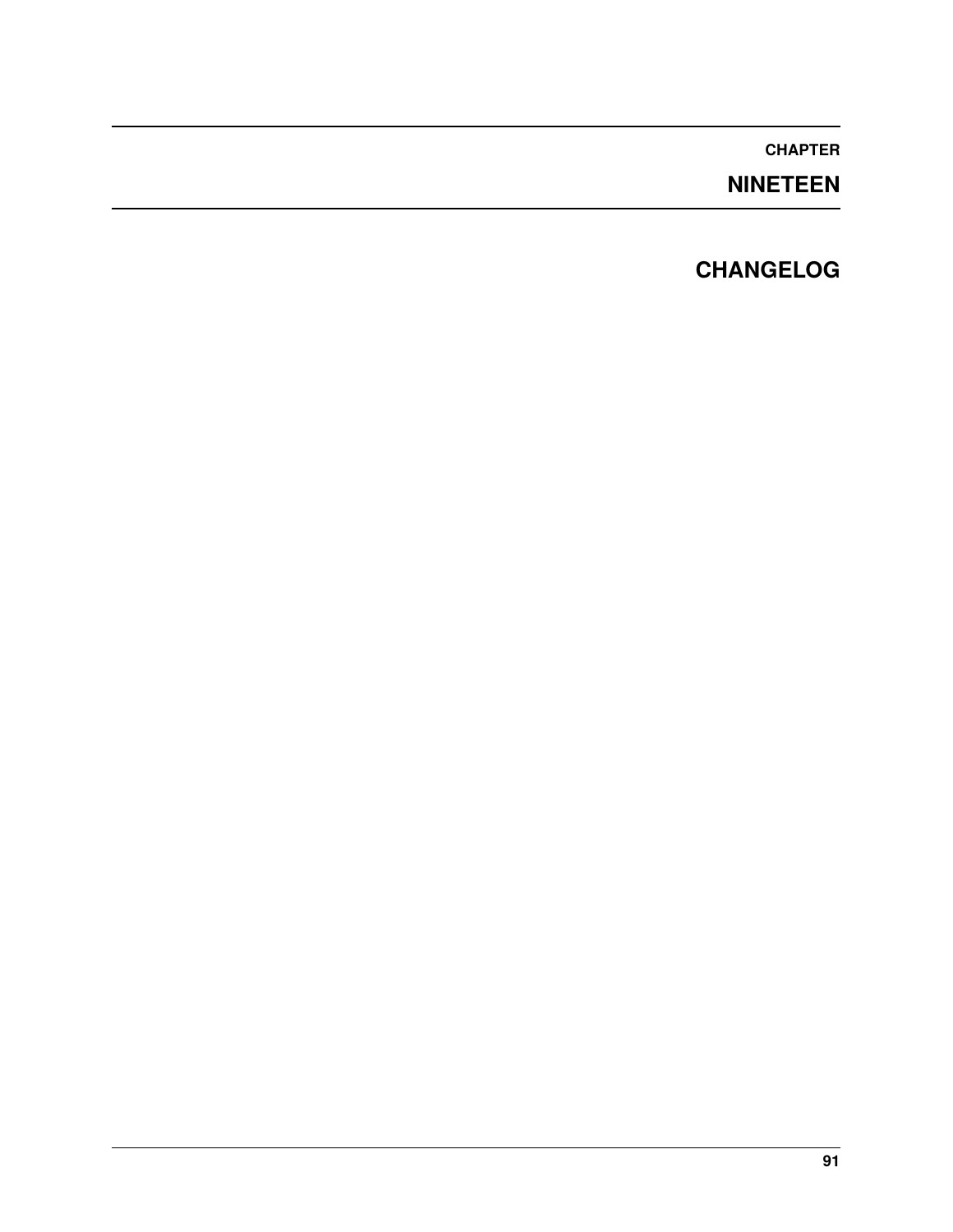# **NINETEEN**

# **CHANGELOG**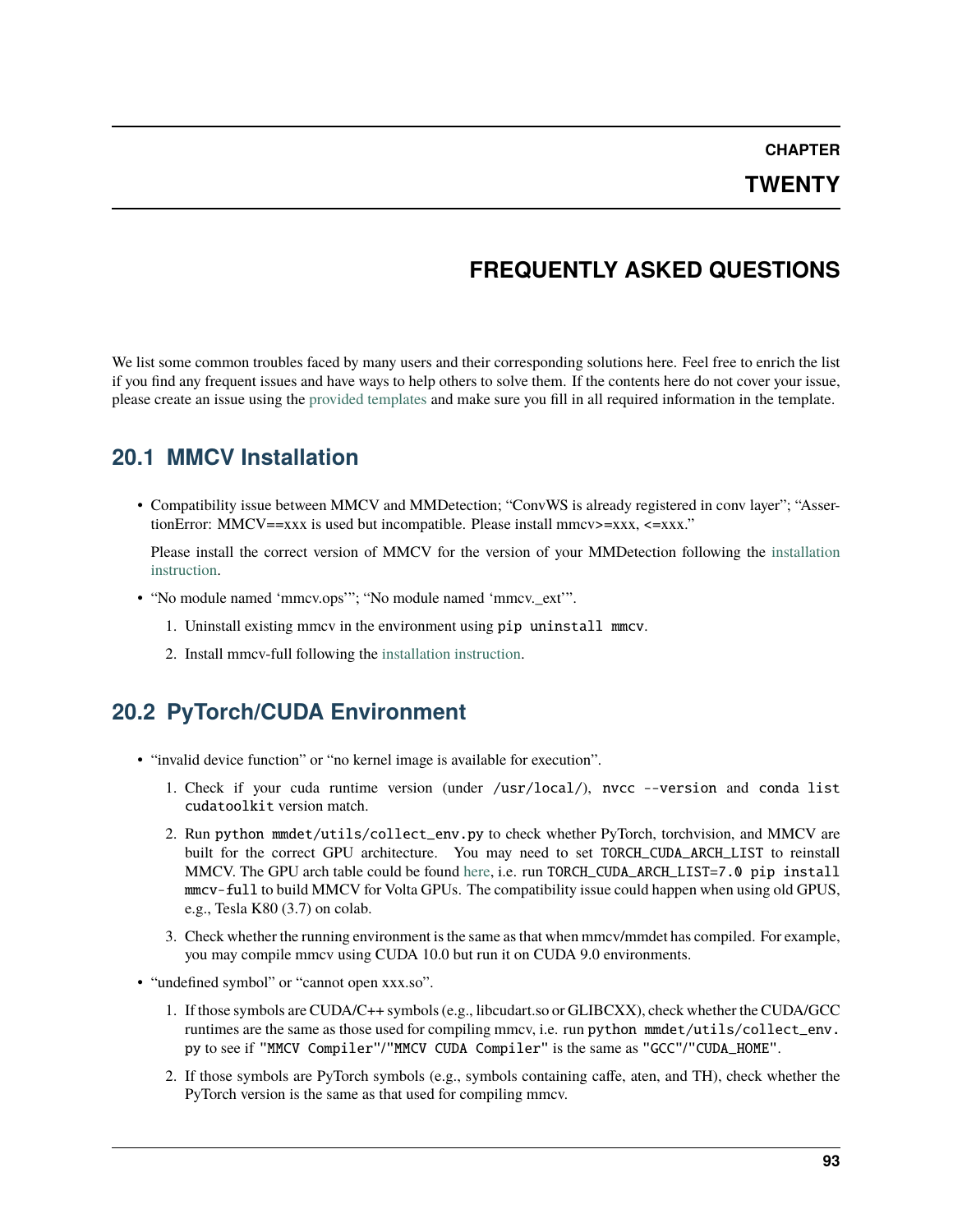## **TWENTY**

# **FREQUENTLY ASKED QUESTIONS**

We list some common troubles faced by many users and their corresponding solutions here. Feel free to enrich the list if you find any frequent issues and have ways to help others to solve them. If the contents here do not cover your issue, please create an issue using the [provided templates](https://github.com/open-mmlab/mmdetection/blob/master/.github/ISSUE_TEMPLATE/error-report.md/) and make sure you fill in all required information in the template.

## **20.1 MMCV Installation**

• Compatibility issue between MMCV and MMDetection; "ConvWS is already registered in conv layer"; "AssertionError: MMCV==xxx is used but incompatible. Please install mmcv>=xxx, <=xxx."

Please install the correct version of MMCV for the version of your MMDetection following the [installation](https://mmdetection.readthedocs.io/en/latest/get_started.html#installation) [instruction.](https://mmdetection.readthedocs.io/en/latest/get_started.html#installation)

- "No module named 'mmcv.ops'"; "No module named 'mmcv.\_ext'".
	- 1. Uninstall existing mmcv in the environment using pip uninstall mmcv.
	- 2. Install mmcv-full following the [installation instruction.](https://mmcv.readthedocs.io/en/latest/#installation)

## **20.2 PyTorch/CUDA Environment**

- "invalid device function" or "no kernel image is available for execution".
	- 1. Check if your cuda runtime version (under /usr/local/), nvcc --version and conda list cudatoolkit version match.
	- 2. Run python mmdet/utils/collect\_env.py to check whether PyTorch, torchvision, and MMCV are built for the correct GPU architecture. You may need to set TORCH\_CUDA\_ARCH\_LIST to reinstall MMCV. The GPU arch table could be found [here,](https://docs.nvidia.com/cuda/cuda-compiler-driver-nvcc/index.html#gpu-feature-list) i.e. run TORCH\_CUDA\_ARCH\_LIST=7.0 pip install mmcv-full to build MMCV for Volta GPUs. The compatibility issue could happen when using old GPUS, e.g., Tesla K80 (3.7) on colab.
	- 3. Check whether the running environment is the same as that when mmcv/mmdet has compiled. For example, you may compile mmcv using CUDA 10.0 but run it on CUDA 9.0 environments.
- "undefined symbol" or "cannot open xxx.so".
	- 1. If those symbols are CUDA/C++ symbols (e.g., libcudart.so or GLIBCXX), check whether the CUDA/GCC runtimes are the same as those used for compiling mmcv, i.e. run python mmdet/utils/collect\_env. py to see if "MMCV Compiler"/"MMCV CUDA Compiler" is the same as "GCC"/"CUDA\_HOME".
	- 2. If those symbols are PyTorch symbols (e.g., symbols containing caffe, aten, and TH), check whether the PyTorch version is the same as that used for compiling mmcv.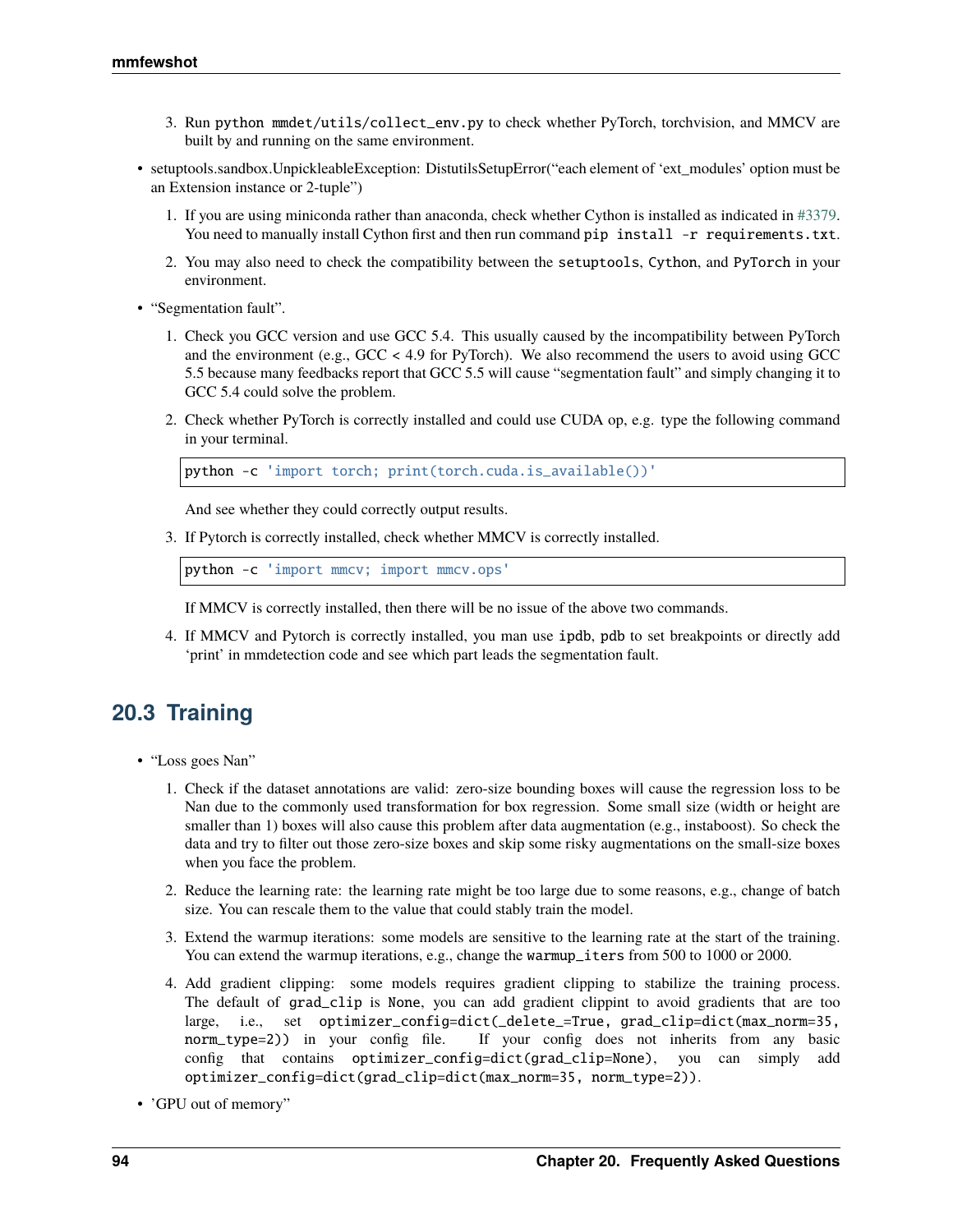- 3. Run python mmdet/utils/collect\_env.py to check whether PyTorch, torchvision, and MMCV are built by and running on the same environment.
- setuptools.sandbox.UnpickleableException: DistutilsSetupError("each element of 'ext\_modules' option must be an Extension instance or 2-tuple")
	- 1. If you are using miniconda rather than anaconda, check whether Cython is installed as indicated in [#3379.](https://github.com/open-mmlab/mmdetection/issues/3379) You need to manually install Cython first and then run command pip install -r requirements.txt.
	- 2. You may also need to check the compatibility between the setuptools, Cython, and PyTorch in your environment.
- "Segmentation fault".
	- 1. Check you GCC version and use GCC 5.4. This usually caused by the incompatibility between PyTorch and the environment (e.g., GCC < 4.9 for PyTorch). We also recommend the users to avoid using GCC 5.5 because many feedbacks report that GCC 5.5 will cause "segmentation fault" and simply changing it to GCC 5.4 could solve the problem.
	- 2. Check whether PyTorch is correctly installed and could use CUDA op, e.g. type the following command in your terminal.

```
python -c 'import torch; print(torch.cuda.is_available())'
```
And see whether they could correctly output results.

3. If Pytorch is correctly installed, check whether MMCV is correctly installed.

```
python -c 'import mmcv; import mmcv.ops'
```
If MMCV is correctly installed, then there will be no issue of the above two commands.

4. If MMCV and Pytorch is correctly installed, you man use ipdb, pdb to set breakpoints or directly add 'print' in mmdetection code and see which part leads the segmentation fault.

# **20.3 Training**

- "Loss goes Nan"
	- 1. Check if the dataset annotations are valid: zero-size bounding boxes will cause the regression loss to be Nan due to the commonly used transformation for box regression. Some small size (width or height are smaller than 1) boxes will also cause this problem after data augmentation (e.g., instaboost). So check the data and try to filter out those zero-size boxes and skip some risky augmentations on the small-size boxes when you face the problem.
	- 2. Reduce the learning rate: the learning rate might be too large due to some reasons, e.g., change of batch size. You can rescale them to the value that could stably train the model.
	- 3. Extend the warmup iterations: some models are sensitive to the learning rate at the start of the training. You can extend the warmup iterations, e.g., change the warmup\_iters from 500 to 1000 or 2000.
	- 4. Add gradient clipping: some models requires gradient clipping to stabilize the training process. The default of grad\_clip is None, you can add gradient clippint to avoid gradients that are too large, i.e., set optimizer\_config=dict(\_delete\_=True, grad\_clip=dict(max\_norm=35, norm\_type=2)) in your config file. If your config does not inherits from any basic config that contains optimizer\_config=dict(grad\_clip=None), you can simply add optimizer\_config=dict(grad\_clip=dict(max\_norm=35, norm\_type=2)).
- 'GPU out of memory"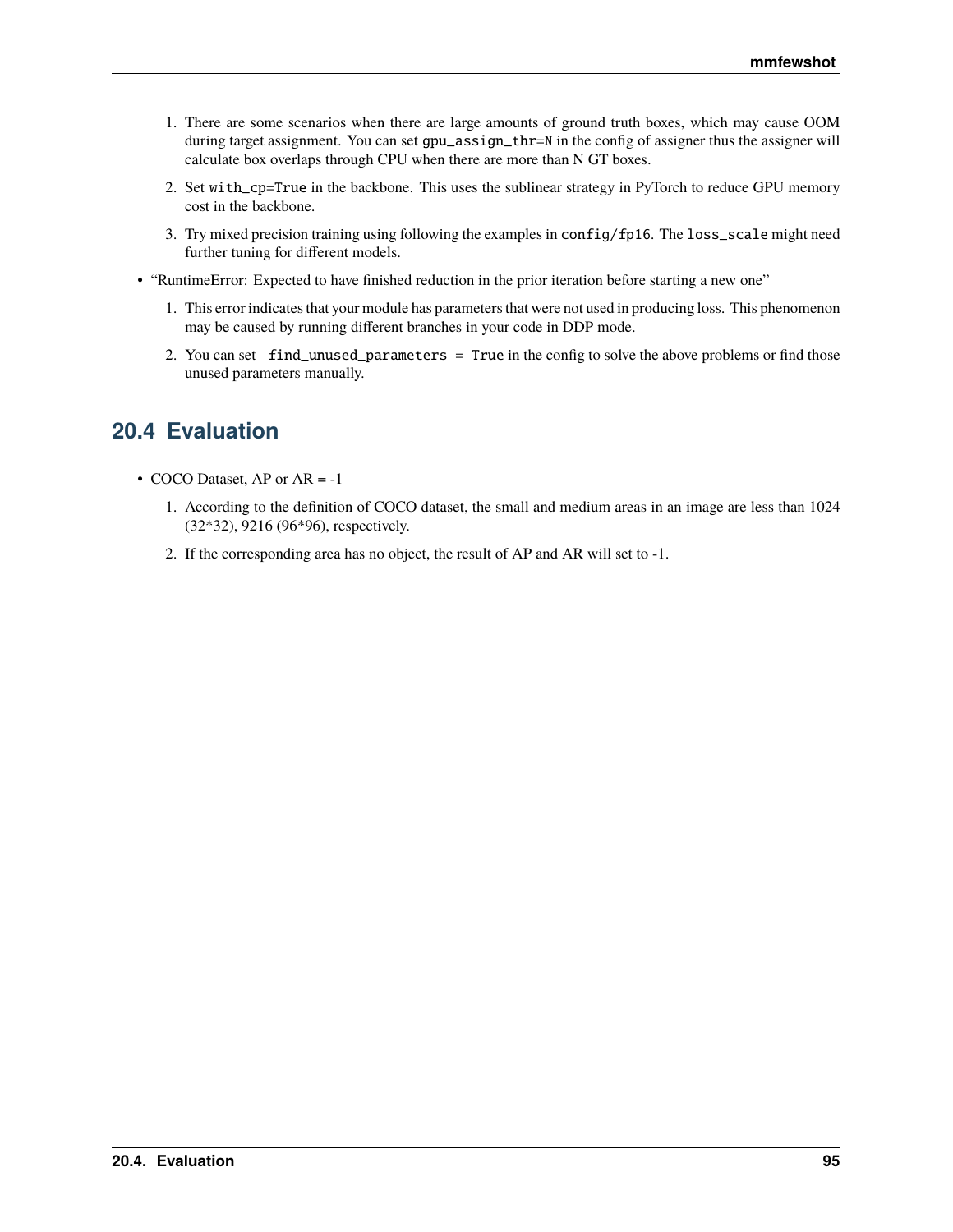- 1. There are some scenarios when there are large amounts of ground truth boxes, which may cause OOM during target assignment. You can set gpu\_assign\_thr=N in the config of assigner thus the assigner will calculate box overlaps through CPU when there are more than N GT boxes.
- 2. Set with\_cp=True in the backbone. This uses the sublinear strategy in PyTorch to reduce GPU memory cost in the backbone.
- 3. Try mixed precision training using following the examples in config/fp16. The loss\_scale might need further tuning for different models.
- "RuntimeError: Expected to have finished reduction in the prior iteration before starting a new one"
	- 1. This error indicates that your module has parameters that were not used in producing loss. This phenomenon may be caused by running different branches in your code in DDP mode.
	- 2. You can set find\_unused\_parameters = True in the config to solve the above problems or find those unused parameters manually.

# **20.4 Evaluation**

- COCO Dataset, AP or AR = -1
	- 1. According to the definition of COCO dataset, the small and medium areas in an image are less than 1024 (32\*32), 9216 (96\*96), respectively.
	- 2. If the corresponding area has no object, the result of AP and AR will set to -1.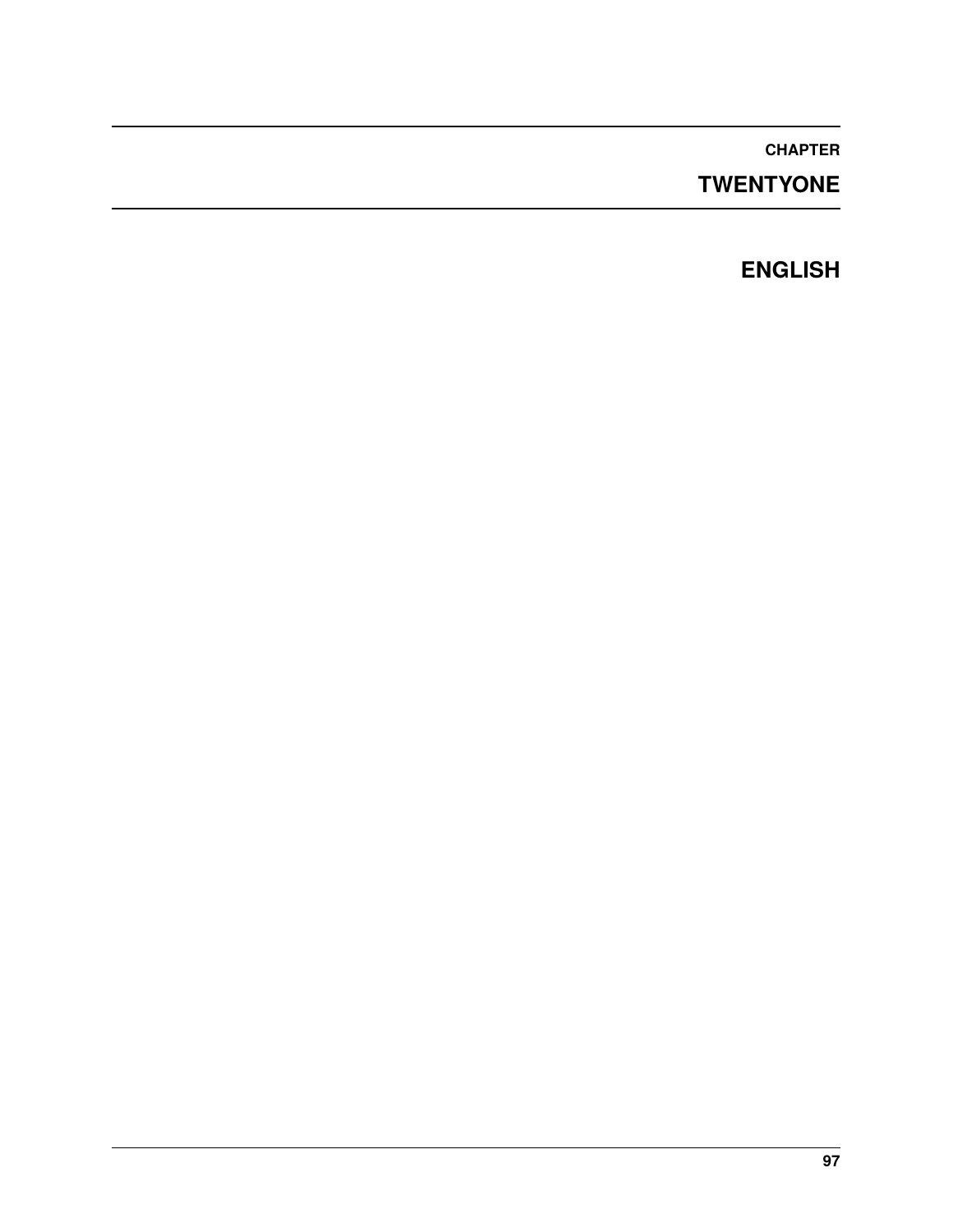# **TWENTYONE**

# **ENGLISH**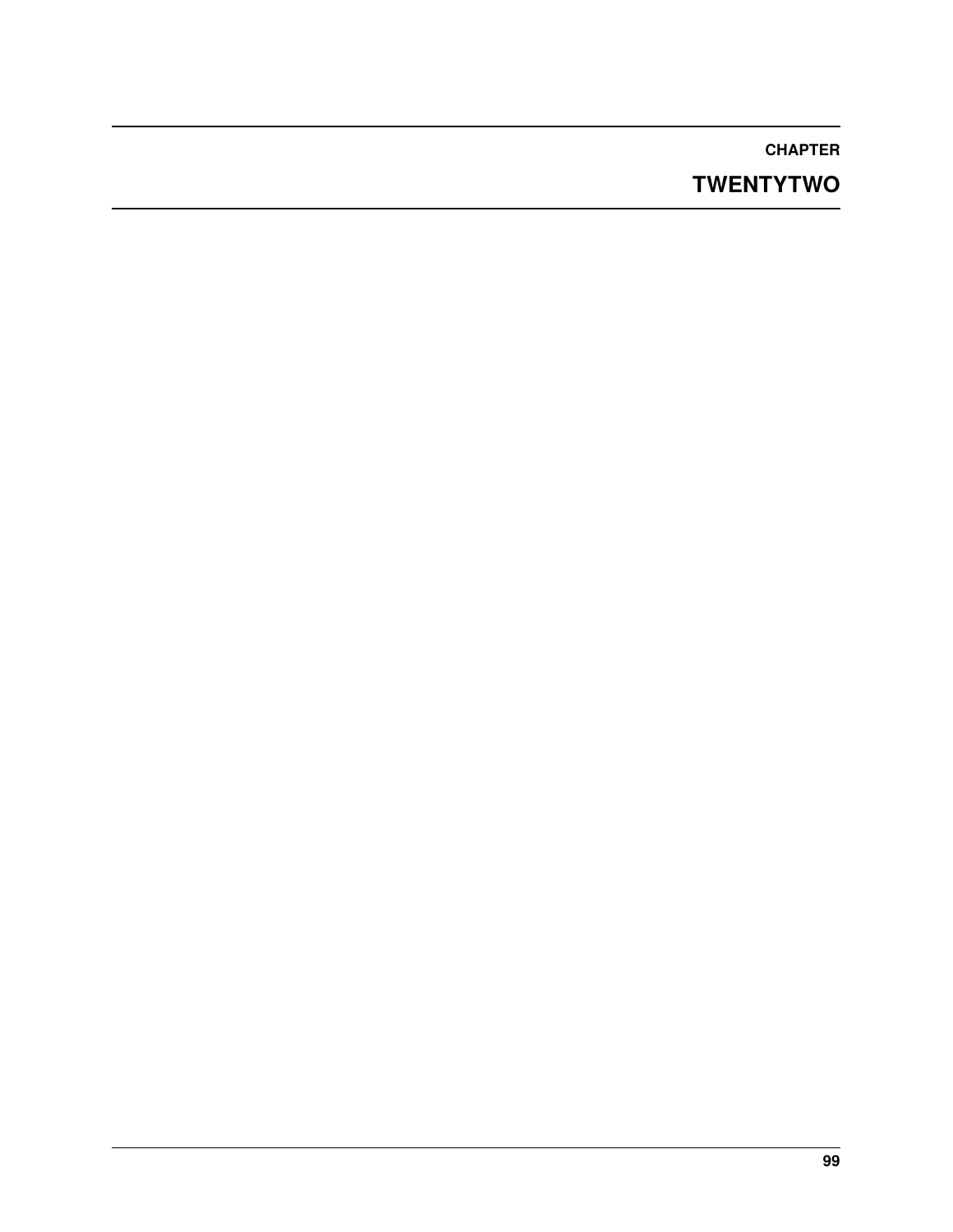# **TWENTYTWO**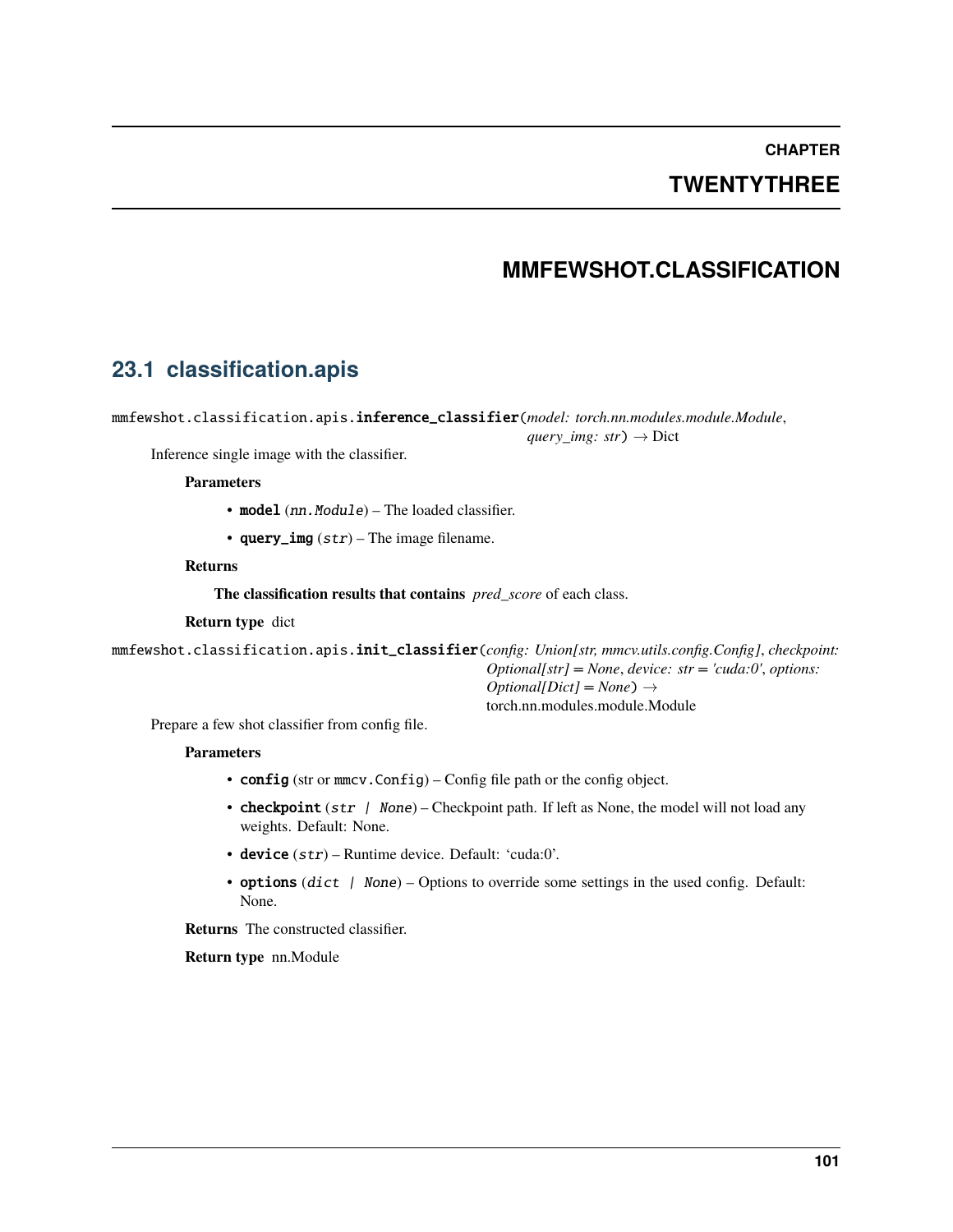## **TWENTYTHREE**

## **MMFEWSHOT.CLASSIFICATION**

## **23.1 classification.apis**

mmfewshot.classification.apis.inference\_classifier(*model: torch.nn.modules.module.Module*,

*query\_img: str*)  $\rightarrow$  Dict

Inference single image with the classifier.

#### **Parameters**

- model (nn. Module) The loaded classifier.
- query\_img  $(str)$  The image filename.

#### **Returns**

**The classification results that contains** *pred\_score* of each class.

**Return type** dict

mmfewshot.classification.apis.init\_classifier(*config: Union[str, mmcv.utils.config.Config]*, *checkpoint: Optional[str] = None*, *device: str = 'cuda:0'*, *options:*  $Optional(Dict] = None)$   $\rightarrow$ torch.nn.modules.module.Module

Prepare a few shot classifier from config file.

#### **Parameters**

- config (str or mmcv. Config) Config file path or the config object.
- **checkpoint** (str  $\mid$  None) Checkpoint path. If left as None, the model will not load any weights. Default: None.
- device  $(str)$  Runtime device. Default: 'cuda:0'.
- options (dict | None) Options to override some settings in the used config. Default: None.

**Returns** The constructed classifier.

**Return type** nn.Module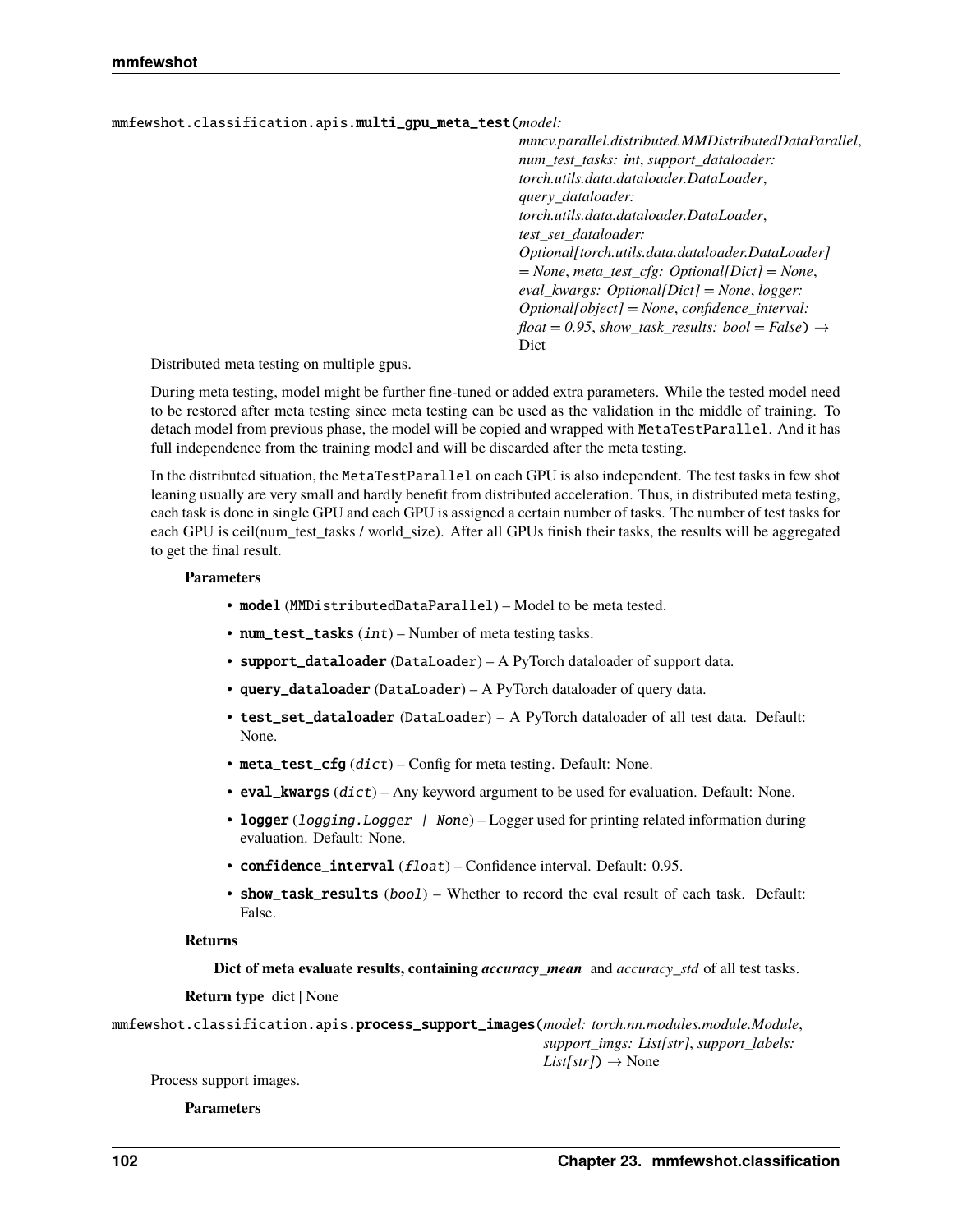mmfewshot.classification.apis.multi\_gpu\_meta\_test(*model:*

*mmcv.parallel.distributed.MMDistributedDataParallel*, *num\_test\_tasks: int*, *support\_dataloader: torch.utils.data.dataloader.DataLoader*, *query\_dataloader: torch.utils.data.dataloader.DataLoader*, *test\_set\_dataloader: Optional[torch.utils.data.dataloader.DataLoader] = None*, *meta\_test\_cfg: Optional[Dict] = None*, *eval\_kwargs: Optional[Dict] = None*, *logger: Optional[object] = None*, *confidence\_interval:*  $float = 0.95, show\_task\_results: bool = False)$   $\rightarrow$ Dict

Distributed meta testing on multiple gpus.

During meta testing, model might be further fine-tuned or added extra parameters. While the tested model need to be restored after meta testing since meta testing can be used as the validation in the middle of training. To detach model from previous phase, the model will be copied and wrapped with MetaTestParallel. And it has full independence from the training model and will be discarded after the meta testing.

In the distributed situation, the MetaTestParallel on each GPU is also independent. The test tasks in few shot leaning usually are very small and hardly benefit from distributed acceleration. Thus, in distributed meta testing, each task is done in single GPU and each GPU is assigned a certain number of tasks. The number of test tasks for each GPU is ceil(num\_test\_tasks / world\_size). After all GPUs finish their tasks, the results will be aggregated to get the final result.

#### **Parameters**

- model (MMDistributedDataParallel) Model to be meta tested.
- num\_test\_tasks  $(int)$  Number of meta testing tasks.
- support\_dataloader (DataLoader) A PyTorch dataloader of support data.
- query\_dataloader (DataLoader) A PyTorch dataloader of query data.
- test\_set\_dataloader (DataLoader) A PyTorch dataloader of all test data. Default: None.
- meta\_test\_cfg  $(dict)$  Config for meta testing. Default: None.
- eval\_kwargs  $(dict)$  Any keyword argument to be used for evaluation. Default: None.
- logger (logging. Logger | None) Logger used for printing related information during evaluation. Default: None.
- confidence\_interval (float) Confidence interval. Default: 0.95.
- show\_task\_results (bool) Whether to record the eval result of each task. Default: False.

#### **Returns**

**Dict of meta evaluate results, containing** *accuracy\_mean* and *accuracy\_std* of all test tasks.

#### **Return type** dict | None

mmfewshot.classification.apis.process\_support\_images(*model: torch.nn.modules.module.Module*, *support\_imgs: List[str]*, *support\_labels:*  $List(str]) \rightarrow None$ 

Process support images.

#### **Parameters**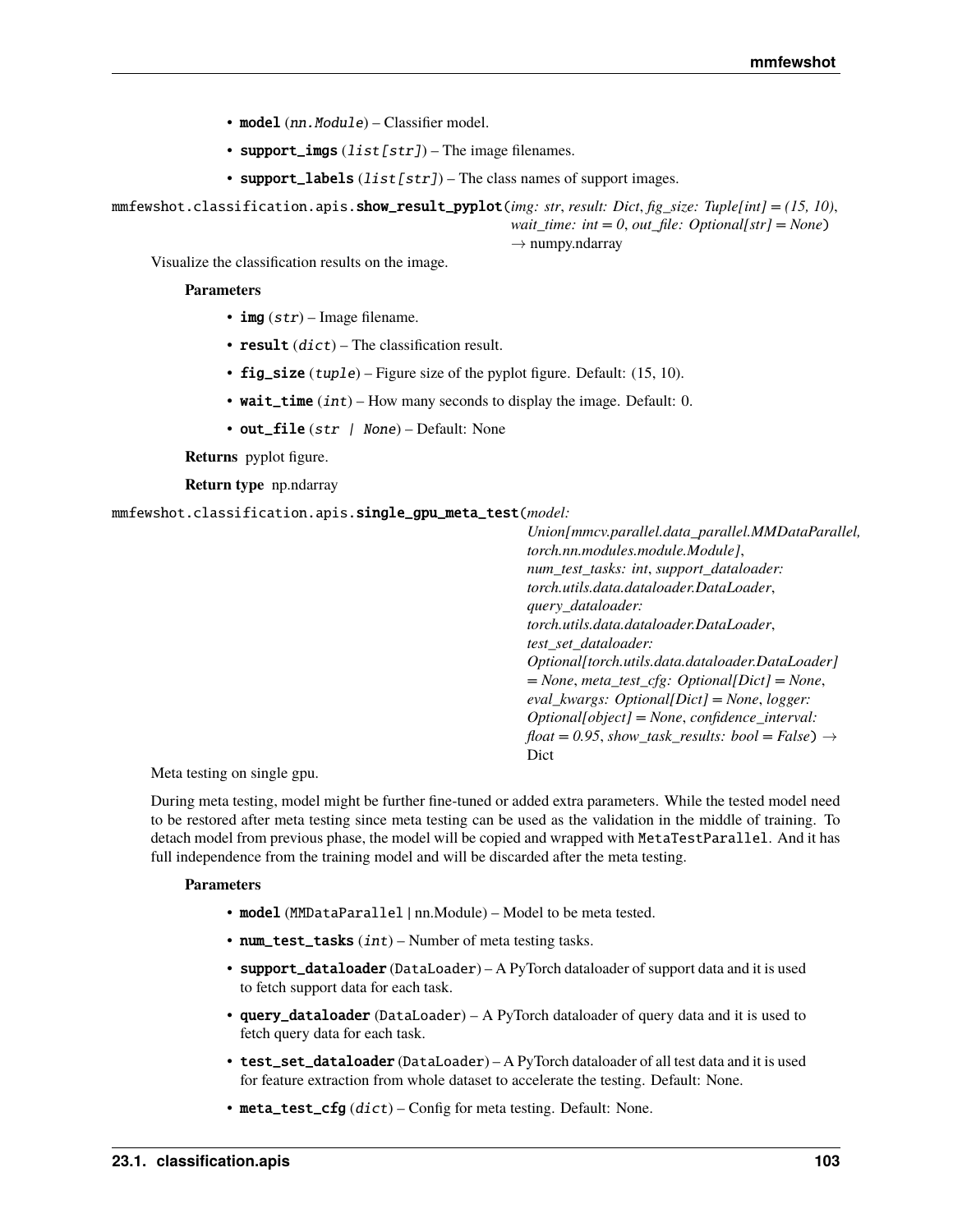- model (nn. Module) Classifier model.
- support\_imgs  $(list[str])$  The image filenames.
- support\_labels  $(list[str])$  The class names of support images.

mmfewshot.classification.apis.show\_result\_pyplot(*img: str*, *result: Dict*, *fig\_size: Tuple[int] = (15, 10)*, *wait\_time: int = 0, out\_file: Optional[str] = None*)

 $\rightarrow$  numpy.ndarray

Visualize the classification results on the image.

#### **Parameters**

- img  $(str)$  Image filename.
- result  $(dict)$  The classification result.
- fig\_size (tuple) Figure size of the pyplot figure. Default:  $(15, 10)$ .
- wait\_time  $(int)$  How many seconds to display the image. Default: 0.
- out\_file (str | None) Default: None

**Returns** pyplot figure.

**Return type** np.ndarray

mmfewshot.classification.apis.single\_gpu\_meta\_test(*model:*

*Union[mmcv.parallel.data\_parallel.MMDataParallel, torch.nn.modules.module.Module]*, *num\_test\_tasks: int*, *support\_dataloader: torch.utils.data.dataloader.DataLoader*, *query\_dataloader: torch.utils.data.dataloader.DataLoader*, *test\_set\_dataloader: Optional[torch.utils.data.dataloader.DataLoader] = None*, *meta\_test\_cfg: Optional[Dict] = None*, *eval\_kwargs: Optional[Dict] = None*, *logger: Optional[object] = None*, *confidence\_interval:*  $float = 0.95, show\_task\_results: bool = False)$   $\rightarrow$ Dict

Meta testing on single gpu.

During meta testing, model might be further fine-tuned or added extra parameters. While the tested model need to be restored after meta testing since meta testing can be used as the validation in the middle of training. To detach model from previous phase, the model will be copied and wrapped with MetaTestParallel. And it has full independence from the training model and will be discarded after the meta testing.

#### **Parameters**

- model (MMDataParallel | nn.Module) Model to be meta tested.
- num\_test\_tasks  $(int)$  Number of meta testing tasks.
- support\_dataloader (DataLoader) A PyTorch dataloader of support data and it is used to fetch support data for each task.
- query\_dataloader (DataLoader) A PyTorch dataloader of query data and it is used to fetch query data for each task.
- test\_set\_dataloader (DataLoader) A PyTorch dataloader of all test data and it is used for feature extraction from whole dataset to accelerate the testing. Default: None.
- meta\_test\_cfg  $(dict)$  Config for meta testing. Default: None.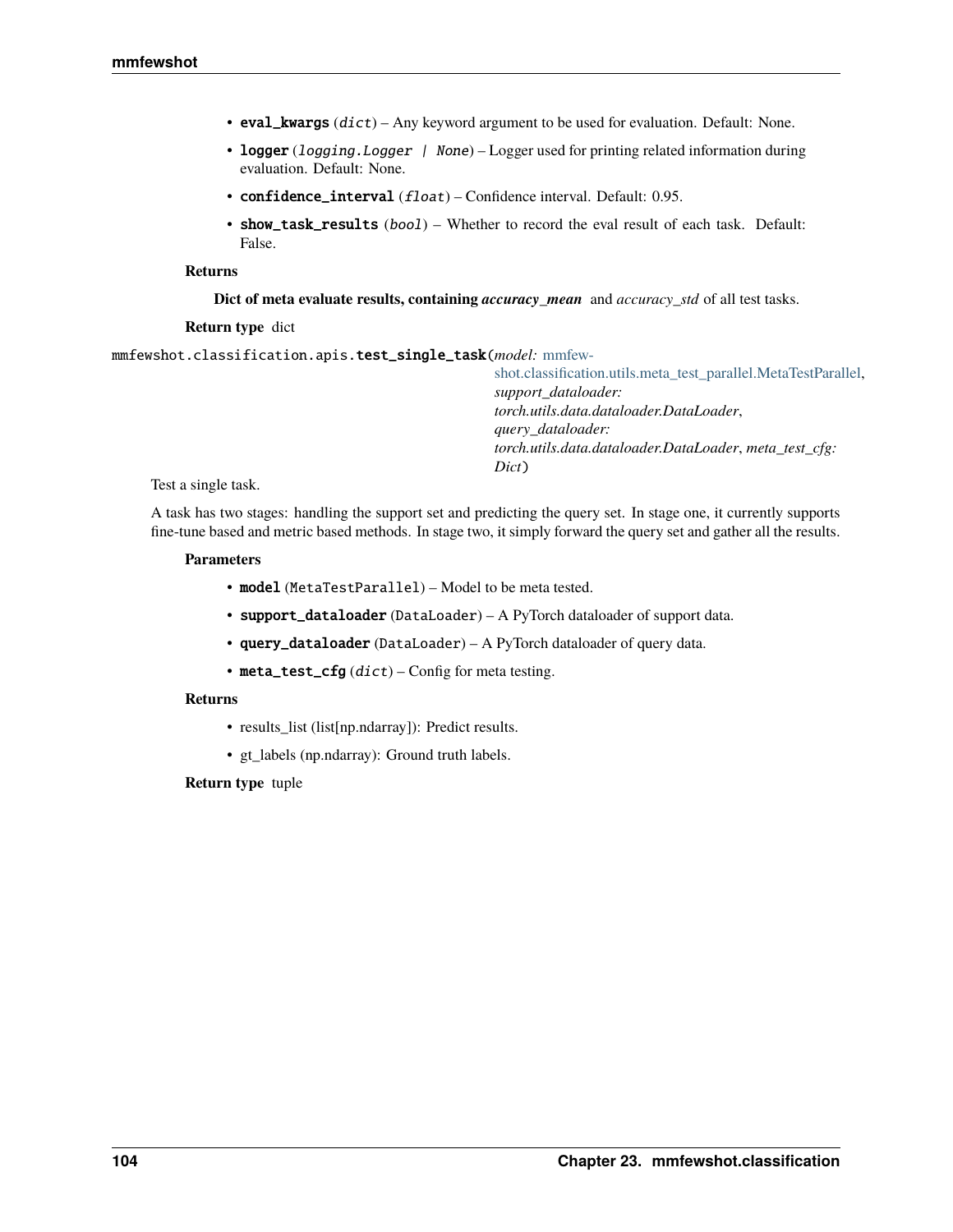- eval\_kwargs  $(dict)$  Any keyword argument to be used for evaluation. Default: None.
- logger (logging. Logger | None) Logger used for printing related information during evaluation. Default: None.
- confidence\_interval (float) Confidence interval. Default: 0.95.
- show\_task\_results (bool) Whether to record the eval result of each task. Default: False.

#### **Returns**

**Dict of meta evaluate results, containing** *accuracy\_mean* and *accuracy\_std* of all test tasks.

#### **Return type** dict

mmfewshot.classification.apis.test\_single\_task(*model:* [mmfew-](#page-121-0)

[shot.classification.utils.meta\\_test\\_parallel.MetaTestParallel,](#page-121-0) *support\_dataloader: torch.utils.data.dataloader.DataLoader*, *query\_dataloader: torch.utils.data.dataloader.DataLoader*, *meta\_test\_cfg: Dict*)

Test a single task.

A task has two stages: handling the support set and predicting the query set. In stage one, it currently supports fine-tune based and metric based methods. In stage two, it simply forward the query set and gather all the results.

#### **Parameters**

- model (MetaTestParallel) Model to be meta tested.
- support\_dataloader (DataLoader) A PyTorch dataloader of support data.
- query\_dataloader (DataLoader) A PyTorch dataloader of query data.
- meta\_test\_cfg  $(dict)$  Config for meta testing.

#### **Returns**

- results\_list (list[np.ndarray]): Predict results.
- gt\_labels (np.ndarray): Ground truth labels.

#### **Return type** tuple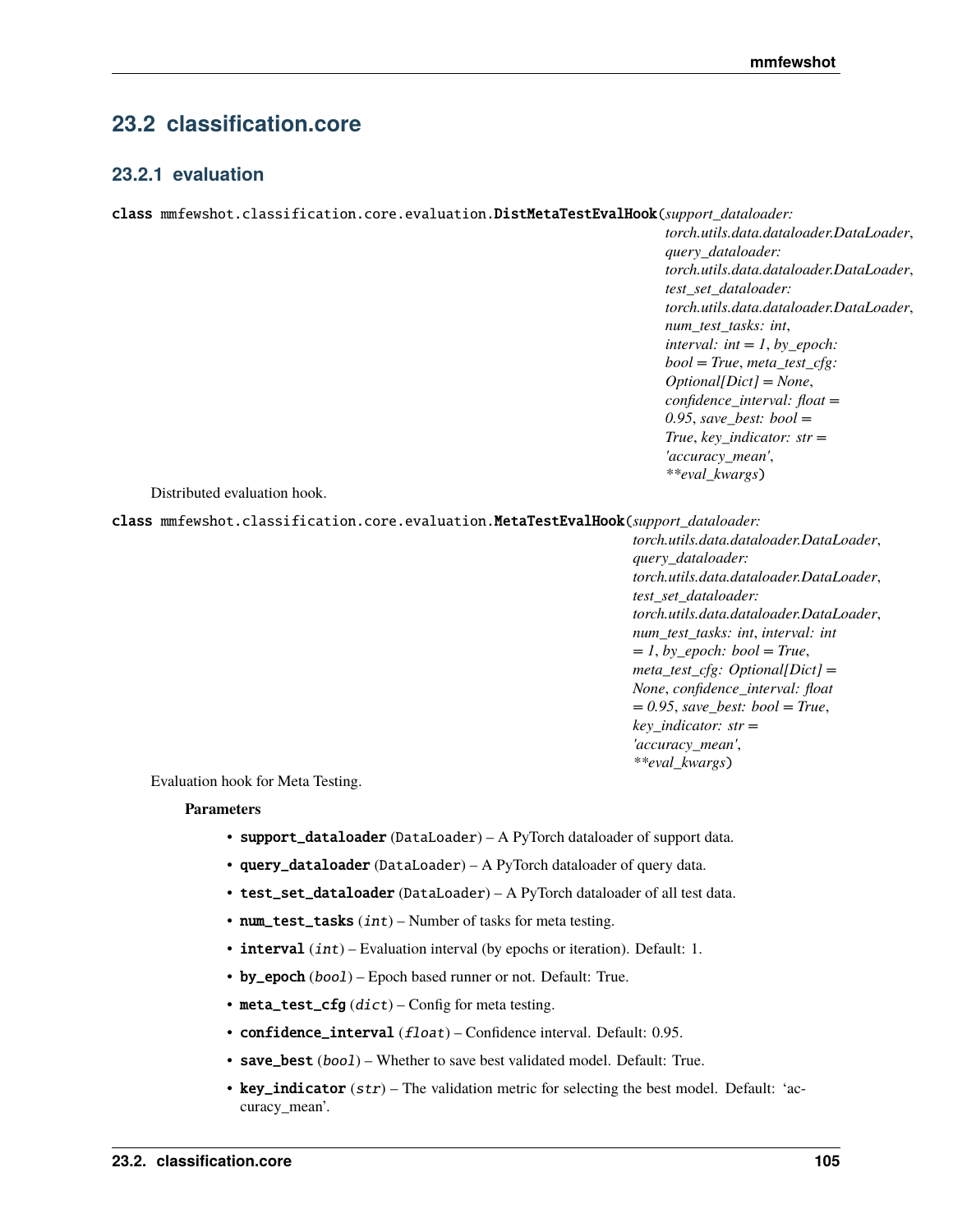# **23.2 classification.core**

# **23.2.1 evaluation**

class mmfewshot.classification.core.evaluation.DistMetaTestEvalHook(*support\_dataloader:*

*torch.utils.data.dataloader.DataLoader*, *query\_dataloader: torch.utils.data.dataloader.DataLoader*, *test\_set\_dataloader: torch.utils.data.dataloader.DataLoader*, *num\_test\_tasks: int*, *interval: int = 1, by epoch: bool = True*, *meta\_test\_cfg: Optional[Dict] = None*, *confidence\_interval: float = 0.95*, *save\_best: bool = True*, *key\_indicator: str = 'accuracy\_mean'*, *\*\*eval\_kwargs*)

Distributed evaluation hook.

class mmfewshot.classification.core.evaluation.MetaTestEvalHook(*support\_dataloader:*

*torch.utils.data.dataloader.DataLoader*, *query\_dataloader: torch.utils.data.dataloader.DataLoader*, *test\_set\_dataloader: torch.utils.data.dataloader.DataLoader*, *num\_test\_tasks: int*, *interval: int*  $= 1$ , *by\_epoch: bool* = *True*, *meta\_test\_cfg: Optional[Dict] = None*, *confidence\_interval: float = 0.95*, *save\_best: bool = True*, *key\_indicator: str = 'accuracy\_mean'*, *\*\*eval\_kwargs*)

Evaluation hook for Meta Testing.

- support\_dataloader (DataLoader) A PyTorch dataloader of support data.
- query\_dataloader (DataLoader) A PyTorch dataloader of query data.
- test\_set\_dataloader (DataLoader) A PyTorch dataloader of all test data.
- num\_test\_tasks  $(int)$  Number of tasks for meta testing.
- $\cdot$  interval  $(int)$  Evaluation interval (by epochs or iteration). Default: 1.
- by\_epoch  $(bool)$  Epoch based runner or not. Default: True.
- meta\_test\_cfg  $(dict)$  Config for meta testing.
- confidence\_interval (float) Confidence interval. Default: 0.95.
- save\_best (boo1) Whether to save best validated model. Default: True.
- key\_indicator  $(str)$  The validation metric for selecting the best model. Default: 'accuracy\_mean'.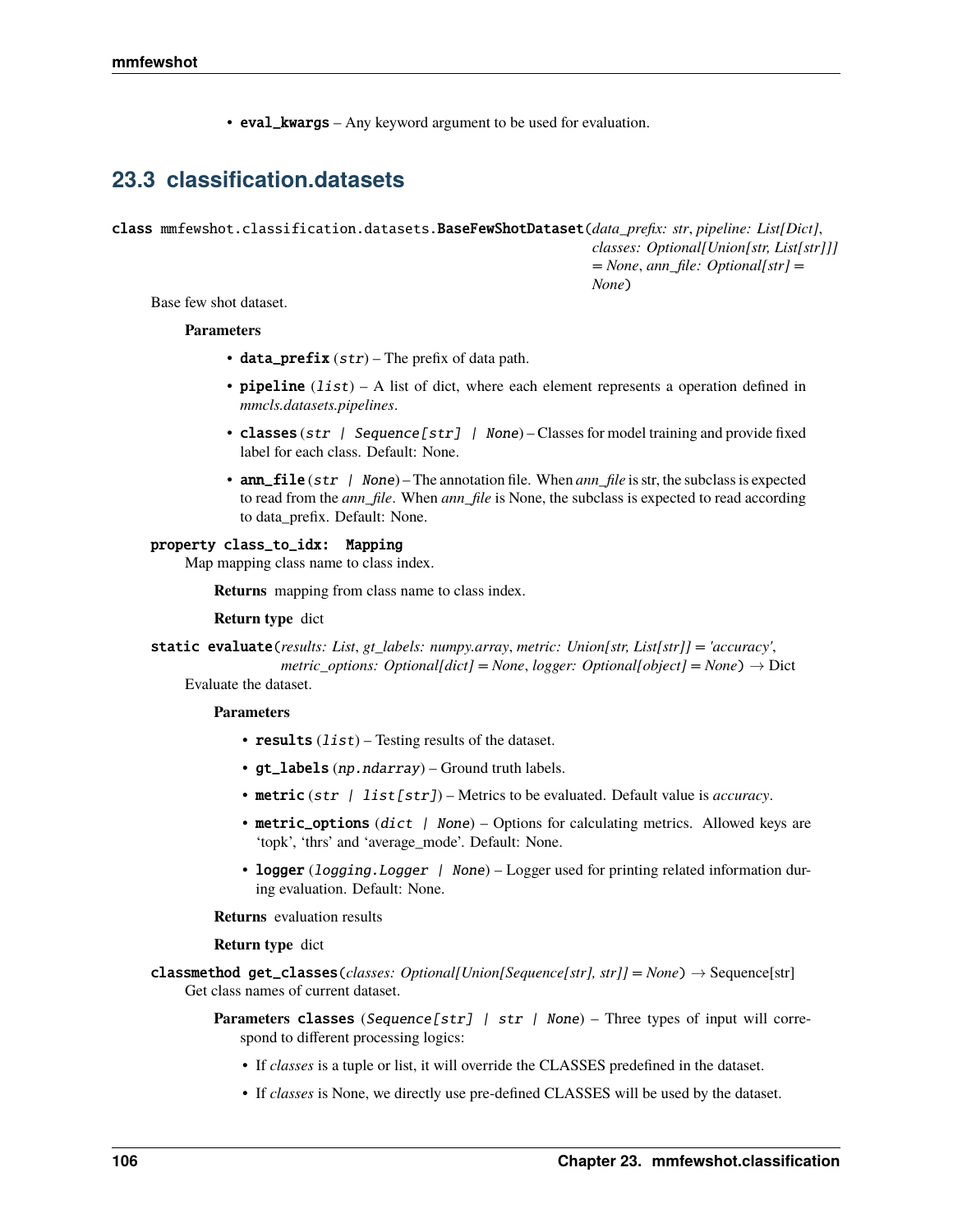• eval\_kwargs – Any keyword argument to be used for evaluation.

# **23.3 classification.datasets**

class mmfewshot.classification.datasets.BaseFewShotDataset(*data\_prefix: str*, *pipeline: List[Dict]*, *classes: Optional[Union[str, List[str]]] = None*, *ann\_file: Optional[str] = None*)

Base few shot dataset.

### **Parameters**

- data\_prefix  $(str)$  The prefix of data path.
- **pipeline**  $(iist) A$  list of dict, where each element represents a operation defined in *mmcls.datasets.pipelines*.
- classes (str | Sequence [str] | None) Classes for model training and provide fixed label for each class. Default: None.
- **ann\_file** (str | None) The annotation file. When *ann\_file* is str, the subclass is expected to read from the *ann\_file*. When *ann\_file* is None, the subclass is expected to read according to data\_prefix. Default: None.

## property class\_to\_idx: Mapping

Map mapping class name to class index.

**Returns** mapping from class name to class index.

**Return type** dict

static evaluate(*results: List*, *gt\_labels: numpy.array*, *metric: Union[str, List[str]] = 'accuracy'*, *metric\_options: Optional[dict] = None*, *logger: Optional[object] = None*)  $\rightarrow$  Dict

Evaluate the dataset.

### **Parameters**

- results  $(list)$  Testing results of the dataset.
- gt\_labels (np.ndarray) Ground truth labels.
- metric (str | list[str]) Metrics to be evaluated. Default value is *accuracy*.
- metric\_options (dict | None) Options for calculating metrics. Allowed keys are 'topk', 'thrs' and 'average\_mode'. Default: None.
- logger (logging. Logger | None) Logger used for printing related information during evaluation. Default: None.

**Returns** evaluation results

### **Return type** dict

classmethod get\_classes(*classes: Optional[Union[Sequence[str], str]]* = None)  $\rightarrow$  Sequence[str] Get class names of current dataset.

> **Parameters classes** (Sequence [str] | str | None) – Three types of input will correspond to different processing logics:

- If *classes* is a tuple or list, it will override the CLASSES predefined in the dataset.
- If *classes* is None, we directly use pre-defined CLASSES will be used by the dataset.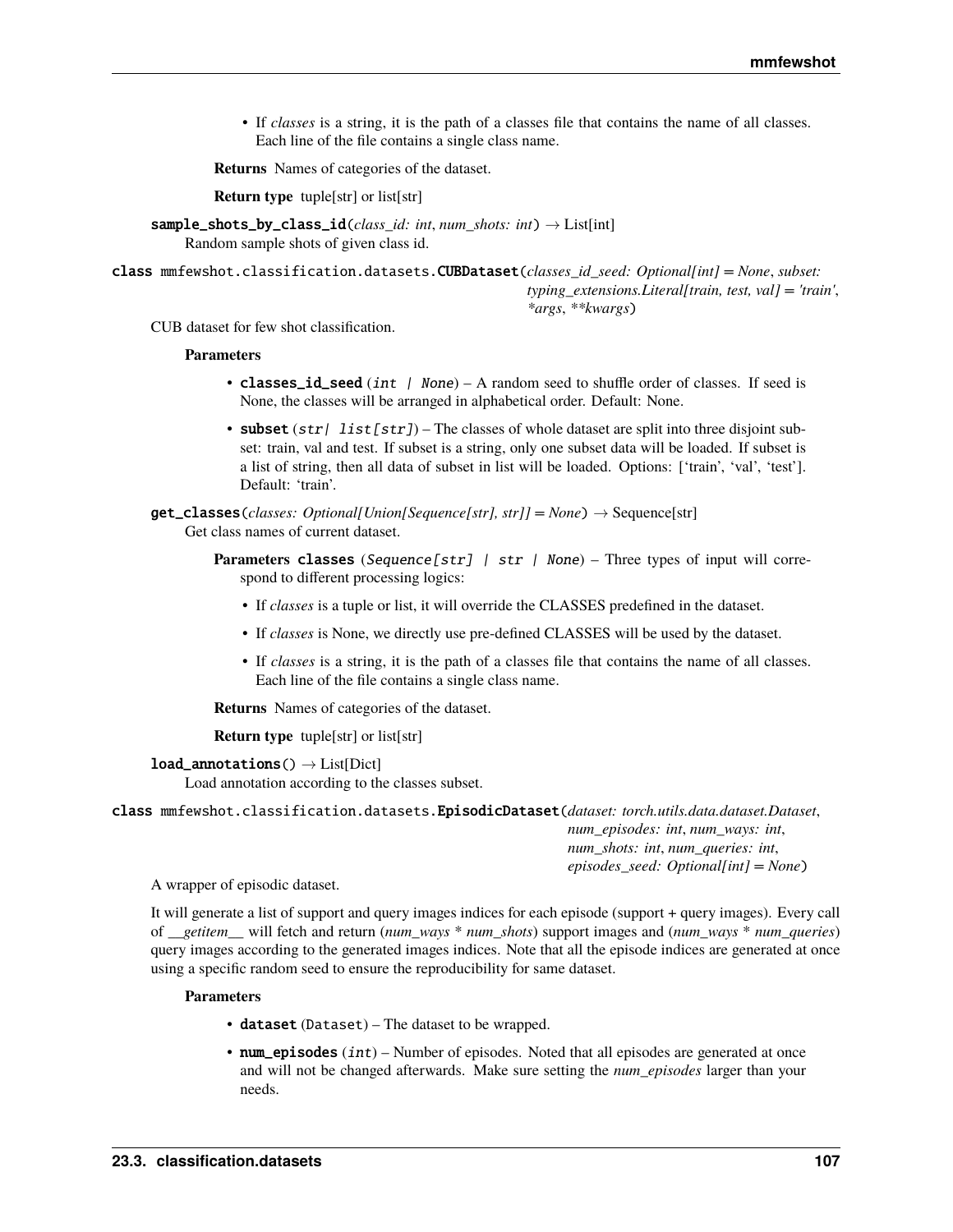• If *classes* is a string, it is the path of a classes file that contains the name of all classes. Each line of the file contains a single class name.

**Returns** Names of categories of the dataset.

**Return type** tuple[str] or list[str]

sample\_shots\_by\_class\_id(*class\_id: int*, *num\_shots: int*) → List[int] Random sample shots of given class id.

class mmfewshot.classification.datasets.CUBDataset(*classes\_id\_seed: Optional[int] = None*, *subset: typing\_extensions.Literal[train, test, val] = 'train'*, *\*args*, *\*\*kwargs*)

CUB dataset for few shot classification.

#### **Parameters**

- classes\_id\_seed (int | None) A random seed to shuffle order of classes. If seed is None, the classes will be arranged in alphabetical order. Default: None.
- subset  $(str)$  list  $[str]$  The classes of whole dataset are split into three disjoint subset: train, val and test. If subset is a string, only one subset data will be loaded. If subset is a list of string, then all data of subset in list will be loaded. Options: ['train', 'val', 'test']. Default: 'train'.
- $get\_classes$  (*classes*: Optional[Union[Sequence[str], str]] = None)  $\rightarrow$  Sequence[str] Get class names of current dataset.
	- **Parameters classes** (Sequence[str] | str | None) Three types of input will correspond to different processing logics:
		- If *classes* is a tuple or list, it will override the CLASSES predefined in the dataset.
		- If *classes* is None, we directly use pre-defined CLASSES will be used by the dataset.
		- If *classes* is a string, it is the path of a classes file that contains the name of all classes. Each line of the file contains a single class name.

**Returns** Names of categories of the dataset.

**Return type** tuple[str] or list[str]

```
load\_annotations() \rightarrow List[Dict]
```
Load annotation according to the classes subset.

class mmfewshot.classification.datasets.EpisodicDataset(*dataset: torch.utils.data.dataset.Dataset*,

*num\_episodes: int*, *num\_ways: int*, *num\_shots: int*, *num\_queries: int*, *episodes\_seed: Optional[int] = None*)

A wrapper of episodic dataset.

It will generate a list of support and query images indices for each episode (support + query images). Every call of *\_\_getitem\_\_* will fetch and return (*num\_ways* \* *num\_shots*) support images and (*num\_ways* \* *num\_queries*) query images according to the generated images indices. Note that all the episode indices are generated at once using a specific random seed to ensure the reproducibility for same dataset.

- dataset (Dataset) The dataset to be wrapped.
- num\_episodes  $(int)$  Number of episodes. Noted that all episodes are generated at once and will not be changed afterwards. Make sure setting the *num\_episodes* larger than your needs.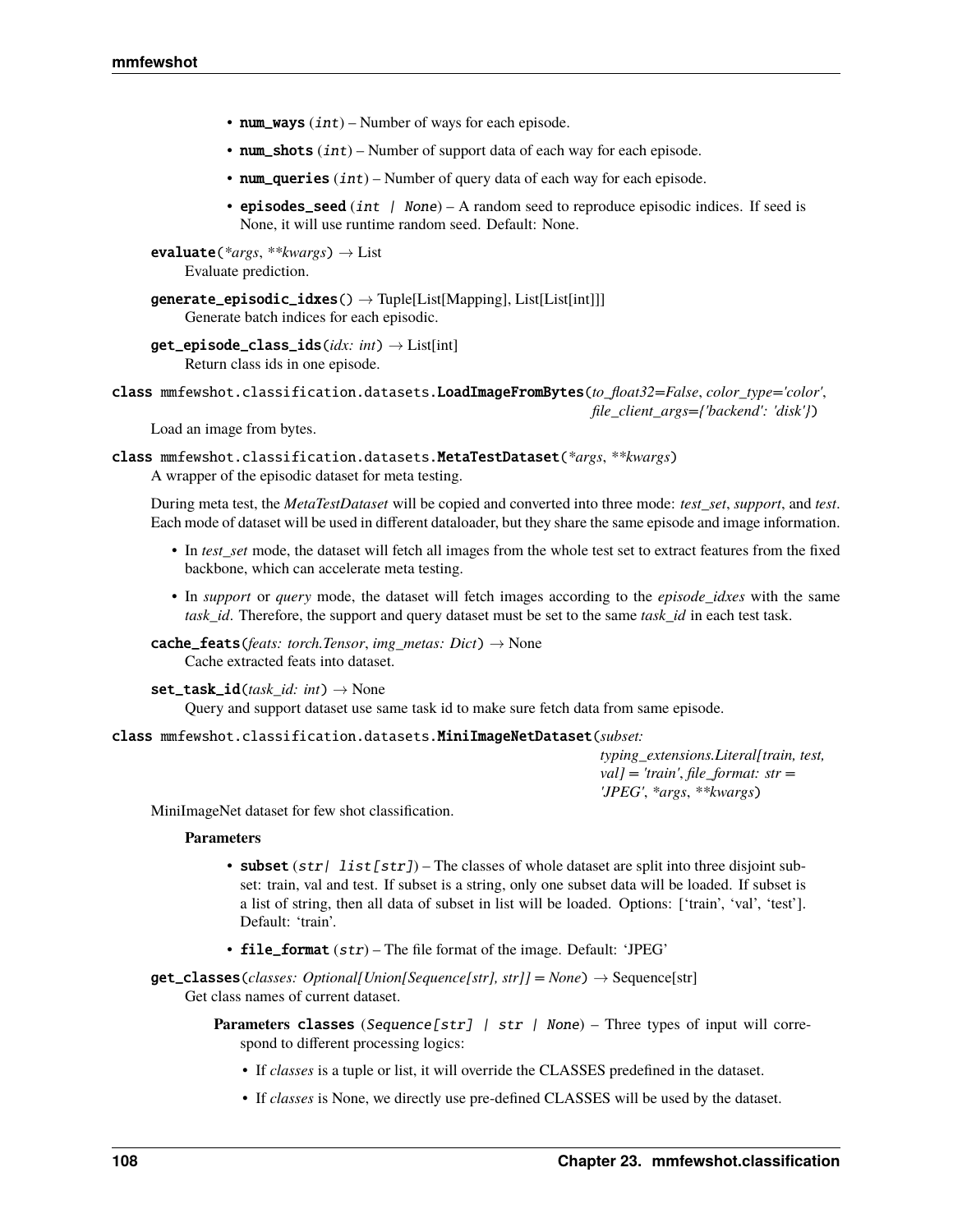- num\_ways  $(int)$  Number of ways for each episode.
- num\_shots  $(int)$  Number of support data of each way for each episode.
- num\_queries  $(int)$  Number of query data of each way for each episode.
- episodes\_seed (int  $/$  None) A random seed to reproduce episodic indices. If seed is None, it will use runtime random seed. Default: None.

evaluate(*\*args*, *\*\*kwargs*) → List Evaluate prediction.

```
generic\_episodic\_idxes() \rightarrow Tuple[List[Mapping], List[List[int]]]Generate batch indices for each episodic.
```

```
get_episode_class_ids(idx: int) → List[int]
  Return class ids in one episode.
```
class mmfewshot.classification.datasets.LoadImageFromBytes(*to\_float32=False*, *color\_type='color'*,

*file\_client\_args={'backend': 'disk'}*)

Load an image from bytes.

class mmfewshot.classification.datasets.MetaTestDataset(*\*args*, *\*\*kwargs*) A wrapper of the episodic dataset for meta testing.

During meta test, the *MetaTestDataset* will be copied and converted into three mode: *test\_set*, *support*, and *test*. Each mode of dataset will be used in different dataloader, but they share the same episode and image information.

- In *test* set mode, the dataset will fetch all images from the whole test set to extract features from the fixed backbone, which can accelerate meta testing.
- In *support* or *query* mode, the dataset will fetch images according to the *episode\_idxes* with the same *task\_id*. Therefore, the support and query dataset must be set to the same *task\_id* in each test task.

 $\textbf{cache\_feats}(fests: \textit{torch} \textit{Tensor}, \textit{img\_metas}: \textit{Dict}) \rightarrow \text{None}$ Cache extracted feats into dataset.

 $set\_task\_id(\text{task }id: \text{int}) \rightarrow \text{None}$ 

Query and support dataset use same task id to make sure fetch data from same episode.

# class mmfewshot.classification.datasets.MiniImageNetDataset(*subset:*

*typing\_extensions.Literal[train, test, val] = 'train'*, *file\_format: str = 'JPEG'*, *\*args*, *\*\*kwargs*)

MiniImageNet dataset for few shot classification.

### **Parameters**

- subset  $(str | list[str]$  The classes of whole dataset are split into three disjoint subset: train, val and test. If subset is a string, only one subset data will be loaded. If subset is a list of string, then all data of subset in list will be loaded. Options: ['train', 'val', 'test']. Default: 'train'.
- file\_format  $(str)$  The file format of the image. Default: 'JPEG'

 $get\_classes$ *(classes: Optional[Union[Sequence[str], str]]* = *None*)  $\rightarrow$  Sequence[str] Get class names of current dataset.

- **Parameters classes** (Sequence[str] | str | None) Three types of input will correspond to different processing logics:
	- If *classes* is a tuple or list, it will override the CLASSES predefined in the dataset.
	- If *classes* is None, we directly use pre-defined CLASSES will be used by the dataset.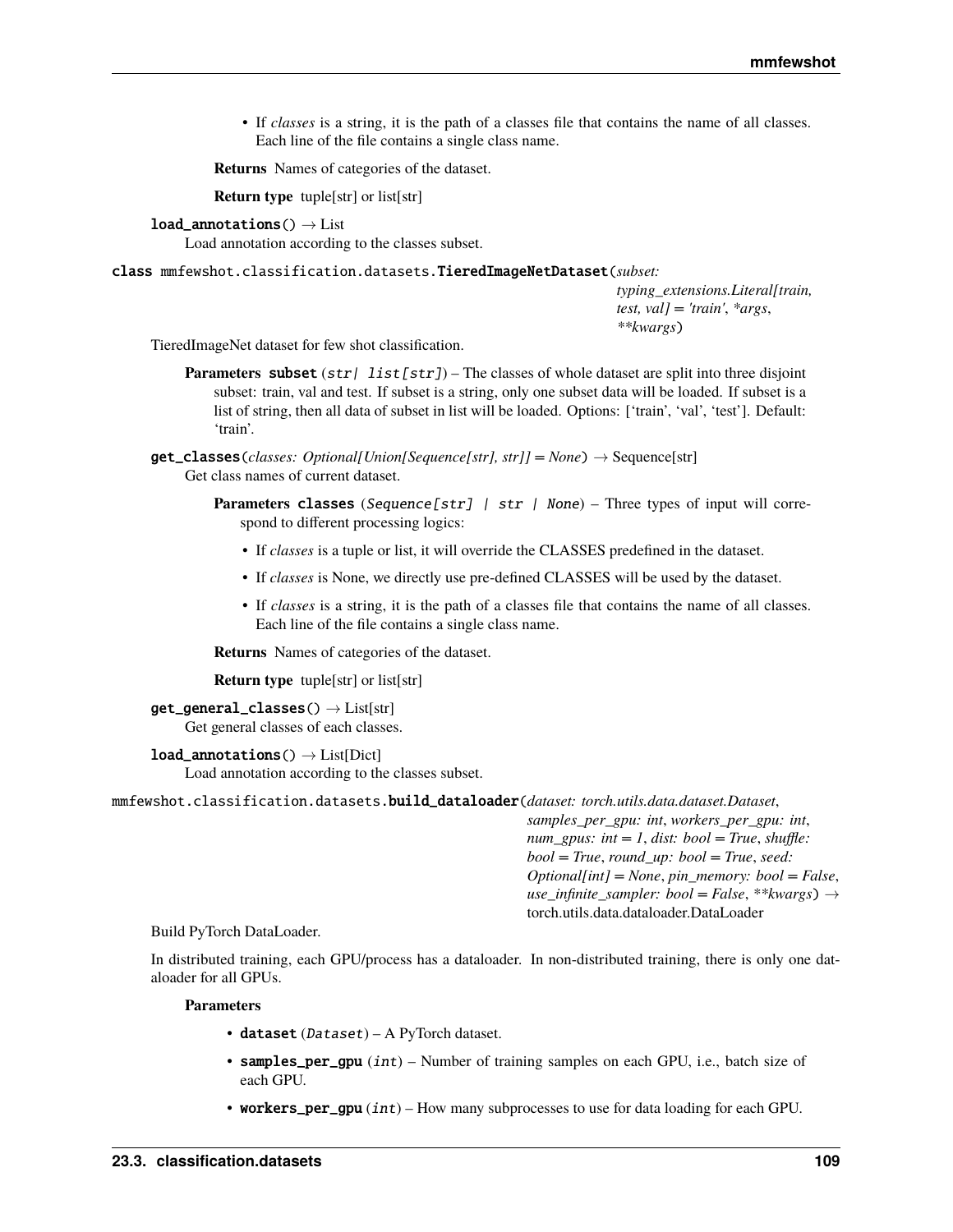• If *classes* is a string, it is the path of a classes file that contains the name of all classes. Each line of the file contains a single class name.

**Returns** Names of categories of the dataset.

**Return type** tuple[str] or list[str]

#### $load\_annotations() \rightarrow List$

Load annotation according to the classes subset.

### class mmfewshot.classification.datasets.TieredImageNetDataset(*subset:*

*typing\_extensions.Literal[train, test, val] = 'train'*, *\*args*, *\*\*kwargs*)

TieredImageNet dataset for few shot classification.

- **Parameters** subset  $(str | list[str])$  The classes of whole dataset are split into three disjoint subset: train, val and test. If subset is a string, only one subset data will be loaded. If subset is a list of string, then all data of subset in list will be loaded. Options: ['train', 'val', 'test']. Default: 'train'.
- $get\_classes$  (*classes*: Optional[Union[Sequence[str], str]] = None)  $\rightarrow$  Sequence[str] Get class names of current dataset.
	- **Parameters classes** (Sequence [str] | str | None) Three types of input will correspond to different processing logics:
		- If *classes* is a tuple or list, it will override the CLASSES predefined in the dataset.
		- If *classes* is None, we directly use pre-defined CLASSES will be used by the dataset.
		- If *classes* is a string, it is the path of a classes file that contains the name of all classes. Each line of the file contains a single class name.

**Returns** Names of categories of the dataset.

**Return type** tuple[str] or list[str]

```
get\_general\_classes() \rightarrow List[str]Get general classes of each classes.
```
#### $load$ <sub>\_</sub>annotations()  $\rightarrow$  List[Dict]

Load annotation according to the classes subset.

mmfewshot.classification.datasets.build\_dataloader(*dataset: torch.utils.data.dataset.Dataset*,

*samples\_per\_gpu: int*, *workers\_per\_gpu: int*, *num\_gpus: int = 1*, *dist: bool = True*, *shuffle: bool = True*, *round\_up: bool = True*, *seed: Optional[int] = None*, *pin\_memory: bool = False*, *use infinite sampler: bool* = *False*, \*\**kwargs*)  $\rightarrow$ torch.utils.data.dataloader.DataLoader

#### Build PyTorch DataLoader.

In distributed training, each GPU/process has a dataloader. In non-distributed training, there is only one dataloader for all GPUs.

- $\bullet$  dataset (Dataset) A PyTorch dataset.
- samples\_per\_gpu (int) Number of training samples on each GPU, i.e., batch size of each GPU.
- workers\_per\_gpu  $(int)$  How many subprocesses to use for data loading for each GPU.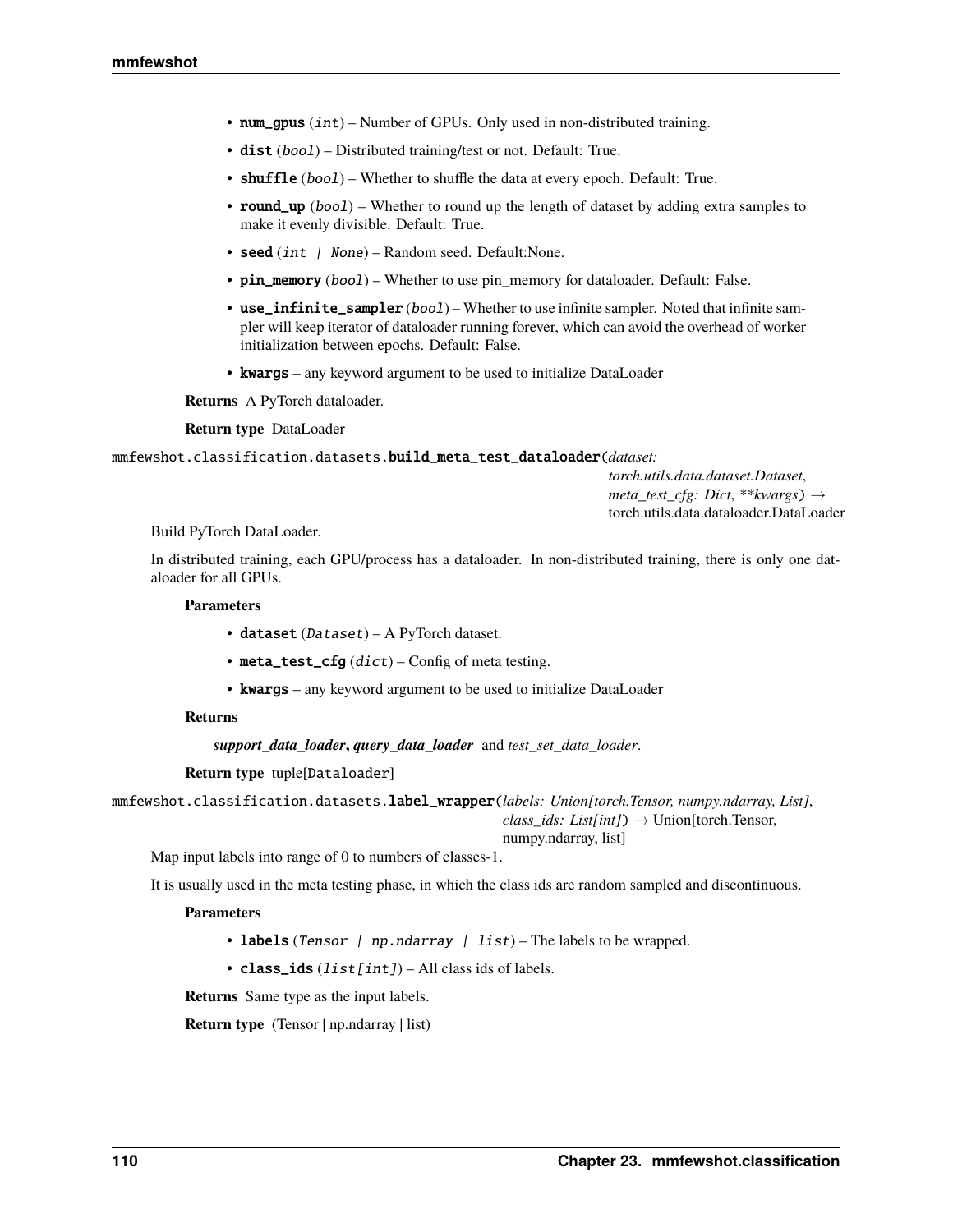- num\_gpus  $(int)$  Number of GPUs. Only used in non-distributed training.
- dist (boo1) Distributed training/test or not. Default: True.
- shuffle (bool) Whether to shuffle the data at every epoch. Default: True.
- **round\_up** (bool) Whether to round up the length of dataset by adding extra samples to make it evenly divisible. Default: True.
- seed (*int | None*) Random seed. Default: None.
- pin\_memory (bool) Whether to use pin\_memory for dataloader. Default: False.
- use\_infinite\_sampler (bool) Whether to use infinite sampler. Noted that infinite sampler will keep iterator of dataloader running forever, which can avoid the overhead of worker initialization between epochs. Default: False.
- kwargs any keyword argument to be used to initialize DataLoader

**Returns** A PyTorch dataloader.

**Return type** DataLoader

mmfewshot.classification.datasets.build\_meta\_test\_dataloader(*dataset:*

*torch.utils.data.dataset.Dataset*, *meta\_test\_cfg: Dict*, *\*\*kwargs*) → torch.utils.data.dataloader.DataLoader

Build PyTorch DataLoader.

In distributed training, each GPU/process has a dataloader. In non-distributed training, there is only one dataloader for all GPUs.

### **Parameters**

- dataset (Dataset) A PyTorch dataset.
- meta\_test\_cfg  $(dict)$  Config of meta testing.
- **kwargs** any keyword argument to be used to initialize DataLoader

## **Returns**

*support\_data\_loader***,** *query\_data\_loader* and *test\_set\_data\_loader*.

**Return type** tuple[Dataloader]

mmfewshot.classification.datasets.label\_wrapper(*labels: Union[torch.Tensor, numpy.ndarray, List]*, *class\_ids: List[int]*) → Union[torch.Tensor,

numpy.ndarray, list]

Map input labels into range of 0 to numbers of classes-1.

It is usually used in the meta testing phase, in which the class ids are random sampled and discontinuous.

## **Parameters**

- labels (Tensor | np.ndarray | list) The labels to be wrapped.
- class\_ids  $(list[int]) All classids$  of labels.

**Returns** Same type as the input labels.

**Return type** (Tensor | np.ndarray | list)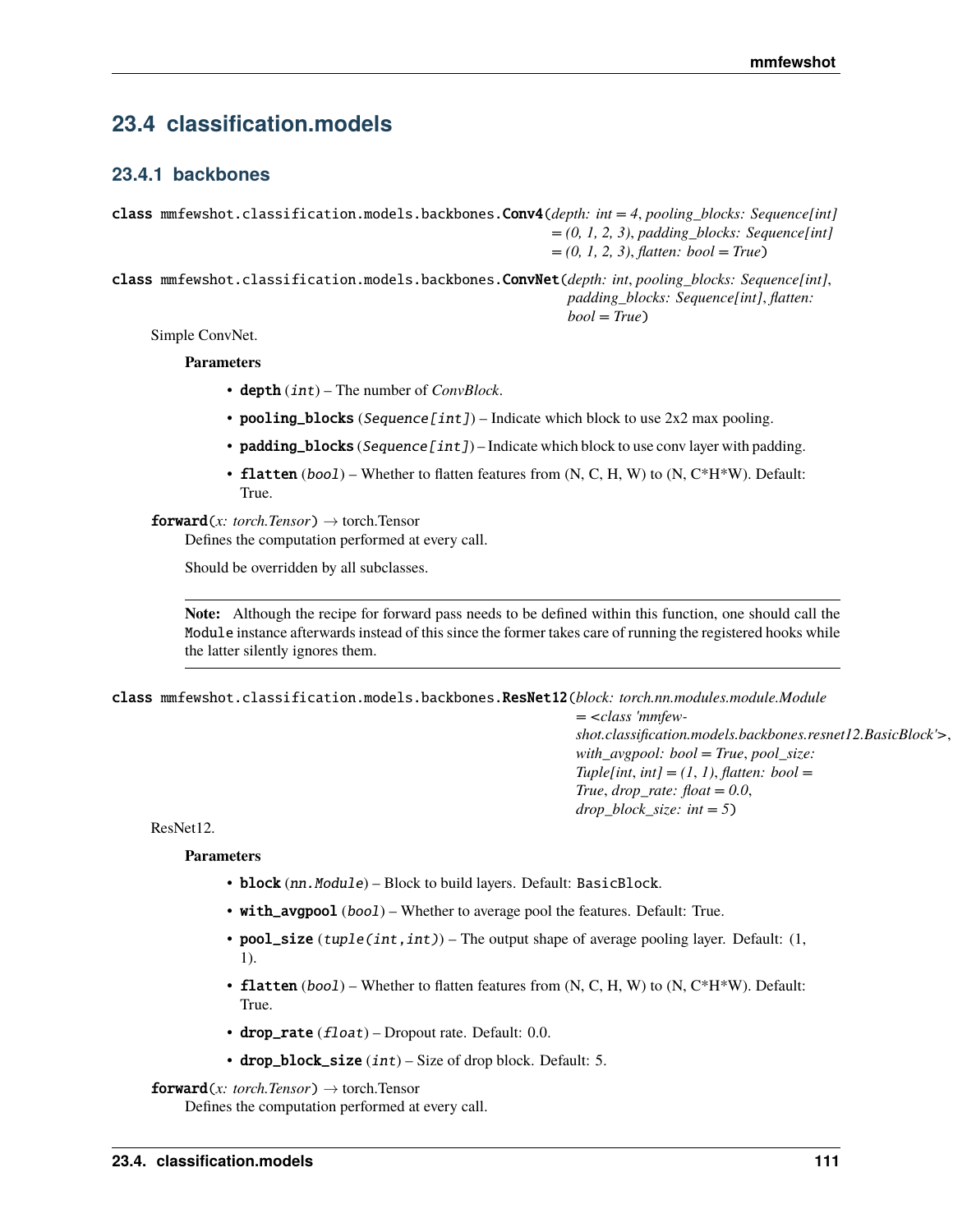# **23.4 classification.models**

# **23.4.1 backbones**

class mmfewshot.classification.models.backbones.Conv4(*depth: int = 4*, *pooling\_blocks: Sequence[int] = (0, 1, 2, 3)*, *padding\_blocks: Sequence[int] = (0, 1, 2, 3)*, *flatten: bool = True*)

class mmfewshot.classification.models.backbones.ConvNet(*depth: int*, *pooling\_blocks: Sequence[int]*, *padding\_blocks: Sequence[int]*, *flatten: bool = True*)

Simple ConvNet.

**Parameters**

- depth (int) The number of *ConvBlock*.
- pooling\_blocks (Sequence [int]) Indicate which block to use  $2x2$  max pooling.
- padding\_blocks (Sequence [int]) Indicate which block to use conv layer with padding.
- flatten  $(bool)$  Whether to flatten features from  $(N, C, H, W)$  to  $(N, C*H*W)$ . Default: True.

**forward**(*x: torch.Tensor*)  $\rightarrow$  torch.Tensor

Defines the computation performed at every call.

Should be overridden by all subclasses.

**Note:** Although the recipe for forward pass needs to be defined within this function, one should call the Module instance afterwards instead of this since the former takes care of running the registered hooks while the latter silently ignores them.

class mmfewshot.classification.models.backbones.ResNet12(*block: torch.nn.modules.module.Module*

*= <class 'mmfewshot.classification.models.backbones.resnet12.BasicBlock'>*, *with\_avgpool: bool = True*, *pool\_size:*  $Tuple(int, int] = (1, 1), flatten: bool =$  $True, drop\_rate: float = 0.0,$ *drop\_block\_size: int = 5*)

ResNet12.

**Parameters**

- block (nn. Module) Block to build layers. Default: BasicBlock.
- with\_avgpool (bool) Whether to average pool the features. Default: True.
- pool\_size  $(tuple(int, int))$  The output shape of average pooling layer. Default:  $(1,$ 1).
- flatten  $(bool)$  Whether to flatten features from  $(N, C, H, W)$  to  $(N, C*H*W)$ . Default: True.
- drop\_rate  $(flost)$  Dropout rate. Default: 0.0.
- drop\_block\_size  $(int)$  Size of drop block. Default: 5.

```
forward(x: torch.Tensor) \rightarrow torch.Tensor
```
Defines the computation performed at every call.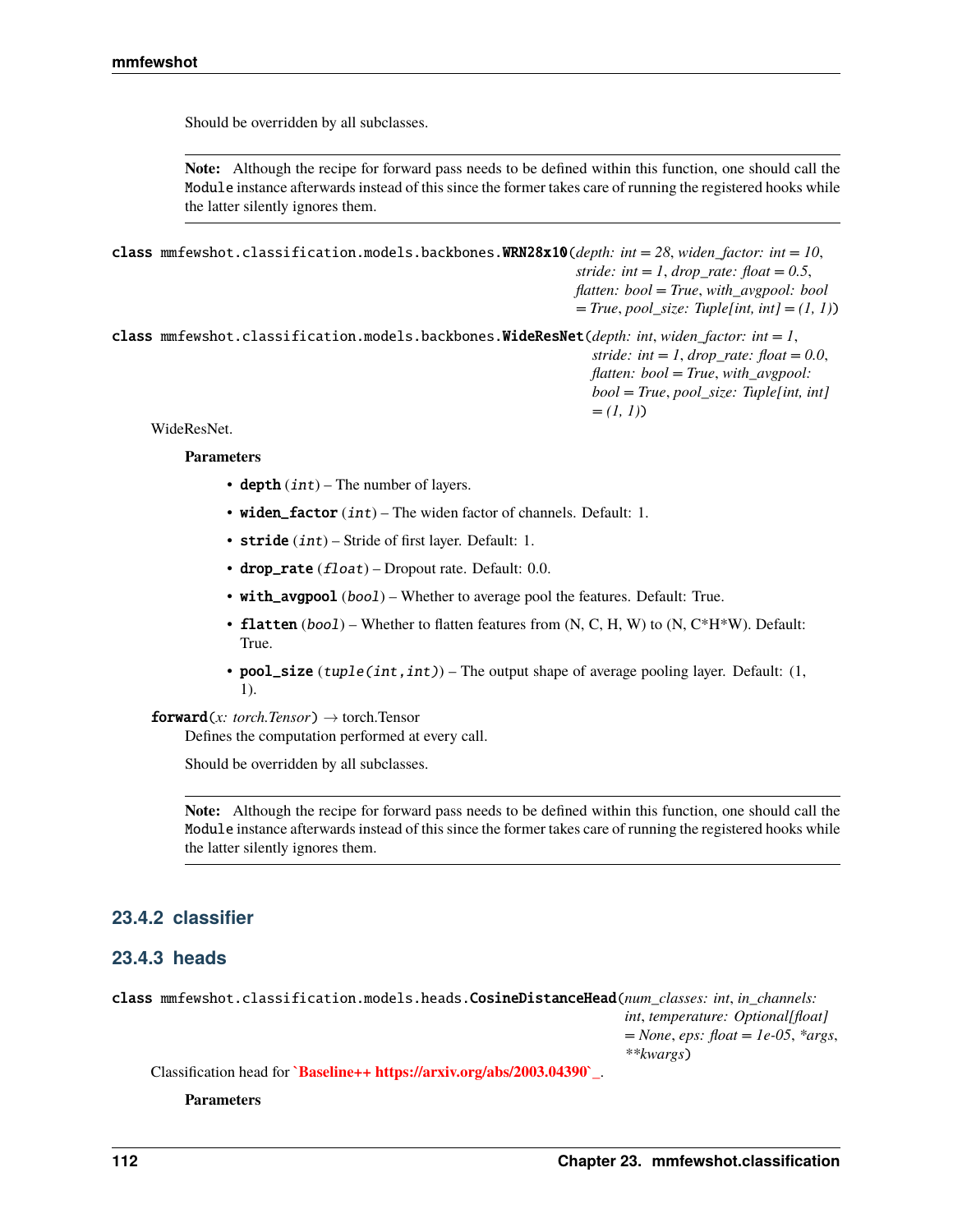Should be overridden by all subclasses.

**Note:** Although the recipe for forward pass needs to be defined within this function, one should call the Module instance afterwards instead of this since the former takes care of running the registered hooks while the latter silently ignores them.

class mmfewshot.classification.models.backbones.WRN28x10(*depth: int = 28*, *widen\_factor: int = 10*, *stride: int = 1, drop rate: float = 0.5, flatten: bool = True*, *with\_avgpool: bool = True*, *pool\_size: Tuple[int, int] = (1, 1)*) class mmfewshot.classification.models.backbones.WideResNet(*depth: int*, *widen\_factor: int = 1*,

*stride: int* = 1, *drop\_rate: float* = 0.0, *flatten: bool = True*, *with\_avgpool: bool = True*, *pool\_size: Tuple[int, int] = (1, 1)*)

WideResNet.

### **Parameters**

- depth  $(int)$  The number of layers.
- widen\_factor  $(int)$  The widen factor of channels. Default: 1.
- stride  $(int)$  Stride of first layer. Default: 1.
- drop\_rate  $(f$ loat) Dropout rate. Default: 0.0.
- with\_avgpool (bool) Whether to average pool the features. Default: True.
- flatten  $(bool)$  Whether to flatten features from  $(N, C, H, W)$  to  $(N, C*H*W)$ . Default: True.
- **pool\_size** (tuple(int,int)) The output shape of average pooling layer. Default:  $(1, 1)$ 1).

## $forward(x: *torch.Tensor*) \rightarrow *torch.Tensor*$

Defines the computation performed at every call.

Should be overridden by all subclasses.

**Note:** Although the recipe for forward pass needs to be defined within this function, one should call the Module instance afterwards instead of this since the former takes care of running the registered hooks while the latter silently ignores them.

# **23.4.2 classifier**

# **23.4.3 heads**

class mmfewshot.classification.models.heads.CosineDistanceHead(*num\_classes: int*, *in\_channels: int*, *temperature: Optional[float] = None*, *eps: float = 1e-05*, *\*args*, *\*\*kwargs*)

Classification head for **`Baseline++ https://arxiv.org/abs/2003.04390`\_**.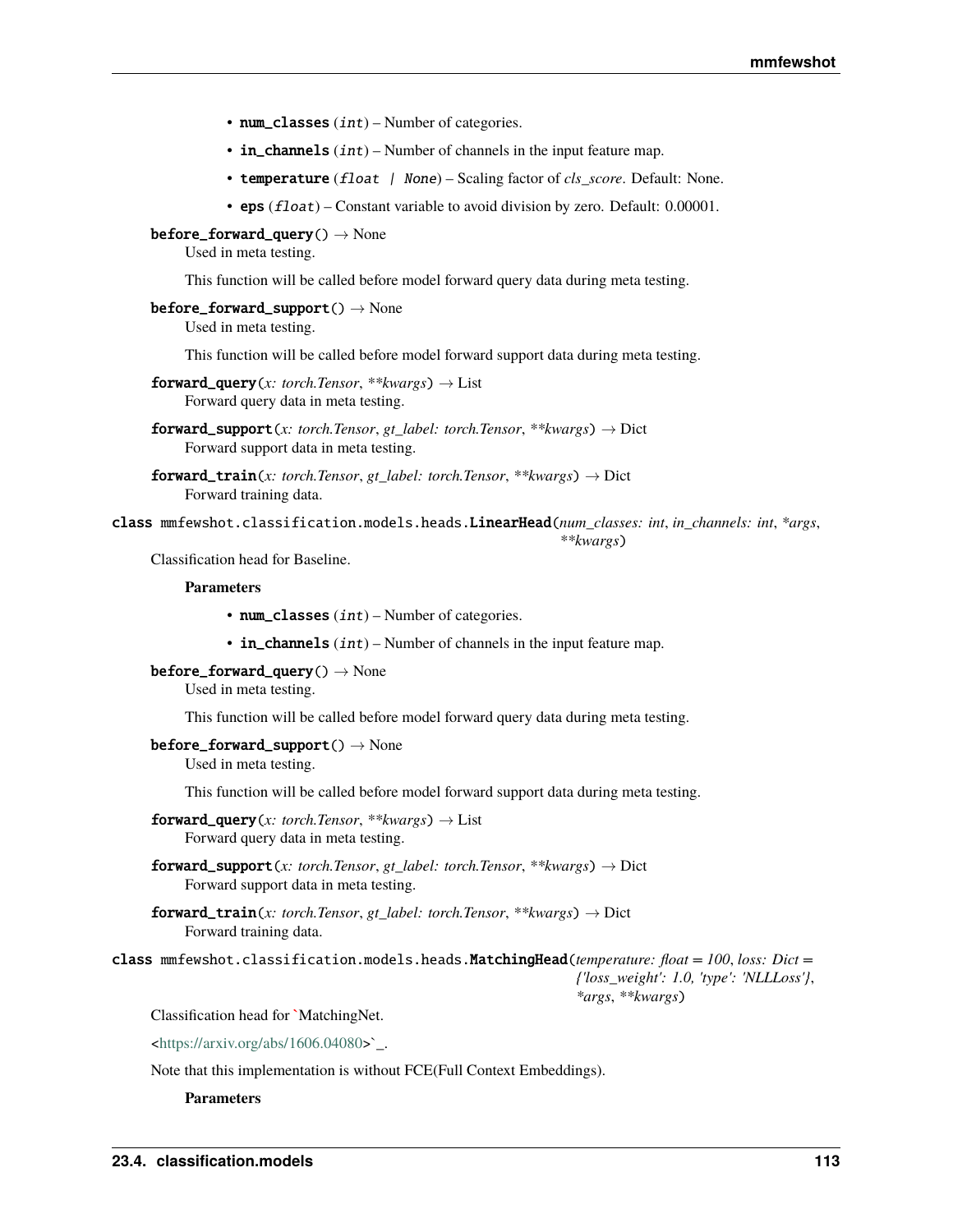- num\_classes  $(int)$  Number of categories.
- in\_channels  $(int)$  Number of channels in the input feature map.
- temperature (float | None) Scaling factor of *cls\_score*. Default: None.
- eps (float) Constant variable to avoid division by zero. Default: 0.00001.

### $before\_forward\_query() \rightarrow None$

Used in meta testing.

This function will be called before model forward query data during meta testing.

### $before\_forward\_support() \rightarrow None$

Used in meta testing.

This function will be called before model forward support data during meta testing.

- $forward\_query(x: *torch.Tensor*, **kwargs) \rightarrow List$ Forward query data in meta testing.
- **forward\_support**(*x: torch.Tensor, gt\_label: torch.Tensor, \*\*kwargs*)  $\rightarrow$  Dict Forward support data in meta testing.
- **forward\_train**(*x: torch.Tensor, gt\_label: torch.Tensor, \*\*kwargs*)  $\rightarrow$  Dict Forward training data.

class mmfewshot.classification.models.heads.LinearHead(*num\_classes: int*, *in\_channels: int*, *\*args*,

### *\*\*kwargs*)

Classification head for Baseline.

### **Parameters**

- num\_classes  $(int)$  Number of categories.
- in\_channels  $(int)$  Number of channels in the input feature map.

# $before\_forward\_query() \rightarrow None$

Used in meta testing.

This function will be called before model forward query data during meta testing.

### $before\_forward\_support() \rightarrow None$

Used in meta testing.

This function will be called before model forward support data during meta testing.

- $forward\_query(x: *torch.Tensor*, **kwargs) \rightarrow List$ Forward query data in meta testing.
- **forward\_support**(*x: torch.Tensor, gt\_label: torch.Tensor, \*\*kwargs*)  $\rightarrow$  Dict Forward support data in meta testing.
- **forward\_train**(*x: torch.Tensor, gt\_label: torch.Tensor, \*\*kwargs*)  $\rightarrow$  Dict Forward training data.

class mmfewshot.classification.models.heads.MatchingHead(*temperature: float = 100*, *loss: Dict = {'loss\_weight': 1.0, 'type': 'NLLLoss'}*, *\*args*, *\*\*kwargs*)

Classification head for **`**MatchingNet.

[<https://arxiv.org/abs/1606.04080>](https://arxiv.org/abs/1606.04080)`\_.

Note that this implementation is without FCE(Full Context Embeddings).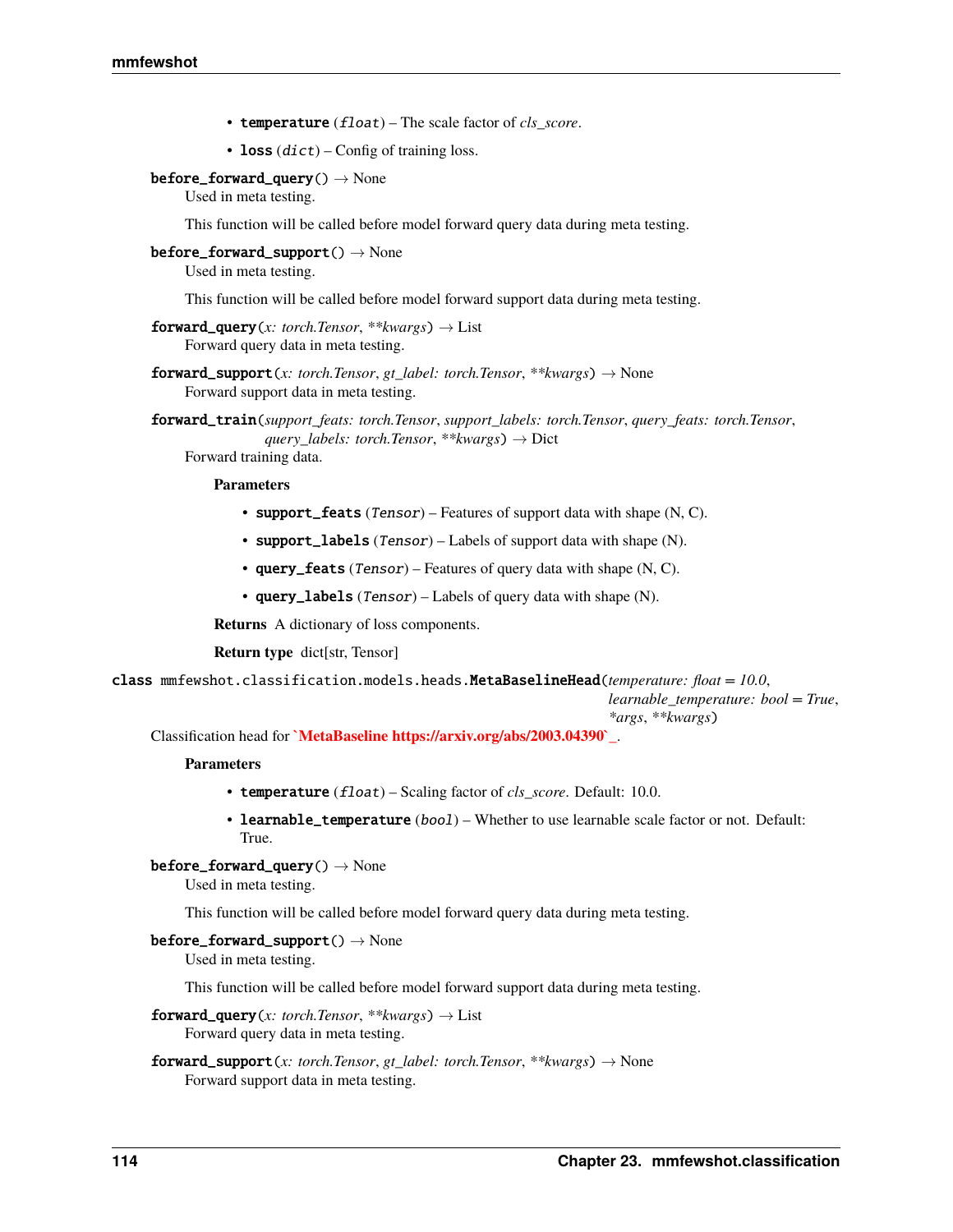- temperature (float) The scale factor of *cls\_score*.
- loss  $(dict)$  Config of training loss.
- $before\_forward\_query() \rightarrow None$

Used in meta testing.

This function will be called before model forward query data during meta testing.

 $before\_forward\_support() \rightarrow None$ 

Used in meta testing.

This function will be called before model forward support data during meta testing.

- **forward\_query**(*x: torch.Tensor*, \*\**kwargs*)  $\rightarrow$  List Forward query data in meta testing.
- **forward\_support**(*x: torch.Tensor, gt\_label: torch.Tensor, \*\*kwargs*)  $\rightarrow$  None Forward support data in meta testing.
- forward\_train(*support\_feats: torch.Tensor*, *support\_labels: torch.Tensor*, *query\_feats: torch.Tensor*, *query\_labels: torch.Tensor*, *\*\*kwargs*) → Dict

Forward training data.

## **Parameters**

- support\_feats  $(Tensor)$  Features of support data with shape  $(N, C)$ .
- support\_labels  $(Tensor)$  Labels of support data with shape  $(N)$ .
- query\_feats  $(Tensor)$  Features of query data with shape  $(N, C)$ .
- query\_labels (Tensor) Labels of query data with shape (N).

**Returns** A dictionary of loss components.

**Return type** dict[str, Tensor]

class mmfewshot.classification.models.heads.MetaBaselineHead(*temperature: float = 10.0*,

*learnable\_temperature: bool = True*, *\*args*, *\*\*kwargs*)

Classification head for **`MetaBaseline https://arxiv.org/abs/2003.04390`\_**.

### **Parameters**

- temperature (float) Scaling factor of *cls\_score*. Default: 10.0.
- learnable\_temperature (bool) Whether to use learnable scale factor or not. Default: True.
- $before\_forward\_query() \rightarrow None$

Used in meta testing.

This function will be called before model forward query data during meta testing.

# $before\_forward\_support() \rightarrow None$

Used in meta testing.

This function will be called before model forward support data during meta testing.

- $forward\_query(x: *torch.Tensor*, **kwargs) \rightarrow List$ Forward query data in meta testing.
- **forward\_support**(*x: torch.Tensor, gt\_label: torch.Tensor, \*\*kwargs*)  $\rightarrow$  None Forward support data in meta testing.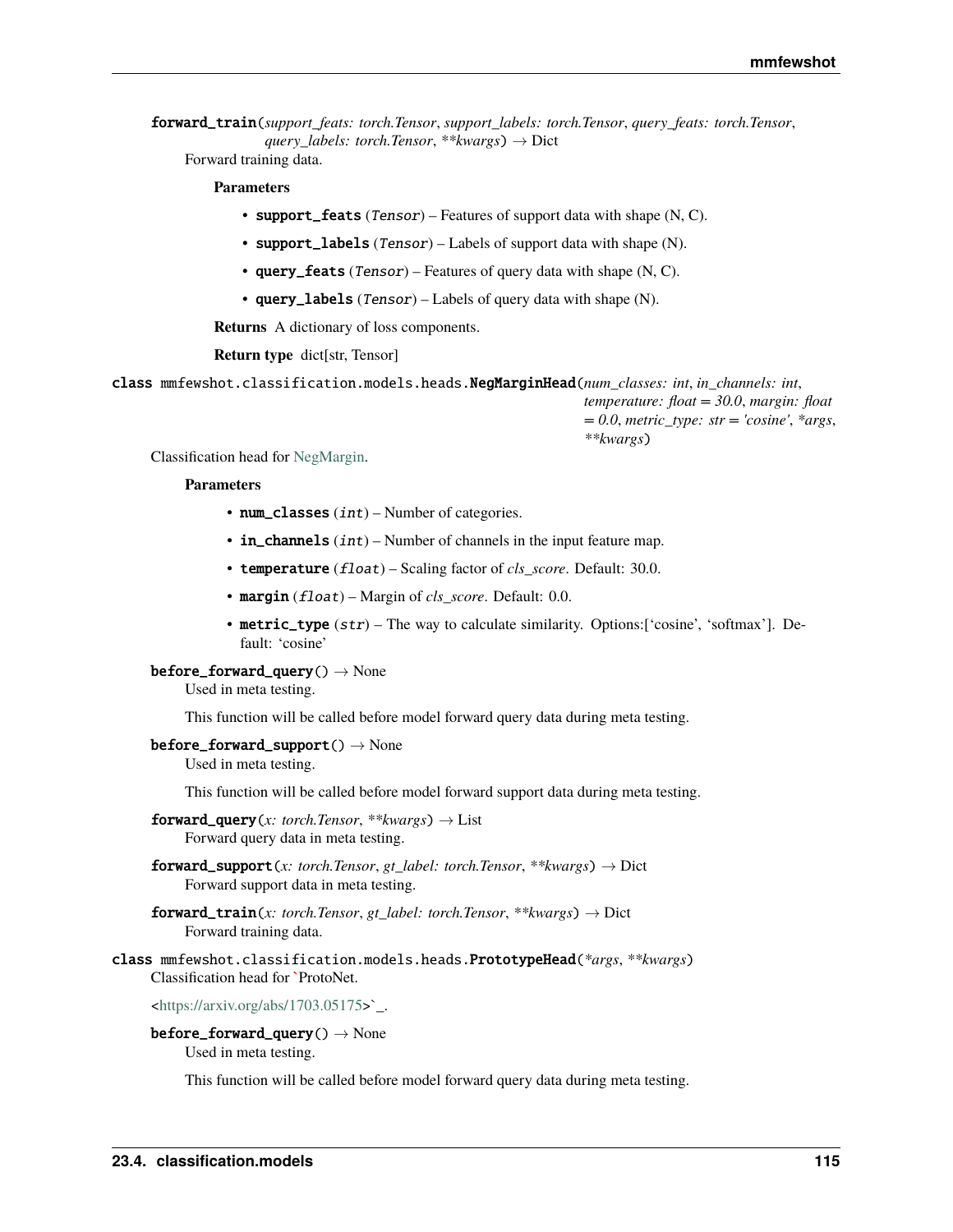forward\_train(*support\_feats: torch.Tensor*, *support\_labels: torch.Tensor*, *query\_feats: torch.Tensor*, *query\_labels: torch.Tensor*, *\*\*kwargs*) → Dict

Forward training data.

# **Parameters**

- support\_feats  $(Tensor)$  Features of support data with shape  $(N, C)$ .
- support\_labels (Tensor) Labels of support data with shape (N).
- query\_feats  $(Tensor)$  Features of query data with shape  $(N, C)$ .
- query\_labels  $(Tensor)$  Labels of query data with shape (N).

**Returns** A dictionary of loss components.

**Return type** dict[str, Tensor]

class mmfewshot.classification.models.heads.NegMarginHead(*num\_classes: int*, *in\_channels: int*,

*temperature: float = 30.0*, *margin: float = 0.0*, *metric\_type: str = 'cosine'*, *\*args*, *\*\*kwargs*)

Classification head for [NegMargin.](https://arxiv.org/abs/2003.12060)

## **Parameters**

- num\_classes  $(int)$  Number of categories.
- in\_channels  $(int)$  Number of channels in the input feature map.
- temperature (float) Scaling factor of *cls\_score*. Default: 30.0.
- margin (float) Margin of *cls\_score*. Default: 0.0.
- metric\_type (str) The way to calculate similarity. Options:['cosine', 'softmax']. Default: 'cosine'

### $before\_forward\_query() \rightarrow None$

Used in meta testing.

This function will be called before model forward query data during meta testing.

## $before\_forward\_support() \rightarrow None$

Used in meta testing.

This function will be called before model forward support data during meta testing.

- $forward\_query(x: *torch.Tensor*, **kwargs) \rightarrow List$ Forward query data in meta testing.
- **forward\_support**(*x: torch.Tensor, gt\_label: torch.Tensor, \*\*kwargs*)  $\rightarrow$  Dict Forward support data in meta testing.
- **forward\_train**(*x: torch.Tensor, gt\_label: torch.Tensor, \*\*kwargs*)  $\rightarrow$  Dict Forward training data.

# class mmfewshot.classification.models.heads.PrototypeHead(*\*args*, *\*\*kwargs*) Classification head for **`**ProtoNet.

 $\text{chttps:}/\text{/arxiv.org/abs}/\text{1703.05175}$ .

# $before\_forward\_query() \rightarrow None$

Used in meta testing.

This function will be called before model forward query data during meta testing.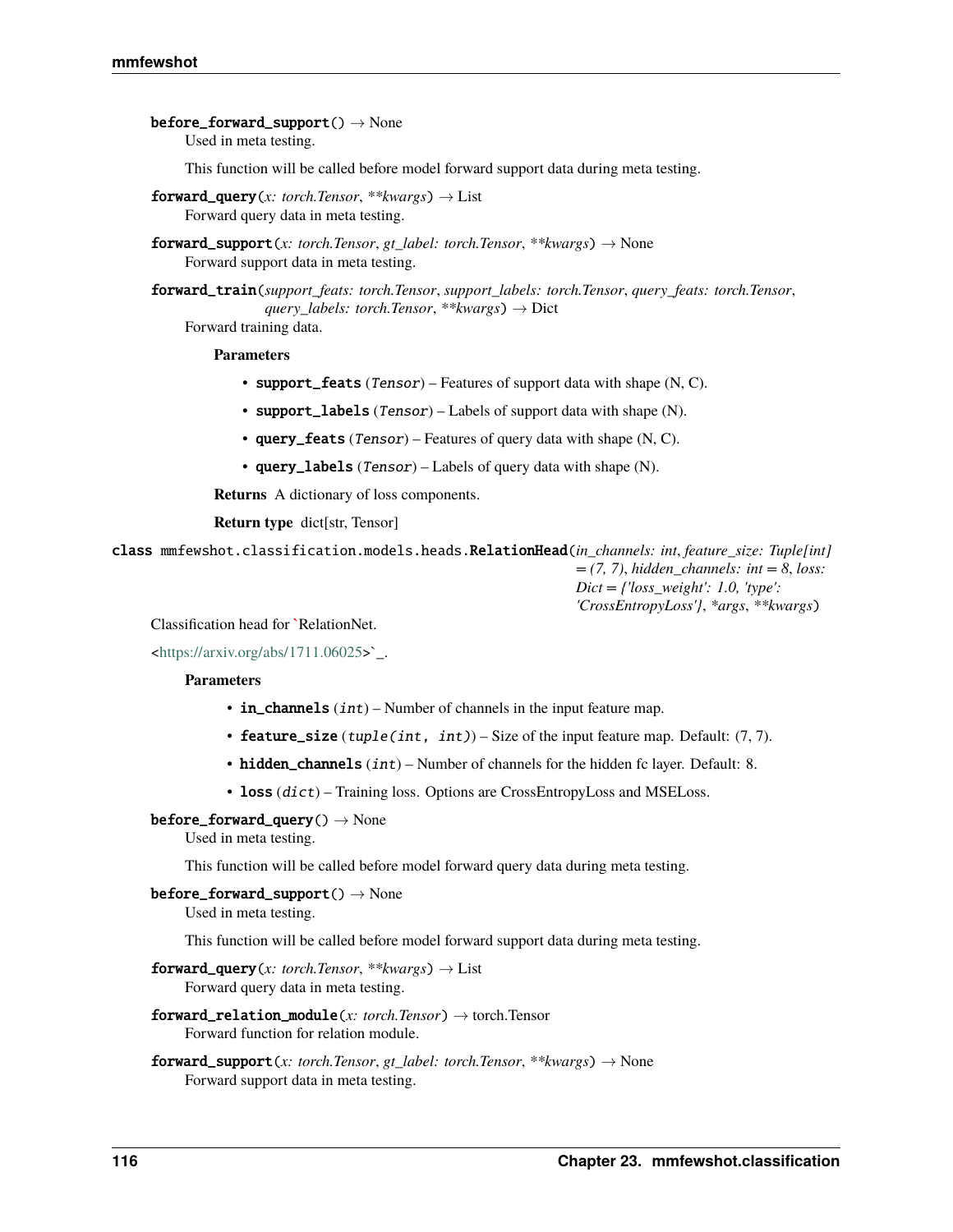$before\_forward\_support() \rightarrow None$ Used in meta testing.

This function will be called before model forward support data during meta testing.

- $forward\_query(x: *torch.Tensor*, **kwargs) \rightarrow List$ Forward query data in meta testing.
- **forward\_support**(*x: torch.Tensor, gt\_label: torch.Tensor, \*\*kwargs*)  $\rightarrow$  None Forward support data in meta testing.

forward\_train(*support\_feats: torch.Tensor*, *support\_labels: torch.Tensor*, *query\_feats: torch.Tensor*, *query\_labels: torch.Tensor*, *\*\*kwargs*) → Dict

Forward training data.

### **Parameters**

- support\_feats  $(Tensor)$  Features of support data with shape  $(N, C)$ .
- support\_labels (Tensor) Labels of support data with shape (N).
- query\_feats (Tensor) Features of query data with shape  $(N, C)$ .
- query\_labels (Tensor) Labels of query data with shape (N).

**Returns** A dictionary of loss components.

**Return type** dict[str, Tensor]

class mmfewshot.classification.models.heads.RelationHead(*in\_channels: int*, *feature\_size: Tuple[int] = (7, 7)*, *hidden\_channels: int = 8*, *loss: Dict = {'loss\_weight': 1.0, 'type':*

*'CrossEntropyLoss'}*, *\*args*, *\*\*kwargs*)

Classification head for **`**RelationNet.

 $\text{thttps:}/\text{/arxiv.org/abs}/\text{1711.06025}$ .

### **Parameters**

- in\_channels  $(int)$  Number of channels in the input feature map.
- feature\_size  $(tuple(int, int)) Size$  of the input feature map. Default:  $(7, 7)$ .
- hidden\_channels  $(int)$  Number of channels for the hidden fc layer. Default: 8.
- loss (dict) Training loss. Options are CrossEntropyLoss and MSELoss.
- $before\_forward\_query() \rightarrow None$

Used in meta testing.

This function will be called before model forward query data during meta testing.

## $before\_forward\_support() \rightarrow None$

Used in meta testing.

This function will be called before model forward support data during meta testing.

- **forward\_query**(*x: torch.Tensor*, \*\**kwargs*)  $\rightarrow$  List Forward query data in meta testing.
- **forward relation module**(*x: torch.Tensor*)  $\rightarrow$  torch.Tensor Forward function for relation module.
- **forward\_support**(*x: torch.Tensor, gt\_label: torch.Tensor, \*\*kwargs*)  $\rightarrow$  None Forward support data in meta testing.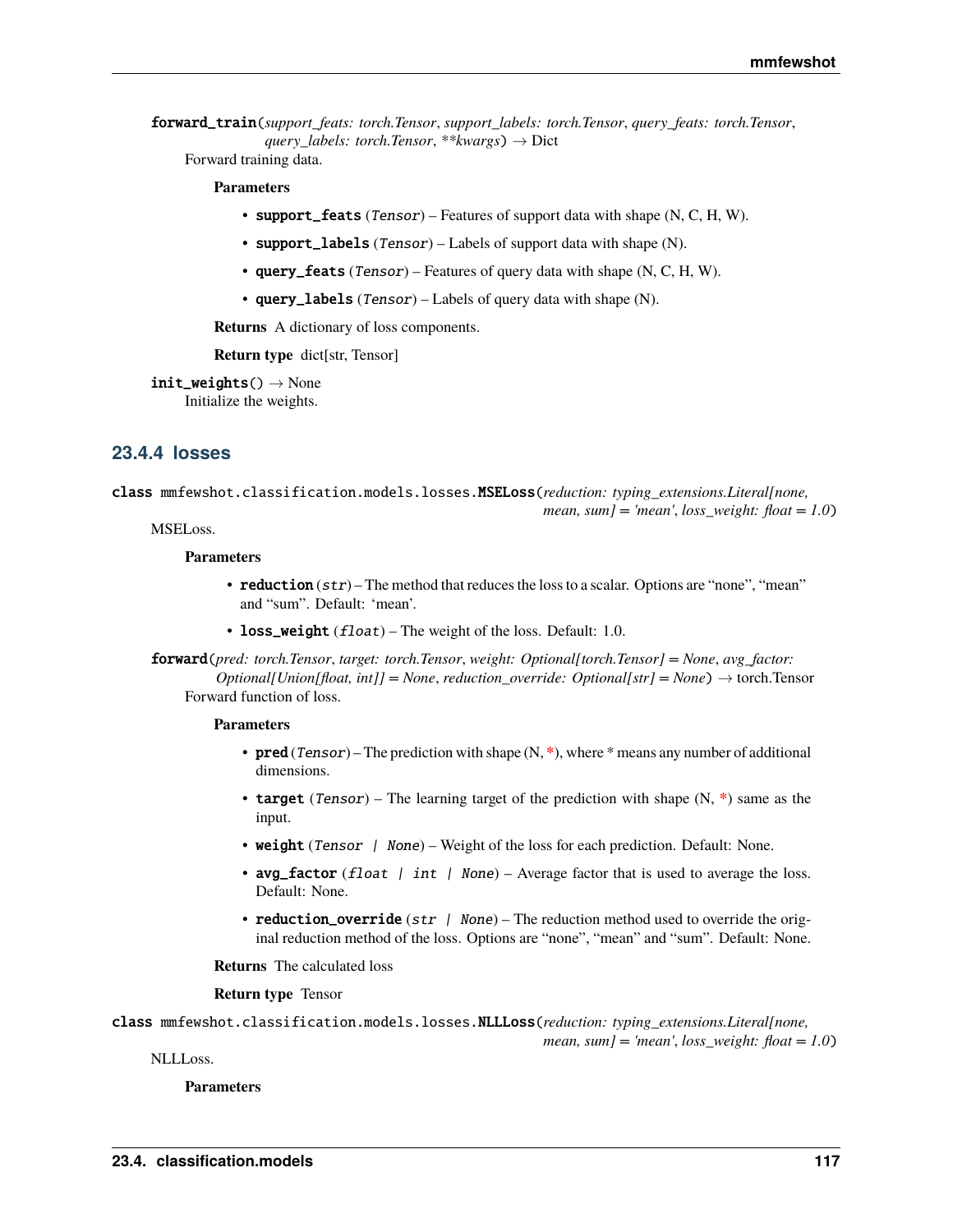forward\_train(*support\_feats: torch.Tensor*, *support\_labels: torch.Tensor*, *query\_feats: torch.Tensor*, *query\_labels: torch.Tensor*, *\*\*kwargs*) → Dict

Forward training data.

# **Parameters**

- support\_feats (Tensor) Features of support data with shape  $(N, C, H, W)$ .
- support\_labels  $(Tensor)$  Labels of support data with shape  $(N)$ .
- query\_feats (Tensor) Features of query data with shape  $(N, C, H, W)$ .
- query\_labels  $(Tensor)$  Labels of query data with shape (N).

**Returns** A dictionary of loss components.

**Return type** dict[str, Tensor]

 $init\_weights() \rightarrow None$ Initialize the weights.

# **23.4.4 losses**

class mmfewshot.classification.models.losses.MSELoss(*reduction: typing\_extensions.Literal[none, mean, sum] = 'mean'*, *loss\_weight: float = 1.0*)

# MSELoss.

### **Parameters**

- reduction  $(str)$  The method that reduces the loss to a scalar. Options are "none", "mean" and "sum". Default: 'mean'.
- loss\_weight  $(fload)$  The weight of the loss. Default: 1.0.

forward(*pred: torch.Tensor*, *target: torch.Tensor*, *weight: Optional[torch.Tensor] = None*, *avg\_factor: Optional[Union[float, int]] = None, reduction override: Optional[str] = None*)  $\rightarrow$  torch.Tensor Forward function of loss.

## **Parameters**

- **pred** (*Tensor*) The prediction with shape (N, \*), where \* means any number of additional dimensions.
- target (Tensor) The learning target of the prediction with shape (N, **\***) same as the input.
- weight (Tensor | None) Weight of the loss for each prediction. Default: None.
- avg\_factor (float | int | None) Average factor that is used to average the loss. Default: None.
- reduction\_override  $(str \mid None)$  The reduction method used to override the original reduction method of the loss. Options are "none", "mean" and "sum". Default: None.

**Returns** The calculated loss

**Return type** Tensor

class mmfewshot.classification.models.losses.NLLLoss(*reduction: typing\_extensions.Literal[none, mean, sum] = 'mean'*, *loss\_weight: float = 1.0*)

NLLLoss.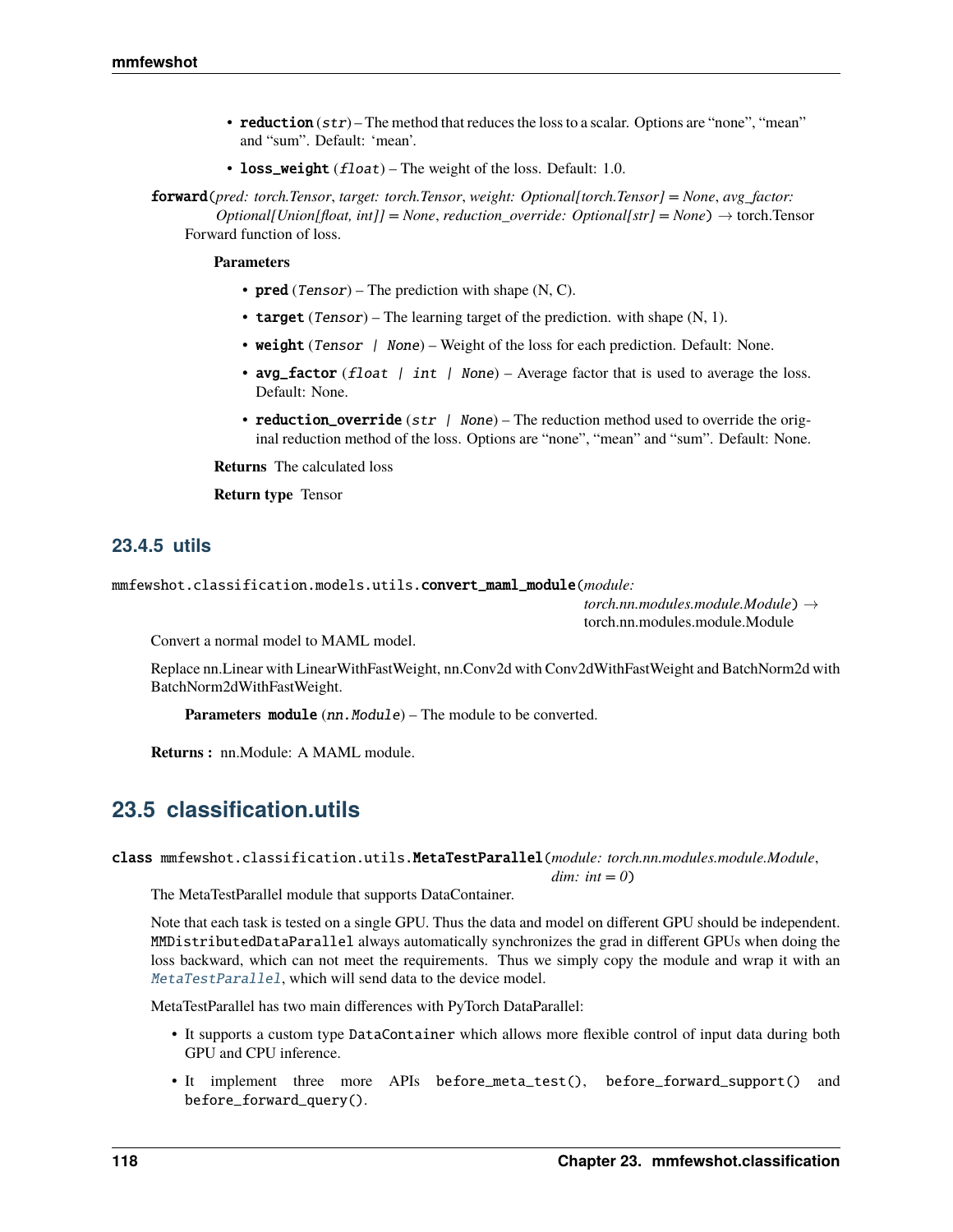- reduction  $(str)$  The method that reduces the loss to a scalar. Options are "none", "mean" and "sum". Default: 'mean'.
- loss\_weight  $(fload)$  The weight of the loss. Default: 1.0.

forward(*pred: torch.Tensor*, *target: torch.Tensor*, *weight: Optional[torch.Tensor] = None*, *avg\_factor: Optional[Union[float, int]] = None, reduction override: Optional[str] = None*)  $\rightarrow$  torch.Tensor Forward function of loss.

**Parameters**

- $pred(Tensor)$  The prediction with shape  $(N, C)$ .
- target (Tensor) The learning target of the prediction. with shape  $(N, 1)$ .
- weight (Tensor | None) Weight of the loss for each prediction. Default: None.
- avg\_factor (float | int | None) Average factor that is used to average the loss. Default: None.
- reduction\_override (str  $\int$  None) The reduction method used to override the original reduction method of the loss. Options are "none", "mean" and "sum". Default: None.

**Returns** The calculated loss

**Return type** Tensor

# **23.4.5 utils**

mmfewshot.classification.models.utils.convert\_maml\_module(*module:*

*torch.nn.modules.module.Module*) → torch.nn.modules.module.Module

Convert a normal model to MAML model.

Replace nn.Linear with LinearWithFastWeight, nn.Conv2d with Conv2dWithFastWeight and BatchNorm2d with BatchNorm2dWithFastWeight.

**Parameters module** (nn. Module) – The module to be converted.

**Returns :** nn.Module: A MAML module.

# **23.5 classification.utils**

<span id="page-121-0"></span>class mmfewshot.classification.utils.MetaTestParallel(*module: torch.nn.modules.module.Module*,

*dim: int = 0*)

The MetaTestParallel module that supports DataContainer.

Note that each task is tested on a single GPU. Thus the data and model on different GPU should be independent. MMDistributedDataParallel always automatically synchronizes the grad in different GPUs when doing the loss backward, which can not meet the requirements. Thus we simply copy the module and wrap it with an [MetaTestParallel](#page-121-0), which will send data to the device model.

MetaTestParallel has two main differences with PyTorch DataParallel:

- It supports a custom type DataContainer which allows more flexible control of input data during both GPU and CPU inference.
- It implement three more APIs before\_meta\_test(), before\_forward\_support() and before\_forward\_query().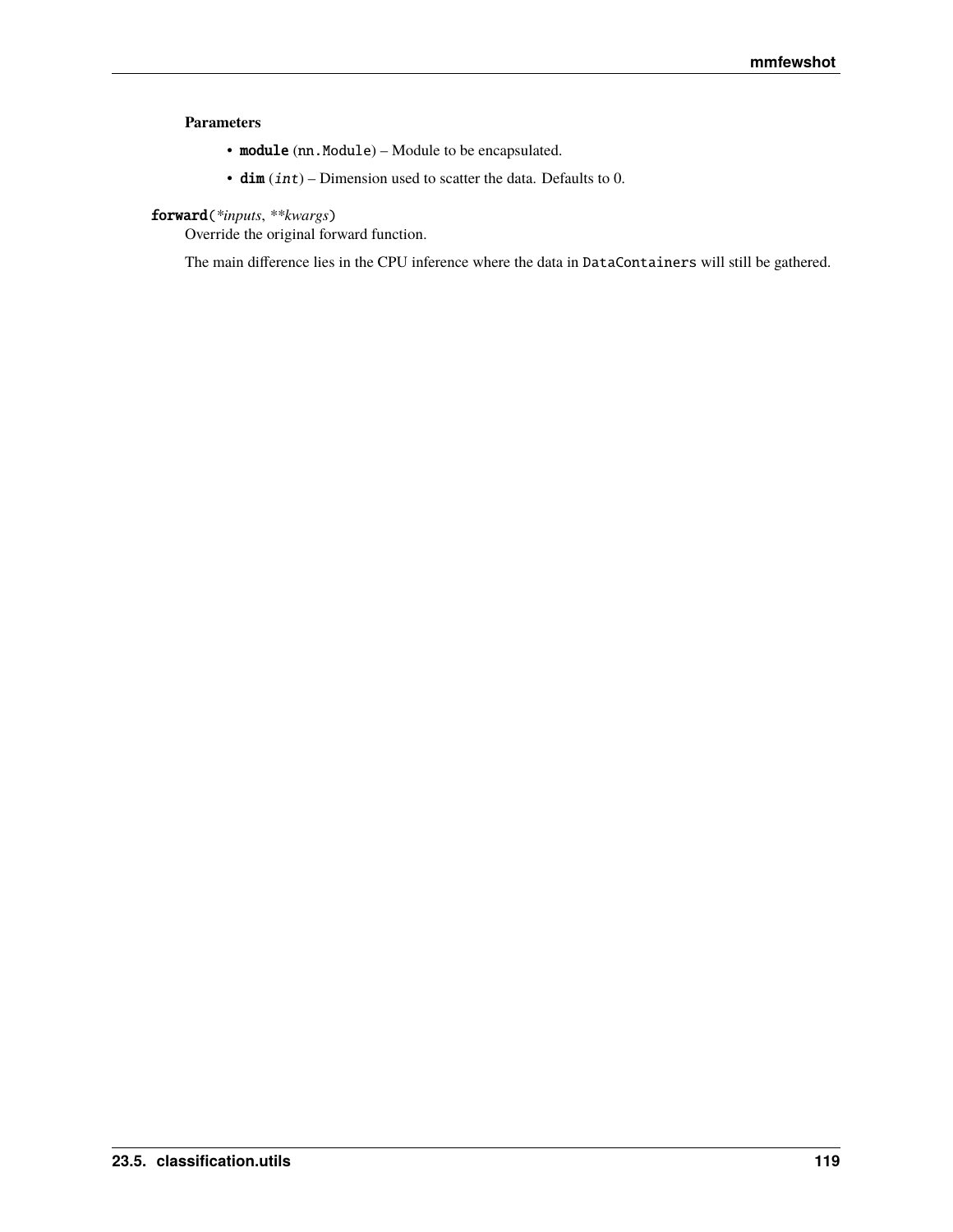# **Parameters**

- module (nn. Module) Module to be encapsulated.
- $\dim (int)$  Dimension used to scatter the data. Defaults to 0.

# forward(*\*inputs*, *\*\*kwargs*)

Override the original forward function.

The main difference lies in the CPU inference where the data in DataContainers will still be gathered.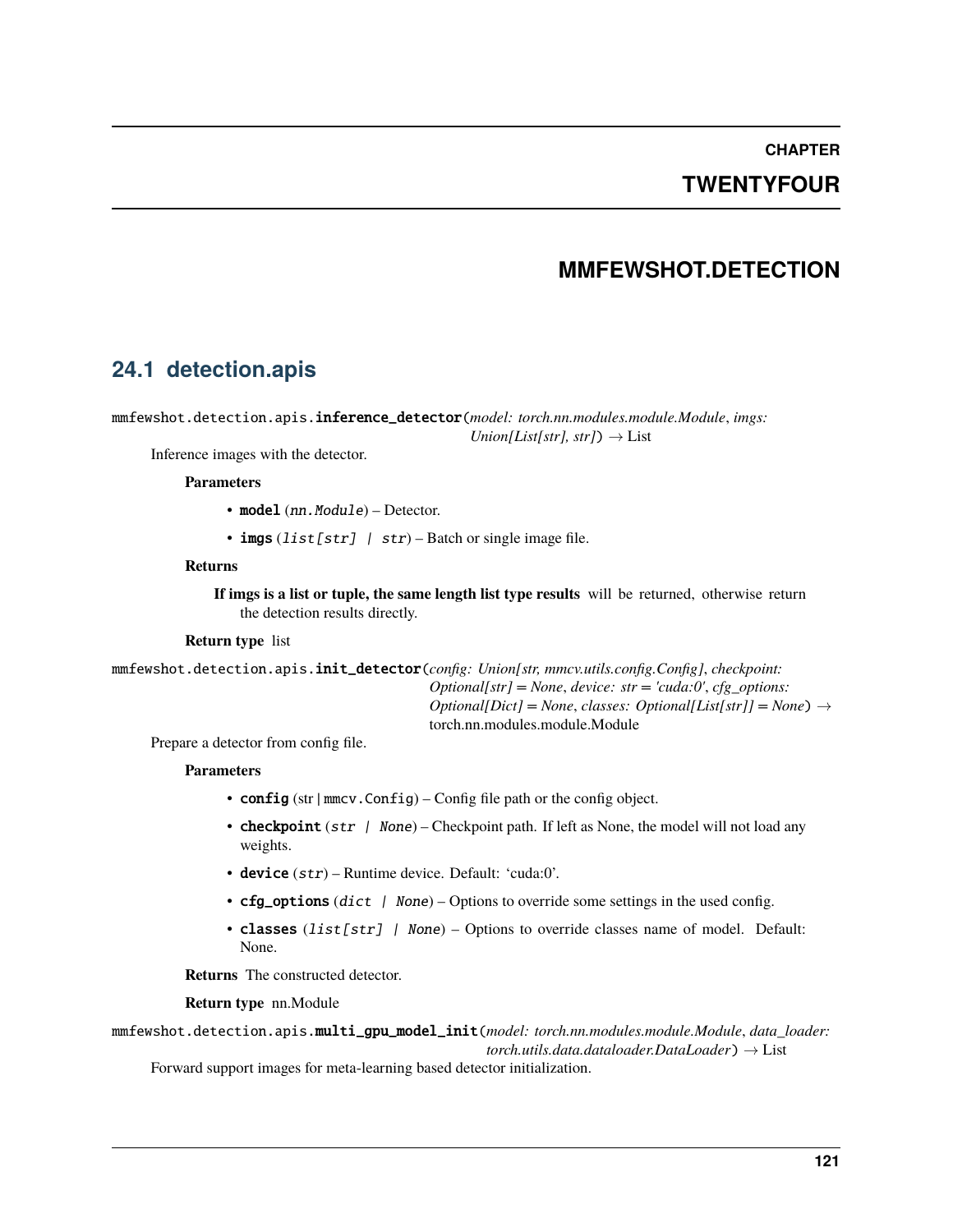# **CHAPTER**

# **TWENTYFOUR**

# **MMFEWSHOT.DETECTION**

# **24.1 detection.apis**

mmfewshot.detection.apis.inference\_detector(*model: torch.nn.modules.module.Module*, *imgs:*

 $Union[List[str], str]) \rightarrow List$ 

Inference images with the detector.

# **Parameters**

- model  $(nn.Module) -$  Detector.
- imgs  $(list[str]$  /  $str)$  Batch or single image file.

## **Returns**

**If imgs is a list or tuple, the same length list type results** will be returned, otherwise return the detection results directly.

# **Return type** list

mmfewshot.detection.apis.init\_detector(*config: Union[str, mmcv.utils.config.Config]*, *checkpoint: Optional[str] = None*, *device: str = 'cuda:0'*, *cfg\_options: Optional*[*Dict]* = *None*, *classes: Optional*[*List*[*str]*] = *None*)  $\rightarrow$ torch.nn.modules.module.Module

Prepare a detector from config file.

# **Parameters**

- config (str | mmcv.Config) Config file path or the config object.
- **checkpoint** (str  $\mid$  None) Checkpoint path. If left as None, the model will not load any weights.
- device  $(str)$  Runtime device. Default: 'cuda:0'.
- $cfg\_options$  (dict | None) Options to override some settings in the used config.
- classes (list [str] | None) Options to override classes name of model. Default: None.

**Returns** The constructed detector.

# **Return type** nn.Module

mmfewshot.detection.apis.multi\_gpu\_model\_init(*model: torch.nn.modules.module.Module*, *data\_loader: torch.utils.data.dataloader.DataLoader*) → List

Forward support images for meta-learning based detector initialization.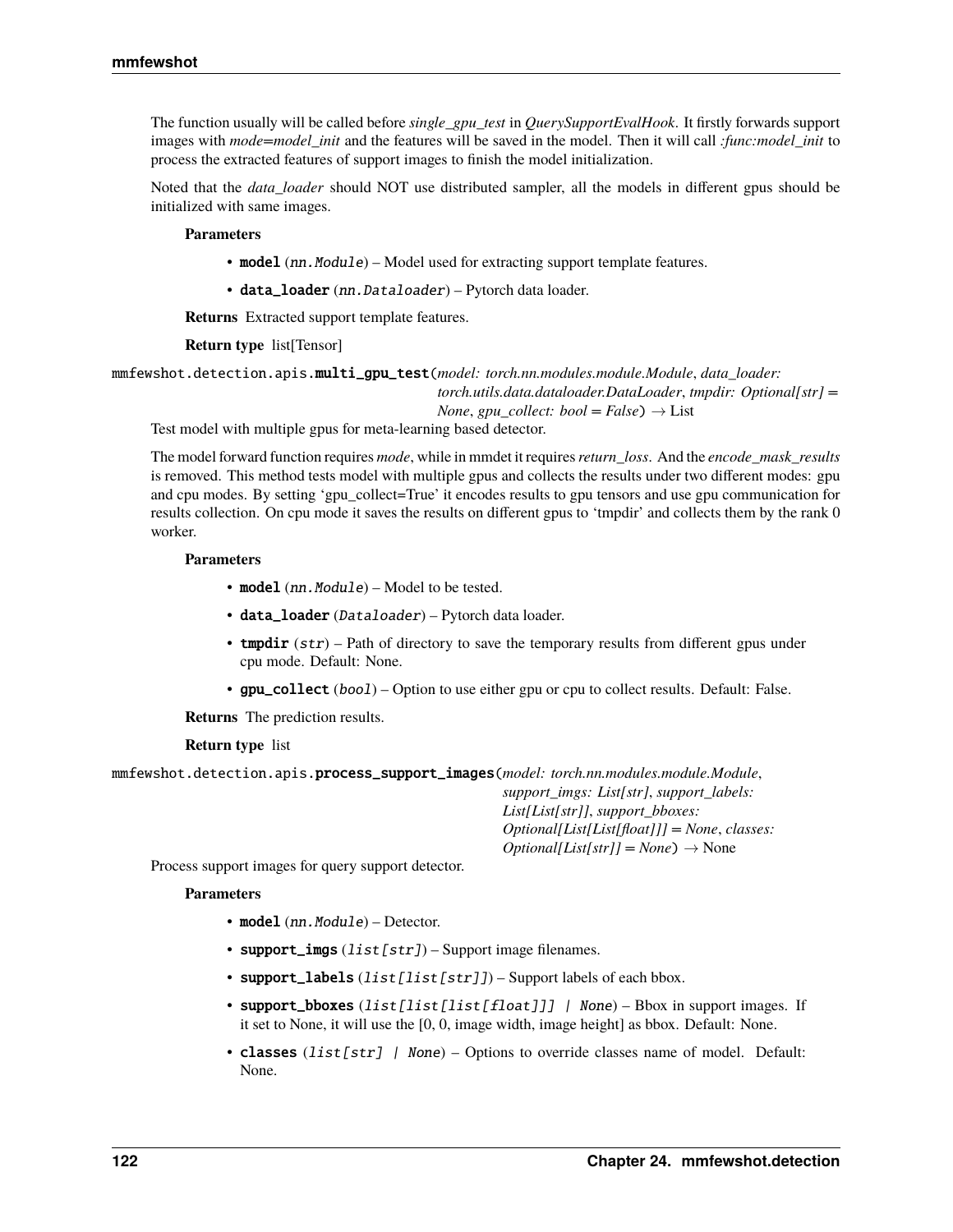The function usually will be called before *single\_gpu\_test* in *QuerySupportEvalHook*. It firstly forwards support images with *mode=model\_init* and the features will be saved in the model. Then it will call *:func:model\_init* to process the extracted features of support images to finish the model initialization.

Noted that the *data\_loader* should NOT use distributed sampler, all the models in different gpus should be initialized with same images.

### **Parameters**

- model (nn. Module) Model used for extracting support template features.
- data\_loader (nn. Dataloader) Pytorch data loader.

**Returns** Extracted support template features.

### **Return type** list[Tensor]

mmfewshot.detection.apis.multi\_gpu\_test(*model: torch.nn.modules.module.Module*, *data\_loader:*

*torch.utils.data.dataloader.DataLoader*, *tmpdir: Optional[str] = None*, *gpu collect:*  $bool = False$   $\rightarrow$  List

Test model with multiple gpus for meta-learning based detector.

The model forward function requires *mode*, while in mmdet it requires*return\_loss*. And the *encode\_mask\_results* is removed. This method tests model with multiple gpus and collects the results under two different modes: gpu and cpu modes. By setting 'gpu\_collect=True' it encodes results to gpu tensors and use gpu communication for results collection. On cpu mode it saves the results on different gpus to 'tmpdir' and collects them by the rank 0 worker.

### **Parameters**

- model (nn. Module) Model to be tested.
- data\_loader (Dataloader) Pytorch data loader.
- **tmpdir**  $(str)$  Path of directory to save the temporary results from different gpus under cpu mode. Default: None.
- **gpu\_collect** (bool) Option to use either gpu or cpu to collect results. Default: False.

**Returns** The prediction results.

**Return type** list

| mmfewshot.detection.apis.process_support_images(model:torch.nn.modules.module.Module, |                                                                                   |
|---------------------------------------------------------------------------------------|-----------------------------------------------------------------------------------|
|                                                                                       | support imgs: List[str], support labels:                                          |
|                                                                                       | List[List[str]], support bboxes:                                                  |
|                                                                                       | $Optional[List[List[float]] = None, classes:$                                     |
|                                                                                       | $\text{Optional}[\text{List}[\text{str}]] = \text{None}] \rightarrow \text{None}$ |

Process support images for query support detector.

- model  $(nn.Module) -$  Detector.
- support\_imgs  $(list[str]) -$  Support image filenames.
- support\_labels (list [list [str]]) Support labels of each bbox.
- support\_bboxes (list[list[list[float]]] | None) Bbox in support images. If it set to None, it will use the [0, 0, image width, image height] as bbox. Default: None.
- classes (list [str] | None) Options to override classes name of model. Default: None.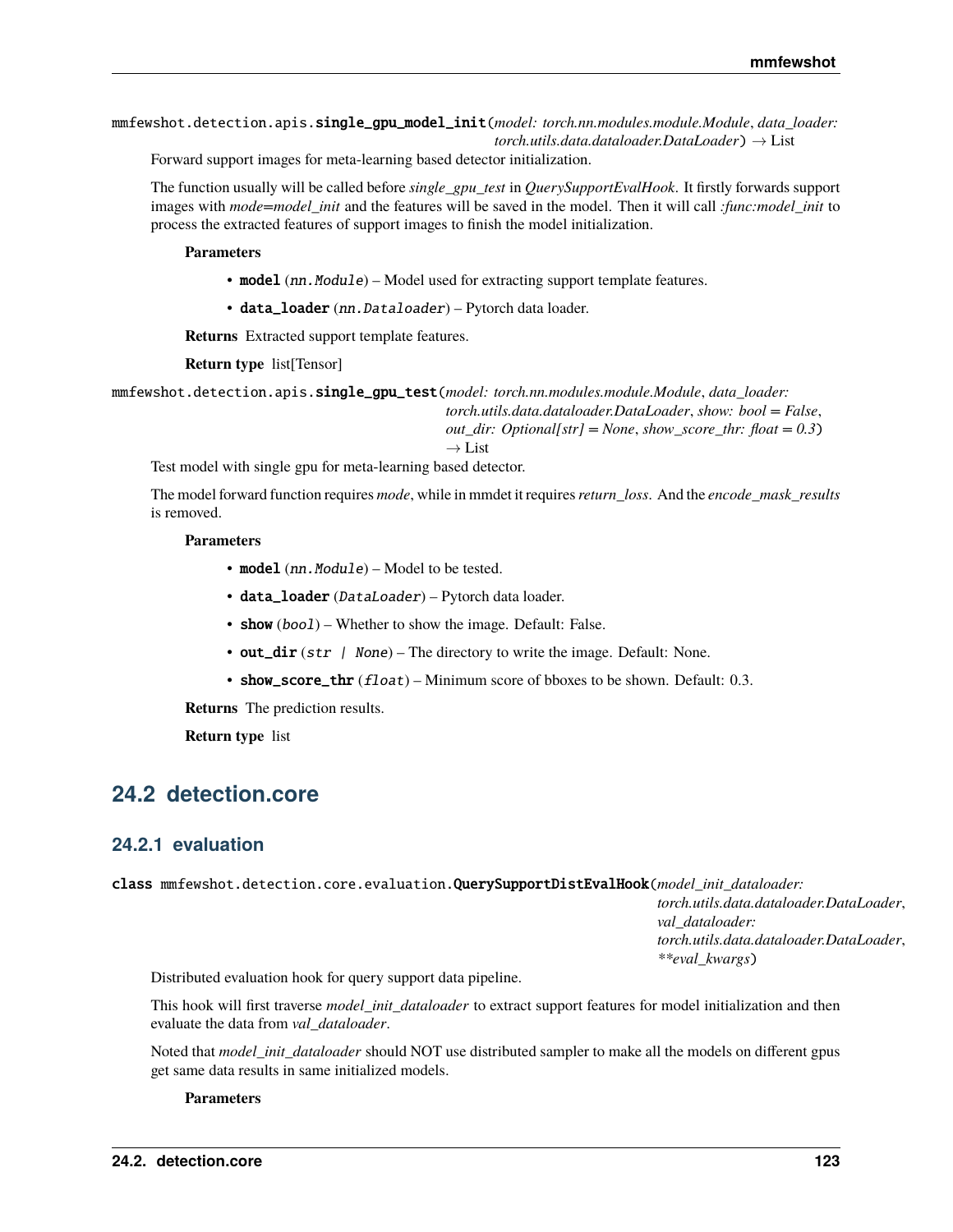mmfewshot.detection.apis.single\_gpu\_model\_init(*model: torch.nn.modules.module.Module*, *data\_loader: torch.utils.data.dataloader.DataLoader*) → List

Forward support images for meta-learning based detector initialization.

The function usually will be called before *single\_gpu\_test* in *QuerySupportEvalHook*. It firstly forwards support images with *mode=model\_init* and the features will be saved in the model. Then it will call *:func:model\_init* to process the extracted features of support images to finish the model initialization.

**Parameters**

• model (nn. Module) – Model used for extracting support template features.

• data\_loader (nn. Dataloader) - Pytorch data loader.

**Returns** Extracted support template features.

**Return type** list[Tensor]

mmfewshot.detection.apis.single\_gpu\_test(*model: torch.nn.modules.module.Module*, *data\_loader:*

*torch.utils.data.dataloader.DataLoader*, *show: bool = False*,

*out\_dir: Optional[str] = None*, *show\_score\_thr: float = 0.3*)

 $\rightarrow$  List

Test model with single gpu for meta-learning based detector.

The model forward function requires *mode*, while in mmdet it requires*return\_loss*. And the *encode\_mask\_results* is removed.

### **Parameters**

- model  $(nn.Module) Model$  to be tested.
- data\_loader (DataLoader) Pytorch data loader.
- show (boo1) Whether to show the image. Default: False.
- out\_dir (str | None) The directory to write the image. Default: None.
- show\_score\_thr  $(fload)$  Minimum score of bboxes to be shown. Default: 0.3.

**Returns** The prediction results.

**Return type** list

# **24.2 detection.core**

# **24.2.1 evaluation**

class mmfewshot.detection.core.evaluation.QuerySupportDistEvalHook(*model\_init\_dataloader:*

*torch.utils.data.dataloader.DataLoader*, *val\_dataloader: torch.utils.data.dataloader.DataLoader*, *\*\*eval\_kwargs*)

Distributed evaluation hook for query support data pipeline.

This hook will first traverse *model\_init\_dataloader* to extract support features for model initialization and then evaluate the data from *val\_dataloader*.

Noted that *model\_init\_dataloader* should NOT use distributed sampler to make all the models on different gpus get same data results in same initialized models.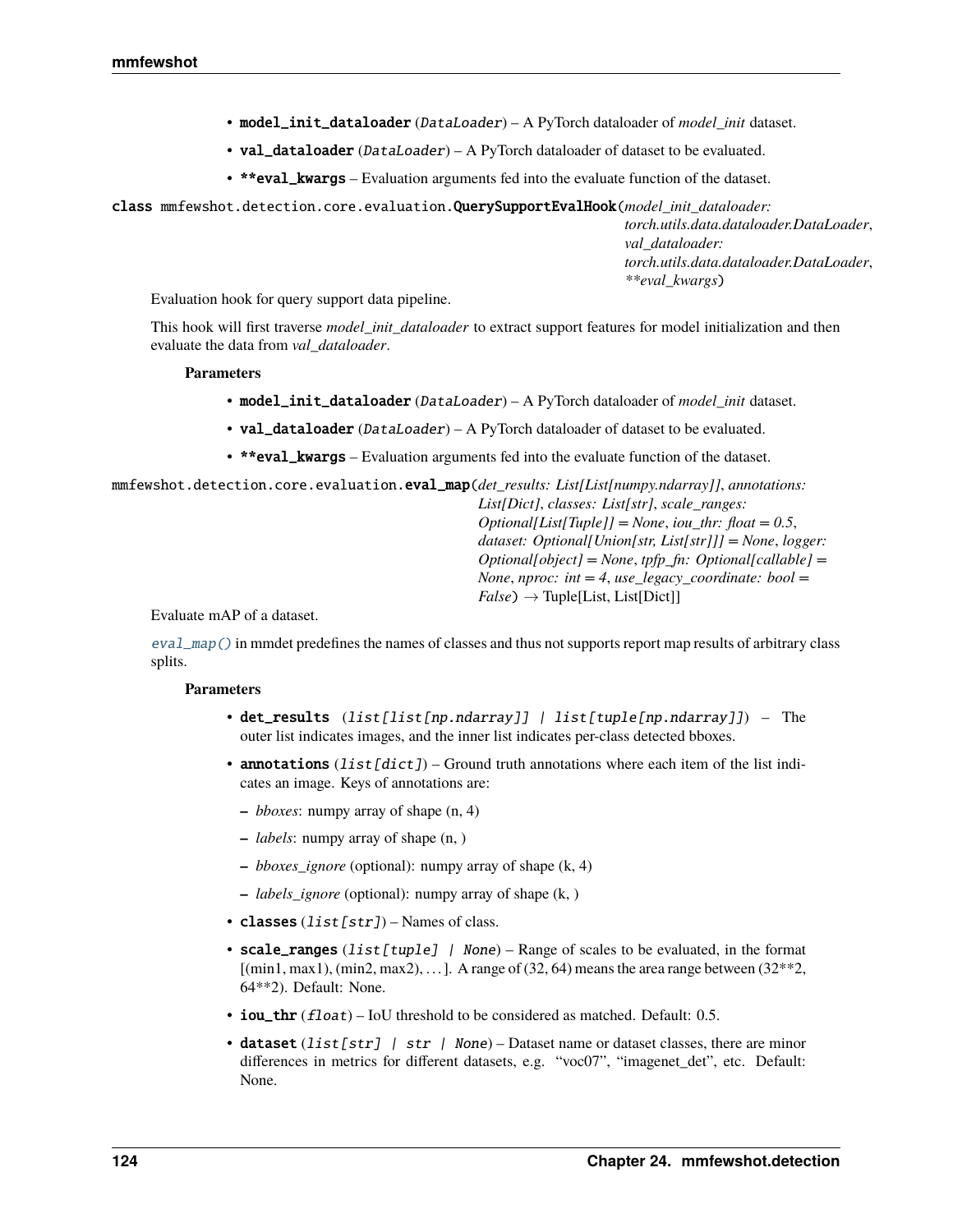- model\_init\_dataloader (DataLoader) A PyTorch dataloader of *model\_init* dataset.
- val\_dataloader (DataLoader) A PyTorch dataloader of dataset to be evaluated.
- \*\*eval\_kwargs Evaluation arguments fed into the evaluate function of the dataset.

class mmfewshot.detection.core.evaluation.QuerySupportEvalHook(*model\_init\_dataloader:*

*torch.utils.data.dataloader.DataLoader*, *val\_dataloader: torch.utils.data.dataloader.DataLoader*, *\*\*eval\_kwargs*)

Evaluation hook for query support data pipeline.

This hook will first traverse *model\_init\_dataloader* to extract support features for model initialization and then evaluate the data from *val\_dataloader*.

## **Parameters**

- model\_init\_dataloader (DataLoader) A PyTorch dataloader of *model\_init* dataset.
- val\_dataloader (DataLoader) A PyTorch dataloader of dataset to be evaluated.
- \*\*eval\_kwargs Evaluation arguments fed into the evaluate function of the dataset.

<span id="page-127-0"></span>mmfewshot.detection.core.evaluation.eval\_map(*det\_results: List[List[numpy.ndarray]]*, *annotations:*

*List[Dict]*, *classes: List[str]*, *scale\_ranges: Optional[List[Tuple]] = None*, *iou\_thr: float = 0.5*, *dataset: Optional[Union[str, List[str]]] = None*, *logger: Optional[object] = None*, *tpfp\_fn: Optional[callable] = None*, *nproc: int = 4*, *use\_legacy\_coordinate: bool =*  $False$ )  $\rightarrow$  Tuple[List, List[Dict]]

Evaluate mAP of a dataset.

[eval\\_map\(\)](#page-127-0) in mmdet predefines the names of classes and thus not supports report map results of arbitrary class splits.

- det\_results (list[list[np.ndarray]] | list[tuple[np.ndarray]]) The outer list indicates images, and the inner list indicates per-class detected bboxes.
- annotations  $(iist[dict])$  Ground truth annotations where each item of the list indicates an image. Keys of annotations are:
	- **–** *bboxes*: numpy array of shape (n, 4)
	- **–** *labels*: numpy array of shape (n, )
	- **–** *bboxes\_ignore* (optional): numpy array of shape (k, 4)
	- **–** *labels\_ignore* (optional): numpy array of shape (k, )
- classes  $(list[str])$  Names of class.
- scale\_ranges (list [tuple] | None) Range of scales to be evaluated, in the format  $[(\text{min1}, \text{max1}), (\text{min2}, \text{max2}), \dots]$ . A range of (32, 64) means the area range between (32\*\*2, 64\*\*2). Default: None.
- iou\_thr  $(fload)$  IoU threshold to be considered as matched. Default: 0.5.
- dataset (list [str] | str | None) Dataset name or dataset classes, there are minor differences in metrics for different datasets, e.g. "voc07", "imagenet\_det", etc. Default: None.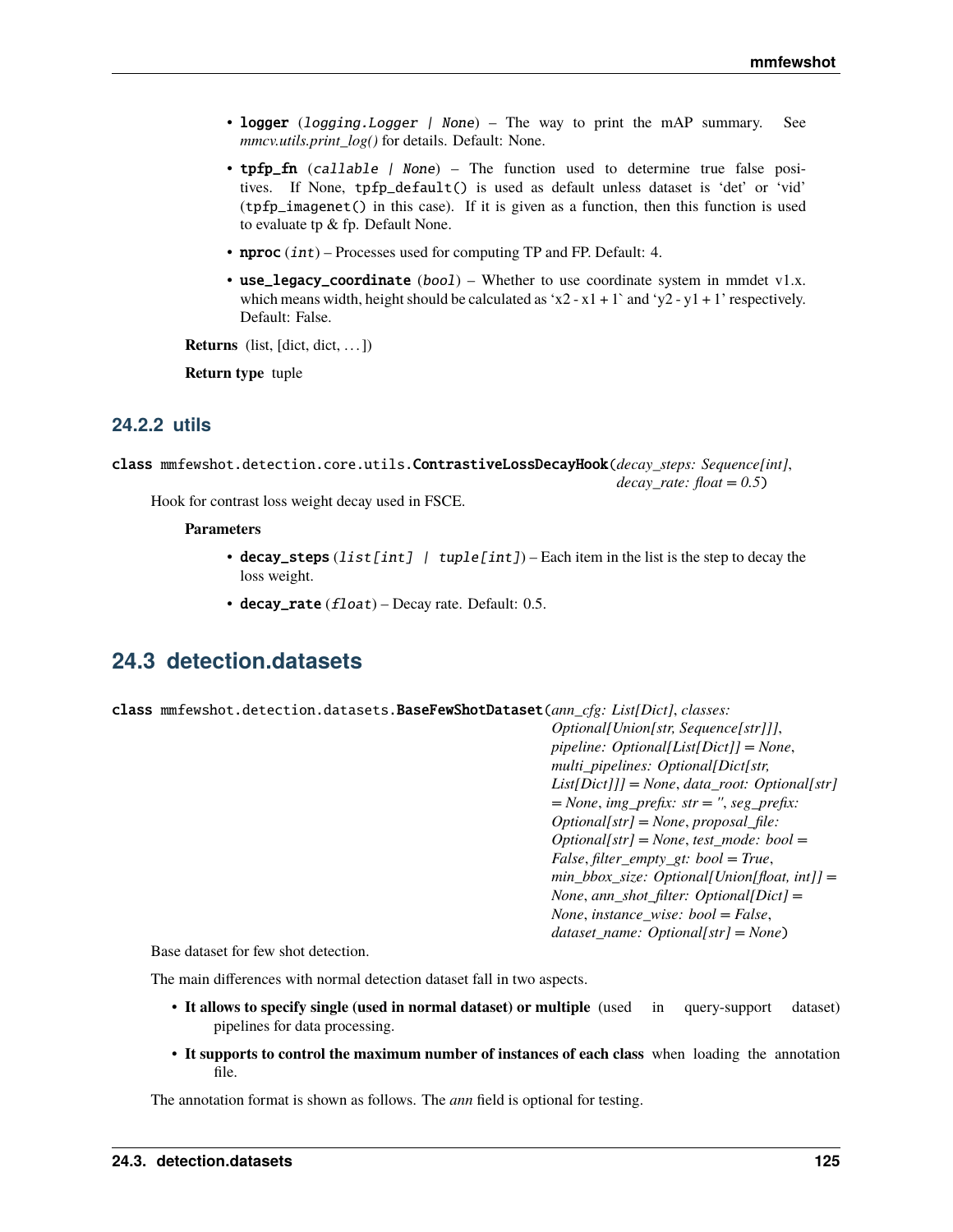- logger (logging. Logger | None) The way to print the mAP summary. See *mmcv.utils.print\_log()* for details. Default: None.
- tpfp\_fn (callable | None) The function used to determine true false positives. If None, tpfp\_default() is used as default unless dataset is 'det' or 'vid' (tpfp\_imagenet() in this case). If it is given as a function, then this function is used to evaluate tp & fp. Default None.
- **nproc**  $(int)$  Processes used for computing TP and FP. Default: 4.
- use\_legacy\_coordinate  $(boo1)$  Whether to use coordinate system in mmdet v1.x. which means width, height should be calculated as 'x2 - x1 + 1' and 'y2 - y1 + 1' respectively. Default: False.

**Returns** (list, [dict, dict, ...])

**Return type** tuple

# **24.2.2 utils**

class mmfewshot.detection.core.utils.ContrastiveLossDecayHook(*decay\_steps: Sequence[int]*, *decay\_rate: float = 0.5*)

Hook for contrast loss weight decay used in FSCE.

### **Parameters**

- decay\_steps (list[int] | tuple[int]) Each item in the list is the step to decay the loss weight.
- decay\_rate  $(flost)$  Decay rate. Default: 0.5.

# **24.3 detection.datasets**

<span id="page-128-0"></span>class mmfewshot.detection.datasets.BaseFewShotDataset(*ann\_cfg: List[Dict]*, *classes:*

*Optional[Union[str, Sequence[str]]]*, *pipeline: Optional[List[Dict]] = None*, *multi\_pipelines: Optional[Dict[str, List[Dict]]] = None*, *data\_root: Optional[str] = None*, *img\_prefix: str = ''*, *seg\_prefix: Optional[str] = None*, *proposal\_file: Optional[str] = None*, *test\_mode: bool = False*, *filter\_empty\_gt: bool = True*, *min\_bbox\_size: Optional[Union[float, int]] = None*, *ann\_shot\_filter: Optional[Dict] = None*, *instance\_wise: bool = False*, *dataset\_name: Optional[str] = None*)

Base dataset for few shot detection.

The main differences with normal detection dataset fall in two aspects.

- **It allows to specify single (used in normal dataset) or multiple** (used in query-support dataset) pipelines for data processing.
- **It supports to control the maximum number of instances of each class** when loading the annotation file.

The annotation format is shown as follows. The *ann* field is optional for testing.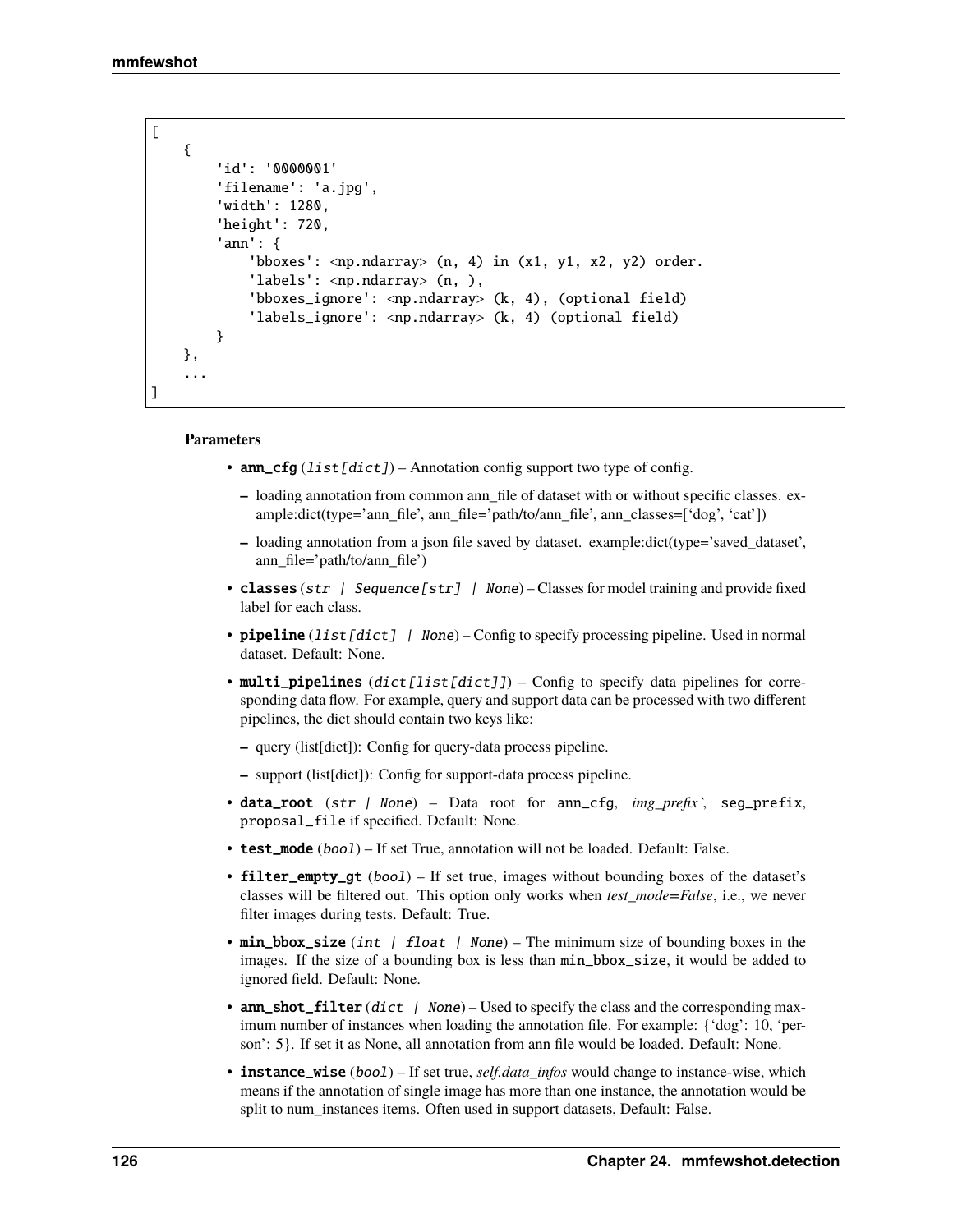]

```
\Gamma{
     'id': '0000001'
     'filename': 'a.jpg',
     'width': 1280,
     'height': 720,
     'ann': {
          'bboxes': \langle np.ndarray \rangle (n, 4) in (x1, y1, x2, y2) order.
          'labels': <np.ndarray> (n, ),
          'bboxes_ignore': <np.ndarray> (k, 4), (optional field)
          'labels_ignore': <np.ndarray> (k, 4) (optional field)
     }
 },
 ...
```
- ann\_cfg  $(iist[dict])$  Annotation config support two type of config.
	- **–** loading annotation from common ann\_file of dataset with or without specific classes. example:dict(type='ann\_file', ann\_file='path/to/ann\_file', ann\_classes=['dog', 'cat'])
	- **–** loading annotation from a json file saved by dataset. example:dict(type='saved\_dataset', ann\_file='path/to/ann\_file')
- classes (str | Sequence [str] | None) Classes for model training and provide fixed label for each class.
- pipeline  $(list[dict]$  | None) Config to specify processing pipeline. Used in normal dataset. Default: None.
- multi\_pipelines (dict[list[dict]]) Config to specify data pipelines for corresponding data flow. For example, query and support data can be processed with two different pipelines, the dict should contain two keys like:
	- **–** query (list[dict]): Config for query-data process pipeline.
	- **–** support (list[dict]): Config for support-data process pipeline.
- data\_root (str | None) Data root for ann\_cfg, *img\_prefix`*, seg\_prefix, proposal\_file if specified. Default: None.
- test\_mode (boo1) If set True, annotation will not be loaded. Default: False.
- **filter\_empty\_gt**  $(boo1)$  If set true, images without bounding boxes of the dataset's classes will be filtered out. This option only works when *test\_mode=False*, i.e., we never filter images during tests. Default: True.
- min\_bbox\_size (int | float | None) The minimum size of bounding boxes in the images. If the size of a bounding box is less than min\_bbox\_size, it would be added to ignored field. Default: None.
- ann\_shot\_filter  $(dict \mid None)$  Used to specify the class and the corresponding maximum number of instances when loading the annotation file. For example: {'dog': 10, 'person': 5}. If set it as None, all annotation from ann file would be loaded. Default: None.
- **instance\_wise** (bool) If set true, *self.data\_infos* would change to instance-wise, which means if the annotation of single image has more than one instance, the annotation would be split to num\_instances items. Often used in support datasets, Default: False.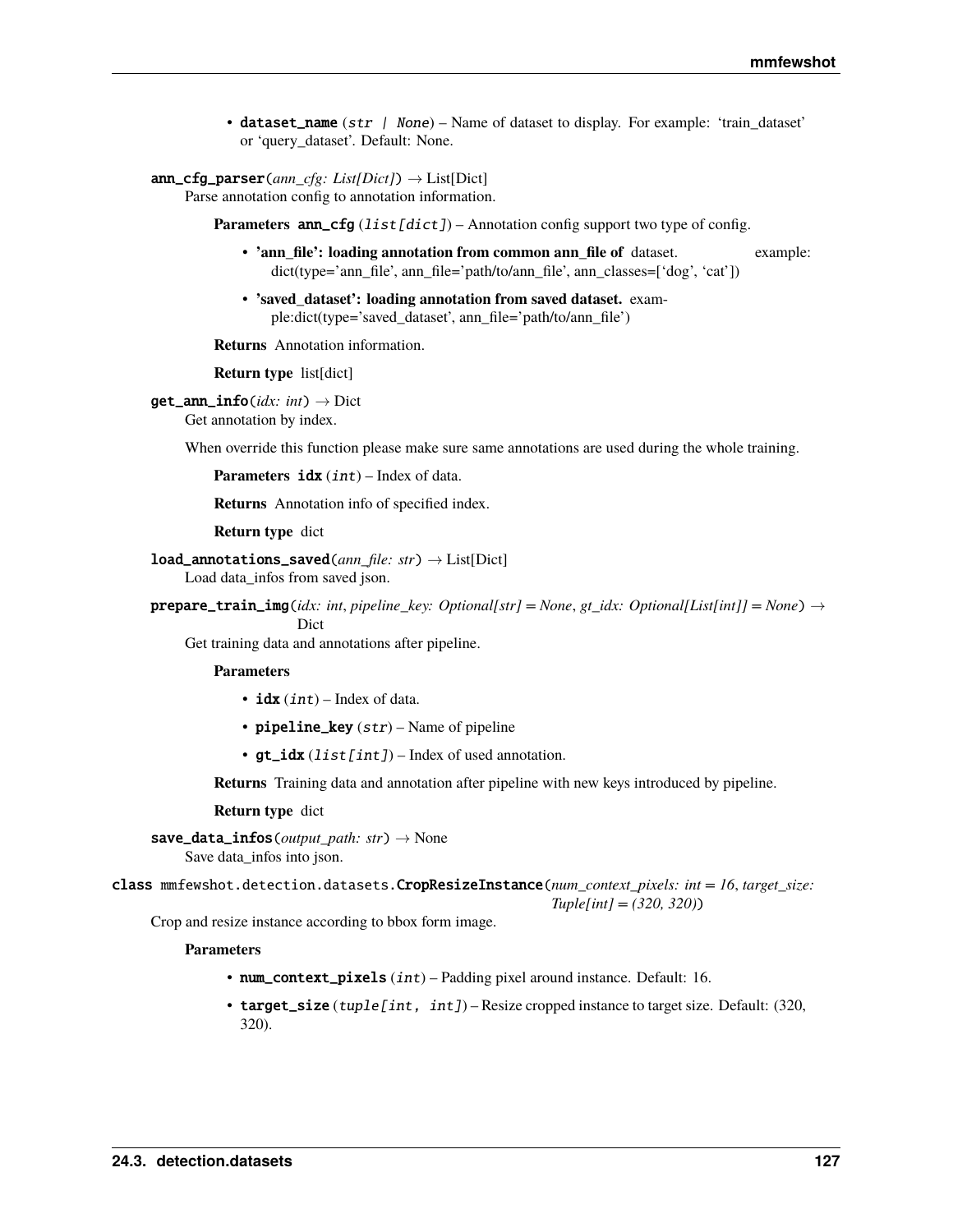• dataset\_name (str | None) – Name of dataset to display. For example: 'train\_dataset' or 'query\_dataset'. Default: None.

# ann\_cfg\_parser(*ann\_cfg: List[Dict]*) → List[Dict]

Parse annotation config to annotation information.

**Parameters ann\_cfg** (list [dict]) – Annotation config support two type of config.

- **'ann\_file': loading annotation from common ann\_file of** dataset. example: dict(type='ann\_file', ann\_file='path/to/ann\_file', ann\_classes=['dog', 'cat'])
- **'saved\_dataset': loading annotation from saved dataset.** example:dict(type='saved\_dataset', ann\_file='path/to/ann\_file')

**Returns** Annotation information.

**Return type** list[dict]

 $get\_ann\_info(idx: int) \rightarrow Dict$ 

Get annotation by index.

When override this function please make sure same annotations are used during the whole training.

**Parameters** idx (int) – Index of data.

**Returns** Annotation info of specified index.

**Return type** dict

load\_annotations\_saved(*ann\_file: str*) → List[Dict] Load data\_infos from saved json.

prepare\_train\_img(*idx: int*, *pipeline\_key: Optional[str] = None*, *gt\_idx: Optional[List[int]] = None*) →

Dict

Get training data and annotations after pipeline.

### **Parameters**

- $idx(int)$  Index of data.
- pipeline\_key  $(str)$  Name of pipeline
- $gt\_idx$  (list [int]) Index of used annotation.

**Returns** Training data and annotation after pipeline with new keys introduced by pipeline.

### **Return type** dict

save\_data\_infos(*output\_path: str*) → None Save data\_infos into json.

class mmfewshot.detection.datasets.CropResizeInstance(*num\_context\_pixels: int = 16*, *target\_size: Tuple[int] = (320, 320)*)

Crop and resize instance according to bbox form image.

- num\_context\_pixels (int) Padding pixel around instance. Default: 16.
- <span id="page-130-0"></span>• target\_size (tuple [int, int]) – Resize cropped instance to target size. Default:  $(320,$ 320).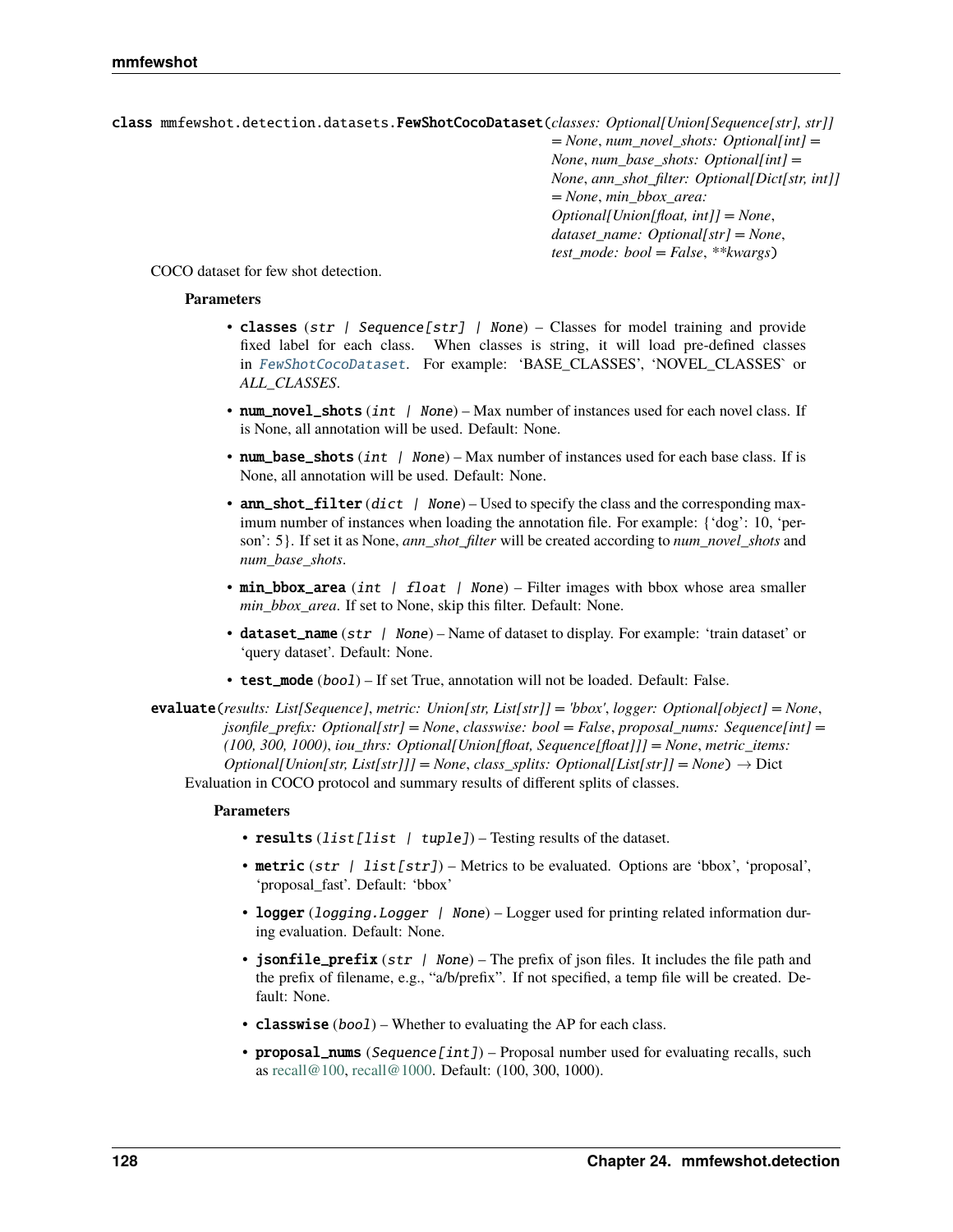class mmfewshot.detection.datasets.FewShotCocoDataset(*classes: Optional[Union[Sequence[str], str]] = None*, *num\_novel\_shots: Optional[int] = None*, *num\_base\_shots: Optional[int] = None*, *ann\_shot\_filter: Optional[Dict[str, int]] = None*, *min\_bbox\_area: Optional[Union[float, int]] = None*, *dataset\_name: Optional[str] = None*, *test\_mode: bool = False*, *\*\*kwargs*)

COCO dataset for few shot detection.

## **Parameters**

- classes (str | Sequence[str] | None) Classes for model training and provide fixed label for each class. When classes is string, it will load pre-defined classes in [FewShotCocoDataset](#page-130-0). For example: 'BASE\_CLASSES', 'NOVEL\_CLASSES` or *ALL\_CLASSES*.
- num\_novel\_shots (int | None) Max number of instances used for each novel class. If is None, all annotation will be used. Default: None.
- num\_base\_shots (int  $\int$  None) Max number of instances used for each base class. If is None, all annotation will be used. Default: None.
- ann\_shot\_filter  $(dict \mid None)$  Used to specify the class and the corresponding maximum number of instances when loading the annotation file. For example: {'dog': 10, 'person': 5}. If set it as None, *ann\_shot\_filter* will be created according to *num\_novel\_shots* and *num\_base\_shots*.
- min\_bbox\_area (int | float | None) Filter images with bbox whose area smaller *min\_bbox\_area*. If set to None, skip this filter. Default: None.
- dataset\_name (str | None) Name of dataset to display. For example: 'train dataset' or 'query dataset'. Default: None.
- test\_mode (boo1) If set True, annotation will not be loaded. Default: False.

evaluate(*results: List[Sequence]*, *metric: Union[str, List[str]] = 'bbox'*, *logger: Optional[object] = None*, *jsonfile\_prefix: Optional[str] = None*, *classwise: bool = False*, *proposal\_nums: Sequence[int] = (100, 300, 1000)*, *iou\_thrs: Optional[Union[float, Sequence[float]]] = None*, *metric\_items: Optional[Union[str, List[str]]] = None, class splits: Optional[List[str]] = None*)  $\rightarrow$  Dict Evaluation in COCO protocol and summary results of different splits of classes.

- results (list [list | tuple]) Testing results of the dataset.
- metric  $(str \mid list[str])$  Metrics to be evaluated. Options are 'bbox', 'proposal', 'proposal\_fast'. Default: 'bbox'
- logger (logging. Logger | None) Logger used for printing related information during evaluation. Default: None.
- jsonfile\_prefix (str | None) The prefix of json files. It includes the file path and the prefix of filename, e.g., "a/b/prefix". If not specified, a temp file will be created. Default: None.
- **classwise** (*bool*) Whether to evaluating the AP for each class.
- proposal\_nums (Sequence[int]) Proposal number used for evaluating recalls, such as [recall@100,](mailto:recall@100) [recall@1000.](mailto:recall@1000) Default: (100, 300, 1000).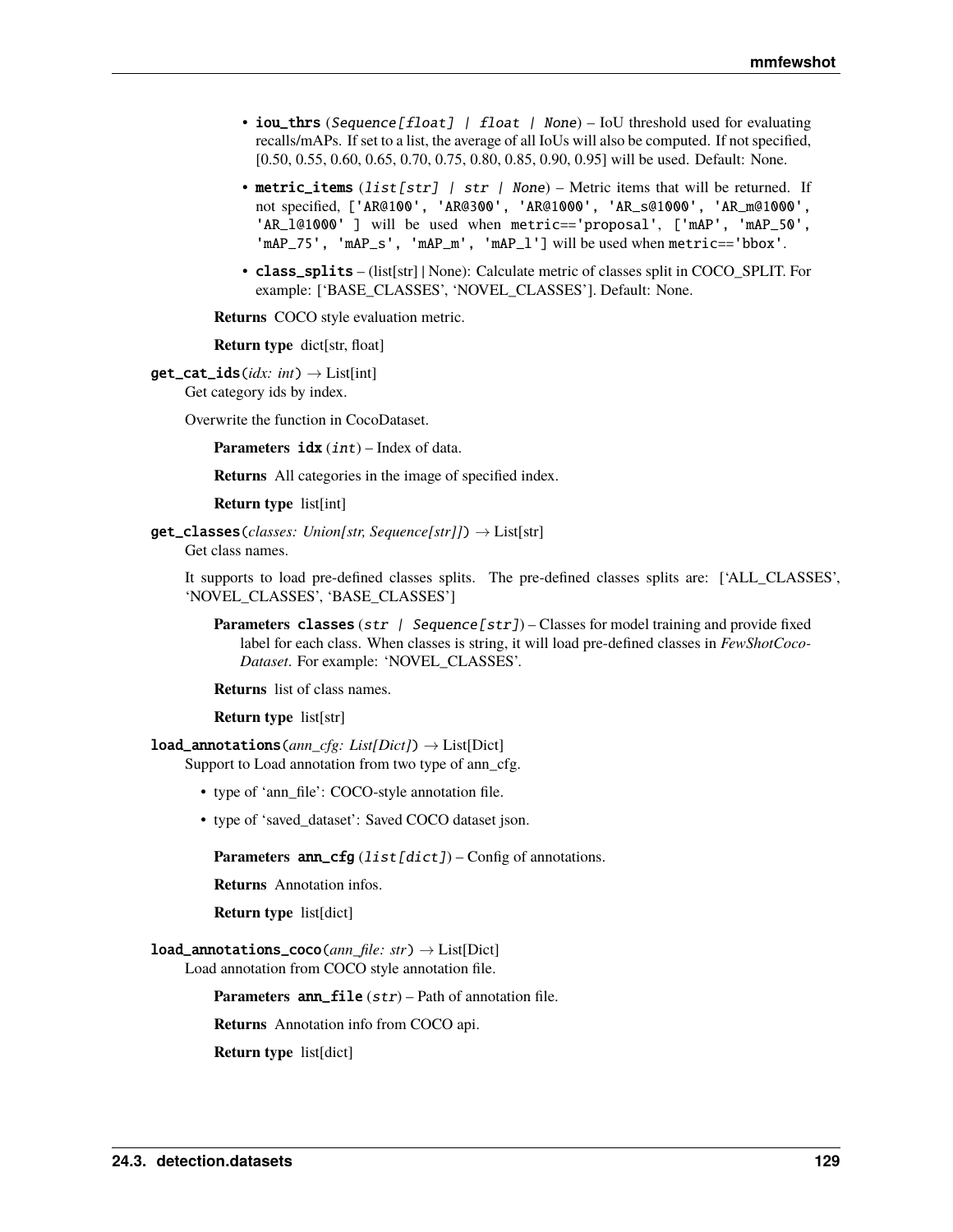- iou\_thrs (Sequence [float] | float | None) IoU threshold used for evaluating recalls/mAPs. If set to a list, the average of all IoUs will also be computed. If not specified, [0.50, 0.55, 0.60, 0.65, 0.70, 0.75, 0.80, 0.85, 0.90, 0.95] will be used. Default: None.
- metric\_items (list[str] | str | None) Metric items that will be returned. If not specified, ['AR@100', 'AR@300', 'AR@1000', 'AR\_s@1000', 'AR\_m@1000', 'AR\_l@1000' ] will be used when metric=='proposal', ['mAP', 'mAP\_50', 'mAP\_75', 'mAP\_s', 'mAP\_m', 'mAP\_l'] will be used when metric=='bbox'.
- class\_splits (list[str] | None): Calculate metric of classes split in COCO\_SPLIT. For example: ['BASE\_CLASSES', 'NOVEL\_CLASSES']. Default: None.

**Returns** COCO style evaluation metric.

**Return type** dict[str, float]

 $get\_cat\_ids(idx: int) \rightarrow List(int)$ Get category ids by index.

Overwrite the function in CocoDataset.

**Parameters idx** (int) – Index of data.

**Returns** All categories in the image of specified index.

**Return type** list[int]

get\_classes(*classes: Union[str, Sequence[str]]*) → List[str] Get class names.

It supports to load pre-defined classes splits. The pre-defined classes splits are: ['ALL\_CLASSES', 'NOVEL\_CLASSES', 'BASE\_CLASSES']

**Parameters classes** (str | Sequence [str]) – Classes for model training and provide fixed label for each class. When classes is string, it will load pre-defined classes in *FewShotCoco-Dataset*. For example: 'NOVEL\_CLASSES'.

**Returns** list of class names.

### **Return type** list[str]

load\_annotations(*ann\_cfg: List[Dict]*) → List[Dict]

- Support to Load annotation from two type of ann\_cfg.
	- type of 'ann file': COCO-style annotation file.
	- type of 'saved\_dataset': Saved COCO dataset json.

**Parameters** ann\_cfg (list [dict]) – Config of annotations.

**Returns** Annotation infos.

**Return type** list[dict]

# load\_annotations\_coco(*ann\_file: str*) → List[Dict]

Load annotation from COCO style annotation file.

**Parameters** ann\_file (str) – Path of annotation file.

**Returns** Annotation info from COCO api.

**Return type** list[dict]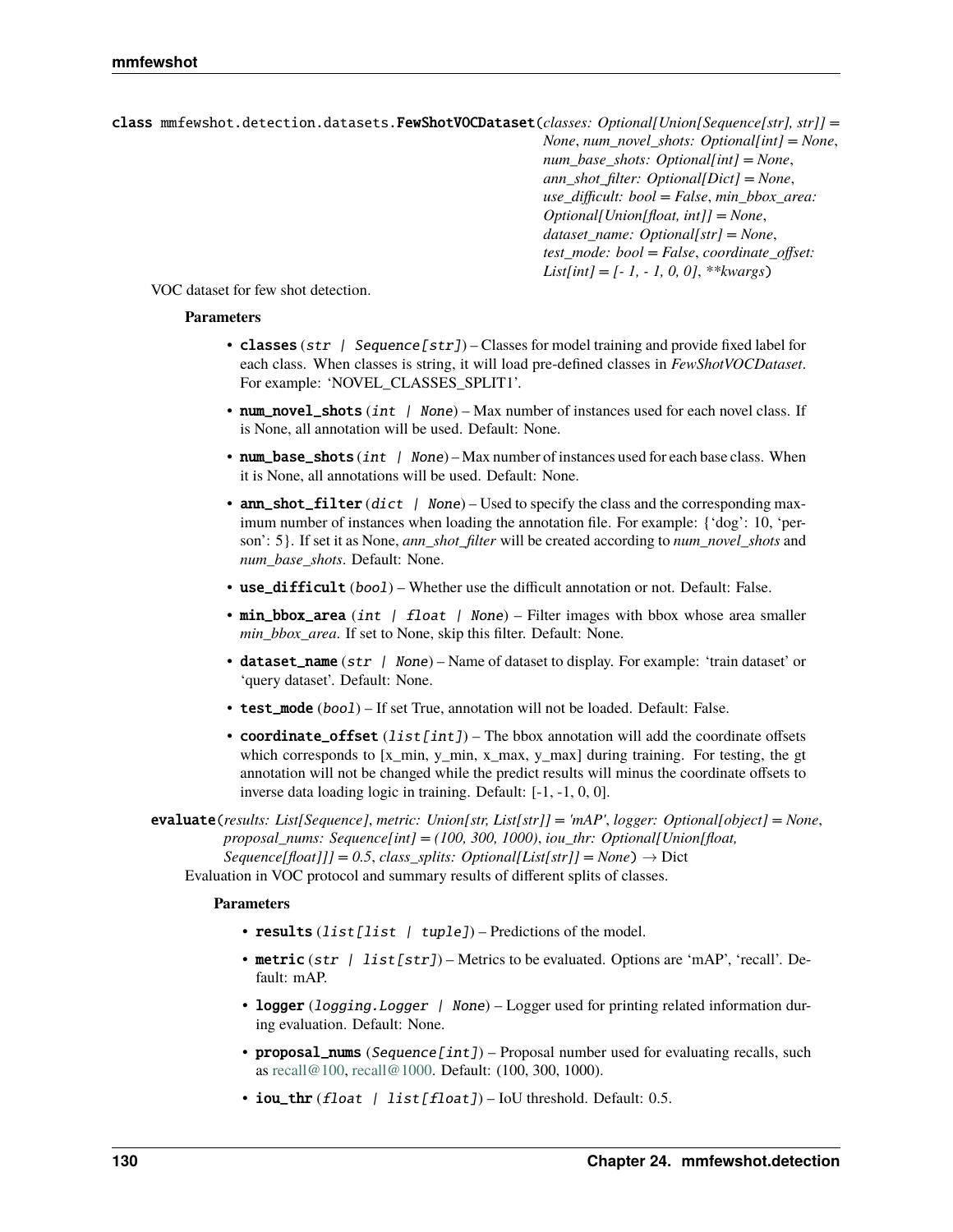class mmfewshot.detection.datasets.FewShotVOCDataset(*classes: Optional[Union[Sequence[str], str]] = None*, *num\_novel\_shots: Optional[int] = None*, *num\_base\_shots: Optional[int] = None*, *ann\_shot\_filter: Optional[Dict] = None*, *use\_difficult: bool = False*, *min\_bbox\_area: Optional[Union[float, int]] = None*, *dataset\_name: Optional[str] = None*, *test\_mode: bool = False*, *coordinate\_offset: List[int] = [- 1, - 1, 0, 0]*, *\*\*kwargs*)

VOC dataset for few shot detection.

# **Parameters**

- classes (str | Sequence [str]) Classes for model training and provide fixed label for each class. When classes is string, it will load pre-defined classes in *FewShotVOCDataset*. For example: 'NOVEL\_CLASSES\_SPLIT1'.
- num\_novel\_shots  $(int / None) Max number of instances used for each novel class. If$ is None, all annotation will be used. Default: None.
- num\_base\_shots (int  $\int$  None) Max number of instances used for each base class. When it is None, all annotations will be used. Default: None.
- ann\_shot\_filter  $(dict \mid None)$  Used to specify the class and the corresponding maximum number of instances when loading the annotation file. For example: {'dog': 10, 'person': 5}. If set it as None, *ann\_shot\_filter* will be created according to *num\_novel\_shots* and *num\_base\_shots*. Default: None.
- use\_difficult (bool) Whether use the difficult annotation or not. Default: False.
- min\_bbox\_area (int | float | None) Filter images with bbox whose area smaller *min\_bbox\_area*. If set to None, skip this filter. Default: None.
- dataset\_name (str | None) Name of dataset to display. For example: 'train dataset' or 'query dataset'. Default: None.
- test\_mode  $(boo1)$  If set True, annotation will not be loaded. Default: False.
- coordinate\_offset  $(list[int])$  The bbox annotation will add the coordinate offsets which corresponds to [x\_min, y\_min, x\_max, y\_max] during training. For testing, the gt annotation will not be changed while the predict results will minus the coordinate offsets to inverse data loading logic in training. Default: [-1, -1, 0, 0].

evaluate(*results: List[Sequence]*, *metric: Union[str, List[str]] = 'mAP'*, *logger: Optional[object] = None*, *proposal\_nums: Sequence[int] = (100, 300, 1000)*, *iou\_thr: Optional[Union[float,*  $Sequence[float]] = 0.5$ , *class splits: Optional[List[str]] = None*)  $\rightarrow$  Dict Evaluation in VOC protocol and summary results of different splits of classes.

- results (list [list | tuple]) Predictions of the model.
- metric (str | list [str]) Metrics to be evaluated. Options are 'mAP', 'recall'. Default: mAP.
- logger (logging. Logger | None) Logger used for printing related information during evaluation. Default: None.
- proposal\_nums (Sequence[int]) Proposal number used for evaluating recalls, such as [recall@100,](mailto:recall@100) [recall@1000.](mailto:recall@1000) Default: (100, 300, 1000).
- iou\_thr  $(f$ loat | list  $[f$ loat]) IoU threshold. Default: 0.5.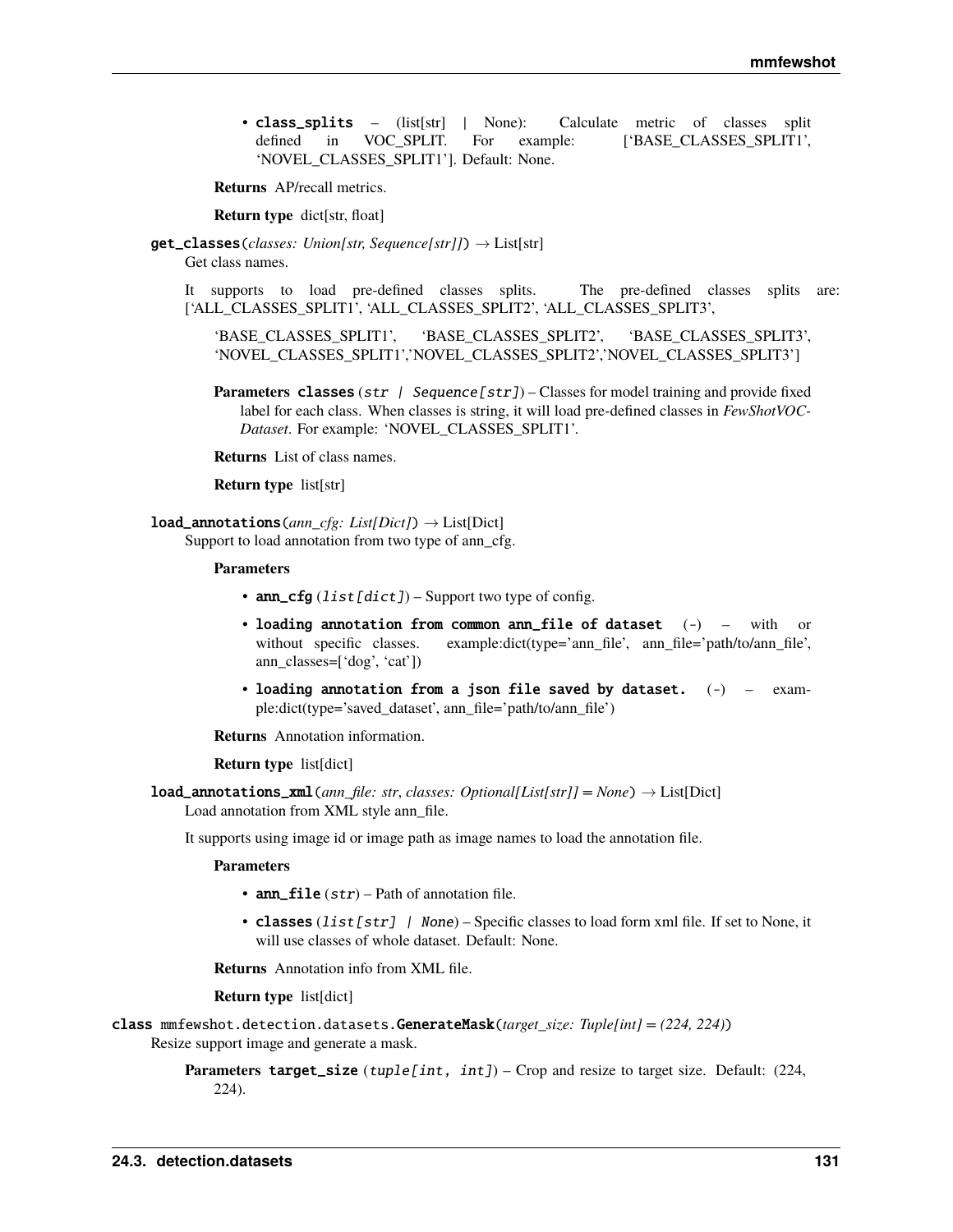• class\_splits – (list[str] | None): Calculate metric of classes split defined in VOC SPLIT. For example: ['BASE\_CLASSES\_SPLIT1', 'NOVEL\_CLASSES\_SPLIT1']. Default: None.

**Returns** AP/recall metrics.

**Return type** dict[str, float]

get\_classes(*classes: Union[str, Sequence[str]]*) → List[str] Get class names.

It supports to load pre-defined classes splits. The pre-defined classes splits are: ['ALL\_CLASSES\_SPLIT1', 'ALL\_CLASSES\_SPLIT2', 'ALL\_CLASSES\_SPLIT3',

'BASE\_CLASSES\_SPLIT1', 'BASE\_CLASSES\_SPLIT2', 'BASE\_CLASSES\_SPLIT3', 'NOVEL\_CLASSES\_SPLIT1','NOVEL\_CLASSES\_SPLIT2','NOVEL\_CLASSES\_SPLIT3']

- **Parameters** classes (str | Sequence [str]) Classes for model training and provide fixed label for each class. When classes is string, it will load pre-defined classes in *FewShotVOC-Dataset*. For example: 'NOVEL\_CLASSES\_SPLIT1'.
- **Returns** List of class names.

**Return type** list[str]

load\_annotations(*ann\_cfg: List[Dict]*) → List[Dict]

Support to load annotation from two type of ann cfg.

#### **Parameters**

- ann\_cfg  $(list[dict]) Support$  two type of config.
- loading annotation from common ann\_file of dataset (-) with or without specific classes. example:dict(type='ann\_file', ann\_file='path/to/ann\_file', ann\_classes=['dog', 'cat'])
- loading annotation from a json file saved by dataset.  $(-)$   $exam$ ple:dict(type='saved\_dataset', ann\_file='path/to/ann\_file')

**Returns** Annotation information.

### **Return type** list[dict]

**load\_annotations\_xml**(*ann\_file: str, classes: Optional[List[str]] = None*)  $\rightarrow$  List[Dict] Load annotation from XML style ann\_file.

It supports using image id or image path as image names to load the annotation file.

#### **Parameters**

- ann\_file  $(str)$  Path of annotation file.
- classes (list [str] / None) Specific classes to load form xml file. If set to None, it will use classes of whole dataset. Default: None.

**Returns** Annotation info from XML file.

#### **Return type** list[dict]

class mmfewshot.detection.datasets.GenerateMask(*target\_size: Tuple[int] = (224, 224)*)

Resize support image and generate a mask.

**Parameters target\_size** (tuple[int, int]) – Crop and resize to target size. Default: (224, 224).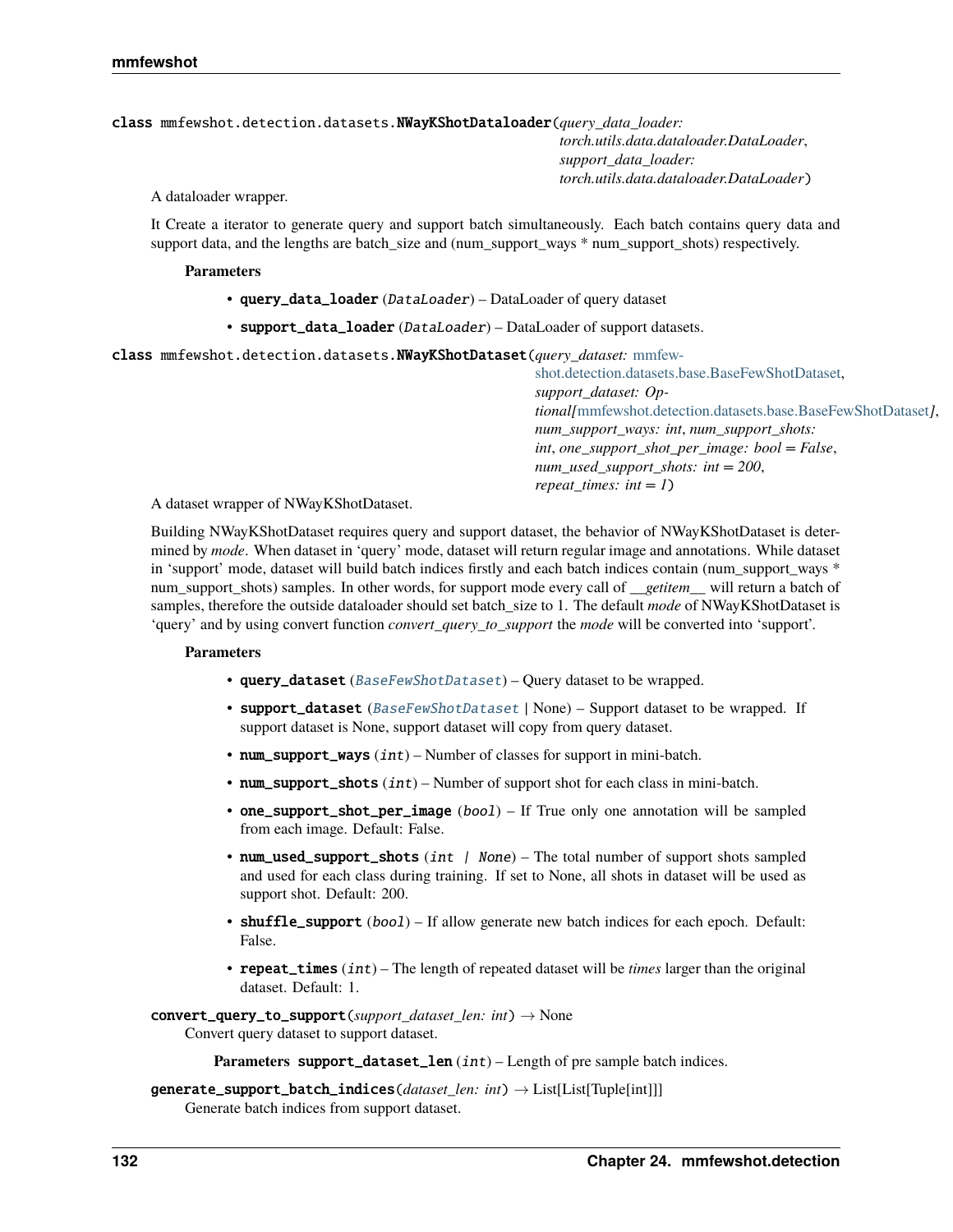# class mmfewshot.detection.datasets.NWayKShotDataloader(*query\_data\_loader:*

*torch.utils.data.dataloader.DataLoader*, *support\_data\_loader: torch.utils.data.dataloader.DataLoader*)

A dataloader wrapper.

It Create a iterator to generate query and support batch simultaneously. Each batch contains query data and support data, and the lengths are batch\_size and (num\_support\_ways \* num\_support\_shots) respectively.

### **Parameters**

- query\_data\_loader (DataLoader) DataLoader of query dataset
- support\_data\_loader  $(Dataloader) DataLoader$  of support datasets.

class mmfewshot.detection.datasets.NWayKShotDataset(*query\_dataset:* [mmfew-](#page-128-0)

[shot.detection.datasets.base.BaseFewShotDataset,](#page-128-0) *support\_dataset: Optional[*[mmfewshot.detection.datasets.base.BaseFewShotDataset](#page-128-0)*]*, *num\_support\_ways: int*, *num\_support\_shots: int*, *one\_support\_shot\_per\_image: bool = False*, *num\_used\_support\_shots: int = 200*, *repeat\_times: int = 1*)

A dataset wrapper of NWayKShotDataset.

Building NWayKShotDataset requires query and support dataset, the behavior of NWayKShotDataset is determined by *mode*. When dataset in 'query' mode, dataset will return regular image and annotations. While dataset in 'support' mode, dataset will build batch indices firstly and each batch indices contain (num\_support\_ways \* num\_support\_shots) samples. In other words, for support mode every call of *\_\_getitem\_\_* will return a batch of samples, therefore the outside dataloader should set batch\_size to 1. The default *mode* of NWayKShotDataset is 'query' and by using convert function *convert\_query\_to\_support* the *mode* will be converted into 'support'.

## **Parameters**

- query\_dataset ([BaseFewShotDataset](#page-128-0)) Query dataset to be wrapped.
- support\_dataset ([BaseFewShotDataset](#page-128-0) | None) Support dataset to be wrapped. If support dataset is None, support dataset will copy from query dataset.
- num\_support\_ways  $(int)$  Number of classes for support in mini-batch.
- num\_support\_shots  $(int)$  Number of support shot for each class in mini-batch.
- one\_support\_shot\_per\_image (bool) If True only one annotation will be sampled from each image. Default: False.
- num\_used\_support\_shots (int | None) The total number of support shots sampled and used for each class during training. If set to None, all shots in dataset will be used as support shot. Default: 200.
- shuffle\_support (bool) If allow generate new batch indices for each epoch. Default: False.
- repeat\_times (int) The length of repeated dataset will be *times* larger than the original dataset. Default: 1.

convert\_query\_to\_support(*support\_dataset\_len: int*) → None

Convert query dataset to support dataset.

**Parameters** support\_dataset\_len (int) – Length of pre sample batch indices.

```
generate_support_batch_indices(dataset_len: int) → List[List[Tuple[int]]]
  Generate batch indices from support dataset.
```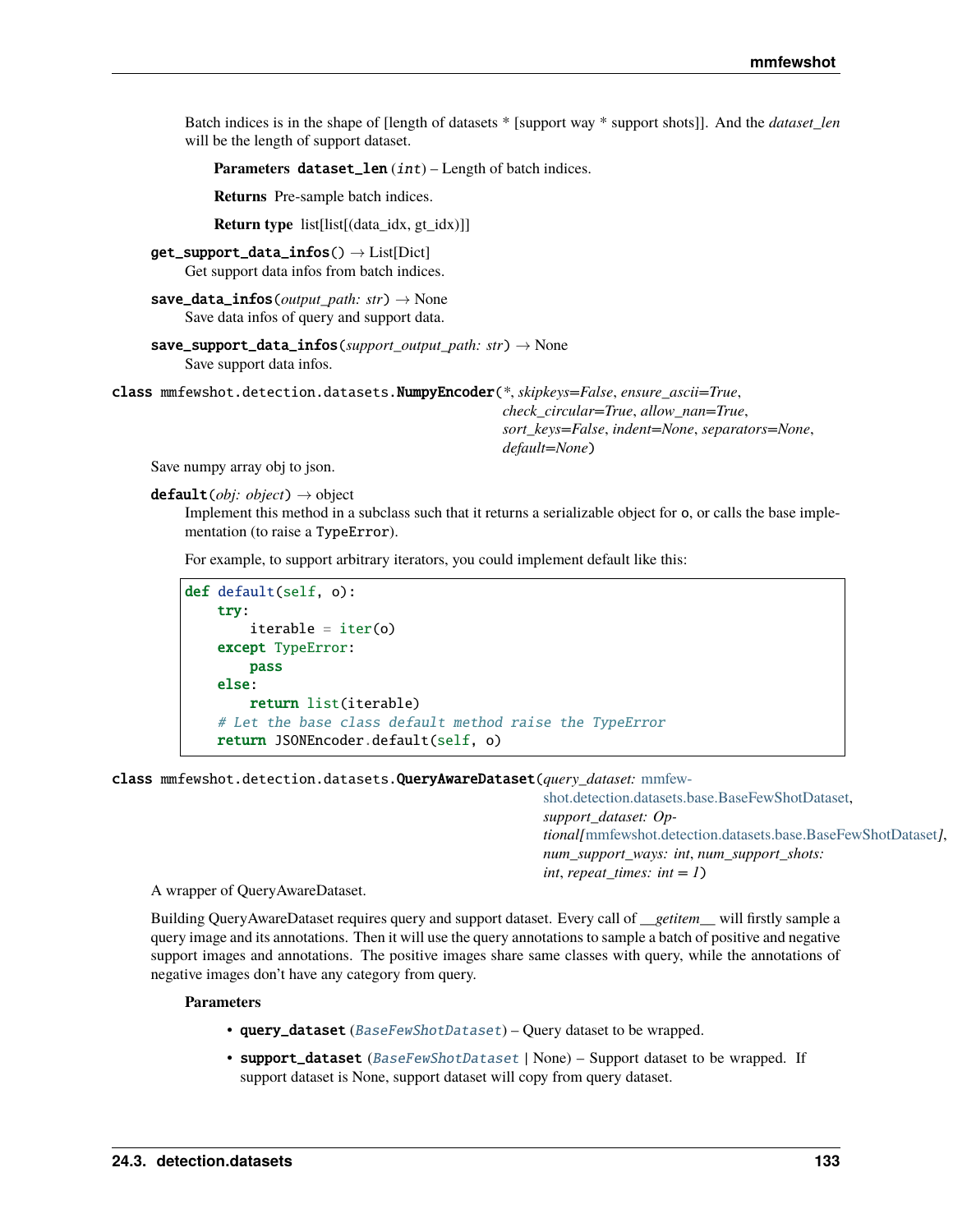Batch indices is in the shape of [length of datasets \* [support way \* support shots]]. And the *dataset len* will be the length of support dataset.

Parameters dataset\_len (int) – Length of batch indices.

**Returns** Pre-sample batch indices.

**Return type** list[list[(data idx, gt idx)]]

 $get\_support\_data\_infos() \rightarrow List[Dict]$ Get support data infos from batch indices.

```
save_data_infos(output_path: str) → None
  Save data infos of query and support data.
```

```
save_support_data_infos(support_output_path: str) → None
  Save support data infos.
```
class mmfewshot.detection.datasets.NumpyEncoder(*\**, *skipkeys=False*, *ensure\_ascii=True*,

*check\_circular=True*, *allow\_nan=True*, *sort\_keys=False*, *indent=None*, *separators=None*, *default=None*)

Save numpy array obj to json.

default(*obj: object*) → object

Implement this method in a subclass such that it returns a serializable object for o, or calls the base implementation (to raise a TypeError).

For example, to support arbitrary iterators, you could implement default like this:

```
def default(self, o):
try:
     iterable = iter(o)except TypeError:
    pass
else:
     return list(iterable)
# Let the base class default method raise the TypeError
return JSONEncoder.default(self, o)
```
class mmfewshot.detection.datasets.QueryAwareDataset(*query\_dataset:* [mmfew-](#page-128-0)

[shot.detection.datasets.base.BaseFewShotDataset,](#page-128-0) *support\_dataset: Optional[*[mmfewshot.detection.datasets.base.BaseFewShotDataset](#page-128-0)*]*, *num\_support\_ways: int*, *num\_support\_shots: int*, *repeat\_times: int* =  $1$ )

A wrapper of QueryAwareDataset.

Building QueryAwareDataset requires query and support dataset. Every call of *\_\_getitem\_\_* will firstly sample a query image and its annotations. Then it will use the query annotations to sample a batch of positive and negative support images and annotations. The positive images share same classes with query, while the annotations of negative images don't have any category from query.

- query\_dataset ( $BaseFewShortDatasets) Query$  dataset to be wrapped.
- support\_dataset ([BaseFewShotDataset](#page-128-0) | None) Support dataset to be wrapped. If support dataset is None, support dataset will copy from query dataset.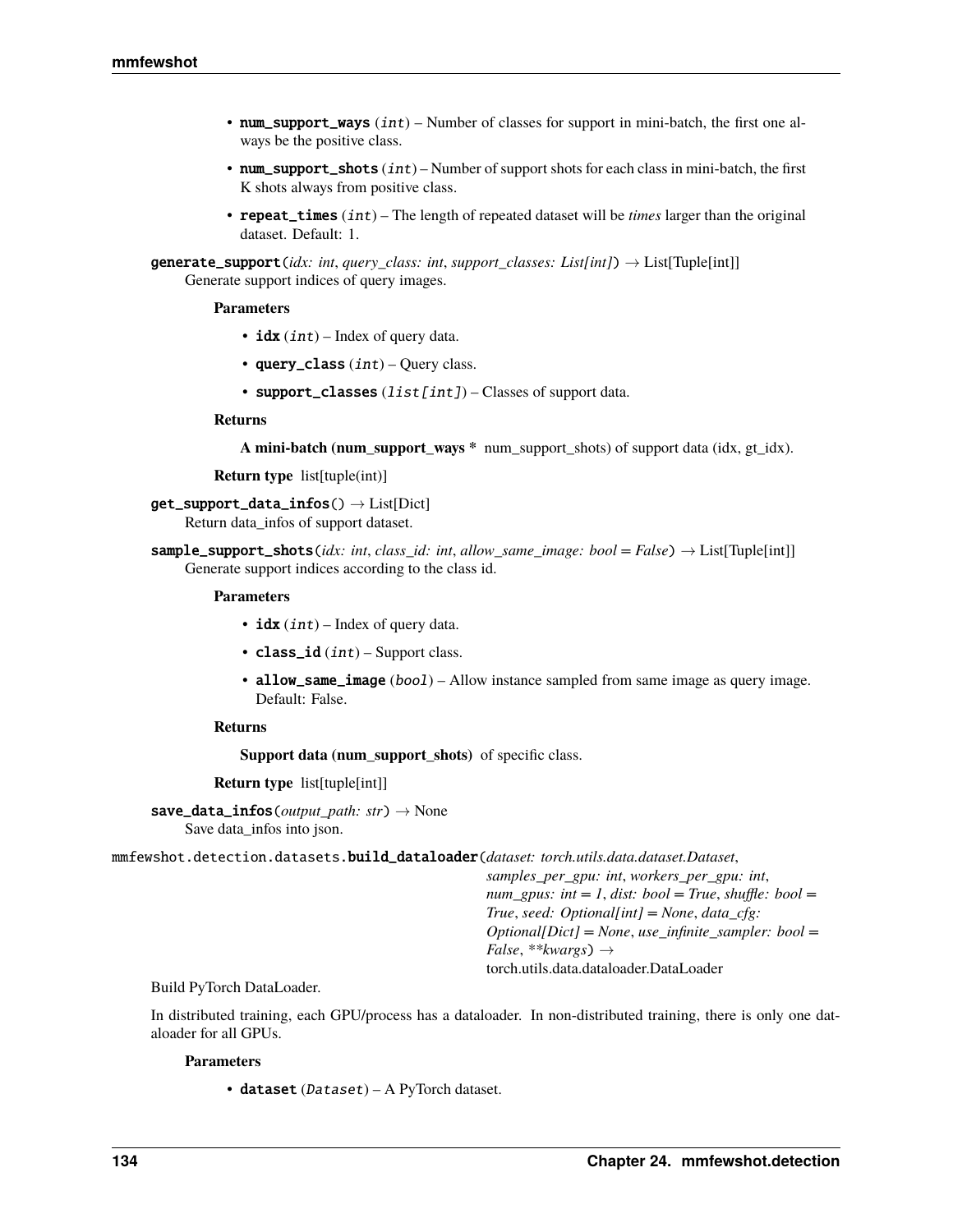- num\_support\_ways  $(int)$  Number of classes for support in mini-batch, the first one always be the positive class.
- num\_support\_shots  $(int)$  Number of support shots for each class in mini-batch, the first K shots always from positive class.
- repeat\_times (int) The length of repeated dataset will be *times* larger than the original dataset. Default: 1.

generate\_support(*idx: int*, *query\_class: int*, *support\_classes: List[int]*) → List[Tuple[int]] Generate support indices of query images.

# **Parameters**

- $idx(int)$  Index of query data.
- query\_class  $(int)$  Query class.
- support\_classes  $(list[int]) Classes$  of support data.

### **Returns**

**A mini-batch (num\_support\_ways \*** num\_support\_shots) of support data (idx, gt\_idx).

**Return type** list[tuple(int)]

# $get\_support\_data\_infos() \rightarrow List[Dict]$

Return data\_infos of support dataset.

sample\_support\_shots(*idx: int, class id: int, allow same image: bool = False*)  $\rightarrow$  List[Tuple[int]] Generate support indices according to the class id.

# **Parameters**

- idx  $(int)$  Index of query data.
- $class_id(int) Support class.$
- allow\_same\_image (bool) Allow instance sampled from same image as query image. Default: False.

## **Returns**

**Support data (num\_support\_shots)** of specific class.

**Return type** list[tuple[int]]

save\_data\_infos(*output\_path: str*) → None Save data\_infos into json.

mmfewshot.detection.datasets.build\_dataloader(*dataset: torch.utils.data.dataset.Dataset*,

*samples\_per\_gpu: int*, *workers\_per\_gpu: int*, *num\_gpus: int = 1, dist: bool = True, shuffle: bool = True*, *seed: Optional[int] = None*, *data\_cfg: Optional[Dict] = None*, *use\_infinite\_sampler: bool = False*, *\*\*kwargs*) → torch.utils.data.dataloader.DataLoader

## Build PyTorch DataLoader.

In distributed training, each GPU/process has a dataloader. In non-distributed training, there is only one dataloader for all GPUs.

# **Parameters**

• dataset (Dataset) – A PyTorch dataset.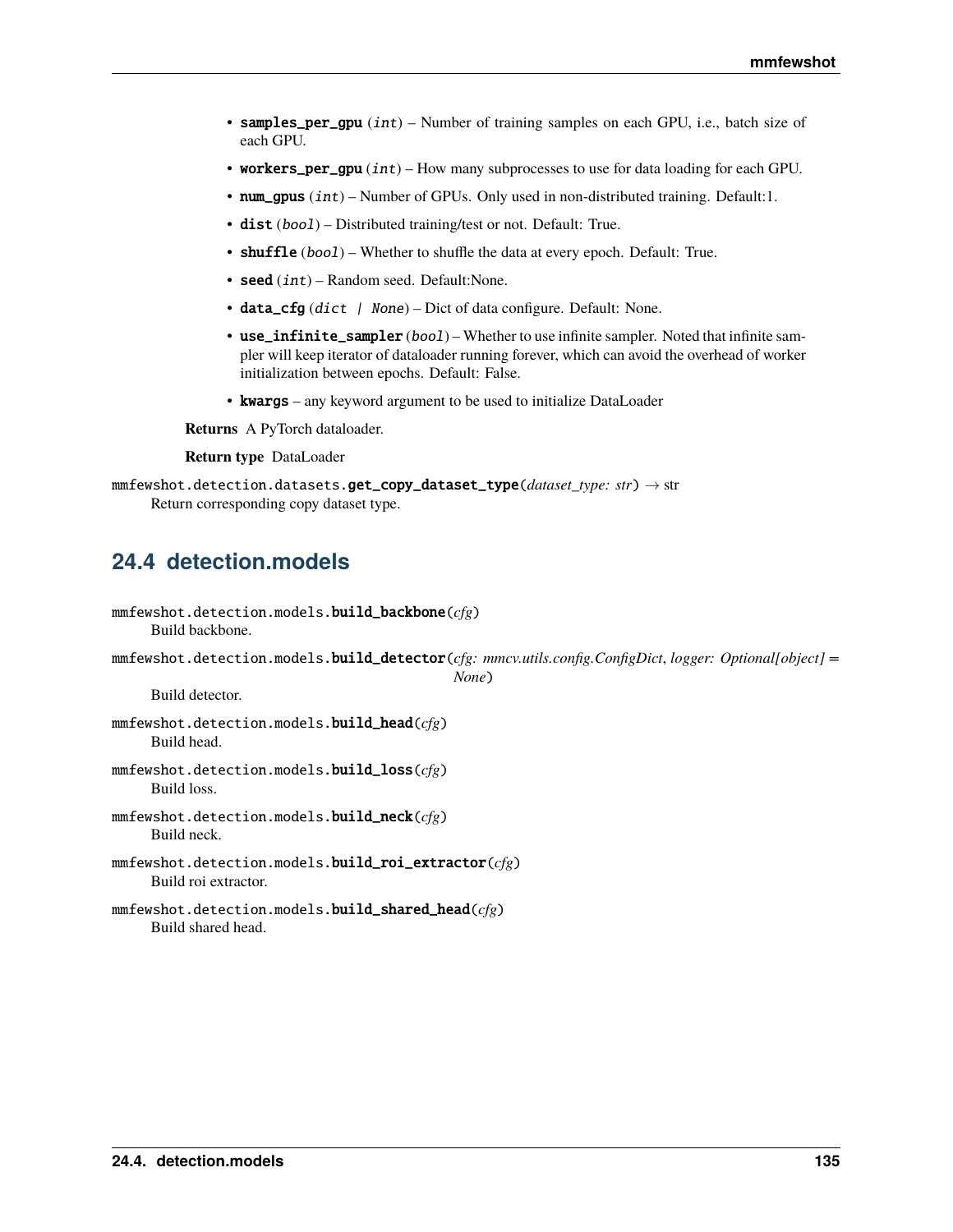- samples\_per\_gpu (int) Number of training samples on each GPU, i.e., batch size of each GPU.
- workers\_per\_gpu  $(int)$  How many subprocesses to use for data loading for each GPU.
- num\_gpus (int) Number of GPUs. Only used in non-distributed training. Default:1.
- dist (bool) Distributed training/test or not. Default: True.
- shuffle (bool) Whether to shuffle the data at every epoch. Default: True.
- seed  $(int)$  Random seed. Default: None.
- data\_cfg (dict | None) Dict of data configure. Default: None.
- use\_infinite\_sampler (bool) Whether to use infinite sampler. Noted that infinite sampler will keep iterator of dataloader running forever, which can avoid the overhead of worker initialization between epochs. Default: False.
- kwargs any keyword argument to be used to initialize DataLoader

**Returns** A PyTorch dataloader.

**Return type** DataLoader

```
mmfewshot.detection.datasets.get_copy_dataset_type(dataset_type: str) → str
  Return corresponding copy dataset type.
```
# **24.4 detection.models**

| $mmfewshot.detection.models.build_backbone(cfg)$<br>Build backbone.                                                |
|--------------------------------------------------------------------------------------------------------------------|
| $m$ mfewshot.detection.models.build_detector(cfg: mmcv.utils.config.ConfigDict,logger: Optional[object] =<br>None) |
| Build detector.                                                                                                    |
| $mmfewshot. detection. models. build\_head(cfg)$<br>Build head.                                                    |
| $mmfewshot. detection. models. build_loss(cfg)$<br>Build loss.                                                     |
| $mmfewshot. detection. models. build\_neck(cfg)$<br>Build neck.                                                    |
| $mmfew shot.detection.models.build\_roi\_extractor(cfg)$<br>Build roi extractor.                                   |
| $mmfewshot. detection. models. build\_shared\_head(\textit{cfg})$<br>Build shared head.                            |
|                                                                                                                    |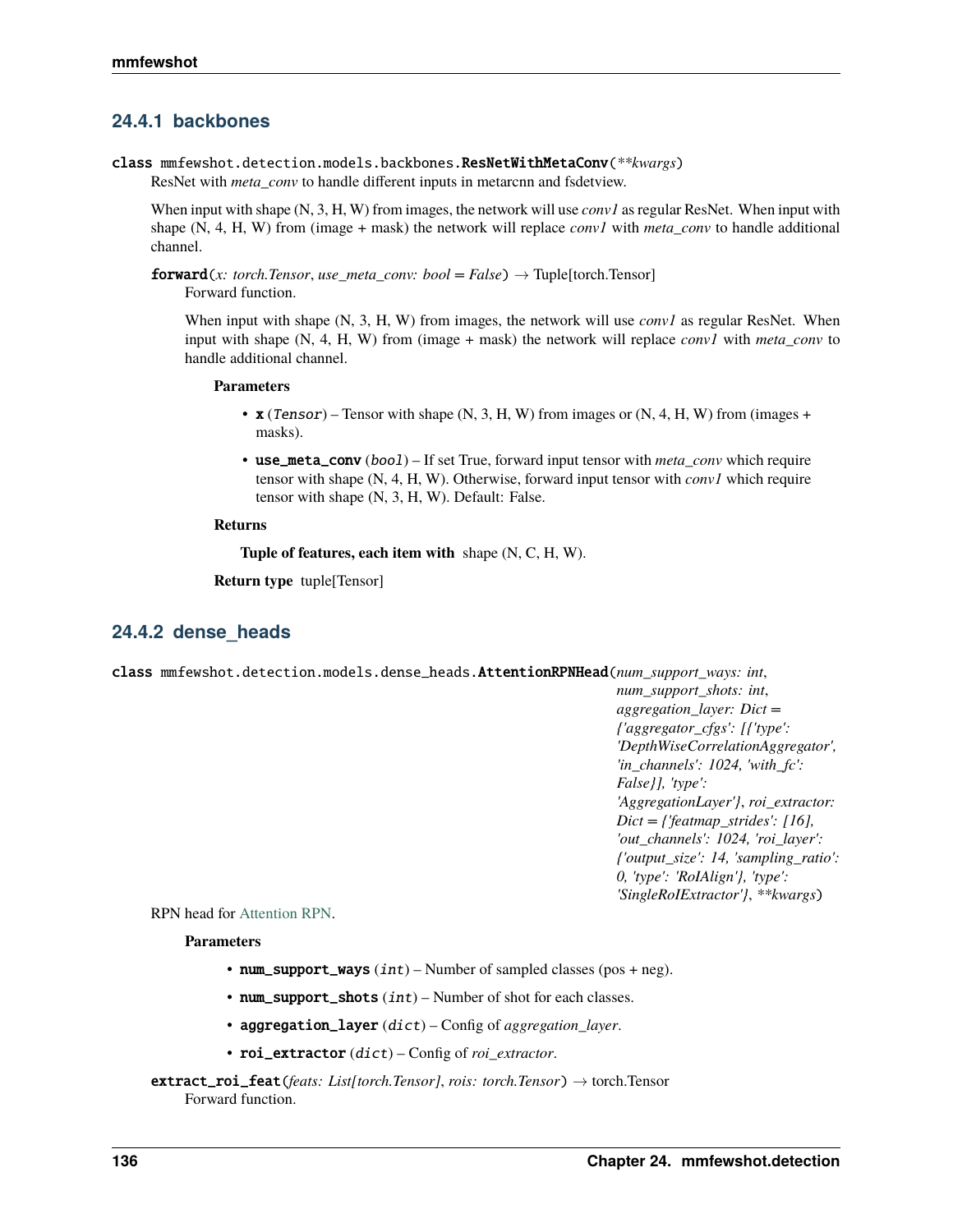# **24.4.1 backbones**

class mmfewshot.detection.models.backbones.ResNetWithMetaConv(*\*\*kwargs*)

ResNet with *meta\_conv* to handle different inputs in metarcnn and fsdetview.

When input with shape (N, 3, H, W) from images, the network will use *conv1* as regular ResNet. When input with shape (N, 4, H, W) from (image + mask) the network will replace *conv1* with *meta\_conv* to handle additional channel.

forward(*x: torch.Tensor*, *use\_meta\_conv: bool = False*) → Tuple[torch.Tensor] Forward function.

When input with shape (N, 3, H, W) from images, the network will use *conv1* as regular ResNet. When input with shape (N, 4, H, W) from (image + mask) the network will replace *conv1* with *meta\_conv* to handle additional channel.

## **Parameters**

- $\mathbf{x}$  (Tensor) Tensor with shape (N, 3, H, W) from images or (N, 4, H, W) from (images + masks).
- use\_meta\_conv (bool) If set True, forward input tensor with *meta\_conv* which require tensor with shape (N, 4, H, W). Otherwise, forward input tensor with *conv1* which require tensor with shape (N, 3, H, W). Default: False.

## **Returns**

**Tuple of features, each item with** shape (N, C, H, W).

**Return type** tuple[Tensor]

# **24.4.2 dense\_heads**

class mmfewshot.detection.models.dense\_heads.AttentionRPNHead(*num\_support\_ways: int*, *num\_support\_shots: int*, *aggregation\_layer: Dict = {'aggregator\_cfgs': [{'type': 'DepthWiseCorrelationAggregator', 'in\_channels': 1024, 'with\_fc': False}], 'type': 'AggregationLayer'}*, *roi\_extractor: Dict = {'featmap\_strides': [16], 'out\_channels': 1024, 'roi\_layer': {'output\_size': 14, 'sampling\_ratio': 0, 'type': 'RoIAlign'}, 'type':*

RPN head for [Attention RPN.](https://arxiv.org/abs/1908.01998)

## **Parameters**

- num\_support\_ways  $(int)$  Number of sampled classes (pos + neg).
- num\_support\_shots  $(int)$  Number of shot for each classes.
- aggregation\_layer (dict) Config of *aggregation\_layer*.
- roi\_extractor (dict) Config of *roi\_extractor*.
- extract\_roi\_feat(*feats: List[torch.Tensor]*, *rois: torch.Tensor*) → torch.Tensor Forward function.

*'SingleRoIExtractor'}*, *\*\*kwargs*)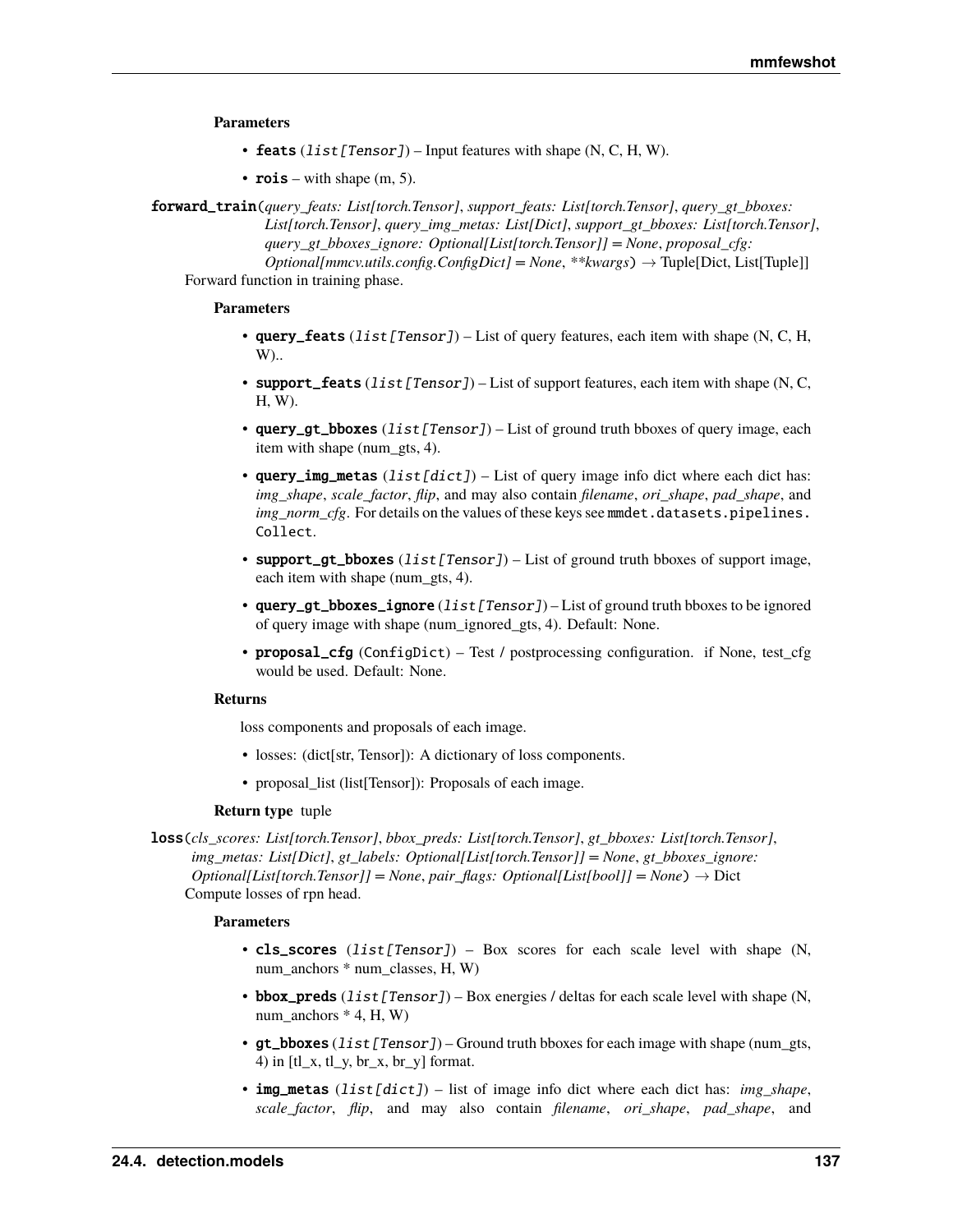### **Parameters**

- feats  $(list[Tensor])$  Input features with shape  $(N, C, H, W)$ .
- rois with shape  $(m, 5)$ .
- forward\_train(*query\_feats: List[torch.Tensor]*, *support\_feats: List[torch.Tensor]*, *query\_gt\_bboxes: List[torch.Tensor]*, *query\_img\_metas: List[Dict]*, *support\_gt\_bboxes: List[torch.Tensor]*, *query\_gt\_bboxes\_ignore: Optional[List[torch.Tensor]] = None*, *proposal\_cfg: Optional[mmcv.utils.config.ConfigDict] = None*, *\*\*kwargs*) → Tuple[Dict, List[Tuple]]

Forward function in training phase.

# **Parameters**

- query\_feats  $(list[Tensor]) List$  of query features, each item with shape (N, C, H, W)..
- support\_feats  $(llist[Tensor]) List$  of support features, each item with shape (N, C, H, W).
- query\_gt\_bboxes (list [Tensor]) List of ground truth bboxes of query image, each item with shape (num\_gts, 4).
- query\_img\_metas  $(list[dict]) List$  of query image info dict where each dict has: *img\_shape*, *scale\_factor*, *flip*, and may also contain *filename*, *ori\_shape*, *pad\_shape*, and *img\_norm\_cfg*. For details on the values of these keys see mmdet.datasets.pipelines. Collect.
- support\_gt\_bboxes  $(list[Tensor]) List$  of ground truth bboxes of support image, each item with shape (num\_gts, 4).
- query\_gt\_bboxes\_ignore (list [Tensor]) List of ground truth bboxes to be ignored of query image with shape (num\_ignored\_gts, 4). Default: None.
- proposal\_cfg (ConfigDict) Test / postprocessing configuration. if None, test\_cfg would be used. Default: None.

## **Returns**

loss components and proposals of each image.

- losses: (dict[str, Tensor]): A dictionary of loss components.
- proposal\_list (list[Tensor]): Proposals of each image.

### **Return type** tuple

loss(*cls\_scores: List[torch.Tensor]*, *bbox\_preds: List[torch.Tensor]*, *gt\_bboxes: List[torch.Tensor]*, *img\_metas: List[Dict]*, *gt\_labels: Optional[List[torch.Tensor]] = None*, *gt\_bboxes\_ignore: Optional[List[torch.Tensor]] = None*, *pair\_flags: Optional[List[bool]] = None*) → Dict Compute losses of rpn head.

- cls\_scores (list[Tensor]) Box scores for each scale level with shape (N, num\_anchors \* num\_classes, H, W)
- bbox\_preds  $(listr[Tensor]) Box energies / deltas for each scale level with shape (N,$ num anchors  $*$  4, H, W)
- qt\_bboxes (list [Tensor]) Ground truth bboxes for each image with shape (num\_gts, 4) in  $\left[tL_x, tL_y, br_x, br_y\right]$  format.
- img\_metas (list[dict]) list of image info dict where each dict has: *img\_shape*, *scale\_factor*, *flip*, and may also contain *filename*, *ori\_shape*, *pad\_shape*, and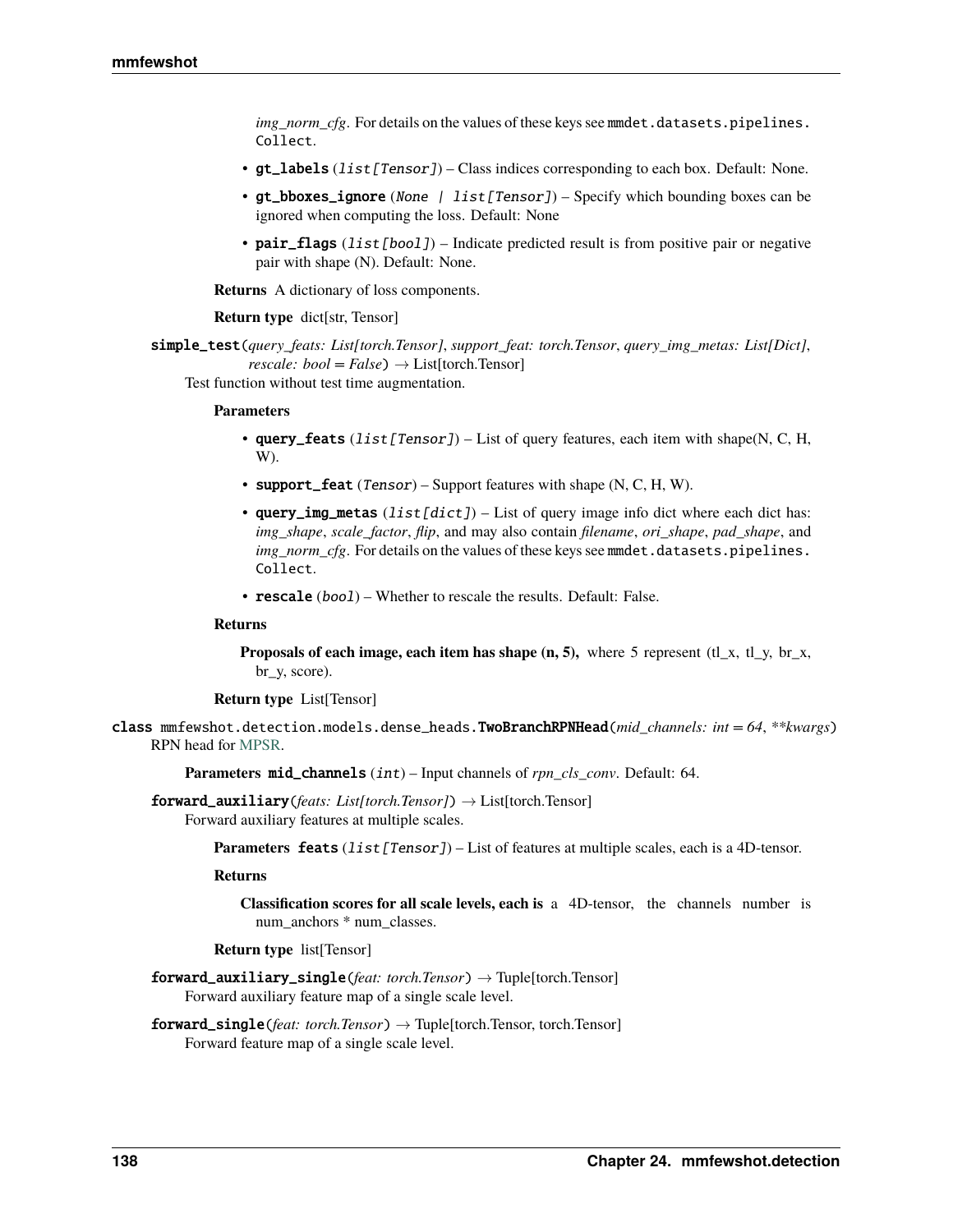*img\_norm\_cfg*. For details on the values of these keys see mmdet.datasets.pipelines. Collect.

- $gt$ <sub>1</sub> abels (*list* [Tensor]) Class indices corresponding to each box. Default: None.
- gt\_bboxes\_ignore (None | list[Tensor]) Specify which bounding boxes can be ignored when computing the loss. Default: None
- pair\_flags (list [bool]) Indicate predicted result is from positive pair or negative pair with shape (N). Default: None.

**Returns** A dictionary of loss components.

### **Return type** dict[str, Tensor]

simple\_test(*query\_feats: List[torch.Tensor]*, *support\_feat: torch.Tensor*, *query\_img\_metas: List[Dict]*, *rescale: bool* = *False*)  $\rightarrow$  List[torch.Tensor]

Test function without test time augmentation.

### **Parameters**

- query\_feats  $(list[Tensor]) List$  of query features, each item with shape(N, C, H, W).
- support\_feat  $(Tensor)$  Support features with shape  $(N, C, H, W)$ .
- query\_img\_metas  $(list[dict]) List$  of query image info dict where each dict has: *img\_shape*, *scale\_factor*, *flip*, and may also contain *filename*, *ori\_shape*, *pad\_shape*, and *img\_norm\_cfg*. For details on the values of these keys see mmdet.datasets.pipelines. Collect.
- rescale (bool) Whether to rescale the results. Default: False.

### **Returns**

**Proposals of each image, each item has shape**  $(n, 5)$ **,** where 5 represent  $(t|_x, t|_y, b_x, t)$ br\_y, score).

**Return type** List[Tensor]

class mmfewshot.detection.models.dense\_heads.TwoBranchRPNHead(*mid\_channels: int = 64*, *\*\*kwargs*) RPN head for [MPSR.](https://arxiv.org/abs/2007.09384)

**Parameters mid\_channels** (int) – Input channels of *rpn\_cls\_conv*. Default: 64.

forward\_auxiliary(*feats: List[torch.Tensor]*) → List[torch.Tensor] Forward auxiliary features at multiple scales.

**Parameters feats** (*list* [*Tensor]*) – List of features at multiple scales, each is a 4D-tensor.

### **Returns**

**Classification scores for all scale levels, each is** a 4D-tensor, the channels number is num\_anchors \* num\_classes.

**Return type** list[Tensor]

- forward\_auxiliary\_single(*feat: torch.Tensor*) → Tuple[torch.Tensor] Forward auxiliary feature map of a single scale level.
- forward\_single(*feat: torch.Tensor*) → Tuple[torch.Tensor, torch.Tensor] Forward feature map of a single scale level.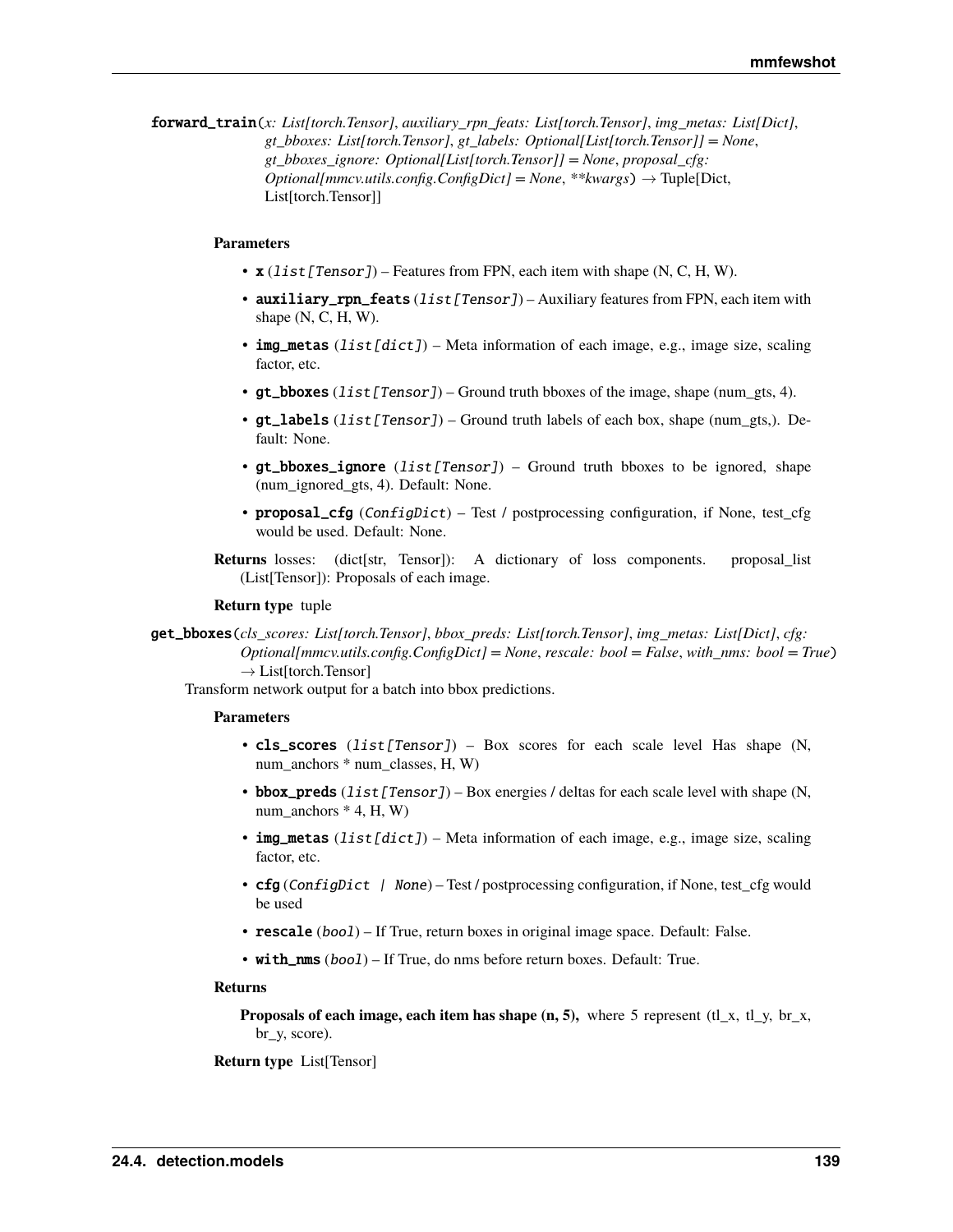forward\_train(*x: List[torch.Tensor]*, *auxiliary\_rpn\_feats: List[torch.Tensor]*, *img\_metas: List[Dict]*, *gt\_bboxes: List[torch.Tensor]*, *gt\_labels: Optional[List[torch.Tensor]] = None*, *gt\_bboxes\_ignore: Optional[List[torch.Tensor]] = None*, *proposal\_cfg: Optional[mmcv.utils.config.ConfigDict] = None*, *\*\*kwargs*) → Tuple[Dict, List[torch.Tensor]]

## **Parameters**

- $\mathbf{x}$  (list [Tensor]) Features from FPN, each item with shape (N, C, H, W).
- auxiliary\_rpn\_feats (list [Tensor]) Auxiliary features from FPN, each item with shape  $(N, C, H, W)$ .
- img\_metas (list[dict]) Meta information of each image, e.g., image size, scaling factor, etc.
- gt\_bboxes  $(list[Tensor] Ground truth bboxes of the image, shape (num\_gts, 4).$
- $gt$ <sub>1</sub> abels (*list* [*Tensor]*) Ground truth labels of each box, shape (num\_gts,). Default: None.
- gt\_bboxes\_ignore  $(list[Tensor] ) Ground truth$  bboxes to be ignored, shape (num\_ignored\_gts, 4). Default: None.
- proposal\_cfg (ConfigDict) Test / postprocessing configuration, if None, test\_cfg would be used. Default: None.
- **Returns** losses: (dict[str, Tensor]): A dictionary of loss components. proposal\_list (List[Tensor]): Proposals of each image.

### **Return type** tuple

get\_bboxes(*cls\_scores: List[torch.Tensor]*, *bbox\_preds: List[torch.Tensor]*, *img\_metas: List[Dict]*, *cfg: Optional[mmcv.utils.config.ConfigDict] = None*, *rescale: bool = False*, *with\_nms: bool = True*)  $\rightarrow$  List[torch.Tensor]

Transform network output for a batch into bbox predictions.

## **Parameters**

- cls\_scores  $(list[Tensor]) Box$  scores for each scale level Has shape  $(N,$ num\_anchors \* num\_classes, H, W)
- bbox\_preds  $(list[Tensor]) Box energies / deltas for each scale level with shape (N,$ num anchors  $*$  4, H, W)
- img\_metas  $(list[dict]) Meta$  information of each image, e.g., image size, scaling factor, etc.
- cfg (ConfigDict | None) Test / postprocessing configuration, if None, test\_cfg would be used
- rescale (bool) If True, return boxes in original image space. Default: False.
- with\_nms (bool) If True, do nms before return boxes. Default: True.

### **Returns**

**Proposals of each image, each item has shape**  $(n, 5)$ **,** where 5 represent (tl\_x, tl\_y, br\_x, br\_y, score).

**Return type** List[Tensor]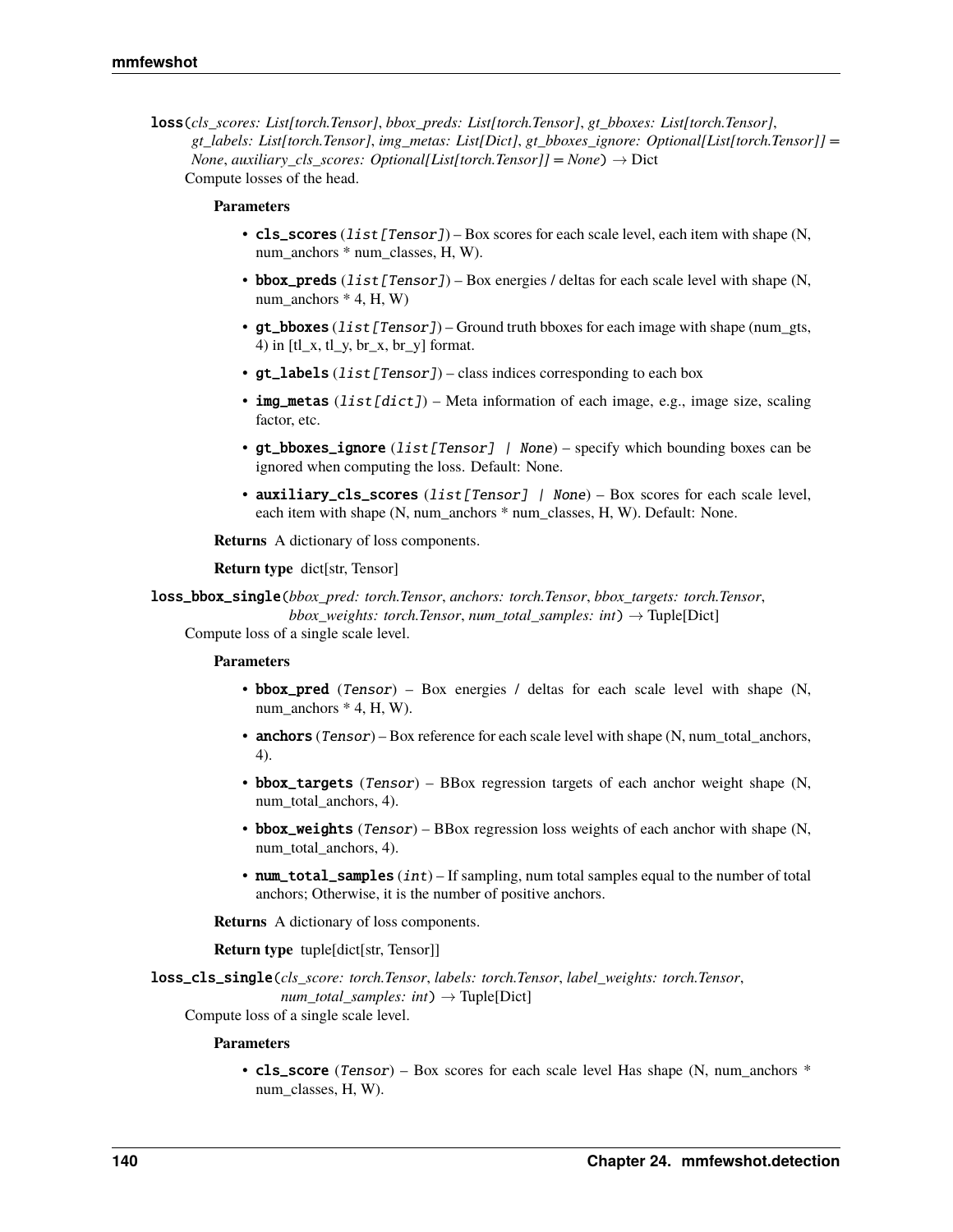loss(*cls\_scores: List[torch.Tensor]*, *bbox\_preds: List[torch.Tensor]*, *gt\_bboxes: List[torch.Tensor]*, *gt\_labels: List[torch.Tensor]*, *img\_metas: List[Dict]*, *gt\_bboxes\_ignore: Optional[List[torch.Tensor]] = None*, *auxiliary* cls scores: Optional[List[torch.Tensor]] = None)  $\rightarrow$  Dict Compute losses of the head.

## **Parameters**

- cls\_scores (list [Tensor]) Box scores for each scale level, each item with shape  $(N,$ num\_anchors \* num\_classes, H, W).
- bbox\_preds  $(list[Tensor]) Box energies / deltas for each scale level with shape (N,$ num\_anchors  $*$  4, H, W)
- gt\_bboxes  $(iist[Tensor])$  Ground truth bboxes for each image with shape (num\_gts, 4) in  $[t_1, t_2, t_2, t_3, t_4]$  format.
- $gt$  **labels** (*list* [Tensor]) class indices corresponding to each box
- img\_metas  $(list[dict]) Meta$  information of each image, e.g., image size, scaling factor, etc.
- gt\_bboxes\_ignore  $(list[Tensor]$  | None) specify which bounding boxes can be ignored when computing the loss. Default: None.
- auxiliary\_cls\_scores (list[Tensor] | None) Box scores for each scale level, each item with shape (N, num\_anchors \* num\_classes, H, W). Default: None.

**Returns** A dictionary of loss components.

### **Return type** dict[str, Tensor]

loss\_bbox\_single(*bbox\_pred: torch.Tensor*, *anchors: torch.Tensor*, *bbox\_targets: torch.Tensor*,

*bbox\_weights: torch.Tensor*, *num\_total\_samples: int*) → Tuple[Dict]

Compute loss of a single scale level.

## **Parameters**

- bbox\_pred (Tensor) Box energies / deltas for each scale level with shape  $(N,$ num\_anchors  $*$  4, H, W).
- anchors (Tensor) Box reference for each scale level with shape (N, num\_total\_anchors, 4).
- bbox\_targets (Tensor) BBox regression targets of each anchor weight shape (N, num total anchors, 4).
- bbox\_weights (Tensor) BBox regression loss weights of each anchor with shape (N, num\_total\_anchors, 4).
- num\_total\_samples  $(int)$  If sampling, num total samples equal to the number of total anchors; Otherwise, it is the number of positive anchors.

**Returns** A dictionary of loss components.

**Return type** tuple[dict[str, Tensor]]

loss\_cls\_single(*cls\_score: torch.Tensor*, *labels: torch.Tensor*, *label\_weights: torch.Tensor*,  $num\_total\_samples: int) \rightarrow Tuple[Dict]$ 

Compute loss of a single scale level.

## **Parameters**

• cls\_score (Tensor) – Box scores for each scale level Has shape (N, num\_anchors \* num\_classes, H, W).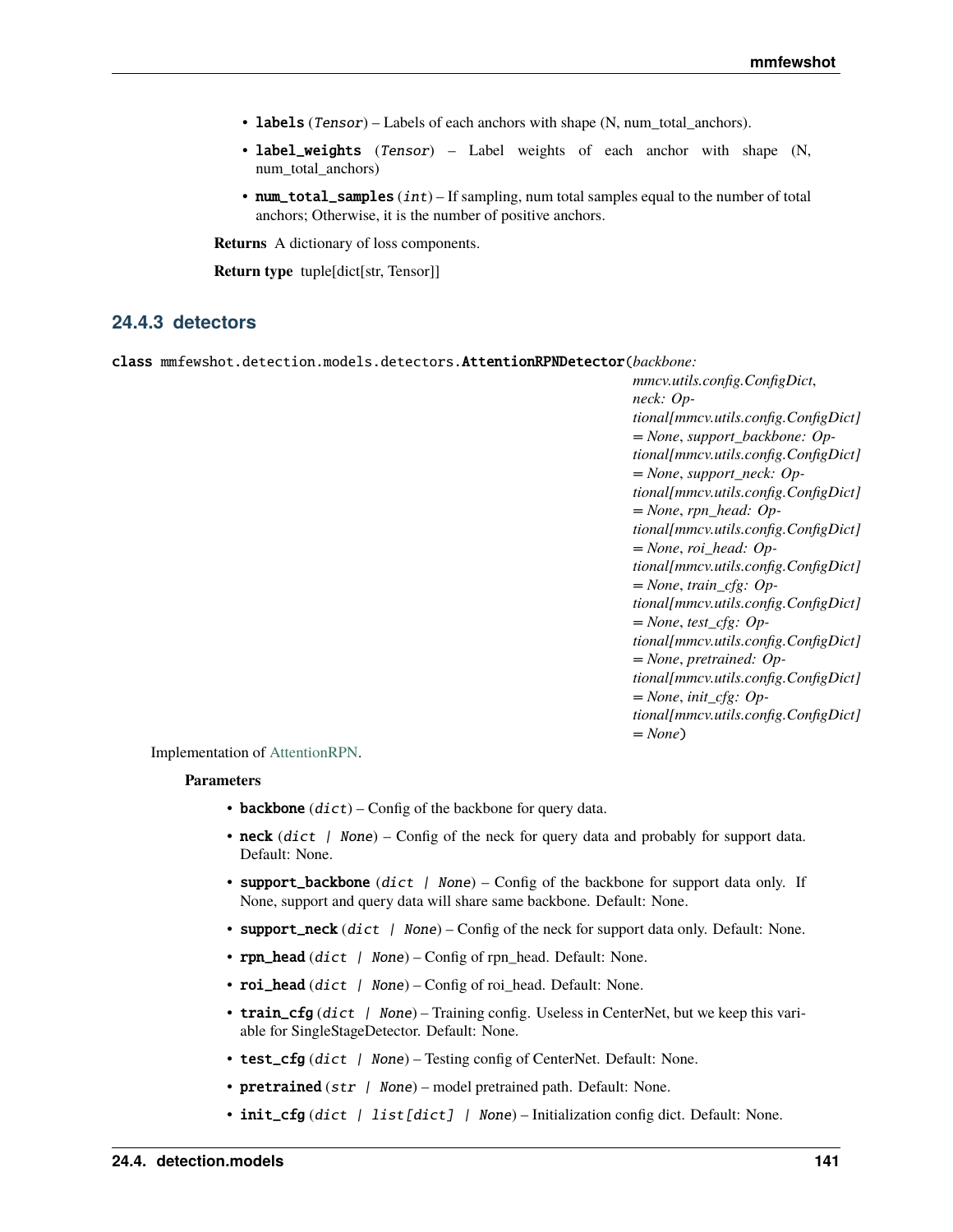- <span id="page-144-1"></span>• labels (Tensor) – Labels of each anchors with shape  $(N, num$  total anchors).
- label\_weights (Tensor) Label weights of each anchor with shape (N, num total anchors)
- num\_total\_samples  $(int)$  If sampling, num total samples equal to the number of total anchors; Otherwise, it is the number of positive anchors.

**Returns** A dictionary of loss components.

**Return type** tuple[dict[str, Tensor]]

## <span id="page-144-0"></span>**24.4.3 detectors**

class mmfewshot.detection.models.detectors.AttentionRPNDetector(*backbone:*

*mmcv.utils.config.ConfigDict*, *neck: Optional[mmcv.utils.config.ConfigDict] = None*, *support\_backbone: Optional[mmcv.utils.config.ConfigDict] = None*, *support\_neck: Optional[mmcv.utils.config.ConfigDict] = None*, *rpn\_head: Optional[mmcv.utils.config.ConfigDict] = None*, *roi\_head: Optional[mmcv.utils.config.ConfigDict] = None*, *train\_cfg: Optional[mmcv.utils.config.ConfigDict] = None*, *test\_cfg: Optional[mmcv.utils.config.ConfigDict] = None*, *pretrained: Optional[mmcv.utils.config.ConfigDict] = None*, *init\_cfg: Optional[mmcv.utils.config.ConfigDict] = None*)

Implementation of [AttentionRPN.](https://arxiv.org/abs/1908.01998)

- backbone  $(dict)$  Config of the backbone for query data.
- neck  $(dict \mid None)$  Config of the neck for query data and probably for support data. Default: None.
- support\_backbone (dict | None) Config of the backbone for support data only. If None, support and query data will share same backbone. Default: None.
- **support\_neck** (dict | None) Config of the neck for support data only. Default: None.
- **rpn\_head**  $dict$  / None) Config of rpn\_head. Default: None.
- roi\_head (dict  $\int$  None) Config of roi\_head. Default: None.
- train\_cfg (dict | None) Training config. Useless in CenterNet, but we keep this variable for SingleStageDetector. Default: None.
- test\_cfg (dict | None) Testing config of CenterNet. Default: None.
- pretrained (str | None) model pretrained path. Default: None.
- init\_cfg (dict | list [dict] | None) Initialization config dict. Default: None.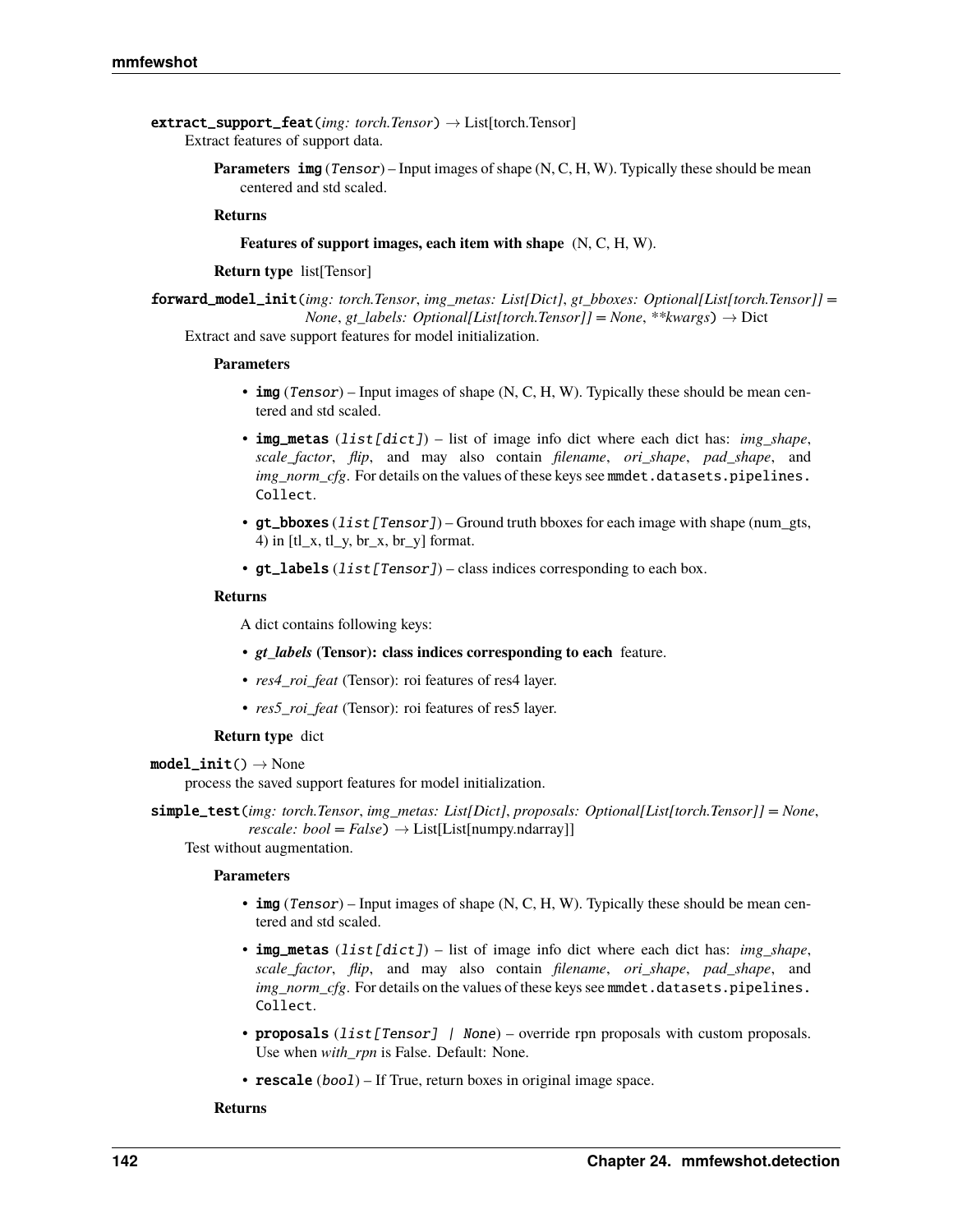- <span id="page-145-0"></span>extract\_support\_feat(*img: torch.Tensor*) → List[torch.Tensor] Extract features of support data.
	- Parameters img (Tensor) Input images of shape (N, C, H, W). Typically these should be mean centered and std scaled.

## **Returns**

**Features of support images, each item with shape** (N, C, H, W).

#### **Return type** list[Tensor]

forward\_model\_init(*img: torch.Tensor*, *img\_metas: List[Dict]*, *gt\_bboxes: Optional[List[torch.Tensor]] = None*, *gt\_labels: Optional[List[torch.Tensor]]* = *None*, \*\**kwargs*)  $\rightarrow$  Dict Extract and save support features for model initialization.

**Parameters**

- img (Tensor) Input images of shape  $(N, C, H, W)$ . Typically these should be mean centered and std scaled.
- **img\_metas** (list [dict]) list of image info dict where each dict has: *img\_shape*, *scale\_factor*, *flip*, and may also contain *filename*, *ori\_shape*, *pad\_shape*, and *img\_norm\_cfg*. For details on the values of these keys see mmdet.datasets.pipelines. Collect.
- gt\_bboxes ( $list[Tensor]$ ) Ground truth bboxes for each image with shape (num\_gts, 4) in [tl\_x, tl\_y, br\_x, br\_y] format.
- gt\_labels  $(list[Tensor] ) class indices corresponding to each box.$

#### **Returns**

A dict contains following keys:

- *gt\_labels* **(Tensor): class indices corresponding to each** feature.
- *res4 roi feat* (Tensor): roi features of res4 layer.
- *res5\_roi\_feat* (Tensor): roi features of res5 layer.

#### **Return type** dict

## $model\_init() \rightarrow None$

process the saved support features for model initialization.

simple\_test(*img: torch.Tensor*, *img\_metas: List[Dict]*, *proposals: Optional[List[torch.Tensor]] = None*,  $rescale: bool = False$ )  $\rightarrow$  List[List[numpy.ndarray]]

Test without augmentation.

## **Parameters**

- img (Tensor) Input images of shape  $(N, C, H, W)$ . Typically these should be mean centered and std scaled.
- img\_metas (list[dict]) list of image info dict where each dict has: *img\_shape*, *scale\_factor*, *flip*, and may also contain *filename*, *ori\_shape*, *pad\_shape*, and *img\_norm\_cfg*. For details on the values of these keys see mmdet.datasets.pipelines. Collect.
- proposals (list [Tensor] | None) override rpn proposals with custom proposals. Use when *with rpn* is False. Default: None.
- rescale (bool) If True, return boxes in original image space.

#### **Returns**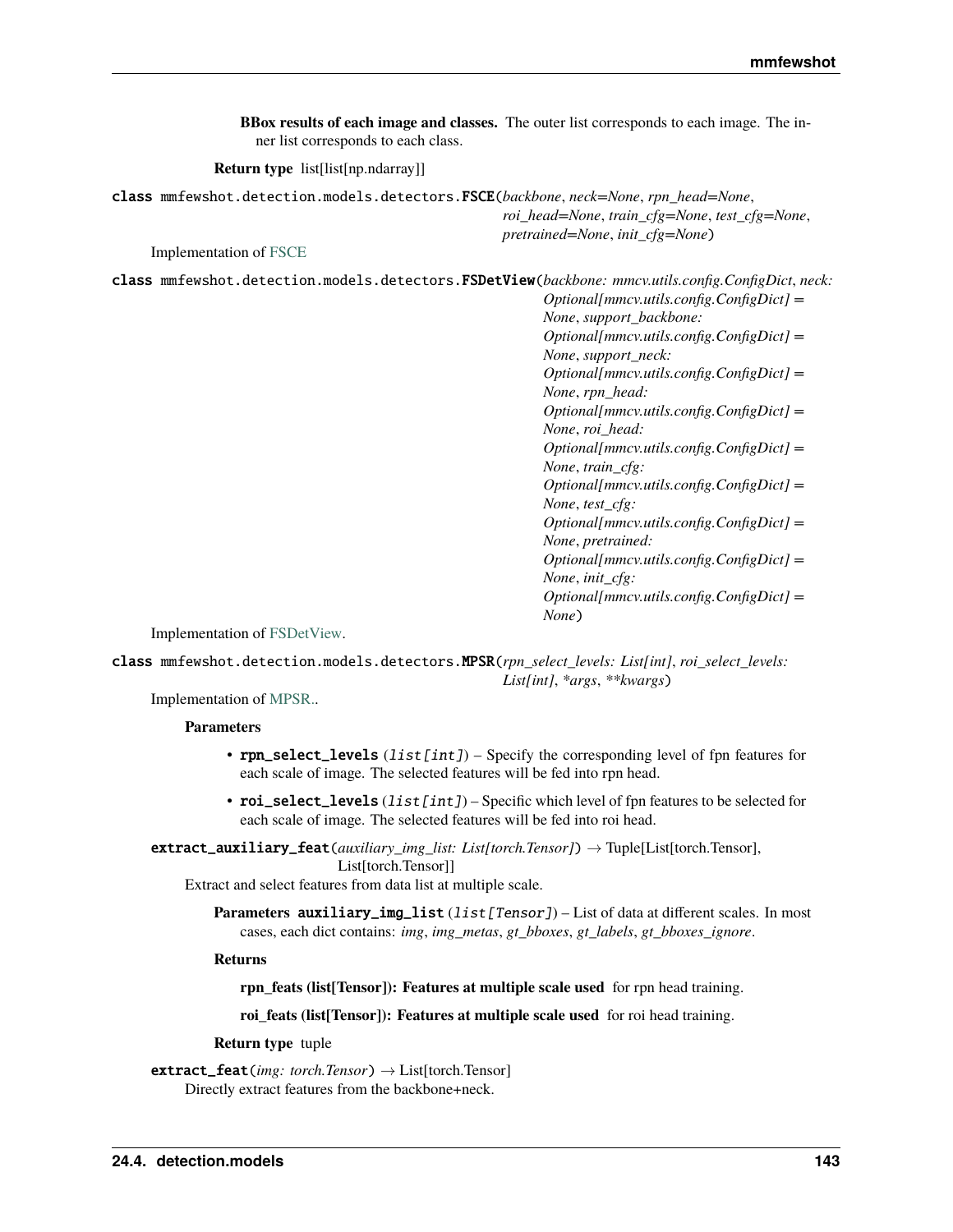<span id="page-146-0"></span>

| ner list corresponds to each class.                                                                | BBox results of each image and classes. The outer list corresponds to each image. The in-                                                                                                                                                                                                                                                                                                                                                                                                                                                                                                                                                              |
|----------------------------------------------------------------------------------------------------|--------------------------------------------------------------------------------------------------------------------------------------------------------------------------------------------------------------------------------------------------------------------------------------------------------------------------------------------------------------------------------------------------------------------------------------------------------------------------------------------------------------------------------------------------------------------------------------------------------------------------------------------------------|
| <b>Return type</b> list[list[np.ndarray]]                                                          |                                                                                                                                                                                                                                                                                                                                                                                                                                                                                                                                                                                                                                                        |
| class mmfewshot.detection.models.detectors.FSCE(backbone,neck=None,rpn_head=None,                  | roi_head=None, train_cfg=None, test_cfg=None,<br>pretrained=None, init_cfg=None)                                                                                                                                                                                                                                                                                                                                                                                                                                                                                                                                                                       |
| <b>Implementation of FSCE</b>                                                                      |                                                                                                                                                                                                                                                                                                                                                                                                                                                                                                                                                                                                                                                        |
| class mmfewshot.detection.models.detectors.FSDetView(backbone: mmcv.utils.config.ConfigDict, neck: | $Optional[mmcv. utilizes.config. ConfigDict] =$<br>None, support_backbone:<br>Optional[mmcv.utils.config.ConfigDict] =<br>None, support_neck:<br>$Optional[mmc v. utilise.config.ConfigDict] =$<br>None, rpn_head:<br>$Optional[mmc v. utilise.config.ConfigDict] =$<br>None, roi_head:<br>$Optional[mmcv. utilizes.config. ConfigDict] =$<br>None, train_cfg:<br>$Optional[mmcv. utilizes.config. ConfigDict] =$<br>None, test_cfg:<br>$Optional[mmcv. utilizes.config. ConfigDict] =$<br>None, pretrained:<br>$Optional[mmcv. utilizes.config. ConfigDict] =$<br>None, init_cfg:<br>$\mathbf{u}$ $\mathbf{v}$ $\mathbf{v}$ $\mathbf{v}$ $\mathbf{v}$ |

*Optional[mmcv.utils.config.ConfigDict] = None*)

Implementation of [FSDetView.](https://arxiv.org/abs/2007.12107)

class mmfewshot.detection.models.detectors.MPSR(*rpn\_select\_levels: List[int]*, *roi\_select\_levels: List[int]*, *\*args*, *\*\*kwargs*)

Implementation of [MPSR..](https://arxiv.org/abs/2007.09384)

## **Parameters**

- $\mathbf{r}$  pn\_select\_levels (list [int]) Specify the corresponding level of fpn features for each scale of image. The selected features will be fed into rpn head.
- roi\_select\_levels (list [int]) Specific which level of fpn features to be selected for each scale of image. The selected features will be fed into roi head.

extract\_auxiliary\_feat(*auxiliary\_img\_list: List[torch.Tensor]*) → Tuple[List[torch.Tensor], List[torch.Tensor]]

Extract and select features from data list at multiple scale.

**Parameters auxiliary\_img\_list** (list [Tensor]) – List of data at different scales. In most cases, each dict contains: *img*, *img\_metas*, *gt\_bboxes*, *gt\_labels*, *gt\_bboxes\_ignore*.

**Returns**

**rpn\_feats (list[Tensor]): Features at multiple scale used** for rpn head training.

**roi\_feats (list[Tensor]): Features at multiple scale used** for roi head training.

**Return type** tuple

extract\_feat(*img: torch.Tensor*) → List[torch.Tensor] Directly extract features from the backbone+neck.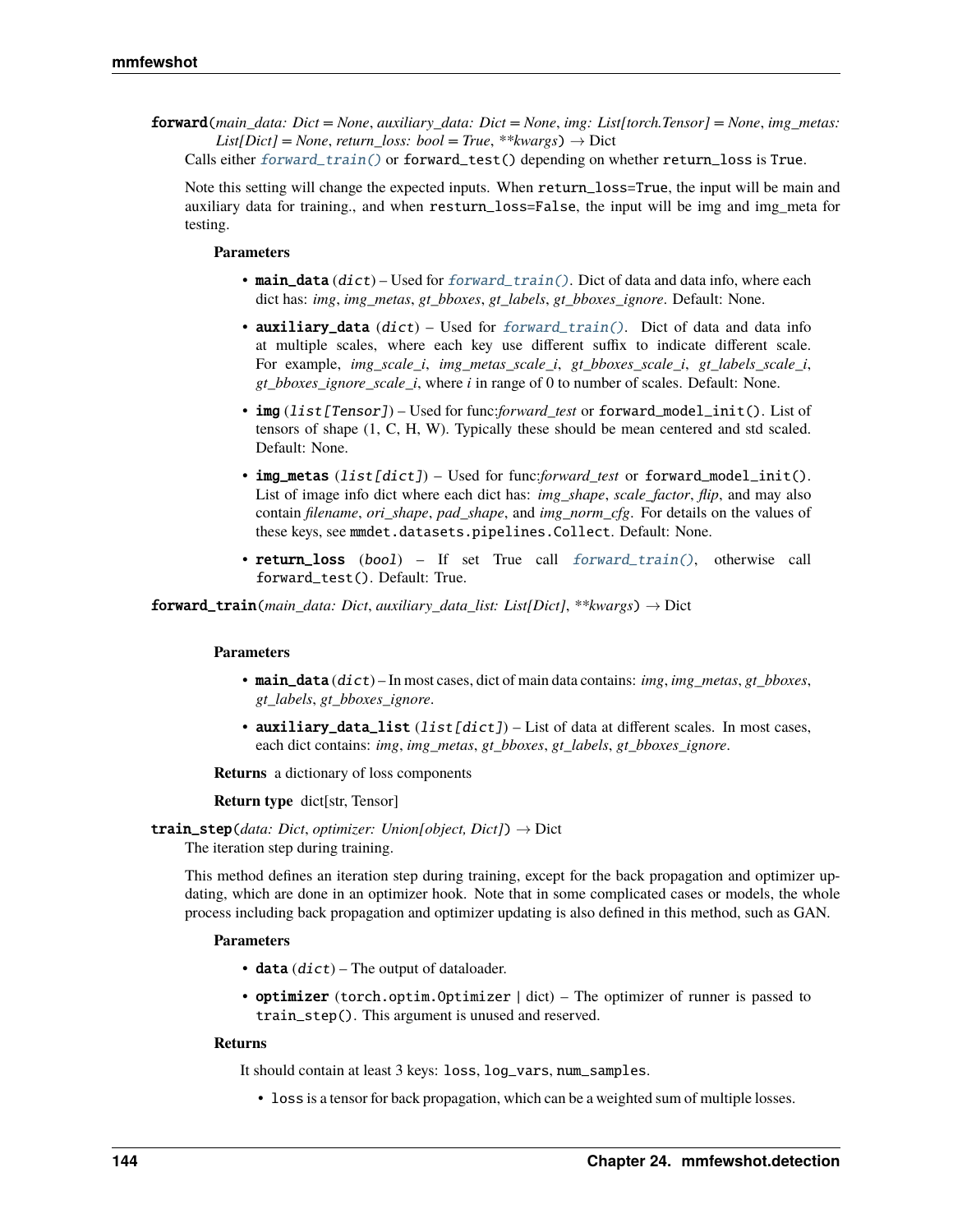<span id="page-147-2"></span>forward(*main\_data: Dict = None*, *auxiliary\_data: Dict = None*, *img: List[torch.Tensor] = None*, *img\_metas:*  $List(Dict] = None$ , *return\_loss: bool* = True, \*\*kwargs)  $\rightarrow$  Dict

Calls either [forward\\_train\(\)](#page-147-0) or forward\_test() depending on whether return\_loss is True.

Note this setting will change the expected inputs. When return\_loss=True, the input will be main and auxiliary data for training., and when resturn\_loss=False, the input will be img and img\_meta for testing.

#### **Parameters**

- main\_data (dict) Used for [forward\\_train\(\)](#page-147-0). Dict of data and data info, where each dict has: *img*, *img\_metas*, *gt\_bboxes*, *gt\_labels*, *gt\_bboxes\_ignore*. Default: None.
- auxiliary\_data  $(dict)$  Used for [forward\\_train\(\)](#page-147-0). Dict of data and data info at multiple scales, where each key use different suffix to indicate different scale. For example, *img\_scale\_i*, *img\_metas\_scale\_i*, *gt\_bboxes\_scale\_i*, *gt\_labels\_scale\_i*, *gt\_bboxes\_ignore\_scale\_i*, where *i* in range of 0 to number of scales. Default: None.
- img (list[Tensor]) Used for func:*forward\_test* or forward\_model\_init(). List of tensors of shape (1, C, H, W). Typically these should be mean centered and std scaled. Default: None.
- img\_metas (list[dict]) Used for func:*forward test* or forward\_model\_init(). List of image info dict where each dict has: *img\_shape*, *scale\_factor*, *flip*, and may also contain *filename*, *ori\_shape*, *pad\_shape*, and *img\_norm\_cfg*. For details on the values of these keys, see mmdet.datasets.pipelines.Collect. Default: None.
- return\_loss (bool) If set True call [forward\\_train\(\)](#page-147-0), otherwise call forward\_test(). Default: True.

<span id="page-147-0"></span>forward\_train(*main\_data: Dict*, *auxiliary\_data\_list: List[Dict]*, *\*\*kwargs*) → Dict

#### **Parameters**

- main\_data (dict) In most cases, dict of main data contains: *img*, *img\_metas*, *gt\_bboxes*, *gt\_labels*, *gt\_bboxes\_ignore*.
- auxiliary\_data\_list  $(list/dict)$  List of data at different scales. In most cases, each dict contains: *img*, *img\_metas*, *gt\_bboxes*, *gt\_labels*, *gt\_bboxes\_ignore*.

**Returns** a dictionary of loss components

**Return type** dict[str, Tensor]

```
train_step(data: Dict, optimizer: Union[object, Dict]) → Dict
```
The iteration step during training.

This method defines an iteration step during training, except for the back propagation and optimizer updating, which are done in an optimizer hook. Note that in some complicated cases or models, the whole process including back propagation and optimizer updating is also defined in this method, such as GAN.

#### **Parameters**

- data  $(dict)$  The output of dataloader.
- **optimizer** (torch.optim.Optimizer | dict) The optimizer of runner is passed to train\_step(). This argument is unused and reserved.

#### **Returns**

It should contain at least 3 keys: loss, log\_vars, num\_samples.

• loss is a tensor for back propagation, which can be a weighted sum of multiple losses.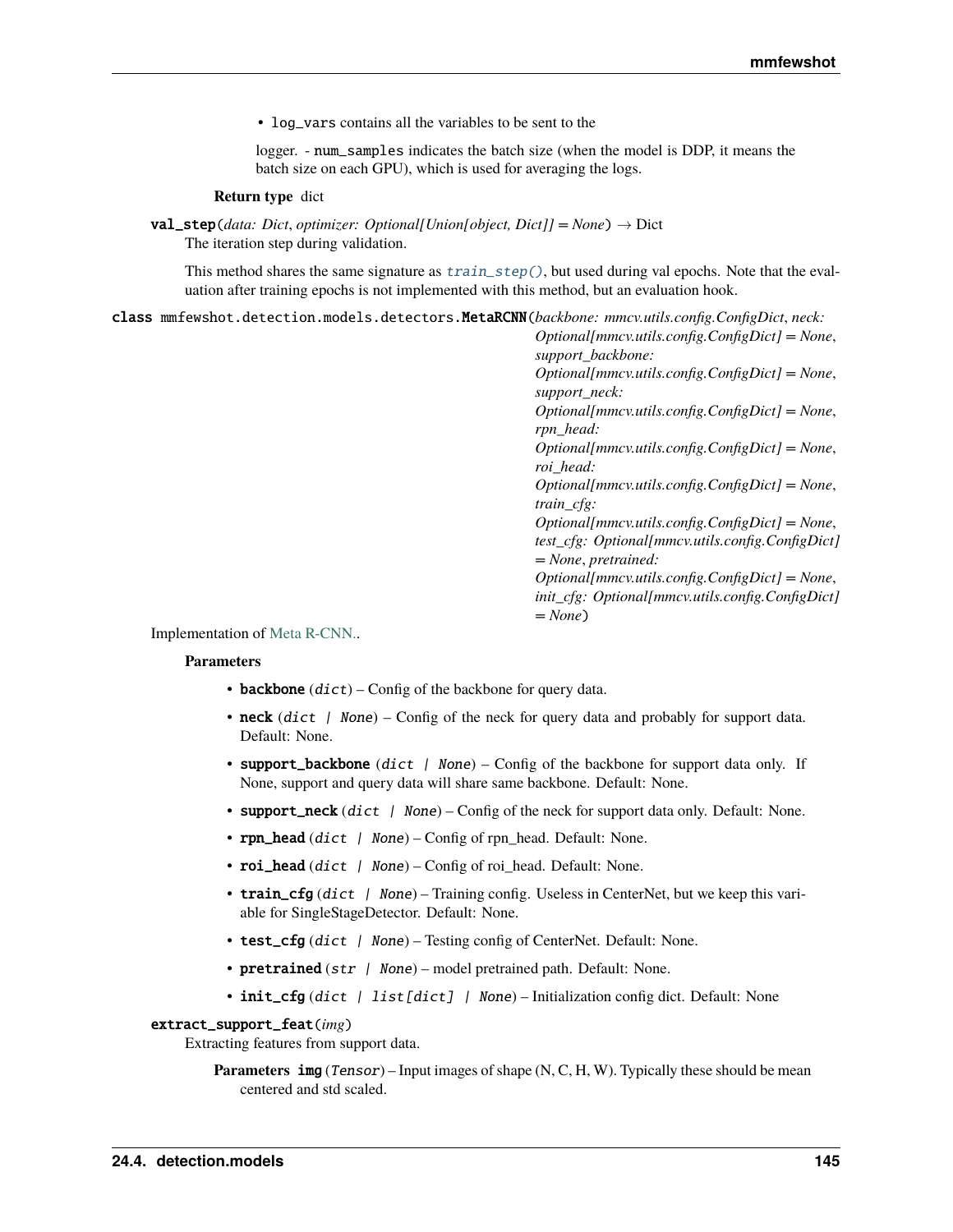<span id="page-148-0"></span>• log\_vars contains all the variables to be sent to the

logger. - num\_samples indicates the batch size (when the model is DDP, it means the batch size on each GPU), which is used for averaging the logs.

#### **Return type** dict

val\_step(*data: Dict*, *optimizer: Optional[Union[object, Dict]] = None*) → Dict The iteration step during validation.

This method shares the same signature as  $train\_step()$ , but used during val epochs. Note that the evaluation after training epochs is not implemented with this method, but an evaluation hook.

class mmfewshot.detection.models.detectors.MetaRCNN(*backbone: mmcv.utils.config.ConfigDict*, *neck:*

*Optional[mmcv.utils.config.ConfigDict] = None*, *support\_backbone: Optional[mmcv.utils.config.ConfigDict] = None*, *support\_neck: Optional[mmcv.utils.config.ConfigDict] = None*, *rpn\_head: Optional[mmcv.utils.config.ConfigDict] = None*, *roi\_head: Optional[mmcv.utils.config.ConfigDict] = None*, *train\_cfg: Optional[mmcv.utils.config.ConfigDict] = None*, *test\_cfg: Optional[mmcv.utils.config.ConfigDict] = None*, *pretrained: Optional[mmcv.utils.config.ConfigDict] = None*, *init\_cfg: Optional[mmcv.utils.config.ConfigDict] = None*)

Implementation of [Meta R-CNN..](https://arxiv.org/abs/1909.13032)

#### **Parameters**

- backbone  $(dict)$  Config of the backbone for query data.
- neck  $(dict \mid None)$  Config of the neck for query data and probably for support data. Default: None.
- support\_backbone (dict | None) Config of the backbone for support data only. If None, support and query data will share same backbone. Default: None.
- support\_neck  $(dict \mid None) Config$  of the neck for support data only. Default: None.
- rpn\_head  $(dict$  / None) Config of rpn\_head. Default: None.
- roi\_head (dict | None) Config of roi head. Default: None.
- train\_cfg (dict  $\int$  None) Training config. Useless in CenterNet, but we keep this variable for SingleStageDetector. Default: None.
- test\_cfg (dict | None) Testing config of CenterNet. Default: None.
- pretrained  $(str \mid None)$  model pretrained path. Default: None.
- init\_cfg (dict | list [dict] | None) Initialization config dict. Default: None

#### extract\_support\_feat(*img*)

Extracting features from support data.

**Parameters** img (*Tensor*) – Input images of shape (N, C, H, W). Typically these should be mean centered and std scaled.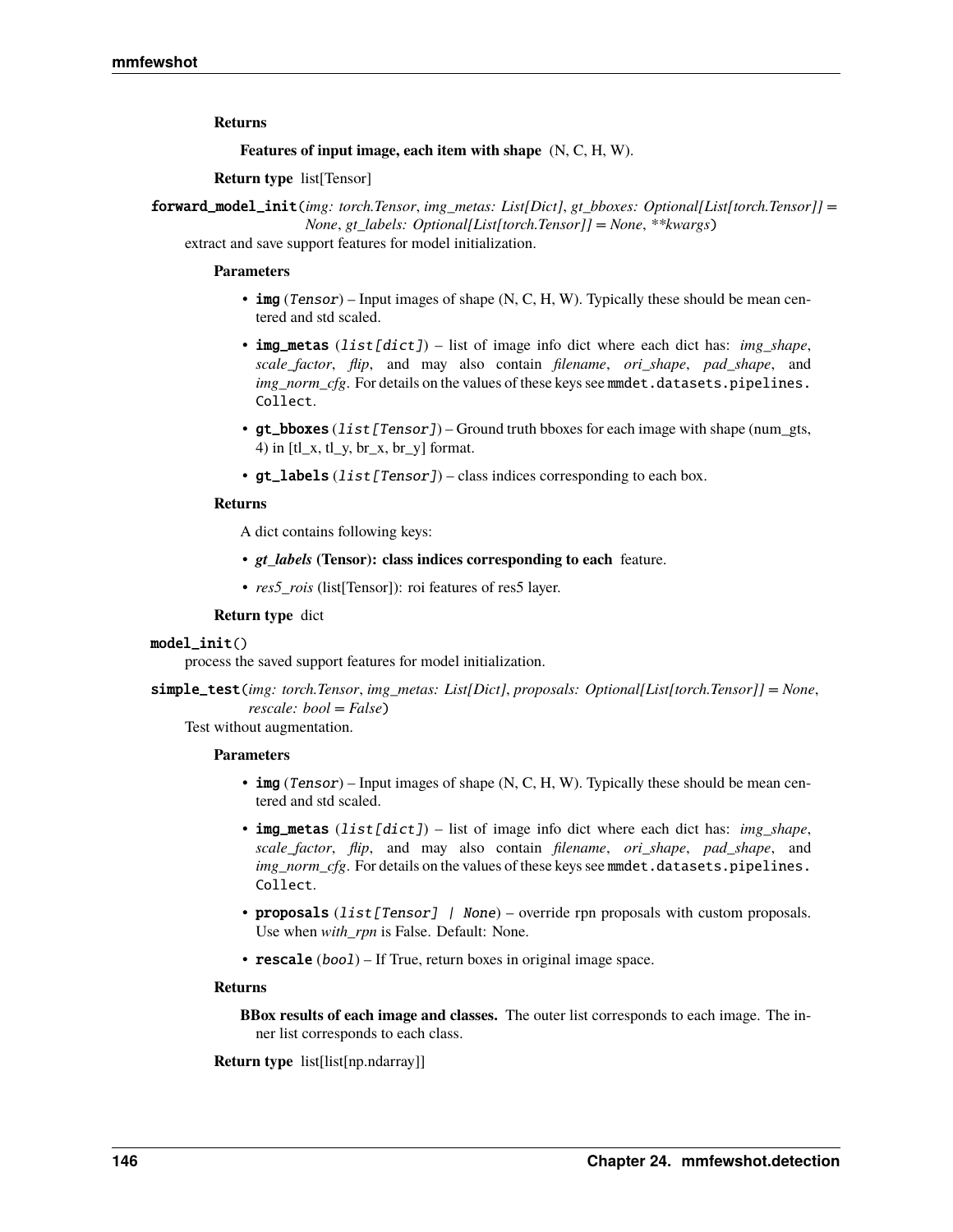### <span id="page-149-0"></span>**Returns**

**Features of input image, each item with shape** (N, C, H, W).

**Return type** list[Tensor]

forward\_model\_init(*img: torch.Tensor*, *img\_metas: List[Dict]*, *gt\_bboxes: Optional[List[torch.Tensor]] = None*, *gt\_labels: Optional[List[torch.Tensor]] = None*, *\*\*kwargs*)

extract and save support features for model initialization.

#### **Parameters**

- img (Tensor) Input images of shape (N, C, H, W). Typically these should be mean centered and std scaled.
- img\_metas (list[dict]) list of image info dict where each dict has: *img\_shape*, *scale\_factor*, *flip*, and may also contain *filename*, *ori\_shape*, *pad\_shape*, and *img\_norm\_cfg*. For details on the values of these keys see mmdet.datasets.pipelines. Collect.
- gt\_bboxes (list [Tensor]) Ground truth bboxes for each image with shape (num\_gts, 4) in [tl  $x$ , tl  $y$ , br  $x$ , br  $y$ ] format.
- $gt$ **labels** (*list* [*Tensor]*) class indices corresponding to each box.

#### **Returns**

A dict contains following keys:

- *gt\_labels* (Tensor): class indices corresponding to each feature.
- *res5 rois* (list[Tensor]): roi features of res5 layer.

## **Return type** dict

#### model\_init()

process the saved support features for model initialization.

simple\_test(*img: torch.Tensor*, *img\_metas: List[Dict]*, *proposals: Optional[List[torch.Tensor]] = None*, *rescale: bool = False*)

Test without augmentation.

#### **Parameters**

- img (Tensor) Input images of shape (N, C, H, W). Typically these should be mean centered and std scaled.
- img\_metas (list[dict]) list of image info dict where each dict has: *img\_shape*, *scale\_factor*, *flip*, and may also contain *filename*, *ori\_shape*, *pad\_shape*, and *img\_norm\_cfg*. For details on the values of these keys see mmdet.datasets.pipelines. Collect.
- proposals (list [Tensor] | None) override rpn proposals with custom proposals. Use when *with\_rpn* is False. Default: None.
- **rescale** (*bool*) If True, return boxes in original image space.

#### **Returns**

**BBox results of each image and classes.** The outer list corresponds to each image. The inner list corresponds to each class.

**Return type** list[list[np.ndarray]]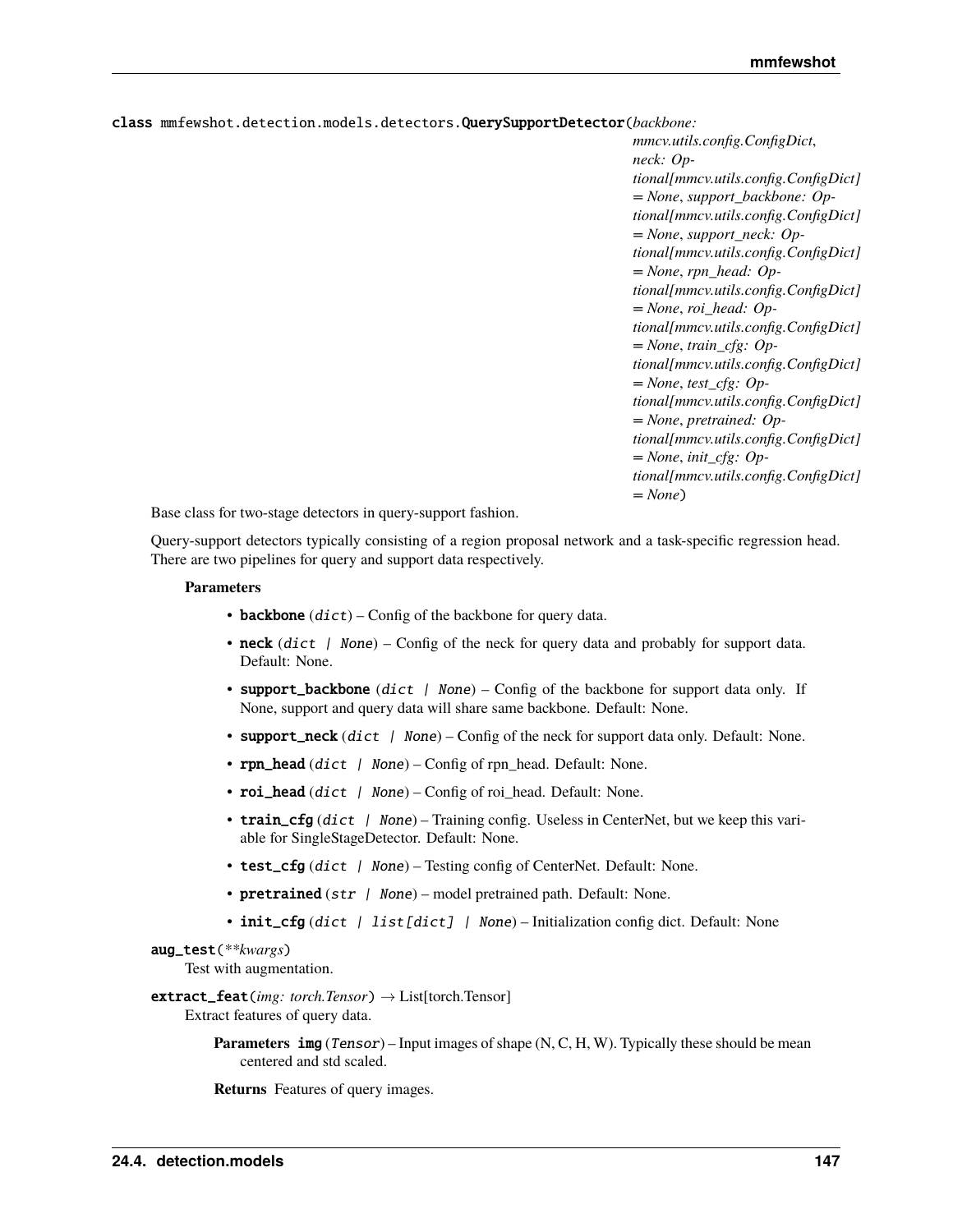<span id="page-150-0"></span>class mmfewshot.detection.models.detectors.QuerySupportDetector(*backbone:*

*mmcv.utils.config.ConfigDict*, *neck: Optional[mmcv.utils.config.ConfigDict] = None*, *support\_backbone: Optional[mmcv.utils.config.ConfigDict] = None*, *support\_neck: Optional[mmcv.utils.config.ConfigDict] = None*, *rpn\_head: Optional[mmcv.utils.config.ConfigDict] = None*, *roi\_head: Optional[mmcv.utils.config.ConfigDict] = None*, *train\_cfg: Optional[mmcv.utils.config.ConfigDict] = None*, *test\_cfg: Optional[mmcv.utils.config.ConfigDict] = None*, *pretrained: Optional[mmcv.utils.config.ConfigDict] = None*, *init\_cfg: Optional[mmcv.utils.config.ConfigDict] = None*)

Base class for two-stage detectors in query-support fashion.

Query-support detectors typically consisting of a region proposal network and a task-specific regression head. There are two pipelines for query and support data respectively.

#### **Parameters**

- backbone  $(dict)$  Config of the backbone for query data.
- neck  $dict$  / None) Config of the neck for query data and probably for support data. Default: None.
- support\_backbone (dict | None) Config of the backbone for support data only. If None, support and query data will share same backbone. Default: None.
- support\_neck  $(dict \mid None) Config$  of the neck for support data only. Default: None.
- rpn\_head (dict | None) Config of rpn\_head. Default: None.
- roi\_head (dict | None) Config of roi\_head. Default: None.
- train\_cfg (dict | None) Training config. Useless in CenterNet, but we keep this variable for SingleStageDetector. Default: None.
- test\_cfg (dict | None) Testing config of CenterNet. Default: None.
- **pretrained**  $(str \mid None)$  model pretrained path. Default: None.
- init\_cfg (dict | list [dict] | None) Initialization config dict. Default: None

## aug\_test(*\*\*kwargs*)

Test with augmentation.

## extract\_feat(*img: torch.Tensor*) → List[torch.Tensor]

Extract features of query data.

**Parameters** img (Tensor) – Input images of shape (N, C, H, W). Typically these should be mean centered and std scaled.

**Returns** Features of query images.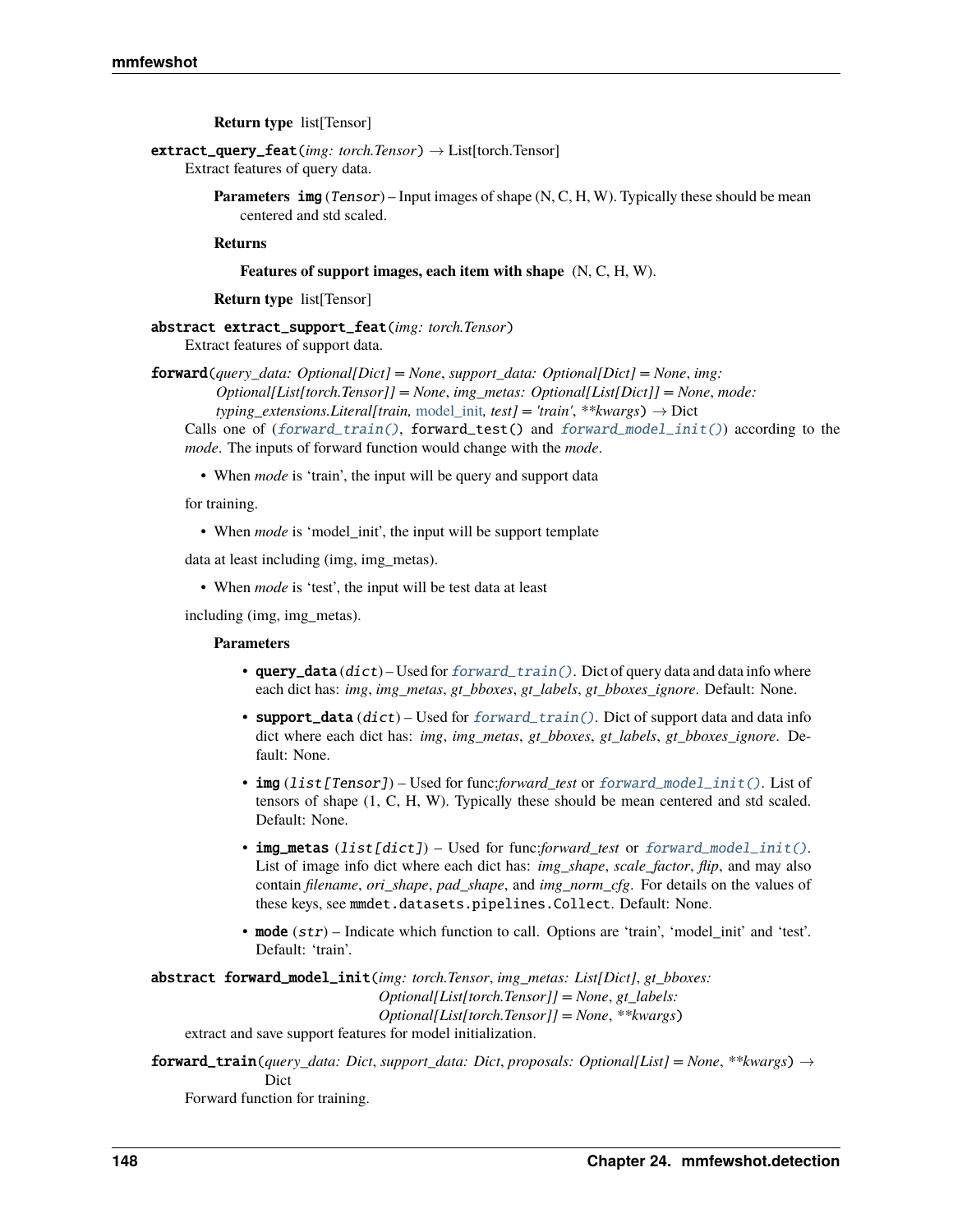**Return type** list[Tensor]

<span id="page-151-2"></span>extract\_query\_feat(*img: torch.Tensor*) → List[torch.Tensor]

Extract features of query data.

**Parameters** img (Tensor) – Input images of shape (N, C, H, W). Typically these should be mean centered and std scaled.

**Returns**

**Features of support images, each item with shape** (N, C, H, W).

**Return type** list[Tensor]

abstract extract\_support\_feat(*img: torch.Tensor*) Extract features of support data.

forward(*query\_data: Optional[Dict] = None*, *support\_data: Optional[Dict] = None*, *img:*

*Optional[List[torch.Tensor]] = None*, *img\_metas: Optional[List[Dict]] = None*, *mode: typing\_extensions.Literal[train,* [model\\_init](#page-152-0)*, test] = 'train'*, *\*\*kwargs*) → Dict

Calls one of  $(forward\_train()$ ,  $forward\_test()$  and  $forward\_model\_init()$  according to the *mode*. The inputs of forward function would change with the *mode*.

• When *mode* is 'train', the input will be query and support data

for training.

• When *mode* is 'model\_init', the input will be support template

data at least including (img, img\_metas).

• When *mode* is 'test', the input will be test data at least

including (img, img\_metas).

#### **Parameters**

- query\_data  $(dict)$  Used for [forward\\_train\(\)](#page-151-0). Dict of query data and data info where each dict has: *img*, *img\_metas*, *gt\_bboxes*, *gt\_labels*, *gt\_bboxes\_ignore*. Default: None.
- support\_data (dict) Used for [forward\\_train\(\)](#page-151-0). Dict of support data and data info dict where each dict has: *img*, *img\_metas*, *gt\_bboxes*, *gt\_labels*, *gt\_bboxes\_ignore*. Default: None.
- img (list[Tensor]) Used for func:*forward\_test* or [forward\\_model\\_init\(\)](#page-151-1). List of tensors of shape (1, C, H, W). Typically these should be mean centered and std scaled. Default: None.
- img\_metas (list[dict]) Used for func:*forward\_test* or [forward\\_model\\_init\(\)](#page-151-1). List of image info dict where each dict has: *img\_shape*, *scale\_factor*, *flip*, and may also contain *filename*, *ori\_shape*, *pad\_shape*, and *img\_norm\_cfg*. For details on the values of these keys, see mmdet.datasets.pipelines.Collect. Default: None.
- mode (str) Indicate which function to call. Options are 'train', 'model\_init' and 'test'. Default: 'train'.

<span id="page-151-1"></span>abstract forward\_model\_init(*img: torch.Tensor*, *img\_metas: List[Dict]*, *gt\_bboxes: Optional[List[torch.Tensor]] = None*, *gt\_labels: Optional[List[torch.Tensor]] = None*, *\*\*kwargs*)

extract and save support features for model initialization.

<span id="page-151-0"></span>**forward\_train**(*query\_data: Dict, support\_data: Dict, proposals: Optional[List] = None, \*\*kwargs*)  $\rightarrow$ Dict

Forward function for training.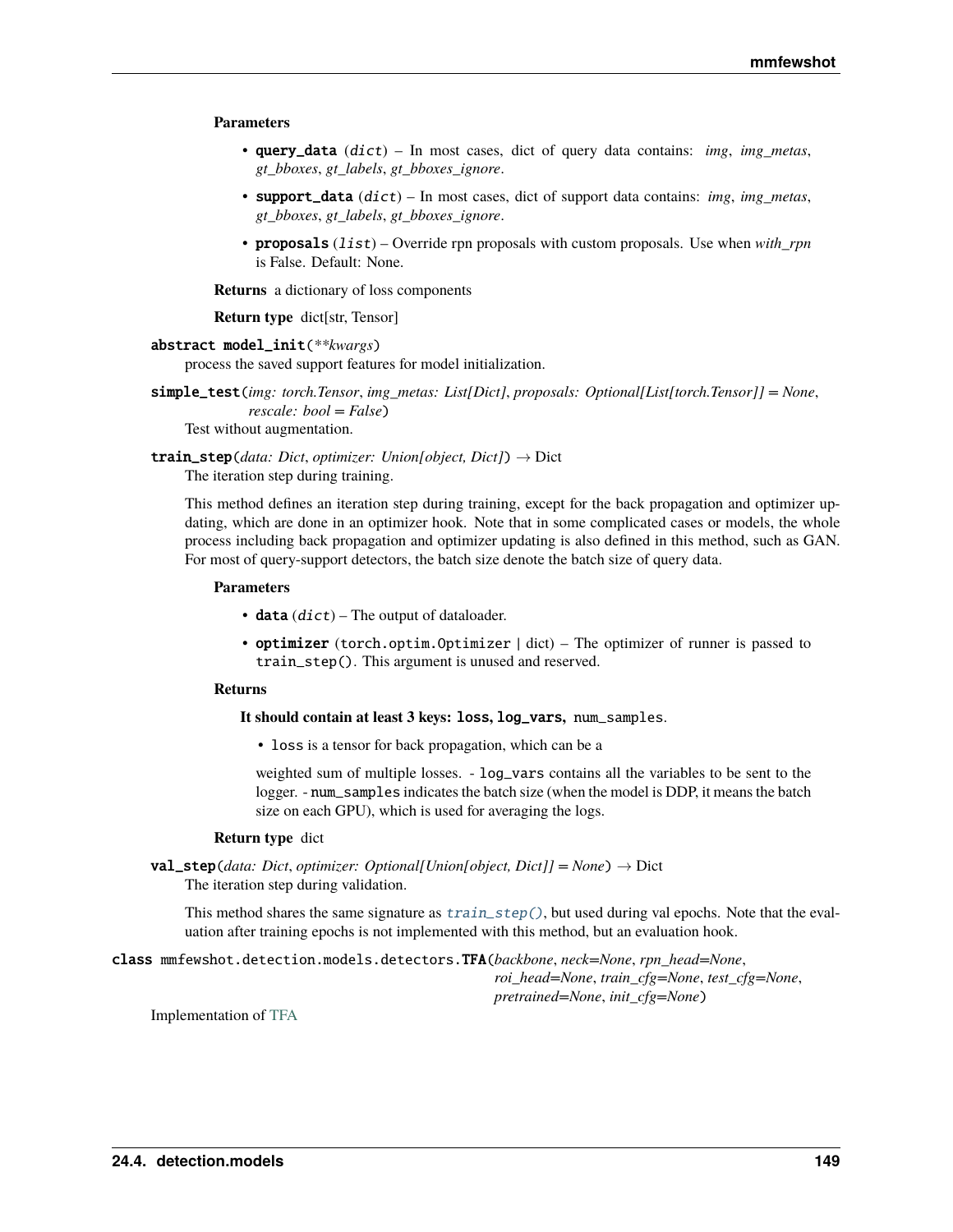#### <span id="page-152-2"></span>**Parameters**

- query\_data (dict) In most cases, dict of query data contains: *img*, *img\_metas*, *gt\_bboxes*, *gt\_labels*, *gt\_bboxes\_ignore*.
- support\_data (dict) In most cases, dict of support data contains: *img*, *img\_metas*, *gt\_bboxes*, *gt\_labels*, *gt\_bboxes\_ignore*.
- proposals (list) Override rpn proposals with custom proposals. Use when *with\_rpn* is False. Default: None.

**Returns** a dictionary of loss components

**Return type** dict[str, Tensor]

#### <span id="page-152-0"></span>abstract model\_init(*\*\*kwargs*)

process the saved support features for model initialization.

simple\_test(*img: torch.Tensor*, *img\_metas: List[Dict]*, *proposals: Optional[List[torch.Tensor]] = None*, *rescale: bool = False*)

Test without augmentation.

<span id="page-152-1"></span>train\_step(*data: Dict*, *optimizer: Union[object, Dict]*) → Dict The iteration step during training.

This method defines an iteration step during training, except for the back propagation and optimizer updating, which are done in an optimizer hook. Note that in some complicated cases or models, the whole process including back propagation and optimizer updating is also defined in this method, such as GAN. For most of query-support detectors, the batch size denote the batch size of query data.

#### **Parameters**

- data  $(dict)$  The output of dataloader.
- **optimizer** (torch.optim.Optimizer | dict) The optimizer of runner is passed to train\_step(). This argument is unused and reserved.

#### **Returns**

#### **It should contain at least 3 keys:** loss**,** log\_vars**,** num\_samples.

• loss is a tensor for back propagation, which can be a

weighted sum of multiple losses. - log\_vars contains all the variables to be sent to the logger. - num\_samples indicates the batch size (when the model is DDP, it means the batch size on each GPU), which is used for averaging the logs.

#### **Return type** dict

val\_step(*data: Dict*, *optimizer: Optional[Union[object, Dict]] = None*) → Dict The iteration step during validation.

This method shares the same signature as  $train\_step()$ , but used during val epochs. Note that the evaluation after training epochs is not implemented with this method, but an evaluation hook.

class mmfewshot.detection.models.detectors.TFA(*backbone*, *neck=None*, *rpn\_head=None*, *roi\_head=None*, *train\_cfg=None*, *test\_cfg=None*, *pretrained=None*, *init\_cfg=None*)

Implementation of [TFA](https://arxiv.org/abs/2003.06957)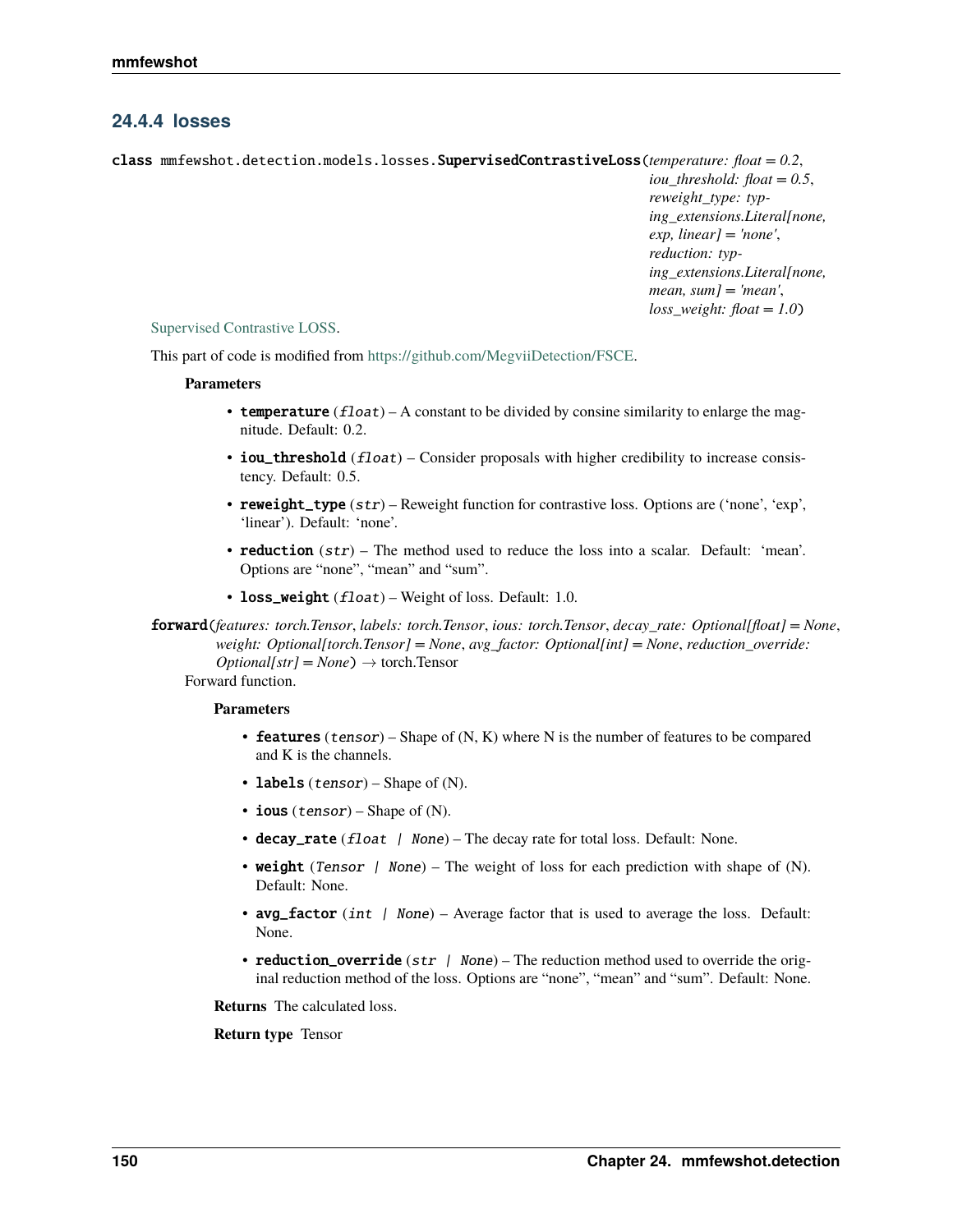## <span id="page-153-1"></span>**24.4.4 losses**

<span id="page-153-0"></span>class mmfewshot.detection.models.losses.SupervisedContrastiveLoss(*temperature: float = 0.2*,

*iou\_threshold: float = 0.5*, *reweight\_type: typing\_extensions.Literal[none, exp, linear] = 'none'*, *reduction: typing\_extensions.Literal[none, mean, sum] = 'mean'*, *loss\_weight: float = 1.0*)

## [Supervised Contrastive LOSS.](https://arxiv.org/abs/2004.11362)

This part of code is modified from [https://github.com/MegviiDetection/FSCE.](https://github.com/MegviiDetection/FSCE)

#### **Parameters**

- temperature  $(f$ *loat* $) A constant to be divided by consine similarity to enlarge the mag$ nitude. Default: 0.2.
- iou\_threshold (float) Consider proposals with higher credibility to increase consistency. Default: 0.5.
- reweight\_type (str) Reweight function for contrastive loss. Options are ('none', 'exp', 'linear'). Default: 'none'.
- reduction (str) The method used to reduce the loss into a scalar. Default: 'mean'. Options are "none", "mean" and "sum".
- loss\_weight (float) Weight of loss. Default: 1.0.

forward(*features: torch.Tensor*, *labels: torch.Tensor*, *ious: torch.Tensor*, *decay\_rate: Optional[float] = None*, *weight: Optional[torch.Tensor] = None*, *avg\_factor: Optional[int] = None*, *reduction\_override:*  $Optional[str] = None$   $\rightarrow$  torch.Tensor

Forward function.

## **Parameters**

- **features** (tensor) Shape of  $(N, K)$  where N is the number of features to be compared and K is the channels.
- labels (*tensor*) Shape of  $(N)$ .
- ious  $(tensor)$  Shape of (N).
- decay\_rate  $(f$ loat  $|$  None) The decay rate for total loss. Default: None.
- weight (Tensor  $\int$  None) The weight of loss for each prediction with shape of (N). Default: None.
- avg\_factor (int | None) Average factor that is used to average the loss. Default: None.
- reduction\_override ( $str$  / None) The reduction method used to override the original reduction method of the loss. Options are "none", "mean" and "sum". Default: None.

**Returns** The calculated loss.

## **Return type** Tensor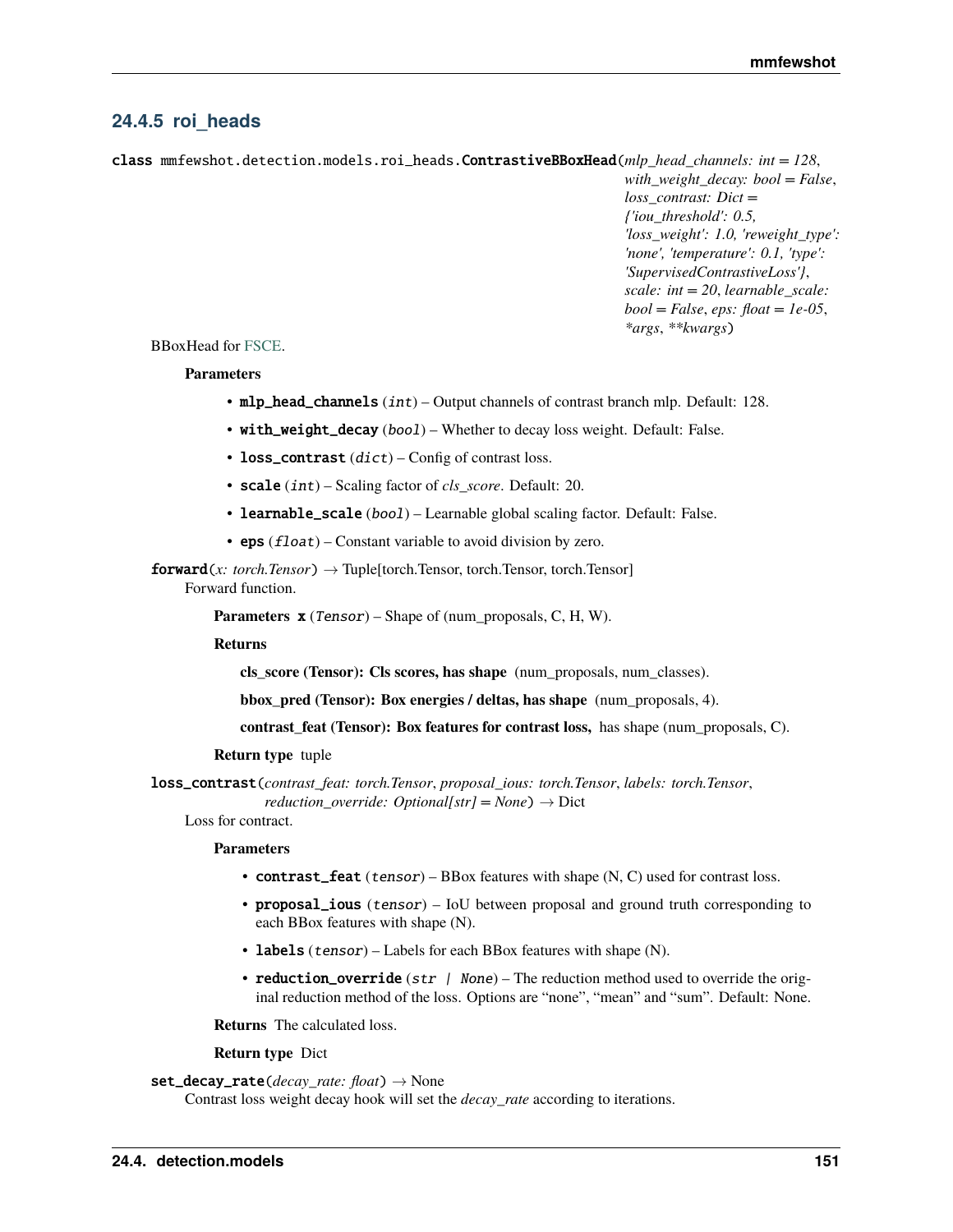## <span id="page-154-1"></span><span id="page-154-0"></span>**24.4.5 roi\_heads**

class mmfewshot.detection.models.roi\_heads.ContrastiveBBoxHead(*mlp\_head\_channels: int = 128*,

*with\_weight\_decay: bool = False*, *loss\_contrast: Dict = {'iou\_threshold': 0.5, 'loss\_weight': 1.0, 'reweight\_type': 'none', 'temperature': 0.1, 'type': 'SupervisedContrastiveLoss'}*, *scale: int = 20*, *learnable\_scale: bool = False*, *eps: float = 1e-05*, *\*args*, *\*\*kwargs*)

## BBoxHead for [FSCE.](https://arxiv.org/abs/2103.05950)

## **Parameters**

- $mlp\_head\_channels(int) Output channels of contrast branch mlp. Default: 128.$
- with\_weight\_decay (bool) Whether to decay loss weight. Default: False.
- loss\_contrast  $(dict)$  Config of contrast loss.
- scale (int) Scaling factor of *cls\_score*. Default: 20.
- learnable\_scale (bool) Learnable global scaling factor. Default: False.
- eps  $(f$ loat) Constant variable to avoid division by zero.

forward(*x: torch.Tensor*) → Tuple[torch.Tensor, torch.Tensor, torch.Tensor] Forward function.

**Parameters**  $\mathbf{x}$  (Tensor) – Shape of (num\_proposals, C, H, W).

#### **Returns**

**cls\_score (Tensor): Cls scores, has shape** (num\_proposals, num\_classes).

**bbox\_pred (Tensor): Box energies / deltas, has shape** (num\_proposals, 4).

**contrast\_feat (Tensor): Box features for contrast loss,** has shape (num\_proposals, C).

## **Return type** tuple

loss\_contrast(*contrast\_feat: torch.Tensor*, *proposal\_ious: torch.Tensor*, *labels: torch.Tensor*, *reduction\_override: Optional[str]* = *None*)  $\rightarrow$  Dict

Loss for contract.

#### **Parameters**

- **contrast\_feat** (*tensor*) BBox features with shape (N, C) used for contrast loss.
- proposal\_ious (tensor) IoU between proposal and ground truth corresponding to each BBox features with shape (N).
- labels (tensor) Labels for each BBox features with shape (N).
- reduction\_override ( $str$  / None) The reduction method used to override the original reduction method of the loss. Options are "none", "mean" and "sum". Default: None.

**Returns** The calculated loss.

## **Return type** Dict

## set\_decay\_rate(*decay\_rate: float*) → None

Contrast loss weight decay hook will set the *decay\_rate* according to iterations.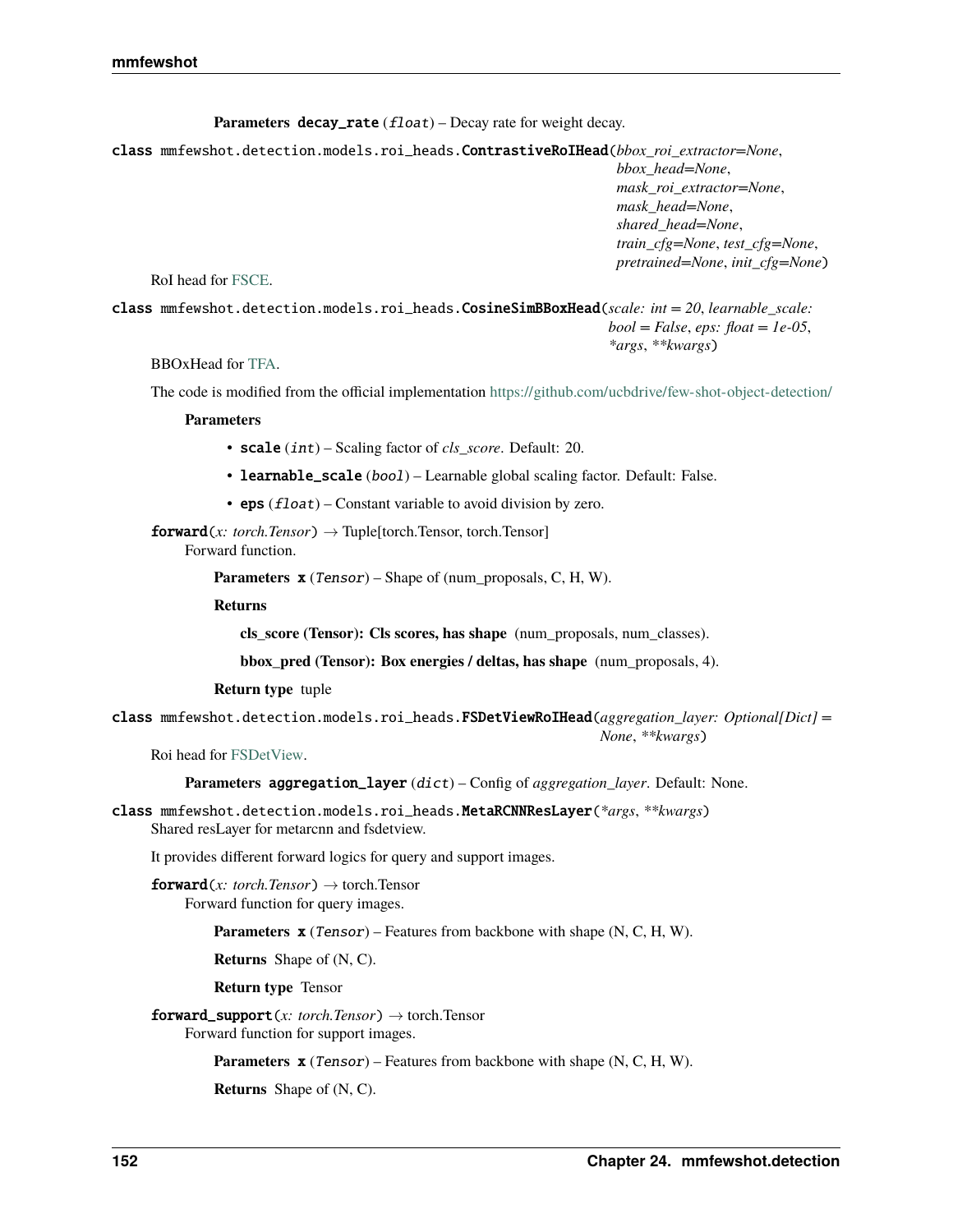**Parameters decay\_rate** (*float*) – Decay rate for weight decay.

<span id="page-155-0"></span>class mmfewshot.detection.models.roi\_heads.ContrastiveRoIHead(*bbox\_roi\_extractor=None*, *bbox\_head=None*, *mask\_roi\_extractor=None*, *mask\_head=None*, *shared\_head=None*, *train\_cfg=None*, *test\_cfg=None*, *pretrained=None*, *init\_cfg=None*)

RoI head for [FSCE.](https://arxiv.org/abs/2103.05950)

class mmfewshot.detection.models.roi\_heads.CosineSimBBoxHead(*scale: int = 20*, *learnable\_scale: bool = False*, *eps: float = 1e-05*, *\*args*, *\*\*kwargs*)

BBOxHead for [TFA.](https://arxiv.org/abs/2003.06957)

The code is modified from the official implementation <https://github.com/ucbdrive/few-shot-object-detection/>

**Parameters**

- scale (int) Scaling factor of *cls\_score*. Default: 20.
- learnable\_scale (bool) Learnable global scaling factor. Default: False.
- eps  $(float)$  Constant variable to avoid division by zero.

 $forward(x: *torch.Tensor*) \rightarrow Tuple[torch.Tensor, *torch.Tensor*]$ Forward function.

**Parameters x** (Tensor) – Shape of (num\_proposals, C, H, W).

**Returns**

**cls\_score (Tensor): Cls scores, has shape** (num\_proposals, num\_classes).

**bbox\_pred (Tensor): Box energies / deltas, has shape** (num\_proposals, 4).

**Return type** tuple

class mmfewshot.detection.models.roi\_heads.FSDetViewRoIHead(*aggregation\_layer: Optional[Dict] = None*, *\*\*kwargs*)

Roi head for [FSDetView.](https://arxiv.org/abs/2007.12107)

**Parameters** aggregation\_layer (dict) – Config of *aggregation\_layer*. Default: None.

class mmfewshot.detection.models.roi\_heads.MetaRCNNResLayer(*\*args*, *\*\*kwargs*) Shared resLayer for metarcnn and fsdetview.

It provides different forward logics for query and support images.

**forward**(*x: torch.Tensor*)  $\rightarrow$  torch.Tensor Forward function for query images.

**Parameters x** (*Tensor*) – Features from backbone with shape (N, C, H, W).

**Returns** Shape of (N, C).

**Return type** Tensor

**forward\_support**(*x: torch.Tensor*)  $\rightarrow$  torch.Tensor Forward function for support images.

**Parameters x** (Tensor) – Features from backbone with shape (N, C, H, W).

**Returns** Shape of (N, C).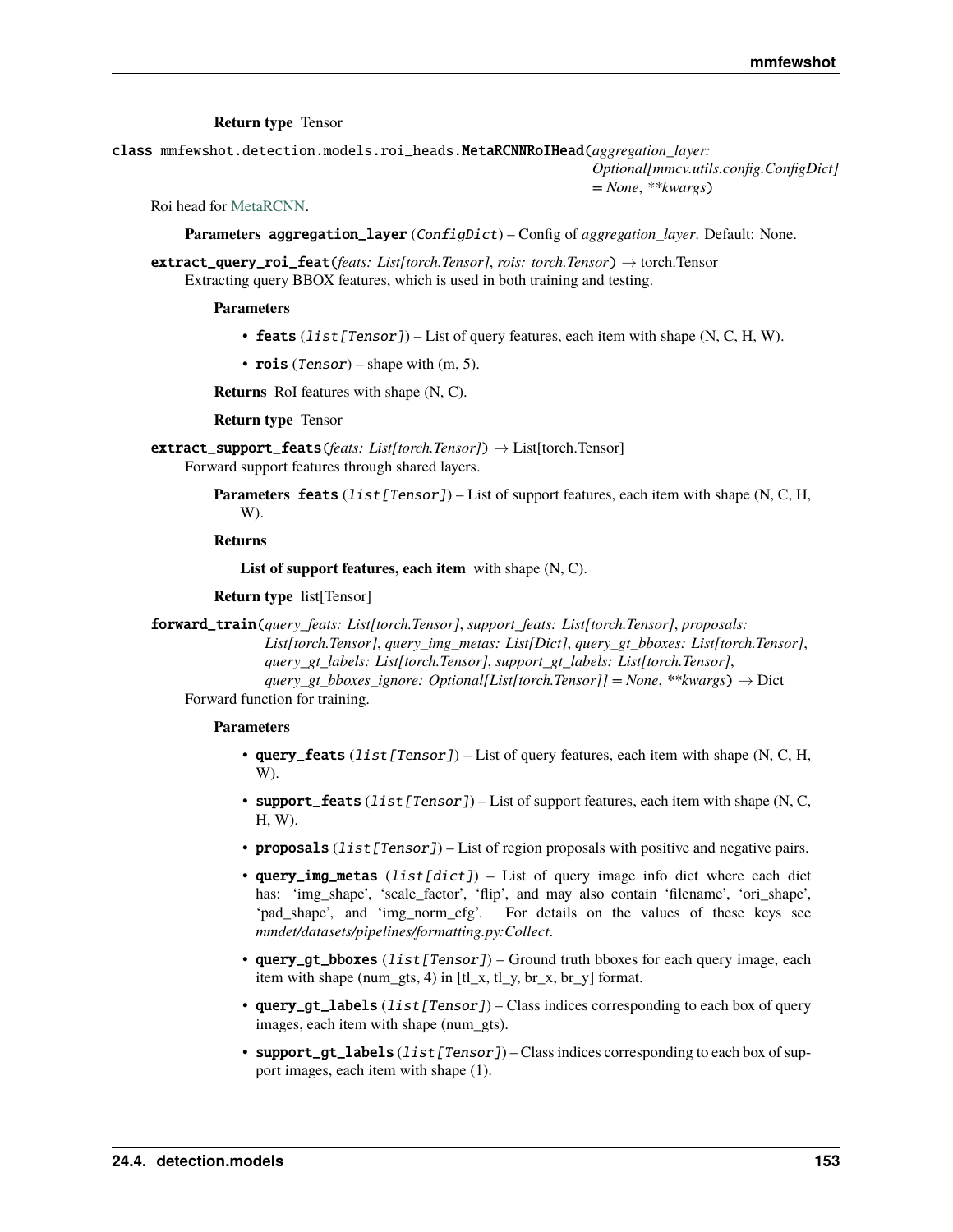**Return type** Tensor

<span id="page-156-0"></span>class mmfewshot.detection.models.roi\_heads.MetaRCNNRoIHead(*aggregation\_layer:*

*Optional[mmcv.utils.config.ConfigDict] = None*, *\*\*kwargs*)

Roi head for [MetaRCNN.](https://arxiv.org/abs/1909.13032)

**Parameters** aggregation\_layer (ConfigDict) – Config of *aggregation\_layer*. Default: None.

extract\_query\_roi\_feat(*feats: List[torch.Tensor]*, *rois: torch.Tensor*) → torch.Tensor Extracting query BBOX features, which is used in both training and testing.

**Parameters**

- feats  $(iist[Tensor]) List$  of query features, each item with shape  $(N, C, H, W)$ .
- rois (Tensor) shape with  $(m, 5)$ .

**Returns** RoI features with shape (N, C).

**Return type** Tensor

- extract\_support\_feats(*feats: List[torch.Tensor]*) → List[torch.Tensor] Forward support features through shared layers.
	- **Parameters feats** (list [Tensor]) List of support features, each item with shape (N, C, H, W).

#### **Returns**

**List of support features, each item** with shape (N, C).

**Return type** list[Tensor]

forward\_train(*query\_feats: List[torch.Tensor]*, *support\_feats: List[torch.Tensor]*, *proposals: List[torch.Tensor]*, *query\_img\_metas: List[Dict]*, *query\_gt\_bboxes: List[torch.Tensor]*, *query\_gt\_labels: List[torch.Tensor]*, *support\_gt\_labels: List[torch.Tensor]*, *query\_gt\_bboxes\_ignore: Optional[List[torch.Tensor]] = None*, *\*\*kwargs*) → Dict

Forward function for training.

- query\_feats  $(list[Tensor]) List of query features, each item with shape (N, C, H, I)$ W).
- support\_feats  $(ilist[Tensor]) List$  of support features, each item with shape (N, C, H, W).
- proposals  $(iist[Tensor]) List$  of region proposals with positive and negative pairs.
- query\_img\_metas  $(list[dict])$  List of query image info dict where each dict has: 'img\_shape', 'scale\_factor', 'flip', and may also contain 'filename', 'ori\_shape', 'pad\_shape', and 'img\_norm\_cfg'. For details on the values of these keys see *mmdet/datasets/pipelines/formatting.py:Collect*.
- query\_gt\_bboxes  $(list[Tensor] ) Ground truth bboxes for each query image, each$ item with shape (num\_gts, 4) in [tl\_x, tl\_y, br\_x, br\_y] format.
- query\_qt\_labels  $(list[Tensor]) Class$  indices corresponding to each box of query images, each item with shape (num\_gts).
- support\_gt\_labels (list [Tensor]) Class indices corresponding to each box of support images, each item with shape (1).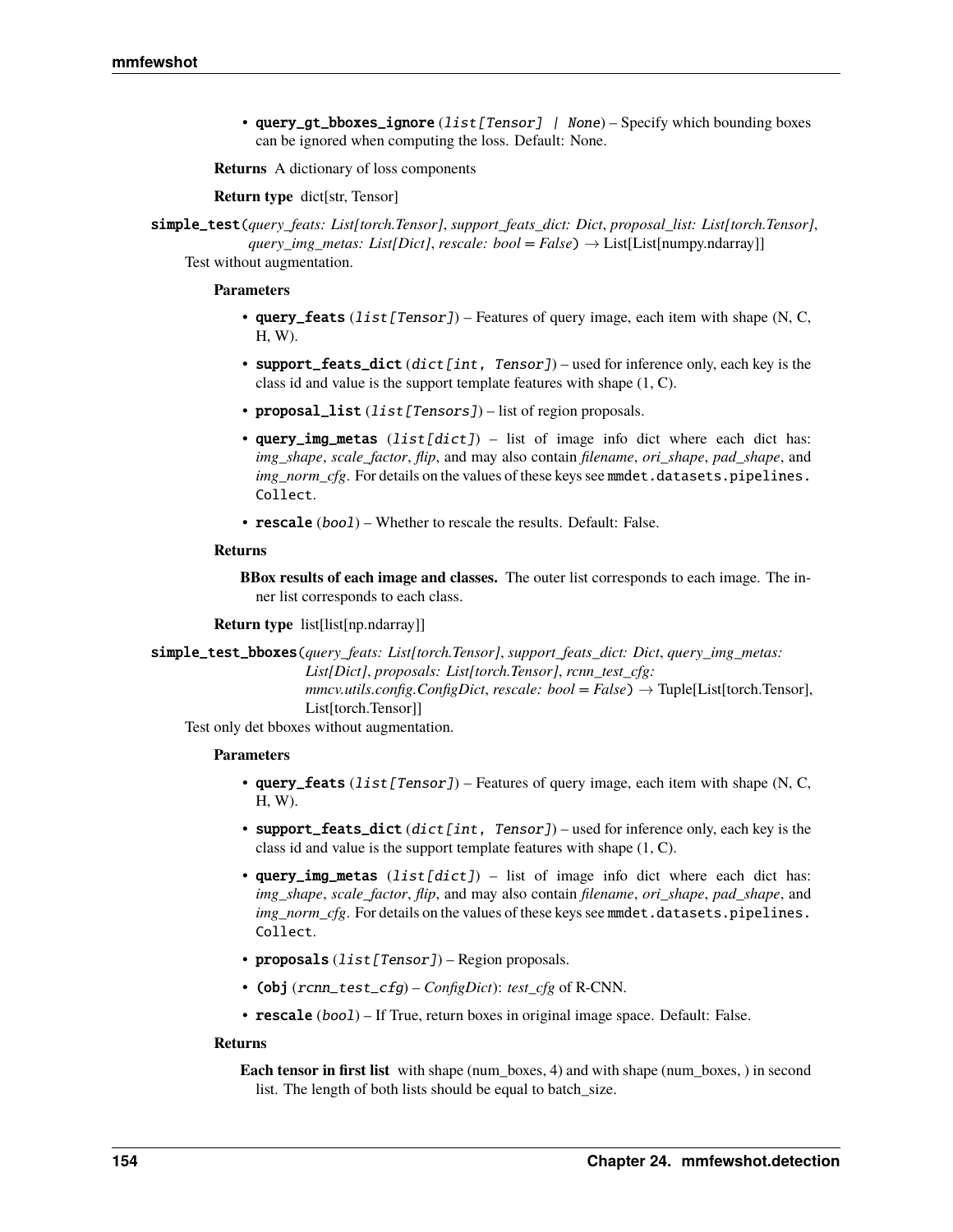<span id="page-157-0"></span>• query\_qt\_bboxes\_ignore  $(list[Tensor]$  | None) – Specify which bounding boxes can be ignored when computing the loss. Default: None.

**Returns** A dictionary of loss components

**Return type** dict[str, Tensor]

simple\_test(*query\_feats: List[torch.Tensor]*, *support\_feats\_dict: Dict*, *proposal\_list: List[torch.Tensor]*, *query\_img\_metas: List[Dict]*, *rescale: bool = False*) → List[List[numpy.ndarray]] Test without augmentation.

#### **Parameters**

- query\_feats  $(ilist[Tensor])$  Features of query image, each item with shape (N, C, H, W).
- support\_feats\_dict (dict [int, Tensor]) used for inference only, each key is the class id and value is the support template features with shape (1, C).
- proposal\_list (list [Tensors]) list of region proposals.
- query\_img\_metas  $(listfdict)$  list of image info dict where each dict has: *img\_shape*, *scale\_factor*, *flip*, and may also contain *filename*, *ori\_shape*, *pad\_shape*, and *img\_norm\_cfg*. For details on the values of these keys see mmdet.datasets.pipelines. Collect.
- rescale (bool) Whether to rescale the results. Default: False.

#### **Returns**

**BBox results of each image and classes.** The outer list corresponds to each image. The inner list corresponds to each class.

**Return type** list[list[np.ndarray]]

simple\_test\_bboxes(*query\_feats: List[torch.Tensor]*, *support\_feats\_dict: Dict*, *query\_img\_metas: List[Dict]*, *proposals: List[torch.Tensor]*, *rcnn\_test\_cfg: mmcv.utils.config.ConfigDict, rescale: bool* =  $False$ )  $\rightarrow$  Tuple[List[torch.Tensor], List[torch.Tensor]]

Test only det bboxes without augmentation.

#### **Parameters**

- query\_feats  $(iist[Tensor])$  Features of query image, each item with shape (N, C, H, W).
- support\_feats\_dict (dict [int, Tensor]) used for inference only, each key is the class id and value is the support template features with shape (1, C).
- query\_img\_metas  $(list[dict]) -$  list of image info dict where each dict has: *img\_shape*, *scale\_factor*, *flip*, and may also contain *filename*, *ori\_shape*, *pad\_shape*, and *img\_norm\_cfg*. For details on the values of these keys see mmdet.datasets.pipelines. Collect.
- **proposals** (*list* [*Tensor*]) Region proposals.
- (obj (rcnn\_test\_cfg) *ConfigDict*): *test\_cfg* of R-CNN.
- rescale (bool) If True, return boxes in original image space. Default: False.

## **Returns**

**Each tensor in first list** with shape (num\_boxes, 4) and with shape (num\_boxes, ) in second list. The length of both lists should be equal to batch\_size.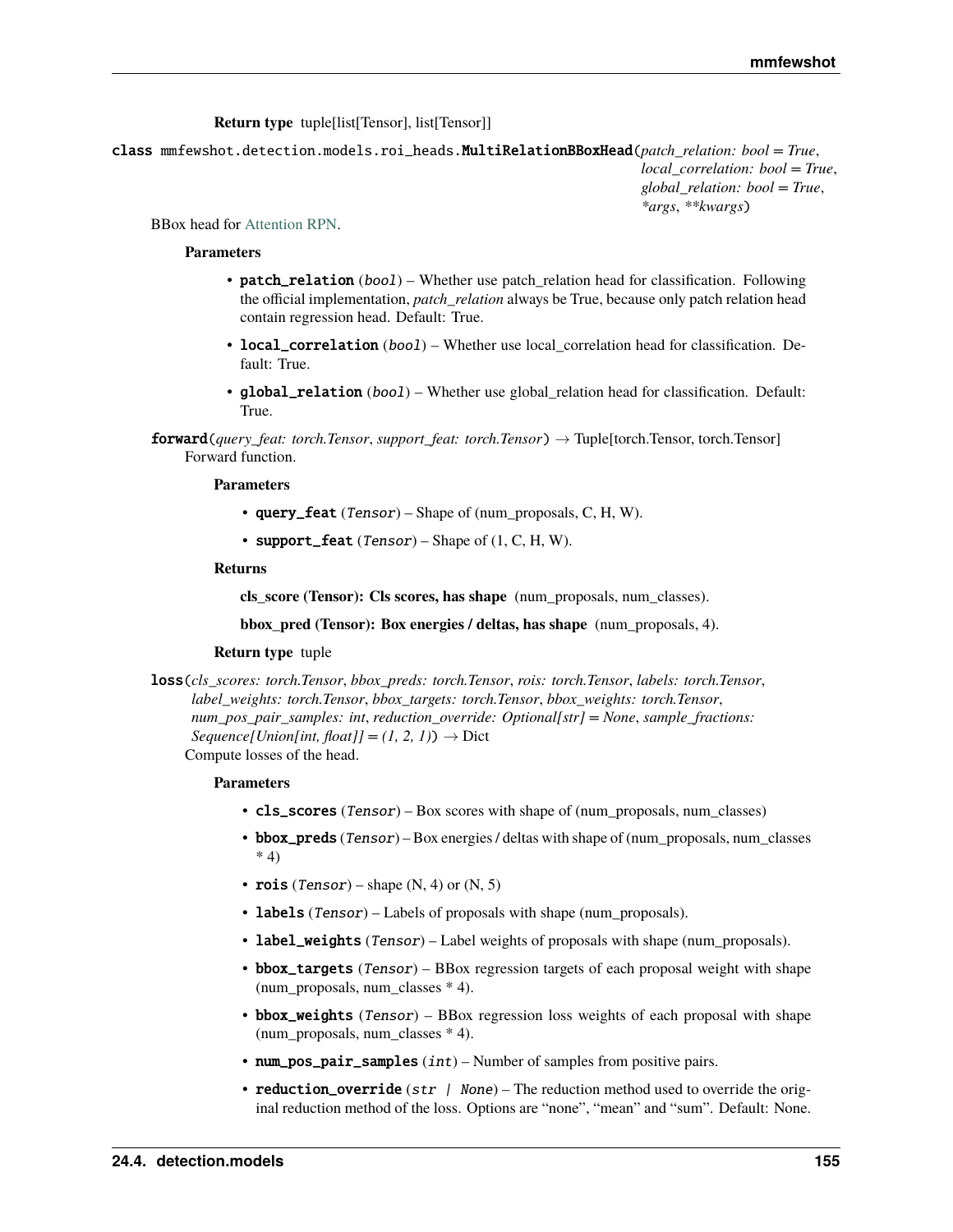**Return type** tuple[list[Tensor], list[Tensor]]

<span id="page-158-0"></span>class mmfewshot.detection.models.roi\_heads.MultiRelationBBoxHead(*patch\_relation: bool = True*, *local\_correlation: bool = True*,

*global\_relation: bool = True*, *\*args*, *\*\*kwargs*)

BBox head for [Attention RPN.](https://arxiv.org/abs/1908.01998)

#### **Parameters**

- patch\_relation (bool) Whether use patch\_relation head for classification. Following the official implementation, *patch\_relation* always be True, because only patch relation head contain regression head. Default: True.
- local\_correlation (bool) Whether use local\_correlation head for classification. Default: True.
- global\_relation (bool) Whether use global\_relation head for classification. Default: True.

forward(*query\_feat: torch.Tensor*, *support\_feat: torch.Tensor*) → Tuple[torch.Tensor, torch.Tensor] Forward function.

### **Parameters**

- query\_feat (Tensor) Shape of (num\_proposals, C, H, W).
- support\_feat  $(Tensor)$  Shape of  $(1, C, H, W)$ .

#### **Returns**

**cls\_score (Tensor): Cls scores, has shape** (num\_proposals, num\_classes).

**bbox\_pred (Tensor): Box energies / deltas, has shape** (num\_proposals, 4).

#### **Return type** tuple

loss(*cls\_scores: torch.Tensor*, *bbox\_preds: torch.Tensor*, *rois: torch.Tensor*, *labels: torch.Tensor*, *label\_weights: torch.Tensor*, *bbox\_targets: torch.Tensor*, *bbox\_weights: torch.Tensor*, *num\_pos\_pair\_samples: int*, *reduction\_override: Optional[str] = None*, *sample\_fractions: Sequence*[*Union[int, float]]* =  $(1, 2, 1)$   $\rightarrow$  Dict Compute losses of the head.

- cls\_scores (Tensor) Box scores with shape of (num\_proposals, num\_classes)
- bbox\_preds (Tensor) Box energies / deltas with shape of (num\_proposals, num\_classes \* 4)
- rois (Tensor) shape  $(N, 4)$  or  $(N, 5)$
- labels (Tensor) Labels of proposals with shape (num\_proposals).
- label\_weights (Tensor) Label weights of proposals with shape (num\_proposals).
- bbox\_targets (Tensor) BBox regression targets of each proposal weight with shape (num\_proposals, num\_classes \* 4).
- bbox\_weights (Tensor) BBox regression loss weights of each proposal with shape (num\_proposals, num\_classes \* 4).
- num\_pos\_pair\_samples  $(int)$  Number of samples from positive pairs.
- reduction\_override ( $str$  | None) The reduction method used to override the original reduction method of the loss. Options are "none", "mean" and "sum". Default: None.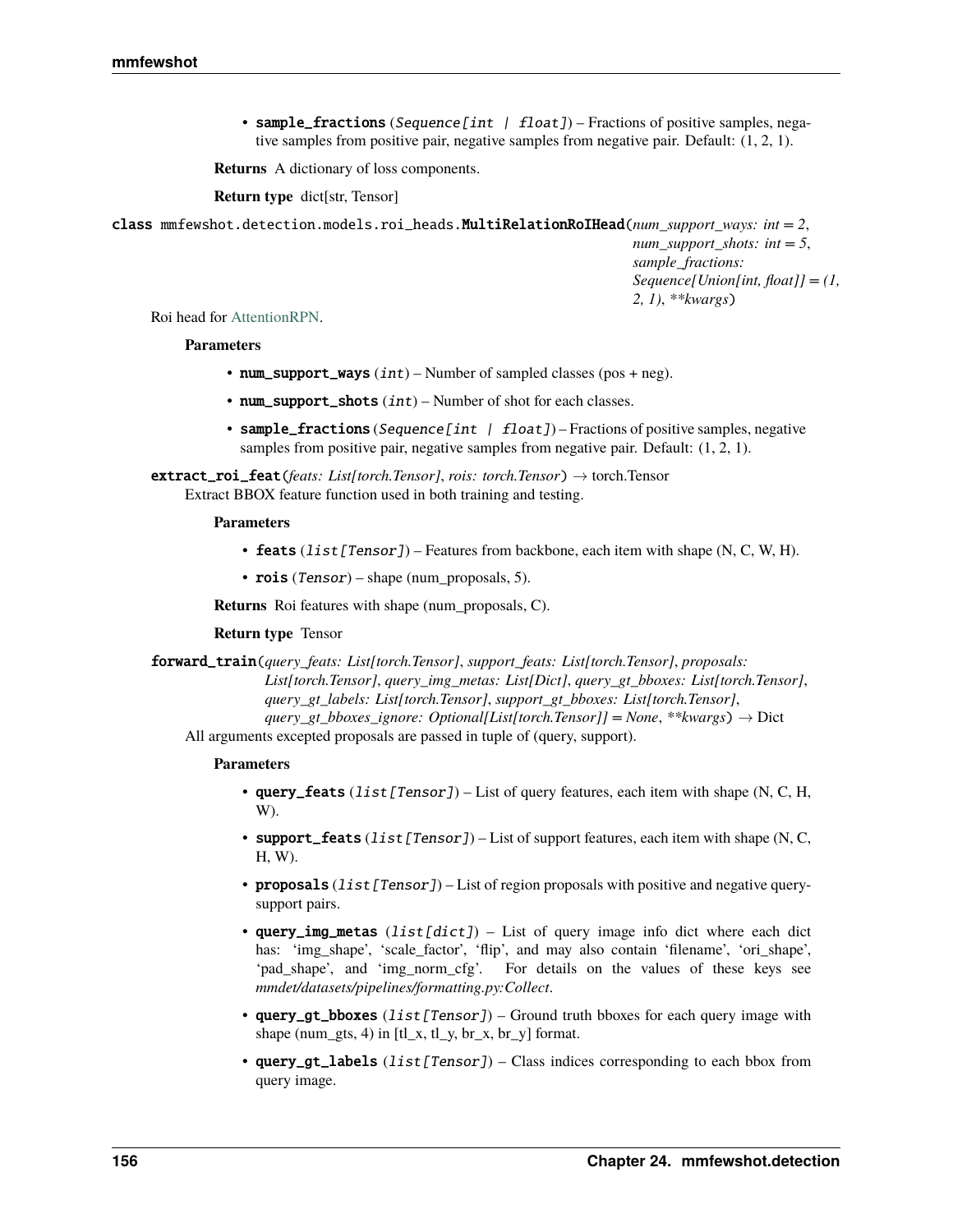<span id="page-159-0"></span>• sample\_fractions (Sequence [int | float]) – Fractions of positive samples, negative samples from positive pair, negative samples from negative pair. Default: (1, 2, 1).

**Returns** A dictionary of loss components.

**Return type** dict[str, Tensor]

class mmfewshot.detection.models.roi\_heads.MultiRelationRoIHead(*num\_support\_ways: int = 2*, *num\_support\_shots: int = 5*,

*sample\_fractions: Sequence[Union[int, float]] = (1, 2, 1)*, *\*\*kwargs*)

Roi head for [AttentionRPN.](https://arxiv.org/abs/1908.01998)

#### **Parameters**

- num\_support\_ways  $(int)$  Number of sampled classes (pos + neg).
- num\_support\_shots  $(int)$  Number of shot for each classes.
- sample\_fractions (Sequence [int | float]) Fractions of positive samples, negative samples from positive pair, negative samples from negative pair. Default: (1, 2, 1).

extract\_roi\_feat(*feats: List[torch.Tensor]*, *rois: torch.Tensor*) → torch.Tensor Extract BBOX feature function used in both training and testing.

#### **Parameters**

- feats  $(iist[Tensor])$  Features from backbone, each item with shape  $(N, C, W, H)$ .
- rois (Tensor) shape (num\_proposals, 5).

**Returns** Roi features with shape (num\_proposals, C).

## **Return type** Tensor

forward\_train(*query\_feats: List[torch.Tensor]*, *support\_feats: List[torch.Tensor]*, *proposals: List[torch.Tensor]*, *query\_img\_metas: List[Dict]*, *query\_gt\_bboxes: List[torch.Tensor]*, *query\_gt\_labels: List[torch.Tensor]*, *support\_gt\_bboxes: List[torch.Tensor]*, *query\_gt\_bboxes\_ignore: Optional[List[torch.Tensor]] = None*, *\*\*kwargs*) → Dict

All arguments excepted proposals are passed in tuple of (query, support).

- query\_feats  $(list[Tensor]) List$  of query features, each item with shape (N, C, H, W).
- support\_feats (list[Tensor]) List of support features, each item with shape (N, C, H, W).
- proposals (list [Tensor]) List of region proposals with positive and negative querysupport pairs.
- query\_img\_metas  $(list[dict]) List$  of query image info dict where each dict has: 'img\_shape', 'scale\_factor', 'flip', and may also contain 'filename', 'ori\_shape', 'pad\_shape', and 'img\_norm\_cfg'. For details on the values of these keys see *mmdet/datasets/pipelines/formatting.py:Collect*.
- query\_qt\_bboxes (list [Tensor]) Ground truth bboxes for each query image with shape (num\_gts, 4) in  $\left[t\right]_x$ ,  $t\left]_y$ ,  $\left[_x, \frac{b}{y} \right]_y$  format.
- query\_gt\_labels (list[Tensor]) Class indices corresponding to each bbox from query image.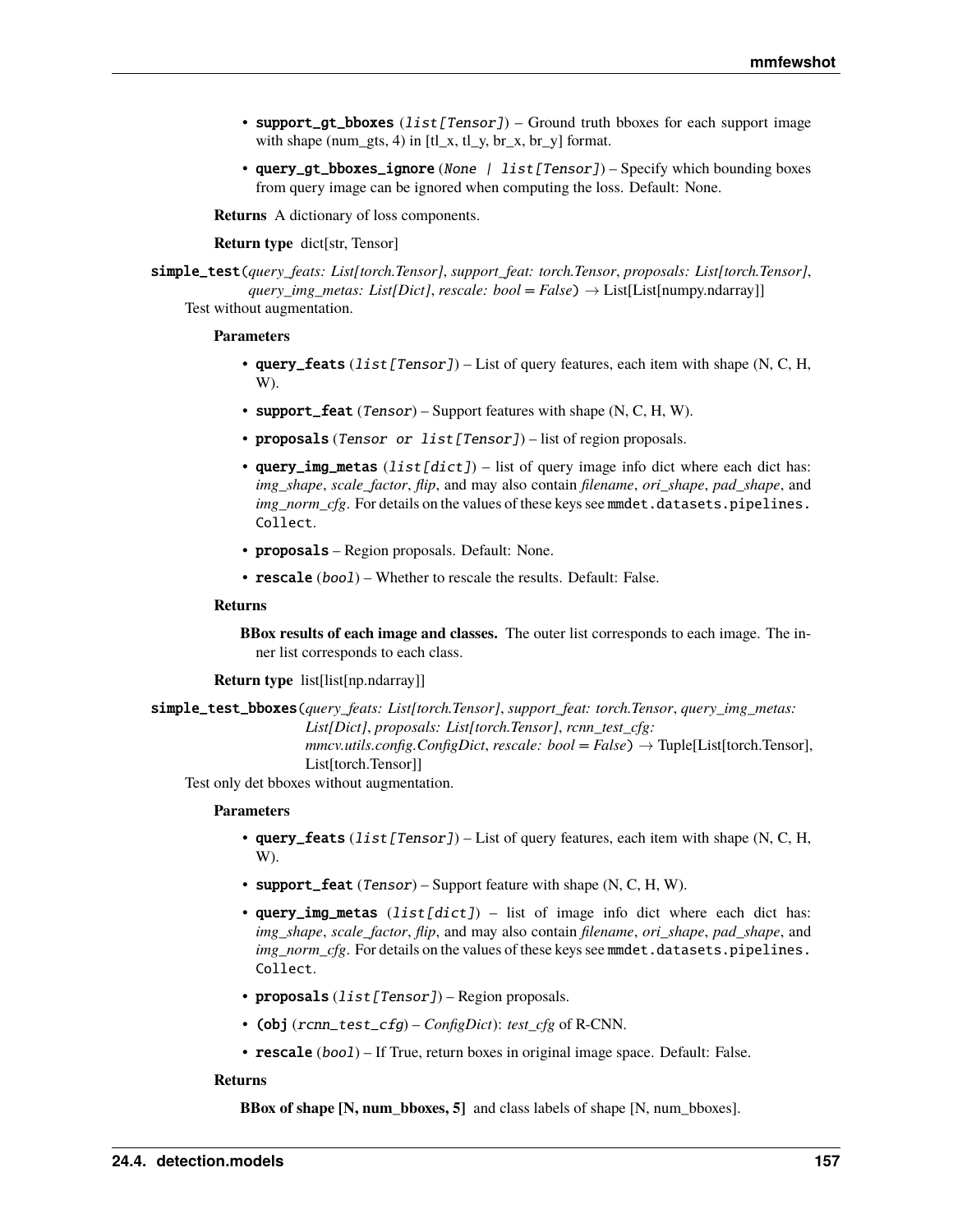- <span id="page-160-0"></span>• support\_qt\_bboxes  $(llist[Tensor]) - Ground truth$  bboxes for each support image with shape (num\_gts, 4) in  $[t_x, t_y, b_x, b_y]$  format.
- query\_gt\_bboxes\_ignore (None | list[Tensor]) Specify which bounding boxes from query image can be ignored when computing the loss. Default: None.

**Returns** A dictionary of loss components.

#### **Return type** dict[str, Tensor]

simple\_test(*query\_feats: List[torch.Tensor]*, *support\_feat: torch.Tensor*, *proposals: List[torch.Tensor]*, *query\_img\_metas: List[Dict]*, *rescale: bool = False*) → List[List[numpy.ndarray]] Test without augmentation.

#### **Parameters**

- query\_feats  $(ilist[Tensor]) List$  of query features, each item with shape (N, C, H, W).
- support\_feat  $(Tensor)$  Support features with shape  $(N, C, H, W)$ .
- proposals (Tensor or list [Tensor]) list of region proposals.
- query\_img\_metas  $(list[dict]) list of query image info dict where each dict has:$ *img\_shape*, *scale\_factor*, *flip*, and may also contain *filename*, *ori\_shape*, *pad\_shape*, and *img\_norm\_cfg*. For details on the values of these keys see mmdet.datasets.pipelines. Collect.
- proposals Region proposals. Default: None.
- rescale (bool) Whether to rescale the results. Default: False.

#### **Returns**

**BBox results of each image and classes.** The outer list corresponds to each image. The inner list corresponds to each class.

**Return type** list[list[np.ndarray]]

simple\_test\_bboxes(*query\_feats: List[torch.Tensor]*, *support\_feat: torch.Tensor*, *query\_img\_metas: List[Dict]*, *proposals: List[torch.Tensor]*, *rcnn\_test\_cfg:*  $\textit{mmcv.}$ *utils.config.ConfigDict, rescale: bool* = *False*)  $\rightarrow$  Tuple[List[torch.Tensor], List[torch.Tensor]]

Test only det bboxes without augmentation.

#### **Parameters**

- query\_feats  $(iist[Tensor]) List$  of query features, each item with shape (N, C, H, W).
- support\_feat  $(Tensor)$  Support feature with shape  $(N, C, H, W)$ .
- query\_img\_metas  $(list[dict]) list of image info dict where each dict has:$ *img\_shape*, *scale\_factor*, *flip*, and may also contain *filename*, *ori\_shape*, *pad\_shape*, and *img\_norm\_cfg*. For details on the values of these keys see mmdet.datasets.pipelines. Collect.
- proposals (list[Tensor]) Region proposals.
- (obj (rcnn\_test\_cfg) *ConfigDict*): *test\_cfg* of R-CNN.
- rescale (bool) If True, return boxes in original image space. Default: False.

### **Returns**

**BBox of shape [N, num\_bboxes, 5]** and class labels of shape [N, num\_bboxes].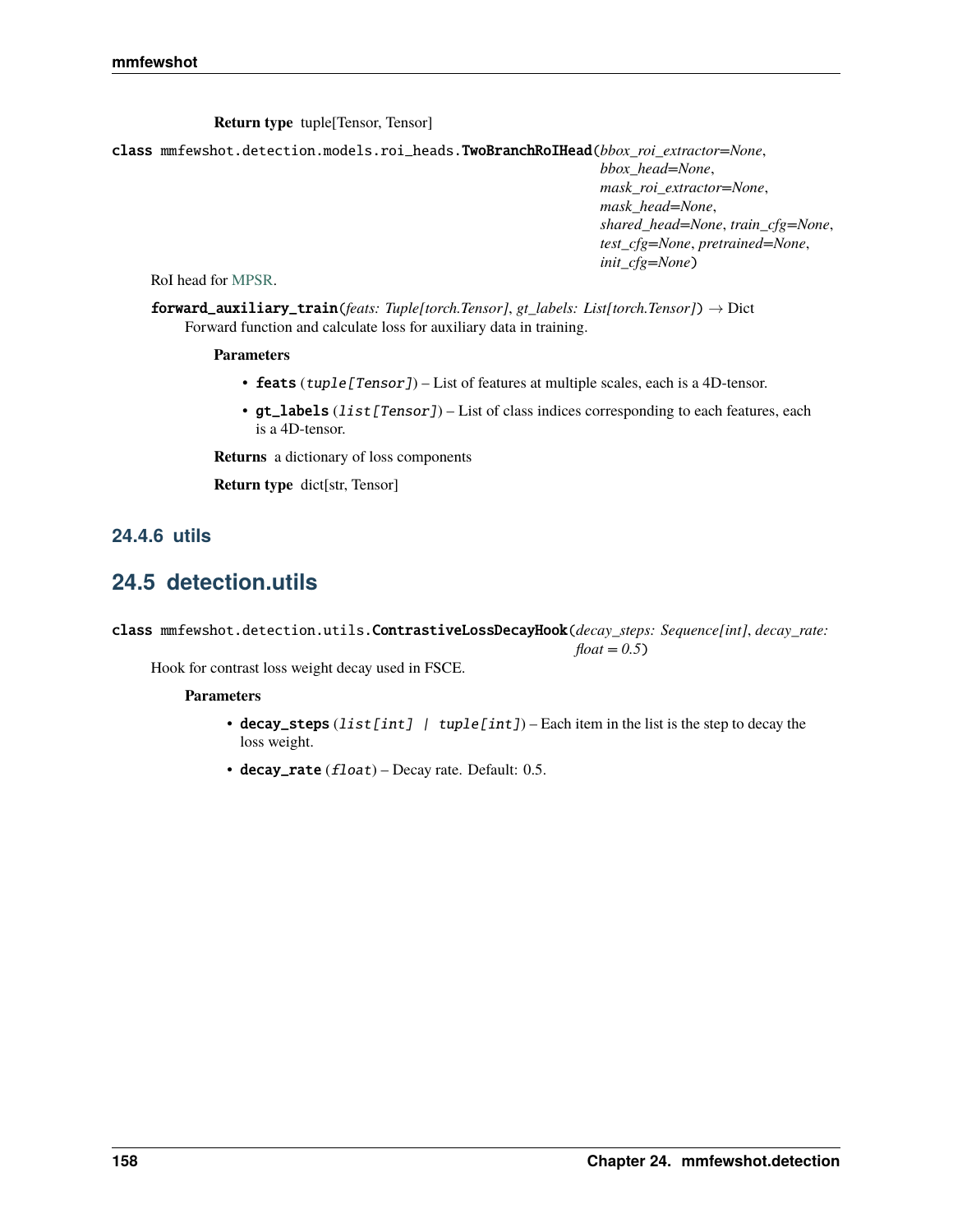**Return type** tuple[Tensor, Tensor]

<span id="page-161-1"></span>class mmfewshot.detection.models.roi\_heads.TwoBranchRoIHead(*bbox\_roi\_extractor=None*,

*bbox\_head=None*, *mask\_roi\_extractor=None*, *mask\_head=None*, *shared\_head=None*, *train\_cfg=None*, *test\_cfg=None*, *pretrained=None*, *init\_cfg=None*)

RoI head for [MPSR.](https://arxiv.org/abs/2007.09384)

forward\_auxiliary\_train(*feats: Tuple[torch.Tensor]*, *gt\_labels: List[torch.Tensor]*) → Dict Forward function and calculate loss for auxiliary data in training.

## **Parameters**

- feats (tuple[Tensor]) List of features at multiple scales, each is a 4D-tensor.
- $gt$ <sub>1</sub> abels (*list* [*Tensor]*) List of class indices corresponding to each features, each is a 4D-tensor.

**Returns** a dictionary of loss components

**Return type** dict[str, Tensor]

## **24.4.6 utils**

## <span id="page-161-0"></span>**24.5 detection.utils**

class mmfewshot.detection.utils.ContrastiveLossDecayHook(*decay\_steps: Sequence[int]*, *decay\_rate: float = 0.5*)

Hook for contrast loss weight decay used in FSCE.

- decay\_steps (list[int] | tuple[int]) Each item in the list is the step to decay the loss weight.
- $\bullet$  decay\_rate (float) Decay rate. Default: 0.5.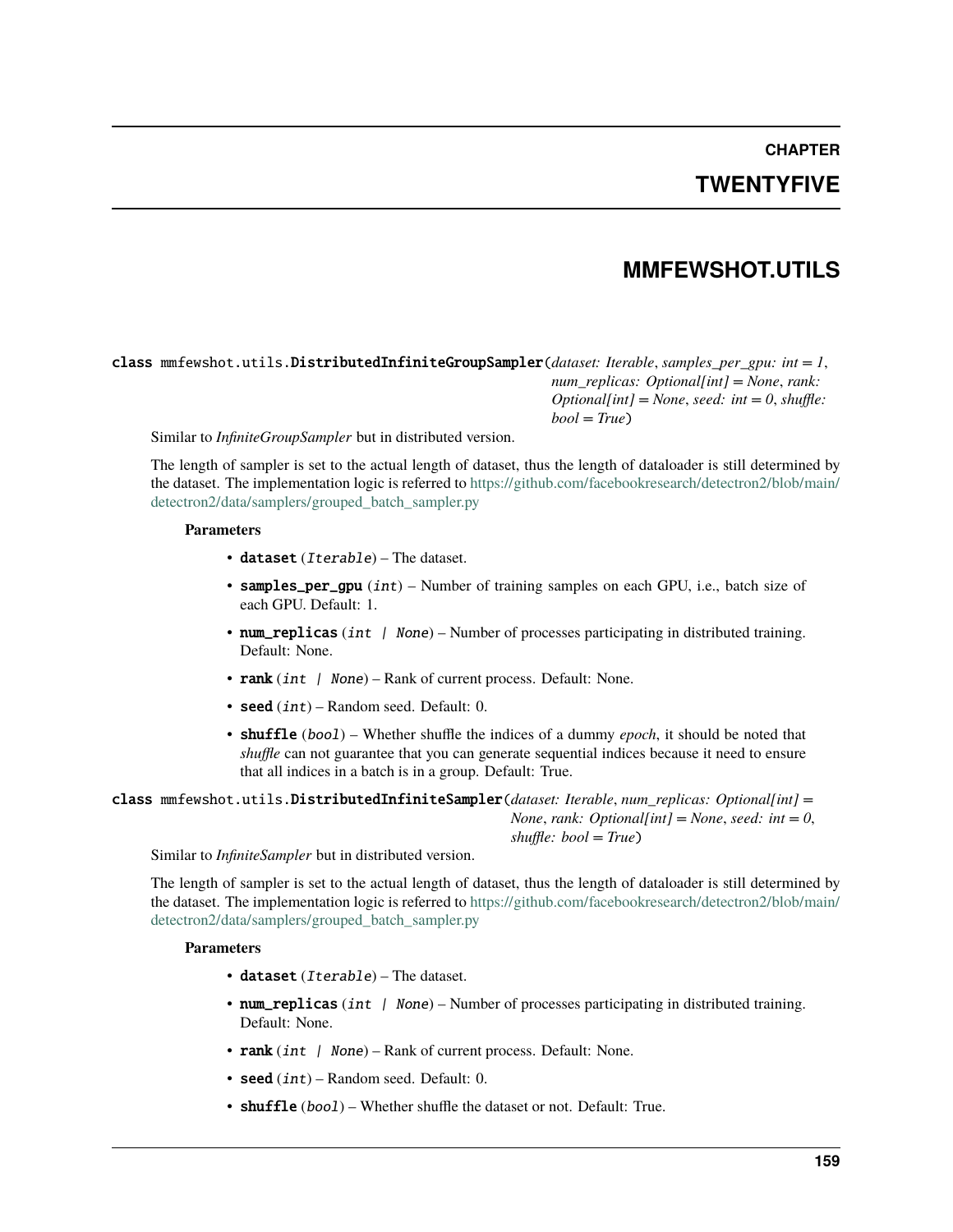# **CHAPTER TWENTYFIVE**

## **MMFEWSHOT.UTILS**

## <span id="page-162-1"></span><span id="page-162-0"></span>class mmfewshot.utils.DistributedInfiniteGroupSampler(*dataset: Iterable*, *samples\_per\_gpu: int = 1*, *num\_replicas: Optional[int] = None*, *rank: Optional[int] = None*, *seed: int = 0*, *shuffle: bool = True*)

Similar to *InfiniteGroupSampler* but in distributed version.

The length of sampler is set to the actual length of dataset, thus the length of dataloader is still determined by the dataset. The implementation logic is referred to [https://github.com/facebookresearch/detectron2/blob/main/](https://github.com/facebookresearch/detectron2/blob/main/detectron2/data/samplers/grouped_batch_sampler.py) [detectron2/data/samplers/grouped\\_batch\\_sampler.py](https://github.com/facebookresearch/detectron2/blob/main/detectron2/data/samplers/grouped_batch_sampler.py)

## **Parameters**

- dataset  $(Iterable)$  The dataset.
- samples\_per\_gpu (int) Number of training samples on each GPU, i.e., batch size of each GPU. Default: 1.
- num\_replicas (int | None) Number of processes participating in distributed training. Default: None.
- rank (int  $|$  None) Rank of current process. Default: None.
- seed  $(int)$  Random seed. Default: 0.
- **shuffle** (bool) Whether shuffle the indices of a dummy *epoch*, it should be noted that *shuffle* can not guarantee that you can generate sequential indices because it need to ensure that all indices in a batch is in a group. Default: True.

class mmfewshot.utils.DistributedInfiniteSampler(*dataset: Iterable*, *num\_replicas: Optional[int] = None*, *rank: Optional[int] = None*, *seed: int = 0*, *shuffle: bool = True*)

Similar to *InfiniteSampler* but in distributed version.

The length of sampler is set to the actual length of dataset, thus the length of dataloader is still determined by the dataset. The implementation logic is referred to [https://github.com/facebookresearch/detectron2/blob/main/](https://github.com/facebookresearch/detectron2/blob/main/detectron2/data/samplers/grouped_batch_sampler.py) [detectron2/data/samplers/grouped\\_batch\\_sampler.py](https://github.com/facebookresearch/detectron2/blob/main/detectron2/data/samplers/grouped_batch_sampler.py)

- dataset (Iterable) The dataset.
- num\_replicas (int | None) Number of processes participating in distributed training. Default: None.
- rank (int  $|$  None) Rank of current process. Default: None.
- seed  $(int)$  Random seed. Default: 0.
- shuffle (bool) Whether shuffle the dataset or not. Default: True.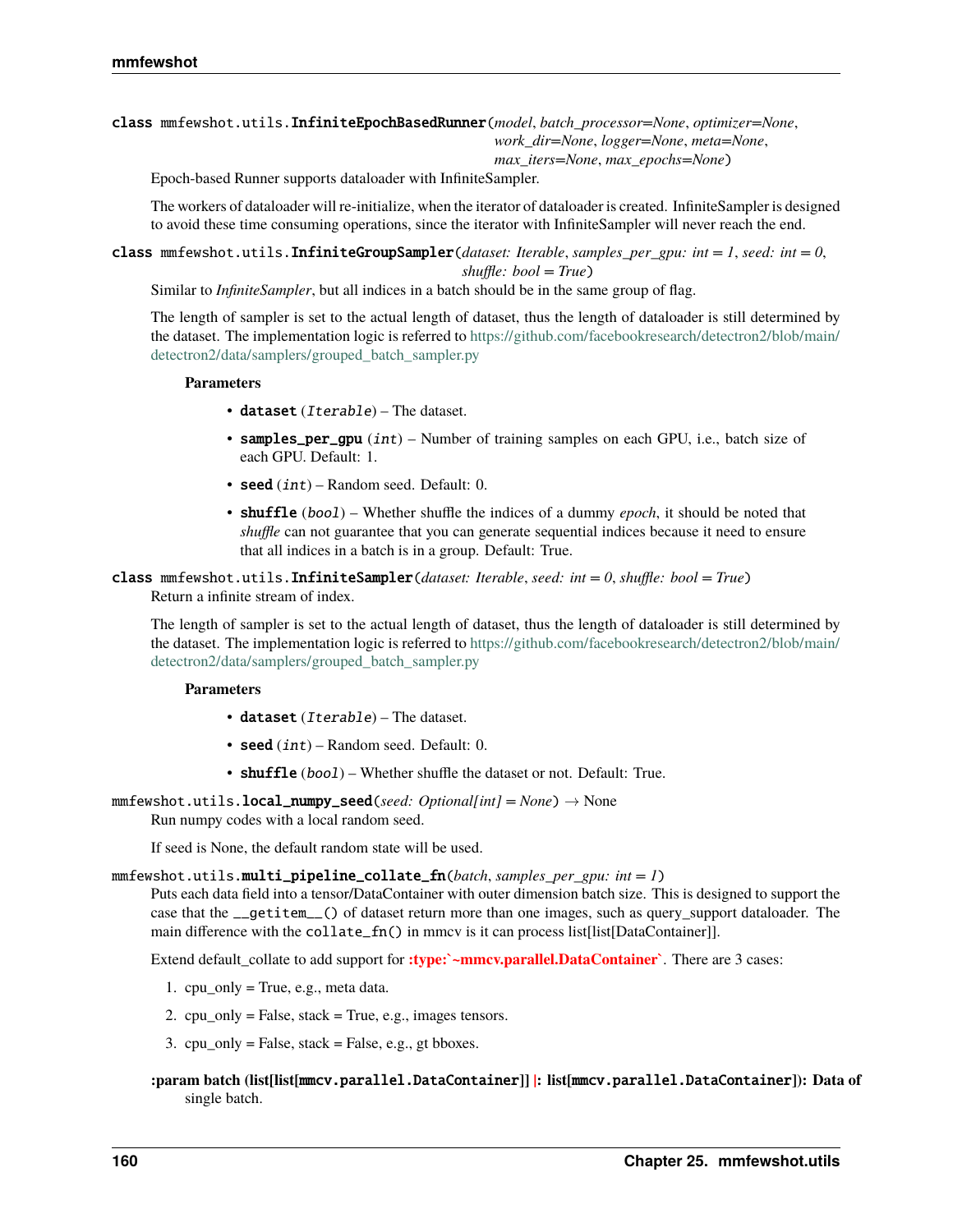## <span id="page-163-0"></span>class mmfewshot.utils.InfiniteEpochBasedRunner(*model*, *batch\_processor=None*, *optimizer=None*, *work\_dir=None*, *logger=None*, *meta=None*, *max\_iters=None*, *max\_epochs=None*)

Epoch-based Runner supports dataloader with InfiniteSampler.

The workers of dataloader will re-initialize, when the iterator of dataloader is created. InfiniteSampler is designed to avoid these time consuming operations, since the iterator with InfiniteSampler will never reach the end.

class mmfewshot.utils.InfiniteGroupSampler(*dataset: Iterable*, *samples\_per\_gpu: int = 1*, *seed: int = 0*, *shuffle: bool = True*)

Similar to *InfiniteSampler*, but all indices in a batch should be in the same group of flag.

The length of sampler is set to the actual length of dataset, thus the length of dataloader is still determined by the dataset. The implementation logic is referred to [https://github.com/facebookresearch/detectron2/blob/main/](https://github.com/facebookresearch/detectron2/blob/main/detectron2/data/samplers/grouped_batch_sampler.py) [detectron2/data/samplers/grouped\\_batch\\_sampler.py](https://github.com/facebookresearch/detectron2/blob/main/detectron2/data/samplers/grouped_batch_sampler.py)

### **Parameters**

- dataset (*Iterable*) The dataset.
- samples\_per\_gpu  $(int)$  Number of training samples on each GPU, i.e., batch size of each GPU. Default: 1.
- seed  $(int)$  Random seed. Default: 0.
- **shuffle** (bool) Whether shuffle the indices of a dummy *epoch*, it should be noted that *shuffle* can not guarantee that you can generate sequential indices because it need to ensure that all indices in a batch is in a group. Default: True.

### class mmfewshot.utils.InfiniteSampler(*dataset: Iterable*, *seed: int = 0*, *shuffle: bool = True*) Return a infinite stream of index.

The length of sampler is set to the actual length of dataset, thus the length of dataloader is still determined by the dataset. The implementation logic is referred to [https://github.com/facebookresearch/detectron2/blob/main/](https://github.com/facebookresearch/detectron2/blob/main/detectron2/data/samplers/grouped_batch_sampler.py) [detectron2/data/samplers/grouped\\_batch\\_sampler.py](https://github.com/facebookresearch/detectron2/blob/main/detectron2/data/samplers/grouped_batch_sampler.py)

## **Parameters**

- dataset (*Iterable*) The dataset.
- seed  $(int)$  Random seed. Default: 0.
- shuffle  $(boo1)$  Whether shuffle the dataset or not. Default: True.

mmfewshot.utils.local\_numpy\_seed(*seed: Optional[int] = None*) → None

Run numpy codes with a local random seed.

If seed is None, the default random state will be used.

#### mmfewshot.utils.multi\_pipeline\_collate\_fn(*batch*, *samples\_per\_gpu: int = 1*)

Puts each data field into a tensor/DataContainer with outer dimension batch size. This is designed to support the case that the \_\_getitem\_\_() of dataset return more than one images, such as query\_support dataloader. The main difference with the collate\_fn() in mmcv is it can process list[list[DataContainer]].

Extend default\_collate to add support for **:type:`~mmcv.parallel.DataContainer**`. There are 3 cases:

- 1. cpu\_only = True, e.g., meta data.
- 2. cpu\_only = False, stack = True, e.g., images tensors.
- 3.  $cpu_0nly = False$ , stack = False, e.g., gt bboxes.
- **:param batch (list[list[**mmcv.parallel.DataContainer**]] |: list[**mmcv.parallel.DataContainer**]): Data of** single batch.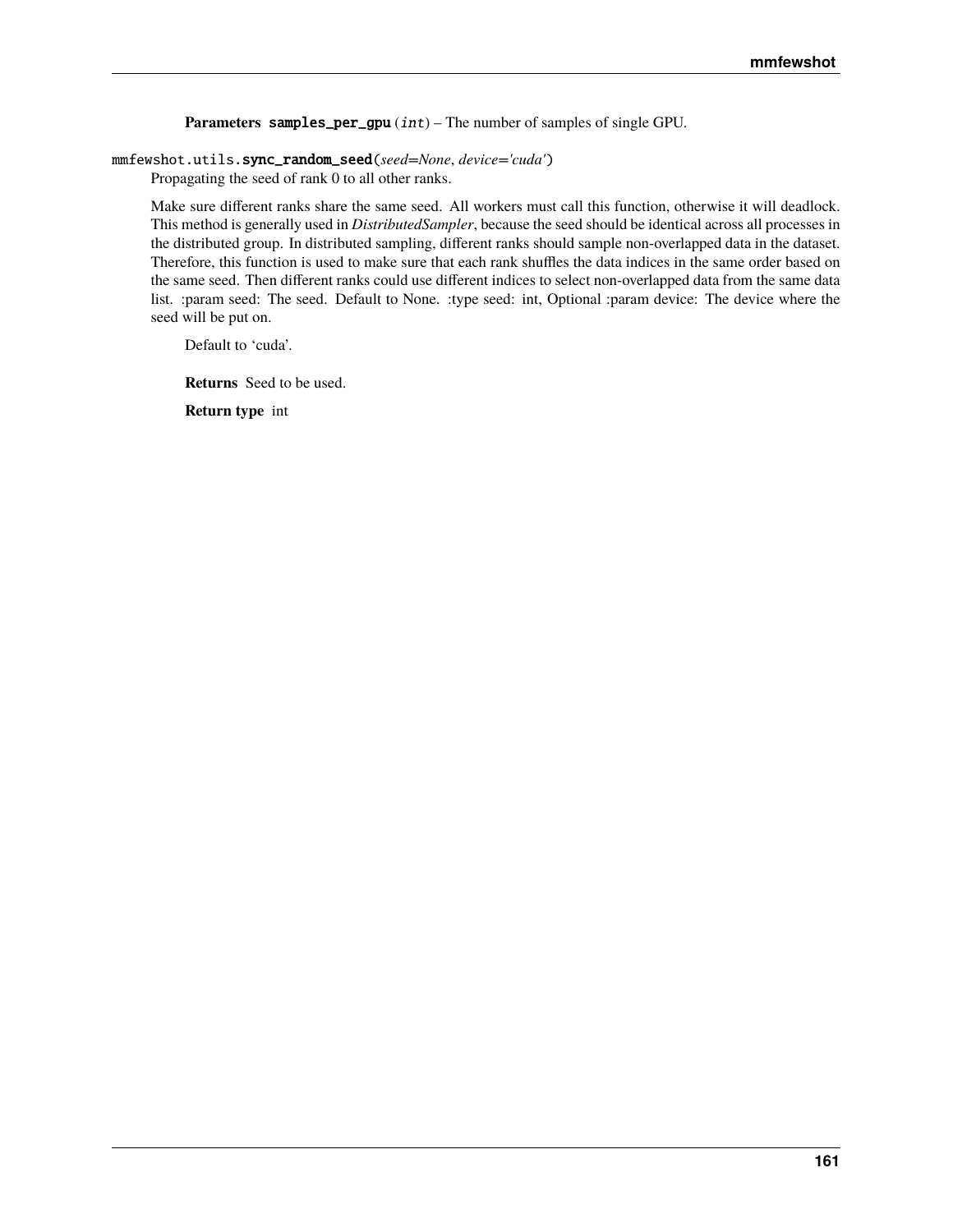<span id="page-164-0"></span>**Parameters** samples\_per\_gpu (int) – The number of samples of single GPU.

#### mmfewshot.utils.sync\_random\_seed(*seed=None*, *device='cuda'*)

Propagating the seed of rank 0 to all other ranks.

Make sure different ranks share the same seed. All workers must call this function, otherwise it will deadlock. This method is generally used in *DistributedSampler*, because the seed should be identical across all processes in the distributed group. In distributed sampling, different ranks should sample non-overlapped data in the dataset. Therefore, this function is used to make sure that each rank shuffles the data indices in the same order based on the same seed. Then different ranks could use different indices to select non-overlapped data from the same data list. :param seed: The seed. Default to None. :type seed: int, Optional :param device: The device where the seed will be put on.

Default to 'cuda'.

**Returns** Seed to be used.

**Return type** int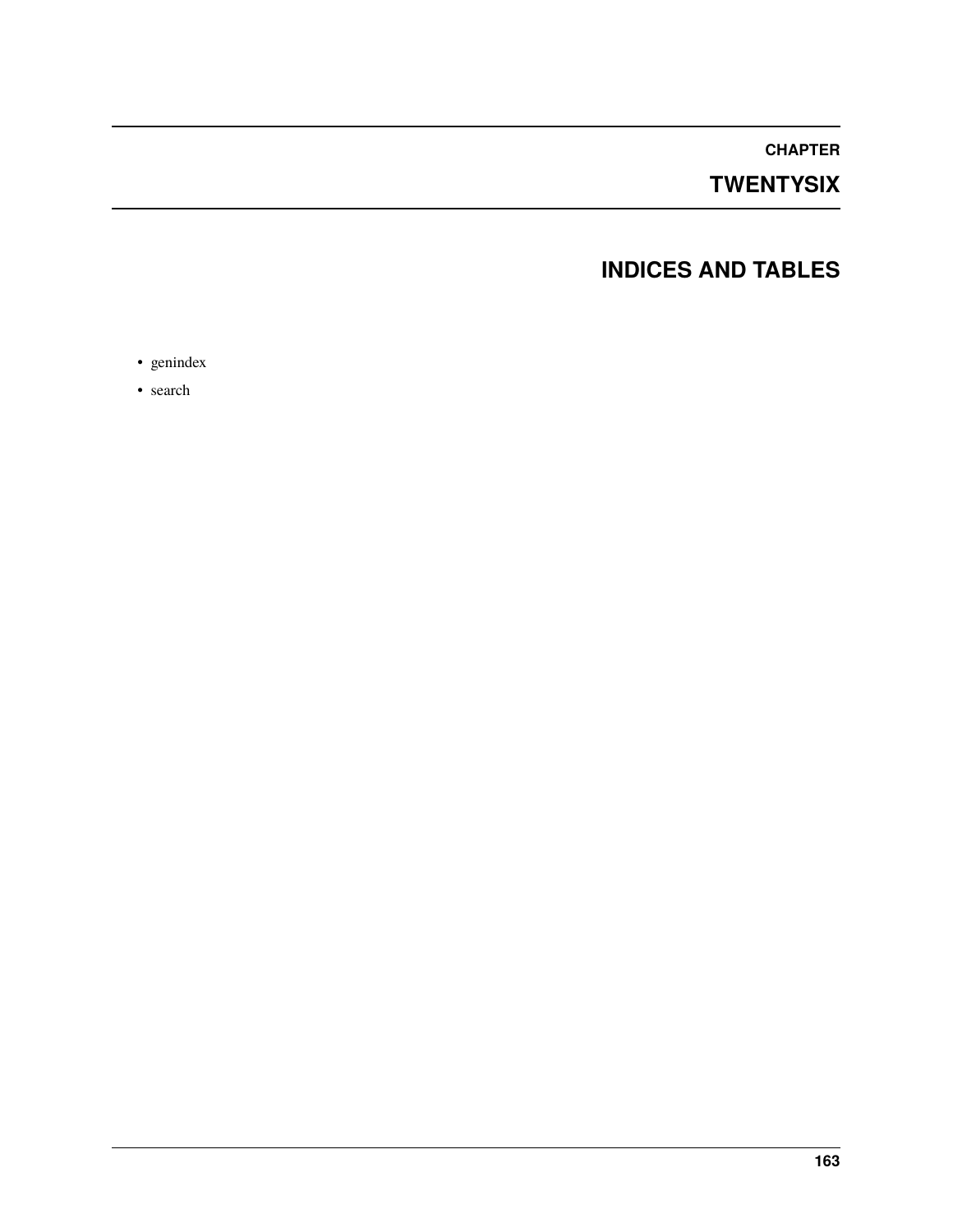**CHAPTER**

# **TWENTYSIX**

# **INDICES AND TABLES**

• genindex

• search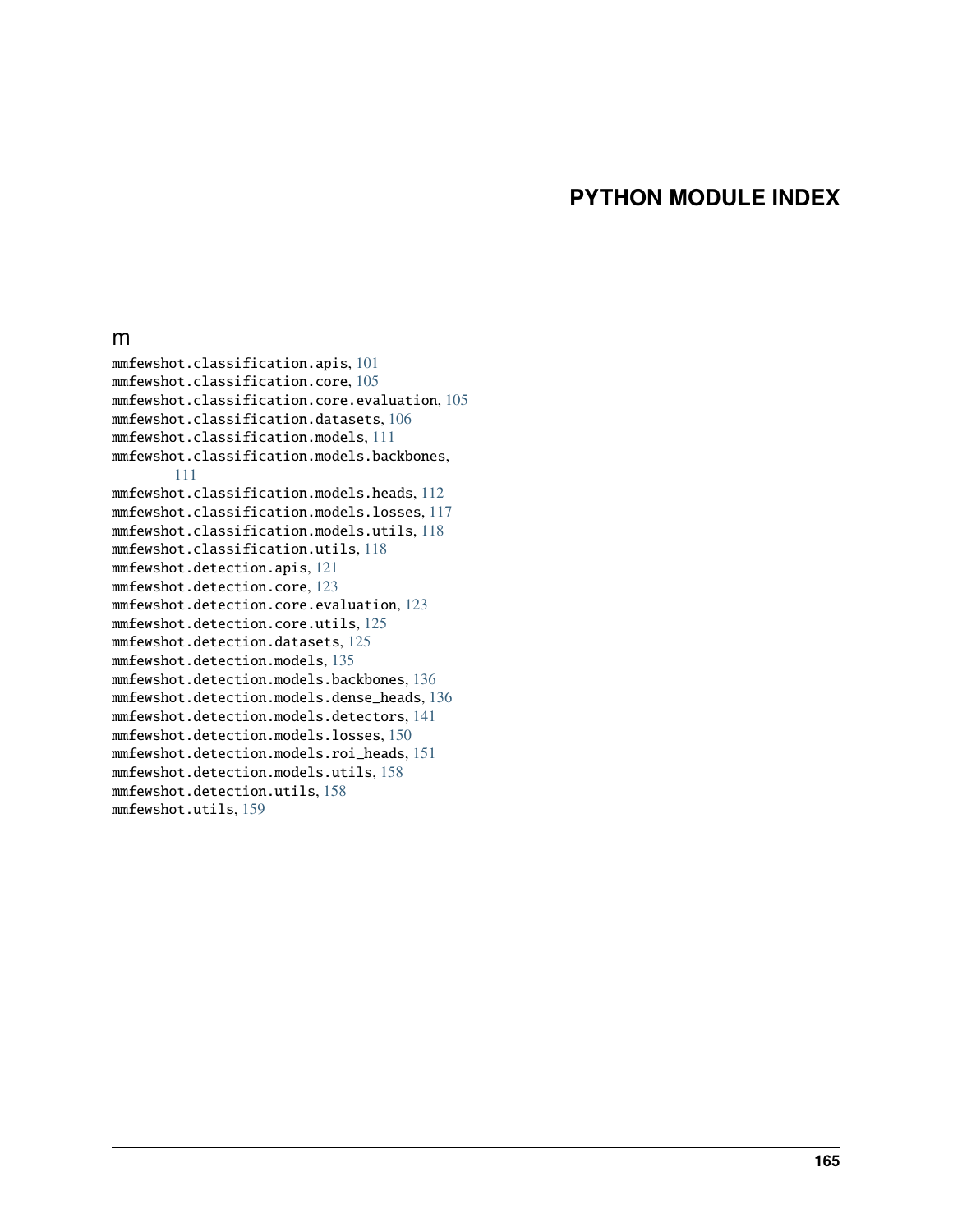## **PYTHON MODULE INDEX**

## m

mmfewshot.classification.apis, [101](#page-104-0) mmfewshot.classification.core, [105](#page-108-0) mmfewshot.classification.core.evaluation, [105](#page-108-1) mmfewshot.classification.datasets, [106](#page-109-0) mmfewshot.classification.models, [111](#page-114-0) mmfewshot.classification.models.backbones, [111](#page-114-1) mmfewshot.classification.models.heads, [112](#page-115-0) mmfewshot.classification.models.losses, [117](#page-120-0) mmfewshot.classification.models.utils, [118](#page-121-0) mmfewshot.classification.utils, [118](#page-121-1) mmfewshot.detection.apis, [121](#page-124-0) mmfewshot.detection.core, [123](#page-126-0) mmfewshot.detection.core.evaluation, [123](#page-126-1) mmfewshot.detection.core.utils, [125](#page-128-0) mmfewshot.detection.datasets, [125](#page-128-1) mmfewshot.detection.models, [135](#page-138-0) mmfewshot.detection.models.backbones, [136](#page-139-0) mmfewshot.detection.models.dense\_heads, [136](#page-139-1) mmfewshot.detection.models.detectors, [141](#page-144-0) mmfewshot.detection.models.losses, [150](#page-153-0) mmfewshot.detection.models.roi\_heads, [151](#page-154-0) mmfewshot.detection.models.utils, [158](#page-161-0) mmfewshot.detection.utils, [158](#page-161-0) mmfewshot.utils, [159](#page-162-0)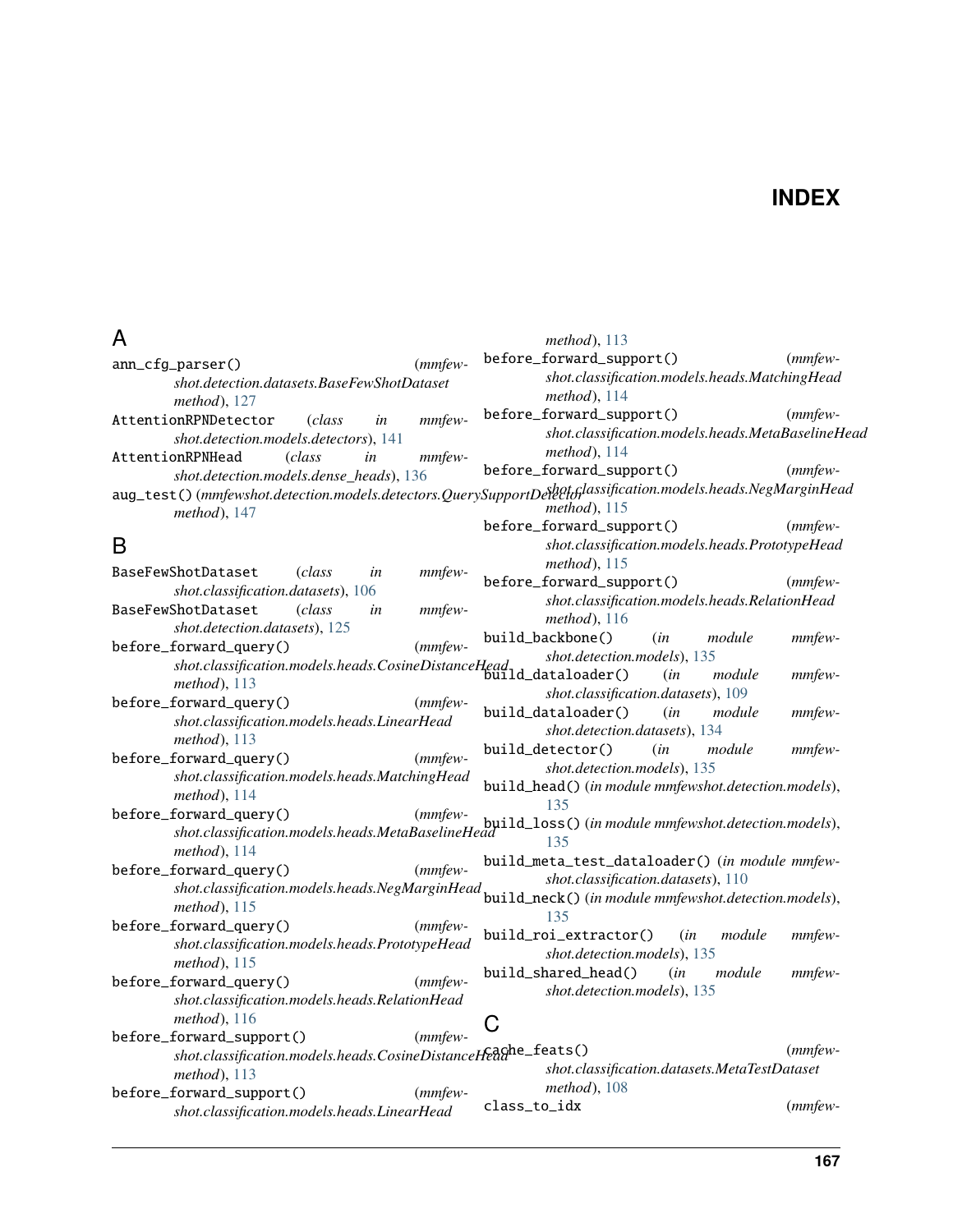# **INDEX**

# A

| A                                                                                                       | $method$ ), 113                                                                                                                 |
|---------------------------------------------------------------------------------------------------------|---------------------------------------------------------------------------------------------------------------------------------|
| $(mmfew-$<br>ann_cfg_parser()                                                                           | before_forward_support()<br>$(mmfew-$                                                                                           |
| shot.detection.datasets.BaseFewShotDataset<br>method), 127                                              | shot.classification.models.heads.MatchingHead<br>$method$ ), 114                                                                |
| AttentionRPNDetector<br><i>class</i><br>mmfew-<br>in                                                    | before_forward_support()<br>$(mmfew-$                                                                                           |
| shot.detection.models.detectors), 141<br>AttentionRPNHead<br>mmfew-<br>(class<br>in                     | shot.classification.models.heads.MetaBaselineHead<br>method), $114$                                                             |
| shot.detection.models.dense_heads), 136                                                                 | before_forward_support()<br>$(mmfew-$                                                                                           |
| method), 147                                                                                            | aug_test()(mmfewshot.detection.models.detectors.QuerySupportDetectodlassification.models.heads.NegMarginHead<br>$method$ ), 115 |
|                                                                                                         | before_forward_support()<br>$(mmfew-$                                                                                           |
| B<br>BaseFewShotDataset<br>(class)<br>mmfew-<br>in                                                      | shot.classification.models.heads.PrototypeHead<br>$method$ ), 115                                                               |
| <i>shot.classification.datasets</i> ), 106                                                              | before_forward_support()<br>$(mmfew-$                                                                                           |
| BaseFewShotDataset<br>(class<br>mmfew-<br>in<br>shot.detection.datasets), 125                           | shot.classification.models.heads.RelationHead<br>method), 116                                                                   |
| before_forward_query()<br>$(mmfew-$                                                                     | build_backbone()<br>module<br>$mmfew-$<br>(in                                                                                   |
| shor.classification.models.heads.CosineDistanceHead shor.classification.models.heads.CosineDistanceHead | shot.detection.models), 135                                                                                                     |
| method), 113                                                                                            | (in<br>module<br>mmfew-                                                                                                         |
| $(mmfew-$<br>before_forward_query()                                                                     | shot.classification.datasets), 109                                                                                              |
| shot.classification.models.heads.LinearHead<br>$method$ ), 113                                          | build_dataloader()<br>mmfew-<br>(in<br>module<br>shot.detection.datasets), 134                                                  |
| before_forward_query()<br>$(mmfew-$                                                                     | build_detector()<br>(in<br>module<br>mmfew-                                                                                     |
| shot.classification.models.heads.MatchingHead<br>method), 114                                           | shot.detection.models), 135<br>build_head() (in module mmfewshot.detection.models),                                             |
| before_forward_query()                                                                                  | 135                                                                                                                             |
|                                                                                                         | shot.classification.models.heads.MetaBaselineHead<br>and the formulation.models.heads.MetaBaselineHead                          |
| method), 114                                                                                            | build_meta_test_dataloader() (in module mmfew-                                                                                  |
| before_forward_query()<br>$(mmfew-$                                                                     | shot.classification.datasets), 110                                                                                              |
| shot.classification.models.heads.NegMarginHead                                                          | build_neck() (in module mmfewshot.detection.models),                                                                            |
| $method$ ), 115                                                                                         | 135                                                                                                                             |
| before_forward_query()<br>$(mmfew-$                                                                     | build_roi_extractor()<br>mmfew-<br>(in<br>module                                                                                |
| shot.classification.models.heads.PrototypeHead<br>$method$ ), 115                                       | shot.detection.models), 135                                                                                                     |
| $(mmfew-$<br>before_forward_query()                                                                     | build_shared_head()<br>(in<br>module<br>mmfew-                                                                                  |
| shot.classification.models.heads.RelationHead                                                           | shot.detection.models), 135                                                                                                     |
| $method$ ), 116                                                                                         |                                                                                                                                 |
| before_forward_support()<br>$(mmfew-$                                                                   | C                                                                                                                               |
| shot.classification.models.heads.CosineDistanceHeaghe_feats()                                           | $(mmfew-$                                                                                                                       |
| $method$ ), 113                                                                                         | shot.classification.datasets.MetaTestDataset                                                                                    |
| before_forward_support()<br>$(mmfew-$                                                                   | $method$ , 108                                                                                                                  |
| shot.classification.models.heads.LinearHead                                                             | class_to_idx<br>$(mmfew-$                                                                                                       |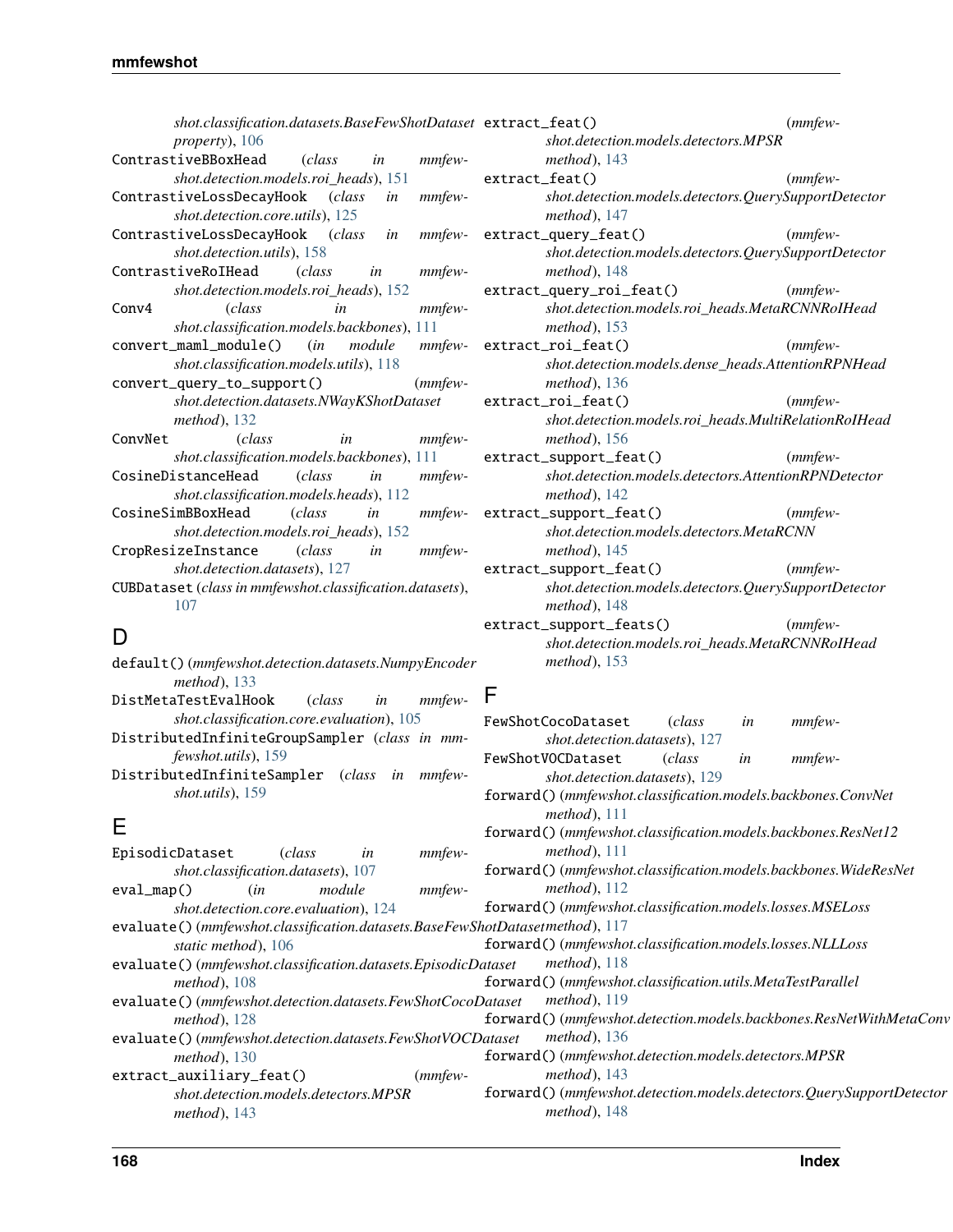*shot.classification.datasets.BaseFewShotDataset* extract\_feat() (*mmfewproperty*), [106](#page-109-1) ContrastiveBBoxHead (*class in mmfewshot.detection.models.roi\_heads*), [151](#page-154-1) ContrastiveLossDecayHook (*class in mmfewshot.detection.core.utils*), [125](#page-128-2) ContrastiveLossDecayHook (*class in mmfewshot.detection.utils*), [158](#page-161-1) ContrastiveRoIHead (*class in mmfewshot.detection.models.roi\_heads*), [152](#page-155-0) Conv4 (*class in mmfewshot.classification.models.backbones*), [111](#page-114-2) convert\_maml\_module() (*in module mmfewshot.classification.models.utils*), [118](#page-121-2) convert\_query\_to\_support() (*mmfewshot.detection.datasets.NWayKShotDataset method*), [132](#page-135-0) ConvNet (*class in mmfewshot.classification.models.backbones*), [111](#page-114-2) CosineDistanceHead (*class in mmfewshot.classification.models.heads*), [112](#page-115-1) CosineSimBBoxHead (*class in mmfew-*

- *shot.detection.models.roi\_heads*), [152](#page-155-0) CropResizeInstance (*class in mmfew-*
- *shot.detection.datasets*), [127](#page-130-0)
- CUBDataset (*class in mmfewshot.classification.datasets*), [107](#page-110-0)

## D

- default() (*mmfewshot.detection.datasets.NumpyEncoder method*), [133](#page-136-0)
- DistMetaTestEvalHook (*class in mmfewshot.classification.core.evaluation*), [105](#page-108-2)
- DistributedInfiniteGroupSampler (*class in mmfewshot.utils*), [159](#page-162-1)
- DistributedInfiniteSampler (*class in mmfewshot.utils*), [159](#page-162-1)

# E

| EpisodicDataset                                              | <i>class</i>                         | in     | mmfew-        | method), 111                                                                |
|--------------------------------------------------------------|--------------------------------------|--------|---------------|-----------------------------------------------------------------------------|
|                                                              | shot.classification.datasets), 107   |        |               | forward()(mmfewshot.classification.models.backbones.WideResNet              |
| $eval_map()$                                                 | (in                                  | module | <i>mmfew-</i> | method), $112$                                                              |
|                                                              | shot.detection.core.evaluation), 124 |        |               | forward()(mmfewshot.classification.models.losses.MSELoss                    |
|                                                              |                                      |        |               | evaluate()(mmfewshot.classification.datasets.BaseFewShotDatasetmethod), 117 |
| static method), 106                                          |                                      |        |               | forward()(mmfewshot.classification.models.losses.NLLLoss                    |
| evaluate()(mmfewshot.classification.datasets.EpisodicDataset |                                      |        |               | method), $118$                                                              |
| <i>method</i> ), $108$                                       |                                      |        |               | forward()(mmfewshot.classification.utils.MetaTestParallel                   |
| evaluate()(mmfewshot.detection.datasets.FewShotCocoDataset   |                                      |        |               | method), $119$                                                              |
| $method$ ), 128                                              |                                      |        |               | forward()(mmfewshot.detection.models.backbones.ResNetWithMetaConv           |
| evaluate()(mmfewshot.detection.datasets.FewShotVOCDataset    |                                      |        |               | method), $136$                                                              |
| $method$ , 130                                               |                                      |        |               | forward()(mmfewshot.detection.models.detectors.MPSR                         |
| extract_auxiliary_feat()                                     |                                      |        | $(mmfew-$     | $method$ , 143                                                              |
|                                                              | shot.detection.models.detectors.MPSR |        |               | forward() (mmfewshot.detection.models.detectors.QuerySupportDetector        |
| $method$ ), 143                                              |                                      |        |               | $method$ ), 148                                                             |

- *shot.detection.models.detectors.MPSR method*), [143](#page-146-0)
- extract\_feat() (*mmfewshot.detection.models.detectors.QuerySupportDetector method*), [147](#page-150-0)
- extract\_query\_feat() (*mmfewshot.detection.models.detectors.QuerySupportDetector method*), [148](#page-151-2)
- extract\_query\_roi\_feat() (*mmfewshot.detection.models.roi\_heads.MetaRCNNRoIHead method*), [153](#page-156-0)
- extract\_roi\_feat() (*mmfewshot.detection.models.dense\_heads.AttentionRPNHead method*), [136](#page-139-2)
- extract\_roi\_feat() (*mmfewshot.detection.models.roi\_heads.MultiRelationRoIHead method*), [156](#page-159-0)
- extract\_support\_feat() (*mmfewshot.detection.models.detectors.AttentionRPNDetector method*), [142](#page-145-0)
- extract\_support\_feat() (*mmfewshot.detection.models.detectors.MetaRCNN method*), [145](#page-148-0)
- extract\_support\_feat() (*mmfewshot.detection.models.detectors.QuerySupportDetector method*), [148](#page-151-2)
- extract\_support\_feats() (*mmfewshot.detection.models.roi\_heads.MetaRCNNRoIHead method*), [153](#page-156-0)

FewShotCocoDataset (*class in mmfew-*

FewShotVOCDataset (*class in mmfew-*

forward() (*mmfewshot.classification.models.backbones.ConvNet*

forward() (*mmfewshot.classification.models.backbones.ResNet12*

*shot.detection.datasets*), [127](#page-130-0)

*shot.detection.datasets*), [129](#page-132-0)

*method*), [111](#page-114-2)

## F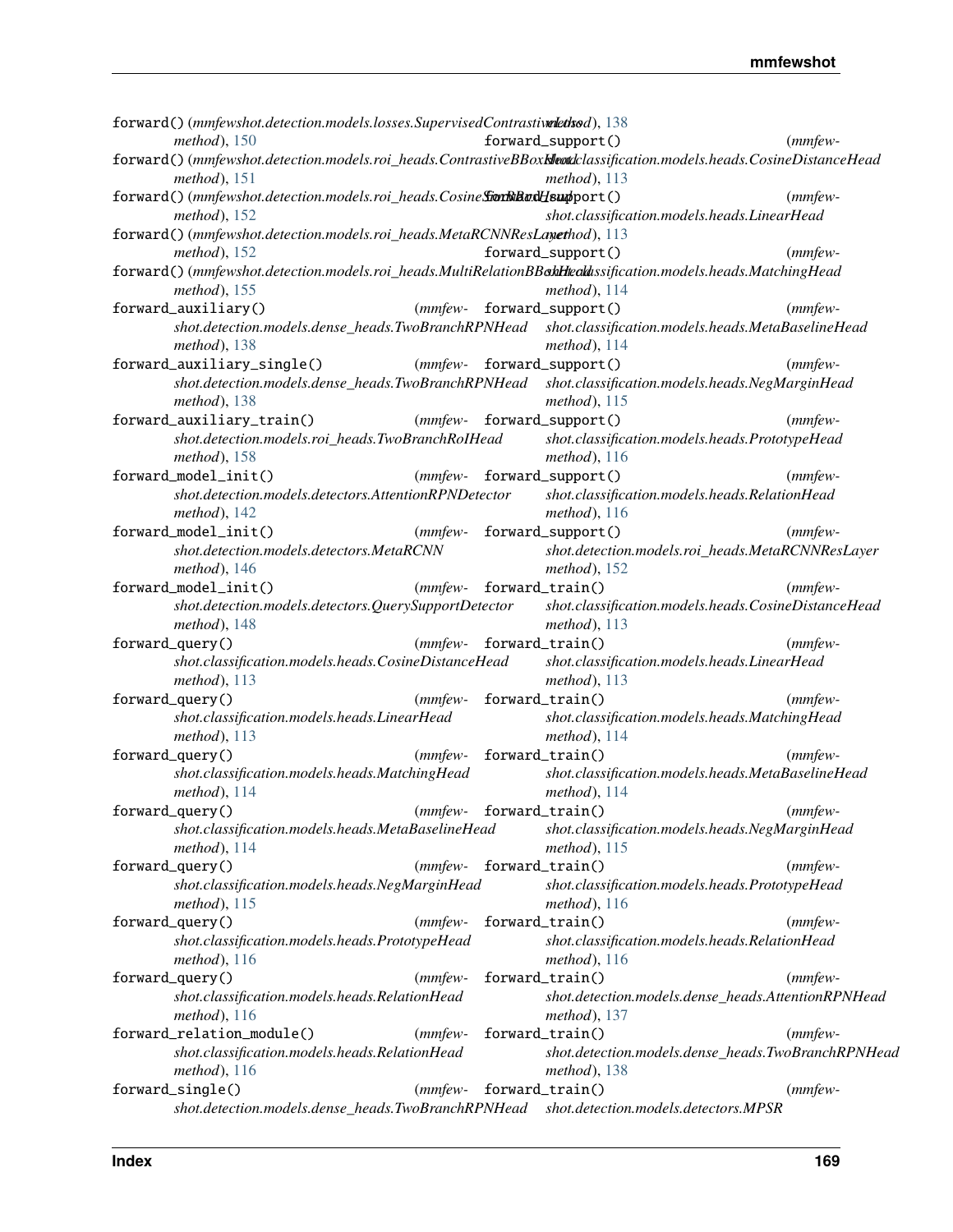| forward()(mmfewshot.detection.models.losses.SupervisedContrastivalethsod), 138                                    |                            |                                                                                                      |            |
|-------------------------------------------------------------------------------------------------------------------|----------------------------|------------------------------------------------------------------------------------------------------|------------|
| method), $150$                                                                                                    |                            | forward_support()                                                                                    | $(mmfew-$  |
| forward()(mmfewshot.detection.models.roi_heads.ContrastiveBBoxKleadclassification.models.heads.CosineDistanceHead |                            |                                                                                                      |            |
| $method$ , 151                                                                                                    |                            | $method$ ), 113                                                                                      |            |
| forward()(mmfewshot.detection.models.roi_heads.CosineSionBandHsupport()                                           |                            |                                                                                                      | $(mmfew-$  |
| $method$ ), 152                                                                                                   |                            | shot.classification.models.heads.LinearHead                                                          |            |
| forward()(mmfewshot.detection.models.roi_heads.MetaRCNNResLayethod), 113                                          |                            |                                                                                                      |            |
| $method$ ), 152                                                                                                   |                            | forward_support()                                                                                    | $(mmfew-$  |
| forward()(mmfewshot.detection.models.roi_heads.MultiRelationBBakHteckhssification.models.heads.MatchingHead       |                            |                                                                                                      |            |
| $method$ ), 155                                                                                                   |                            | method), 114                                                                                         |            |
| forward_auxiliary()                                                                                               |                            | (mmfew- forward_support()                                                                            | $(mmfew-$  |
|                                                                                                                   |                            | shot.detection.models.dense_heads.TwoBranchRPNHead shot.classification.models.heads.MetaBaselineHead |            |
| $method$ ), 138                                                                                                   |                            | $method$ ), 114                                                                                      |            |
| forward_auxiliary_single()                                                                                        |                            | (mmfew- forward_support()                                                                            | $(mmfew-$  |
|                                                                                                                   |                            | shot.detection.models.dense_heads.TwoBranchRPNHead shot.classification.models.heads.NegMarginHead    |            |
| $method$ , 138                                                                                                    |                            | $method$ ), 115                                                                                      |            |
| forward_auxiliary_train()                                                                                         |                            | (mmfew- forward_support()                                                                            | $(mmfew-$  |
| shot.detection.models.roi_heads.TwoBranchRoIHead<br>$method$ ), 158                                               |                            | shot.classification.models.heads.PrototypeHead<br>$method$ ), 116                                    |            |
| forward_model_init()                                                                                              |                            | (mmfew- forward_support()                                                                            | $(mmfew-$  |
| shot.detection.models.detectors.AttentionRPNDetector                                                              |                            | shot.classification.models.heads.RelationHead                                                        |            |
| method), 142                                                                                                      |                            | $method$ ), 116                                                                                      |            |
| forward_model_init()                                                                                              | $(mmfew-$                  | forward_support()                                                                                    | $(mmfew-$  |
| shot.detection.models.detectors.MetaRCNN                                                                          |                            | shot.detection.models.roi_heads.MetaRCNNResLayer                                                     |            |
| $method$ ), 146                                                                                                   |                            | $method$ , 152                                                                                       |            |
| forward_model_init()                                                                                              | (mmfew- forward_train()    |                                                                                                      | $(mmfew-$  |
| shot.detection.models.detectors.QuerySupportDetector                                                              |                            | shot.classification.models.heads.CosineDistanceHead                                                  |            |
| method), 148                                                                                                      |                            | method), 113                                                                                         |            |
| forward_query()                                                                                                   | $(mmfew-$                  | forward_train()                                                                                      | $(mmfew-$  |
| shot.classification.models.heads.CosineDistanceHead                                                               |                            | shot.classification.models.heads.LinearHead                                                          |            |
| method), $113$                                                                                                    |                            | method), 113                                                                                         |            |
| forward_query()                                                                                                   | $(mmfew-$                  | forward_train()                                                                                      | $(mmfew-$  |
| shot.classification.models.heads.LinearHead                                                                       |                            | shot.classification.models.heads.MatchingHead                                                        |            |
| $method$ , 113                                                                                                    |                            | method), 114                                                                                         |            |
| forward_query()                                                                                                   | $(mmfew-$                  | forward_train()                                                                                      | $(mmfew-$  |
| shot.classification.models.heads.MatchingHead                                                                     |                            | shot.classification.models.heads.MetaBaselineHead                                                    |            |
| method), 114                                                                                                      |                            | $method$ ), 114                                                                                      |            |
| forward_query()                                                                                                   | $(mmfew$ - forward_train() |                                                                                                      | $(mm$ few- |
| shot.classification.models.heads.MetaBaselineHead                                                                 |                            | shot.classification.models.heads.NegMarginHead                                                       |            |
| method), $114$                                                                                                    |                            | method), $115$                                                                                       |            |
| forward_query()                                                                                                   | $(mmfew$ - forward_train() |                                                                                                      | $(mmfew-$  |
|                                                                                                                   |                            |                                                                                                      |            |
| shot.classification.models.heads.NegMarginHead<br>method), $115$                                                  |                            | shot.classification.models.heads.PrototypeHead<br>$method$ ), 116                                    |            |
| forward_query()                                                                                                   | $(mmfew-$                  | forward_train()                                                                                      | $(mmfew-$  |
| shot.classification.models.heads.PrototypeHead                                                                    |                            | shot.classification.models.heads.RelationHead                                                        |            |
| method), $116$                                                                                                    |                            | method), $116$                                                                                       |            |
| forward_query()                                                                                                   | $(mmfew-$                  | forward_train()                                                                                      | $(mmfew-$  |
| shot.classification.models.heads.RelationHead                                                                     |                            | shot.detection.models.dense_heads.AttentionRPNHead                                                   |            |
| method), $116$                                                                                                    |                            | method), $137$                                                                                       |            |
| forward_relation_module()                                                                                         | $(mmfew-$                  | forward_train()                                                                                      | $(mmfew-$  |
| shot.classification.models.heads.RelationHead                                                                     |                            | shot.detection.models.dense_heads.TwoBranchRPNHead                                                   |            |
| method), $116$                                                                                                    |                            | $method$ , 138                                                                                       |            |
| forward_single()                                                                                                  | $(mmfew-$                  | forward_train()                                                                                      | $(mmfew-$  |
|                                                                                                                   |                            | shot.detection.models.dense_heads.TwoBranchRPNHead shot.detection.models.detectors.MPSR              |            |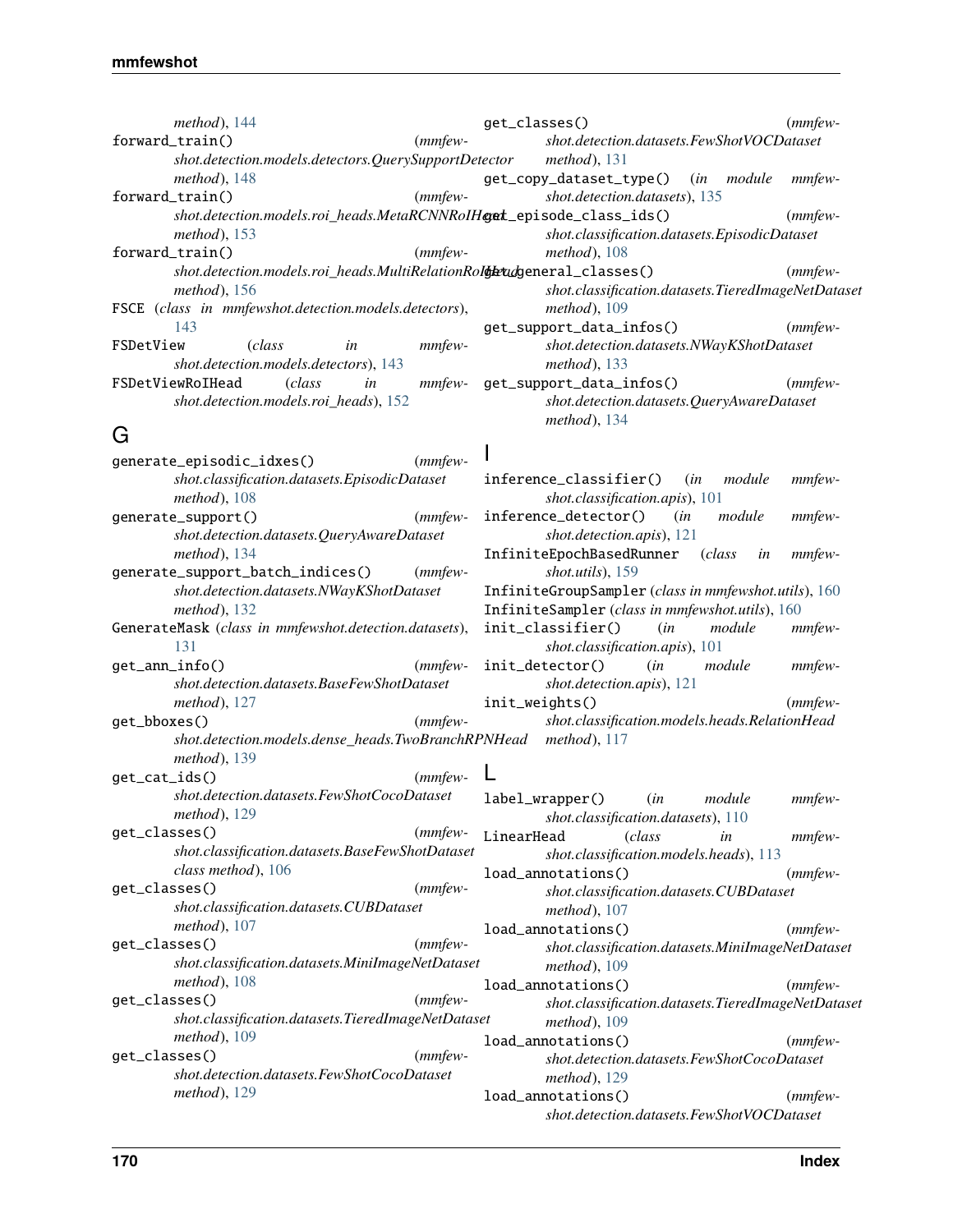| method), 144                                                           | $(mmfew-$<br>get_classes()                                |
|------------------------------------------------------------------------|-----------------------------------------------------------|
| forward_train()<br>$(mmfew-$                                           | shot.detection.datasets.FewShotVOCDataset                 |
| shot.detection.models.detectors.QuerySupportDetector method), 131      |                                                           |
| method), 148                                                           | get_copy_dataset_type() (in module<br>mmfew-              |
| $(mmfew-$<br>forward_train()                                           | shot.detection.datasets), 135                             |
| shot.detection.models.roi_heads.MetaRCNNRoIHgat_episode_class_ids()    | $(mmfew-$                                                 |
| method), 153                                                           | shot.classification.datasets.EpisodicDataset              |
| $(mmfew-$<br>forward_train()                                           | $method$ , 108                                            |
| shot.detection.models.roi_heads.MultiRelationRolderudgeneral_classes() | $(mmfew-$                                                 |
| method), $156$                                                         | shot.classification.datasets.TieredImageNetDataset        |
| FSCE (class in mmfewshot.detection.models.detectors),                  | $method$ , 109                                            |
| 143                                                                    | get_support_data_infos()<br>$(mmfew-$                     |
| (class<br>mmfew-<br>FSDetView<br>in                                    | shot.detection.datasets.NWayKShotDataset                  |
| shot.detection.models.detectors), 143                                  | method), 133                                              |
| FSDetViewRoIHead<br>(class<br>in                                       | mmfew- get_support_data_infos()<br>$(mmfew-$              |
| shot.detection.models.roi_heads), 152                                  | shot.detection.datasets.QueryAwareDataset                 |
|                                                                        | method), 134                                              |
| G                                                                      |                                                           |
| generate_episodic_idxes()<br>$(mmfew-$                                 |                                                           |
| shot.classification.datasets.EpisodicDataset                           | inference_classifier() (in module<br>mmfew-               |
| $method$ ), 108                                                        | shot.classification.apis), 101                            |
| generate_support()<br>( <i>mmfew</i> -                                 | inference_detector() (in<br>module<br><i>mmfew-</i>       |
| shot.detection.datasets.QueryAwareDataset                              | shot.detection.apis), 121                                 |
| method), 134                                                           | InfiniteEpochBasedRunner<br>(class<br><i>mmfew-</i><br>in |
| generate_support_batch_indices() (mmfew-                               | shot.utils), 159                                          |
| shot.detection.datasets.NWayKShotDataset                               | InfiniteGroupSampler (class in mmfewshot.utils), 160      |
| method), 132                                                           | InfiniteSampler (class in mmfewshot.utils), 160           |
| GenerateMask (class in mmfewshot.detection.datasets),                  | init_classifier()<br>(in<br>module<br><i>mmfew-</i>       |
| 131                                                                    | shot.classification.apis), 101                            |
| get_ann_info()<br>$(mmfew-$                                            | init_detector()<br>(in<br>module<br><i>mmfew-</i>         |
| shot.detection.datasets.BaseFewShotDataset                             | shot.detection.apis), 121                                 |
| method), $127$                                                         | init_weights()<br>$(mmfew-$                               |
| $(mmfew-$<br>get_bboxes()                                              | shot.classification.models.heads.RelationHead             |
| shot.detection.models.dense_heads.TwoBranchRPNHead method), 117        |                                                           |
| $method$ , 139                                                         |                                                           |
| $(mmfew-$<br>get_cat_ids()                                             |                                                           |
| shot.detection.datasets.FewShotCocoDataset label_wrapper() (in         | module<br>$mmfew-$                                        |
| method), 129                                                           | shot.classification.datasets), 110                        |
| get_classes()<br>$(mmfew-$                                             | LinearHead<br><i>class</i><br>mmfew-<br>in                |
| shot.classification.datasets.BaseFewShotDataset                        | shot.classification.models.heads), 113                    |
| class method), 106                                                     | load_annotations()<br>$(mmfew-$                           |
| get_classes()<br>$(mmfew-$                                             | shot.classification.datasets.CUBDataset                   |
| shot.classification.datasets.CUBDataset                                | method), 107                                              |
| method), 107                                                           | load_annotations()<br>$(mmfew-$                           |
| get_classes()<br>$(mmfew-$                                             | shot.classification.datasets.MiniImageNetDataset          |

**170 Index**

*shot.classification.datasets.MiniImageNetDataset*

*shot.classification.datasets.TieredImageNetDataset*

load\_annotations() (*mmfew-*

load\_annotations() (*mmfewshot.detection.datasets.FewShotCocoDataset*

load\_annotations() (*mmfewshot.detection.datasets.FewShotVOCDataset*

*method*), [109](#page-112-0)

*method*), [109](#page-112-0)

*method*), [129](#page-132-0)

*shot.classification.datasets.MiniImageNetDataset*

*shot.classification.datasets.TieredImageNetDataset*

get\_classes() (*mmfew-*

get\_classes() (*mmfewshot.detection.datasets.FewShotCocoDataset*

*method*), [108](#page-111-0)

*method*), [109](#page-112-0)

*method*), [129](#page-132-0)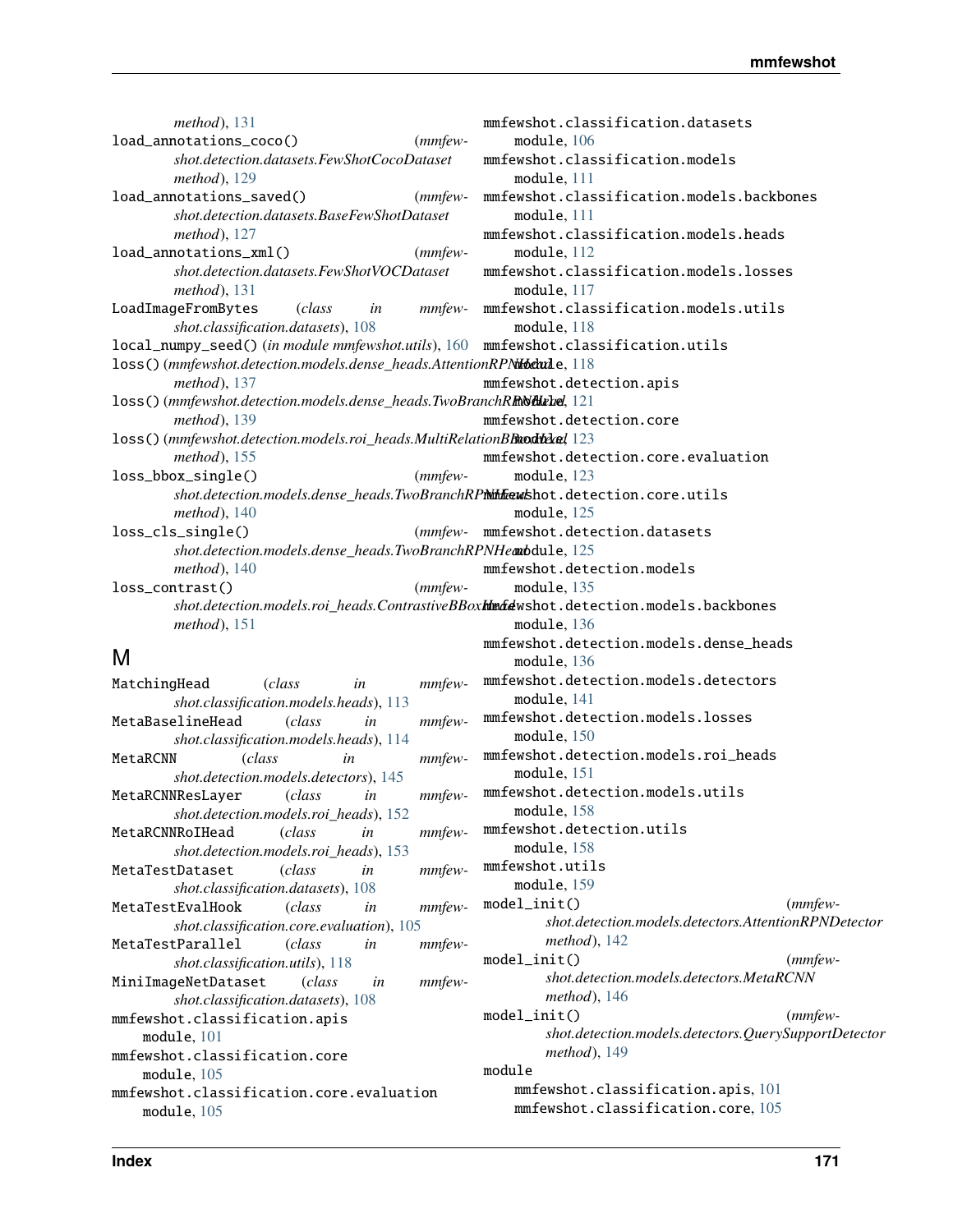*method*), [131](#page-134-0) load\_annotations\_coco() (*mmfewshot.detection.datasets.FewShotCocoDataset method*), [129](#page-132-0) load\_annotations\_saved() (*mmfewshot.detection.datasets.BaseFewShotDataset method*), [127](#page-130-0) load\_annotations\_xml() (*mmfewshot.detection.datasets.FewShotVOCDataset method*), [131](#page-134-0) LoadImageFromBytes (*class in mmfewshot.classification.datasets*), [108](#page-111-0) local\_numpy\_seed() (*in module mmfewshot.utils*), [160](#page-163-0) loss() (mmfewshot.detection.models.dense\_heads.AttentionRPNtbchule, [118](#page-121-2) *method*), [137](#page-140-0) loss() (mmfewshot.detection.models.dense\_heads.TwoBranchR**RNditele**, [121](#page-124-1) *method*), [139](#page-142-0) loss() (mmfewshot.detection.models.roi\_heads.MultiRelationBBaodtdad, [123](#page-126-2) *method*), [155](#page-158-0) loss\_bbox\_single() (*mmfew*shot.detection.models.dense\_heads.TwoBranchRP**i\htewshot.detection.core.utils** *method*), [140](#page-143-0) loss\_cls\_single() (*mmfew-*shot.detection.models.dense\_heads.TwoBranchRPNHeadbdule, [125](#page-128-2) *method*), [140](#page-143-0) loss\_contrast() (*mmfewshot.detection.models.roi\_heads.ContrastiveBBoxMmdewshot.detection.models.backbones method*), [151](#page-154-1) M MatchingHead (*class in mmfewshot.classification.models.heads*), [113](#page-116-0) MetaBaselineHead (*class in mmfewshot.classification.models.heads*), [114](#page-117-0) MetaRCNN (*class in mmfewshot.detection.models.detectors*), [145](#page-148-0) MetaRCNNResLayer (*class in mmfewshot.detection.models.roi\_heads*), [152](#page-155-0) mmfewshot.classification.datasets module, [106](#page-109-1) mmfewshot.classification.models module, [111](#page-114-2) mmfewshot.classification.models.backbones module, [111](#page-114-2) mmfewshot.classification.models.heads module, [112](#page-115-1) mmfewshot.classification.models.losses module, [117](#page-120-1) mmfewshot.classification.models.utils module, [118](#page-121-2) mmfewshot.classification.utils mmfewshot.detection.apis mmfewshot.detection.core mmfewshot.detection.core.evaluation module, [123](#page-126-2) module, [125](#page-128-2) (mmfew- mmfewshot.detection.datasets mmfewshot.detection.models module, [135](#page-138-1) module, [136](#page-139-2) mmfewshot.detection.models.dense\_heads module, [136](#page-139-2) mmfewshot.detection.models.detectors module, [141](#page-144-1) mmfewshot.detection.models.losses module, [150](#page-153-1) mmfewshot.detection.models.roi\_heads module, [151](#page-154-1) mmfewshot.detection.models.utils module, [158](#page-161-1) mmfewshot.detection.utils

- MetaRCNNRoIHead (*class in mmfewshot.detection.models.roi\_heads*), [153](#page-156-0)
- MetaTestDataset (*class in mmfewshot.classification.datasets*), [108](#page-111-0)
- MetaTestEvalHook (*class in mmfewshot.classification.core.evaluation*), [105](#page-108-2)
- MetaTestParallel (*class in mmfewshot.classification.utils*), [118](#page-121-2)
- MiniImageNetDataset (*class in mmfewshot.classification.datasets*), [108](#page-111-0)
- mmfewshot.classification.apis
- module, [101](#page-104-1)
- mmfewshot.classification.core module, [105](#page-108-2)
- mmfewshot.classification.core.evaluation module, [105](#page-108-2)
- module

module, [158](#page-161-1) mmfewshot.utils module, [159](#page-162-1)

*method*), [142](#page-145-0)

*method*), [146](#page-149-0)

*method*), [149](#page-152-2)

mmfewshot.classification.apis, [101](#page-104-1) mmfewshot.classification.core, [105](#page-108-2)

model\_init() (*mmfew-*

model\_init() (*mmfewshot.detection.models.detectors.MetaRCNN*

model\_init() (*mmfew-*

*shot.detection.models.detectors.AttentionRPNDetector*

*shot.detection.models.detectors.QuerySupportDetector*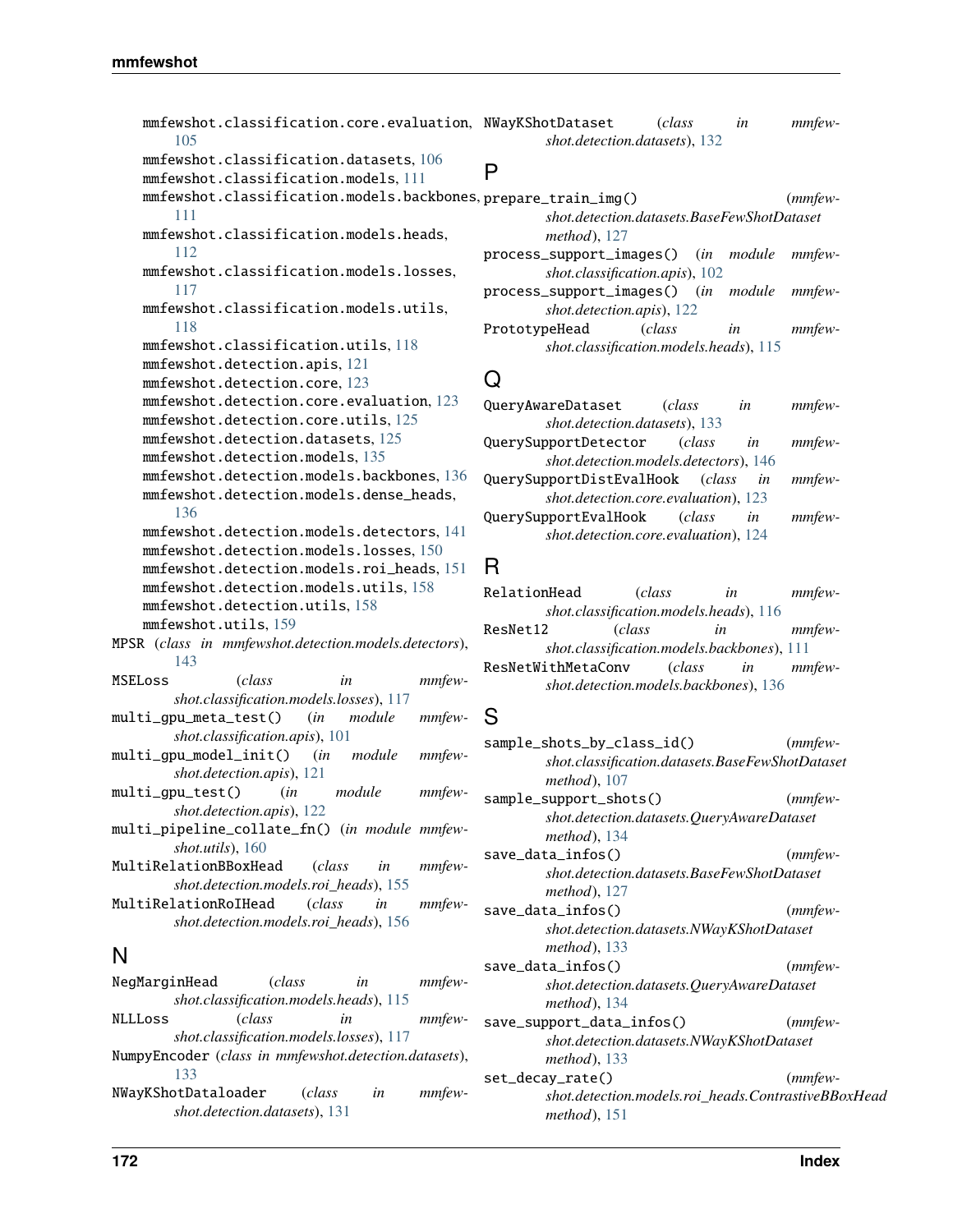```
mmfewshot.classification.core.evaluation,
NWayKShotDataset (class in mmfew-
       105
   mmfewshot.classification.datasets, 106
   mmfewshot.classification.models, 111
    mmfewshot.classification.models.backbones,
prepare_train_img() (mmfew-
       111
   mmfewshot.classification.models.heads,
       112
   mmfewshot.classification.models.losses,
       117
   mmfewshot.classification.models.utils,
       118
   mmfewshot.classification.utils, 118
   mmfewshot.detection.apis, 121
   mmfewshot.detection.core, 123
   mmfewshot.detection.core.evaluation, 123
   mmfewshot.detection.core.utils, 125
   mmfewshot.detection.datasets, 125
   mmfewshot.detection.models, 135
   mmfewshot.detection.models.backbones, 136
   mmfewshot.detection.models.dense_heads,
       136
   mmfewshot.detection.models.detectors, 141
   mmfewshot.detection.models.losses, 150
   mmfewshot.detection.models.roi_heads, 151
   mmfewshot.detection.models.utils, 158
   mmfewshot.detection.utils, 158
   mmfewshot.utils, 159
MPSR (class in mmfewshot.detection.models.detectors),
       143
MSELoss (class in mmfew-
       shot.classification.models.losses), 117
multi_gpu_meta_test() (in module mmfew-
       shot.classification.apis), 101
multi_gpu_model_init() (in module mmfew-
       shot.detection.apis), 121
multi_gpu_test() (in module mmfew-
       shot.detection.apis), 122
multi_pipeline_collate_fn() (in module mmfew-
       shot.utils), 160
MultiRelationBBoxHead (class in mmfew-
       shot.detection.models.roi_heads), 155
MultiRelationRoIHead (class in mmfew-
       shot.detection.models.roi_heads), 156
N
NegMarginHead (class in mmfew-
       shot.classification.models.heads), 115
NLLLoss (class in mmfew-
       shot.classification.models.losses), 117
NumpyEncoder (class in mmfewshot.detection.datasets),
       133
                                                     shot.detection.datasets), 132
                                              P
                                                     shot.detection.datasets.BaseFewShotDataset
                                                     method), 127
                                             process_support_images() (in module mmfew-
                                                     shot.classification.apis), 102
                                             process_support_images() (in module mmfew-
                                                     shot.detection.apis), 122
                                             PrototypeHead (class in mmfew-
                                                     shot.classification.models.heads), 115
                                             Q
                                              QueryAwareDataset (class in mmfew-
                                                     shot.detection.datasets), 133
                                             QuerySupportDetector (class in mmfew-
                                                     shot.detection.models.detectors), 146
                                             QuerySupportDistEvalHook (class in mmfew-
                                                     shot.detection.core.evaluation), 123
                                             QuerySupportEvalHook (class in mmfew-
                                                     shot.detection.core.evaluation), 124
                                             R
                                             RelationHead (class in mmfew-
                                                     shot.classification.models.heads), 116
                                             ResNet12 (class in mmfew-
                                                     shot.classification.models.backbones), 111
                                             ResNetWithMetaConv (class in mmfew-
                                                     shot.detection.models.backbones), 136
                                             S
                                              sample_shots_by_class_id() (mmfew-
                                                     shot.classification.datasets.BaseFewShotDataset
                                                     method), 107
                                              sample_support_shots() (mmfew-
                                                     shot.detection.datasets.QueryAwareDataset
                                                     method), 134
                                             save_data_infos() (mmfew-
                                                     shot.detection.datasets.BaseFewShotDataset
                                                     method), 127
                                              save_data_infos() (mmfew-
                                                     shot.detection.datasets.NWayKShotDataset
                                                     method), 133
                                              save_data_infos() (mmfew-
                                                     shot.detection.datasets.QueryAwareDataset
                                                     method), 134
                                              save_support_data_infos() (mmfew-
                                                     shot.detection.datasets.NWayKShotDataset
                                                     method), 133
                                              set_decay_rate() (mmfew-
```
NWayKShotDataloader (*class in mmfewshot.detection.datasets*), [131](#page-134-0)

*shot.detection.models.roi\_heads.ContrastiveBBoxHead*

*method*), [151](#page-154-1)